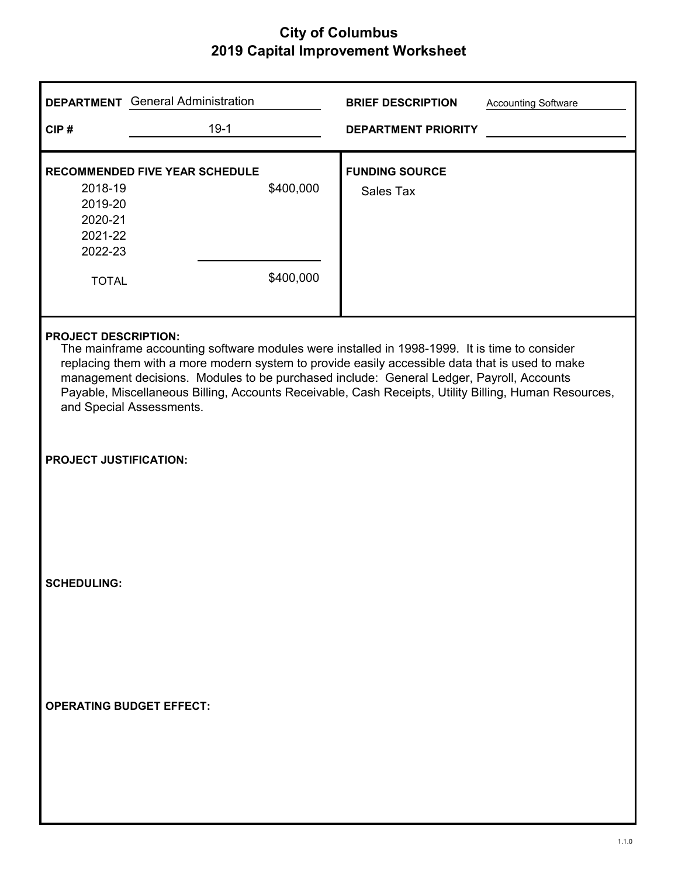| <b>DEPARTMENT</b> General Administration                                                 |           | <b>BRIEF DESCRIPTION</b><br><b>Accounting Software</b>                                                                                                                                                                                                                                                                                                                                                |  |
|------------------------------------------------------------------------------------------|-----------|-------------------------------------------------------------------------------------------------------------------------------------------------------------------------------------------------------------------------------------------------------------------------------------------------------------------------------------------------------------------------------------------------------|--|
| CIP#                                                                                     | $19-1$    | <b>DEPARTMENT PRIORITY</b>                                                                                                                                                                                                                                                                                                                                                                            |  |
| <b>RECOMMENDED FIVE YEAR SCHEDULE</b>                                                    |           | <b>FUNDING SOURCE</b>                                                                                                                                                                                                                                                                                                                                                                                 |  |
| 2018-19                                                                                  | \$400,000 | Sales Tax                                                                                                                                                                                                                                                                                                                                                                                             |  |
| 2019-20                                                                                  |           |                                                                                                                                                                                                                                                                                                                                                                                                       |  |
| 2020-21<br>2021-22                                                                       |           |                                                                                                                                                                                                                                                                                                                                                                                                       |  |
| 2022-23                                                                                  |           |                                                                                                                                                                                                                                                                                                                                                                                                       |  |
| <b>TOTAL</b>                                                                             | \$400,000 |                                                                                                                                                                                                                                                                                                                                                                                                       |  |
|                                                                                          |           |                                                                                                                                                                                                                                                                                                                                                                                                       |  |
| <b>PROJECT DESCRIPTION:</b><br>and Special Assessments.<br><b>PROJECT JUSTIFICATION:</b> |           | The mainframe accounting software modules were installed in 1998-1999. It is time to consider<br>replacing them with a more modern system to provide easily accessible data that is used to make<br>management decisions. Modules to be purchased include: General Ledger, Payroll, Accounts<br>Payable, Miscellaneous Billing, Accounts Receivable, Cash Receipts, Utility Billing, Human Resources, |  |
| <b>SCHEDULING:</b>                                                                       |           |                                                                                                                                                                                                                                                                                                                                                                                                       |  |
|                                                                                          |           |                                                                                                                                                                                                                                                                                                                                                                                                       |  |
| <b>OPERATING BUDGET EFFECT:</b>                                                          |           |                                                                                                                                                                                                                                                                                                                                                                                                       |  |
|                                                                                          |           |                                                                                                                                                                                                                                                                                                                                                                                                       |  |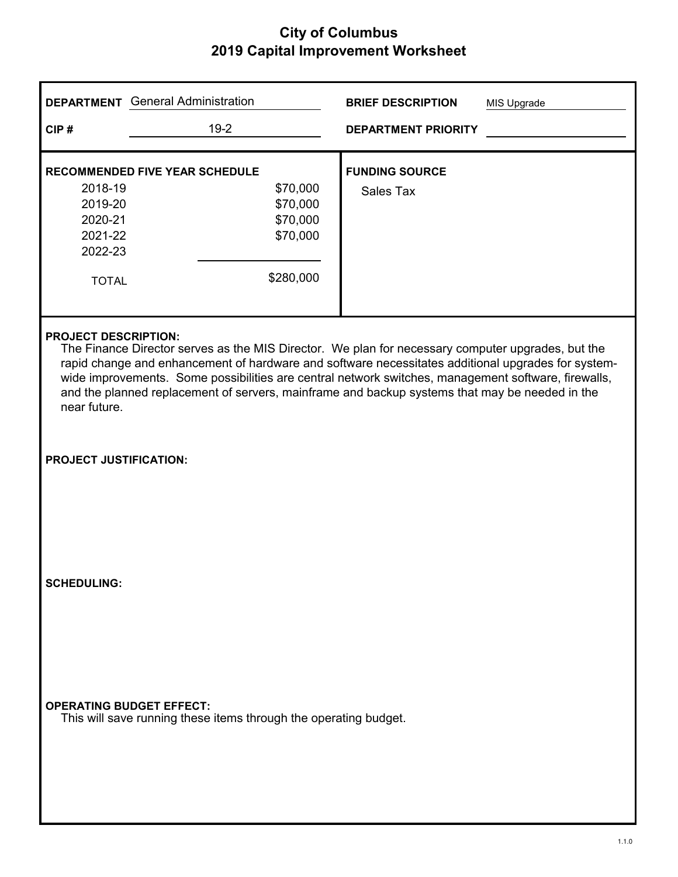|                                               | <b>DEPARTMENT</b> General Administration                                                            | <b>BRIEF DESCRIPTION</b><br>MIS Upgrade                                                                                                                                                                                                                                                                     |
|-----------------------------------------------|-----------------------------------------------------------------------------------------------------|-------------------------------------------------------------------------------------------------------------------------------------------------------------------------------------------------------------------------------------------------------------------------------------------------------------|
| CIP#                                          | $19-2$                                                                                              | <b>DEPARTMENT PRIORITY</b>                                                                                                                                                                                                                                                                                  |
|                                               | <b>RECOMMENDED FIVE YEAR SCHEDULE</b>                                                               | <b>FUNDING SOURCE</b>                                                                                                                                                                                                                                                                                       |
| 2018-19                                       | \$70,000                                                                                            | Sales Tax                                                                                                                                                                                                                                                                                                   |
| 2019-20                                       | \$70,000                                                                                            |                                                                                                                                                                                                                                                                                                             |
| 2020-21                                       | \$70,000                                                                                            |                                                                                                                                                                                                                                                                                                             |
| 2021-22                                       | \$70,000                                                                                            |                                                                                                                                                                                                                                                                                                             |
| 2022-23                                       |                                                                                                     |                                                                                                                                                                                                                                                                                                             |
| <b>TOTAL</b>                                  | \$280,000                                                                                           |                                                                                                                                                                                                                                                                                                             |
| near future.<br><b>PROJECT JUSTIFICATION:</b> |                                                                                                     | rapid change and enhancement of hardware and software necessitates additional upgrades for system-<br>wide improvements. Some possibilities are central network switches, management software, firewalls,<br>and the planned replacement of servers, mainframe and backup systems that may be needed in the |
| <b>SCHEDULING:</b>                            | <b>OPERATING BUDGET EFFECT:</b><br>This will save running these items through the operating budget. |                                                                                                                                                                                                                                                                                                             |
|                                               |                                                                                                     |                                                                                                                                                                                                                                                                                                             |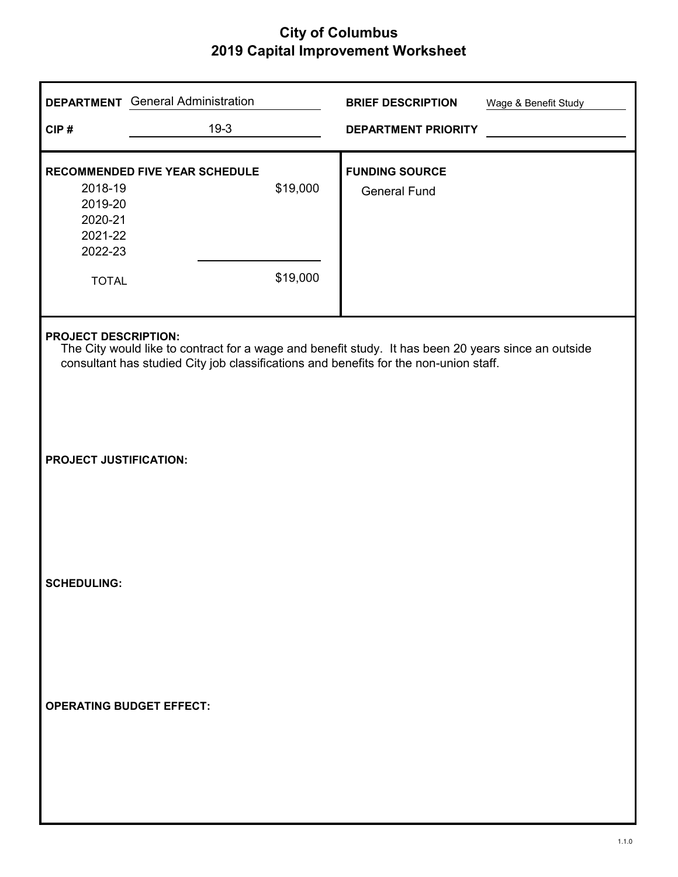|                                                                     | <b>DEPARTMENT</b> General Administration |                      | <b>BRIEF DESCRIPTION</b>                                                                                                                                                                     | Wage & Benefit Study |
|---------------------------------------------------------------------|------------------------------------------|----------------------|----------------------------------------------------------------------------------------------------------------------------------------------------------------------------------------------|----------------------|
| CIP#                                                                | $19-3$                                   |                      | <b>DEPARTMENT PRIORITY</b>                                                                                                                                                                   |                      |
| 2018-19<br>2019-20<br>2020-21<br>2021-22<br>2022-23<br><b>TOTAL</b> | <b>RECOMMENDED FIVE YEAR SCHEDULE</b>    | \$19,000<br>\$19,000 | <b>FUNDING SOURCE</b><br><b>General Fund</b>                                                                                                                                                 |                      |
| <b>PROJECT DESCRIPTION:</b>                                         |                                          |                      | The City would like to contract for a wage and benefit study. It has been 20 years since an outside<br>consultant has studied City job classifications and benefits for the non-union staff. |                      |
| <b>PROJECT JUSTIFICATION:</b>                                       |                                          |                      |                                                                                                                                                                                              |                      |
| <b>SCHEDULING:</b>                                                  |                                          |                      |                                                                                                                                                                                              |                      |
| <b>OPERATING BUDGET EFFECT:</b>                                     |                                          |                      |                                                                                                                                                                                              |                      |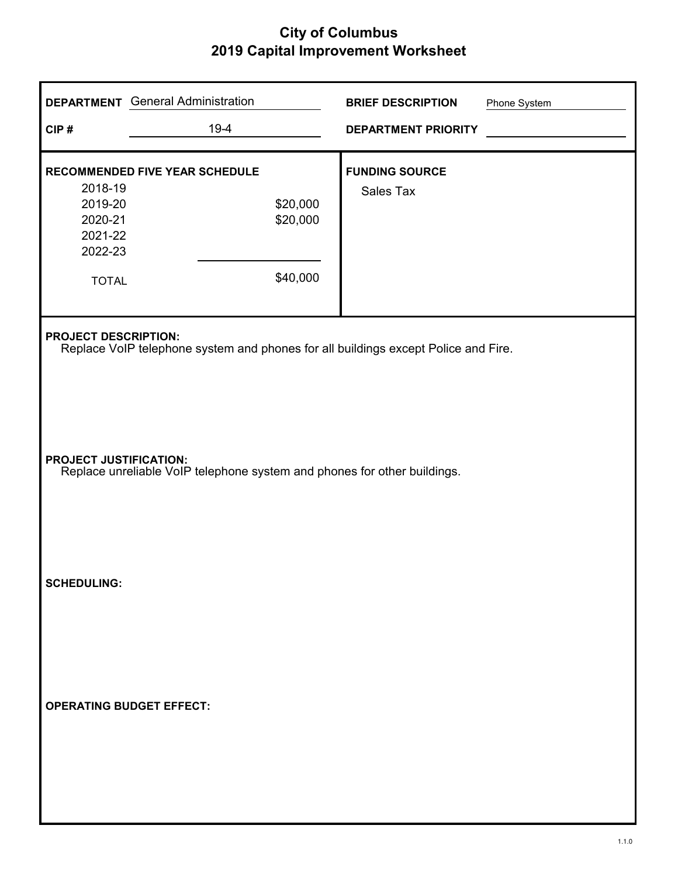| CIP#                                                                | <b>DEPARTMENT</b> General Administration<br>$19-4$                                                                                                             | <b>BRIEF DESCRIPTION</b><br><b>DEPARTMENT PRIORITY</b> | Phone System |
|---------------------------------------------------------------------|----------------------------------------------------------------------------------------------------------------------------------------------------------------|--------------------------------------------------------|--------------|
| 2018-19<br>2019-20<br>2020-21<br>2021-22<br>2022-23<br><b>TOTAL</b> | RECOMMENDED FIVE YEAR SCHEDULE<br>\$20,000<br>\$20,000<br>\$40,000                                                                                             | <b>FUNDING SOURCE</b><br>Sales Tax                     |              |
| <b>PROJECT DESCRIPTION:</b><br><b>PROJECT JUSTIFICATION:</b>        | Replace VoIP telephone system and phones for all buildings except Police and Fire.<br>Replace unreliable VoIP telephone system and phones for other buildings. |                                                        |              |
| <b>SCHEDULING:</b>                                                  |                                                                                                                                                                |                                                        |              |
|                                                                     | <b>OPERATING BUDGET EFFECT:</b>                                                                                                                                |                                                        |              |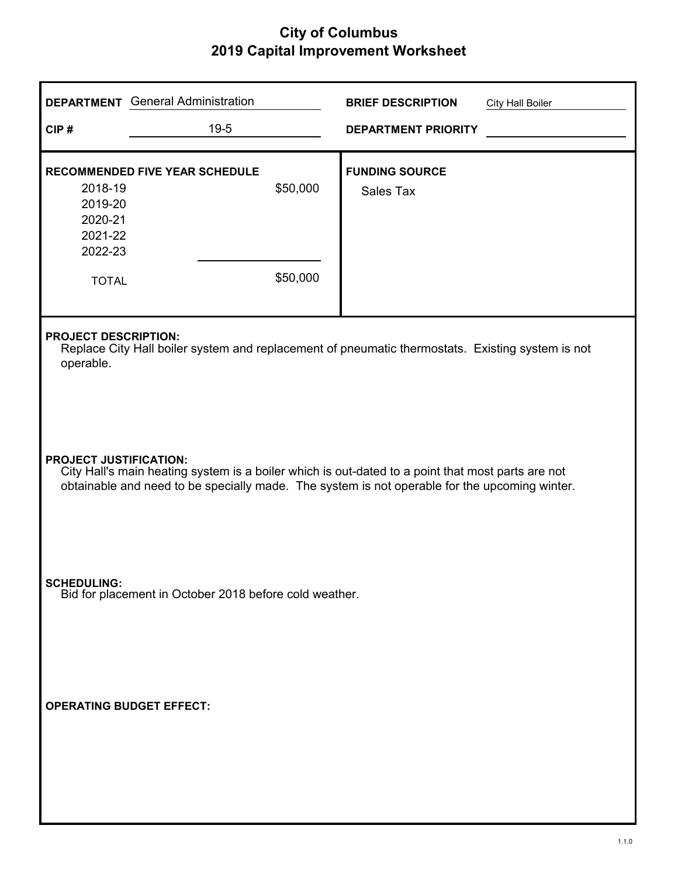|                                                                                                                                                                                                                                     | <b>DEPARTMENT</b> General Administration                                                                                        | <b>BRIEF DESCRIPTION</b><br><b>City Hall Boiler</b> |  |  |  |
|-------------------------------------------------------------------------------------------------------------------------------------------------------------------------------------------------------------------------------------|---------------------------------------------------------------------------------------------------------------------------------|-----------------------------------------------------|--|--|--|
| CIP#                                                                                                                                                                                                                                | $19 - 5$                                                                                                                        | <b>DEPARTMENT PRIORITY</b>                          |  |  |  |
| 2018-19<br>2019-20<br>2020-21<br>2021-22<br>2022-23<br><b>TOTAL</b>                                                                                                                                                                 | <b>RECOMMENDED FIVE YEAR SCHEDULE</b><br>\$50,000<br>\$50,000                                                                   | <b>FUNDING SOURCE</b><br>Sales Tax                  |  |  |  |
| operable.                                                                                                                                                                                                                           | <b>PROJECT DESCRIPTION:</b><br>Replace City Hall boiler system and replacement of pneumatic thermostats. Existing system is not |                                                     |  |  |  |
| <b>PROJECT JUSTIFICATION:</b><br>City Hall's main heating system is a boiler which is out-dated to a point that most parts are not<br>obtainable and need to be specially made. The system is not operable for the upcoming winter. |                                                                                                                                 |                                                     |  |  |  |
| <b>SCHEDULING:</b>                                                                                                                                                                                                                  | Bid for placement in October 2018 before cold weather.                                                                          |                                                     |  |  |  |
| <b>OPERATING BUDGET EFFECT:</b>                                                                                                                                                                                                     |                                                                                                                                 |                                                     |  |  |  |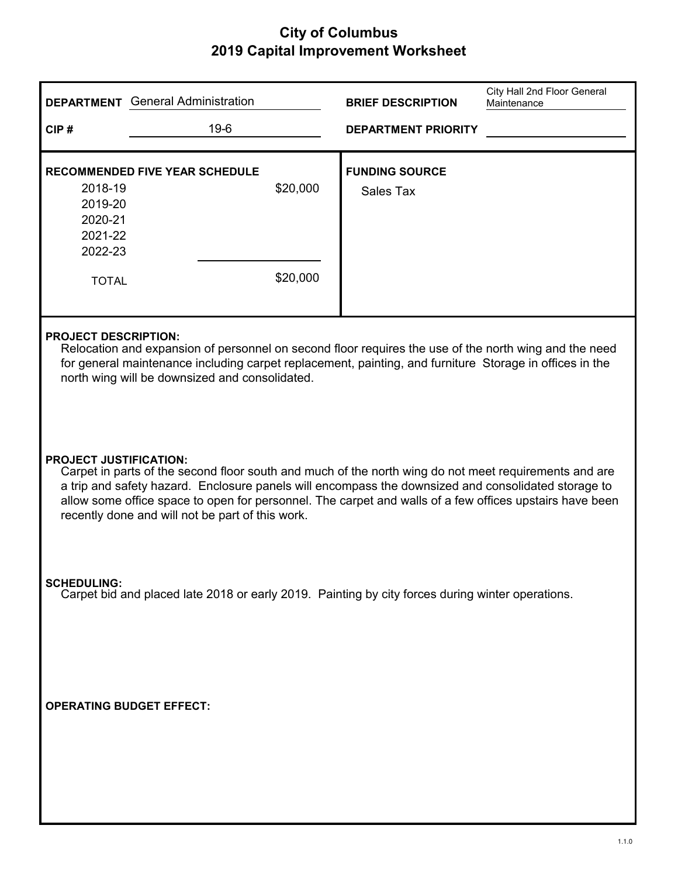|                                                                     | <b>DEPARTMENT</b> General Administration                                                                                                                                                                                                                                                                                                                                    | <b>BRIEF DESCRIPTION</b>           | City Hall 2nd Floor General<br>Maintenance |
|---------------------------------------------------------------------|-----------------------------------------------------------------------------------------------------------------------------------------------------------------------------------------------------------------------------------------------------------------------------------------------------------------------------------------------------------------------------|------------------------------------|--------------------------------------------|
| CIP#                                                                | $19-6$                                                                                                                                                                                                                                                                                                                                                                      | <b>DEPARTMENT PRIORITY</b>         |                                            |
| 2018-19<br>2019-20<br>2020-21<br>2021-22<br>2022-23<br><b>TOTAL</b> | <b>RECOMMENDED FIVE YEAR SCHEDULE</b><br>\$20,000<br>\$20,000                                                                                                                                                                                                                                                                                                               | <b>FUNDING SOURCE</b><br>Sales Tax |                                            |
| <b>PROJECT DESCRIPTION:</b>                                         | Relocation and expansion of personnel on second floor requires the use of the north wing and the need<br>for general maintenance including carpet replacement, painting, and furniture Storage in offices in the<br>north wing will be downsized and consolidated.                                                                                                          |                                    |                                            |
| <b>PROJECT JUSTIFICATION:</b>                                       | Carpet in parts of the second floor south and much of the north wing do not meet requirements and are<br>a trip and safety hazard. Enclosure panels will encompass the downsized and consolidated storage to<br>allow some office space to open for personnel. The carpet and walls of a few offices upstairs have been<br>recently done and will not be part of this work. |                                    |                                            |
| <b>SCHEDULING:</b>                                                  | Carpet bid and placed late 2018 or early 2019. Painting by city forces during winter operations.                                                                                                                                                                                                                                                                            |                                    |                                            |
|                                                                     | <b>OPERATING BUDGET EFFECT:</b>                                                                                                                                                                                                                                                                                                                                             |                                    |                                            |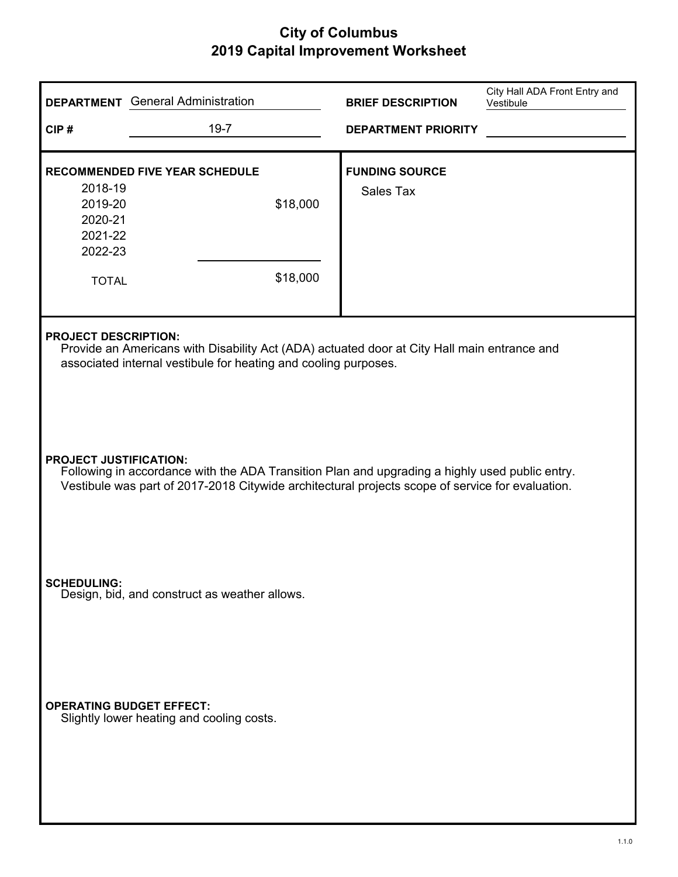| CIP#                                                                                                                                                                                                                                | <b>DEPARTMENT</b> General Administration<br>$19 - 7$                                                                                                           | <b>BRIEF DESCRIPTION</b><br><b>DEPARTMENT PRIORITY</b> | City Hall ADA Front Entry and<br>Vestibule |
|-------------------------------------------------------------------------------------------------------------------------------------------------------------------------------------------------------------------------------------|----------------------------------------------------------------------------------------------------------------------------------------------------------------|--------------------------------------------------------|--------------------------------------------|
| 2018-19<br>2019-20<br>2020-21<br>2021-22<br>2022-23<br><b>TOTAL</b>                                                                                                                                                                 | <b>RECOMMENDED FIVE YEAR SCHEDULE</b><br>\$18,000<br>\$18,000                                                                                                  | <b>FUNDING SOURCE</b><br><b>Sales Tax</b>              |                                            |
| <b>PROJECT DESCRIPTION:</b>                                                                                                                                                                                                         | Provide an Americans with Disability Act (ADA) actuated door at City Hall main entrance and<br>associated internal vestibule for heating and cooling purposes. |                                                        |                                            |
| <b>PROJECT JUSTIFICATION:</b><br>Following in accordance with the ADA Transition Plan and upgrading a highly used public entry.<br>Vestibule was part of 2017-2018 Citywide architectural projects scope of service for evaluation. |                                                                                                                                                                |                                                        |                                            |
| <b>SCHEDULING:</b>                                                                                                                                                                                                                  | Design, bid, and construct as weather allows.                                                                                                                  |                                                        |                                            |
|                                                                                                                                                                                                                                     | <b>OPERATING BUDGET EFFECT:</b><br>Slightly lower heating and cooling costs.                                                                                   |                                                        |                                            |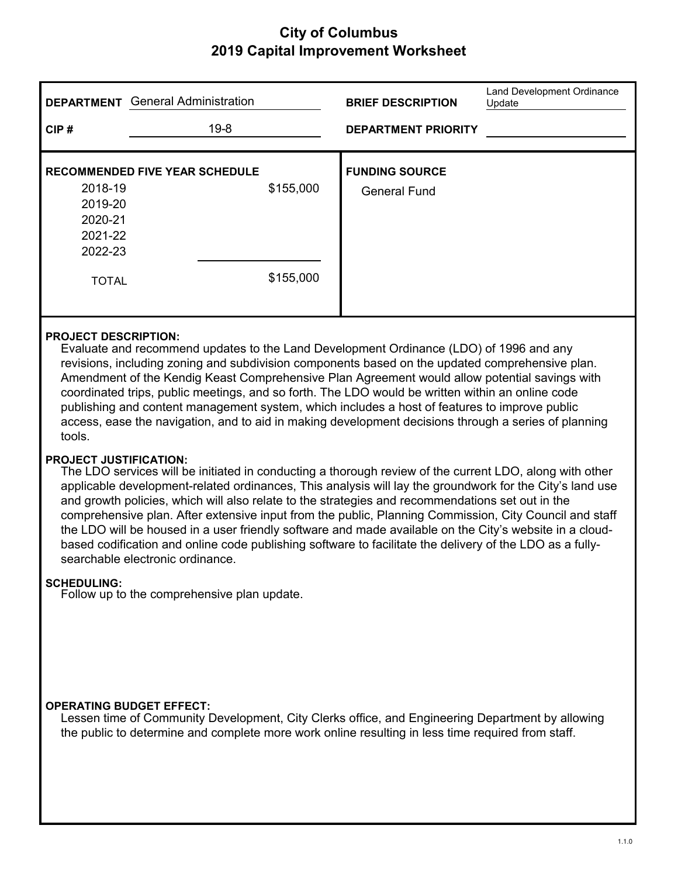| <b>DEPARTMENT</b>                  | <b>General Administration</b>         |           | <b>BRIEF DESCRIPTION</b>                     | Land Development Ordinance<br>Update |
|------------------------------------|---------------------------------------|-----------|----------------------------------------------|--------------------------------------|
| CIP#                               | $19 - 8$                              |           | <b>DEPARTMENT PRIORITY</b>                   |                                      |
| 2018-19<br>2019-20<br>2020-21      | <b>RECOMMENDED FIVE YEAR SCHEDULE</b> | \$155,000 | <b>FUNDING SOURCE</b><br><b>General Fund</b> |                                      |
| 2021-22<br>2022-23<br><b>TOTAL</b> |                                       | \$155,000 |                                              |                                      |

#### **PROJECT DESCRIPTION:**

Evaluate and recommend updates to the Land Development Ordinance (LDO) of 1996 and any revisions, including zoning and subdivision components based on the updated comprehensive plan. Amendment of the Kendig Keast Comprehensive Plan Agreement would allow potential savings with coordinated trips, public meetings, and so forth. The LDO would be written within an online code publishing and content management system, which includes a host of features to improve public access, ease the navigation, and to aid in making development decisions through a series of planning tools.

#### **PROJECT JUSTIFICATION:**

The LDO services will be initiated in conducting a thorough review of the current LDO, along with other applicable development-related ordinances, This analysis will lay the groundwork for the City's land use and growth policies, which will also relate to the strategies and recommendations set out in the comprehensive plan. After extensive input from the public, Planning Commission, City Council and staff the LDO will be housed in a user friendly software and made available on the City's website in a cloudbased codification and online code publishing software to facilitate the delivery of the LDO as a fullysearchable electronic ordinance.

#### **SCHEDULING:**

Follow up to the comprehensive plan update.

#### **OPERATING BUDGET EFFECT:**

Lessen time of Community Development, City Clerks office, and Engineering Department by allowing the public to determine and complete more work online resulting in less time required from staff.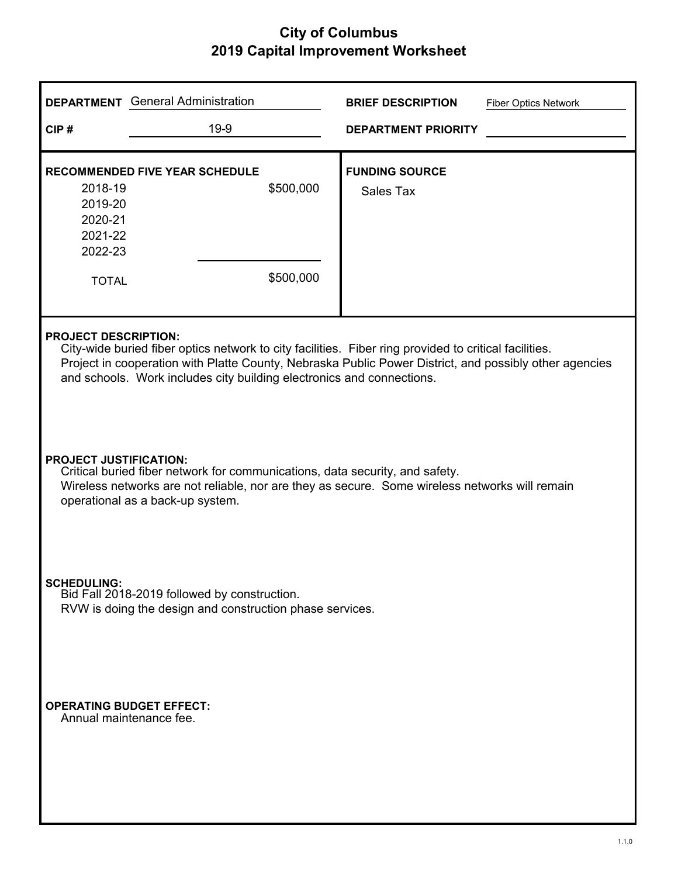|                                                                                                                                                                                                                                                     | <b>DEPARTMENT</b> General Administration                                                                                                                                                                                                                                                                                | <b>BRIEF DESCRIPTION</b><br><b>Fiber Optics Network</b> |  |  |  |
|-----------------------------------------------------------------------------------------------------------------------------------------------------------------------------------------------------------------------------------------------------|-------------------------------------------------------------------------------------------------------------------------------------------------------------------------------------------------------------------------------------------------------------------------------------------------------------------------|---------------------------------------------------------|--|--|--|
| CIP#                                                                                                                                                                                                                                                | 19-9                                                                                                                                                                                                                                                                                                                    | <b>DEPARTMENT PRIORITY</b>                              |  |  |  |
|                                                                                                                                                                                                                                                     | <b>RECOMMENDED FIVE YEAR SCHEDULE</b>                                                                                                                                                                                                                                                                                   | <b>FUNDING SOURCE</b>                                   |  |  |  |
| 2018-19<br>2019-20<br>2020-21                                                                                                                                                                                                                       | \$500,000                                                                                                                                                                                                                                                                                                               | Sales Tax                                               |  |  |  |
| 2021-22<br>2022-23                                                                                                                                                                                                                                  |                                                                                                                                                                                                                                                                                                                         |                                                         |  |  |  |
| <b>TOTAL</b>                                                                                                                                                                                                                                        | \$500,000                                                                                                                                                                                                                                                                                                               |                                                         |  |  |  |
|                                                                                                                                                                                                                                                     | <b>PROJECT DESCRIPTION:</b><br>City-wide buried fiber optics network to city facilities. Fiber ring provided to critical facilities.<br>Project in cooperation with Platte County, Nebraska Public Power District, and possibly other agencies<br>and schools. Work includes city building electronics and connections. |                                                         |  |  |  |
| <b>PROJECT JUSTIFICATION:</b><br>Critical buried fiber network for communications, data security, and safety.<br>Wireless networks are not reliable, nor are they as secure. Some wireless networks will remain<br>operational as a back-up system. |                                                                                                                                                                                                                                                                                                                         |                                                         |  |  |  |
| <b>SCHEDULING:</b><br>Bid Fall 2018-2019 followed by construction.<br>RVW is doing the design and construction phase services.                                                                                                                      |                                                                                                                                                                                                                                                                                                                         |                                                         |  |  |  |
|                                                                                                                                                                                                                                                     | <b>OPERATING BUDGET EFFECT:</b><br>Annual maintenance fee.                                                                                                                                                                                                                                                              |                                                         |  |  |  |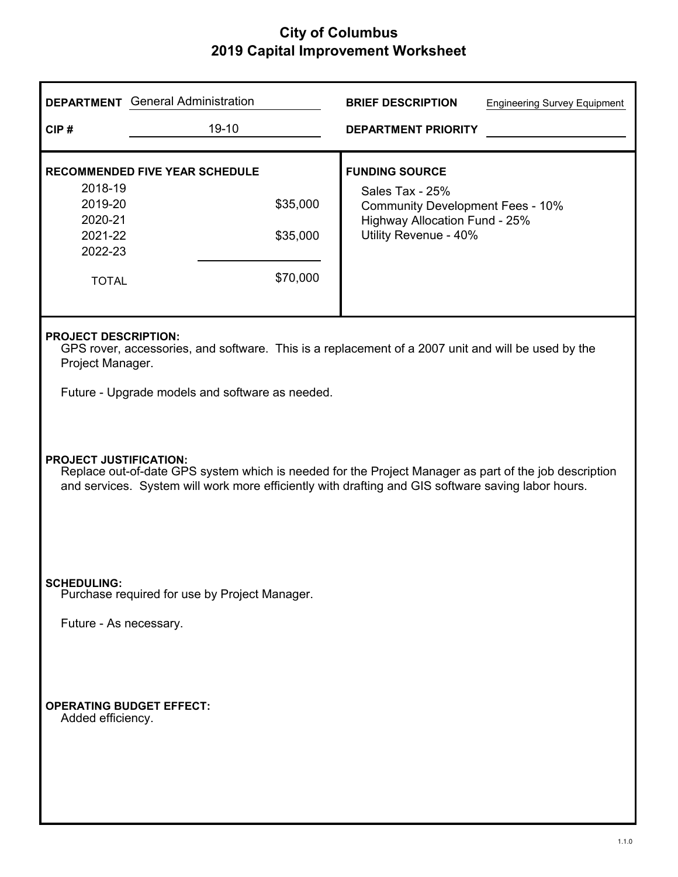|                                                                     | <b>DEPARTMENT</b> General Administration                                                                                                                                                                                                     | <b>BRIEF DESCRIPTION</b><br><b>Engineering Survey Equipment</b>                                                                               |  |  |
|---------------------------------------------------------------------|----------------------------------------------------------------------------------------------------------------------------------------------------------------------------------------------------------------------------------------------|-----------------------------------------------------------------------------------------------------------------------------------------------|--|--|
| CIP#                                                                | 19-10                                                                                                                                                                                                                                        | <b>DEPARTMENT PRIORITY</b>                                                                                                                    |  |  |
| 2018-19<br>2019-20<br>2020-21<br>2021-22<br>2022-23<br><b>TOTAL</b> | <b>RECOMMENDED FIVE YEAR SCHEDULE</b><br>\$35,000<br>\$35,000<br>\$70,000                                                                                                                                                                    | <b>FUNDING SOURCE</b><br>Sales Tax - 25%<br><b>Community Development Fees - 10%</b><br>Highway Allocation Fund - 25%<br>Utility Revenue - 40% |  |  |
| <b>PROJECT DESCRIPTION:</b><br>Project Manager.                     |                                                                                                                                                                                                                                              | GPS rover, accessories, and software. This is a replacement of a 2007 unit and will be used by the                                            |  |  |
|                                                                     | Future - Upgrade models and software as needed.                                                                                                                                                                                              |                                                                                                                                               |  |  |
|                                                                     | <b>PROJECT JUSTIFICATION:</b><br>Replace out-of-date GPS system which is needed for the Project Manager as part of the job description<br>and services. System will work more efficiently with drafting and GIS software saving labor hours. |                                                                                                                                               |  |  |
| <b>SCHEDULING:</b>                                                  | Purchase required for use by Project Manager.                                                                                                                                                                                                |                                                                                                                                               |  |  |
| Future - As necessary.                                              |                                                                                                                                                                                                                                              |                                                                                                                                               |  |  |
| Added efficiency.                                                   | <b>OPERATING BUDGET EFFECT:</b>                                                                                                                                                                                                              |                                                                                                                                               |  |  |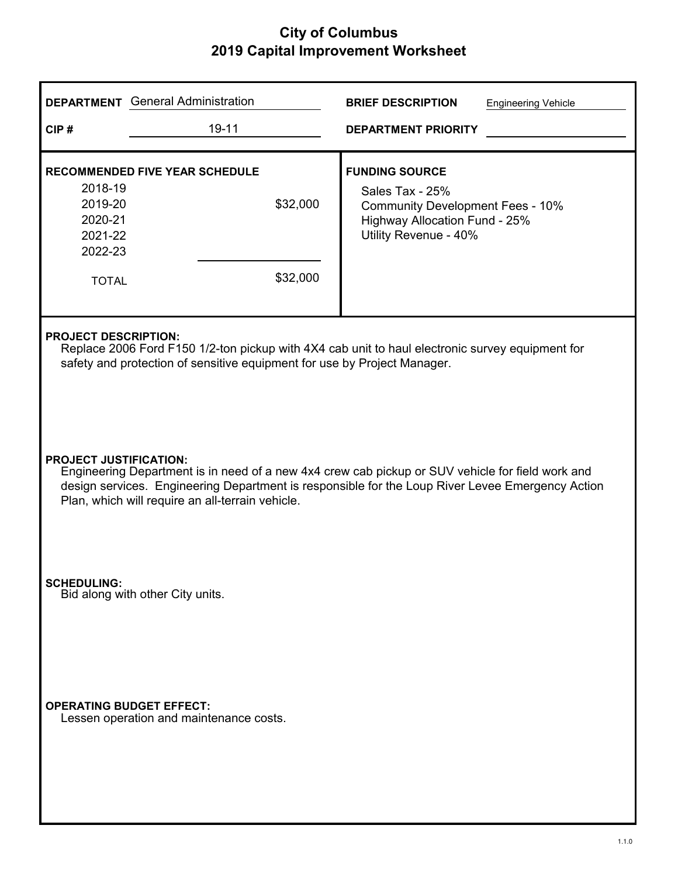|                                                                     | <b>DEPARTMENT</b> General Administration                                                                                                                                                                                                                                                  | <b>BRIEF DESCRIPTION</b><br><b>Engineering Vehicle</b>                                                                                        |  |  |  |
|---------------------------------------------------------------------|-------------------------------------------------------------------------------------------------------------------------------------------------------------------------------------------------------------------------------------------------------------------------------------------|-----------------------------------------------------------------------------------------------------------------------------------------------|--|--|--|
| CIP#                                                                | $19 - 11$                                                                                                                                                                                                                                                                                 | <b>DEPARTMENT PRIORITY</b>                                                                                                                    |  |  |  |
| 2018-19<br>2019-20<br>2020-21<br>2021-22<br>2022-23<br><b>TOTAL</b> | <b>RECOMMENDED FIVE YEAR SCHEDULE</b><br>\$32,000<br>\$32,000                                                                                                                                                                                                                             | <b>FUNDING SOURCE</b><br>Sales Tax - 25%<br><b>Community Development Fees - 10%</b><br>Highway Allocation Fund - 25%<br>Utility Revenue - 40% |  |  |  |
|                                                                     | <b>PROJECT DESCRIPTION:</b><br>Replace 2006 Ford F150 1/2-ton pickup with 4X4 cab unit to haul electronic survey equipment for<br>safety and protection of sensitive equipment for use by Project Manager.                                                                                |                                                                                                                                               |  |  |  |
|                                                                     | <b>PROJECT JUSTIFICATION:</b><br>Engineering Department is in need of a new 4x4 crew cab pickup or SUV vehicle for field work and<br>design services. Engineering Department is responsible for the Loup River Levee Emergency Action<br>Plan, which will require an all-terrain vehicle. |                                                                                                                                               |  |  |  |
| <b>SCHEDULING:</b>                                                  | Bid along with other City units.                                                                                                                                                                                                                                                          |                                                                                                                                               |  |  |  |
|                                                                     | <b>OPERATING BUDGET EFFECT:</b><br>Lessen operation and maintenance costs.                                                                                                                                                                                                                |                                                                                                                                               |  |  |  |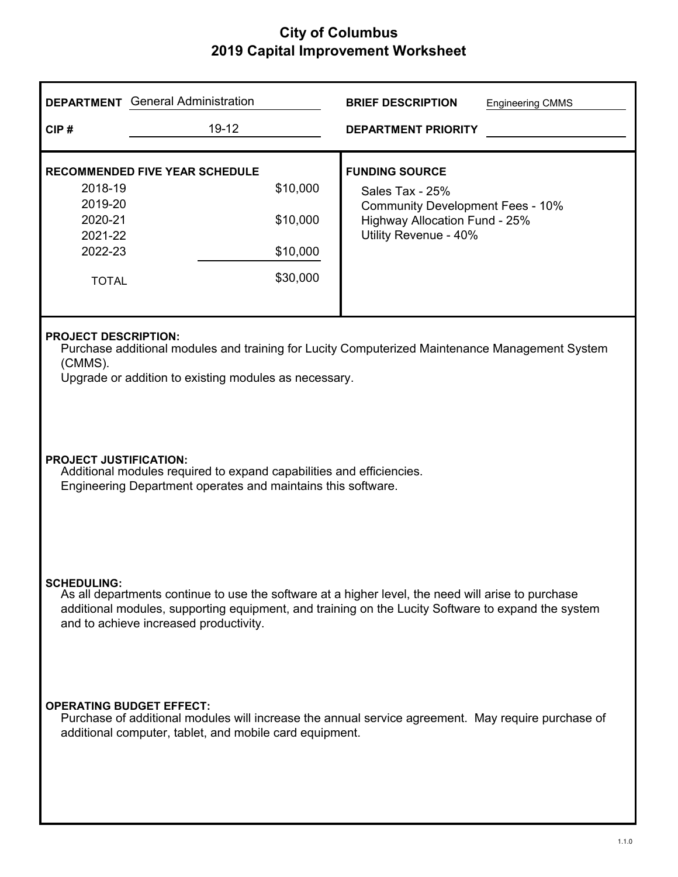|                                                                                                                                                                                                                                                                          | <b>DEPARTMENT</b> General Administration                                                                                                                      |  | <b>BRIEF DESCRIPTION</b>                                                                                                                             | <b>Engineering CMMS</b> |
|--------------------------------------------------------------------------------------------------------------------------------------------------------------------------------------------------------------------------------------------------------------------------|---------------------------------------------------------------------------------------------------------------------------------------------------------------|--|------------------------------------------------------------------------------------------------------------------------------------------------------|-------------------------|
| CIP#                                                                                                                                                                                                                                                                     | 19-12                                                                                                                                                         |  | <b>DEPARTMENT PRIORITY</b>                                                                                                                           |                         |
| 2018-19<br>2019-20<br>2020-21<br>2021-22<br>2022-23<br><b>TOTAL</b>                                                                                                                                                                                                      | <b>RECOMMENDED FIVE YEAR SCHEDULE</b><br>\$10,000<br>\$10,000<br>\$10,000<br>\$30,000                                                                         |  | <b>FUNDING SOURCE</b><br>Sales Tax - 25%<br><b>Community Development Fees - 10%</b><br><b>Highway Allocation Fund - 25%</b><br>Utility Revenue - 40% |                         |
| <b>PROJECT DESCRIPTION:</b><br>Purchase additional modules and training for Lucity Computerized Maintenance Management System<br>(CMMS).<br>Upgrade or addition to existing modules as necessary.                                                                        |                                                                                                                                                               |  |                                                                                                                                                      |                         |
| <b>PROJECT JUSTIFICATION:</b><br>Additional modules required to expand capabilities and efficiencies.<br>Engineering Department operates and maintains this software.                                                                                                    |                                                                                                                                                               |  |                                                                                                                                                      |                         |
| <b>SCHEDULING:</b><br>As all departments continue to use the software at a higher level, the need will arise to purchase<br>additional modules, supporting equipment, and training on the Lucity Software to expand the system<br>and to achieve increased productivity. |                                                                                                                                                               |  |                                                                                                                                                      |                         |
| <b>OPERATING BUDGET EFFECT:</b>                                                                                                                                                                                                                                          | Purchase of additional modules will increase the annual service agreement. May require purchase of<br>additional computer, tablet, and mobile card equipment. |  |                                                                                                                                                      |                         |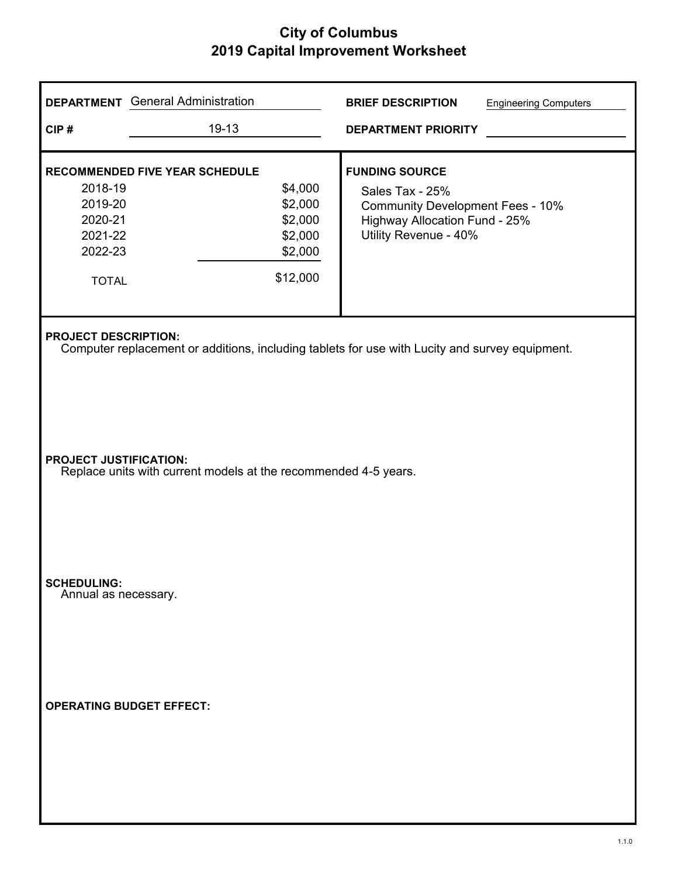| <b>DEPARTMENT</b> General Administration                                                                     |                                                                                                  | <b>BRIEF DESCRIPTION</b><br><b>Engineering Computers</b>                                                                                      |  |  |  |  |
|--------------------------------------------------------------------------------------------------------------|--------------------------------------------------------------------------------------------------|-----------------------------------------------------------------------------------------------------------------------------------------------|--|--|--|--|
| CIP#                                                                                                         | 19-13                                                                                            | <b>DEPARTMENT PRIORITY</b>                                                                                                                    |  |  |  |  |
| <b>RECOMMENDED FIVE YEAR SCHEDULE</b><br>2018-19<br>2019-20<br>2020-21<br>2021-22<br>2022-23<br><b>TOTAL</b> | \$4,000<br>\$2,000<br>\$2,000<br>\$2,000<br>\$2,000<br>\$12,000                                  | <b>FUNDING SOURCE</b><br>Sales Tax - 25%<br><b>Community Development Fees - 10%</b><br>Highway Allocation Fund - 25%<br>Utility Revenue - 40% |  |  |  |  |
| <b>PROJECT DESCRIPTION:</b>                                                                                  |                                                                                                  | Computer replacement or additions, including tablets for use with Lucity and survey equipment.                                                |  |  |  |  |
|                                                                                                              | <b>PROJECT JUSTIFICATION:</b><br>Replace units with current models at the recommended 4-5 years. |                                                                                                                                               |  |  |  |  |
| <b>SCHEDULING:</b><br>Annual as necessary.                                                                   |                                                                                                  |                                                                                                                                               |  |  |  |  |
| <b>OPERATING BUDGET EFFECT:</b>                                                                              |                                                                                                  |                                                                                                                                               |  |  |  |  |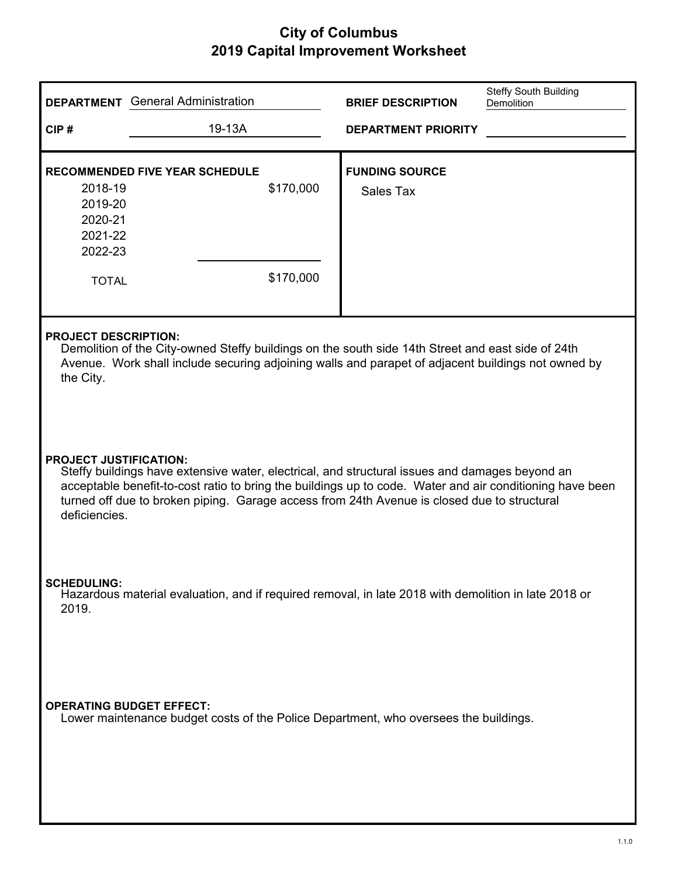|                                                                     | <b>DEPARTMENT</b> General Administration                                                                                                                                                                                                                                                                  | <b>BRIEF DESCRIPTION</b>           | Steffy South Building<br>Demolition |  |  |
|---------------------------------------------------------------------|-----------------------------------------------------------------------------------------------------------------------------------------------------------------------------------------------------------------------------------------------------------------------------------------------------------|------------------------------------|-------------------------------------|--|--|
| CIP#                                                                | 19-13A                                                                                                                                                                                                                                                                                                    | <b>DEPARTMENT PRIORITY</b>         |                                     |  |  |
| 2018-19<br>2019-20<br>2020-21<br>2021-22<br>2022-23<br><b>TOTAL</b> | <b>RECOMMENDED FIVE YEAR SCHEDULE</b><br>\$170,000<br>\$170,000                                                                                                                                                                                                                                           | <b>FUNDING SOURCE</b><br>Sales Tax |                                     |  |  |
| the City.                                                           | <b>PROJECT DESCRIPTION:</b><br>Demolition of the City-owned Steffy buildings on the south side 14th Street and east side of 24th<br>Avenue. Work shall include securing adjoining walls and parapet of adjacent buildings not owned by                                                                    |                                    |                                     |  |  |
| <b>PROJECT JUSTIFICATION:</b><br>deficiencies.                      | Steffy buildings have extensive water, electrical, and structural issues and damages beyond an<br>acceptable benefit-to-cost ratio to bring the buildings up to code. Water and air conditioning have been<br>turned off due to broken piping. Garage access from 24th Avenue is closed due to structural |                                    |                                     |  |  |
| <b>SCHEDULING:</b><br>2019.                                         | Hazardous material evaluation, and if required removal, in late 2018 with demolition in late 2018 or                                                                                                                                                                                                      |                                    |                                     |  |  |
|                                                                     | <b>OPERATING BUDGET EFFECT:</b><br>Lower maintenance budget costs of the Police Department, who oversees the buildings.                                                                                                                                                                                   |                                    |                                     |  |  |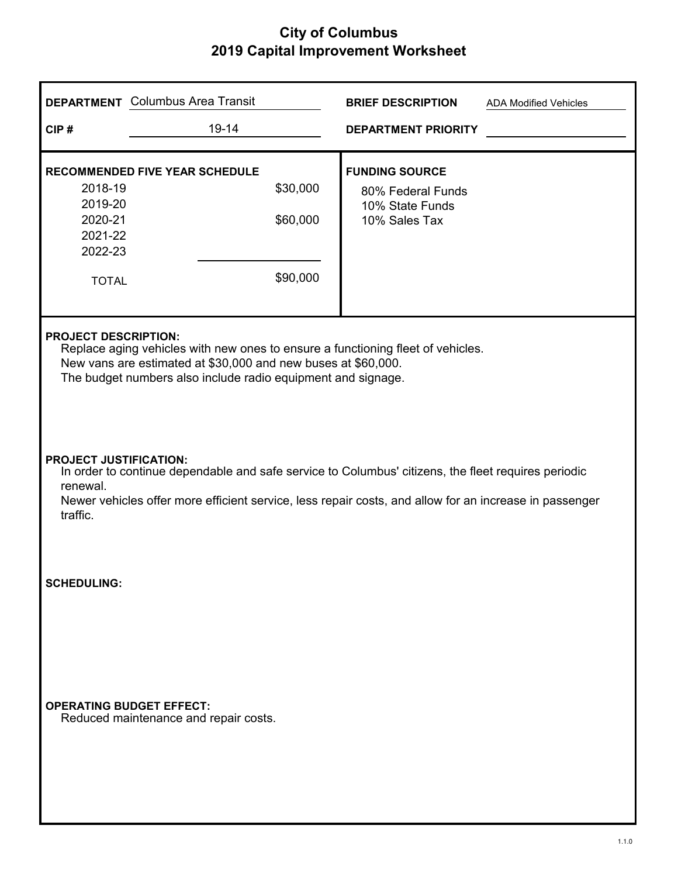|                                                                     | <b>DEPARTMENT</b> Columbus Area Transit                                                                                                                                                                                                         | <b>BRIEF DESCRIPTION</b><br><b>ADA Modified Vehicles</b>                       |  |  |  |  |
|---------------------------------------------------------------------|-------------------------------------------------------------------------------------------------------------------------------------------------------------------------------------------------------------------------------------------------|--------------------------------------------------------------------------------|--|--|--|--|
| CIP#                                                                | 19-14                                                                                                                                                                                                                                           | <b>DEPARTMENT PRIORITY</b>                                                     |  |  |  |  |
| 2018-19<br>2019-20<br>2020-21<br>2021-22<br>2022-23<br><b>TOTAL</b> | <b>RECOMMENDED FIVE YEAR SCHEDULE</b><br>\$30,000<br>\$60,000<br>\$90,000                                                                                                                                                                       | <b>FUNDING SOURCE</b><br>80% Federal Funds<br>10% State Funds<br>10% Sales Tax |  |  |  |  |
|                                                                     | <b>PROJECT DESCRIPTION:</b><br>Replace aging vehicles with new ones to ensure a functioning fleet of vehicles.<br>New vans are estimated at \$30,000 and new buses at \$60,000.<br>The budget numbers also include radio equipment and signage. |                                                                                |  |  |  |  |
| renewal.<br>traffic.                                                | <b>PROJECT JUSTIFICATION:</b><br>In order to continue dependable and safe service to Columbus' citizens, the fleet requires periodic<br>Newer vehicles offer more efficient service, less repair costs, and allow for an increase in passenger  |                                                                                |  |  |  |  |
| <b>SCHEDULING:</b>                                                  |                                                                                                                                                                                                                                                 |                                                                                |  |  |  |  |
| <b>OPERATING BUDGET EFFECT:</b>                                     | Reduced maintenance and repair costs.                                                                                                                                                                                                           |                                                                                |  |  |  |  |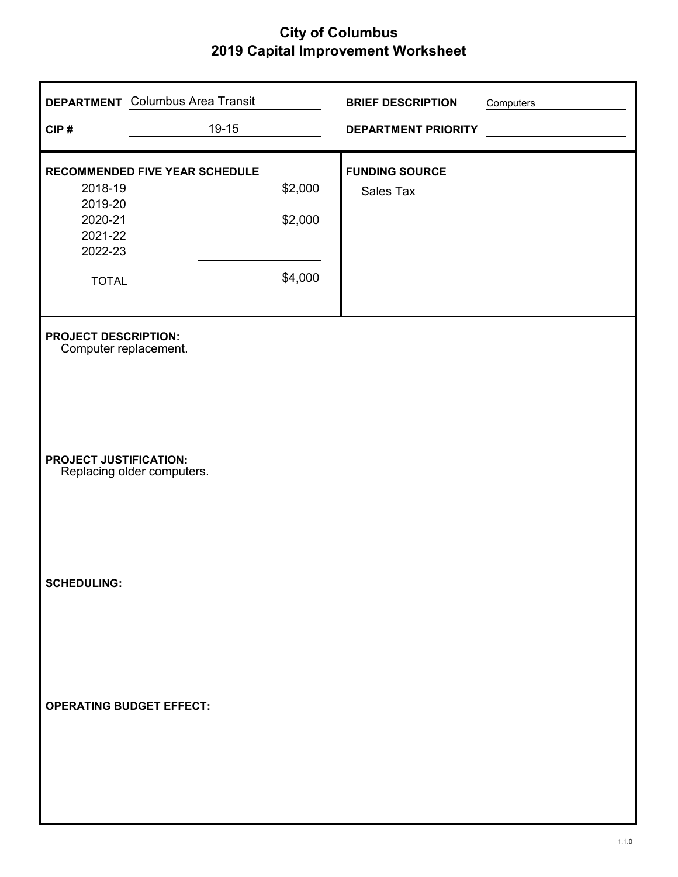| CIP#                                                                                  | <b>DEPARTMENT</b> Columbus Area Transit<br>19-15 |                               | <b>BRIEF DESCRIPTION</b><br><b>DEPARTMENT PRIORITY</b> | Computers |
|---------------------------------------------------------------------------------------|--------------------------------------------------|-------------------------------|--------------------------------------------------------|-----------|
| 2018-19<br>2019-20<br>2020-21<br>2021-22<br>2022-23<br><b>TOTAL</b>                   | RECOMMENDED FIVE YEAR SCHEDULE                   | \$2,000<br>\$2,000<br>\$4,000 | <b>FUNDING SOURCE</b><br>Sales Tax                     |           |
| <b>PROJECT DESCRIPTION:</b><br>Computer replacement.<br><b>PROJECT JUSTIFICATION:</b> | Replacing older computers.                       |                               |                                                        |           |
| <b>SCHEDULING:</b>                                                                    |                                                  |                               |                                                        |           |
| <b>OPERATING BUDGET EFFECT:</b>                                                       |                                                  |                               |                                                        |           |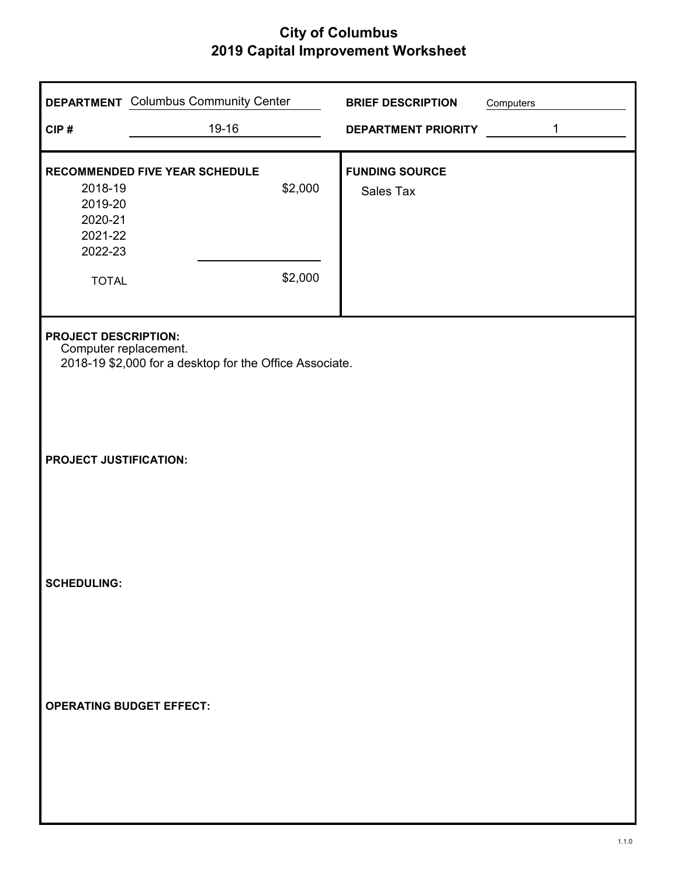| CIP#                                                 | <b>DEPARTMENT</b> Columbus Community Center<br>19-16    |         | <b>BRIEF DESCRIPTION</b><br><b>DEPARTMENT PRIORITY</b> | Computers | $\mathbf{1}$ |
|------------------------------------------------------|---------------------------------------------------------|---------|--------------------------------------------------------|-----------|--------------|
|                                                      |                                                         |         |                                                        |           |              |
| 2018-19<br>2019-20<br>2020-21<br>2021-22<br>2022-23  | RECOMMENDED FIVE YEAR SCHEDULE                          | \$2,000 | <b>FUNDING SOURCE</b><br>Sales Tax                     |           |              |
| <b>TOTAL</b>                                         |                                                         | \$2,000 |                                                        |           |              |
| <b>PROJECT DESCRIPTION:</b><br>Computer replacement. | 2018-19 \$2,000 for a desktop for the Office Associate. |         |                                                        |           |              |
| <b>PROJECT JUSTIFICATION:</b>                        |                                                         |         |                                                        |           |              |
| <b>SCHEDULING:</b>                                   |                                                         |         |                                                        |           |              |
|                                                      | <b>OPERATING BUDGET EFFECT:</b>                         |         |                                                        |           |              |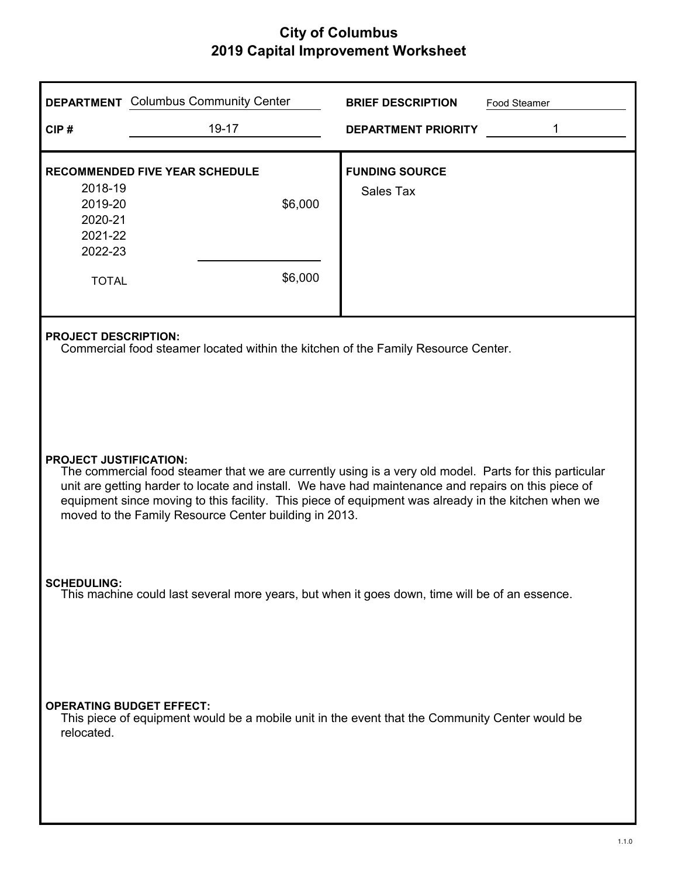|                                                                                                                      | <b>DEPARTMENT</b> Columbus Community Center                                                                                                                                                                                                                                                                                                                                                                    | <b>BRIEF DESCRIPTION</b>           | Food Steamer |  |  |  |
|----------------------------------------------------------------------------------------------------------------------|----------------------------------------------------------------------------------------------------------------------------------------------------------------------------------------------------------------------------------------------------------------------------------------------------------------------------------------------------------------------------------------------------------------|------------------------------------|--------------|--|--|--|
| CIP#                                                                                                                 | 19-17                                                                                                                                                                                                                                                                                                                                                                                                          | <b>DEPARTMENT PRIORITY</b>         | 1            |  |  |  |
| 2018-19<br>2019-20<br>2020-21<br>2021-22<br>2022-23<br><b>TOTAL</b>                                                  | <b>RECOMMENDED FIVE YEAR SCHEDULE</b><br>\$6,000<br>\$6,000                                                                                                                                                                                                                                                                                                                                                    | <b>FUNDING SOURCE</b><br>Sales Tax |              |  |  |  |
|                                                                                                                      | <b>PROJECT DESCRIPTION:</b><br>Commercial food steamer located within the kitchen of the Family Resource Center.                                                                                                                                                                                                                                                                                               |                                    |              |  |  |  |
|                                                                                                                      | <b>PROJECT JUSTIFICATION:</b><br>The commercial food steamer that we are currently using is a very old model. Parts for this particular<br>unit are getting harder to locate and install. We have had maintenance and repairs on this piece of<br>equipment since moving to this facility. This piece of equipment was already in the kitchen when we<br>moved to the Family Resource Center building in 2013. |                                    |              |  |  |  |
| <b>SCHEDULING:</b><br>This machine could last several more years, but when it goes down, time will be of an essence. |                                                                                                                                                                                                                                                                                                                                                                                                                |                                    |              |  |  |  |
| <b>OPERATING BUDGET EFFECT:</b><br>relocated.                                                                        | This piece of equipment would be a mobile unit in the event that the Community Center would be                                                                                                                                                                                                                                                                                                                 |                                    |              |  |  |  |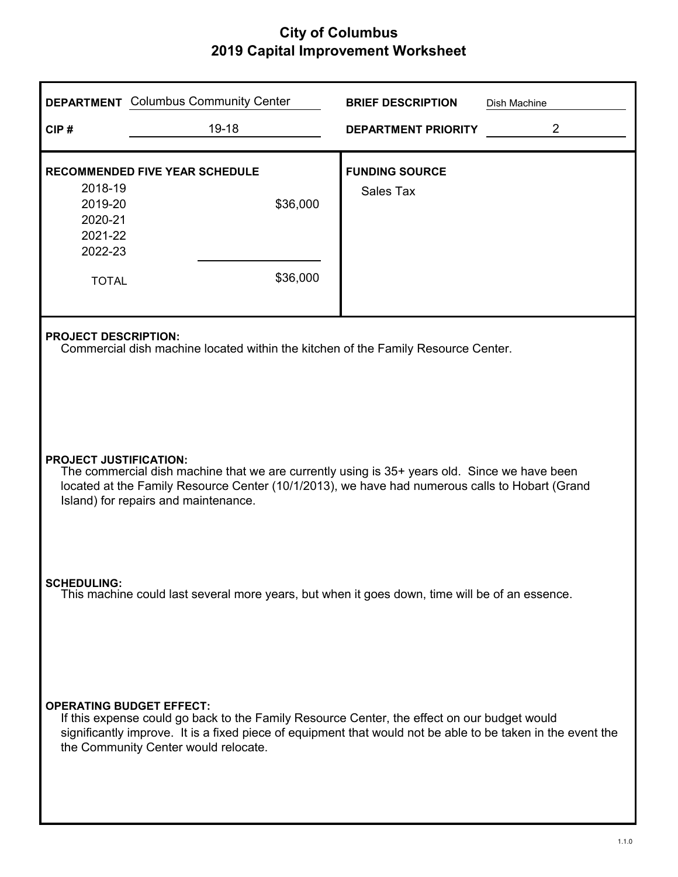|                                                                                                                                                                                                                                                                         | <b>DEPARTMENT</b> Columbus Community Center                                                                                                                                                                                                        | <b>BRIEF DESCRIPTION</b>           | Dish Machine   |  |  |  |
|-------------------------------------------------------------------------------------------------------------------------------------------------------------------------------------------------------------------------------------------------------------------------|----------------------------------------------------------------------------------------------------------------------------------------------------------------------------------------------------------------------------------------------------|------------------------------------|----------------|--|--|--|
| CIP#                                                                                                                                                                                                                                                                    | 19-18                                                                                                                                                                                                                                              | <b>DEPARTMENT PRIORITY</b>         | $\overline{2}$ |  |  |  |
| 2018-19<br>2019-20<br>2020-21<br>2021-22<br>2022-23<br><b>TOTAL</b>                                                                                                                                                                                                     | <b>RECOMMENDED FIVE YEAR SCHEDULE</b><br>\$36,000<br>\$36,000                                                                                                                                                                                      | <b>FUNDING SOURCE</b><br>Sales Tax |                |  |  |  |
|                                                                                                                                                                                                                                                                         | <b>PROJECT DESCRIPTION:</b><br>Commercial dish machine located within the kitchen of the Family Resource Center.                                                                                                                                   |                                    |                |  |  |  |
| <b>PROJECT JUSTIFICATION:</b><br>The commercial dish machine that we are currently using is 35+ years old. Since we have been<br>located at the Family Resource Center (10/1/2013), we have had numerous calls to Hobart (Grand<br>Island) for repairs and maintenance. |                                                                                                                                                                                                                                                    |                                    |                |  |  |  |
| <b>SCHEDULING:</b><br>This machine could last several more years, but when it goes down, time will be of an essence.                                                                                                                                                    |                                                                                                                                                                                                                                                    |                                    |                |  |  |  |
| <b>OPERATING BUDGET EFFECT:</b>                                                                                                                                                                                                                                         | If this expense could go back to the Family Resource Center, the effect on our budget would<br>significantly improve. It is a fixed piece of equipment that would not be able to be taken in the event the<br>the Community Center would relocate. |                                    |                |  |  |  |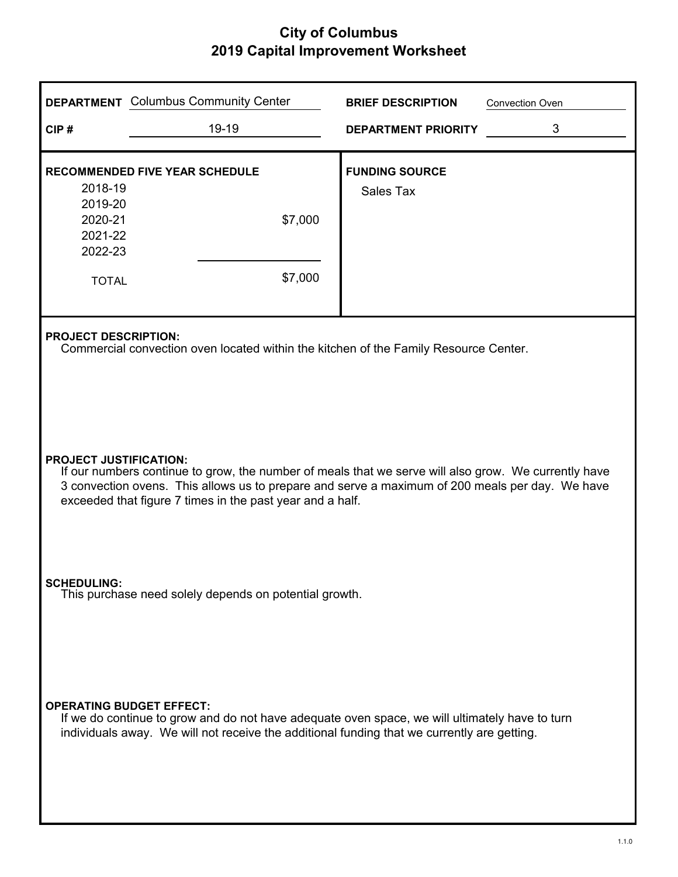| CIP#                                                                                                                                                                                                                                                                                                  | <b>DEPARTMENT</b> Columbus Community Center<br>19-19                                                                                                                                          | <b>BRIEF DESCRIPTION</b><br><b>DEPARTMENT PRIORITY</b> | <b>Convection Oven</b><br>3 |  |  |
|-------------------------------------------------------------------------------------------------------------------------------------------------------------------------------------------------------------------------------------------------------------------------------------------------------|-----------------------------------------------------------------------------------------------------------------------------------------------------------------------------------------------|--------------------------------------------------------|-----------------------------|--|--|
| 2018-19<br>2019-20                                                                                                                                                                                                                                                                                    | <b>RECOMMENDED FIVE YEAR SCHEDULE</b>                                                                                                                                                         | <b>FUNDING SOURCE</b><br><b>Sales Tax</b>              |                             |  |  |
| 2020-21<br>2021-22<br>2022-23                                                                                                                                                                                                                                                                         | \$7,000                                                                                                                                                                                       |                                                        |                             |  |  |
| <b>TOTAL</b>                                                                                                                                                                                                                                                                                          | \$7,000                                                                                                                                                                                       |                                                        |                             |  |  |
| <b>PROJECT DESCRIPTION:</b><br>Commercial convection oven located within the kitchen of the Family Resource Center.                                                                                                                                                                                   |                                                                                                                                                                                               |                                                        |                             |  |  |
| <b>PROJECT JUSTIFICATION:</b><br>If our numbers continue to grow, the number of meals that we serve will also grow. We currently have<br>3 convection ovens. This allows us to prepare and serve a maximum of 200 meals per day. We have<br>exceeded that figure 7 times in the past year and a half. |                                                                                                                                                                                               |                                                        |                             |  |  |
| <b>SCHEDULING:</b><br>This purchase need solely depends on potential growth.                                                                                                                                                                                                                          |                                                                                                                                                                                               |                                                        |                             |  |  |
| <b>OPERATING BUDGET EFFECT:</b>                                                                                                                                                                                                                                                                       | If we do continue to grow and do not have adequate oven space, we will ultimately have to turn<br>individuals away. We will not receive the additional funding that we currently are getting. |                                                        |                             |  |  |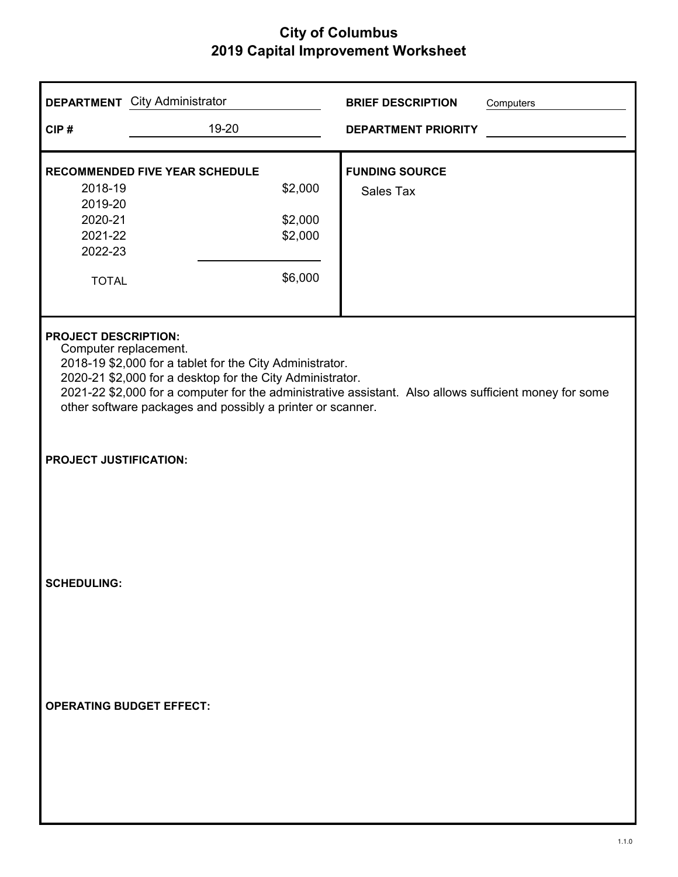|                                                                                                                                                                                                                                                                                                                                                       | <b>DEPARTMENT</b> City Administrator                                              | <b>BRIEF DESCRIPTION</b><br>Computers |  |  |  |  |
|-------------------------------------------------------------------------------------------------------------------------------------------------------------------------------------------------------------------------------------------------------------------------------------------------------------------------------------------------------|-----------------------------------------------------------------------------------|---------------------------------------|--|--|--|--|
| CIP#                                                                                                                                                                                                                                                                                                                                                  | 19-20                                                                             | <b>DEPARTMENT PRIORITY</b>            |  |  |  |  |
| 2018-19<br>2019-20<br>2020-21<br>2021-22<br>2022-23<br><b>TOTAL</b>                                                                                                                                                                                                                                                                                   | <b>RECOMMENDED FIVE YEAR SCHEDULE</b><br>\$2,000<br>\$2,000<br>\$2,000<br>\$6,000 | <b>FUNDING SOURCE</b><br>Sales Tax    |  |  |  |  |
| <b>PROJECT DESCRIPTION:</b><br>Computer replacement.<br>2018-19 \$2,000 for a tablet for the City Administrator.<br>2020-21 \$2,000 for a desktop for the City Administrator.<br>2021-22 \$2,000 for a computer for the administrative assistant. Also allows sufficient money for some<br>other software packages and possibly a printer or scanner. |                                                                                   |                                       |  |  |  |  |
| <b>PROJECT JUSTIFICATION:</b>                                                                                                                                                                                                                                                                                                                         |                                                                                   |                                       |  |  |  |  |
| <b>SCHEDULING:</b>                                                                                                                                                                                                                                                                                                                                    |                                                                                   |                                       |  |  |  |  |
| <b>OPERATING BUDGET EFFECT:</b>                                                                                                                                                                                                                                                                                                                       |                                                                                   |                                       |  |  |  |  |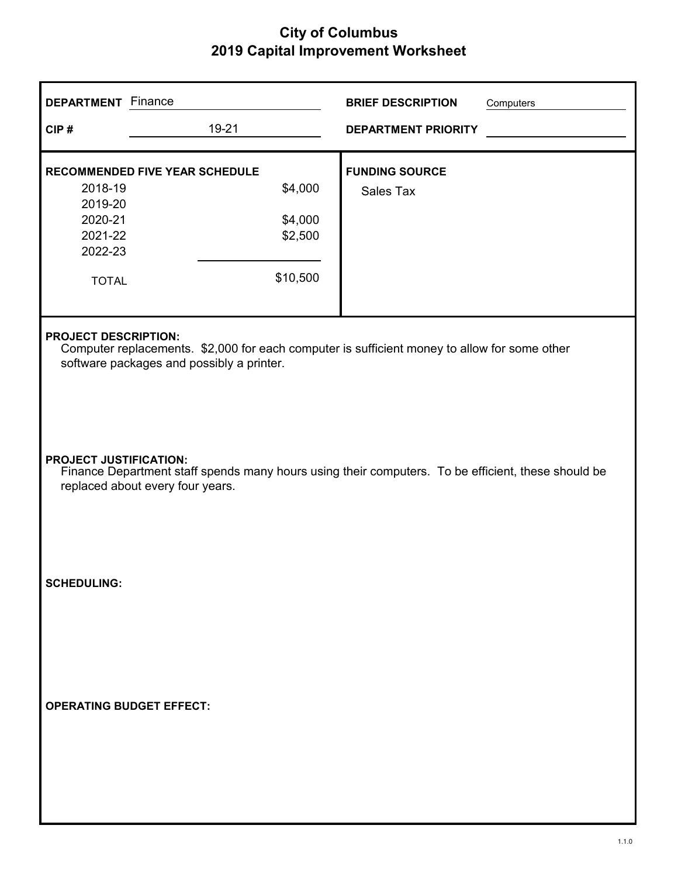| <b>DEPARTMENT</b> Finance                                                                                                                                                |                                                                                    | <b>BRIEF DESCRIPTION</b><br>Computers     |  |  |  |
|--------------------------------------------------------------------------------------------------------------------------------------------------------------------------|------------------------------------------------------------------------------------|-------------------------------------------|--|--|--|
| CIP#                                                                                                                                                                     | 19-21                                                                              | <b>DEPARTMENT PRIORITY</b>                |  |  |  |
| 2018-19<br>2019-20<br>2020-21<br>2021-22<br>2022-23<br><b>TOTAL</b>                                                                                                      | <b>RECOMMENDED FIVE YEAR SCHEDULE</b><br>\$4,000<br>\$4,000<br>\$2,500<br>\$10,500 | <b>FUNDING SOURCE</b><br><b>Sales Tax</b> |  |  |  |
| <b>PROJECT DESCRIPTION:</b><br>Computer replacements. \$2,000 for each computer is sufficient money to allow for some other<br>software packages and possibly a printer. |                                                                                    |                                           |  |  |  |
| <b>PROJECT JUSTIFICATION:</b><br>Finance Department staff spends many hours using their computers. To be efficient, these should be<br>replaced about every four years.  |                                                                                    |                                           |  |  |  |
| <b>SCHEDULING:</b>                                                                                                                                                       |                                                                                    |                                           |  |  |  |
| <b>OPERATING BUDGET EFFECT:</b>                                                                                                                                          |                                                                                    |                                           |  |  |  |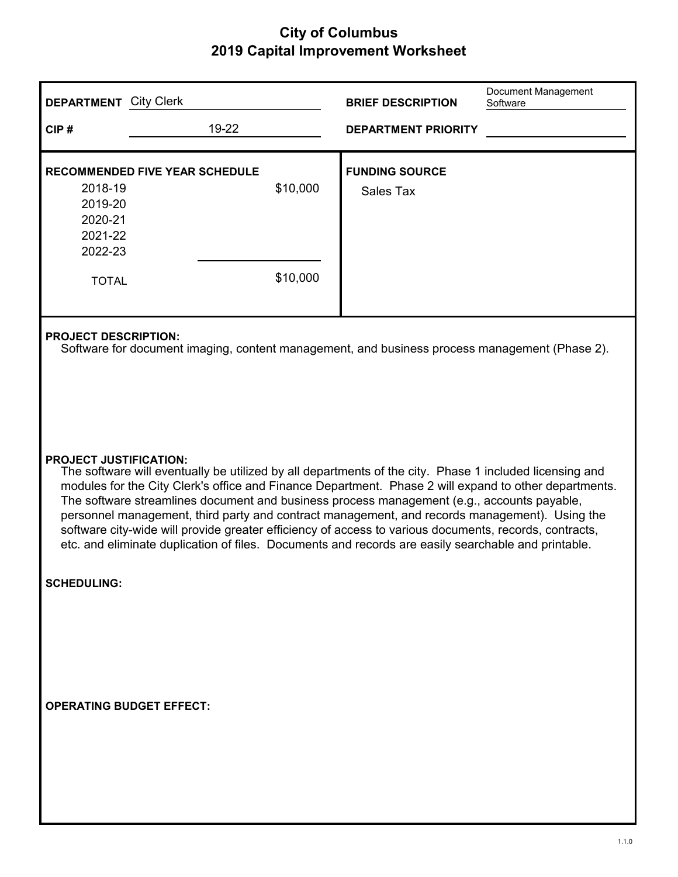| <b>DEPARTMENT</b> City Clerk                                        |                                                                                                                                                                                                                                                                                                                                                                                                                                                                                                                                                                                                                                                                   |                      | <b>BRIEF DESCRIPTION</b>           | Document Management<br>Software |  |  |
|---------------------------------------------------------------------|-------------------------------------------------------------------------------------------------------------------------------------------------------------------------------------------------------------------------------------------------------------------------------------------------------------------------------------------------------------------------------------------------------------------------------------------------------------------------------------------------------------------------------------------------------------------------------------------------------------------------------------------------------------------|----------------------|------------------------------------|---------------------------------|--|--|
| CIP#                                                                | 19-22                                                                                                                                                                                                                                                                                                                                                                                                                                                                                                                                                                                                                                                             |                      | <b>DEPARTMENT PRIORITY</b>         |                                 |  |  |
| 2018-19<br>2019-20<br>2020-21<br>2021-22<br>2022-23<br><b>TOTAL</b> | <b>RECOMMENDED FIVE YEAR SCHEDULE</b>                                                                                                                                                                                                                                                                                                                                                                                                                                                                                                                                                                                                                             | \$10,000<br>\$10,000 | <b>FUNDING SOURCE</b><br>Sales Tax |                                 |  |  |
|                                                                     | <b>PROJECT DESCRIPTION:</b><br>Software for document imaging, content management, and business process management (Phase 2).                                                                                                                                                                                                                                                                                                                                                                                                                                                                                                                                      |                      |                                    |                                 |  |  |
|                                                                     | <b>PROJECT JUSTIFICATION:</b><br>The software will eventually be utilized by all departments of the city. Phase 1 included licensing and<br>modules for the City Clerk's office and Finance Department. Phase 2 will expand to other departments.<br>The software streamlines document and business process management (e.g., accounts payable,<br>personnel management, third party and contract management, and records management). Using the<br>software city-wide will provide greater efficiency of access to various documents, records, contracts,<br>etc. and eliminate duplication of files. Documents and records are easily searchable and printable. |                      |                                    |                                 |  |  |
| <b>SCHEDULING:</b>                                                  |                                                                                                                                                                                                                                                                                                                                                                                                                                                                                                                                                                                                                                                                   |                      |                                    |                                 |  |  |
| <b>OPERATING BUDGET EFFECT:</b>                                     |                                                                                                                                                                                                                                                                                                                                                                                                                                                                                                                                                                                                                                                                   |                      |                                    |                                 |  |  |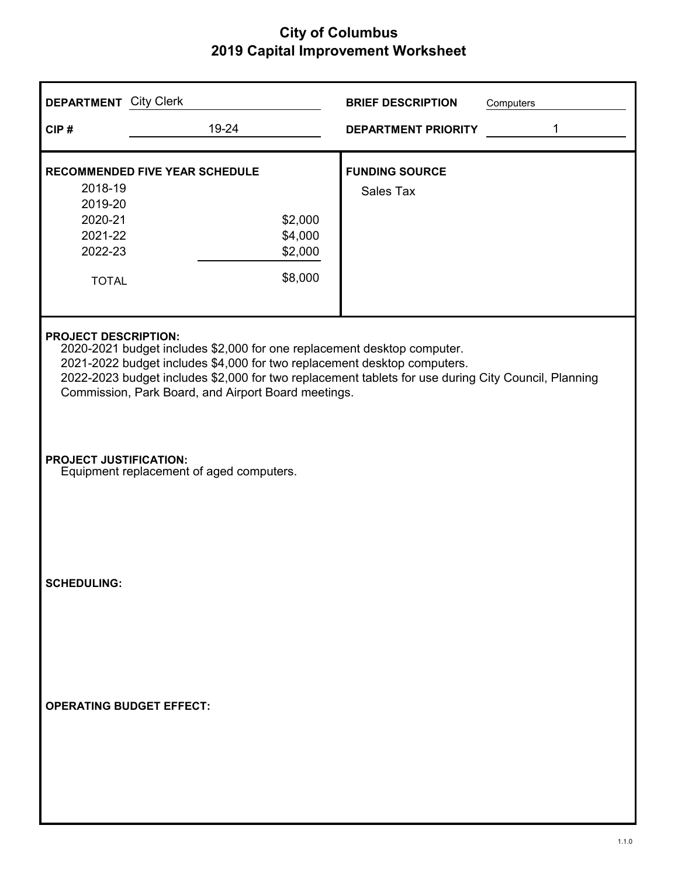| <b>DEPARTMENT</b> City Clerk                                                                                                                                                                                                                                                                                                                     |                                                                                   | <b>BRIEF DESCRIPTION</b>           | Computers |  |  |
|--------------------------------------------------------------------------------------------------------------------------------------------------------------------------------------------------------------------------------------------------------------------------------------------------------------------------------------------------|-----------------------------------------------------------------------------------|------------------------------------|-----------|--|--|
| CIP#                                                                                                                                                                                                                                                                                                                                             | 19-24                                                                             | <b>DEPARTMENT PRIORITY</b>         | 1         |  |  |
| 2018-19<br>2019-20<br>2020-21<br>2021-22<br>2022-23<br><b>TOTAL</b>                                                                                                                                                                                                                                                                              | <b>RECOMMENDED FIVE YEAR SCHEDULE</b><br>\$2,000<br>\$4,000<br>\$2,000<br>\$8,000 | <b>FUNDING SOURCE</b><br>Sales Tax |           |  |  |
| <b>PROJECT DESCRIPTION:</b><br>2020-2021 budget includes \$2,000 for one replacement desktop computer.<br>2021-2022 budget includes \$4,000 for two replacement desktop computers.<br>2022-2023 budget includes \$2,000 for two replacement tablets for use during City Council, Planning<br>Commission, Park Board, and Airport Board meetings. |                                                                                   |                                    |           |  |  |
| <b>PROJECT JUSTIFICATION:</b>                                                                                                                                                                                                                                                                                                                    | Equipment replacement of aged computers.                                          |                                    |           |  |  |
| <b>SCHEDULING:</b>                                                                                                                                                                                                                                                                                                                               |                                                                                   |                                    |           |  |  |
| <b>OPERATING BUDGET EFFECT:</b>                                                                                                                                                                                                                                                                                                                  |                                                                                   |                                    |           |  |  |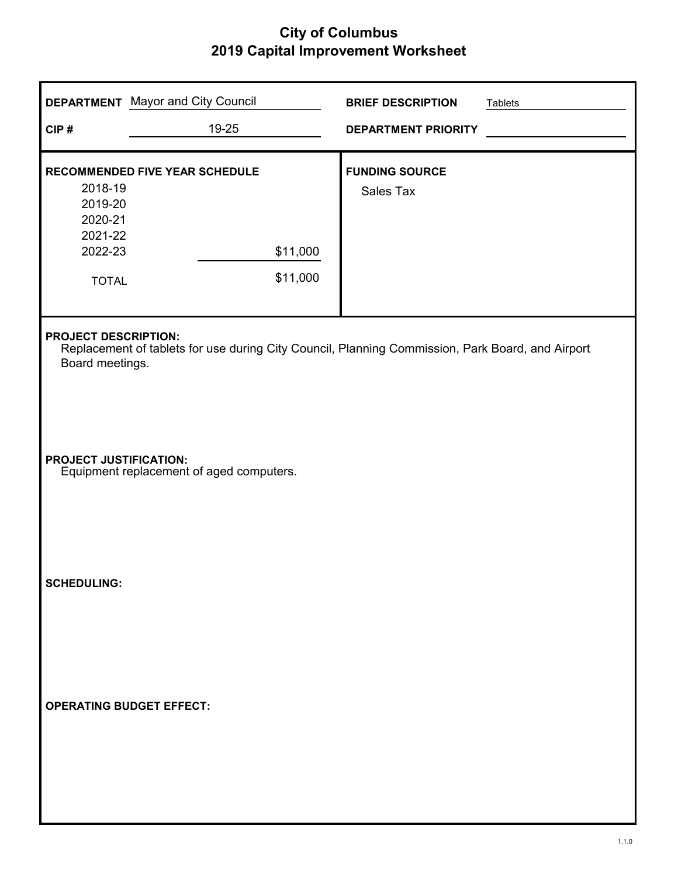| CIP#                                                                | <b>DEPARTMENT</b> Mayor and City Council<br>19-25                                                                                                  | <b>BRIEF DESCRIPTION</b><br><b>DEPARTMENT PRIORITY</b> | <b>Tablets</b> |  |  |  |
|---------------------------------------------------------------------|----------------------------------------------------------------------------------------------------------------------------------------------------|--------------------------------------------------------|----------------|--|--|--|
| 2018-19<br>2019-20<br>2020-21<br>2021-22<br>2022-23<br><b>TOTAL</b> | RECOMMENDED FIVE YEAR SCHEDULE<br>\$11,000<br>\$11,000                                                                                             | <b>FUNDING SOURCE</b><br>Sales Tax                     |                |  |  |  |
|                                                                     | <b>PROJECT DESCRIPTION:</b><br>Replacement of tablets for use during City Council, Planning Commission, Park Board, and Airport<br>Board meetings. |                                                        |                |  |  |  |
|                                                                     | <b>PROJECT JUSTIFICATION:</b><br>Equipment replacement of aged computers.                                                                          |                                                        |                |  |  |  |
| <b>SCHEDULING:</b>                                                  |                                                                                                                                                    |                                                        |                |  |  |  |
| <b>OPERATING BUDGET EFFECT:</b>                                     |                                                                                                                                                    |                                                        |                |  |  |  |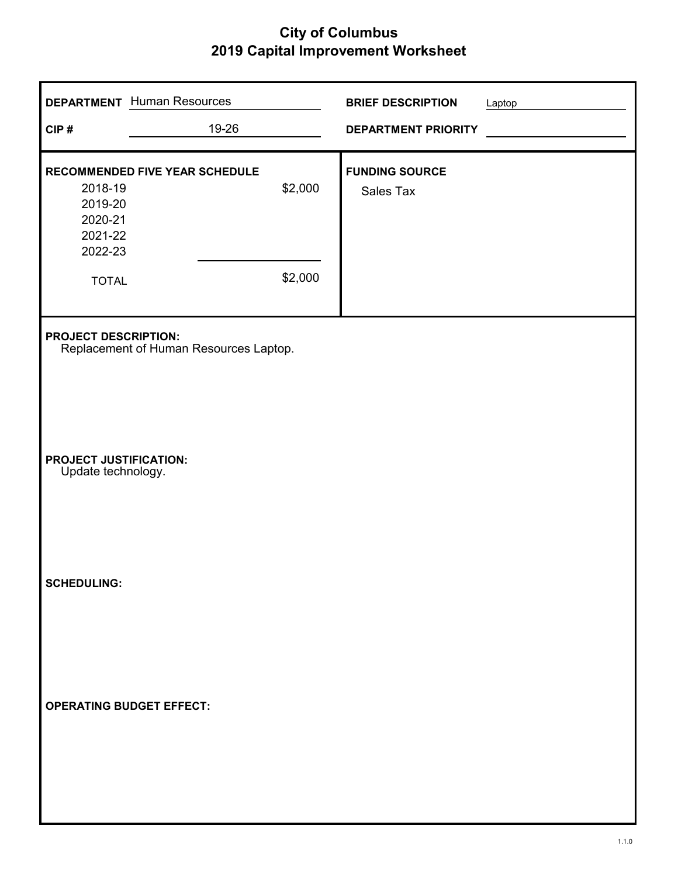|                                                     | <b>DEPARTMENT</b> Human Resources                                     |         | <b>BRIEF DESCRIPTION</b>           | Laptop |  |  |
|-----------------------------------------------------|-----------------------------------------------------------------------|---------|------------------------------------|--------|--|--|
| CIP#                                                | 19-26                                                                 |         | <b>DEPARTMENT PRIORITY</b>         |        |  |  |
|                                                     |                                                                       |         |                                    |        |  |  |
| 2018-19<br>2019-20<br>2020-21<br>2021-22<br>2022-23 | <b>RECOMMENDED FIVE YEAR SCHEDULE</b>                                 | \$2,000 | <b>FUNDING SOURCE</b><br>Sales Tax |        |  |  |
| <b>TOTAL</b>                                        |                                                                       | \$2,000 |                                    |        |  |  |
|                                                     | <b>PROJECT DESCRIPTION:</b><br>Replacement of Human Resources Laptop. |         |                                    |        |  |  |
| <b>PROJECT JUSTIFICATION:</b><br>Update technology. |                                                                       |         |                                    |        |  |  |
| <b>SCHEDULING:</b>                                  |                                                                       |         |                                    |        |  |  |
| <b>OPERATING BUDGET EFFECT:</b>                     |                                                                       |         |                                    |        |  |  |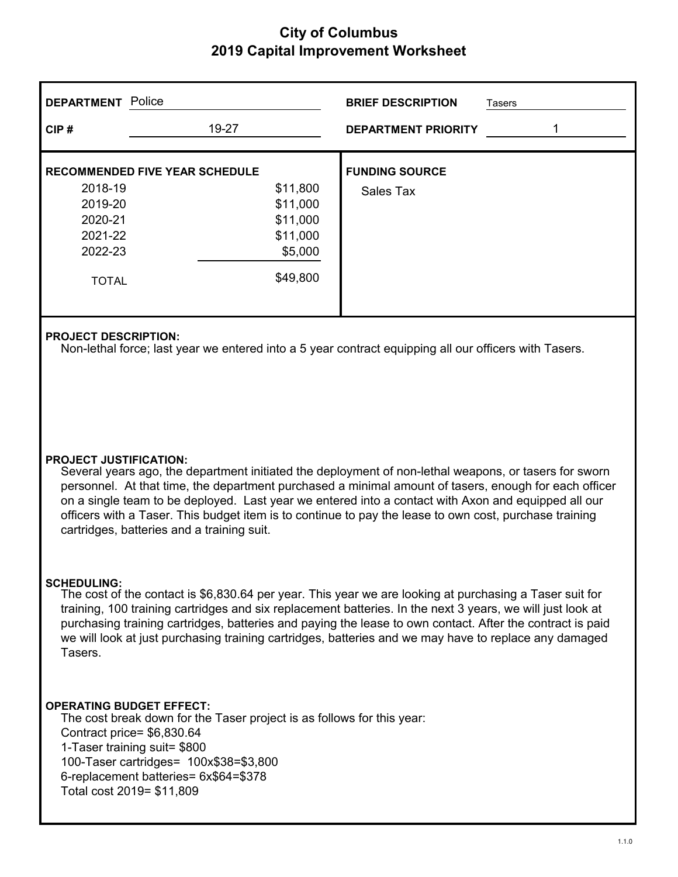| <b>DEPARTMENT</b> Police |                                       | <b>BRIEF DESCRIPTION</b>   | Tasers |
|--------------------------|---------------------------------------|----------------------------|--------|
| CIP#                     | 19-27                                 | <b>DEPARTMENT PRIORITY</b> |        |
|                          | <b>RECOMMENDED FIVE YEAR SCHEDULE</b> | <b>FUNDING SOURCE</b>      |        |
| 2018-19                  | \$11,800                              | Sales Tax                  |        |
| 2019-20                  | \$11,000                              |                            |        |
| 2020-21                  | \$11,000                              |                            |        |
| 2021-22                  | \$11,000                              |                            |        |
| 2022-23                  | \$5,000                               |                            |        |
| <b>TOTAL</b>             | \$49,800                              |                            |        |
|                          |                                       |                            |        |

#### **PROJECT DESCRIPTION:**

Non-lethal force; last year we entered into a 5 year contract equipping all our officers with Tasers.

#### **PROJECT JUSTIFICATION:**

Several years ago, the department initiated the deployment of non-lethal weapons, or tasers for sworn personnel. At that time, the department purchased a minimal amount of tasers, enough for each officer on a single team to be deployed. Last year we entered into a contact with Axon and equipped all our officers with a Taser. This budget item is to continue to pay the lease to own cost, purchase training cartridges, batteries and a training suit.

#### **SCHEDULING:**

The cost of the contact is \$6,830.64 per year. This year we are looking at purchasing a Taser suit for training, 100 training cartridges and six replacement batteries. In the next 3 years, we will just look at purchasing training cartridges, batteries and paying the lease to own contact. After the contract is paid we will look at just purchasing training cartridges, batteries and we may have to replace any damaged Tasers.

#### **OPERATING BUDGET EFFECT:**

The cost break down for the Taser project is as follows for this year: Contract price= \$6,830.64 1-Taser training suit= \$800 100-Taser cartridges= 100x\$38=\$3,800 6-replacement batteries= 6x\$64=\$378 Total cost 2019= \$11,809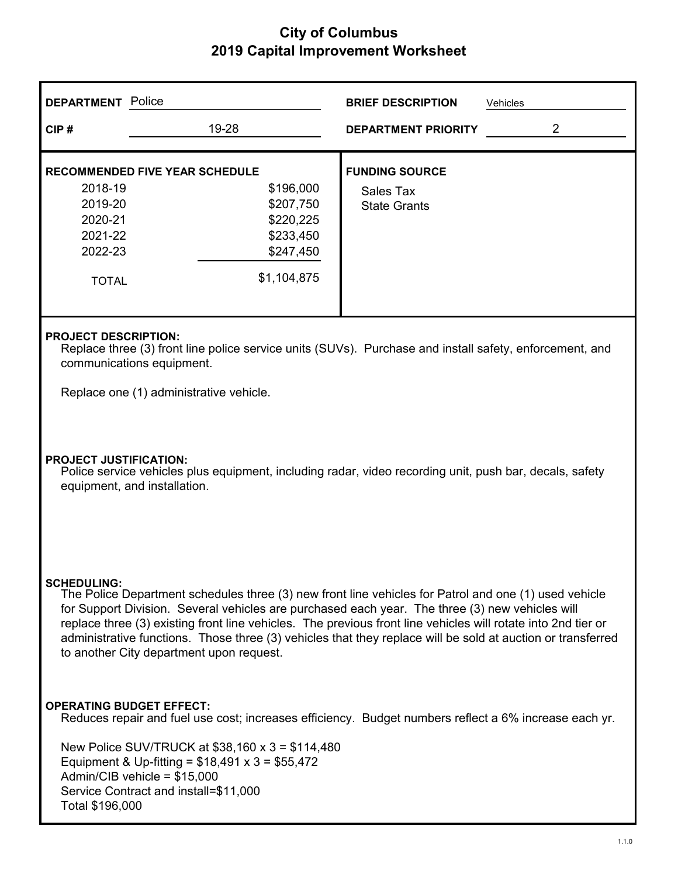| <b>DEPARTMENT</b> Police                                                                                                                                                                                                                                                                                                                                                                                                                                                                                   |                                                                                                                                                                                     | <b>BRIEF DESCRIPTION</b>                                  | Vehicles |  |  |
|------------------------------------------------------------------------------------------------------------------------------------------------------------------------------------------------------------------------------------------------------------------------------------------------------------------------------------------------------------------------------------------------------------------------------------------------------------------------------------------------------------|-------------------------------------------------------------------------------------------------------------------------------------------------------------------------------------|-----------------------------------------------------------|----------|--|--|
| CIP#                                                                                                                                                                                                                                                                                                                                                                                                                                                                                                       | 19-28                                                                                                                                                                               | <b>DEPARTMENT PRIORITY</b>                                | 2        |  |  |
| 2018-19<br>2019-20<br>2020-21<br>2021-22<br>2022-23<br><b>TOTAL</b>                                                                                                                                                                                                                                                                                                                                                                                                                                        | <b>RECOMMENDED FIVE YEAR SCHEDULE</b><br>\$196,000<br>\$207,750<br>\$220,225<br>\$233,450<br>\$247,450<br>\$1,104,875                                                               | <b>FUNDING SOURCE</b><br>Sales Tax<br><b>State Grants</b> |          |  |  |
| <b>PROJECT DESCRIPTION:</b><br>communications equipment.                                                                                                                                                                                                                                                                                                                                                                                                                                                   | Replace three (3) front line police service units (SUVs). Purchase and install safety, enforcement, and                                                                             |                                                           |          |  |  |
|                                                                                                                                                                                                                                                                                                                                                                                                                                                                                                            | Replace one (1) administrative vehicle.                                                                                                                                             |                                                           |          |  |  |
|                                                                                                                                                                                                                                                                                                                                                                                                                                                                                                            | <b>PROJECT JUSTIFICATION:</b><br>Police service vehicles plus equipment, including radar, video recording unit, push bar, decals, safety<br>equipment, and installation.            |                                                           |          |  |  |
| <b>SCHEDULING:</b><br>The Police Department schedules three (3) new front line vehicles for Patrol and one (1) used vehicle<br>for Support Division. Several vehicles are purchased each year. The three (3) new vehicles will<br>replace three (3) existing front line vehicles. The previous front line vehicles will rotate into 2nd tier or<br>administrative functions. Those three (3) vehicles that they replace will be sold at auction or transferred<br>to another City department upon request. |                                                                                                                                                                                     |                                                           |          |  |  |
| <b>OPERATING BUDGET EFFECT:</b>                                                                                                                                                                                                                                                                                                                                                                                                                                                                            | Reduces repair and fuel use cost; increases efficiency. Budget numbers reflect a 6% increase each yr.                                                                               |                                                           |          |  |  |
| Total \$196,000                                                                                                                                                                                                                                                                                                                                                                                                                                                                                            | New Police SUV/TRUCK at \$38,160 x 3 = \$114,480<br>Equipment & Up-fitting = $$18,491 \times 3 = $55,472$<br>Admin/CIB vehicle = $$15,000$<br>Service Contract and install=\$11,000 |                                                           |          |  |  |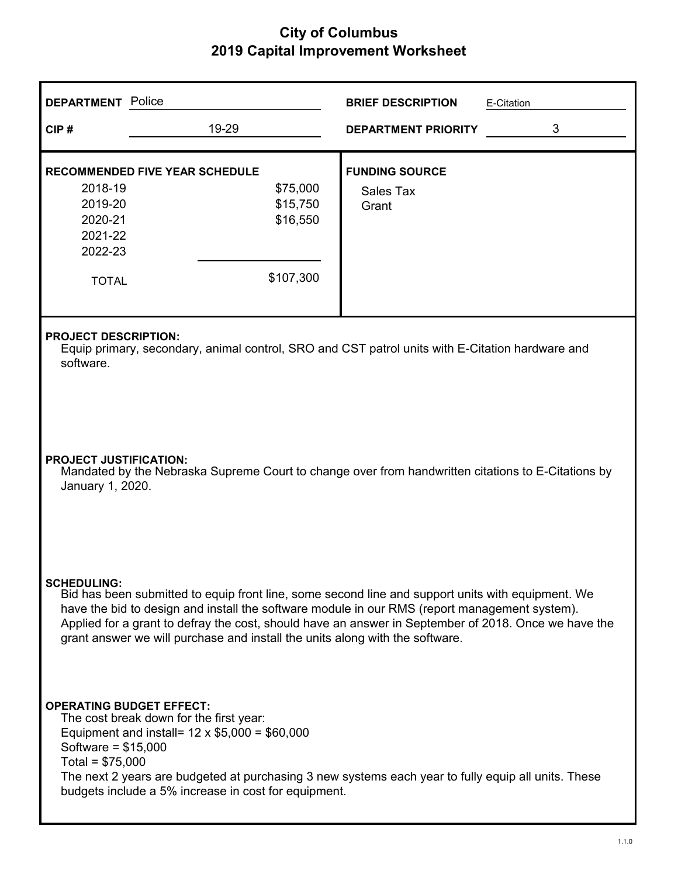| <b>DEPARTMENT</b> Police                                                                                                                                                                                                                                                                                                                                                                                         |                                                                                                                                                                                                                                                               | <b>BRIEF DESCRIPTION</b>                           | E-Citation |  |  |
|------------------------------------------------------------------------------------------------------------------------------------------------------------------------------------------------------------------------------------------------------------------------------------------------------------------------------------------------------------------------------------------------------------------|---------------------------------------------------------------------------------------------------------------------------------------------------------------------------------------------------------------------------------------------------------------|----------------------------------------------------|------------|--|--|
| CIP#                                                                                                                                                                                                                                                                                                                                                                                                             | 19-29                                                                                                                                                                                                                                                         | <b>DEPARTMENT PRIORITY</b>                         | 3          |  |  |
| 2018-19<br>2019-20<br>2020-21<br>2021-22<br>2022-23<br><b>TOTAL</b>                                                                                                                                                                                                                                                                                                                                              | <b>RECOMMENDED FIVE YEAR SCHEDULE</b><br>\$75,000<br>\$15,750<br>\$16,550<br>\$107,300                                                                                                                                                                        | <b>FUNDING SOURCE</b><br><b>Sales Tax</b><br>Grant |            |  |  |
| <b>PROJECT DESCRIPTION:</b><br>software.                                                                                                                                                                                                                                                                                                                                                                         | Equip primary, secondary, animal control, SRO and CST patrol units with E-Citation hardware and                                                                                                                                                               |                                                    |            |  |  |
|                                                                                                                                                                                                                                                                                                                                                                                                                  | <b>PROJECT JUSTIFICATION:</b><br>Mandated by the Nebraska Supreme Court to change over from handwritten citations to E-Citations by<br>January 1, 2020.                                                                                                       |                                                    |            |  |  |
| <b>SCHEDULING:</b><br>Bid has been submitted to equip front line, some second line and support units with equipment. We<br>have the bid to design and install the software module in our RMS (report management system).<br>Applied for a grant to defray the cost, should have an answer in September of 2018. Once we have the<br>grant answer we will purchase and install the units along with the software. |                                                                                                                                                                                                                                                               |                                                    |            |  |  |
| <b>OPERATING BUDGET EFFECT:</b><br>Software = $$15,000$<br>Total = $$75,000$                                                                                                                                                                                                                                                                                                                                     | The cost break down for the first year:<br>Equipment and install= $12 \times $5,000 = $60,000$<br>The next 2 years are budgeted at purchasing 3 new systems each year to fully equip all units. These<br>budgets include a 5% increase in cost for equipment. |                                                    |            |  |  |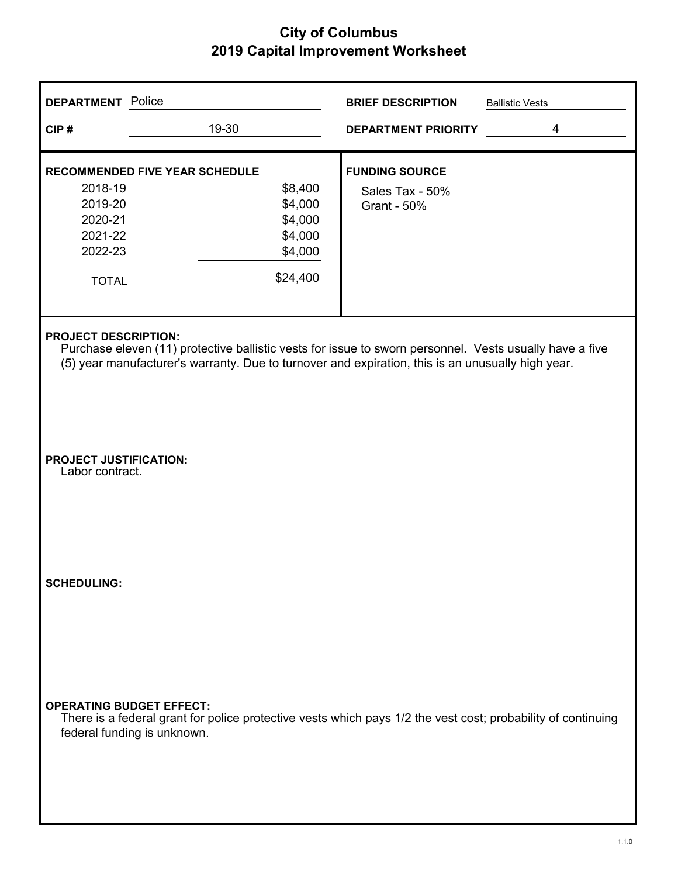| <b>DEPARTMENT</b> Police                                       |                                                                                                                                                                                                              | <b>BRIEF DESCRIPTION</b>                                | <b>Ballistic Vests</b> |
|----------------------------------------------------------------|--------------------------------------------------------------------------------------------------------------------------------------------------------------------------------------------------------------|---------------------------------------------------------|------------------------|
| CIP#                                                           | 19-30                                                                                                                                                                                                        | <b>DEPARTMENT PRIORITY</b>                              | 4                      |
| <b>RECOMMENDED FIVE YEAR SCHEDULE</b><br>2018-19<br>2019-20    | \$8,400<br>\$4,000                                                                                                                                                                                           | <b>FUNDING SOURCE</b><br>Sales Tax - 50%<br>Grant - 50% |                        |
| 2020-21<br>2021-22<br>2022-23                                  | \$4,000<br>\$4,000<br>\$4,000                                                                                                                                                                                |                                                         |                        |
| <b>TOTAL</b>                                                   | \$24,400                                                                                                                                                                                                     |                                                         |                        |
| <b>PROJECT DESCRIPTION:</b>                                    | Purchase eleven (11) protective ballistic vests for issue to sworn personnel. Vests usually have a five<br>(5) year manufacturer's warranty. Due to turnover and expiration, this is an unusually high year. |                                                         |                        |
| <b>PROJECT JUSTIFICATION:</b><br>Labor contract.               |                                                                                                                                                                                                              |                                                         |                        |
| <b>SCHEDULING:</b>                                             |                                                                                                                                                                                                              |                                                         |                        |
| <b>OPERATING BUDGET EFFECT:</b><br>federal funding is unknown. | There is a federal grant for police protective vests which pays 1/2 the vest cost; probability of continuing                                                                                                 |                                                         |                        |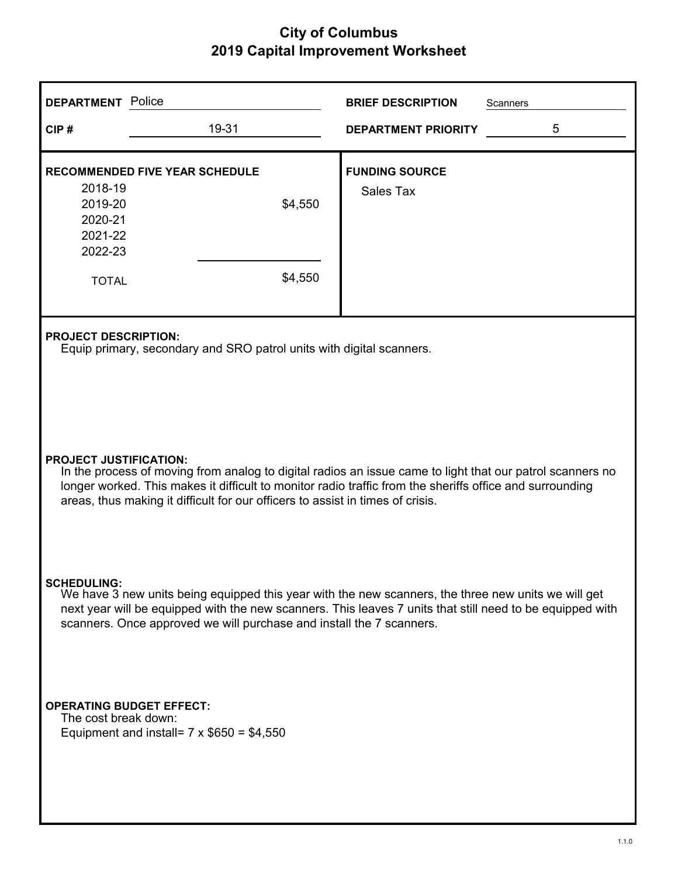| <b>DEPARTMENT</b> Police                                                                                                                                                                                                                                                                                                                 |                                                                                                     | <b>BRIEF DESCRIPTION</b>           | <b>Scanners</b> |  |  |  |
|------------------------------------------------------------------------------------------------------------------------------------------------------------------------------------------------------------------------------------------------------------------------------------------------------------------------------------------|-----------------------------------------------------------------------------------------------------|------------------------------------|-----------------|--|--|--|
| CIP#                                                                                                                                                                                                                                                                                                                                     | 19-31                                                                                               | <b>DEPARTMENT PRIORITY</b>         | 5               |  |  |  |
| 2018-19<br>2019-20<br>2020-21<br>2021-22<br>2022-23<br><b>TOTAL</b>                                                                                                                                                                                                                                                                      | <b>RECOMMENDED FIVE YEAR SCHEDULE</b><br>\$4,550<br>\$4,550                                         | <b>FUNDING SOURCE</b><br>Sales Tax |                 |  |  |  |
|                                                                                                                                                                                                                                                                                                                                          | <b>PROJECT DESCRIPTION:</b><br>Equip primary, secondary and SRO patrol units with digital scanners. |                                    |                 |  |  |  |
| <b>PROJECT JUSTIFICATION:</b><br>In the process of moving from analog to digital radios an issue came to light that our patrol scanners no<br>longer worked. This makes it difficult to monitor radio traffic from the sheriffs office and surrounding<br>areas, thus making it difficult for our officers to assist in times of crisis. |                                                                                                     |                                    |                 |  |  |  |
| <b>SCHEDULING:</b><br>We have 3 new units being equipped this year with the new scanners, the three new units we will get<br>next year will be equipped with the new scanners. This leaves 7 units that still need to be equipped with<br>scanners. Once approved we will purchase and install the 7 scanners.                           |                                                                                                     |                                    |                 |  |  |  |
| The cost break down:                                                                                                                                                                                                                                                                                                                     | <b>OPERATING BUDGET EFFECT:</b><br>Equipment and install= $7 \times $650 = $4,550$                  |                                    |                 |  |  |  |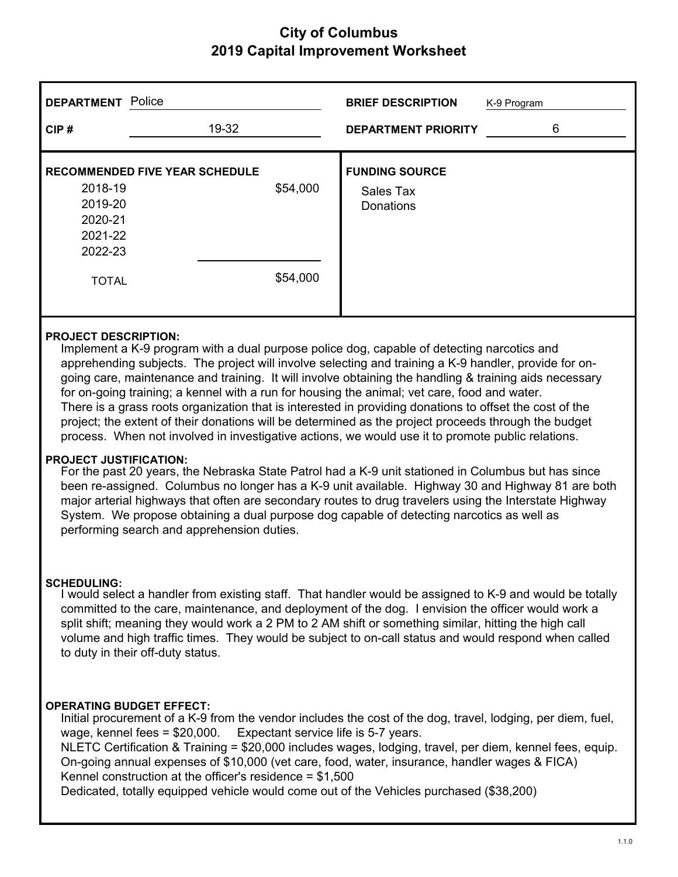| <b>DEPARTMENT</b> Police |                                       |          | <b>BRIEF DESCRIPTION</b>   | K-9 Program |
|--------------------------|---------------------------------------|----------|----------------------------|-------------|
| CIP#                     | 19-32                                 |          | <b>DEPARTMENT PRIORITY</b> | 6           |
|                          | <b>RECOMMENDED FIVE YEAR SCHEDULE</b> |          | <b>FUNDING SOURCE</b>      |             |
| 2018-19                  |                                       | \$54,000 | Sales Tax                  |             |
| 2019-20                  |                                       |          | <b>Donations</b>           |             |
| 2020-21                  |                                       |          |                            |             |
| 2021-22                  |                                       |          |                            |             |
| 2022-23                  |                                       |          |                            |             |
| <b>TOTAL</b>             |                                       | \$54,000 |                            |             |

#### **PROJECT DESCRIPTION:**

Implement a K-9 program with a dual purpose police dog, capable of detecting narcotics and apprehending subjects. The project will involve selecting and training a K-9 handler, provide for ongoing care, maintenance and training. It will involve obtaining the handling & training aids necessary for on-going training; a kennel with a run for housing the animal; vet care, food and water. There is a grass roots organization that is interested in providing donations to offset the cost of the project; the extent of their donations will be determined as the project proceeds through the budget process. When not involved in investigative actions, we would use it to promote public relations.

#### **PROJECT JUSTIFICATION:**

For the past 20 years, the Nebraska State Patrol had a K-9 unit stationed in Columbus but has since been re-assigned. Columbus no longer has a K-9 unit available. Highway 30 and Highway 81 are both major arterial highways that often are secondary routes to drug travelers using the Interstate Highway System. We propose obtaining a dual purpose dog capable of detecting narcotics as well as performing search and apprehension duties.

#### **SCHEDULING:**

I would select a handler from existing staff. That handler would be assigned to K-9 and would be totally committed to the care, maintenance, and deployment of the dog. I envision the officer would work a split shift; meaning they would work a 2 PM to 2 AM shift or something similar, hitting the high call volume and high traffic times. They would be subject to on-call status and would respond when called to duty in their off-duty status.

#### **OPERATING BUDGET EFFECT:**

Initial procurement of a K-9 from the vendor includes the cost of the dog, travel, lodging, per diem, fuel, wage, kennel fees = \$20,000. Expectant service life is 5-7 years.

NLETC Certification & Training = \$20,000 includes wages, lodging, travel, per diem, kennel fees, equip. On-going annual expenses of \$10,000 (vet care, food, water, insurance, handler wages & FICA) Kennel construction at the officer's residence = \$1,500

Dedicated, totally equipped vehicle would come out of the Vehicles purchased (\$38,200)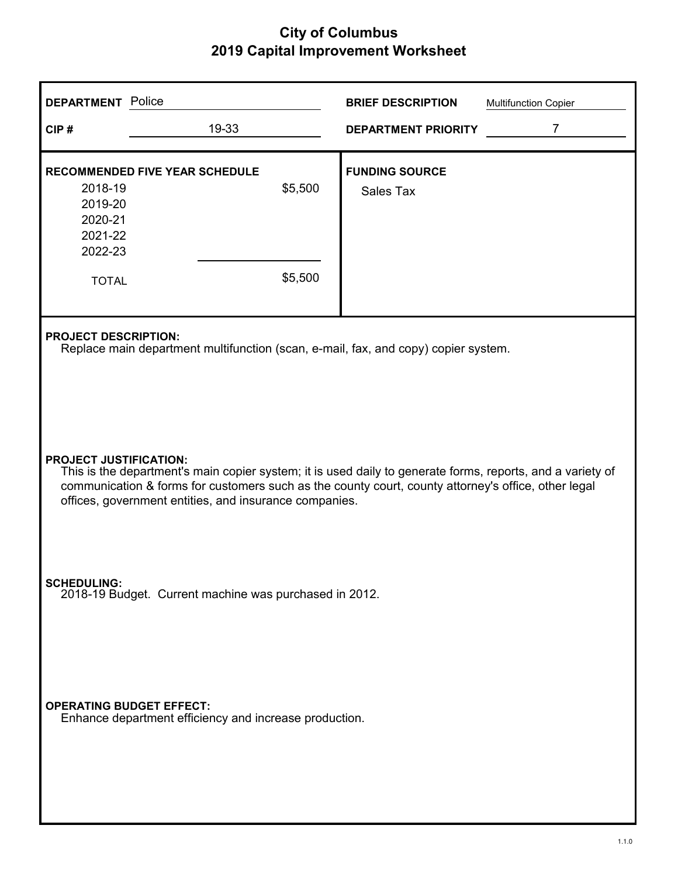| <b>DEPARTMENT</b> Police                                                                                     |                                                                                                                   |       |                    | <b>BRIEF DESCRIPTION</b>                                                                                                                                                                                          | <b>Multifunction Copier</b> |  |
|--------------------------------------------------------------------------------------------------------------|-------------------------------------------------------------------------------------------------------------------|-------|--------------------|-------------------------------------------------------------------------------------------------------------------------------------------------------------------------------------------------------------------|-----------------------------|--|
| CIP#                                                                                                         |                                                                                                                   | 19-33 |                    | <b>DEPARTMENT PRIORITY</b>                                                                                                                                                                                        | $\overline{7}$              |  |
| <b>RECOMMENDED FIVE YEAR SCHEDULE</b><br>2018-19<br>2019-20<br>2020-21<br>2021-22<br>2022-23<br><b>TOTAL</b> |                                                                                                                   |       | \$5,500<br>\$5,500 | <b>FUNDING SOURCE</b><br><b>Sales Tax</b>                                                                                                                                                                         |                             |  |
|                                                                                                              | <b>PROJECT DESCRIPTION:</b><br>Replace main department multifunction (scan, e-mail, fax, and copy) copier system. |       |                    |                                                                                                                                                                                                                   |                             |  |
| <b>PROJECT JUSTIFICATION:</b>                                                                                | offices, government entities, and insurance companies.                                                            |       |                    | This is the department's main copier system; it is used daily to generate forms, reports, and a variety of<br>communication & forms for customers such as the county court, county attorney's office, other legal |                             |  |
| <b>SCHEDULING:</b><br>2018-19 Budget. Current machine was purchased in 2012.                                 |                                                                                                                   |       |                    |                                                                                                                                                                                                                   |                             |  |
| <b>OPERATING BUDGET EFFECT:</b>                                                                              | Enhance department efficiency and increase production.                                                            |       |                    |                                                                                                                                                                                                                   |                             |  |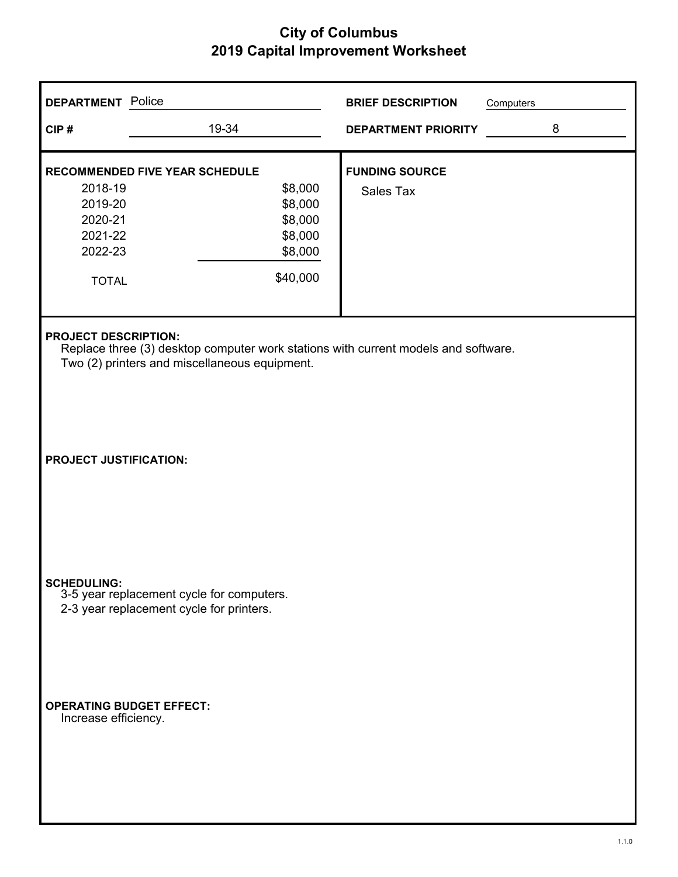| <b>DEPARTMENT</b> Police                                                                                                                                           |                                                                                                          | <b>BRIEF DESCRIPTION</b>           | Computers |  |  |
|--------------------------------------------------------------------------------------------------------------------------------------------------------------------|----------------------------------------------------------------------------------------------------------|------------------------------------|-----------|--|--|
| CIP#                                                                                                                                                               | 19-34                                                                                                    | <b>DEPARTMENT PRIORITY</b>         | 8         |  |  |
| 2018-19<br>2019-20<br>2020-21<br>2021-22<br>2022-23<br><b>TOTAL</b>                                                                                                | <b>RECOMMENDED FIVE YEAR SCHEDULE</b><br>\$8,000<br>\$8,000<br>\$8,000<br>\$8,000<br>\$8,000<br>\$40,000 | <b>FUNDING SOURCE</b><br>Sales Tax |           |  |  |
| <b>PROJECT DESCRIPTION:</b><br>Replace three (3) desktop computer work stations with current models and software.<br>Two (2) printers and miscellaneous equipment. |                                                                                                          |                                    |           |  |  |
| <b>PROJECT JUSTIFICATION:</b>                                                                                                                                      |                                                                                                          |                                    |           |  |  |
| <b>SCHEDULING:</b>                                                                                                                                                 | 3-5 year replacement cycle for computers.<br>2-3 year replacement cycle for printers.                    |                                    |           |  |  |
| <b>OPERATING BUDGET EFFECT:</b><br>Increase efficiency.                                                                                                            |                                                                                                          |                                    |           |  |  |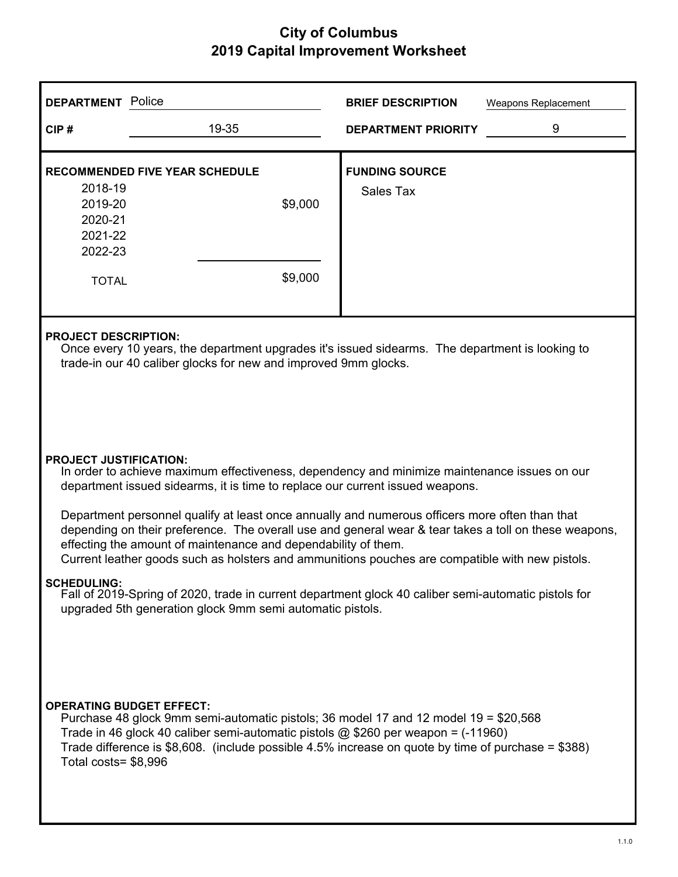| <b>DEPARTMENT</b> Police                                                                                                                                                            |                                                                                                                                                                                                                                                                                                                                                                                                                                                                                                                                                                                                | <b>BRIEF DESCRIPTION</b>           | Weapons Replacement |  |  |  |
|-------------------------------------------------------------------------------------------------------------------------------------------------------------------------------------|------------------------------------------------------------------------------------------------------------------------------------------------------------------------------------------------------------------------------------------------------------------------------------------------------------------------------------------------------------------------------------------------------------------------------------------------------------------------------------------------------------------------------------------------------------------------------------------------|------------------------------------|---------------------|--|--|--|
| CIP#                                                                                                                                                                                | 19-35                                                                                                                                                                                                                                                                                                                                                                                                                                                                                                                                                                                          | <b>DEPARTMENT PRIORITY</b>         | 9                   |  |  |  |
| 2018-19<br>2019-20<br>2020-21<br>2021-22<br>2022-23<br><b>TOTAL</b>                                                                                                                 | <b>RECOMMENDED FIVE YEAR SCHEDULE</b><br>\$9,000<br>\$9,000                                                                                                                                                                                                                                                                                                                                                                                                                                                                                                                                    | <b>FUNDING SOURCE</b><br>Sales Tax |                     |  |  |  |
|                                                                                                                                                                                     | <b>PROJECT DESCRIPTION:</b><br>Once every 10 years, the department upgrades it's issued sidearms. The department is looking to<br>trade-in our 40 caliber glocks for new and improved 9mm glocks.                                                                                                                                                                                                                                                                                                                                                                                              |                                    |                     |  |  |  |
|                                                                                                                                                                                     | <b>PROJECT JUSTIFICATION:</b><br>In order to achieve maximum effectiveness, dependency and minimize maintenance issues on our<br>department issued sidearms, it is time to replace our current issued weapons.<br>Department personnel qualify at least once annually and numerous officers more often than that<br>depending on their preference. The overall use and general wear & tear takes a toll on these weapons,<br>effecting the amount of maintenance and dependability of them.<br>Current leather goods such as holsters and ammunitions pouches are compatible with new pistols. |                                    |                     |  |  |  |
| SCHEDIJI ING ·<br>Fall of 2019-Spring of 2020, trade in current department glock 40 caliber semi-automatic pistols for<br>upgraded 5th generation glock 9mm semi automatic pistols. |                                                                                                                                                                                                                                                                                                                                                                                                                                                                                                                                                                                                |                                    |                     |  |  |  |
|                                                                                                                                                                                     | <b>OPERATING BUDGET EFFECT:</b><br>Purchase 48 glock 9mm semi-automatic pistols; 36 model 17 and 12 model 19 = \$20,568<br>Trade in 46 glock 40 caliber semi-automatic pistols $@$ \$260 per weapon = (-11960)<br>Trade difference is $$8,608$ . (include possible 4.5% increase on quote by time of purchase = $$388$ )<br>Total costs= \$8,996                                                                                                                                                                                                                                               |                                    |                     |  |  |  |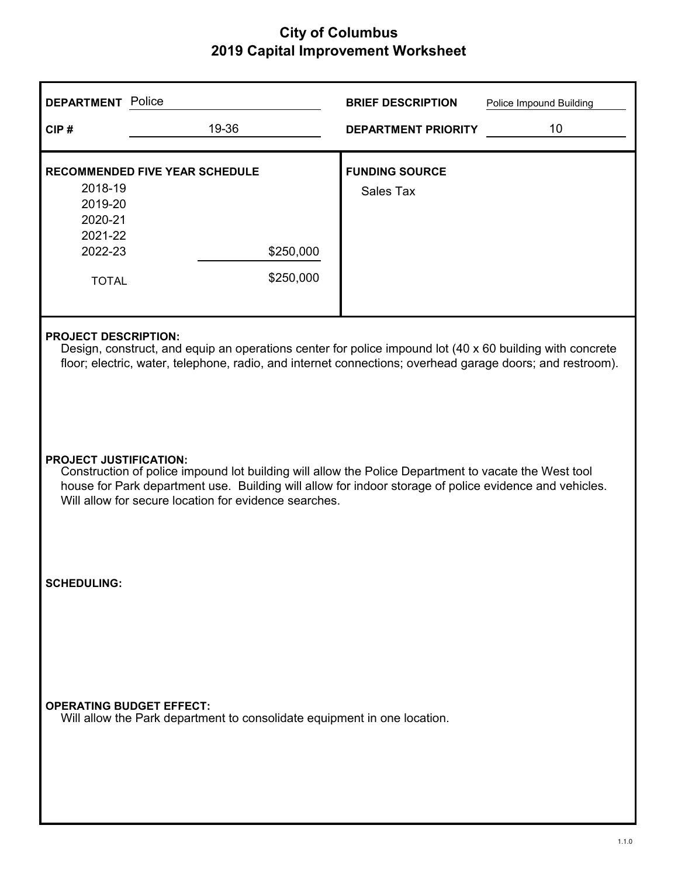| <b>DEPARTMENT</b> Police                                                                                                                                                                                                                                                                                 |                                                                                                                                                                                                                                                      | <b>BRIEF DESCRIPTION</b>           | Police Impound Building |  |  |  |
|----------------------------------------------------------------------------------------------------------------------------------------------------------------------------------------------------------------------------------------------------------------------------------------------------------|------------------------------------------------------------------------------------------------------------------------------------------------------------------------------------------------------------------------------------------------------|------------------------------------|-------------------------|--|--|--|
| CIP#                                                                                                                                                                                                                                                                                                     | 19-36                                                                                                                                                                                                                                                | <b>DEPARTMENT PRIORITY</b>         | 10                      |  |  |  |
| 2018-19<br>2019-20<br>2020-21<br>2021-22<br>2022-23<br><b>TOTAL</b>                                                                                                                                                                                                                                      | <b>RECOMMENDED FIVE YEAR SCHEDULE</b><br>\$250,000<br>\$250,000                                                                                                                                                                                      | <b>FUNDING SOURCE</b><br>Sales Tax |                         |  |  |  |
|                                                                                                                                                                                                                                                                                                          | <b>PROJECT DESCRIPTION:</b><br>Design, construct, and equip an operations center for police impound lot (40 x 60 building with concrete<br>floor; electric, water, telephone, radio, and internet connections; overhead garage doors; and restroom). |                                    |                         |  |  |  |
| <b>PROJECT JUSTIFICATION:</b><br>Construction of police impound lot building will allow the Police Department to vacate the West tool<br>house for Park department use. Building will allow for indoor storage of police evidence and vehicles.<br>Will allow for secure location for evidence searches. |                                                                                                                                                                                                                                                      |                                    |                         |  |  |  |
| <b>SCHEDULING:</b>                                                                                                                                                                                                                                                                                       |                                                                                                                                                                                                                                                      |                                    |                         |  |  |  |
| <b>OPERATING BUDGET EFFECT:</b>                                                                                                                                                                                                                                                                          | Will allow the Park department to consolidate equipment in one location.                                                                                                                                                                             |                                    |                         |  |  |  |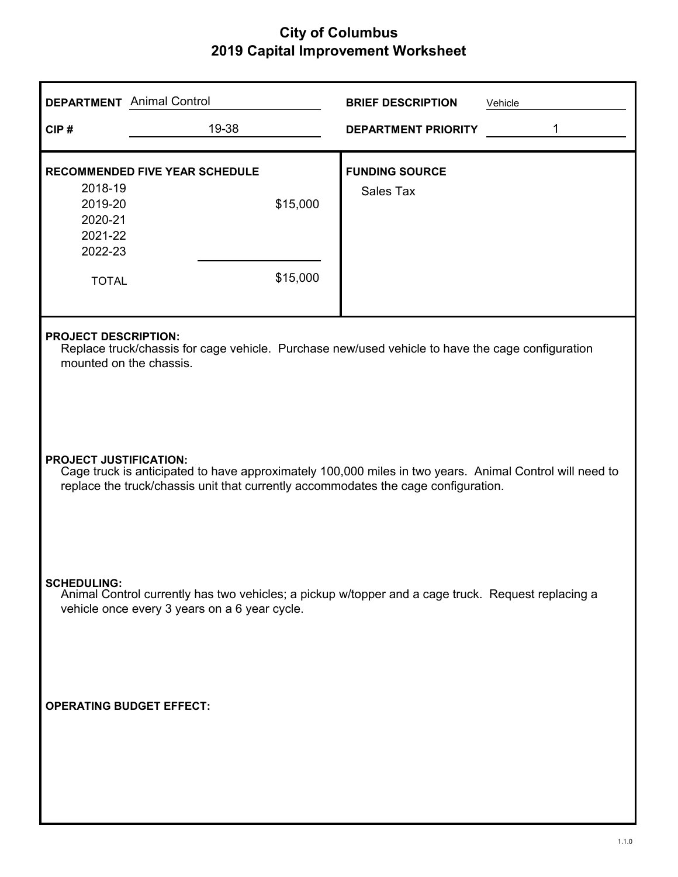| <b>DEPARTMENT</b> Animal Control                                                                                                                                                                                               |                                                                                                                                                            | <b>BRIEF DESCRIPTION</b><br>Vehicle       |  |  |  |
|--------------------------------------------------------------------------------------------------------------------------------------------------------------------------------------------------------------------------------|------------------------------------------------------------------------------------------------------------------------------------------------------------|-------------------------------------------|--|--|--|
| CIP#                                                                                                                                                                                                                           | 19-38                                                                                                                                                      | 1<br><b>DEPARTMENT PRIORITY</b>           |  |  |  |
| 2018-19<br>2019-20<br>2020-21<br>2021-22<br>2022-23<br><b>TOTAL</b>                                                                                                                                                            | <b>RECOMMENDED FIVE YEAR SCHEDULE</b><br>\$15,000<br>\$15,000                                                                                              | <b>FUNDING SOURCE</b><br><b>Sales Tax</b> |  |  |  |
|                                                                                                                                                                                                                                | <b>PROJECT DESCRIPTION:</b><br>Replace truck/chassis for cage vehicle. Purchase new/used vehicle to have the cage configuration<br>mounted on the chassis. |                                           |  |  |  |
| <b>PROJECT JUSTIFICATION:</b><br>Cage truck is anticipated to have approximately 100,000 miles in two years. Animal Control will need to<br>replace the truck/chassis unit that currently accommodates the cage configuration. |                                                                                                                                                            |                                           |  |  |  |
| <b>SCHEDULING:</b><br>Animal Control currently has two vehicles; a pickup w/topper and a cage truck. Request replacing a<br>vehicle once every 3 years on a 6 year cycle.                                                      |                                                                                                                                                            |                                           |  |  |  |
| <b>OPERATING BUDGET EFFECT:</b>                                                                                                                                                                                                |                                                                                                                                                            |                                           |  |  |  |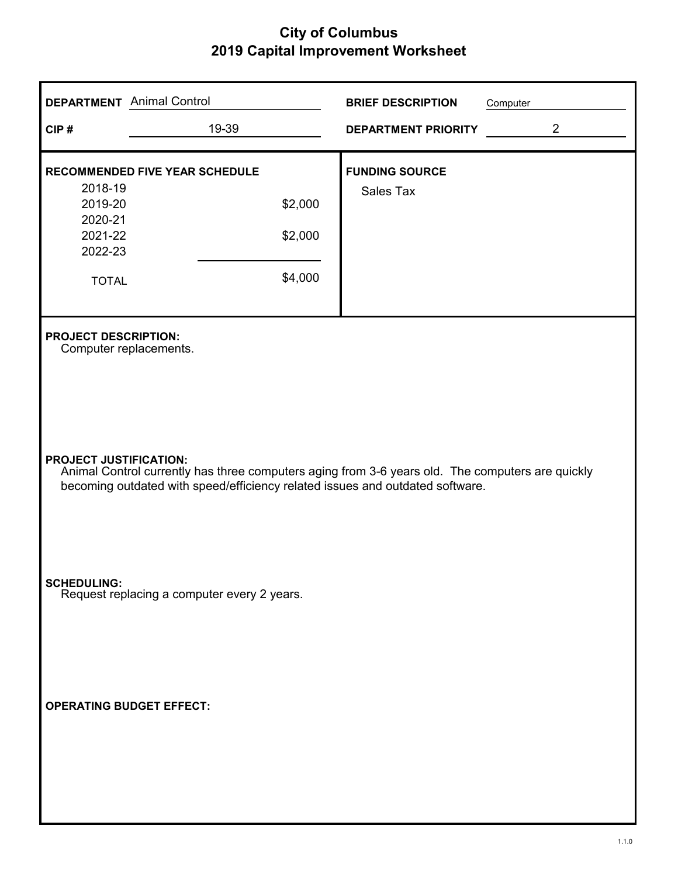| <b>DEPARTMENT</b> Animal Control                                                                                                                                                                                   |                                                                        | <b>BRIEF DESCRIPTION</b>                  | Computer |  |  |
|--------------------------------------------------------------------------------------------------------------------------------------------------------------------------------------------------------------------|------------------------------------------------------------------------|-------------------------------------------|----------|--|--|
| CIP#                                                                                                                                                                                                               | 19-39                                                                  | <b>DEPARTMENT PRIORITY</b>                | 2        |  |  |
| 2018-19<br>2019-20<br>2020-21<br>2021-22<br>2022-23<br><b>TOTAL</b>                                                                                                                                                | <b>RECOMMENDED FIVE YEAR SCHEDULE</b><br>\$2,000<br>\$2,000<br>\$4,000 | <b>FUNDING SOURCE</b><br><b>Sales Tax</b> |          |  |  |
|                                                                                                                                                                                                                    | <b>PROJECT DESCRIPTION:</b><br>Computer replacements.                  |                                           |          |  |  |
| <b>PROJECT JUSTIFICATION:</b><br>Animal Control currently has three computers aging from 3-6 years old. The computers are quickly<br>becoming outdated with speed/efficiency related issues and outdated software. |                                                                        |                                           |          |  |  |
| <b>SCHEDULING:</b>                                                                                                                                                                                                 | Request replacing a computer every 2 years.                            |                                           |          |  |  |
| <b>OPERATING BUDGET EFFECT:</b>                                                                                                                                                                                    |                                                                        |                                           |          |  |  |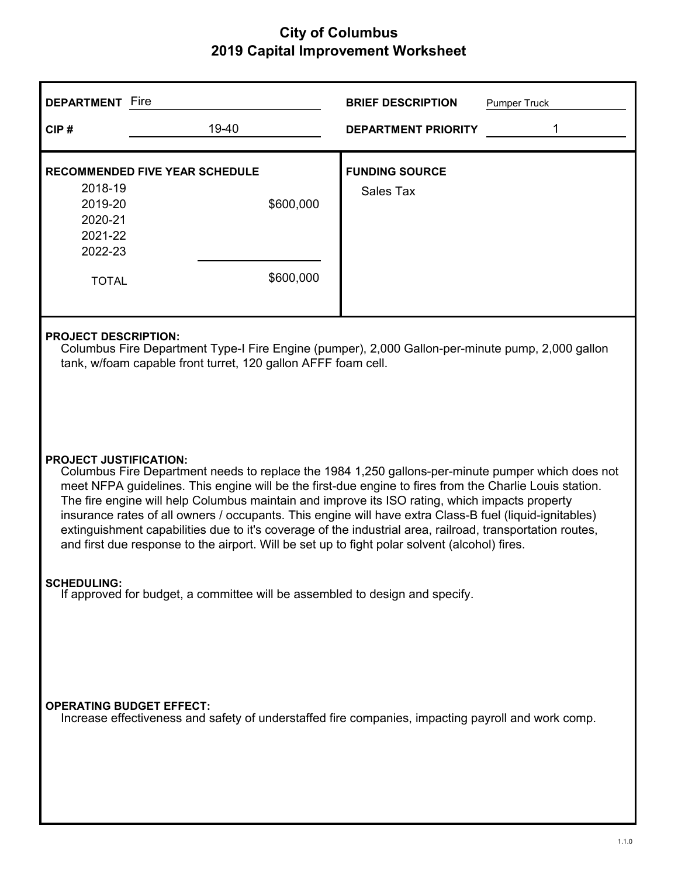| <b>DEPARTMENT</b> Fire                                                                                                                                                                                                                                                                                                                                                                                                                                                                                                                                                                                                                                                   |                                                                                                                                                                                                  | <b>BRIEF DESCRIPTION</b><br><b>Pumper Truck</b> |  |  |  |
|--------------------------------------------------------------------------------------------------------------------------------------------------------------------------------------------------------------------------------------------------------------------------------------------------------------------------------------------------------------------------------------------------------------------------------------------------------------------------------------------------------------------------------------------------------------------------------------------------------------------------------------------------------------------------|--------------------------------------------------------------------------------------------------------------------------------------------------------------------------------------------------|-------------------------------------------------|--|--|--|
| CIP#                                                                                                                                                                                                                                                                                                                                                                                                                                                                                                                                                                                                                                                                     | 19-40                                                                                                                                                                                            | <b>DEPARTMENT PRIORITY</b>                      |  |  |  |
| 2018-19<br>2019-20<br>2020-21<br>2021-22<br>2022-23<br><b>TOTAL</b>                                                                                                                                                                                                                                                                                                                                                                                                                                                                                                                                                                                                      | <b>RECOMMENDED FIVE YEAR SCHEDULE</b><br>\$600,000<br>\$600,000                                                                                                                                  | <b>FUNDING SOURCE</b><br>Sales Tax              |  |  |  |
|                                                                                                                                                                                                                                                                                                                                                                                                                                                                                                                                                                                                                                                                          | <b>PROJECT DESCRIPTION:</b><br>Columbus Fire Department Type-I Fire Engine (pumper), 2,000 Gallon-per-minute pump, 2,000 gallon<br>tank, w/foam capable front turret, 120 gallon AFFF foam cell. |                                                 |  |  |  |
| <b>PROJECT JUSTIFICATION:</b><br>Columbus Fire Department needs to replace the 1984 1,250 gallons-per-minute pumper which does not<br>meet NFPA guidelines. This engine will be the first-due engine to fires from the Charlie Louis station.<br>The fire engine will help Columbus maintain and improve its ISO rating, which impacts property<br>insurance rates of all owners / occupants. This engine will have extra Class-B fuel (liquid-ignitables)<br>extinguishment capabilities due to it's coverage of the industrial area, railroad, transportation routes,<br>and first due response to the airport. Will be set up to fight polar solvent (alcohol) fires. |                                                                                                                                                                                                  |                                                 |  |  |  |
| <b>SCHEDULING:</b>                                                                                                                                                                                                                                                                                                                                                                                                                                                                                                                                                                                                                                                       | If approved for budget, a committee will be assembled to design and specify.                                                                                                                     |                                                 |  |  |  |
| <b>OPERATING BUDGET EFFECT:</b><br>Increase effectiveness and safety of understaffed fire companies, impacting payroll and work comp.                                                                                                                                                                                                                                                                                                                                                                                                                                                                                                                                    |                                                                                                                                                                                                  |                                                 |  |  |  |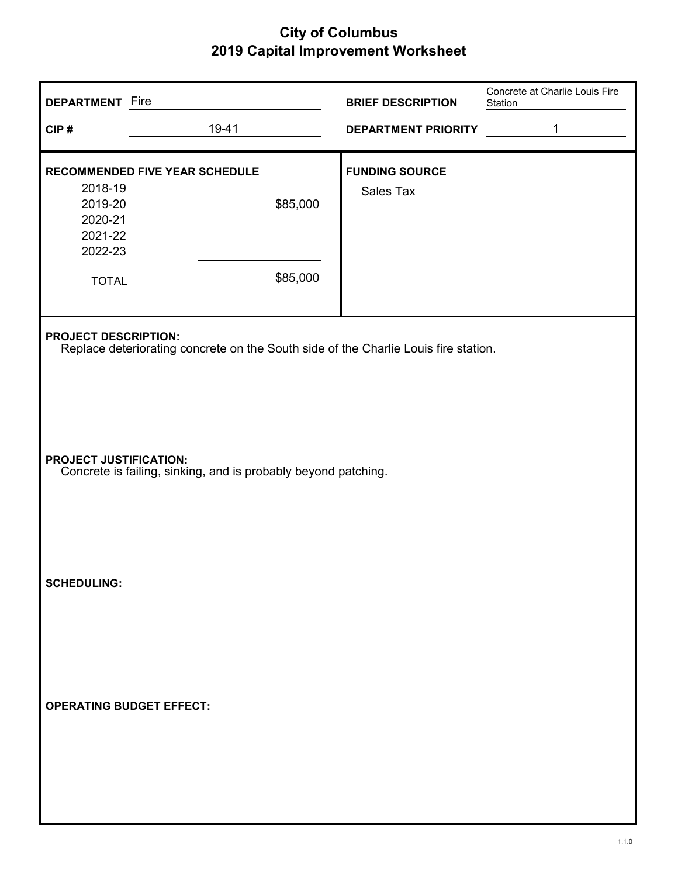| <b>DEPARTMENT</b> Fire<br>CIP#                                      | 19-41                                                                               | <b>BRIEF DESCRIPTION</b><br><b>DEPARTMENT PRIORITY</b> | Concrete at Charlie Louis Fire<br>Station<br>1 |
|---------------------------------------------------------------------|-------------------------------------------------------------------------------------|--------------------------------------------------------|------------------------------------------------|
| 2018-19<br>2019-20<br>2020-21<br>2021-22<br>2022-23<br><b>TOTAL</b> | <b>RECOMMENDED FIVE YEAR SCHEDULE</b><br>\$85,000<br>\$85,000                       | <b>FUNDING SOURCE</b><br>Sales Tax                     |                                                |
| <b>PROJECT DESCRIPTION:</b>                                         | Replace deteriorating concrete on the South side of the Charlie Louis fire station. |                                                        |                                                |
| <b>PROJECT JUSTIFICATION:</b>                                       | Concrete is failing, sinking, and is probably beyond patching.                      |                                                        |                                                |
| <b>SCHEDULING:</b>                                                  |                                                                                     |                                                        |                                                |
| <b>OPERATING BUDGET EFFECT:</b>                                     |                                                                                     |                                                        |                                                |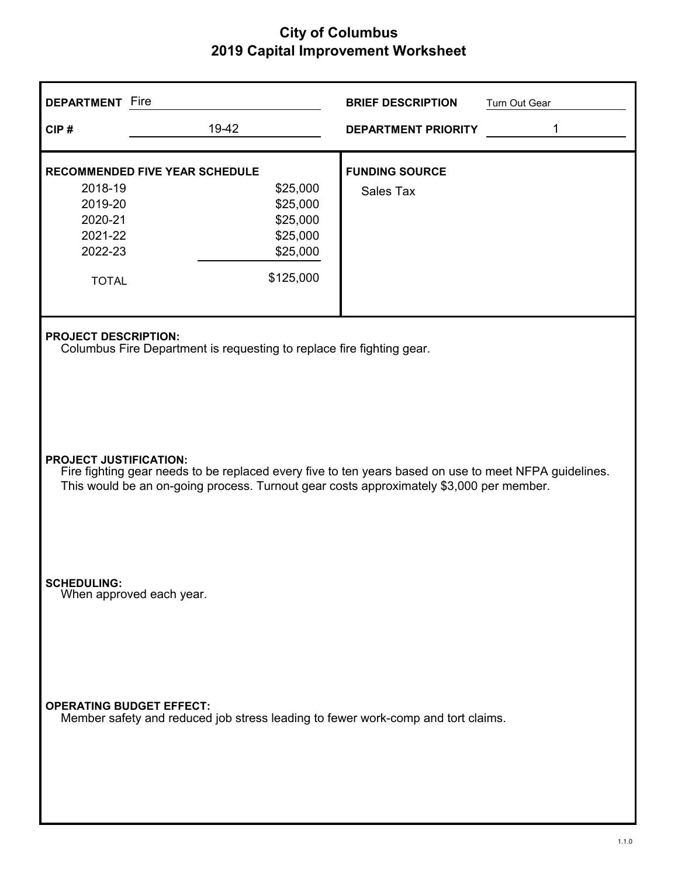| <b>DEPARTMENT</b> Fire                                                                                                                                                                                                            |                                                                       | <b>BRIEF DESCRIPTION</b>           | Turn Out Gear |
|-----------------------------------------------------------------------------------------------------------------------------------------------------------------------------------------------------------------------------------|-----------------------------------------------------------------------|------------------------------------|---------------|
| CIP#                                                                                                                                                                                                                              | 19-42                                                                 | <b>DEPARTMENT PRIORITY</b>         | 1             |
| <b>RECOMMENDED FIVE YEAR SCHEDULE</b><br>2018-19<br>2019-20<br>2020-21<br>2021-22<br>2022-23<br><b>TOTAL</b>                                                                                                                      | \$25,000<br>\$25,000<br>\$25,000<br>\$25,000<br>\$25,000<br>\$125,000 | <b>FUNDING SOURCE</b><br>Sales Tax |               |
| <b>PROJECT DESCRIPTION:</b>                                                                                                                                                                                                       | Columbus Fire Department is requesting to replace fire fighting gear. |                                    |               |
| <b>PROJECT JUSTIFICATION:</b><br>Fire fighting gear needs to be replaced every five to ten years based on use to meet NFPA guidelines.<br>This would be an on-going process. Turnout gear costs approximately \$3,000 per member. |                                                                       |                                    |               |
| <b>SCHEDULING:</b><br>When approved each year.                                                                                                                                                                                    |                                                                       |                                    |               |
| <b>OPERATING BUDGET EFFECT:</b><br>Member safety and reduced job stress leading to fewer work-comp and tort claims.                                                                                                               |                                                                       |                                    |               |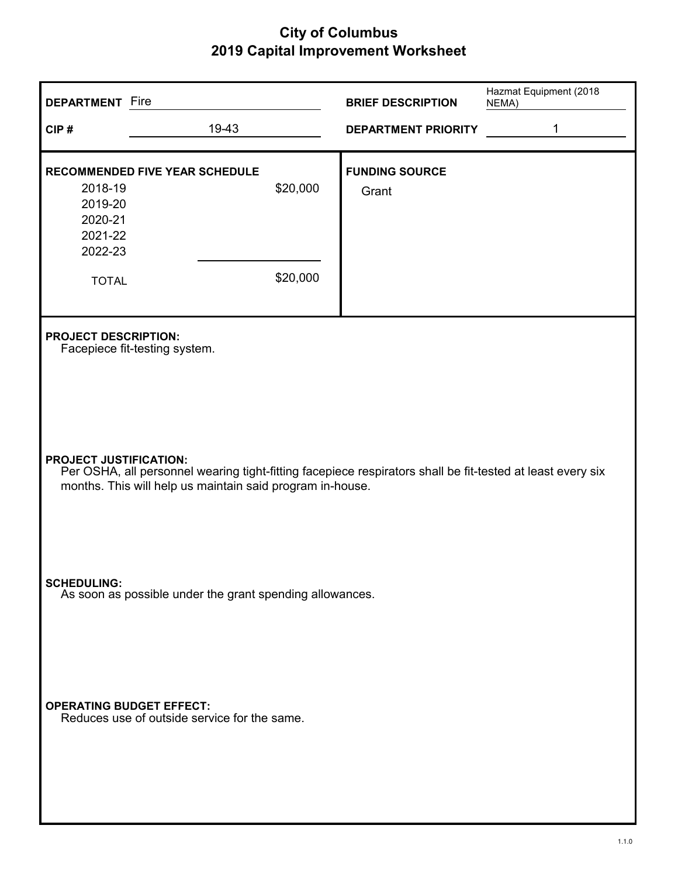| <b>DEPARTMENT</b> Fire                                              |                                                           |                      | <b>BRIEF DESCRIPTION</b>                                                                                   | Hazmat Equipment (2018<br>NEMA) |
|---------------------------------------------------------------------|-----------------------------------------------------------|----------------------|------------------------------------------------------------------------------------------------------------|---------------------------------|
| CIP#                                                                | 19-43                                                     |                      | <b>DEPARTMENT PRIORITY</b>                                                                                 | 1                               |
| 2018-19<br>2019-20<br>2020-21<br>2021-22<br>2022-23<br><b>TOTAL</b> | <b>RECOMMENDED FIVE YEAR SCHEDULE</b>                     | \$20,000<br>\$20,000 | <b>FUNDING SOURCE</b><br>Grant                                                                             |                                 |
| <b>PROJECT DESCRIPTION:</b>                                         | Facepiece fit-testing system.                             |                      |                                                                                                            |                                 |
| <b>PROJECT JUSTIFICATION:</b>                                       | months. This will help us maintain said program in-house. |                      | Per OSHA, all personnel wearing tight-fitting facepiece respirators shall be fit-tested at least every six |                                 |
| <b>SCHEDULING:</b>                                                  | As soon as possible under the grant spending allowances.  |                      |                                                                                                            |                                 |
| <b>OPERATING BUDGET EFFECT:</b>                                     | Reduces use of outside service for the same.              |                      |                                                                                                            |                                 |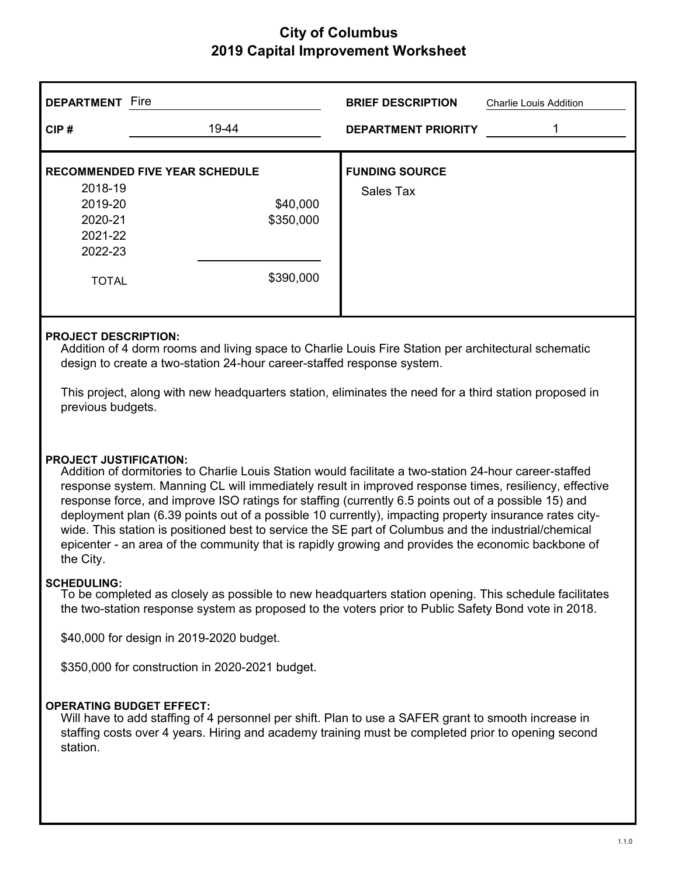| <b>DEPARTMENT</b>                                                   | Fire                                                                        | <b>BRIEF DESCRIPTION</b><br><b>Charlie Louis Addition</b> |
|---------------------------------------------------------------------|-----------------------------------------------------------------------------|-----------------------------------------------------------|
| CIP#                                                                | 19-44                                                                       | <b>DEPARTMENT PRIORITY</b>                                |
| 2018-19<br>2019-20<br>2020-21<br>2021-22<br>2022-23<br><b>TOTAL</b> | <b>RECOMMENDED FIVE YEAR SCHEDULE</b><br>\$40,000<br>\$350,000<br>\$390,000 | <b>FUNDING SOURCE</b><br>Sales Tax                        |

#### **PROJECT DESCRIPTION:**

Addition of 4 dorm rooms and living space to Charlie Louis Fire Station per architectural schematic design to create a two-station 24-hour career-staffed response system.

This project, along with new headquarters station, eliminates the need for a third station proposed in previous budgets.

#### **PROJECT JUSTIFICATION:**

Addition of dormitories to Charlie Louis Station would facilitate a two-station 24-hour career-staffed response system. Manning CL will immediately result in improved response times, resiliency, effective response force, and improve ISO ratings for staffing (currently 6.5 points out of a possible 15) and deployment plan (6.39 points out of a possible 10 currently), impacting property insurance rates citywide. This station is positioned best to service the SE part of Columbus and the industrial/chemical epicenter - an area of the community that is rapidly growing and provides the economic backbone of the City.

#### **SCHEDULING:**

To be completed as closely as possible to new headquarters station opening. This schedule facilitates the two-station response system as proposed to the voters prior to Public Safety Bond vote in 2018.

\$40,000 for design in 2019-2020 budget.

\$350,000 for construction in 2020-2021 budget.

#### **OPERATING BUDGET EFFECT:**

Will have to add staffing of 4 personnel per shift. Plan to use a SAFER grant to smooth increase in staffing costs over 4 years. Hiring and academy training must be completed prior to opening second station.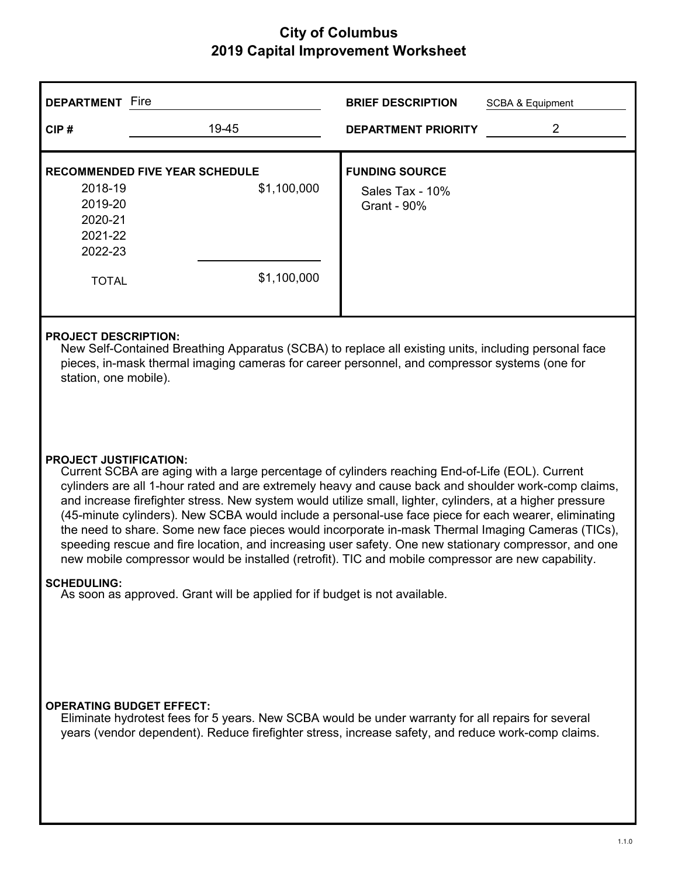| Fire<br><b>DEPARTMENT</b>                                                                                                                                                                                                                                     |                                                                                                 | <b>BRIEF DESCRIPTION</b>                                | <b>SCBA &amp; Equipment</b> |  |
|---------------------------------------------------------------------------------------------------------------------------------------------------------------------------------------------------------------------------------------------------------------|-------------------------------------------------------------------------------------------------|---------------------------------------------------------|-----------------------------|--|
| CIP#                                                                                                                                                                                                                                                          | 19-45                                                                                           | <b>DEPARTMENT PRIORITY</b>                              | 2                           |  |
| <b>RECOMMENDED FIVE YEAR SCHEDULE</b><br>2018-19<br>2019-20<br>2020-21<br>2021-22<br>2022-23                                                                                                                                                                  | \$1,100,000                                                                                     | <b>FUNDING SOURCE</b><br>Sales Tax - 10%<br>Grant - 90% |                             |  |
| <b>TOTAL</b>                                                                                                                                                                                                                                                  | \$1,100,000                                                                                     |                                                         |                             |  |
| <b>PROJECT DESCRIPTION:</b><br>New Self-Contained Breathing Apparatus (SCBA) to replace all existing units, including personal face<br>pieces, in-mask thermal imaging cameras for career personnel, and compressor systems (one for<br>station, one mobile). |                                                                                                 |                                                         |                             |  |
| <b>PROJECT JUSTIFICATION:</b>                                                                                                                                                                                                                                 | Current SCBA are aging with a large percentage of cylinders reaching End-of-Life (EOL). Current |                                                         |                             |  |

cylinders are all 1-hour rated and are extremely heavy and cause back and shoulder work-comp claims, and increase firefighter stress. New system would utilize small, lighter, cylinders, at a higher pressure (45-minute cylinders). New SCBA would include a personal-use face piece for each wearer, eliminating the need to share. Some new face pieces would incorporate in-mask Thermal Imaging Cameras (TICs), speeding rescue and fire location, and increasing user safety. One new stationary compressor, and one new mobile compressor would be installed (retrofit). TIC and mobile compressor are new capability.

#### **SCHEDULING:**

As soon as approved. Grant will be applied for if budget is not available.

#### **OPERATING BUDGET EFFECT:**

Eliminate hydrotest fees for 5 years. New SCBA would be under warranty for all repairs for several years (vendor dependent). Reduce firefighter stress, increase safety, and reduce work-comp claims.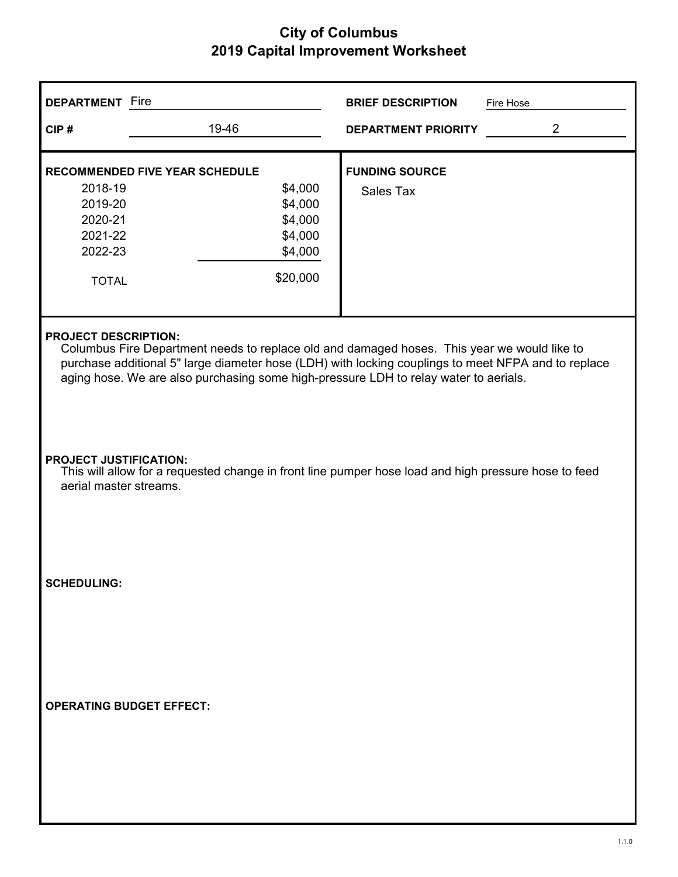| <b>DEPARTMENT</b> Fire                                                                                                                                          |                                                                                                                                                                                                                                                                                                                           | <b>BRIEF DESCRIPTION</b>           | Fire Hose      |  |  |
|-----------------------------------------------------------------------------------------------------------------------------------------------------------------|---------------------------------------------------------------------------------------------------------------------------------------------------------------------------------------------------------------------------------------------------------------------------------------------------------------------------|------------------------------------|----------------|--|--|
| CIP#                                                                                                                                                            | 19-46                                                                                                                                                                                                                                                                                                                     | <b>DEPARTMENT PRIORITY</b>         | $\overline{2}$ |  |  |
| <b>RECOMMENDED FIVE YEAR SCHEDULE</b><br>2018-19<br>2019-20<br>2020-21<br>2021-22<br>2022-23<br><b>TOTAL</b>                                                    | \$4,000<br>\$4,000<br>\$4,000<br>\$4,000<br>\$4,000<br>\$20,000                                                                                                                                                                                                                                                           | <b>FUNDING SOURCE</b><br>Sales Tax |                |  |  |
|                                                                                                                                                                 | <b>PROJECT DESCRIPTION:</b><br>Columbus Fire Department needs to replace old and damaged hoses. This year we would like to<br>purchase additional 5" large diameter hose (LDH) with locking couplings to meet NFPA and to replace<br>aging hose. We are also purchasing some high-pressure LDH to relay water to aerials. |                                    |                |  |  |
| <b>PROJECT JUSTIFICATION:</b><br>This will allow for a requested change in front line pumper hose load and high pressure hose to feed<br>aerial master streams. |                                                                                                                                                                                                                                                                                                                           |                                    |                |  |  |
| <b>SCHEDULING:</b>                                                                                                                                              |                                                                                                                                                                                                                                                                                                                           |                                    |                |  |  |
| <b>OPERATING BUDGET EFFECT:</b>                                                                                                                                 |                                                                                                                                                                                                                                                                                                                           |                                    |                |  |  |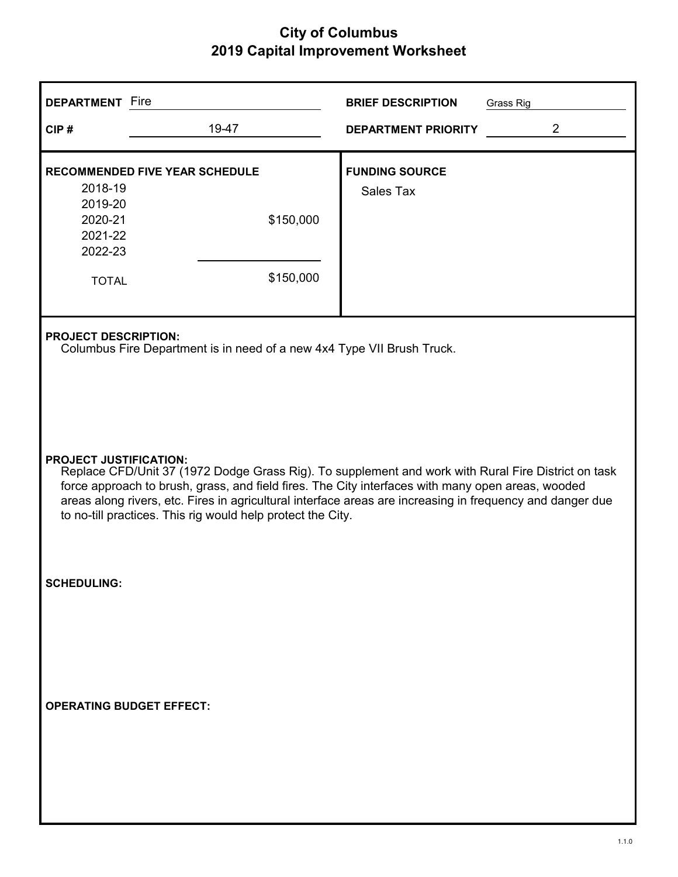| <b>DEPARTMENT</b> Fire                                                                                                                                                                                                                                                                                                                                                                                                |                                                                                                       | <b>BRIEF DESCRIPTION</b>           | Grass Rig      |  |
|-----------------------------------------------------------------------------------------------------------------------------------------------------------------------------------------------------------------------------------------------------------------------------------------------------------------------------------------------------------------------------------------------------------------------|-------------------------------------------------------------------------------------------------------|------------------------------------|----------------|--|
| CIP#                                                                                                                                                                                                                                                                                                                                                                                                                  | 19-47                                                                                                 | <b>DEPARTMENT PRIORITY</b>         | $\overline{2}$ |  |
| 2018-19<br>2019-20<br>2020-21<br>2021-22<br>2022-23<br><b>TOTAL</b>                                                                                                                                                                                                                                                                                                                                                   | <b>RECOMMENDED FIVE YEAR SCHEDULE</b><br>\$150,000<br>\$150,000                                       | <b>FUNDING SOURCE</b><br>Sales Tax |                |  |
|                                                                                                                                                                                                                                                                                                                                                                                                                       | <b>PROJECT DESCRIPTION:</b><br>Columbus Fire Department is in need of a new 4x4 Type VII Brush Truck. |                                    |                |  |
| <b>PROJECT JUSTIFICATION:</b><br>Replace CFD/Unit 37 (1972 Dodge Grass Rig). To supplement and work with Rural Fire District on task<br>force approach to brush, grass, and field fires. The City interfaces with many open areas, wooded<br>areas along rivers, etc. Fires in agricultural interface areas are increasing in frequency and danger due<br>to no-till practices. This rig would help protect the City. |                                                                                                       |                                    |                |  |
| <b>SCHEDULING:</b>                                                                                                                                                                                                                                                                                                                                                                                                    |                                                                                                       |                                    |                |  |
| <b>OPERATING BUDGET EFFECT:</b>                                                                                                                                                                                                                                                                                                                                                                                       |                                                                                                       |                                    |                |  |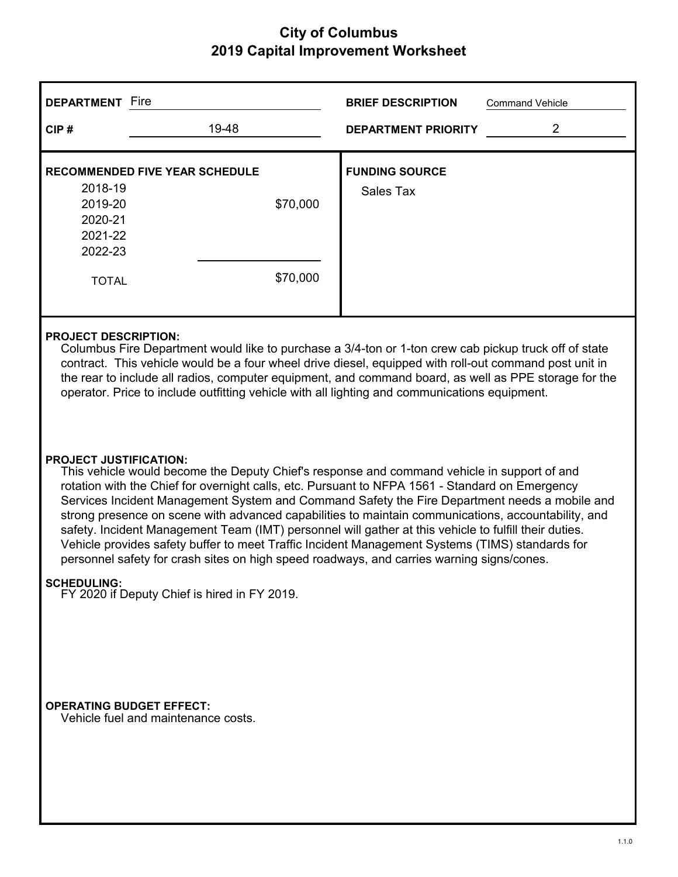| <b>DEPARTMENT</b> Fire                                                                                                                                                                                                                                                                                                                                                                                                                                   |                                                                                             | <b>BRIEF DESCRIPTION</b>           | <b>Command Vehicle</b> |  |
|----------------------------------------------------------------------------------------------------------------------------------------------------------------------------------------------------------------------------------------------------------------------------------------------------------------------------------------------------------------------------------------------------------------------------------------------------------|---------------------------------------------------------------------------------------------|------------------------------------|------------------------|--|
| CIP#                                                                                                                                                                                                                                                                                                                                                                                                                                                     | 19-48                                                                                       | <b>DEPARTMENT PRIORITY</b>         | 2                      |  |
| 2018-19<br>2019-20<br>2020-21<br>2021-22<br>2022-23<br><b>TOTAL</b>                                                                                                                                                                                                                                                                                                                                                                                      | <b>RECOMMENDED FIVE YEAR SCHEDULE</b><br>\$70,000<br>\$70,000                               | <b>FUNDING SOURCE</b><br>Sales Tax |                        |  |
| <b>PROJECT DESCRIPTION:</b><br>Columbus Fire Department would like to purchase a 3/4-ton or 1-ton crew cab pickup truck off of state<br>contract. This vehicle would be a four wheel drive diesel, equipped with roll-out command post unit in<br>the rear to include all radios, computer equipment, and command board, as well as PPE storage for the<br>operator. Price to include outfitting vehicle with all lighting and communications equipment. |                                                                                             |                                    |                        |  |
| <b>PROJECT JUSTIFICATION:</b>                                                                                                                                                                                                                                                                                                                                                                                                                            | This vehicle would become the Deputy Chief's response and command vehicle in support of and |                                    |                        |  |

rotation with the Chief for overnight calls, etc. Pursuant to NFPA 1561 - Standard on Emergency Services Incident Management System and Command Safety the Fire Department needs a mobile and strong presence on scene with advanced capabilities to maintain communications, accountability, and safety. Incident Management Team (IMT) personnel will gather at this vehicle to fulfill their duties. Vehicle provides safety buffer to meet Traffic Incident Management Systems (TIMS) standards for personnel safety for crash sites on high speed roadways, and carries warning signs/cones.

#### **SCHEDULING:**

FY 2020 if Deputy Chief is hired in FY 2019.

 **OPERATING BUDGET EFFECT:**

Vehicle fuel and maintenance costs.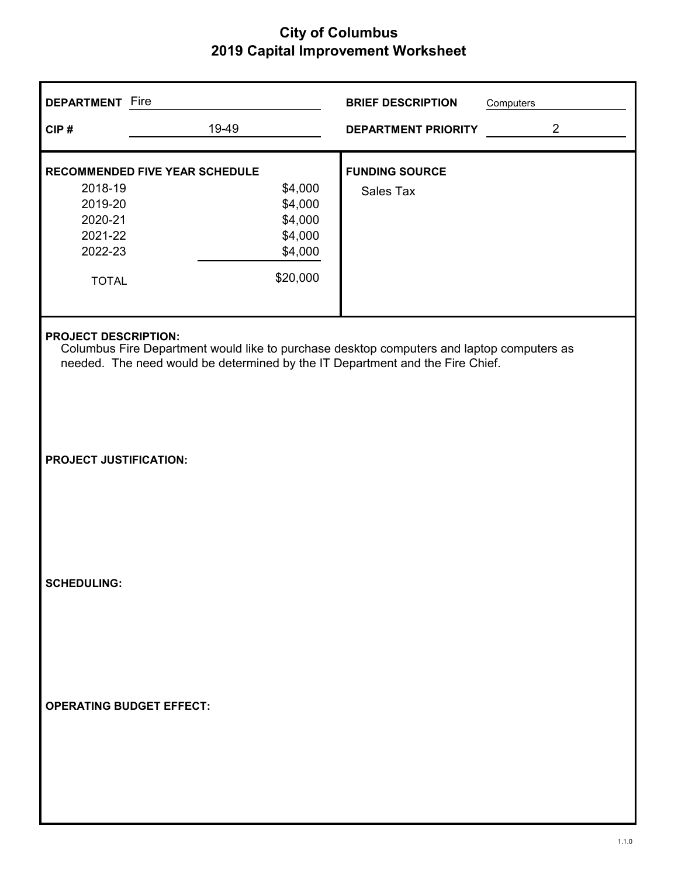| <b>DEPARTMENT</b> Fire                                                                                                                                                                                    |                                                  | <b>BRIEF DESCRIPTION</b>           | Computers      |
|-----------------------------------------------------------------------------------------------------------------------------------------------------------------------------------------------------------|--------------------------------------------------|------------------------------------|----------------|
| CIP#                                                                                                                                                                                                      | 19-49                                            | <b>DEPARTMENT PRIORITY</b>         | $\overline{2}$ |
| 2018-19                                                                                                                                                                                                   | <b>RECOMMENDED FIVE YEAR SCHEDULE</b><br>\$4,000 | <b>FUNDING SOURCE</b><br>Sales Tax |                |
| 2019-20<br>2020-21<br>2021-22<br>2022-23                                                                                                                                                                  | \$4,000<br>\$4,000<br>\$4,000<br>\$4,000         |                                    |                |
| <b>TOTAL</b>                                                                                                                                                                                              | \$20,000                                         |                                    |                |
| <b>PROJECT DESCRIPTION:</b><br>Columbus Fire Department would like to purchase desktop computers and laptop computers as<br>needed. The need would be determined by the IT Department and the Fire Chief. |                                                  |                                    |                |
| <b>PROJECT JUSTIFICATION:</b>                                                                                                                                                                             |                                                  |                                    |                |
| <b>SCHEDULING:</b>                                                                                                                                                                                        |                                                  |                                    |                |
| <b>OPERATING BUDGET EFFECT:</b>                                                                                                                                                                           |                                                  |                                    |                |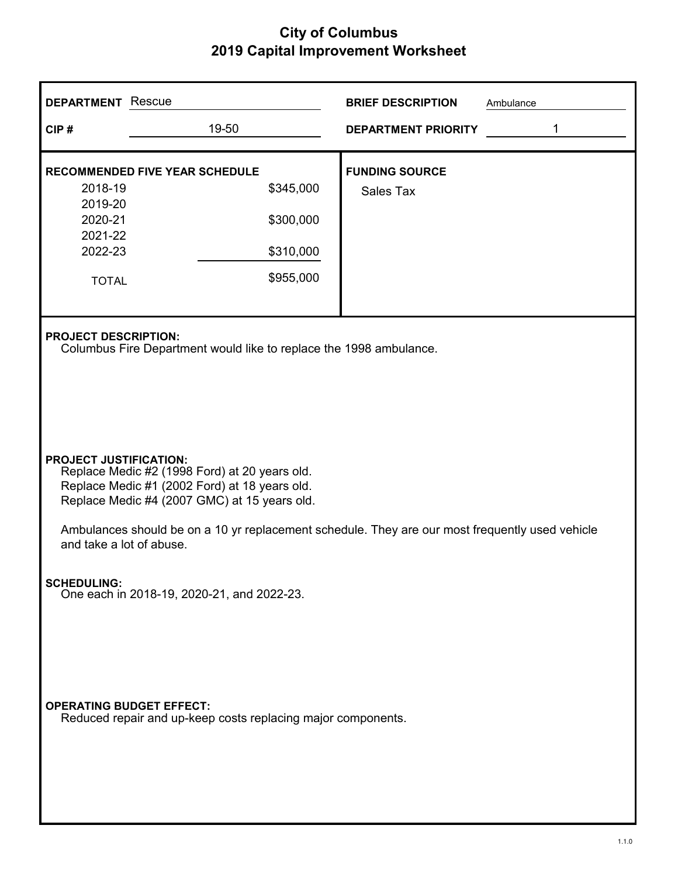| <b>DEPARTMENT</b> Rescue                                            |                                                                                                                                                                                                                                                                                                                | <b>BRIEF DESCRIPTION</b><br>Ambulance |  |  |  |  |
|---------------------------------------------------------------------|----------------------------------------------------------------------------------------------------------------------------------------------------------------------------------------------------------------------------------------------------------------------------------------------------------------|---------------------------------------|--|--|--|--|
| CIP#                                                                | 19-50                                                                                                                                                                                                                                                                                                          | 1<br><b>DEPARTMENT PRIORITY</b>       |  |  |  |  |
| 2018-19<br>2019-20<br>2020-21<br>2021-22<br>2022-23<br><b>TOTAL</b> | <b>RECOMMENDED FIVE YEAR SCHEDULE</b><br>\$345,000<br>\$300,000<br>\$310,000<br>\$955,000                                                                                                                                                                                                                      | <b>FUNDING SOURCE</b><br>Sales Tax    |  |  |  |  |
|                                                                     | <b>PROJECT DESCRIPTION:</b><br>Columbus Fire Department would like to replace the 1998 ambulance.                                                                                                                                                                                                              |                                       |  |  |  |  |
|                                                                     | <b>PROJECT JUSTIFICATION:</b><br>Replace Medic #2 (1998 Ford) at 20 years old.<br>Replace Medic #1 (2002 Ford) at 18 years old.<br>Replace Medic #4 (2007 GMC) at 15 years old.<br>Ambulances should be on a 10 yr replacement schedule. They are our most frequently used vehicle<br>and take a lot of abuse. |                                       |  |  |  |  |
| <b>SCHEDULING:</b><br>One each in 2018-19, 2020-21, and 2022-23.    |                                                                                                                                                                                                                                                                                                                |                                       |  |  |  |  |
|                                                                     | <b>OPERATING BUDGET EFFECT:</b><br>Reduced repair and up-keep costs replacing major components.                                                                                                                                                                                                                |                                       |  |  |  |  |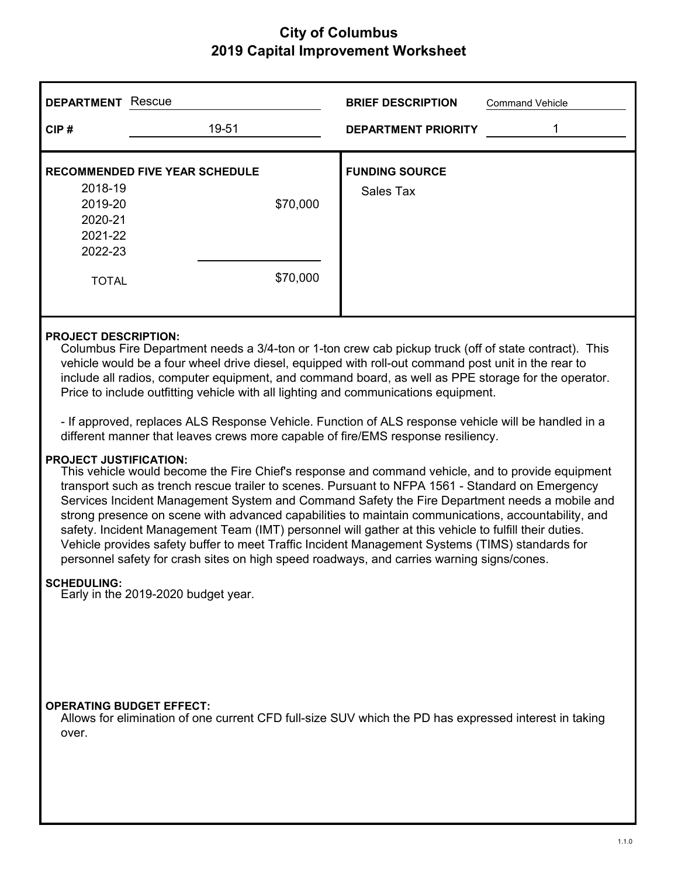| <b>DEPARTMENT</b>                                   | Rescue                                |          | <b>BRIEF DESCRIPTION</b>                                                                             | <b>Command Vehicle</b> |
|-----------------------------------------------------|---------------------------------------|----------|------------------------------------------------------------------------------------------------------|------------------------|
| CIP#                                                | 19-51                                 |          | <b>DEPARTMENT PRIORITY</b>                                                                           | 1                      |
| 2018-19<br>2019-20<br>2020-21<br>2021-22<br>2022-23 | <b>RECOMMENDED FIVE YEAR SCHEDULE</b> | \$70,000 | <b>FUNDING SOURCE</b><br>Sales Tax                                                                   |                        |
| <b>TOTAL</b>                                        |                                       | \$70,000 |                                                                                                      |                        |
| <b>PROJECT DESCRIPTION:</b>                         |                                       |          | Columbus Fire Department peods a 214 top or 1 top grouped pickup truck (off of state contrast). This |                        |

Columbus Fire Department needs a 3/4-ton or 1-ton crew cab pickup truck (off of state contract). This vehicle would be a four wheel drive diesel, equipped with roll-out command post unit in the rear to include all radios, computer equipment, and command board, as well as PPE storage for the operator. Price to include outfitting vehicle with all lighting and communications equipment.

- If approved, replaces ALS Response Vehicle. Function of ALS response vehicle will be handled in a different manner that leaves crews more capable of fire/EMS response resiliency.

#### **PROJECT JUSTIFICATION:**

This vehicle would become the Fire Chief's response and command vehicle, and to provide equipment transport such as trench rescue trailer to scenes. Pursuant to NFPA 1561 - Standard on Emergency Services Incident Management System and Command Safety the Fire Department needs a mobile and strong presence on scene with advanced capabilities to maintain communications, accountability, and safety. Incident Management Team (IMT) personnel will gather at this vehicle to fulfill their duties. Vehicle provides safety buffer to meet Traffic Incident Management Systems (TIMS) standards for personnel safety for crash sites on high speed roadways, and carries warning signs/cones.

#### **SCHEDULING:**

Early in the 2019-2020 budget year.

#### **OPERATING BUDGET EFFECT:**

Allows for elimination of one current CFD full-size SUV which the PD has expressed interest in taking over.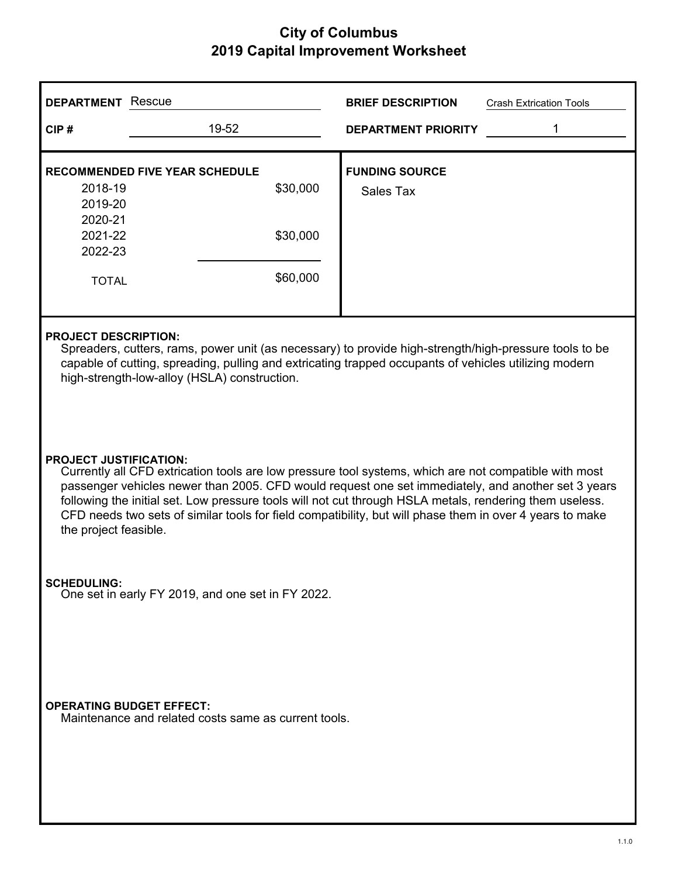| <b>DEPARTMENT</b> Rescue                 |                                                                                                                                                                                                                                                                                                                                                                                                                                                                                              | <b>BRIEF DESCRIPTION</b>           | <b>Crash Extrication Tools</b> |  |  |
|------------------------------------------|----------------------------------------------------------------------------------------------------------------------------------------------------------------------------------------------------------------------------------------------------------------------------------------------------------------------------------------------------------------------------------------------------------------------------------------------------------------------------------------------|------------------------------------|--------------------------------|--|--|
| CIP#                                     | 19-52                                                                                                                                                                                                                                                                                                                                                                                                                                                                                        | <b>DEPARTMENT PRIORITY</b>         |                                |  |  |
| 2018-19<br>2019-20<br>2020-21<br>2021-22 | <b>RECOMMENDED FIVE YEAR SCHEDULE</b><br>\$30,000<br>\$30,000                                                                                                                                                                                                                                                                                                                                                                                                                                | <b>FUNDING SOURCE</b><br>Sales Tax |                                |  |  |
| 2022-23<br><b>TOTAL</b>                  | \$60,000                                                                                                                                                                                                                                                                                                                                                                                                                                                                                     |                                    |                                |  |  |
|                                          | <b>PROJECT DESCRIPTION:</b><br>Spreaders, cutters, rams, power unit (as necessary) to provide high-strength/high-pressure tools to be<br>capable of cutting, spreading, pulling and extricating trapped occupants of vehicles utilizing modern<br>high-strength-low-alloy (HSLA) construction.                                                                                                                                                                                               |                                    |                                |  |  |
|                                          | <b>PROJECT JUSTIFICATION:</b><br>Currently all CFD extrication tools are low pressure tool systems, which are not compatible with most<br>passenger vehicles newer than 2005. CFD would request one set immediately, and another set 3 years<br>following the initial set. Low pressure tools will not cut through HSLA metals, rendering them useless.<br>CFD needs two sets of similar tools for field compatibility, but will phase them in over 4 years to make<br>the project feasible. |                                    |                                |  |  |
| <b>SCHEDULING:</b>                       | One set in early FY 2019, and one set in FY 2022.                                                                                                                                                                                                                                                                                                                                                                                                                                            |                                    |                                |  |  |
| <b>OPERATING BUDGET EFFECT:</b>          | Maintenance and related costs same as current tools.                                                                                                                                                                                                                                                                                                                                                                                                                                         |                                    |                                |  |  |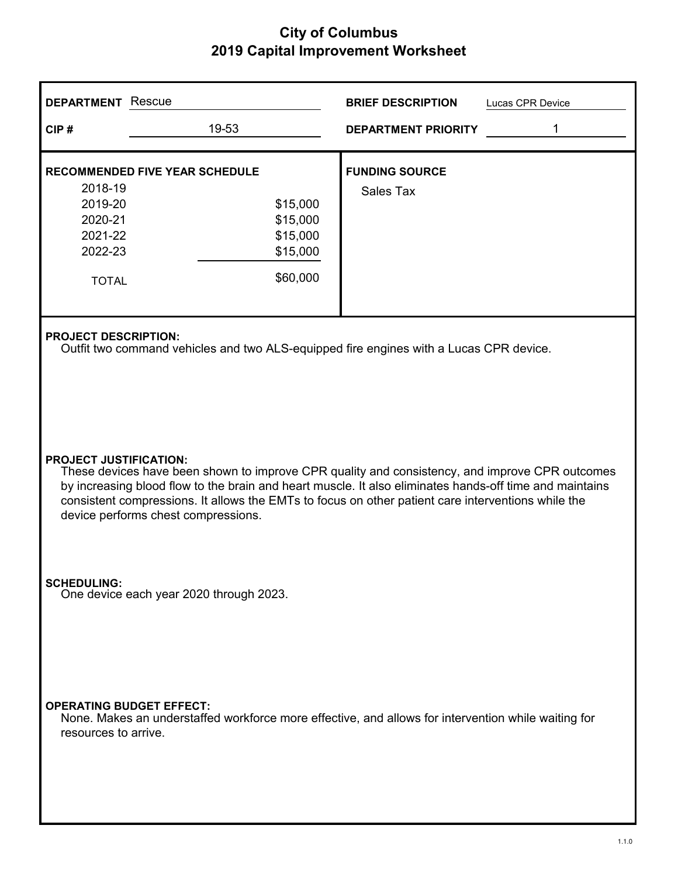| <b>DEPARTMENT</b> Rescue                                            |                                                                                                                                                                                                                                                                                                                                                                                         |                                                          | <b>BRIEF DESCRIPTION</b>           | Lucas CPR Device |  |  |
|---------------------------------------------------------------------|-----------------------------------------------------------------------------------------------------------------------------------------------------------------------------------------------------------------------------------------------------------------------------------------------------------------------------------------------------------------------------------------|----------------------------------------------------------|------------------------------------|------------------|--|--|
| CIP#                                                                | 19-53                                                                                                                                                                                                                                                                                                                                                                                   |                                                          | <b>DEPARTMENT PRIORITY</b>         | 1                |  |  |
| 2018-19<br>2019-20<br>2020-21<br>2021-22<br>2022-23<br><b>TOTAL</b> | <b>RECOMMENDED FIVE YEAR SCHEDULE</b>                                                                                                                                                                                                                                                                                                                                                   | \$15,000<br>\$15,000<br>\$15,000<br>\$15,000<br>\$60,000 | <b>FUNDING SOURCE</b><br>Sales Tax |                  |  |  |
|                                                                     | <b>PROJECT DESCRIPTION:</b><br>Outfit two command vehicles and two ALS-equipped fire engines with a Lucas CPR device.                                                                                                                                                                                                                                                                   |                                                          |                                    |                  |  |  |
|                                                                     | <b>PROJECT JUSTIFICATION:</b><br>These devices have been shown to improve CPR quality and consistency, and improve CPR outcomes<br>by increasing blood flow to the brain and heart muscle. It also eliminates hands-off time and maintains<br>consistent compressions. It allows the EMTs to focus on other patient care interventions while the<br>device performs chest compressions. |                                                          |                                    |                  |  |  |
| <b>SCHEDULING:</b><br>One device each year 2020 through 2023.       |                                                                                                                                                                                                                                                                                                                                                                                         |                                                          |                                    |                  |  |  |
| resources to arrive.                                                | <b>OPERATING BUDGET EFFECT:</b><br>None. Makes an understaffed workforce more effective, and allows for intervention while waiting for                                                                                                                                                                                                                                                  |                                                          |                                    |                  |  |  |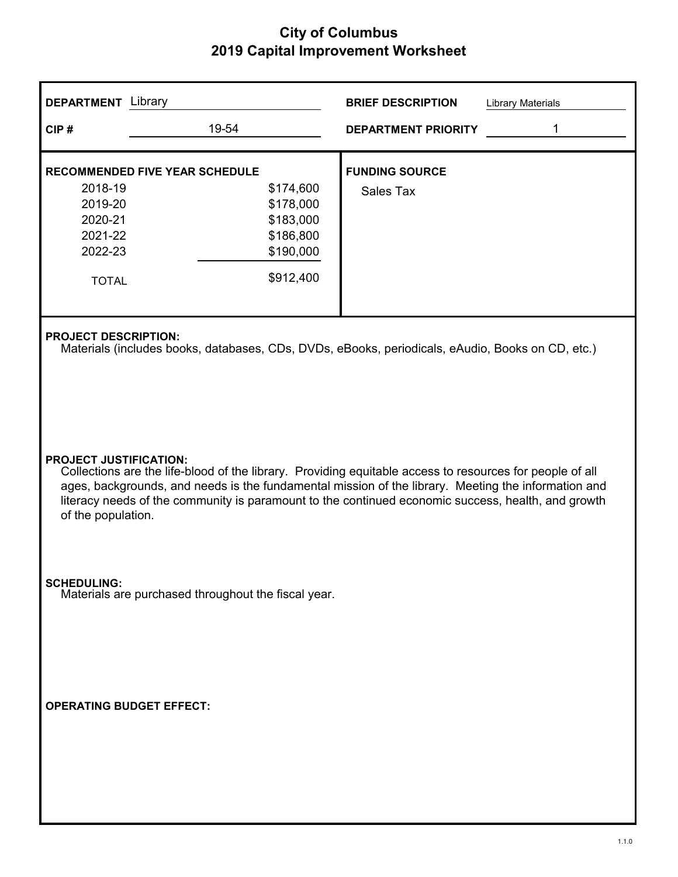| <b>DEPARTMENT</b> Library                                                                                    |                                                                                                                                                                                                                                                                                                                                                        | <b>BRIEF DESCRIPTION</b><br>Library Materials                                                    |  |  |  |
|--------------------------------------------------------------------------------------------------------------|--------------------------------------------------------------------------------------------------------------------------------------------------------------------------------------------------------------------------------------------------------------------------------------------------------------------------------------------------------|--------------------------------------------------------------------------------------------------|--|--|--|
| CIP#                                                                                                         | 19-54                                                                                                                                                                                                                                                                                                                                                  | 1<br><b>DEPARTMENT PRIORITY</b>                                                                  |  |  |  |
| <b>RECOMMENDED FIVE YEAR SCHEDULE</b><br>2018-19<br>2019-20<br>2020-21<br>2021-22<br>2022-23<br><b>TOTAL</b> | \$174,600<br>\$178,000<br>\$183,000<br>\$186,800<br>\$190,000<br>\$912,400                                                                                                                                                                                                                                                                             | <b>FUNDING SOURCE</b><br>Sales Tax                                                               |  |  |  |
| <b>PROJECT DESCRIPTION:</b>                                                                                  |                                                                                                                                                                                                                                                                                                                                                        | Materials (includes books, databases, CDs, DVDs, eBooks, periodicals, eAudio, Books on CD, etc.) |  |  |  |
| of the population.                                                                                           | <b>PROJECT JUSTIFICATION:</b><br>Collections are the life-blood of the library. Providing equitable access to resources for people of all<br>ages, backgrounds, and needs is the fundamental mission of the library. Meeting the information and<br>literacy needs of the community is paramount to the continued economic success, health, and growth |                                                                                                  |  |  |  |
| <b>SCHEDULING:</b>                                                                                           | Materials are purchased throughout the fiscal year.                                                                                                                                                                                                                                                                                                    |                                                                                                  |  |  |  |
| <b>OPERATING BUDGET EFFECT:</b>                                                                              |                                                                                                                                                                                                                                                                                                                                                        |                                                                                                  |  |  |  |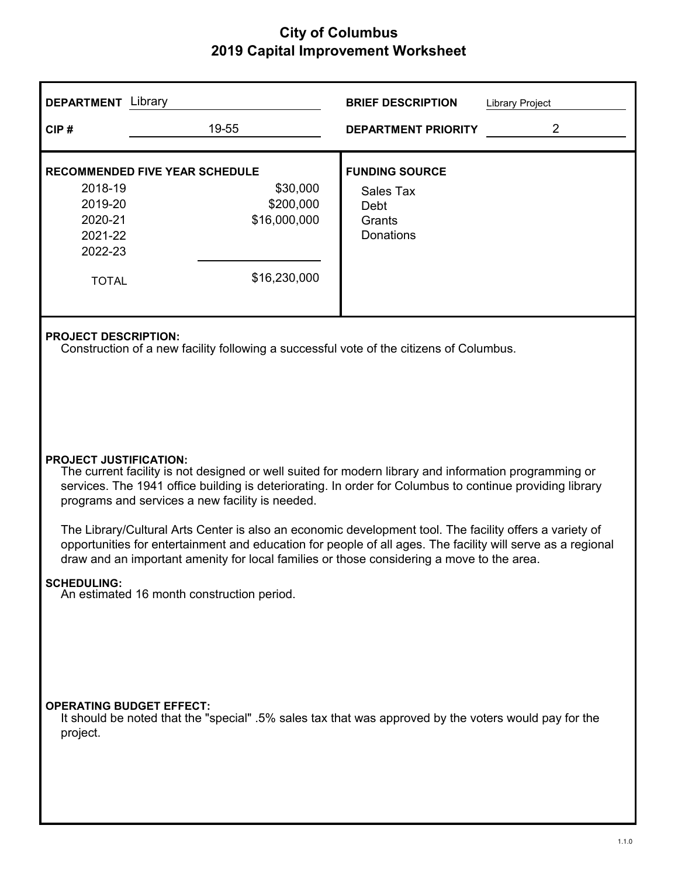| <b>DEPARTMENT</b> Library                                                                                    |                                                                                                                                                                                                                                                                                                                                                                                                                                                                                                                                 | <b>BRIEF DESCRIPTION</b>                                                 | <b>Library Project</b> |  |  |  |
|--------------------------------------------------------------------------------------------------------------|---------------------------------------------------------------------------------------------------------------------------------------------------------------------------------------------------------------------------------------------------------------------------------------------------------------------------------------------------------------------------------------------------------------------------------------------------------------------------------------------------------------------------------|--------------------------------------------------------------------------|------------------------|--|--|--|
| CIP#                                                                                                         | 19-55                                                                                                                                                                                                                                                                                                                                                                                                                                                                                                                           | <b>DEPARTMENT PRIORITY</b>                                               | 2                      |  |  |  |
| <b>RECOMMENDED FIVE YEAR SCHEDULE</b><br>2018-19<br>2019-20<br>2020-21<br>2021-22<br>2022-23<br><b>TOTAL</b> | \$30,000<br>\$200,000<br>\$16,000,000<br>\$16,230,000                                                                                                                                                                                                                                                                                                                                                                                                                                                                           | <b>FUNDING SOURCE</b><br>Sales Tax<br>Debt<br>Grants<br><b>Donations</b> |                        |  |  |  |
|                                                                                                              | <b>PROJECT DESCRIPTION:</b><br>Construction of a new facility following a successful vote of the citizens of Columbus.                                                                                                                                                                                                                                                                                                                                                                                                          |                                                                          |                        |  |  |  |
| draw and an important amenity for local families or those considering a move to the area.                    | <b>PROJECT JUSTIFICATION:</b><br>The current facility is not designed or well suited for modern library and information programming or<br>services. The 1941 office building is deteriorating. In order for Columbus to continue providing library<br>programs and services a new facility is needed.<br>The Library/Cultural Arts Center is also an economic development tool. The facility offers a variety of<br>opportunities for entertainment and education for people of all ages. The facility will serve as a regional |                                                                          |                        |  |  |  |
| <b>SCHEDULING:</b>                                                                                           | An estimated 16 month construction period.                                                                                                                                                                                                                                                                                                                                                                                                                                                                                      |                                                                          |                        |  |  |  |
| <b>OPERATING BUDGET EFFECT:</b><br>project.                                                                  | It should be noted that the "special" .5% sales tax that was approved by the voters would pay for the                                                                                                                                                                                                                                                                                                                                                                                                                           |                                                                          |                        |  |  |  |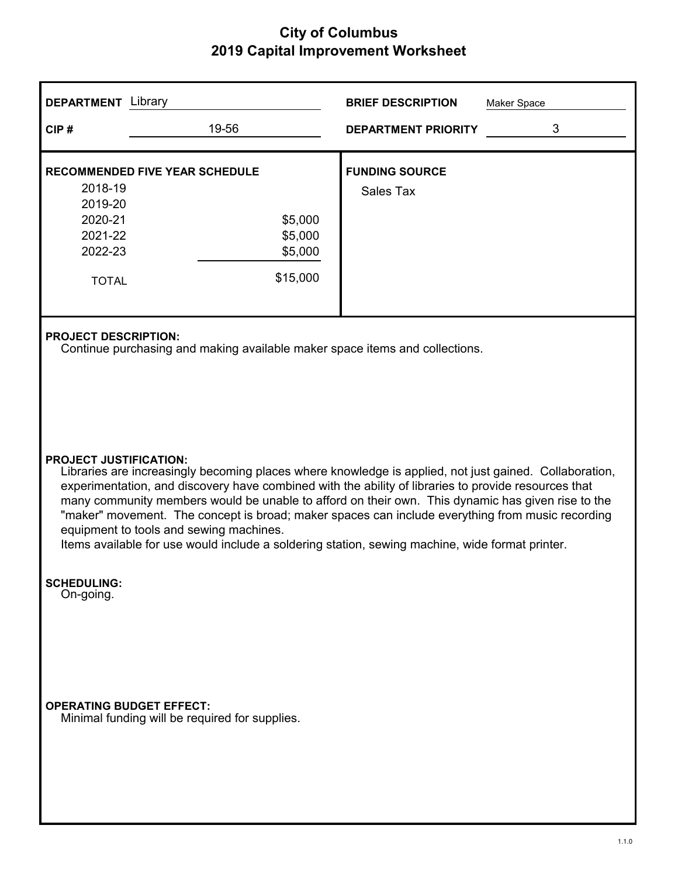| <b>DEPARTMENT</b> Library                                           |                                                                                                                                                                                                                                                                                                                                                                                                                                                                                                                                                                                                                                                                                                                      | <b>BRIEF DESCRIPTION</b>           | Maker Space |  |  |
|---------------------------------------------------------------------|----------------------------------------------------------------------------------------------------------------------------------------------------------------------------------------------------------------------------------------------------------------------------------------------------------------------------------------------------------------------------------------------------------------------------------------------------------------------------------------------------------------------------------------------------------------------------------------------------------------------------------------------------------------------------------------------------------------------|------------------------------------|-------------|--|--|
| CIP#                                                                | 19-56                                                                                                                                                                                                                                                                                                                                                                                                                                                                                                                                                                                                                                                                                                                | <b>DEPARTMENT PRIORITY</b>         | 3           |  |  |
| 2018-19<br>2019-20<br>2020-21<br>2021-22<br>2022-23<br><b>TOTAL</b> | <b>RECOMMENDED FIVE YEAR SCHEDULE</b><br>\$5,000<br>\$5,000<br>\$5,000<br>\$15,000                                                                                                                                                                                                                                                                                                                                                                                                                                                                                                                                                                                                                                   | <b>FUNDING SOURCE</b><br>Sales Tax |             |  |  |
|                                                                     | <b>PROJECT DESCRIPTION:</b><br>Continue purchasing and making available maker space items and collections.<br><b>PROJECT JUSTIFICATION:</b><br>Libraries are increasingly becoming places where knowledge is applied, not just gained. Collaboration,<br>experimentation, and discovery have combined with the ability of libraries to provide resources that<br>many community members would be unable to afford on their own. This dynamic has given rise to the<br>"maker" movement. The concept is broad; maker spaces can include everything from music recording<br>equipment to tools and sewing machines.<br>Items available for use would include a soldering station, sewing machine, wide format printer. |                                    |             |  |  |
| <b>SCHEDULING:</b><br>On-going.                                     | <b>OPERATING BUDGET EFFECT:</b><br>Minimal funding will be required for supplies.                                                                                                                                                                                                                                                                                                                                                                                                                                                                                                                                                                                                                                    |                                    |             |  |  |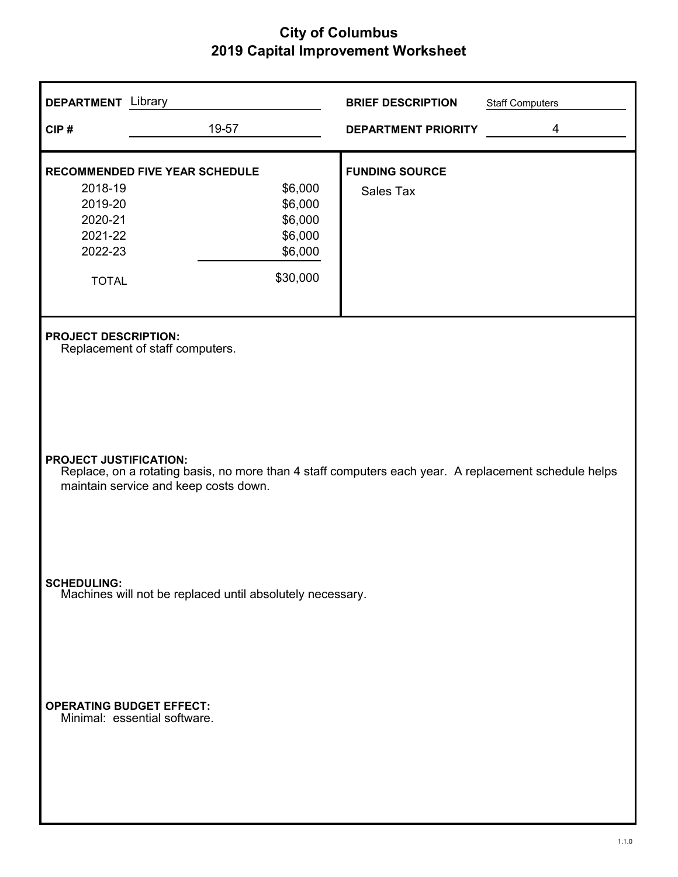| <b>DEPARTMENT</b> Library                                           |                                                                                                                                               | <b>BRIEF DESCRIPTION</b>           | <b>Staff Computers</b> |
|---------------------------------------------------------------------|-----------------------------------------------------------------------------------------------------------------------------------------------|------------------------------------|------------------------|
| CIP#                                                                | 19-57                                                                                                                                         | <b>DEPARTMENT PRIORITY</b>         | 4                      |
| 2018-19<br>2019-20<br>2020-21<br>2021-22<br>2022-23<br><b>TOTAL</b> | <b>RECOMMENDED FIVE YEAR SCHEDULE</b><br>\$6,000<br>\$6,000<br>\$6,000<br>\$6,000<br>\$6,000<br>\$30,000                                      | <b>FUNDING SOURCE</b><br>Sales Tax |                        |
| <b>PROJECT DESCRIPTION:</b>                                         | Replacement of staff computers.                                                                                                               |                                    |                        |
| <b>PROJECT JUSTIFICATION:</b>                                       | Replace, on a rotating basis, no more than 4 staff computers each year. A replacement schedule helps<br>maintain service and keep costs down. |                                    |                        |
| <b>SCHEDULING:</b>                                                  | Machines will not be replaced until absolutely necessary.                                                                                     |                                    |                        |
| <b>OPERATING BUDGET EFFECT:</b>                                     | Minimal: essential software.                                                                                                                  |                                    |                        |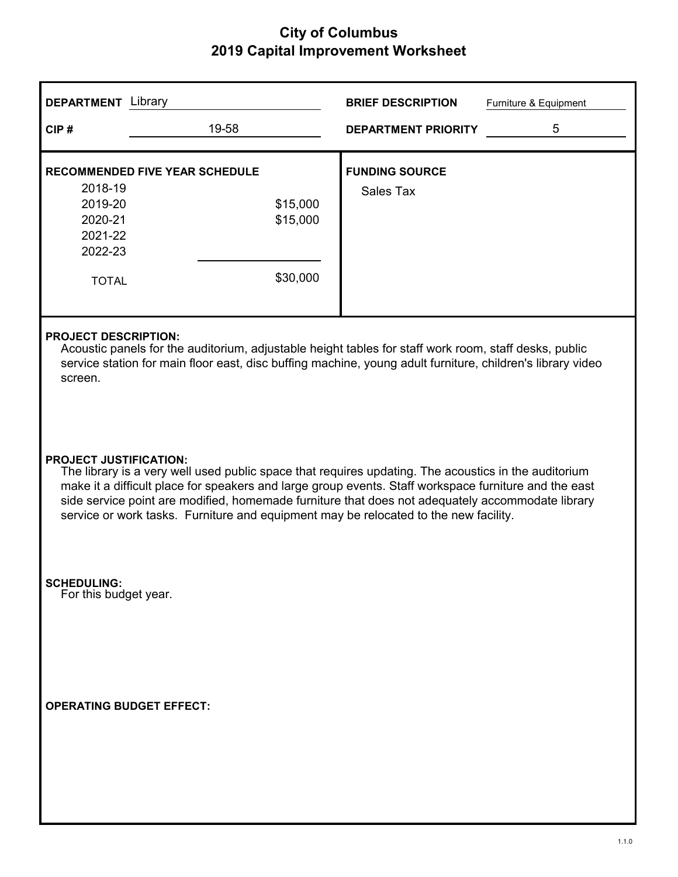| <b>DEPARTMENT</b> Library                                                                                                                                                                                                                                                                                                                                                                                                                                                                                                                                                                                                                                                                                   |                                       | <b>BRIEF DESCRIPTION</b>   | Furniture & Equipment |  |
|-------------------------------------------------------------------------------------------------------------------------------------------------------------------------------------------------------------------------------------------------------------------------------------------------------------------------------------------------------------------------------------------------------------------------------------------------------------------------------------------------------------------------------------------------------------------------------------------------------------------------------------------------------------------------------------------------------------|---------------------------------------|----------------------------|-----------------------|--|
| CIP#                                                                                                                                                                                                                                                                                                                                                                                                                                                                                                                                                                                                                                                                                                        | 19-58                                 | <b>DEPARTMENT PRIORITY</b> | 5                     |  |
|                                                                                                                                                                                                                                                                                                                                                                                                                                                                                                                                                                                                                                                                                                             | <b>RECOMMENDED FIVE YEAR SCHEDULE</b> | <b>FUNDING SOURCE</b>      |                       |  |
| 2018-19                                                                                                                                                                                                                                                                                                                                                                                                                                                                                                                                                                                                                                                                                                     |                                       | <b>Sales Tax</b>           |                       |  |
| 2019-20<br>2020-21                                                                                                                                                                                                                                                                                                                                                                                                                                                                                                                                                                                                                                                                                          | \$15,000<br>\$15,000                  |                            |                       |  |
| 2021-22                                                                                                                                                                                                                                                                                                                                                                                                                                                                                                                                                                                                                                                                                                     |                                       |                            |                       |  |
| 2022-23                                                                                                                                                                                                                                                                                                                                                                                                                                                                                                                                                                                                                                                                                                     |                                       |                            |                       |  |
|                                                                                                                                                                                                                                                                                                                                                                                                                                                                                                                                                                                                                                                                                                             |                                       |                            |                       |  |
| <b>TOTAL</b>                                                                                                                                                                                                                                                                                                                                                                                                                                                                                                                                                                                                                                                                                                | \$30,000                              |                            |                       |  |
|                                                                                                                                                                                                                                                                                                                                                                                                                                                                                                                                                                                                                                                                                                             |                                       |                            |                       |  |
| <b>PROJECT DESCRIPTION:</b><br>Acoustic panels for the auditorium, adjustable height tables for staff work room, staff desks, public<br>service station for main floor east, disc buffing machine, young adult furniture, children's library video<br>screen.<br><b>PROJECT JUSTIFICATION:</b><br>The library is a very well used public space that requires updating. The acoustics in the auditorium<br>make it a difficult place for speakers and large group events. Staff workspace furniture and the east<br>side service point are modified, homemade furniture that does not adequately accommodate library<br>service or work tasks. Furniture and equipment may be relocated to the new facility. |                                       |                            |                       |  |
| <b>SCHEDULING:</b><br>For this budget year.                                                                                                                                                                                                                                                                                                                                                                                                                                                                                                                                                                                                                                                                 |                                       |                            |                       |  |
| <b>OPERATING BUDGET EFFECT:</b>                                                                                                                                                                                                                                                                                                                                                                                                                                                                                                                                                                                                                                                                             |                                       |                            |                       |  |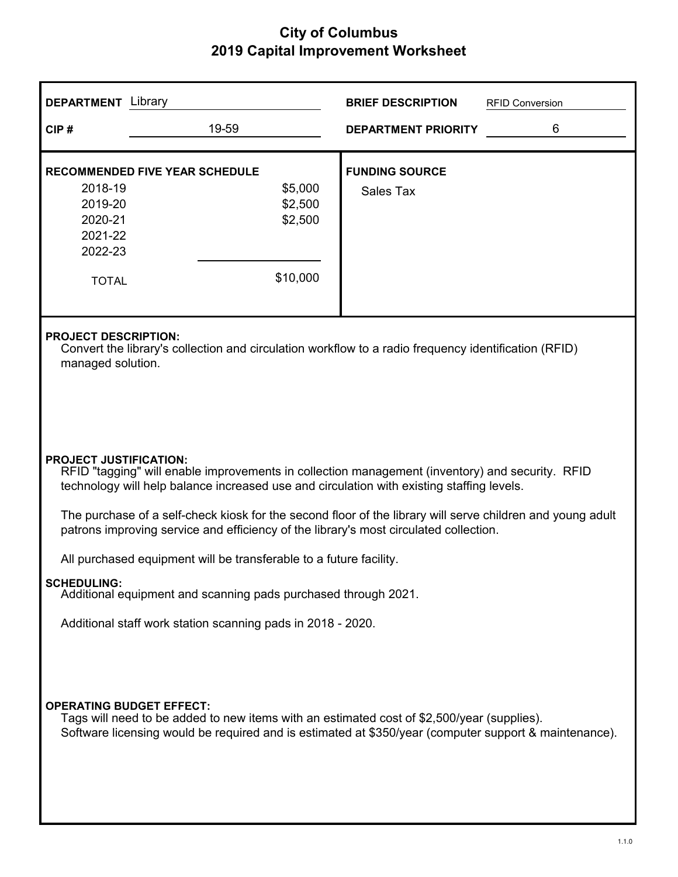| <b>DEPARTMENT</b> Library                                           |                                                                                                                                                                                                                                                                                                       | <b>BRIEF DESCRIPTION</b>           | <b>RFID Conversion</b> |  |  |  |
|---------------------------------------------------------------------|-------------------------------------------------------------------------------------------------------------------------------------------------------------------------------------------------------------------------------------------------------------------------------------------------------|------------------------------------|------------------------|--|--|--|
| CIP#                                                                | 19-59                                                                                                                                                                                                                                                                                                 | <b>DEPARTMENT PRIORITY</b>         | 6                      |  |  |  |
| 2018-19<br>2019-20<br>2020-21<br>2021-22<br>2022-23<br><b>TOTAL</b> | <b>RECOMMENDED FIVE YEAR SCHEDULE</b><br>\$5,000<br>\$2,500<br>\$2,500<br>\$10,000                                                                                                                                                                                                                    | <b>FUNDING SOURCE</b><br>Sales Tax |                        |  |  |  |
|                                                                     | <b>PROJECT DESCRIPTION:</b><br>Convert the library's collection and circulation workflow to a radio frequency identification (RFID)<br>managed solution.                                                                                                                                              |                                    |                        |  |  |  |
| <b>PROJECT JUSTIFICATION:</b>                                       | RFID "tagging" will enable improvements in collection management (inventory) and security. RFID<br>technology will help balance increased use and circulation with existing staffing levels.                                                                                                          |                                    |                        |  |  |  |
|                                                                     | The purchase of a self-check kiosk for the second floor of the library will serve children and young adult<br>patrons improving service and efficiency of the library's most circulated collection.                                                                                                   |                                    |                        |  |  |  |
|                                                                     | All purchased equipment will be transferable to a future facility.                                                                                                                                                                                                                                    |                                    |                        |  |  |  |
| <b>SCHEDULING:</b>                                                  | Additional equipment and scanning pads purchased through 2021.                                                                                                                                                                                                                                        |                                    |                        |  |  |  |
|                                                                     |                                                                                                                                                                                                                                                                                                       |                                    |                        |  |  |  |
|                                                                     | Additional staff work station scanning pads in 2018 - 2020.<br><b>OPERATING BUDGET EFFECT:</b><br>Tags will need to be added to new items with an estimated cost of \$2,500/year (supplies).<br>Software licensing would be required and is estimated at \$350/year (computer support & maintenance). |                                    |                        |  |  |  |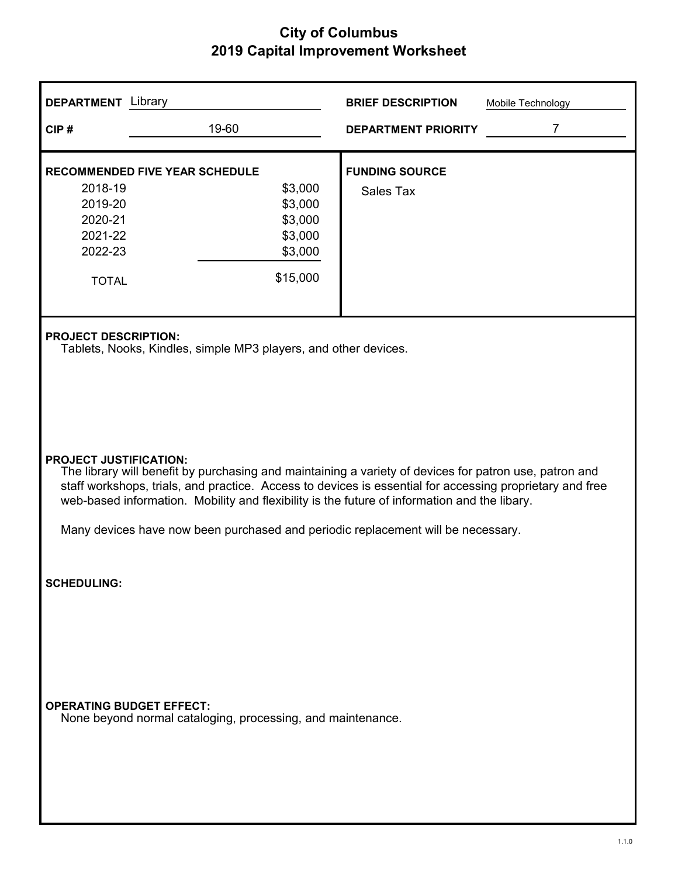| <b>DEPARTMENT</b> Library                                                                                    |                                                                                                                                                                                                                                                                                                                                                                                                                                         | <b>BRIEF DESCRIPTION</b>           | Mobile Technology |  |  |
|--------------------------------------------------------------------------------------------------------------|-----------------------------------------------------------------------------------------------------------------------------------------------------------------------------------------------------------------------------------------------------------------------------------------------------------------------------------------------------------------------------------------------------------------------------------------|------------------------------------|-------------------|--|--|
| CIP#                                                                                                         | 19-60                                                                                                                                                                                                                                                                                                                                                                                                                                   | <b>DEPARTMENT PRIORITY</b>         | $\overline{7}$    |  |  |
| <b>RECOMMENDED FIVE YEAR SCHEDULE</b><br>2018-19<br>2019-20<br>2020-21<br>2021-22<br>2022-23<br><b>TOTAL</b> | \$3,000<br>\$3,000<br>\$3,000<br>\$3,000<br>\$3,000<br>\$15,000                                                                                                                                                                                                                                                                                                                                                                         | <b>FUNDING SOURCE</b><br>Sales Tax |                   |  |  |
| <b>PROJECT DESCRIPTION:</b>                                                                                  | Tablets, Nooks, Kindles, simple MP3 players, and other devices.                                                                                                                                                                                                                                                                                                                                                                         |                                    |                   |  |  |
|                                                                                                              | <b>PROJECT JUSTIFICATION:</b><br>The library will benefit by purchasing and maintaining a variety of devices for patron use, patron and<br>staff workshops, trials, and practice. Access to devices is essential for accessing proprietary and free<br>web-based information. Mobility and flexibility is the future of information and the libary.<br>Many devices have now been purchased and periodic replacement will be necessary. |                                    |                   |  |  |
| <b>SCHEDULING:</b>                                                                                           |                                                                                                                                                                                                                                                                                                                                                                                                                                         |                                    |                   |  |  |
| <b>OPERATING BUDGET EFFECT:</b>                                                                              | None beyond normal cataloging, processing, and maintenance.                                                                                                                                                                                                                                                                                                                                                                             |                                    |                   |  |  |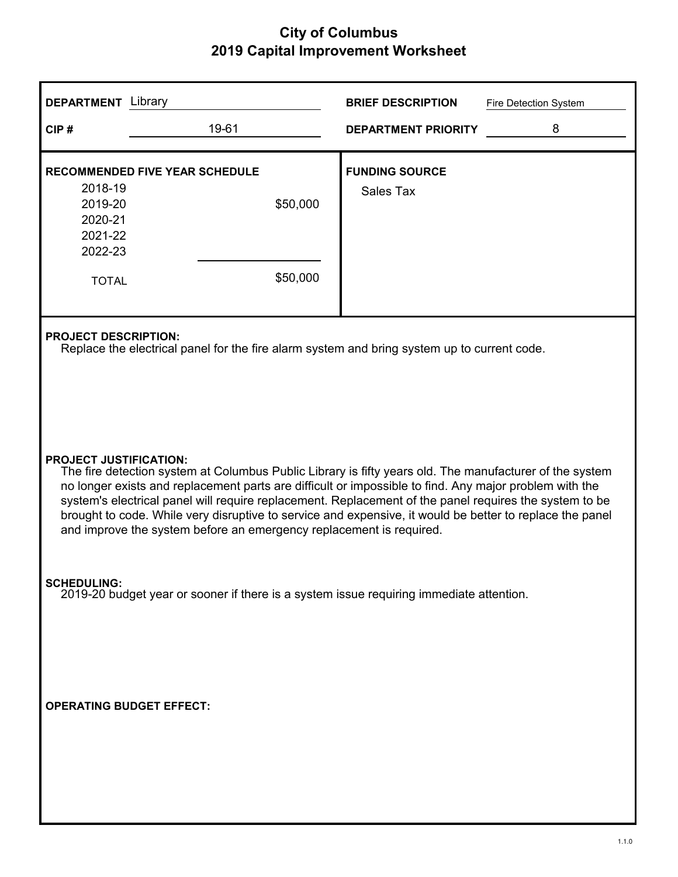| <b>DEPARTMENT</b> Library                                                                                                                                                                                                                                                                                                                                                                                                                                                                                                                       |                                                                                                                            | <b>BRIEF DESCRIPTION</b>                  | Fire Detection System |  |  |  |
|-------------------------------------------------------------------------------------------------------------------------------------------------------------------------------------------------------------------------------------------------------------------------------------------------------------------------------------------------------------------------------------------------------------------------------------------------------------------------------------------------------------------------------------------------|----------------------------------------------------------------------------------------------------------------------------|-------------------------------------------|-----------------------|--|--|--|
| CIP#                                                                                                                                                                                                                                                                                                                                                                                                                                                                                                                                            | 19-61                                                                                                                      | <b>DEPARTMENT PRIORITY</b>                | 8                     |  |  |  |
| 2018-19<br>2019-20<br>2020-21<br>2021-22<br>2022-23<br><b>TOTAL</b>                                                                                                                                                                                                                                                                                                                                                                                                                                                                             | <b>RECOMMENDED FIVE YEAR SCHEDULE</b><br>\$50,000<br>\$50,000                                                              | <b>FUNDING SOURCE</b><br><b>Sales Tax</b> |                       |  |  |  |
|                                                                                                                                                                                                                                                                                                                                                                                                                                                                                                                                                 | <b>PROJECT DESCRIPTION:</b><br>Replace the electrical panel for the fire alarm system and bring system up to current code. |                                           |                       |  |  |  |
| <b>PROJECT JUSTIFICATION:</b><br>The fire detection system at Columbus Public Library is fifty years old. The manufacturer of the system<br>no longer exists and replacement parts are difficult or impossible to find. Any major problem with the<br>system's electrical panel will require replacement. Replacement of the panel requires the system to be<br>brought to code. While very disruptive to service and expensive, it would be better to replace the panel<br>and improve the system before an emergency replacement is required. |                                                                                                                            |                                           |                       |  |  |  |
| <b>SCHEDULING:</b><br>2019-20 budget year or sooner if there is a system issue requiring immediate attention.                                                                                                                                                                                                                                                                                                                                                                                                                                   |                                                                                                                            |                                           |                       |  |  |  |
| <b>OPERATING BUDGET EFFECT:</b>                                                                                                                                                                                                                                                                                                                                                                                                                                                                                                                 |                                                                                                                            |                                           |                       |  |  |  |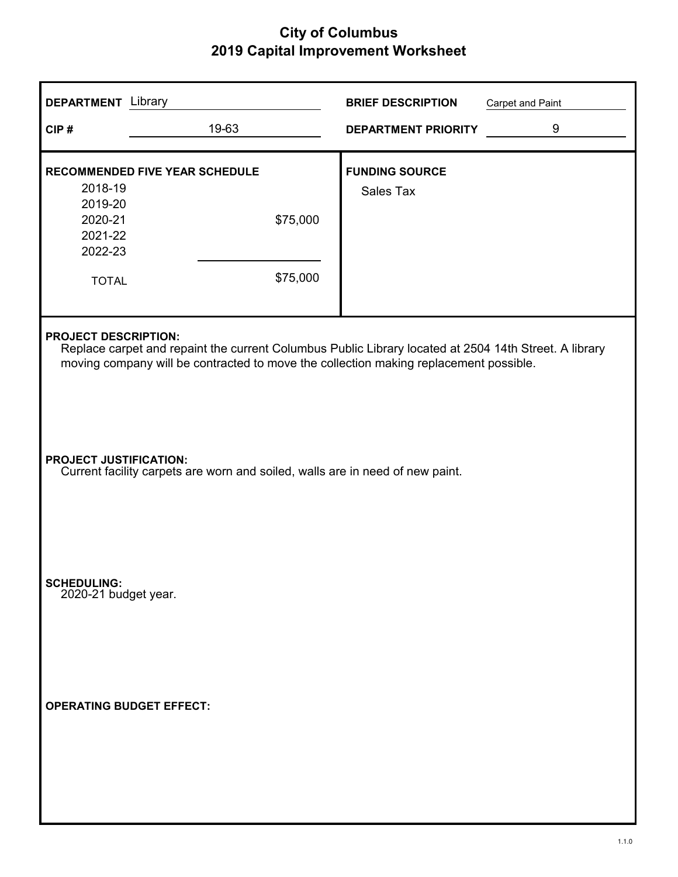| <b>DEPARTMENT</b> Library                                                                                                                                                                                                     |                                                               | <b>BRIEF DESCRIPTION</b>           | <b>Carpet and Paint</b> |  |
|-------------------------------------------------------------------------------------------------------------------------------------------------------------------------------------------------------------------------------|---------------------------------------------------------------|------------------------------------|-------------------------|--|
| CIP#                                                                                                                                                                                                                          | 19-63                                                         | <b>DEPARTMENT PRIORITY</b>         | 9                       |  |
| 2018-19<br>2019-20<br>2020-21<br>2021-22<br>2022-23<br><b>TOTAL</b>                                                                                                                                                           | <b>RECOMMENDED FIVE YEAR SCHEDULE</b><br>\$75,000<br>\$75,000 | <b>FUNDING SOURCE</b><br>Sales Tax |                         |  |
| <b>PROJECT DESCRIPTION:</b><br>Replace carpet and repaint the current Columbus Public Library located at 2504 14th Street. A library<br>moving company will be contracted to move the collection making replacement possible. |                                                               |                                    |                         |  |
| <b>PROJECT JUSTIFICATION:</b><br>Current facility carpets are worn and soiled, walls are in need of new paint.                                                                                                                |                                                               |                                    |                         |  |
| <b>SCHEDULING:</b><br>2020-21 budget year.                                                                                                                                                                                    |                                                               |                                    |                         |  |
| <b>OPERATING BUDGET EFFECT:</b>                                                                                                                                                                                               |                                                               |                                    |                         |  |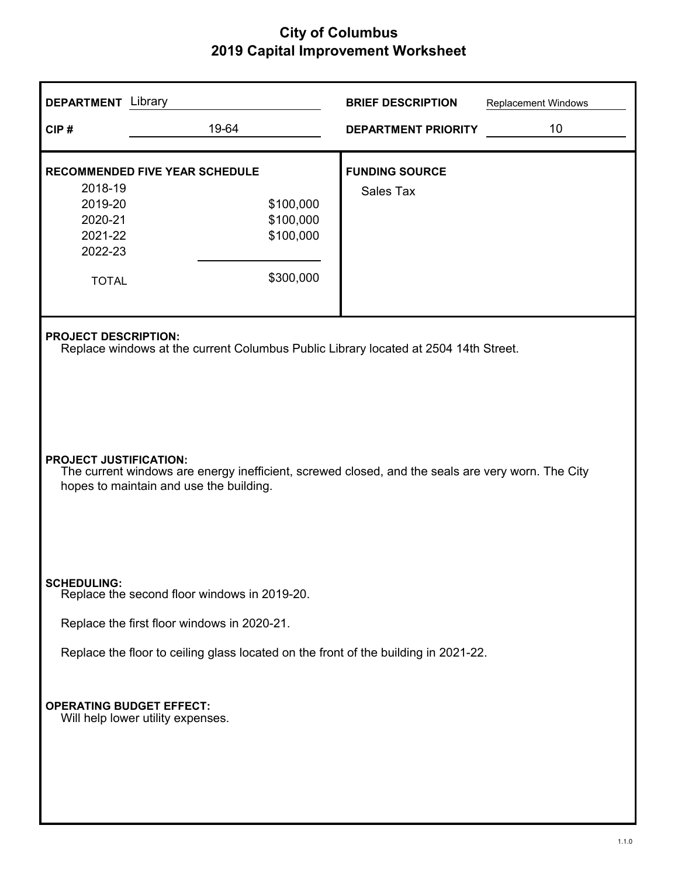| <b>DEPARTMENT</b> Library                                                                                                                                                     |                                                                                     | <b>BRIEF DESCRIPTION</b>           | <b>Replacement Windows</b> |  |
|-------------------------------------------------------------------------------------------------------------------------------------------------------------------------------|-------------------------------------------------------------------------------------|------------------------------------|----------------------------|--|
| CIP#                                                                                                                                                                          | 19-64                                                                               | <b>DEPARTMENT PRIORITY</b>         | 10                         |  |
| <b>RECOMMENDED FIVE YEAR SCHEDULE</b><br>2018-19<br>2019-20<br>2020-21<br>2021-22<br>2022-23<br><b>TOTAL</b>                                                                  | \$100,000<br>\$100,000<br>\$100,000<br>\$300,000                                    | <b>FUNDING SOURCE</b><br>Sales Tax |                            |  |
| <b>PROJECT DESCRIPTION:</b>                                                                                                                                                   | Replace windows at the current Columbus Public Library located at 2504 14th Street. |                                    |                            |  |
| <b>PROJECT JUSTIFICATION:</b><br>The current windows are energy inefficient, screwed closed, and the seals are very worn. The City<br>hopes to maintain and use the building. |                                                                                     |                                    |                            |  |
| <b>SCHEDULING:</b>                                                                                                                                                            | Replace the second floor windows in 2019-20.                                        |                                    |                            |  |
|                                                                                                                                                                               | Replace the first floor windows in 2020-21.                                         |                                    |                            |  |
| Replace the floor to ceiling glass located on the front of the building in 2021-22.                                                                                           |                                                                                     |                                    |                            |  |
| <b>OPERATING BUDGET EFFECT:</b><br>Will help lower utility expenses.                                                                                                          |                                                                                     |                                    |                            |  |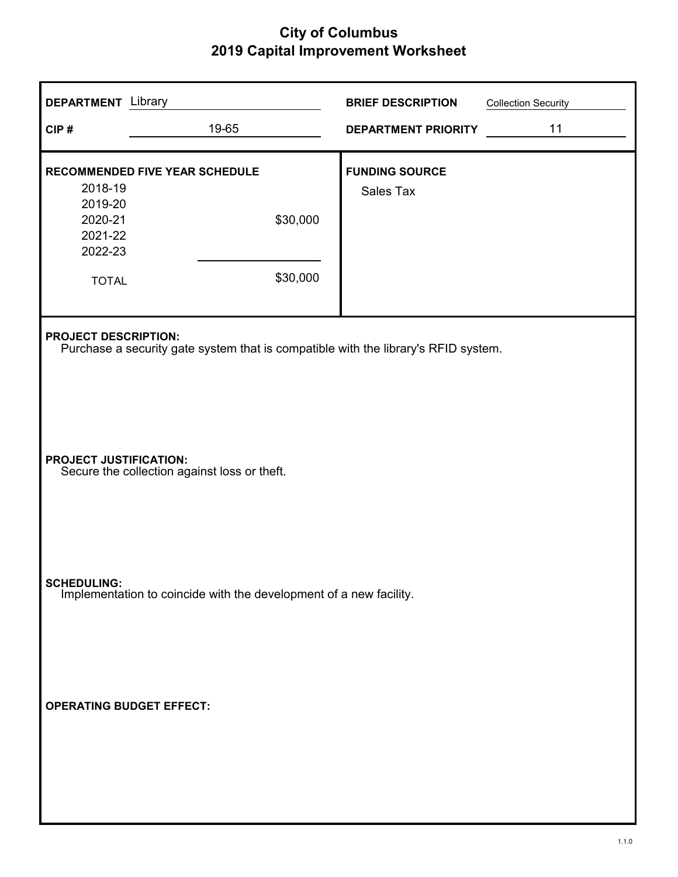| <b>DEPARTMENT</b> Library                                                                |                                                                                                                   | <b>BRIEF DESCRIPTION</b>           | <b>Collection Security</b> |  |
|------------------------------------------------------------------------------------------|-------------------------------------------------------------------------------------------------------------------|------------------------------------|----------------------------|--|
| CIP#                                                                                     | 19-65                                                                                                             | <b>DEPARTMENT PRIORITY</b>         | 11                         |  |
| 2018-19<br>2019-20<br>2020-21<br>2021-22<br>2022-23<br><b>TOTAL</b>                      | RECOMMENDED FIVE YEAR SCHEDULE<br>\$30,000<br>\$30,000                                                            | <b>FUNDING SOURCE</b><br>Sales Tax |                            |  |
|                                                                                          | <b>PROJECT DESCRIPTION:</b><br>Purchase a security gate system that is compatible with the library's RFID system. |                                    |                            |  |
| <b>PROJECT JUSTIFICATION:</b><br>Secure the collection against loss or theft.            |                                                                                                                   |                                    |                            |  |
| <b>SCHEDULING:</b><br>Implementation to coincide with the development of a new facility. |                                                                                                                   |                                    |                            |  |
| <b>OPERATING BUDGET EFFECT:</b>                                                          |                                                                                                                   |                                    |                            |  |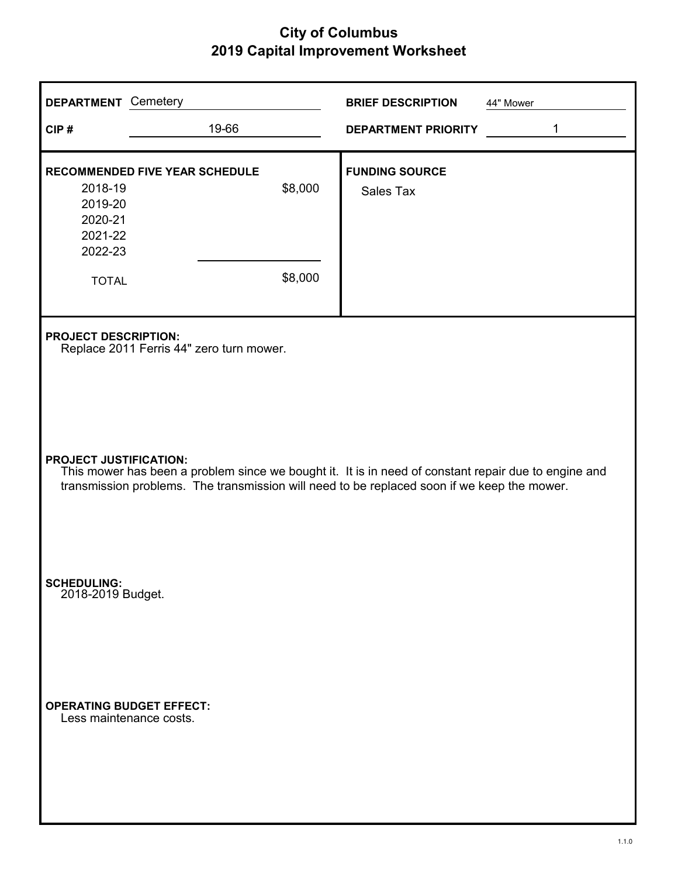| <b>DEPARTMENT</b> Cemetery                                                                                                                                                                                                           |                                                                         | <b>BRIEF DESCRIPTION</b>   | 44" Mower |  |  |
|--------------------------------------------------------------------------------------------------------------------------------------------------------------------------------------------------------------------------------------|-------------------------------------------------------------------------|----------------------------|-----------|--|--|
| CIP#                                                                                                                                                                                                                                 | 19-66                                                                   | <b>DEPARTMENT PRIORITY</b> | 1         |  |  |
| <b>RECOMMENDED FIVE YEAR SCHEDULE</b>                                                                                                                                                                                                |                                                                         | <b>FUNDING SOURCE</b>      |           |  |  |
| 2018-19<br>2019-20                                                                                                                                                                                                                   | \$8,000                                                                 | Sales Tax                  |           |  |  |
| 2020-21                                                                                                                                                                                                                              |                                                                         |                            |           |  |  |
| 2021-22<br>2022-23                                                                                                                                                                                                                   |                                                                         |                            |           |  |  |
| <b>TOTAL</b>                                                                                                                                                                                                                         | \$8,000                                                                 |                            |           |  |  |
|                                                                                                                                                                                                                                      | <b>PROJECT DESCRIPTION:</b><br>Replace 2011 Ferris 44" zero turn mower. |                            |           |  |  |
| <b>PROJECT JUSTIFICATION:</b><br>This mower has been a problem since we bought it. It is in need of constant repair due to engine and<br>transmission problems. The transmission will need to be replaced soon if we keep the mower. |                                                                         |                            |           |  |  |
| <b>SCHEDULING:</b><br>2018-2019 Budget.                                                                                                                                                                                              |                                                                         |                            |           |  |  |
| <b>OPERATING BUDGET EFFECT:</b><br>Less maintenance costs.                                                                                                                                                                           |                                                                         |                            |           |  |  |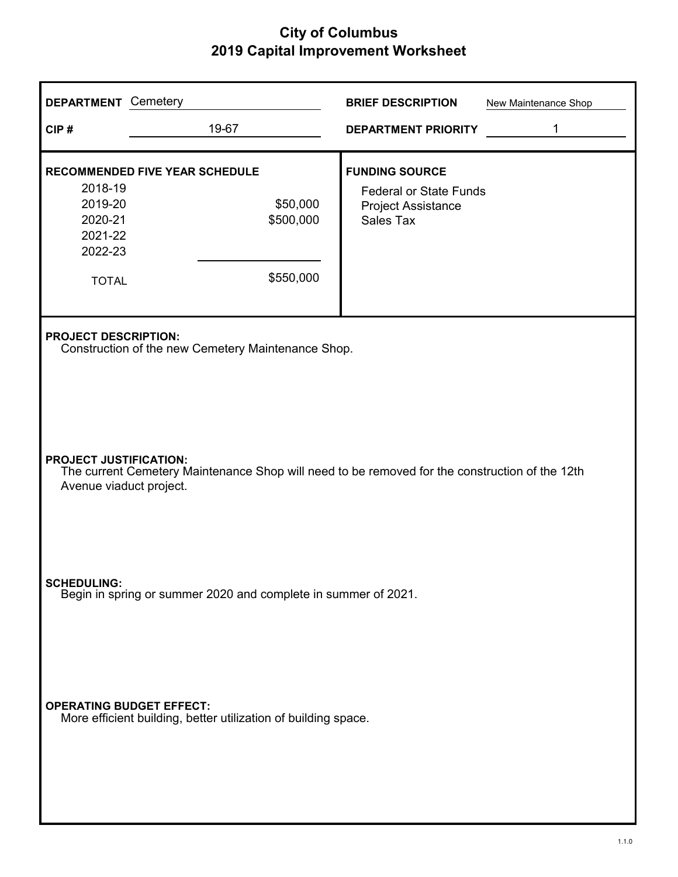| <b>DEPARTMENT</b> Cemetery                                                           |                                                                                                                                                            | <b>BRIEF DESCRIPTION</b><br>New Maintenance Shop                               |  |  |  |
|--------------------------------------------------------------------------------------|------------------------------------------------------------------------------------------------------------------------------------------------------------|--------------------------------------------------------------------------------|--|--|--|
| CIP#                                                                                 | 19-67                                                                                                                                                      | 1<br><b>DEPARTMENT PRIORITY</b>                                                |  |  |  |
|                                                                                      | <b>RECOMMENDED FIVE YEAR SCHEDULE</b>                                                                                                                      | <b>FUNDING SOURCE</b>                                                          |  |  |  |
| 2018-19<br>2019-20<br>2020-21<br>2021-22<br>2022-23                                  | \$50,000<br>\$500,000                                                                                                                                      | <b>Federal or State Funds</b><br><b>Project Assistance</b><br><b>Sales Tax</b> |  |  |  |
| <b>TOTAL</b>                                                                         | \$550,000                                                                                                                                                  |                                                                                |  |  |  |
|                                                                                      | <b>PROJECT DESCRIPTION:</b><br>Construction of the new Cemetery Maintenance Shop.                                                                          |                                                                                |  |  |  |
|                                                                                      | <b>PROJECT JUSTIFICATION:</b><br>The current Cemetery Maintenance Shop will need to be removed for the construction of the 12th<br>Avenue viaduct project. |                                                                                |  |  |  |
| <b>SCHEDULING:</b><br>Begin in spring or summer 2020 and complete in summer of 2021. |                                                                                                                                                            |                                                                                |  |  |  |
|                                                                                      | <b>OPERATING BUDGET EFFECT:</b><br>More efficient building, better utilization of building space.                                                          |                                                                                |  |  |  |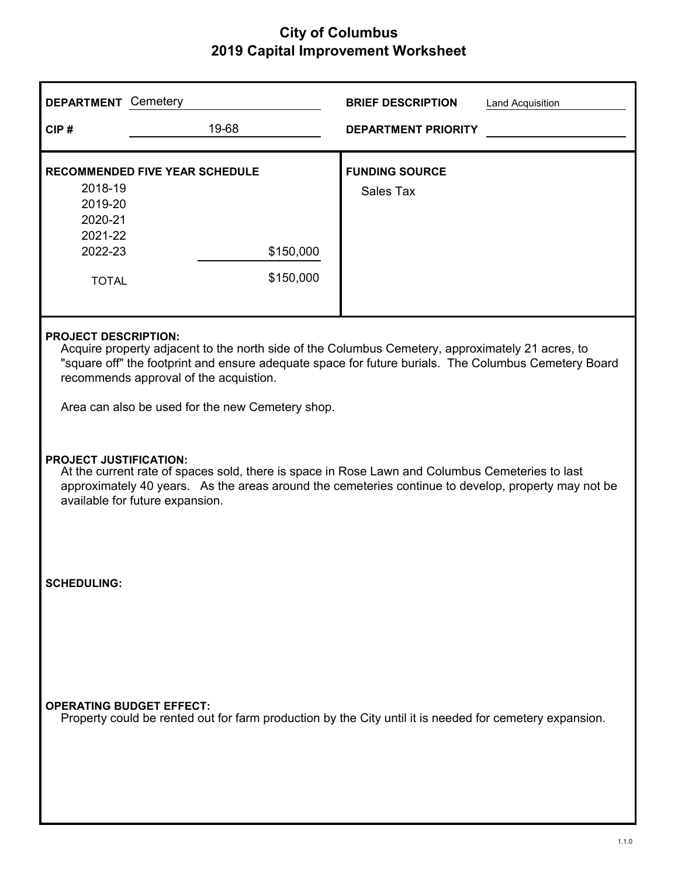| <b>DEPARTMENT</b> Cemetery                                                                                                                 |                                                                                                                                                                                                                                                                                                                                       | <b>BRIEF DESCRIPTION</b><br><b>Land Acquisition</b> |  |  |  |
|--------------------------------------------------------------------------------------------------------------------------------------------|---------------------------------------------------------------------------------------------------------------------------------------------------------------------------------------------------------------------------------------------------------------------------------------------------------------------------------------|-----------------------------------------------------|--|--|--|
| CIP#                                                                                                                                       | 19-68                                                                                                                                                                                                                                                                                                                                 | <b>DEPARTMENT PRIORITY</b>                          |  |  |  |
| 2018-19<br>2019-20<br>2020-21<br>2021-22<br>2022-23<br><b>TOTAL</b>                                                                        | <b>RECOMMENDED FIVE YEAR SCHEDULE</b><br>\$150,000<br>\$150,000                                                                                                                                                                                                                                                                       | <b>FUNDING SOURCE</b><br><b>Sales Tax</b>           |  |  |  |
|                                                                                                                                            | <b>PROJECT DESCRIPTION:</b><br>Acquire property adjacent to the north side of the Columbus Cemetery, approximately 21 acres, to<br>"square off" the footprint and ensure adequate space for future burials. The Columbus Cemetery Board<br>recommends approval of the acquistion.<br>Area can also be used for the new Cemetery shop. |                                                     |  |  |  |
|                                                                                                                                            | <b>PROJECT JUSTIFICATION:</b><br>At the current rate of spaces sold, there is space in Rose Lawn and Columbus Cemeteries to last<br>approximately 40 years. As the areas around the cemeteries continue to develop, property may not be<br>available for future expansion.                                                            |                                                     |  |  |  |
| <b>SCHEDULING:</b>                                                                                                                         |                                                                                                                                                                                                                                                                                                                                       |                                                     |  |  |  |
| <b>OPERATING BUDGET EFFECT:</b><br>Property could be rented out for farm production by the City until it is needed for cemetery expansion. |                                                                                                                                                                                                                                                                                                                                       |                                                     |  |  |  |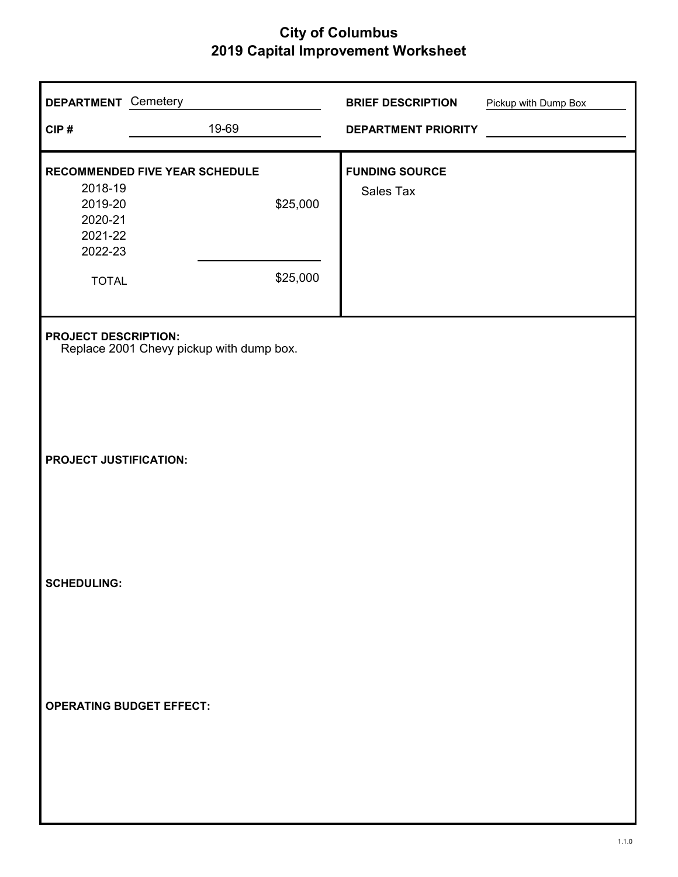| <b>DEPARTMENT</b> Cemetery                          |                                          | <b>BRIEF DESCRIPTION</b>   | Pickup with Dump Box |
|-----------------------------------------------------|------------------------------------------|----------------------------|----------------------|
| CIP#                                                | 19-69                                    | <b>DEPARTMENT PRIORITY</b> |                      |
|                                                     | RECOMMENDED FIVE YEAR SCHEDULE           | <b>FUNDING SOURCE</b>      |                      |
| 2018-19<br>2019-20<br>2020-21<br>2021-22<br>2022-23 | \$25,000                                 | Sales Tax                  |                      |
| <b>TOTAL</b>                                        | \$25,000                                 |                            |                      |
| <b>PROJECT DESCRIPTION:</b>                         | Replace 2001 Chevy pickup with dump box. |                            |                      |
| <b>PROJECT JUSTIFICATION:</b>                       |                                          |                            |                      |
| <b>SCHEDULING:</b>                                  |                                          |                            |                      |
| <b>OPERATING BUDGET EFFECT:</b>                     |                                          |                            |                      |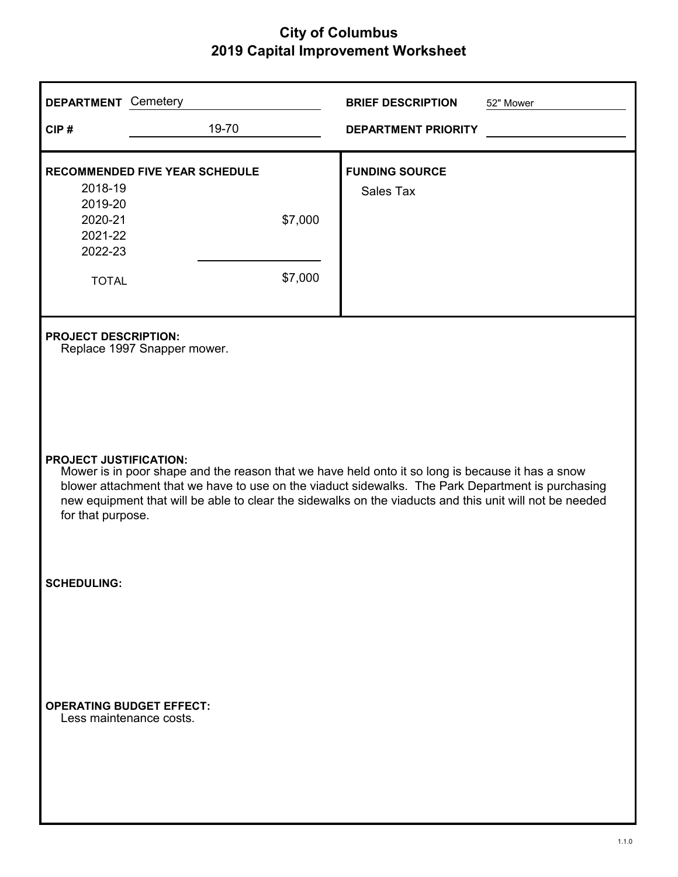| <b>DEPARTMENT</b> Cemetery                                                                                                                                                                                                                                                                                                                                             |                                                            | <b>BRIEF DESCRIPTION</b>           | 52" Mower |  |
|------------------------------------------------------------------------------------------------------------------------------------------------------------------------------------------------------------------------------------------------------------------------------------------------------------------------------------------------------------------------|------------------------------------------------------------|------------------------------------|-----------|--|
| CIP#                                                                                                                                                                                                                                                                                                                                                                   | 19-70                                                      | <b>DEPARTMENT PRIORITY</b>         |           |  |
| <b>RECOMMENDED FIVE YEAR SCHEDULE</b><br>2018-19                                                                                                                                                                                                                                                                                                                       |                                                            | <b>FUNDING SOURCE</b><br>Sales Tax |           |  |
| 2019-20<br>2020-21<br>2021-22<br>2022-23                                                                                                                                                                                                                                                                                                                               | \$7,000                                                    |                                    |           |  |
| <b>TOTAL</b>                                                                                                                                                                                                                                                                                                                                                           | \$7,000                                                    |                                    |           |  |
|                                                                                                                                                                                                                                                                                                                                                                        | <b>PROJECT DESCRIPTION:</b><br>Replace 1997 Snapper mower. |                                    |           |  |
| <b>PROJECT JUSTIFICATION:</b><br>Mower is in poor shape and the reason that we have held onto it so long is because it has a snow<br>blower attachment that we have to use on the viaduct sidewalks. The Park Department is purchasing<br>new equipment that will be able to clear the sidewalks on the viaducts and this unit will not be needed<br>for that purpose. |                                                            |                                    |           |  |
| <b>SCHEDULING:</b>                                                                                                                                                                                                                                                                                                                                                     |                                                            |                                    |           |  |
| <b>OPERATING BUDGET EFFECT:</b><br>Less maintenance costs.                                                                                                                                                                                                                                                                                                             |                                                            |                                    |           |  |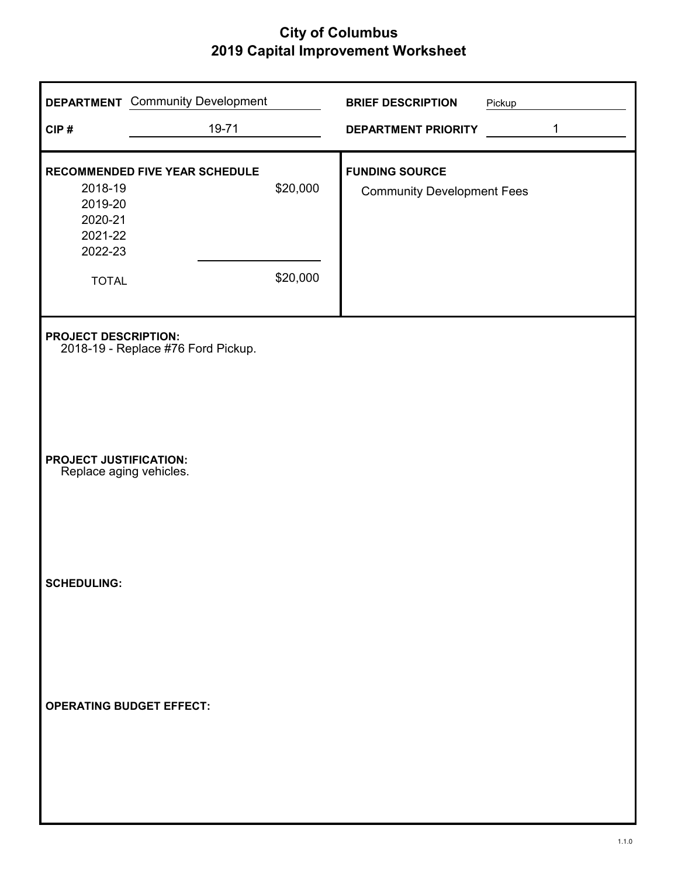|                                                                     | <b>DEPARTMENT</b> Community Development |                      | <b>BRIEF DESCRIPTION</b>                                   | Pickup |   |
|---------------------------------------------------------------------|-----------------------------------------|----------------------|------------------------------------------------------------|--------|---|
| CIP#                                                                | 19-71                                   |                      | <b>DEPARTMENT PRIORITY</b>                                 |        | 1 |
| 2018-19<br>2019-20<br>2020-21<br>2021-22<br>2022-23<br><b>TOTAL</b> | <b>RECOMMENDED FIVE YEAR SCHEDULE</b>   | \$20,000<br>\$20,000 | <b>FUNDING SOURCE</b><br><b>Community Development Fees</b> |        |   |
| <b>PROJECT DESCRIPTION:</b>                                         | 2018-19 - Replace #76 Ford Pickup.      |                      |                                                            |        |   |
| <b>PROJECT JUSTIFICATION:</b><br>Replace aging vehicles.            |                                         |                      |                                                            |        |   |
| <b>SCHEDULING:</b>                                                  |                                         |                      |                                                            |        |   |
|                                                                     | <b>OPERATING BUDGET EFFECT:</b>         |                      |                                                            |        |   |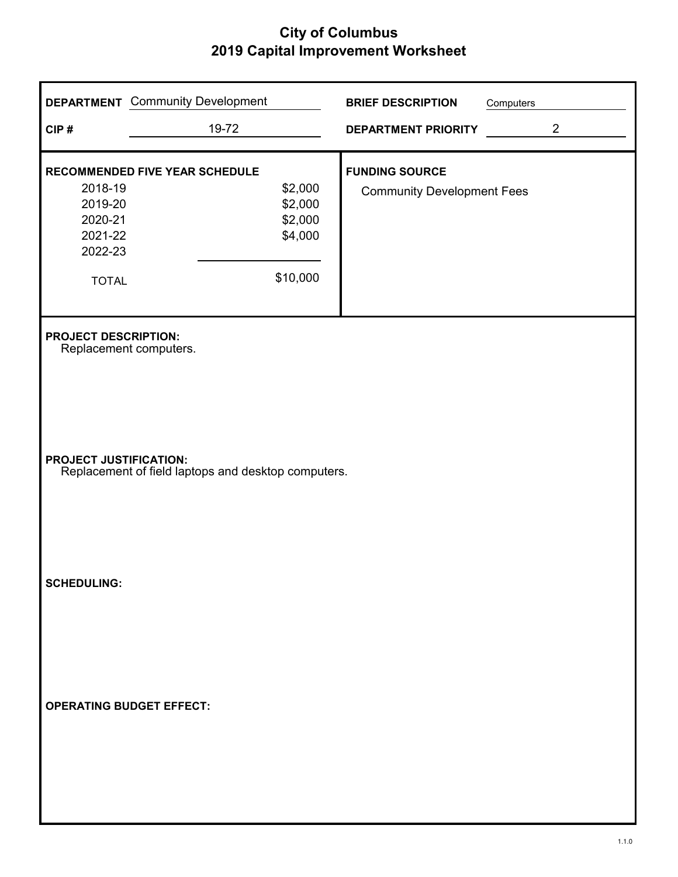|                                                                     | <b>DEPARTMENT</b> Community Development              | <b>BRIEF DESCRIPTION</b>          | Computers |
|---------------------------------------------------------------------|------------------------------------------------------|-----------------------------------|-----------|
| CIP#                                                                | 19-72                                                | <b>DEPARTMENT PRIORITY</b>        | 2         |
|                                                                     | RECOMMENDED FIVE YEAR SCHEDULE                       | <b>FUNDING SOURCE</b>             |           |
| 2018-19<br>2019-20<br>2020-21<br>2021-22<br>2022-23<br><b>TOTAL</b> | \$2,000<br>\$2,000<br>\$2,000<br>\$4,000<br>\$10,000 | <b>Community Development Fees</b> |           |
| <b>PROJECT DESCRIPTION:</b><br>Replacement computers.               |                                                      |                                   |           |
| <b>PROJECT JUSTIFICATION:</b>                                       | Replacement of field laptops and desktop computers.  |                                   |           |
| <b>SCHEDULING:</b>                                                  |                                                      |                                   |           |
| <b>OPERATING BUDGET EFFECT:</b>                                     |                                                      |                                   |           |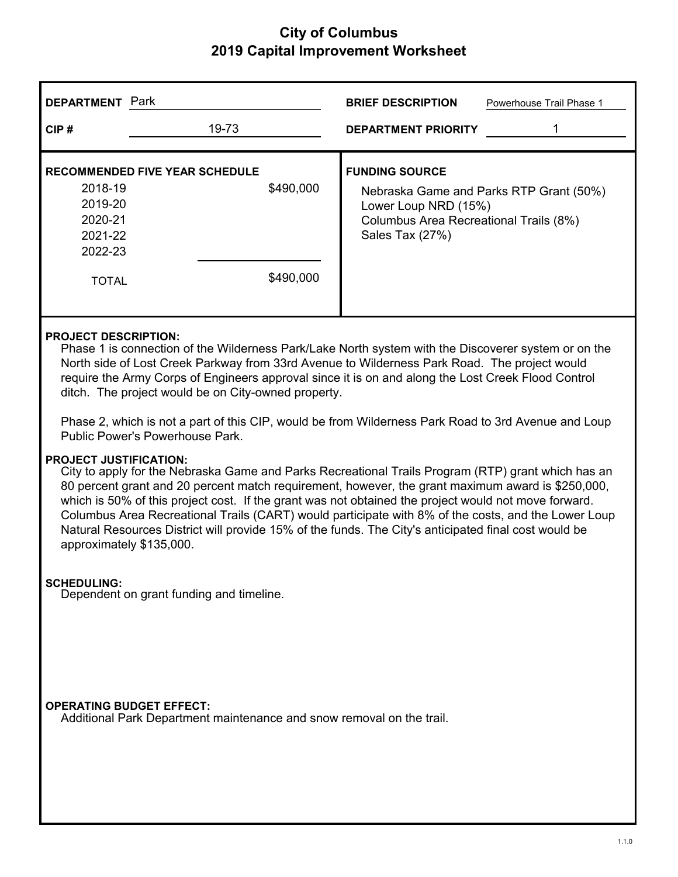| <b>DEPARTMENT</b> Park                              |                                                    | <b>BRIEF DESCRIPTION</b><br>Powerhouse Trail Phase 1                                                                                                  |
|-----------------------------------------------------|----------------------------------------------------|-------------------------------------------------------------------------------------------------------------------------------------------------------|
| CIP#                                                | 19-73                                              | <b>DEPARTMENT PRIORITY</b>                                                                                                                            |
| 2018-19<br>2019-20<br>2020-21<br>2021-22<br>2022-23 | <b>RECOMMENDED FIVE YEAR SCHEDULE</b><br>\$490,000 | <b>FUNDING SOURCE</b><br>Nebraska Game and Parks RTP Grant (50%)<br>Lower Loup NRD (15%)<br>Columbus Area Recreational Trails (8%)<br>Sales Tax (27%) |
| <b>TOTAL</b>                                        | \$490,000                                          |                                                                                                                                                       |
| <b>PROJECT DESCRIPTION:</b>                         |                                                    |                                                                                                                                                       |

Phase 1 is connection of the Wilderness Park/Lake North system with the Discoverer system or on the North side of Lost Creek Parkway from 33rd Avenue to Wilderness Park Road. The project would require the Army Corps of Engineers approval since it is on and along the Lost Creek Flood Control ditch. The project would be on City-owned property.

Phase 2, which is not a part of this CIP, would be from Wilderness Park Road to 3rd Avenue and Loup Public Power's Powerhouse Park.

#### **PROJECT JUSTIFICATION:**

City to apply for the Nebraska Game and Parks Recreational Trails Program (RTP) grant which has an 80 percent grant and 20 percent match requirement, however, the grant maximum award is \$250,000, which is 50% of this project cost. If the grant was not obtained the project would not move forward. Columbus Area Recreational Trails (CART) would participate with 8% of the costs, and the Lower Loup Natural Resources District will provide 15% of the funds. The City's anticipated final cost would be approximately \$135,000.

#### **SCHEDULING:**

Dependent on grant funding and timeline.

#### **OPERATING BUDGET EFFECT:**

Additional Park Department maintenance and snow removal on the trail.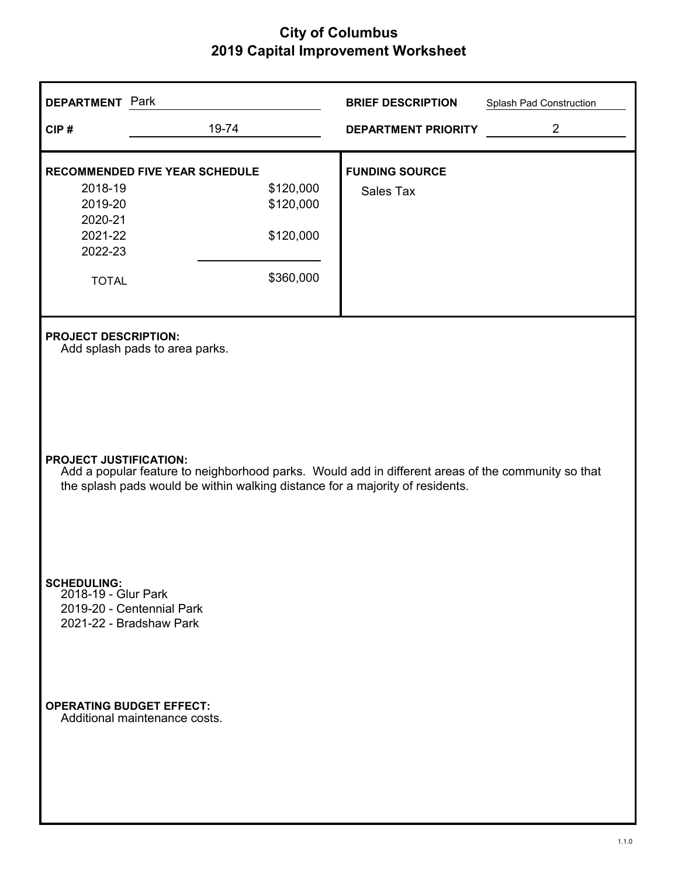| <b>DEPARTMENT</b> Park                                                                                                                                                                                               |                                                               | <b>BRIEF DESCRIPTION</b>   | Splash Pad Construction |  |  |
|----------------------------------------------------------------------------------------------------------------------------------------------------------------------------------------------------------------------|---------------------------------------------------------------|----------------------------|-------------------------|--|--|
| CIP#                                                                                                                                                                                                                 | 19-74                                                         | <b>DEPARTMENT PRIORITY</b> | $\overline{2}$          |  |  |
|                                                                                                                                                                                                                      | <b>RECOMMENDED FIVE YEAR SCHEDULE</b>                         | <b>FUNDING SOURCE</b>      |                         |  |  |
| 2018-19<br>2019-20<br>2020-21                                                                                                                                                                                        | \$120,000<br>\$120,000                                        | Sales Tax                  |                         |  |  |
| 2021-22<br>2022-23                                                                                                                                                                                                   | \$120,000                                                     |                            |                         |  |  |
| <b>TOTAL</b>                                                                                                                                                                                                         | \$360,000                                                     |                            |                         |  |  |
|                                                                                                                                                                                                                      | <b>PROJECT DESCRIPTION:</b><br>Add splash pads to area parks. |                            |                         |  |  |
| <b>PROJECT JUSTIFICATION:</b><br>Add a popular feature to neighborhood parks. Would add in different areas of the community so that<br>the splash pads would be within walking distance for a majority of residents. |                                                               |                            |                         |  |  |
| <b>SCHEDULING:</b><br>2018-19 - Glur Park<br>2021-22 - Bradshaw Park                                                                                                                                                 | 2019-20 - Centennial Park                                     |                            |                         |  |  |
| <b>OPERATING BUDGET EFFECT:</b>                                                                                                                                                                                      | Additional maintenance costs.                                 |                            |                         |  |  |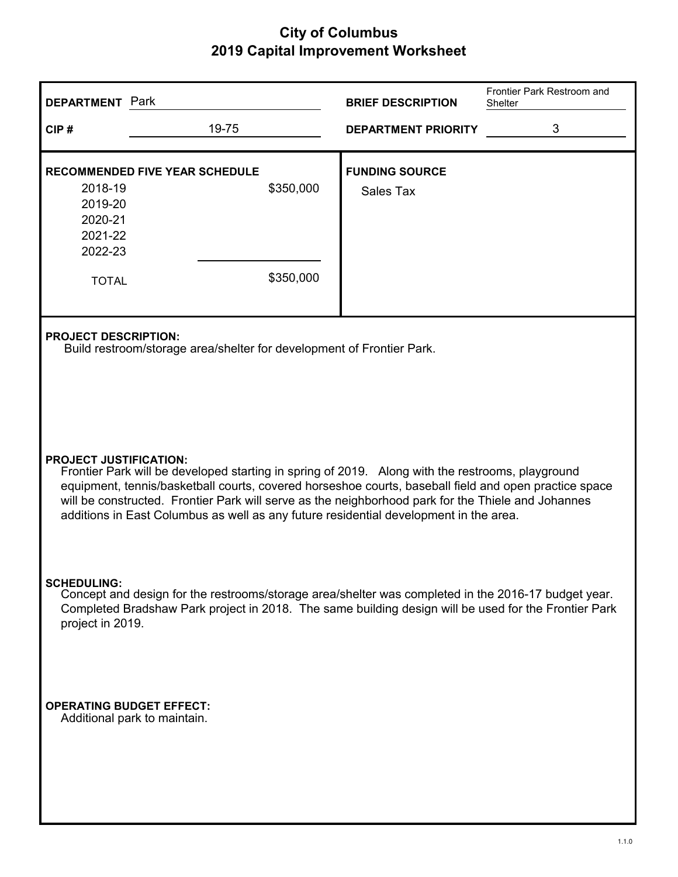| <b>DEPARTMENT</b> Park                                                                                                                                                                                                                                                                                                                                                                                                                    |                                                                                                      | <b>BRIEF DESCRIPTION</b>           | Frontier Park Restroom and<br>Shelter |  |  |
|-------------------------------------------------------------------------------------------------------------------------------------------------------------------------------------------------------------------------------------------------------------------------------------------------------------------------------------------------------------------------------------------------------------------------------------------|------------------------------------------------------------------------------------------------------|------------------------------------|---------------------------------------|--|--|
| CIP#                                                                                                                                                                                                                                                                                                                                                                                                                                      | 19-75                                                                                                | <b>DEPARTMENT PRIORITY</b>         | 3                                     |  |  |
| 2018-19<br>2019-20<br>2020-21<br>2021-22<br>2022-23                                                                                                                                                                                                                                                                                                                                                                                       | <b>RECOMMENDED FIVE YEAR SCHEDULE</b><br>\$350,000                                                   | <b>FUNDING SOURCE</b><br>Sales Tax |                                       |  |  |
| <b>TOTAL</b>                                                                                                                                                                                                                                                                                                                                                                                                                              | \$350,000                                                                                            |                                    |                                       |  |  |
|                                                                                                                                                                                                                                                                                                                                                                                                                                           | <b>PROJECT DESCRIPTION:</b><br>Build restroom/storage area/shelter for development of Frontier Park. |                                    |                                       |  |  |
| <b>PROJECT JUSTIFICATION:</b><br>Frontier Park will be developed starting in spring of 2019. Along with the restrooms, playground<br>equipment, tennis/basketball courts, covered horseshoe courts, baseball field and open practice space<br>will be constructed. Frontier Park will serve as the neighborhood park for the Thiele and Johannes<br>additions in East Columbus as well as any future residential development in the area. |                                                                                                      |                                    |                                       |  |  |
| <b>SCHEDULING:</b><br>Concept and design for the restrooms/storage area/shelter was completed in the 2016-17 budget year.<br>Completed Bradshaw Park project in 2018. The same building design will be used for the Frontier Park<br>project in 2019.                                                                                                                                                                                     |                                                                                                      |                                    |                                       |  |  |
| <b>OPERATING BUDGET EFFECT:</b><br>Additional park to maintain.                                                                                                                                                                                                                                                                                                                                                                           |                                                                                                      |                                    |                                       |  |  |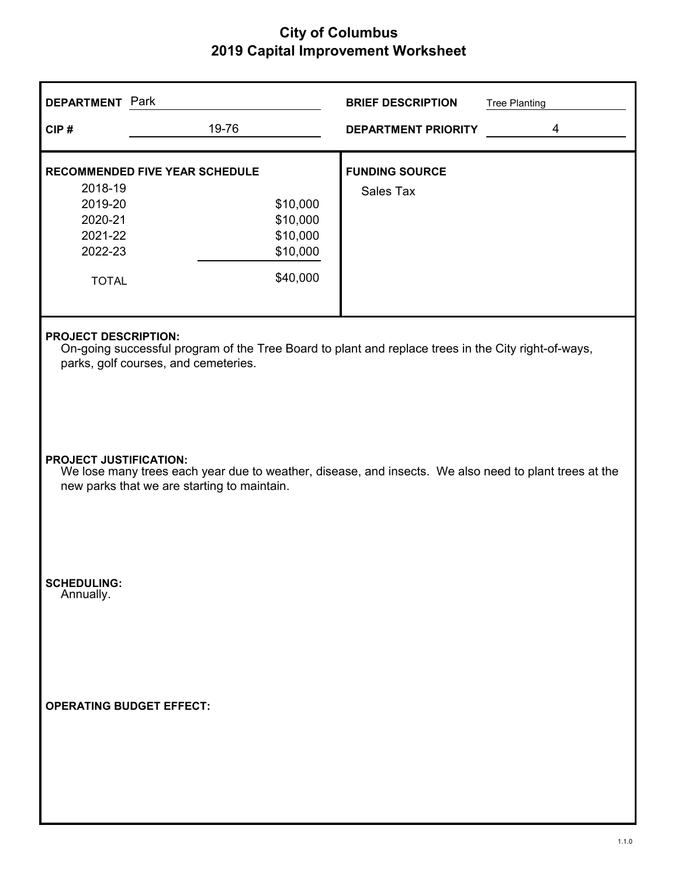| <b>DEPARTMENT</b> Park                                                                                                                                                     |                                                                                                                                                                                       | <b>BRIEF DESCRIPTION</b>           | <b>Tree Planting</b> |  |  |  |
|----------------------------------------------------------------------------------------------------------------------------------------------------------------------------|---------------------------------------------------------------------------------------------------------------------------------------------------------------------------------------|------------------------------------|----------------------|--|--|--|
| CIP#                                                                                                                                                                       | 19-76                                                                                                                                                                                 | <b>DEPARTMENT PRIORITY</b>         | $\overline{4}$       |  |  |  |
| <b>RECOMMENDED FIVE YEAR SCHEDULE</b><br>2018-19<br>2019-20<br>2020-21<br>2021-22<br>2022-23<br><b>TOTAL</b>                                                               | \$10,000<br>\$10,000<br>\$10,000<br>\$10,000<br>\$40,000                                                                                                                              | <b>FUNDING SOURCE</b><br>Sales Tax |                      |  |  |  |
| <b>PROJECT DESCRIPTION:</b><br>On-going successful program of the Tree Board to plant and replace trees in the City right-of-ways,<br>parks, golf courses, and cemeteries. |                                                                                                                                                                                       |                                    |                      |  |  |  |
|                                                                                                                                                                            | <b>PROJECT JUSTIFICATION:</b><br>We lose many trees each year due to weather, disease, and insects. We also need to plant trees at the<br>new parks that we are starting to maintain. |                                    |                      |  |  |  |
| <b>SCHEDULING:</b><br>Annually.                                                                                                                                            |                                                                                                                                                                                       |                                    |                      |  |  |  |
| <b>OPERATING BUDGET EFFECT:</b>                                                                                                                                            |                                                                                                                                                                                       |                                    |                      |  |  |  |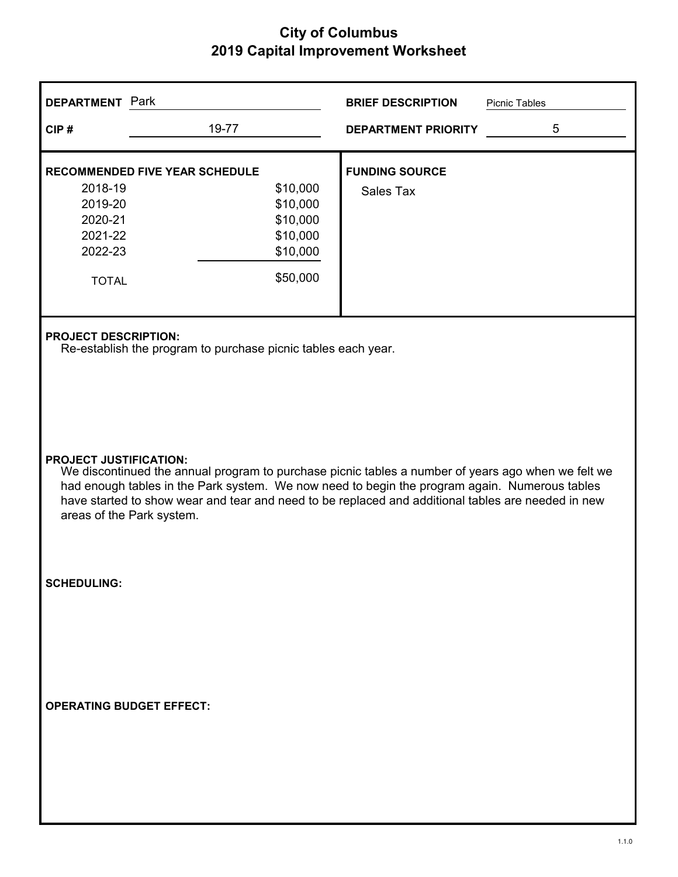| <b>DEPARTMENT</b> Park                                                                                                                                                                                                                                                                                                                                                  |                                                                      | <b>BRIEF DESCRIPTION</b>           | Picnic Tables |  |
|-------------------------------------------------------------------------------------------------------------------------------------------------------------------------------------------------------------------------------------------------------------------------------------------------------------------------------------------------------------------------|----------------------------------------------------------------------|------------------------------------|---------------|--|
| CIP#                                                                                                                                                                                                                                                                                                                                                                    | 19-77                                                                | <b>DEPARTMENT PRIORITY</b>         | 5             |  |
| <b>RECOMMENDED FIVE YEAR SCHEDULE</b><br>2018-19<br>2019-20<br>2020-21<br>2021-22<br>2022-23<br><b>TOTAL</b>                                                                                                                                                                                                                                                            | \$10,000<br>\$10,000<br>\$10,000<br>\$10,000<br>\$10,000<br>\$50,000 | <b>FUNDING SOURCE</b><br>Sales Tax |               |  |
| <b>PROJECT DESCRIPTION:</b>                                                                                                                                                                                                                                                                                                                                             | Re-establish the program to purchase picnic tables each year.        |                                    |               |  |
| <b>PROJECT JUSTIFICATION:</b><br>We discontinued the annual program to purchase picnic tables a number of years ago when we felt we<br>had enough tables in the Park system. We now need to begin the program again. Numerous tables<br>have started to show wear and tear and need to be replaced and additional tables are needed in new<br>areas of the Park system. |                                                                      |                                    |               |  |
| <b>SCHEDULING:</b>                                                                                                                                                                                                                                                                                                                                                      |                                                                      |                                    |               |  |
| <b>OPERATING BUDGET EFFECT:</b>                                                                                                                                                                                                                                                                                                                                         |                                                                      |                                    |               |  |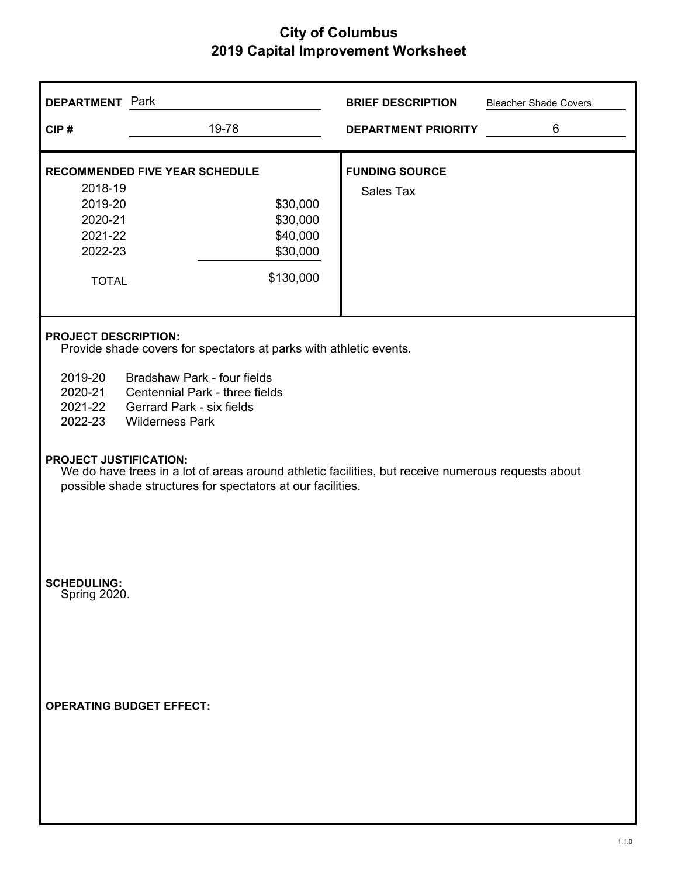| <b>DEPARTMENT</b> Park                                                                                                                                                                                                                                                                                        |                                                                                                    | <b>BRIEF DESCRIPTION</b>           | <b>Bleacher Shade Covers</b> |  |  |
|---------------------------------------------------------------------------------------------------------------------------------------------------------------------------------------------------------------------------------------------------------------------------------------------------------------|----------------------------------------------------------------------------------------------------|------------------------------------|------------------------------|--|--|
| CIP#                                                                                                                                                                                                                                                                                                          | 19-78                                                                                              | <b>DEPARTMENT PRIORITY</b>         | 6                            |  |  |
| 2018-19<br>2019-20<br>2020-21<br>2021-22<br>2022-23<br><b>TOTAL</b>                                                                                                                                                                                                                                           | <b>RECOMMENDED FIVE YEAR SCHEDULE</b><br>\$30,000<br>\$30,000<br>\$40,000<br>\$30,000<br>\$130,000 | <b>FUNDING SOURCE</b><br>Sales Tax |                              |  |  |
| <b>PROJECT DESCRIPTION:</b><br>Provide shade covers for spectators at parks with athletic events.<br>2019-20<br>Bradshaw Park - four fields<br>2020-21<br>Centennial Park - three fields<br>2021-22<br><b>Gerrard Park - six fields</b><br>2022-23<br><b>Wilderness Park</b><br><b>PROJECT JUSTIFICATION:</b> |                                                                                                    |                                    |                              |  |  |
| We do have trees in a lot of areas around athletic facilities, but receive numerous requests about<br>possible shade structures for spectators at our facilities.                                                                                                                                             |                                                                                                    |                                    |                              |  |  |
| <b>SCHEDULING:</b><br>Spring 2020.<br><b>OPERATING BUDGET EFFECT:</b>                                                                                                                                                                                                                                         |                                                                                                    |                                    |                              |  |  |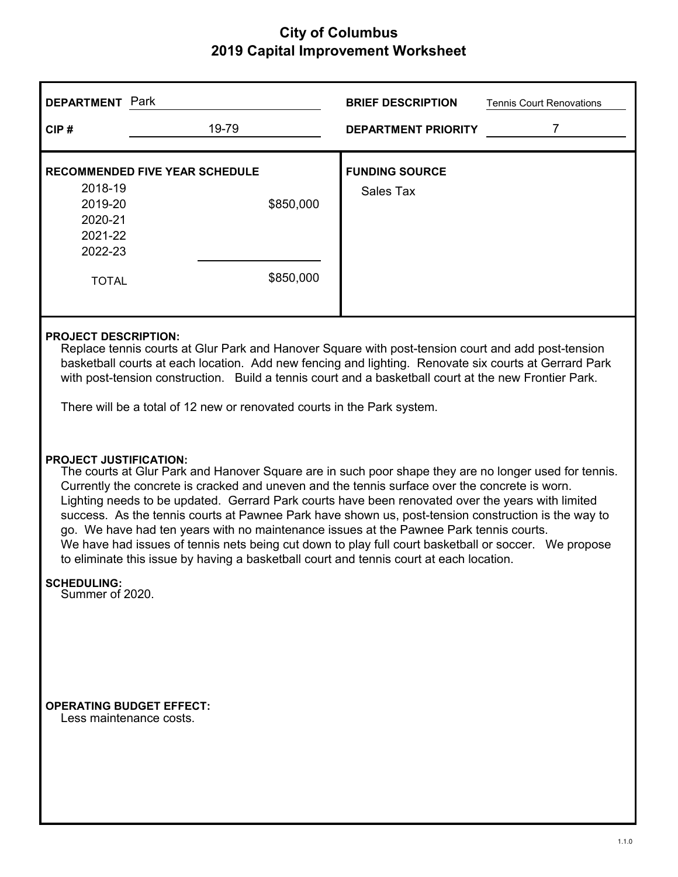| <b>DEPARTMENT</b> Park                                                                                                                                                                                                                                                                                                                                                                                                                                                                                                                                                                                                                                                                                                                            | <b>BRIEF DESCRIPTION</b><br><b>Tennis Court Renovations</b> |  |  |  |  |
|---------------------------------------------------------------------------------------------------------------------------------------------------------------------------------------------------------------------------------------------------------------------------------------------------------------------------------------------------------------------------------------------------------------------------------------------------------------------------------------------------------------------------------------------------------------------------------------------------------------------------------------------------------------------------------------------------------------------------------------------------|-------------------------------------------------------------|--|--|--|--|
| 19-79<br>CIP#                                                                                                                                                                                                                                                                                                                                                                                                                                                                                                                                                                                                                                                                                                                                     | $\overline{7}$<br><b>DEPARTMENT PRIORITY</b>                |  |  |  |  |
| <b>RECOMMENDED FIVE YEAR SCHEDULE</b><br>2018-19<br>2019-20<br>\$850,000<br>2020-21<br>2021-22<br>2022-23<br>\$850,000<br><b>TOTAL</b>                                                                                                                                                                                                                                                                                                                                                                                                                                                                                                                                                                                                            | <b>FUNDING SOURCE</b><br><b>Sales Tax</b>                   |  |  |  |  |
| <b>PROJECT DESCRIPTION:</b><br>Replace tennis courts at Glur Park and Hanover Square with post-tension court and add post-tension<br>basketball courts at each location. Add new fencing and lighting. Renovate six courts at Gerrard Park<br>with post-tension construction. Build a tennis court and a basketball court at the new Frontier Park.<br>There will be a total of 12 new or renovated courts in the Park system.                                                                                                                                                                                                                                                                                                                    |                                                             |  |  |  |  |
| <b>PROJECT JUSTIFICATION:</b><br>The courts at Glur Park and Hanover Square are in such poor shape they are no longer used for tennis.<br>Currently the concrete is cracked and uneven and the tennis surface over the concrete is worn.<br>Lighting needs to be updated. Gerrard Park courts have been renovated over the years with limited<br>success. As the tennis courts at Pawnee Park have shown us, post-tension construction is the way to<br>go. We have had ten years with no maintenance issues at the Pawnee Park tennis courts.<br>We have had issues of tennis nets being cut down to play full court basketball or soccer. We propose<br>to eliminate this issue by having a basketball court and tennis court at each location. |                                                             |  |  |  |  |
| <b>SCHEDULING:</b><br>Summer of 2020.                                                                                                                                                                                                                                                                                                                                                                                                                                                                                                                                                                                                                                                                                                             |                                                             |  |  |  |  |
| <b>OPERATING BUDGET EFFECT:</b><br>Less maintenance costs.                                                                                                                                                                                                                                                                                                                                                                                                                                                                                                                                                                                                                                                                                        |                                                             |  |  |  |  |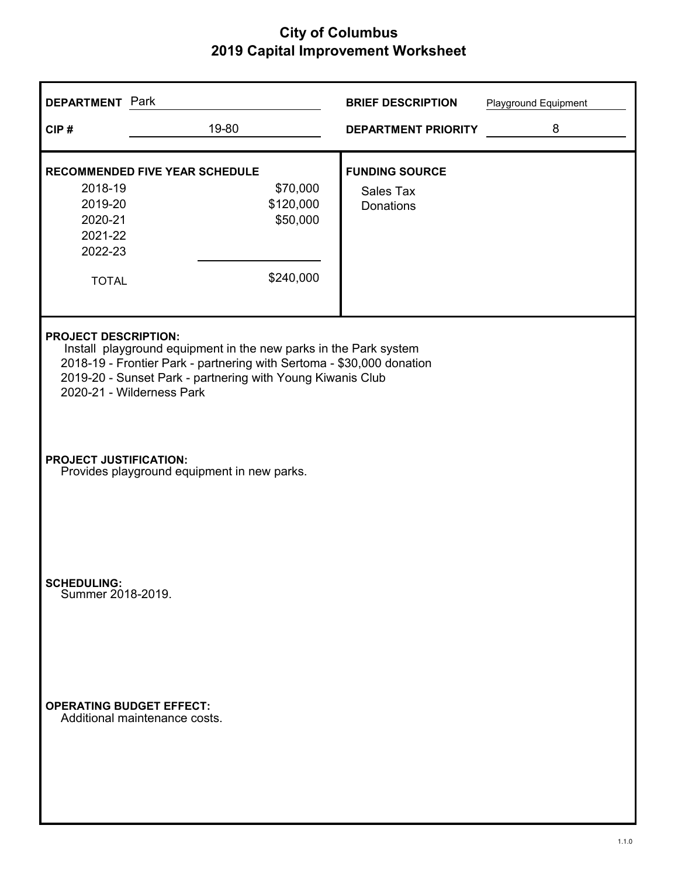| <b>DEPARTMENT</b> Park                                              |                                                                                                                                                                                                                                      | <b>BRIEF DESCRIPTION</b>                               | Playground Equipment |
|---------------------------------------------------------------------|--------------------------------------------------------------------------------------------------------------------------------------------------------------------------------------------------------------------------------------|--------------------------------------------------------|----------------------|
| CIP#                                                                | 19-80                                                                                                                                                                                                                                | <b>DEPARTMENT PRIORITY</b>                             | 8                    |
| 2018-19<br>2019-20<br>2020-21<br>2021-22<br>2022-23<br><b>TOTAL</b> | <b>RECOMMENDED FIVE YEAR SCHEDULE</b><br>\$70,000<br>\$120,000<br>\$50,000<br>\$240,000                                                                                                                                              | <b>FUNDING SOURCE</b><br>Sales Tax<br><b>Donations</b> |                      |
| <b>PROJECT DESCRIPTION:</b>                                         | Install playground equipment in the new parks in the Park system<br>2018-19 - Frontier Park - partnering with Sertoma - \$30,000 donation<br>2019-20 - Sunset Park - partnering with Young Kiwanis Club<br>2020-21 - Wilderness Park |                                                        |                      |
| <b>PROJECT JUSTIFICATION:</b>                                       | Provides playground equipment in new parks.                                                                                                                                                                                          |                                                        |                      |
| <b>SCHEDULING:</b><br>Summer 2018-2019.                             |                                                                                                                                                                                                                                      |                                                        |                      |
| <b>OPERATING BUDGET EFFECT:</b>                                     | Additional maintenance costs.                                                                                                                                                                                                        |                                                        |                      |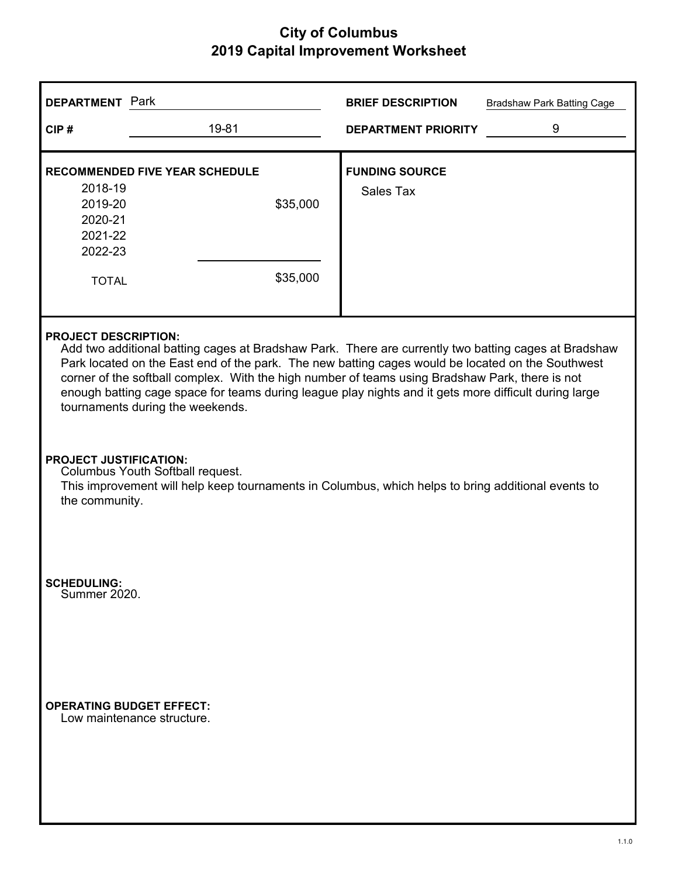| <b>DEPARTMENT</b> Park                                                                                                                                                                                                                                                                                                                                                                                                                                                                   |                                                                                                                                                                         | <b>BRIEF DESCRIPTION</b>   | <b>Bradshaw Park Batting Cage</b> |  |  |  |
|------------------------------------------------------------------------------------------------------------------------------------------------------------------------------------------------------------------------------------------------------------------------------------------------------------------------------------------------------------------------------------------------------------------------------------------------------------------------------------------|-------------------------------------------------------------------------------------------------------------------------------------------------------------------------|----------------------------|-----------------------------------|--|--|--|
| CIP#                                                                                                                                                                                                                                                                                                                                                                                                                                                                                     | 19-81                                                                                                                                                                   | <b>DEPARTMENT PRIORITY</b> | 9                                 |  |  |  |
| <b>RECOMMENDED FIVE YEAR SCHEDULE</b>                                                                                                                                                                                                                                                                                                                                                                                                                                                    |                                                                                                                                                                         | <b>FUNDING SOURCE</b>      |                                   |  |  |  |
| 2018-19<br>2019-20<br>2020-21<br>2021-22<br>2022-23                                                                                                                                                                                                                                                                                                                                                                                                                                      | \$35,000                                                                                                                                                                | Sales Tax                  |                                   |  |  |  |
| <b>TOTAL</b>                                                                                                                                                                                                                                                                                                                                                                                                                                                                             | \$35,000                                                                                                                                                                |                            |                                   |  |  |  |
| <b>PROJECT DESCRIPTION:</b><br>Add two additional batting cages at Bradshaw Park. There are currently two batting cages at Bradshaw<br>Park located on the East end of the park. The new batting cages would be located on the Southwest<br>corner of the softball complex. With the high number of teams using Bradshaw Park, there is not<br>enough batting cage space for teams during league play nights and it gets more difficult during large<br>tournaments during the weekends. |                                                                                                                                                                         |                            |                                   |  |  |  |
| the community.                                                                                                                                                                                                                                                                                                                                                                                                                                                                           | <b>PROJECT JUSTIFICATION:</b><br>Columbus Youth Softball request.<br>This improvement will help keep tournaments in Columbus, which helps to bring additional events to |                            |                                   |  |  |  |
| <b>SCHEDULING:</b><br>Summer 2020.                                                                                                                                                                                                                                                                                                                                                                                                                                                       |                                                                                                                                                                         |                            |                                   |  |  |  |
| <b>OPERATING BUDGET EFFECT:</b><br>Low maintenance structure.                                                                                                                                                                                                                                                                                                                                                                                                                            |                                                                                                                                                                         |                            |                                   |  |  |  |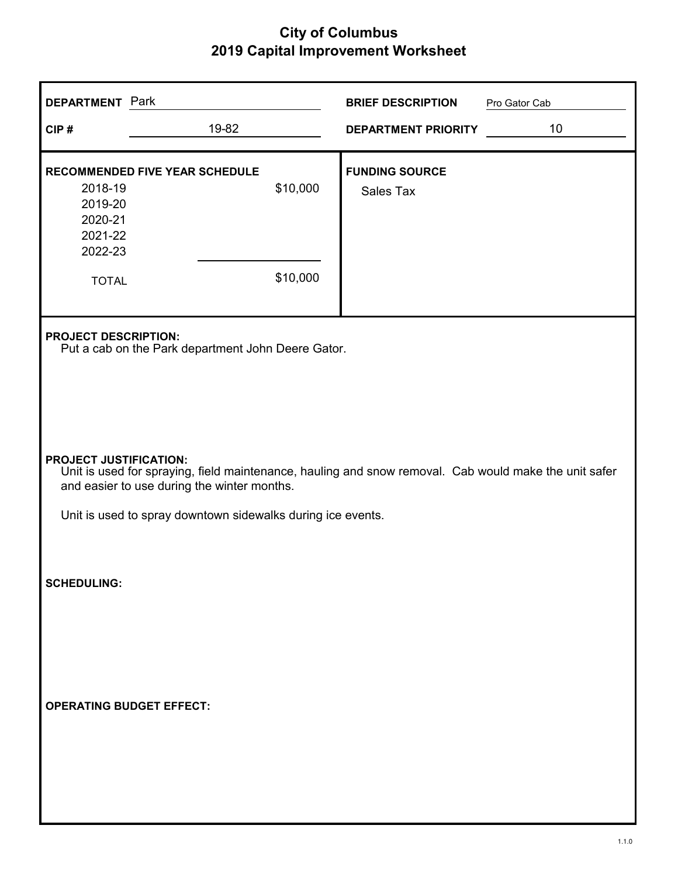| <b>DEPARTMENT</b> Park                                                                                       |                                                                                                                                                                                                                                                      | <b>BRIEF DESCRIPTION</b>           | Pro Gator Cab |  |  |  |
|--------------------------------------------------------------------------------------------------------------|------------------------------------------------------------------------------------------------------------------------------------------------------------------------------------------------------------------------------------------------------|------------------------------------|---------------|--|--|--|
| CIP#                                                                                                         | 19-82                                                                                                                                                                                                                                                | <b>DEPARTMENT PRIORITY</b>         | 10            |  |  |  |
| <b>RECOMMENDED FIVE YEAR SCHEDULE</b><br>2018-19<br>2019-20<br>2020-21<br>2021-22<br>2022-23<br><b>TOTAL</b> | \$10,000<br>\$10,000                                                                                                                                                                                                                                 | <b>FUNDING SOURCE</b><br>Sales Tax |               |  |  |  |
|                                                                                                              | <b>PROJECT DESCRIPTION:</b><br>Put a cab on the Park department John Deere Gator.                                                                                                                                                                    |                                    |               |  |  |  |
|                                                                                                              | <b>PROJECT JUSTIFICATION:</b><br>Unit is used for spraying, field maintenance, hauling and snow removal. Cab would make the unit safer<br>and easier to use during the winter months.<br>Unit is used to spray downtown sidewalks during ice events. |                                    |               |  |  |  |
| <b>SCHEDULING:</b>                                                                                           |                                                                                                                                                                                                                                                      |                                    |               |  |  |  |
| <b>OPERATING BUDGET EFFECT:</b>                                                                              |                                                                                                                                                                                                                                                      |                                    |               |  |  |  |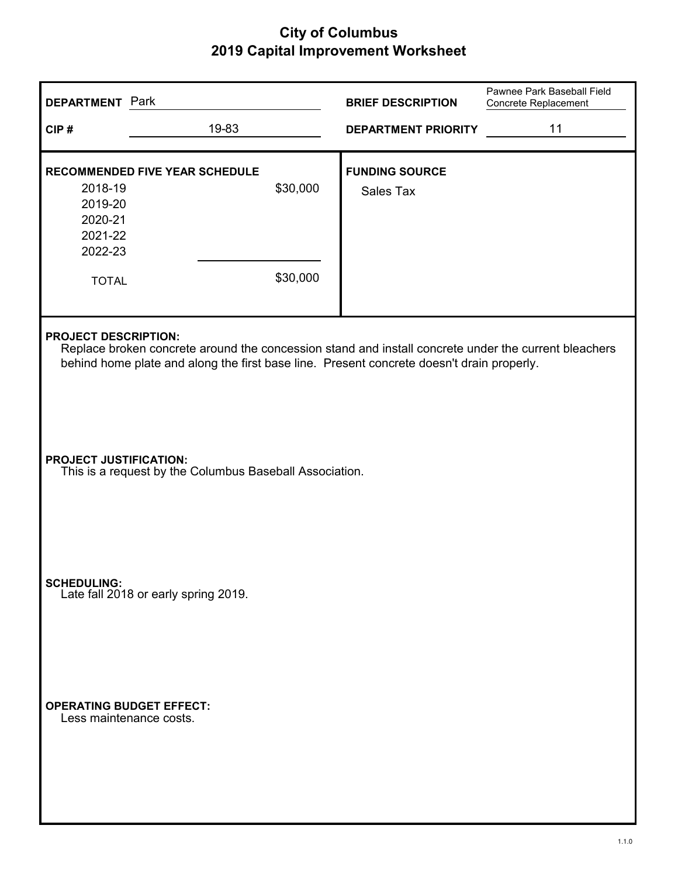| <b>DEPARTMENT</b> Park                                              |                                                                                                                                                                                                   |                      | <b>BRIEF DESCRIPTION</b>           | Pawnee Park Baseball Field<br>Concrete Replacement |
|---------------------------------------------------------------------|---------------------------------------------------------------------------------------------------------------------------------------------------------------------------------------------------|----------------------|------------------------------------|----------------------------------------------------|
| CIP#                                                                | 19-83                                                                                                                                                                                             |                      | <b>DEPARTMENT PRIORITY</b>         | 11                                                 |
| 2018-19<br>2019-20<br>2020-21<br>2021-22<br>2022-23<br><b>TOTAL</b> | <b>RECOMMENDED FIVE YEAR SCHEDULE</b>                                                                                                                                                             | \$30,000<br>\$30,000 | <b>FUNDING SOURCE</b><br>Sales Tax |                                                    |
| <b>PROJECT DESCRIPTION:</b>                                         | Replace broken concrete around the concession stand and install concrete under the current bleachers<br>behind home plate and along the first base line. Present concrete doesn't drain properly. |                      |                                    |                                                    |
| <b>PROJECT JUSTIFICATION:</b>                                       | This is a request by the Columbus Baseball Association.                                                                                                                                           |                      |                                    |                                                    |
| <b>SCHEDULING:</b>                                                  | Late fall 2018 or early spring 2019.                                                                                                                                                              |                      |                                    |                                                    |
| <b>OPERATING BUDGET EFFECT:</b><br>Less maintenance costs.          |                                                                                                                                                                                                   |                      |                                    |                                                    |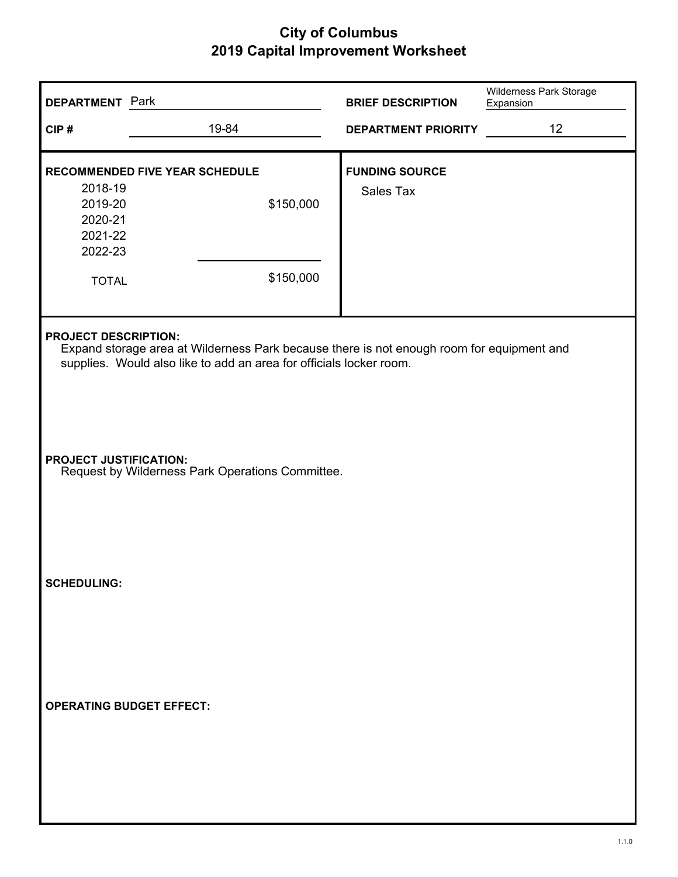| <b>DEPARTMENT</b> Park                                              |                                                                                                                                                                  | <b>BRIEF DESCRIPTION</b>           | Wilderness Park Storage<br>Expansion<br>12 |  |  |
|---------------------------------------------------------------------|------------------------------------------------------------------------------------------------------------------------------------------------------------------|------------------------------------|--------------------------------------------|--|--|
| CIP#                                                                | 19-84                                                                                                                                                            | <b>DEPARTMENT PRIORITY</b>         |                                            |  |  |
| 2018-19<br>2019-20<br>2020-21<br>2021-22<br>2022-23<br><b>TOTAL</b> | RECOMMENDED FIVE YEAR SCHEDULE<br>\$150,000<br>\$150,000                                                                                                         | <b>FUNDING SOURCE</b><br>Sales Tax |                                            |  |  |
| <b>PROJECT DESCRIPTION:</b>                                         | Expand storage area at Wilderness Park because there is not enough room for equipment and<br>supplies. Would also like to add an area for officials locker room. |                                    |                                            |  |  |
|                                                                     | <b>PROJECT JUSTIFICATION:</b><br>Request by Wilderness Park Operations Committee.                                                                                |                                    |                                            |  |  |
| <b>SCHEDULING:</b>                                                  |                                                                                                                                                                  |                                    |                                            |  |  |
| <b>OPERATING BUDGET EFFECT:</b>                                     |                                                                                                                                                                  |                                    |                                            |  |  |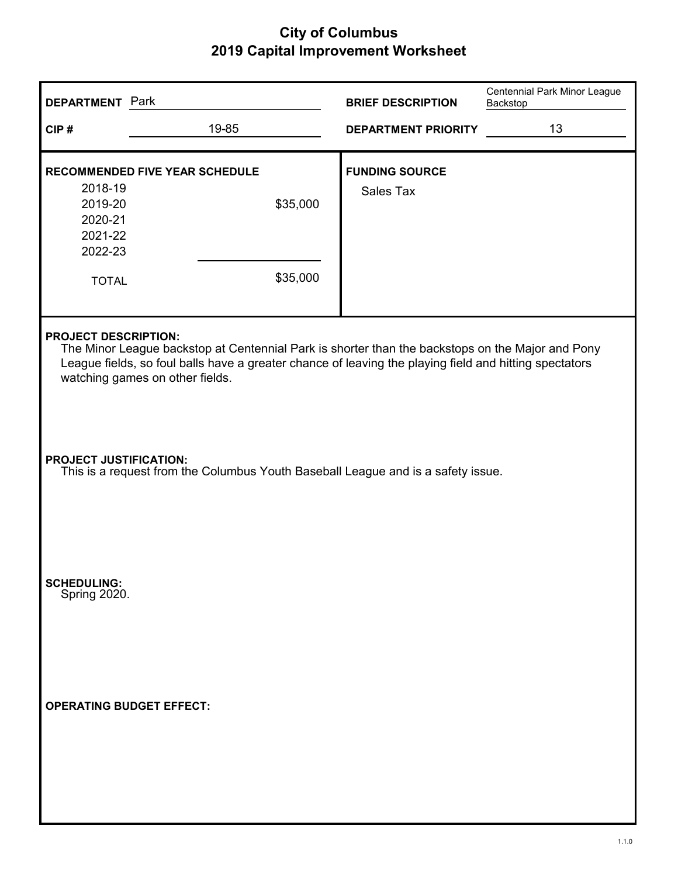| <b>DEPARTMENT</b> Park                                                                                                                                                                                                                                                       |                                                                                  | <b>BRIEF DESCRIPTION</b>           | Centennial Park Minor League<br>Backstop |  |  |
|------------------------------------------------------------------------------------------------------------------------------------------------------------------------------------------------------------------------------------------------------------------------------|----------------------------------------------------------------------------------|------------------------------------|------------------------------------------|--|--|
| CIP#                                                                                                                                                                                                                                                                         | 19-85                                                                            | <b>DEPARTMENT PRIORITY</b>         | 13                                       |  |  |
| 2018-19<br>2019-20<br>2020-21<br>2021-22<br>2022-23                                                                                                                                                                                                                          | <b>RECOMMENDED FIVE YEAR SCHEDULE</b><br>\$35,000                                | <b>FUNDING SOURCE</b><br>Sales Tax |                                          |  |  |
| <b>TOTAL</b>                                                                                                                                                                                                                                                                 | \$35,000                                                                         |                                    |                                          |  |  |
| <b>PROJECT DESCRIPTION:</b><br>The Minor League backstop at Centennial Park is shorter than the backstops on the Major and Pony<br>League fields, so foul balls have a greater chance of leaving the playing field and hitting spectators<br>watching games on other fields. |                                                                                  |                                    |                                          |  |  |
| <b>PROJECT JUSTIFICATION:</b>                                                                                                                                                                                                                                                | This is a request from the Columbus Youth Baseball League and is a safety issue. |                                    |                                          |  |  |
| <b>SCHEDULING:</b><br>Spring 2020.                                                                                                                                                                                                                                           |                                                                                  |                                    |                                          |  |  |
| <b>OPERATING BUDGET EFFECT:</b>                                                                                                                                                                                                                                              |                                                                                  |                                    |                                          |  |  |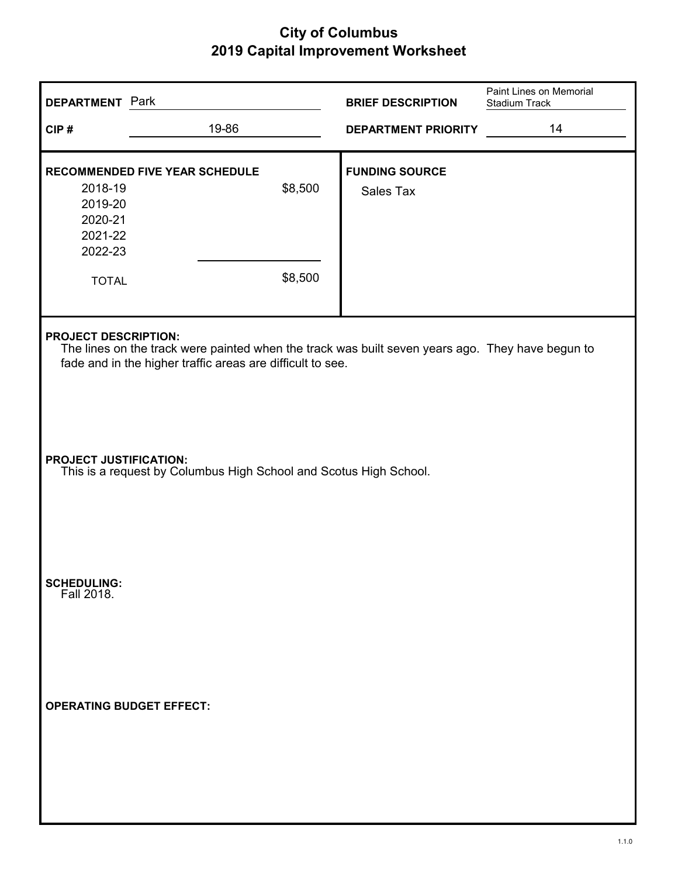| <b>DEPARTMENT</b> Park                                              |                                                                                                                                                                |                    | <b>BRIEF DESCRIPTION</b>           | Paint Lines on Memorial<br>Stadium Track |
|---------------------------------------------------------------------|----------------------------------------------------------------------------------------------------------------------------------------------------------------|--------------------|------------------------------------|------------------------------------------|
| CIP#                                                                | 19-86                                                                                                                                                          |                    | <b>DEPARTMENT PRIORITY</b>         | 14                                       |
| 2018-19<br>2019-20<br>2020-21<br>2021-22<br>2022-23<br><b>TOTAL</b> | RECOMMENDED FIVE YEAR SCHEDULE                                                                                                                                 | \$8,500<br>\$8,500 | <b>FUNDING SOURCE</b><br>Sales Tax |                                          |
| <b>PROJECT DESCRIPTION:</b>                                         | The lines on the track were painted when the track was built seven years ago. They have begun to<br>fade and in the higher traffic areas are difficult to see. |                    |                                    |                                          |
| <b>PROJECT JUSTIFICATION:</b>                                       | This is a request by Columbus High School and Scotus High School.                                                                                              |                    |                                    |                                          |
| <b>SCHEDULING:</b><br>Fall 2018.                                    |                                                                                                                                                                |                    |                                    |                                          |
| <b>OPERATING BUDGET EFFECT:</b>                                     |                                                                                                                                                                |                    |                                    |                                          |
|                                                                     |                                                                                                                                                                |                    |                                    |                                          |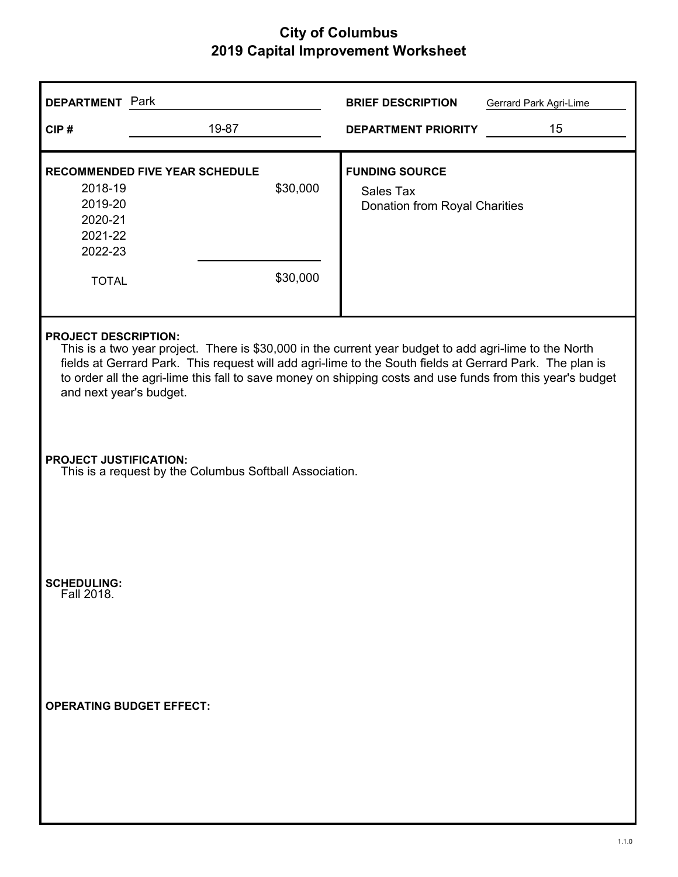| <b>DEPARTMENT</b> Park                                                                                                                                                                                                                                                                                                                                                                     |                                                                                          | <b>BRIEF DESCRIPTION</b><br>Gerrard Park Agri-Lime                         |  |  |  |
|--------------------------------------------------------------------------------------------------------------------------------------------------------------------------------------------------------------------------------------------------------------------------------------------------------------------------------------------------------------------------------------------|------------------------------------------------------------------------------------------|----------------------------------------------------------------------------|--|--|--|
| CIP#                                                                                                                                                                                                                                                                                                                                                                                       | 19-87                                                                                    | 15<br><b>DEPARTMENT PRIORITY</b>                                           |  |  |  |
| 2018-19<br>2019-20<br>2020-21<br>2021-22<br>2022-23<br><b>TOTAL</b>                                                                                                                                                                                                                                                                                                                        | <b>RECOMMENDED FIVE YEAR SCHEDULE</b><br>\$30,000<br>\$30,000                            | <b>FUNDING SOURCE</b><br><b>Sales Tax</b><br>Donation from Royal Charities |  |  |  |
| <b>PROJECT DESCRIPTION:</b><br>This is a two year project. There is \$30,000 in the current year budget to add agri-lime to the North<br>fields at Gerrard Park. This request will add agri-lime to the South fields at Gerrard Park. The plan is<br>to order all the agri-lime this fall to save money on shipping costs and use funds from this year's budget<br>and next year's budget. |                                                                                          |                                                                            |  |  |  |
|                                                                                                                                                                                                                                                                                                                                                                                            | <b>PROJECT JUSTIFICATION:</b><br>This is a request by the Columbus Softball Association. |                                                                            |  |  |  |
| <b>SCHEDULING:</b><br>Fall 2018.                                                                                                                                                                                                                                                                                                                                                           |                                                                                          |                                                                            |  |  |  |
| <b>OPERATING BUDGET EFFECT:</b>                                                                                                                                                                                                                                                                                                                                                            |                                                                                          |                                                                            |  |  |  |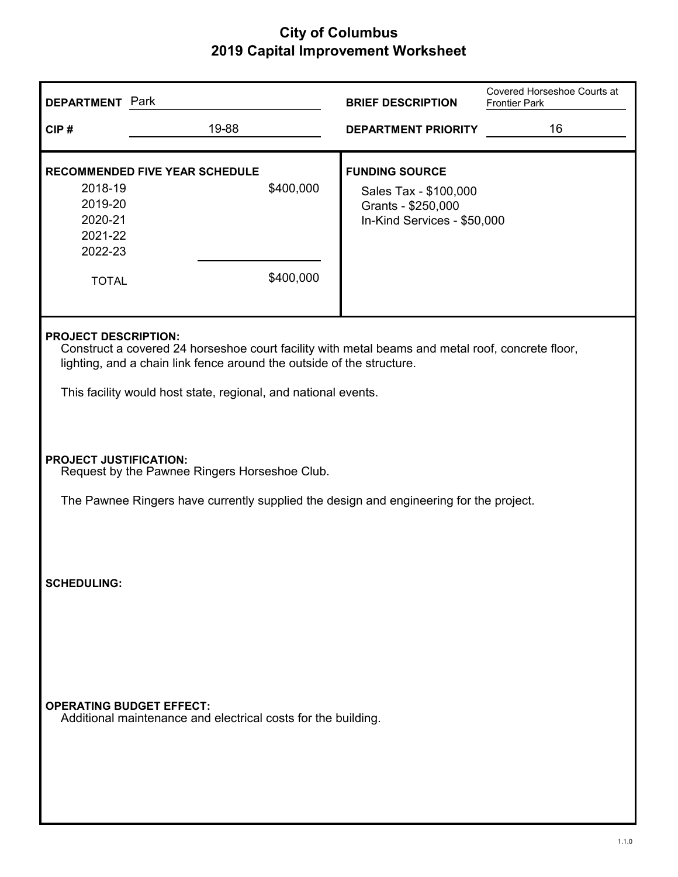| <b>DEPARTMENT</b> Park                                                                                                                                                   |                                                                                                                                                                                                                                                                            | <b>BRIEF DESCRIPTION</b>                                                                            | Covered Horseshoe Courts at<br><b>Frontier Park</b> |  |  |
|--------------------------------------------------------------------------------------------------------------------------------------------------------------------------|----------------------------------------------------------------------------------------------------------------------------------------------------------------------------------------------------------------------------------------------------------------------------|-----------------------------------------------------------------------------------------------------|-----------------------------------------------------|--|--|
| CIP#                                                                                                                                                                     | 19-88                                                                                                                                                                                                                                                                      | <b>DEPARTMENT PRIORITY</b>                                                                          | 16                                                  |  |  |
| 2018-19<br>2019-20<br>2020-21<br>2021-22<br>2022-23<br><b>TOTAL</b>                                                                                                      | <b>RECOMMENDED FIVE YEAR SCHEDULE</b><br>\$400,000<br>\$400,000                                                                                                                                                                                                            | <b>FUNDING SOURCE</b><br>Sales Tax - \$100,000<br>Grants - \$250,000<br>In-Kind Services - \$50,000 |                                                     |  |  |
|                                                                                                                                                                          | <b>PROJECT DESCRIPTION:</b><br>Construct a covered 24 horseshoe court facility with metal beams and metal roof, concrete floor,<br>lighting, and a chain link fence around the outside of the structure.<br>This facility would host state, regional, and national events. |                                                                                                     |                                                     |  |  |
| <b>PROJECT JUSTIFICATION:</b><br>Request by the Pawnee Ringers Horseshoe Club.<br>The Pawnee Ringers have currently supplied the design and engineering for the project. |                                                                                                                                                                                                                                                                            |                                                                                                     |                                                     |  |  |
| <b>SCHEDULING:</b>                                                                                                                                                       |                                                                                                                                                                                                                                                                            |                                                                                                     |                                                     |  |  |
| <b>OPERATING BUDGET EFFECT:</b>                                                                                                                                          | Additional maintenance and electrical costs for the building.                                                                                                                                                                                                              |                                                                                                     |                                                     |  |  |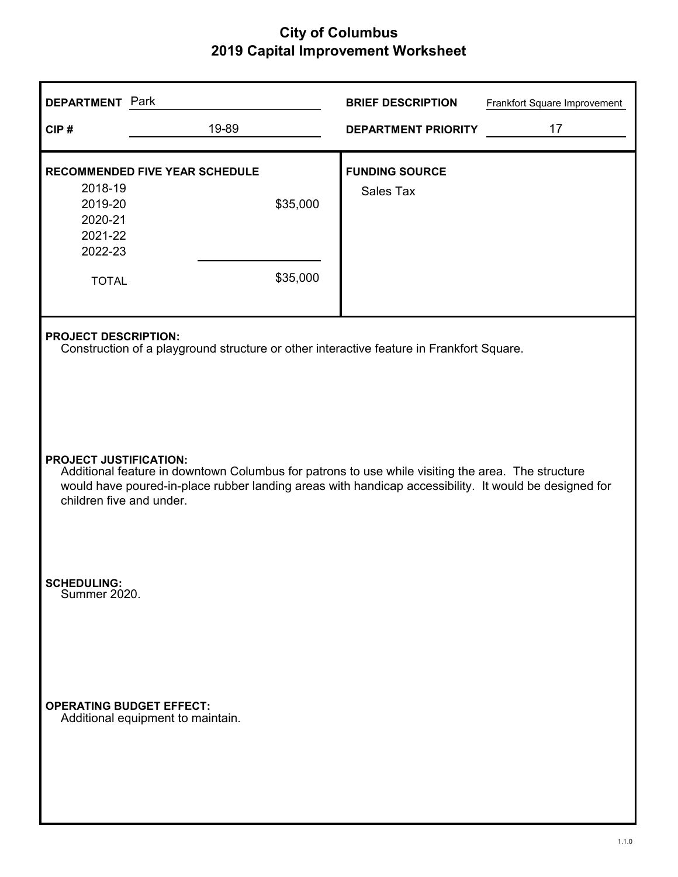| <b>DEPARTMENT</b> Park                                                                                                                                                                                                                                                  |                                                                                                                         | <b>BRIEF DESCRIPTION</b>           | Frankfort Square Improvement |  |  |
|-------------------------------------------------------------------------------------------------------------------------------------------------------------------------------------------------------------------------------------------------------------------------|-------------------------------------------------------------------------------------------------------------------------|------------------------------------|------------------------------|--|--|
| CIP#                                                                                                                                                                                                                                                                    | 19-89                                                                                                                   | <b>DEPARTMENT PRIORITY</b>         | 17                           |  |  |
| 2018-19<br>2019-20<br>2020-21<br>2021-22<br>2022-23<br><b>TOTAL</b>                                                                                                                                                                                                     | <b>RECOMMENDED FIVE YEAR SCHEDULE</b><br>\$35,000<br>\$35,000                                                           | <b>FUNDING SOURCE</b><br>Sales Tax |                              |  |  |
|                                                                                                                                                                                                                                                                         | <b>PROJECT DESCRIPTION:</b><br>Construction of a playground structure or other interactive feature in Frankfort Square. |                                    |                              |  |  |
| <b>PROJECT JUSTIFICATION:</b><br>Additional feature in downtown Columbus for patrons to use while visiting the area. The structure<br>would have poured-in-place rubber landing areas with handicap accessibility. It would be designed for<br>children five and under. |                                                                                                                         |                                    |                              |  |  |
| <b>SCHEDULING:</b><br>Summer 2020.                                                                                                                                                                                                                                      |                                                                                                                         |                                    |                              |  |  |
| <b>OPERATING BUDGET EFFECT:</b>                                                                                                                                                                                                                                         | Additional equipment to maintain.                                                                                       |                                    |                              |  |  |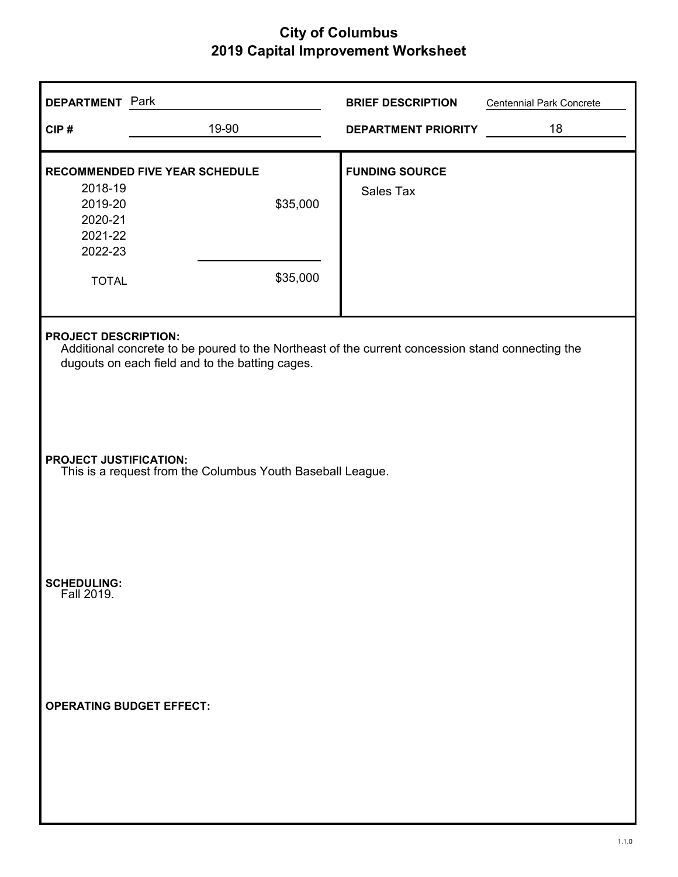| <b>BRIEF DESCRIPTION</b><br><b>Centennial Park Concrete</b>                                                                                                                        |  |  |  |  |
|------------------------------------------------------------------------------------------------------------------------------------------------------------------------------------|--|--|--|--|
| 18<br><b>DEPARTMENT PRIORITY</b>                                                                                                                                                   |  |  |  |  |
| <b>FUNDING SOURCE</b>                                                                                                                                                              |  |  |  |  |
| <b>Sales Tax</b>                                                                                                                                                                   |  |  |  |  |
|                                                                                                                                                                                    |  |  |  |  |
| <b>PROJECT DESCRIPTION:</b><br>Additional concrete to be poured to the Northeast of the current concession stand connecting the<br>dugouts on each field and to the batting cages. |  |  |  |  |
| <b>PROJECT JUSTIFICATION:</b><br>This is a request from the Columbus Youth Baseball League.                                                                                        |  |  |  |  |
|                                                                                                                                                                                    |  |  |  |  |
|                                                                                                                                                                                    |  |  |  |  |
|                                                                                                                                                                                    |  |  |  |  |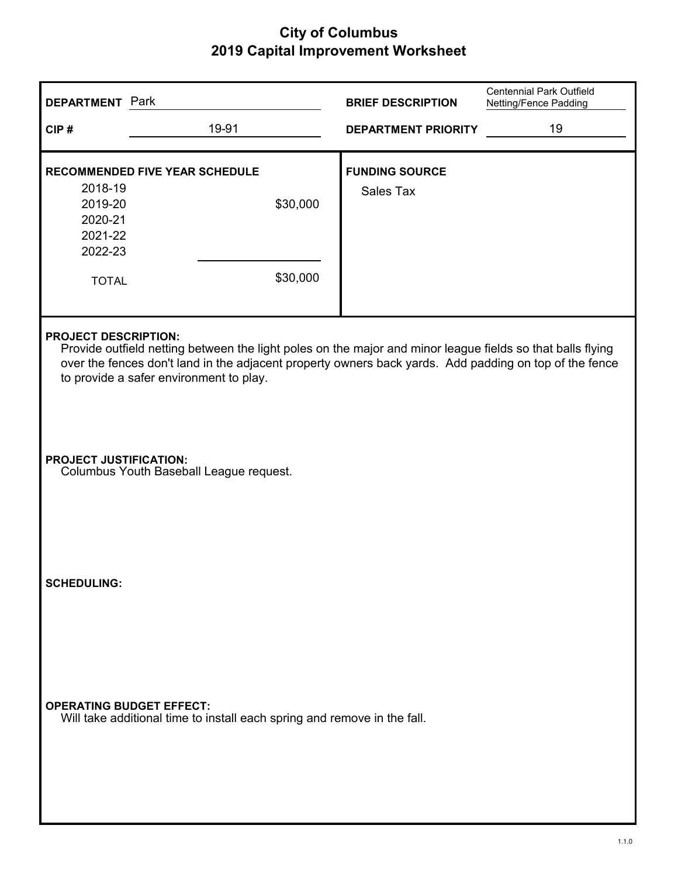| <b>DEPARTMENT Park</b>                                                                                                                                                                                                                                                                         |                                                                          | <b>BRIEF DESCRIPTION</b>                  | <b>Centennial Park Outfield</b><br>Netting/Fence Padding |  |
|------------------------------------------------------------------------------------------------------------------------------------------------------------------------------------------------------------------------------------------------------------------------------------------------|--------------------------------------------------------------------------|-------------------------------------------|----------------------------------------------------------|--|
| CIP#                                                                                                                                                                                                                                                                                           | 19-91                                                                    | <b>DEPARTMENT PRIORITY</b>                | 19                                                       |  |
| 2018-19<br>2019-20<br>2020-21<br>2021-22<br>2022-23<br><b>TOTAL</b>                                                                                                                                                                                                                            | <b>RECOMMENDED FIVE YEAR SCHEDULE</b><br>\$30,000<br>\$30,000            | <b>FUNDING SOURCE</b><br><b>Sales Tax</b> |                                                          |  |
| <b>PROJECT DESCRIPTION:</b><br>Provide outfield netting between the light poles on the major and minor league fields so that balls flying<br>over the fences don't land in the adjacent property owners back yards. Add padding on top of the fence<br>to provide a safer environment to play. |                                                                          |                                           |                                                          |  |
| <b>PROJECT JUSTIFICATION:</b>                                                                                                                                                                                                                                                                  | Columbus Youth Baseball League request.                                  |                                           |                                                          |  |
| <b>SCHEDULING:</b>                                                                                                                                                                                                                                                                             |                                                                          |                                           |                                                          |  |
| <b>OPERATING BUDGET EFFECT:</b>                                                                                                                                                                                                                                                                | Will take additional time to install each spring and remove in the fall. |                                           |                                                          |  |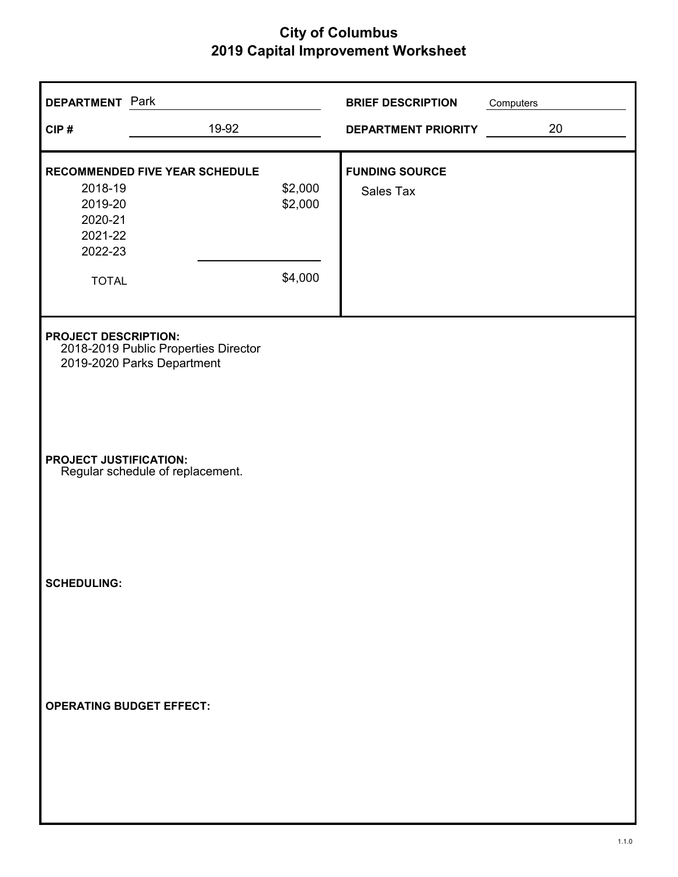| <b>DEPARTMENT</b> Park                                              |                                                                    |                               | <b>BRIEF DESCRIPTION</b>           | Computers |
|---------------------------------------------------------------------|--------------------------------------------------------------------|-------------------------------|------------------------------------|-----------|
| CIP#                                                                | 19-92                                                              |                               | <b>DEPARTMENT PRIORITY</b>         | 20        |
| 2018-19<br>2019-20<br>2020-21<br>2021-22<br>2022-23<br><b>TOTAL</b> | <b>RECOMMENDED FIVE YEAR SCHEDULE</b>                              | \$2,000<br>\$2,000<br>\$4,000 | <b>FUNDING SOURCE</b><br>Sales Tax |           |
| <b>PROJECT DESCRIPTION:</b>                                         | 2018-2019 Public Properties Director<br>2019-2020 Parks Department |                               |                                    |           |
| <b>PROJECT JUSTIFICATION:</b>                                       | Regular schedule of replacement.                                   |                               |                                    |           |
| <b>SCHEDULING:</b>                                                  |                                                                    |                               |                                    |           |
| <b>OPERATING BUDGET EFFECT:</b>                                     |                                                                    |                               |                                    |           |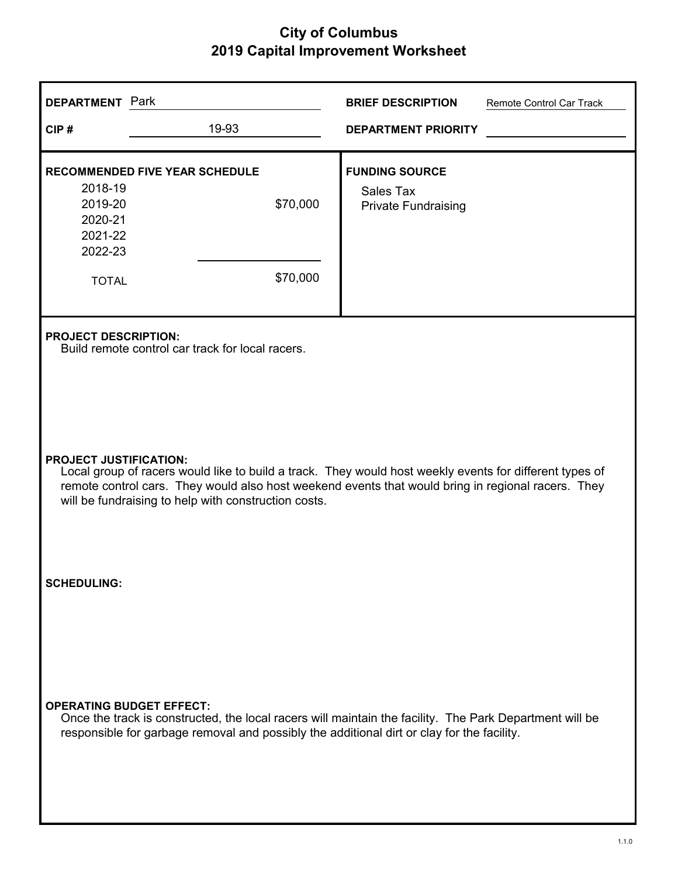| <b>DEPARTMENT</b> Park                                                                                                                                                                                                                                                                                 |                                                                                                                                                                                                       | <b>BRIEF DESCRIPTION</b>                                         | Remote Control Car Track |  |  |
|--------------------------------------------------------------------------------------------------------------------------------------------------------------------------------------------------------------------------------------------------------------------------------------------------------|-------------------------------------------------------------------------------------------------------------------------------------------------------------------------------------------------------|------------------------------------------------------------------|--------------------------|--|--|
| CIP#                                                                                                                                                                                                                                                                                                   | 19-93                                                                                                                                                                                                 | <b>DEPARTMENT PRIORITY</b>                                       |                          |  |  |
| <b>RECOMMENDED FIVE YEAR SCHEDULE</b><br>2018-19<br>2019-20<br>2020-21<br>2021-22<br>2022-23<br><b>TOTAL</b>                                                                                                                                                                                           | \$70,000<br>\$70,000                                                                                                                                                                                  | <b>FUNDING SOURCE</b><br>Sales Tax<br><b>Private Fundraising</b> |                          |  |  |
| <b>PROJECT DESCRIPTION:</b><br>Build remote control car track for local racers.                                                                                                                                                                                                                        |                                                                                                                                                                                                       |                                                                  |                          |  |  |
| <b>PROJECT JUSTIFICATION:</b><br>Local group of racers would like to build a track. They would host weekly events for different types of<br>remote control cars. They would also host weekend events that would bring in regional racers. They<br>will be fundraising to help with construction costs. |                                                                                                                                                                                                       |                                                                  |                          |  |  |
| <b>SCHEDULING:</b>                                                                                                                                                                                                                                                                                     |                                                                                                                                                                                                       |                                                                  |                          |  |  |
| <b>OPERATING BUDGET EFFECT:</b>                                                                                                                                                                                                                                                                        | Once the track is constructed, the local racers will maintain the facility. The Park Department will be<br>responsible for garbage removal and possibly the additional dirt or clay for the facility. |                                                                  |                          |  |  |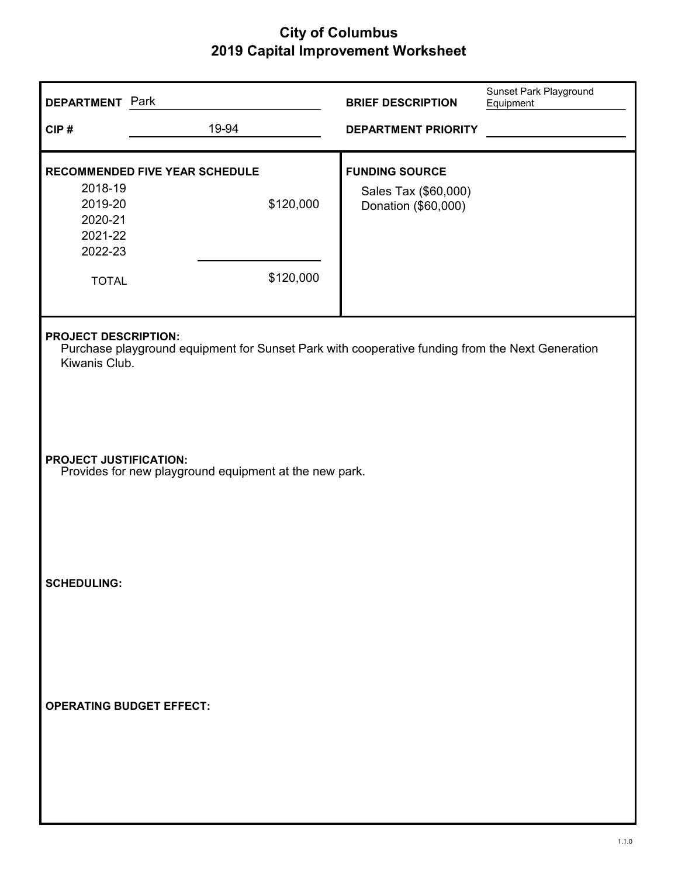| <b>DEPARTMENT</b> Park                                                                  |                                                                                                                                                 | <b>BRIEF DESCRIPTION</b>                                             | Sunset Park Playground<br>Equipment |  |  |
|-----------------------------------------------------------------------------------------|-------------------------------------------------------------------------------------------------------------------------------------------------|----------------------------------------------------------------------|-------------------------------------|--|--|
| CIP#                                                                                    | 19-94                                                                                                                                           | <b>DEPARTMENT PRIORITY</b>                                           |                                     |  |  |
| 2018-19<br>2019-20<br>2020-21<br>2021-22<br>2022-23<br><b>TOTAL</b>                     | RECOMMENDED FIVE YEAR SCHEDULE<br>\$120,000<br>\$120,000                                                                                        | <b>FUNDING SOURCE</b><br>Sales Tax (\$60,000)<br>Donation (\$60,000) |                                     |  |  |
|                                                                                         | <b>PROJECT DESCRIPTION:</b><br>Purchase playground equipment for Sunset Park with cooperative funding from the Next Generation<br>Kiwanis Club. |                                                                      |                                     |  |  |
| <b>PROJECT JUSTIFICATION:</b><br>Provides for new playground equipment at the new park. |                                                                                                                                                 |                                                                      |                                     |  |  |
| <b>SCHEDULING:</b>                                                                      |                                                                                                                                                 |                                                                      |                                     |  |  |
| <b>OPERATING BUDGET EFFECT:</b>                                                         |                                                                                                                                                 |                                                                      |                                     |  |  |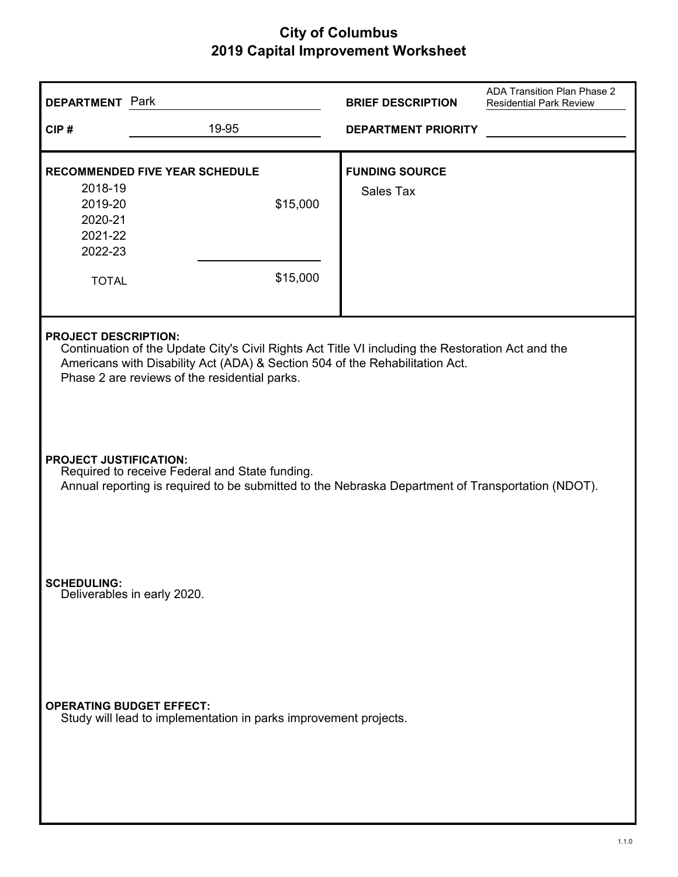| <b>DEPARTMENT</b> Park                                                                                                                                                                                                                                            |                                                                  | <b>BRIEF DESCRIPTION</b>                  | ADA Transition Plan Phase 2<br><b>Residential Park Review</b> |  |
|-------------------------------------------------------------------------------------------------------------------------------------------------------------------------------------------------------------------------------------------------------------------|------------------------------------------------------------------|-------------------------------------------|---------------------------------------------------------------|--|
| CIP#                                                                                                                                                                                                                                                              | 19-95                                                            | <b>DEPARTMENT PRIORITY</b>                |                                                               |  |
| 2018-19<br>2019-20<br>2020-21<br>2021-22<br>2022-23<br><b>TOTAL</b>                                                                                                                                                                                               | <b>RECOMMENDED FIVE YEAR SCHEDULE</b><br>\$15,000<br>\$15,000    | <b>FUNDING SOURCE</b><br><b>Sales Tax</b> |                                                               |  |
| <b>PROJECT DESCRIPTION:</b><br>Continuation of the Update City's Civil Rights Act Title VI including the Restoration Act and the<br>Americans with Disability Act (ADA) & Section 504 of the Rehabilitation Act.<br>Phase 2 are reviews of the residential parks. |                                                                  |                                           |                                                               |  |
| <b>PROJECT JUSTIFICATION:</b><br>Required to receive Federal and State funding.<br>Annual reporting is required to be submitted to the Nebraska Department of Transportation (NDOT).                                                                              |                                                                  |                                           |                                                               |  |
| <b>SCHEDULING:</b>                                                                                                                                                                                                                                                | Deliverables in early 2020.                                      |                                           |                                                               |  |
| <b>OPERATING BUDGET EFFECT:</b>                                                                                                                                                                                                                                   | Study will lead to implementation in parks improvement projects. |                                           |                                                               |  |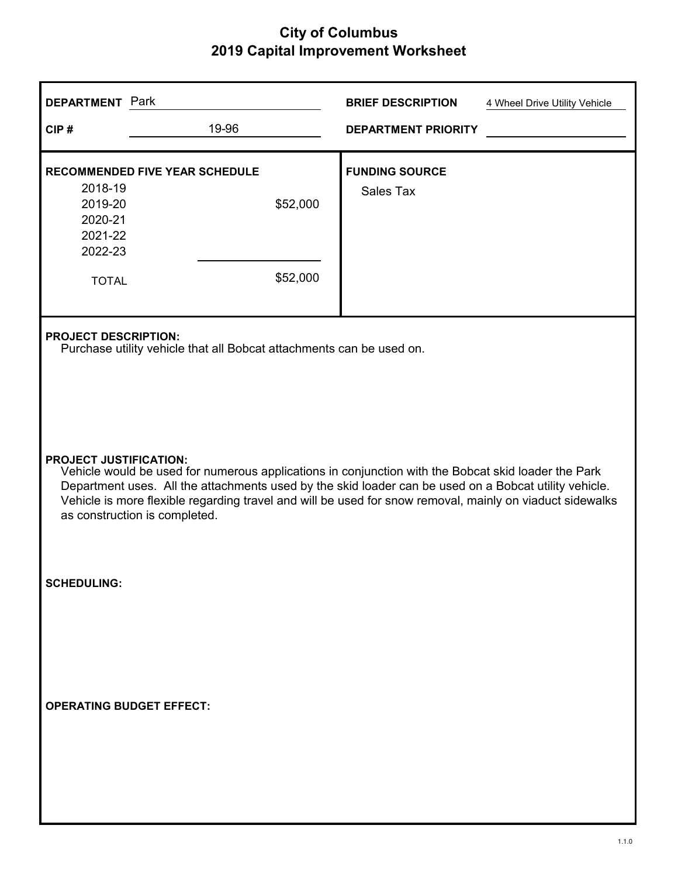| <b>DEPARTMENT</b> Park                                              |                                                                                                                                                                                                                                                                                                                                                                                            | <b>BRIEF DESCRIPTION</b>                  | 4 Wheel Drive Utility Vehicle |  |  |
|---------------------------------------------------------------------|--------------------------------------------------------------------------------------------------------------------------------------------------------------------------------------------------------------------------------------------------------------------------------------------------------------------------------------------------------------------------------------------|-------------------------------------------|-------------------------------|--|--|
| CIP#                                                                | 19-96                                                                                                                                                                                                                                                                                                                                                                                      | <b>DEPARTMENT PRIORITY</b>                |                               |  |  |
| 2018-19<br>2019-20<br>2020-21<br>2021-22<br>2022-23<br><b>TOTAL</b> | <b>RECOMMENDED FIVE YEAR SCHEDULE</b><br>\$52,000<br>\$52,000                                                                                                                                                                                                                                                                                                                              | <b>FUNDING SOURCE</b><br><b>Sales Tax</b> |                               |  |  |
|                                                                     | <b>PROJECT DESCRIPTION:</b><br>Purchase utility vehicle that all Bobcat attachments can be used on.                                                                                                                                                                                                                                                                                        |                                           |                               |  |  |
|                                                                     | <b>PROJECT JUSTIFICATION:</b><br>Vehicle would be used for numerous applications in conjunction with the Bobcat skid loader the Park<br>Department uses. All the attachments used by the skid loader can be used on a Bobcat utility vehicle.<br>Vehicle is more flexible regarding travel and will be used for snow removal, mainly on viaduct sidewalks<br>as construction is completed. |                                           |                               |  |  |
| <b>SCHEDULING:</b>                                                  |                                                                                                                                                                                                                                                                                                                                                                                            |                                           |                               |  |  |
| <b>OPERATING BUDGET EFFECT:</b>                                     |                                                                                                                                                                                                                                                                                                                                                                                            |                                           |                               |  |  |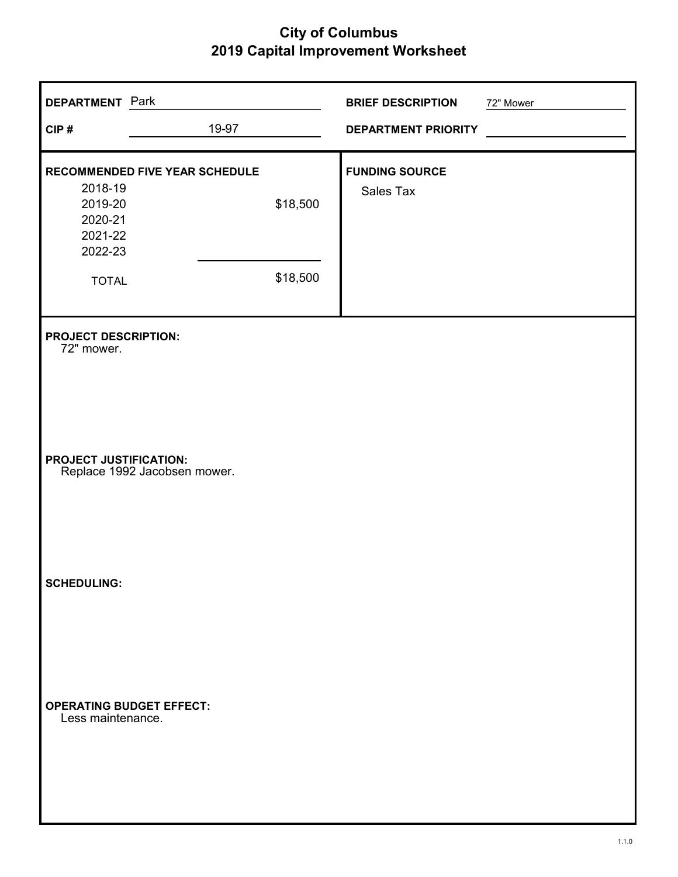| <b>DEPARTMENT</b> Park                                              |                                |                      | <b>BRIEF DESCRIPTION</b>           | 72" Mower |
|---------------------------------------------------------------------|--------------------------------|----------------------|------------------------------------|-----------|
| CIP#                                                                | 19-97                          |                      | <b>DEPARTMENT PRIORITY</b>         |           |
| 2018-19<br>2019-20<br>2020-21<br>2021-22<br>2022-23<br><b>TOTAL</b> | RECOMMENDED FIVE YEAR SCHEDULE | \$18,500<br>\$18,500 | <b>FUNDING SOURCE</b><br>Sales Tax |           |
| <b>PROJECT DESCRIPTION:</b><br>72" mower.                           |                                |                      |                                    |           |
| <b>PROJECT JUSTIFICATION:</b>                                       | Replace 1992 Jacobsen mower.   |                      |                                    |           |
| <b>SCHEDULING:</b>                                                  |                                |                      |                                    |           |
| <b>OPERATING BUDGET EFFECT:</b><br>Less maintenance.                |                                |                      |                                    |           |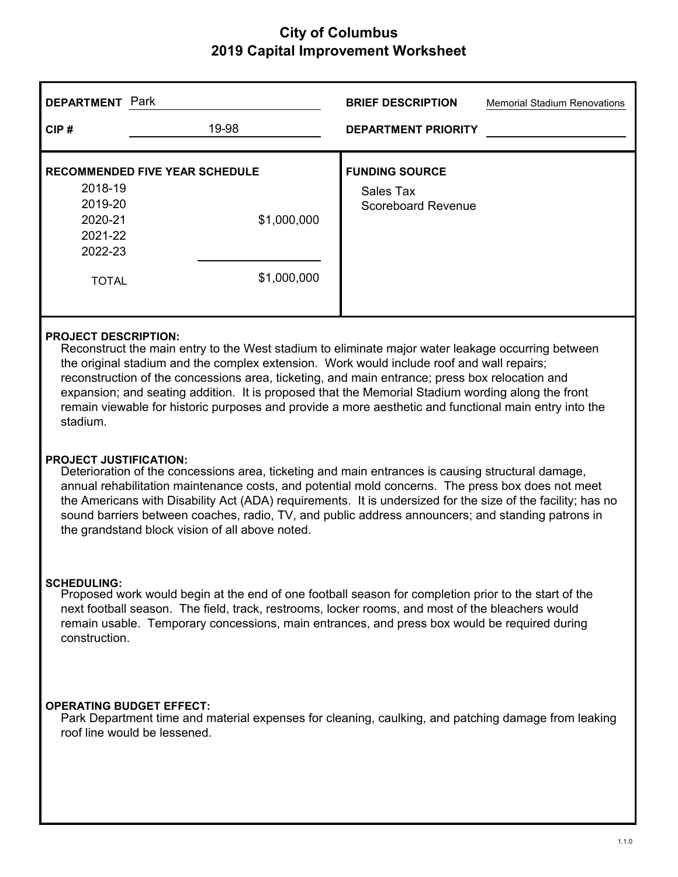| <b>DEPARTMENT</b><br>CIP#                                                                                    | Park | 19-98                      | <b>BRIEF DESCRIPTION</b><br><b>DEPARTMENT PRIORITY</b>   | <b>Memorial Stadium Renovations</b> |
|--------------------------------------------------------------------------------------------------------------|------|----------------------------|----------------------------------------------------------|-------------------------------------|
| <b>RECOMMENDED FIVE YEAR SCHEDULE</b><br>2018-19<br>2019-20<br>2020-21<br>2021-22<br>2022-23<br><b>TOTAL</b> |      | \$1,000,000<br>\$1,000,000 | <b>FUNDING SOURCE</b><br>Sales Tax<br>Scoreboard Revenue |                                     |

#### **PROJECT DESCRIPTION:**

Reconstruct the main entry to the West stadium to eliminate major water leakage occurring between the original stadium and the complex extension. Work would include roof and wall repairs; reconstruction of the concessions area, ticketing, and main entrance; press box relocation and expansion; and seating addition. It is proposed that the Memorial Stadium wording along the front remain viewable for historic purposes and provide a more aesthetic and functional main entry into the stadium.

#### **PROJECT JUSTIFICATION:**

Deterioration of the concessions area, ticketing and main entrances is causing structural damage, annual rehabilitation maintenance costs, and potential mold concerns. The press box does not meet the Americans with Disability Act (ADA) requirements. It is undersized for the size of the facility; has no sound barriers between coaches, radio, TV, and public address announcers; and standing patrons in the grandstand block vision of all above noted.

#### **SCHEDULING:**

Proposed work would begin at the end of one football season for completion prior to the start of the next football season. The field, track, restrooms, locker rooms, and most of the bleachers would remain usable. Temporary concessions, main entrances, and press box would be required during construction.

#### **OPERATING BUDGET EFFECT:**

Park Department time and material expenses for cleaning, caulking, and patching damage from leaking roof line would be lessened.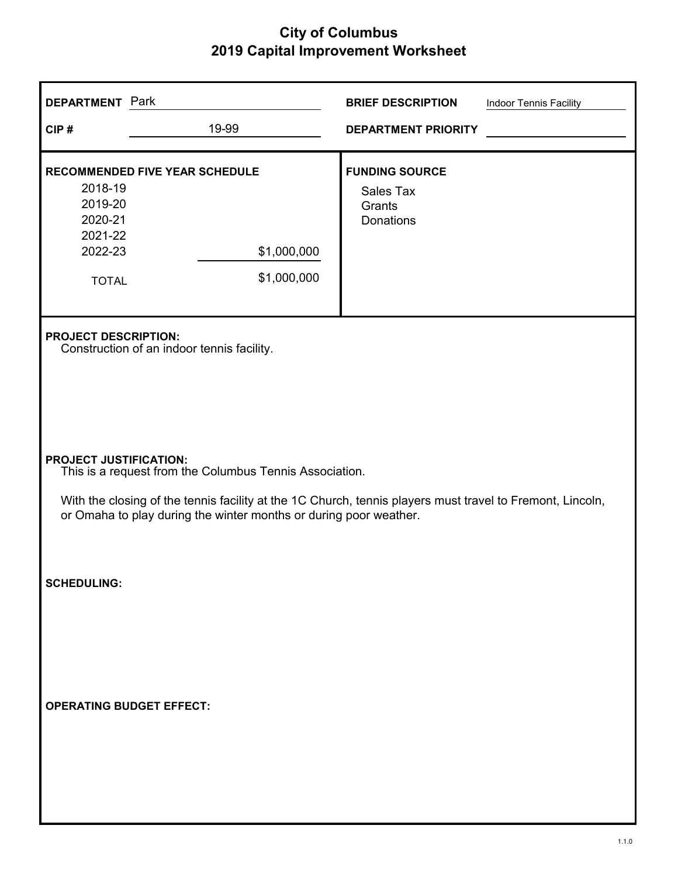| <b>DEPARTMENT</b> Park                                              |                                                                                                                                                                                                                                                                            | <b>BRIEF DESCRIPTION</b>                                  | Indoor Tennis Facility |  |  |
|---------------------------------------------------------------------|----------------------------------------------------------------------------------------------------------------------------------------------------------------------------------------------------------------------------------------------------------------------------|-----------------------------------------------------------|------------------------|--|--|
| CIP#                                                                | 19-99                                                                                                                                                                                                                                                                      | <b>DEPARTMENT PRIORITY</b>                                |                        |  |  |
| 2018-19<br>2019-20<br>2020-21<br>2021-22<br>2022-23<br><b>TOTAL</b> | <b>RECOMMENDED FIVE YEAR SCHEDULE</b><br>\$1,000,000<br>\$1,000,000                                                                                                                                                                                                        | <b>FUNDING SOURCE</b><br>Sales Tax<br>Grants<br>Donations |                        |  |  |
| <b>PROJECT DESCRIPTION:</b>                                         | Construction of an indoor tennis facility.                                                                                                                                                                                                                                 |                                                           |                        |  |  |
|                                                                     | <b>PROJECT JUSTIFICATION:</b><br>This is a request from the Columbus Tennis Association.<br>With the closing of the tennis facility at the 1C Church, tennis players must travel to Fremont, Lincoln,<br>or Omaha to play during the winter months or during poor weather. |                                                           |                        |  |  |
| <b>SCHEDULING:</b>                                                  |                                                                                                                                                                                                                                                                            |                                                           |                        |  |  |
| <b>OPERATING BUDGET EFFECT:</b>                                     |                                                                                                                                                                                                                                                                            |                                                           |                        |  |  |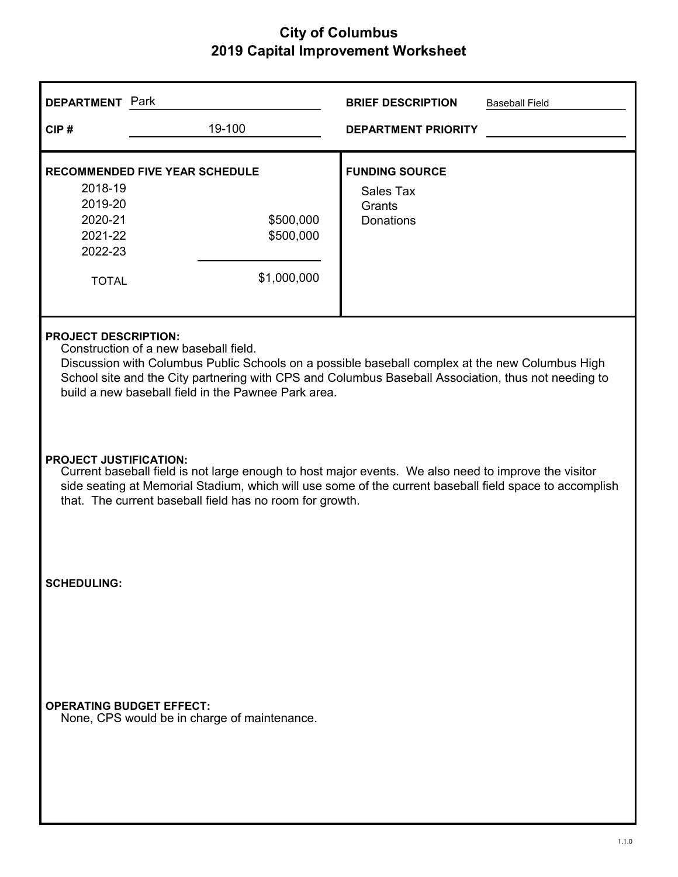| <b>DEPARTMENT</b> Park                                                                                                                                                                                                                                                                                                                |                                                                                                                                                                                                                                                                                                              | <b>BRIEF DESCRIPTION</b>                                                | <b>Baseball Field</b> |  |  |
|---------------------------------------------------------------------------------------------------------------------------------------------------------------------------------------------------------------------------------------------------------------------------------------------------------------------------------------|--------------------------------------------------------------------------------------------------------------------------------------------------------------------------------------------------------------------------------------------------------------------------------------------------------------|-------------------------------------------------------------------------|-----------------------|--|--|
| CIP#                                                                                                                                                                                                                                                                                                                                  | 19-100                                                                                                                                                                                                                                                                                                       | <b>DEPARTMENT PRIORITY</b>                                              |                       |  |  |
| 2018-19<br>2019-20<br>2020-21<br>2021-22<br>2022-23<br><b>TOTAL</b>                                                                                                                                                                                                                                                                   | <b>RECOMMENDED FIVE YEAR SCHEDULE</b><br>\$500,000<br>\$500,000<br>\$1,000,000                                                                                                                                                                                                                               | <b>FUNDING SOURCE</b><br><b>Sales Tax</b><br>Grants<br><b>Donations</b> |                       |  |  |
| <b>PROJECT DESCRIPTION:</b><br>Construction of a new baseball field.<br>Discussion with Columbus Public Schools on a possible baseball complex at the new Columbus High<br>School site and the City partnering with CPS and Columbus Baseball Association, thus not needing to<br>build a new baseball field in the Pawnee Park area. |                                                                                                                                                                                                                                                                                                              |                                                                         |                       |  |  |
|                                                                                                                                                                                                                                                                                                                                       | <b>PROJECT JUSTIFICATION:</b><br>Current baseball field is not large enough to host major events. We also need to improve the visitor<br>side seating at Memorial Stadium, which will use some of the current baseball field space to accomplish<br>that. The current baseball field has no room for growth. |                                                                         |                       |  |  |
| <b>SCHEDULING:</b>                                                                                                                                                                                                                                                                                                                    |                                                                                                                                                                                                                                                                                                              |                                                                         |                       |  |  |
| <b>OPERATING BUDGET EFFECT:</b>                                                                                                                                                                                                                                                                                                       | None, CPS would be in charge of maintenance.                                                                                                                                                                                                                                                                 |                                                                         |                       |  |  |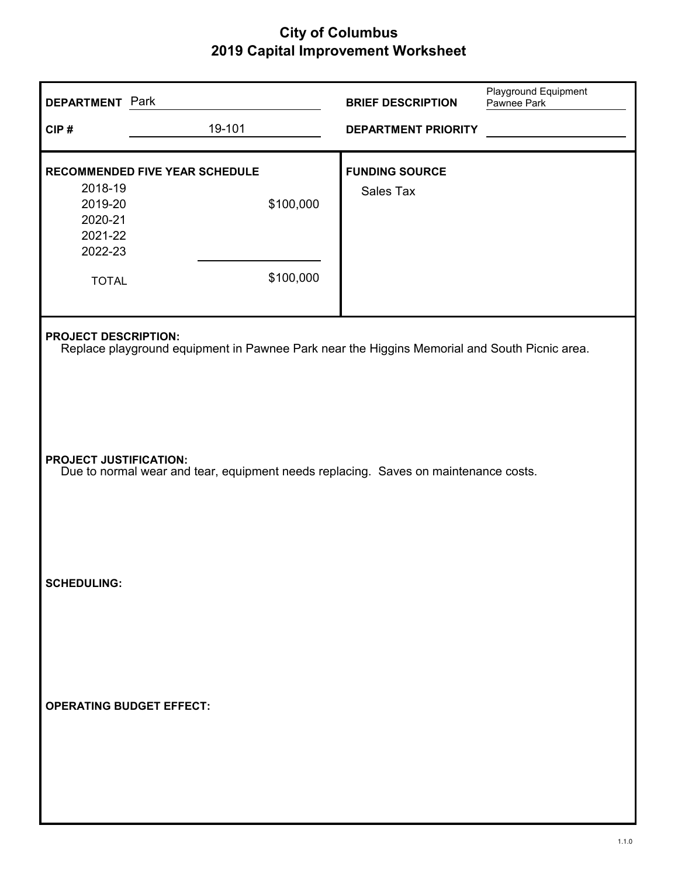| <b>DEPARTMENT Park</b>                                              |                                                                                                                             | <b>BRIEF DESCRIPTION</b>           | Playground Equipment<br>Pawnee Park |  |  |  |
|---------------------------------------------------------------------|-----------------------------------------------------------------------------------------------------------------------------|------------------------------------|-------------------------------------|--|--|--|
| CIP#                                                                | 19-101                                                                                                                      | <b>DEPARTMENT PRIORITY</b>         |                                     |  |  |  |
| 2018-19<br>2019-20<br>2020-21<br>2021-22<br>2022-23<br><b>TOTAL</b> | RECOMMENDED FIVE YEAR SCHEDULE<br>\$100,000<br>\$100,000                                                                    | <b>FUNDING SOURCE</b><br>Sales Tax |                                     |  |  |  |
|                                                                     | <b>PROJECT DESCRIPTION:</b><br>Replace playground equipment in Pawnee Park near the Higgins Memorial and South Picnic area. |                                    |                                     |  |  |  |
|                                                                     | <b>PROJECT JUSTIFICATION:</b><br>Due to normal wear and tear, equipment needs replacing. Saves on maintenance costs.        |                                    |                                     |  |  |  |
| <b>SCHEDULING:</b>                                                  |                                                                                                                             |                                    |                                     |  |  |  |
| <b>OPERATING BUDGET EFFECT:</b>                                     |                                                                                                                             |                                    |                                     |  |  |  |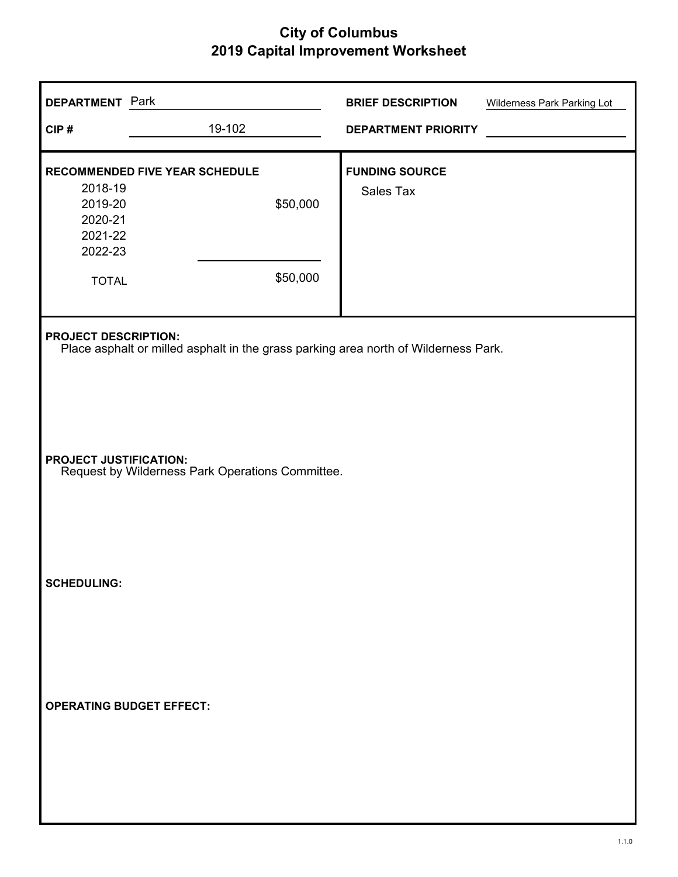| <b>DEPARTMENT</b> Park                              |                                                                                     | <b>BRIEF DESCRIPTION</b>   | Wilderness Park Parking Lot |  |  |
|-----------------------------------------------------|-------------------------------------------------------------------------------------|----------------------------|-----------------------------|--|--|
| CIP#                                                | 19-102                                                                              | <b>DEPARTMENT PRIORITY</b> |                             |  |  |
|                                                     | <b>RECOMMENDED FIVE YEAR SCHEDULE</b>                                               | <b>FUNDING SOURCE</b>      |                             |  |  |
| 2018-19<br>2019-20<br>2020-21<br>2021-22<br>2022-23 | \$50,000                                                                            | Sales Tax                  |                             |  |  |
| <b>TOTAL</b>                                        | \$50,000                                                                            |                            |                             |  |  |
| <b>PROJECT DESCRIPTION:</b>                         | Place asphalt or milled asphalt in the grass parking area north of Wilderness Park. |                            |                             |  |  |
|                                                     | <b>PROJECT JUSTIFICATION:</b><br>Request by Wilderness Park Operations Committee.   |                            |                             |  |  |
| <b>SCHEDULING:</b>                                  |                                                                                     |                            |                             |  |  |
| <b>OPERATING BUDGET EFFECT:</b>                     |                                                                                     |                            |                             |  |  |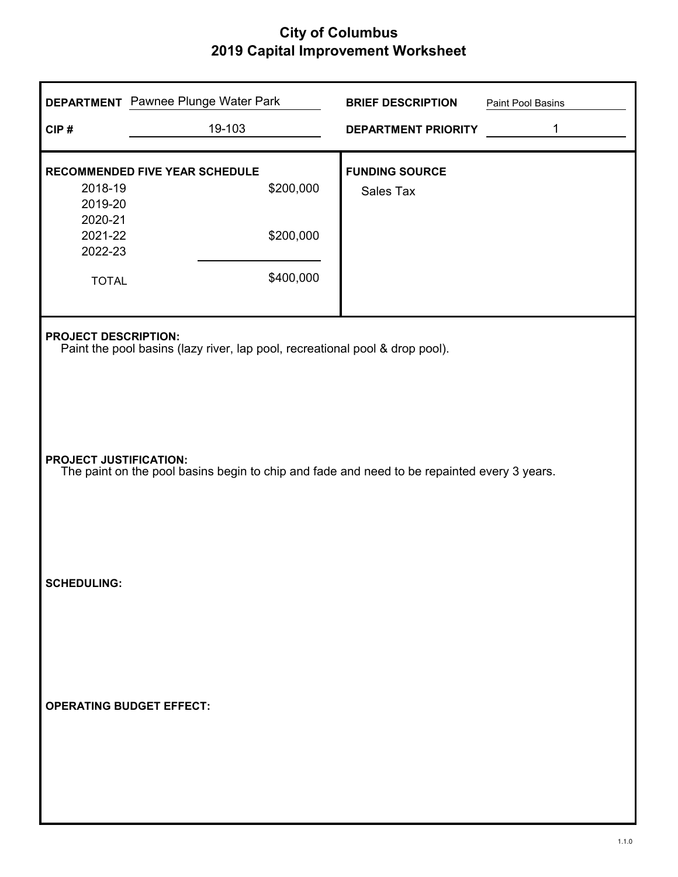| CIP#                                                                                                                                         | <b>DEPARTMENT</b> Pawnee Plunge Water Park<br>19-103                                        | <b>BRIEF DESCRIPTION</b><br>DEPARTMENT PRIORITY | Paint Pool Basins<br>1 |  |
|----------------------------------------------------------------------------------------------------------------------------------------------|---------------------------------------------------------------------------------------------|-------------------------------------------------|------------------------|--|
| 2018-19<br>2019-20<br>2020-21<br>2021-22<br>2022-23<br><b>TOTAL</b>                                                                          | RECOMMENDED FIVE YEAR SCHEDULE<br>\$200,000<br>\$200,000<br>\$400,000                       | <b>FUNDING SOURCE</b><br>Sales Tax              |                        |  |
| <b>PROJECT DESCRIPTION:</b><br>Paint the pool basins (lazy river, lap pool, recreational pool & drop pool).<br><b>PROJECT JUSTIFICATION:</b> |                                                                                             |                                                 |                        |  |
| <b>SCHEDULING:</b>                                                                                                                           | The paint on the pool basins begin to chip and fade and need to be repainted every 3 years. |                                                 |                        |  |
|                                                                                                                                              | <b>OPERATING BUDGET EFFECT:</b>                                                             |                                                 |                        |  |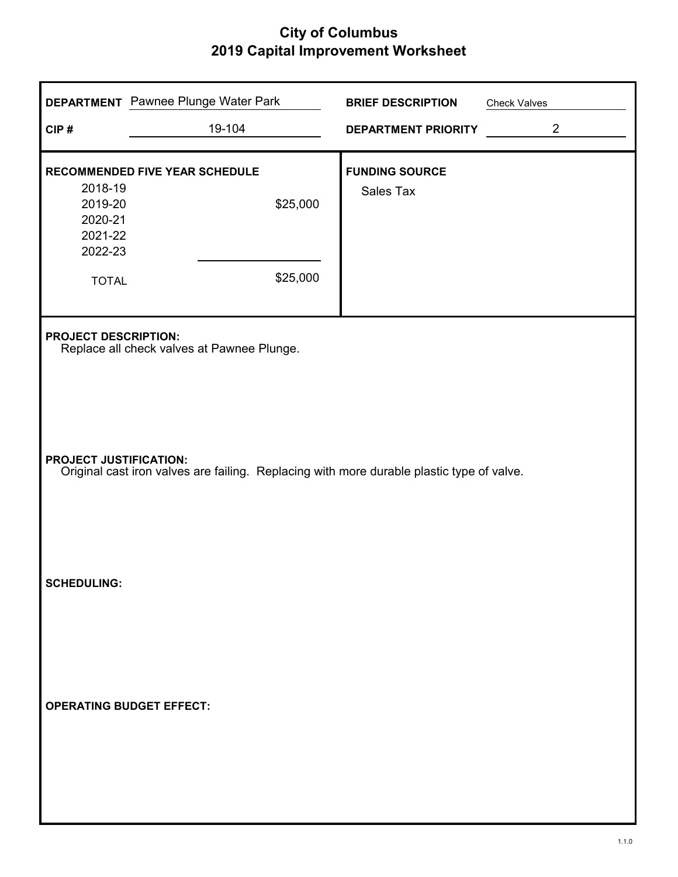| CIP#                                                                                                                                                                                                    | <b>DEPARTMENT</b> Pawnee Plunge Water Park<br>19-104   | <b>BRIEF DESCRIPTION</b><br><b>DEPARTMENT PRIORITY</b> | <b>Check Valves</b><br>$\overline{2}$ |  |
|---------------------------------------------------------------------------------------------------------------------------------------------------------------------------------------------------------|--------------------------------------------------------|--------------------------------------------------------|---------------------------------------|--|
| 2018-19<br>2019-20<br>2020-21<br>2021-22<br>2022-23<br><b>TOTAL</b>                                                                                                                                     | RECOMMENDED FIVE YEAR SCHEDULE<br>\$25,000<br>\$25,000 | <b>FUNDING SOURCE</b><br>Sales Tax                     |                                       |  |
| <b>PROJECT DESCRIPTION:</b><br>Replace all check valves at Pawnee Plunge.<br><b>PROJECT JUSTIFICATION:</b><br>Original cast iron valves are failing. Replacing with more durable plastic type of valve. |                                                        |                                                        |                                       |  |
| <b>SCHEDULING:</b>                                                                                                                                                                                      |                                                        |                                                        |                                       |  |
| <b>OPERATING BUDGET EFFECT:</b>                                                                                                                                                                         |                                                        |                                                        |                                       |  |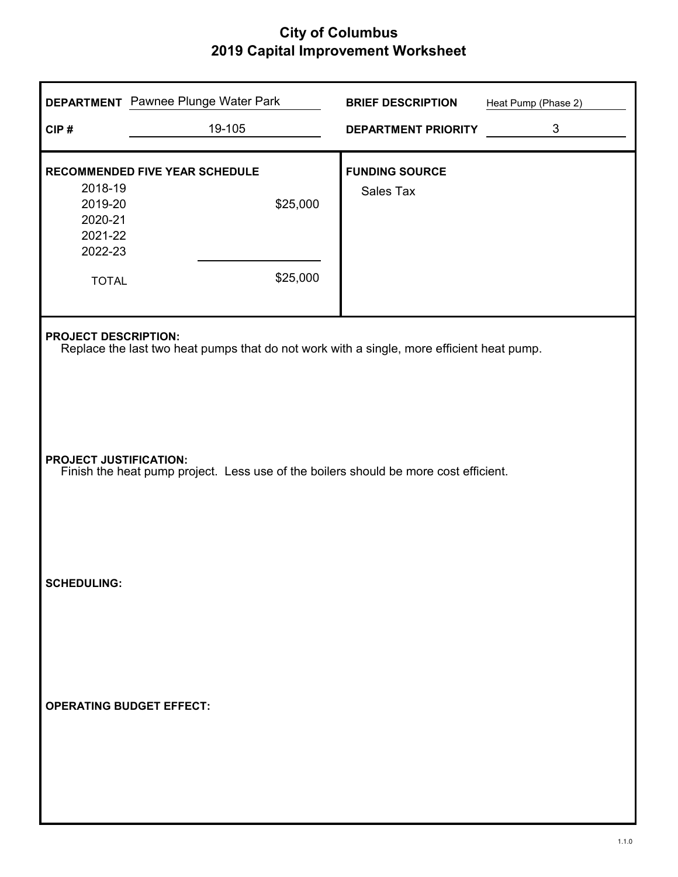| CIP#                                                                                                                                                                                                                                              | <b>DEPARTMENT</b> Pawnee Plunge Water Park<br>19-105          | <b>BRIEF DESCRIPTION</b><br><b>DEPARTMENT PRIORITY</b> | Heat Pump (Phase 2)<br>$\mathfrak{S}$ |  |
|---------------------------------------------------------------------------------------------------------------------------------------------------------------------------------------------------------------------------------------------------|---------------------------------------------------------------|--------------------------------------------------------|---------------------------------------|--|
| 2018-19<br>2019-20<br>2020-21<br>2021-22<br>2022-23<br><b>TOTAL</b>                                                                                                                                                                               | <b>RECOMMENDED FIVE YEAR SCHEDULE</b><br>\$25,000<br>\$25,000 | <b>FUNDING SOURCE</b><br>Sales Tax                     |                                       |  |
| <b>PROJECT DESCRIPTION:</b><br>Replace the last two heat pumps that do not work with a single, more efficient heat pump.<br><b>PROJECT JUSTIFICATION:</b><br>Finish the heat pump project. Less use of the boilers should be more cost efficient. |                                                               |                                                        |                                       |  |
| <b>SCHEDULING:</b>                                                                                                                                                                                                                                |                                                               |                                                        |                                       |  |
|                                                                                                                                                                                                                                                   | <b>OPERATING BUDGET EFFECT:</b>                               |                                                        |                                       |  |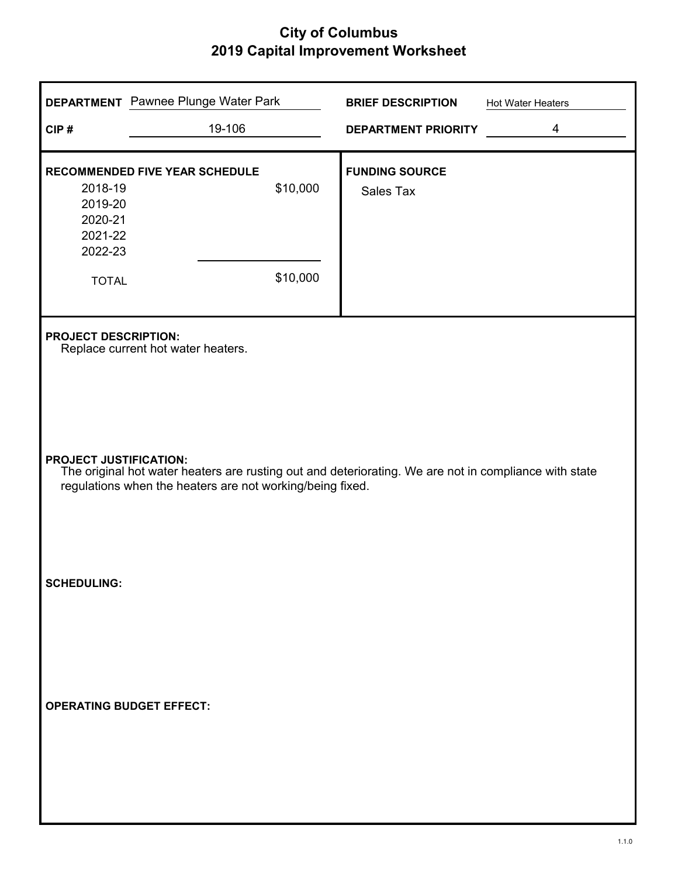|                                                     | <b>DEPARTMENT</b> Pawnee Plunge Water Park                                                                                                                         |          | <b>BRIEF DESCRIPTION</b>                  | Hot Water Heaters |  |  |
|-----------------------------------------------------|--------------------------------------------------------------------------------------------------------------------------------------------------------------------|----------|-------------------------------------------|-------------------|--|--|
| CIP#                                                | 19-106                                                                                                                                                             |          | DEPARTMENT PRIORITY                       | 4                 |  |  |
| 2018-19<br>2019-20<br>2020-21<br>2021-22<br>2022-23 | <b>RECOMMENDED FIVE YEAR SCHEDULE</b>                                                                                                                              | \$10,000 | <b>FUNDING SOURCE</b><br><b>Sales Tax</b> |                   |  |  |
| <b>TOTAL</b>                                        |                                                                                                                                                                    | \$10,000 |                                           |                   |  |  |
|                                                     | <b>PROJECT DESCRIPTION:</b><br>Replace current hot water heaters.                                                                                                  |          |                                           |                   |  |  |
| <b>PROJECT JUSTIFICATION:</b>                       | The original hot water heaters are rusting out and deteriorating. We are not in compliance with state<br>regulations when the heaters are not working/being fixed. |          |                                           |                   |  |  |
| <b>SCHEDULING:</b>                                  |                                                                                                                                                                    |          |                                           |                   |  |  |
|                                                     | <b>OPERATING BUDGET EFFECT:</b>                                                                                                                                    |          |                                           |                   |  |  |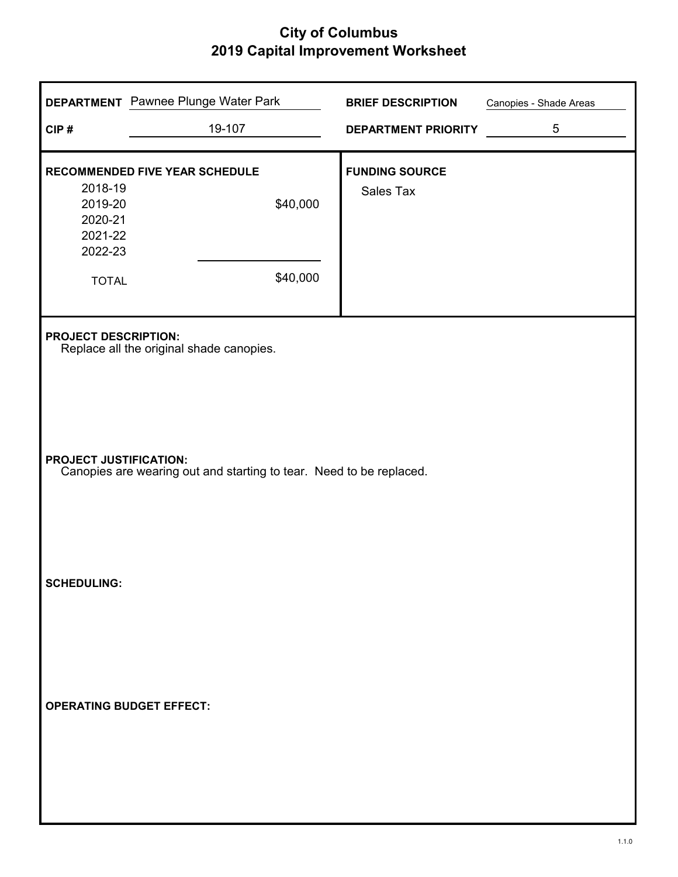| CIP#                                                                | <b>DEPARTMENT</b> Pawnee Plunge Water Park<br>19-107                                                 | <b>BRIEF DESCRIPTION</b><br>DEPARTMENT PRIORITY | Canopies - Shade Areas<br>5 |  |  |  |
|---------------------------------------------------------------------|------------------------------------------------------------------------------------------------------|-------------------------------------------------|-----------------------------|--|--|--|
| 2018-19<br>2019-20<br>2020-21<br>2021-22<br>2022-23<br><b>TOTAL</b> | <b>RECOMMENDED FIVE YEAR SCHEDULE</b><br>\$40,000<br>\$40,000                                        | <b>FUNDING SOURCE</b><br>Sales Tax              |                             |  |  |  |
|                                                                     | <b>PROJECT DESCRIPTION:</b><br>Replace all the original shade canopies.                              |                                                 |                             |  |  |  |
|                                                                     | <b>PROJECT JUSTIFICATION:</b><br>Canopies are wearing out and starting to tear. Need to be replaced. |                                                 |                             |  |  |  |
| <b>SCHEDULING:</b>                                                  |                                                                                                      |                                                 |                             |  |  |  |
|                                                                     | <b>OPERATING BUDGET EFFECT:</b>                                                                      |                                                 |                             |  |  |  |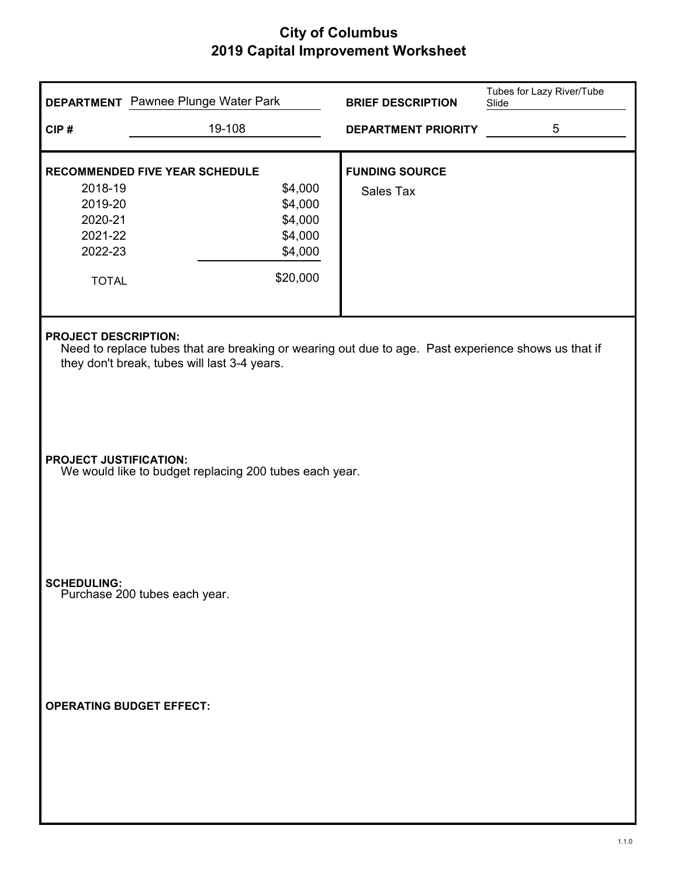|                               | <b>DEPARTMENT</b> Pawnee Plunge Water Park                                                                                                                                         | <b>BRIEF DESCRIPTION</b>   | Tubes for Lazy River/Tube<br>Slide |  |  |
|-------------------------------|------------------------------------------------------------------------------------------------------------------------------------------------------------------------------------|----------------------------|------------------------------------|--|--|
| CIP#                          | 19-108                                                                                                                                                                             | <b>DEPARTMENT PRIORITY</b> | 5                                  |  |  |
|                               | <b>RECOMMENDED FIVE YEAR SCHEDULE</b>                                                                                                                                              | <b>FUNDING SOURCE</b>      |                                    |  |  |
| 2018-19                       | \$4,000                                                                                                                                                                            | Sales Tax                  |                                    |  |  |
| 2019-20                       | \$4,000                                                                                                                                                                            |                            |                                    |  |  |
| 2020-21                       | \$4,000                                                                                                                                                                            |                            |                                    |  |  |
| 2021-22                       | \$4,000                                                                                                                                                                            |                            |                                    |  |  |
| 2022-23                       | \$4,000                                                                                                                                                                            |                            |                                    |  |  |
| <b>TOTAL</b>                  | \$20,000                                                                                                                                                                           |                            |                                    |  |  |
|                               |                                                                                                                                                                                    |                            |                                    |  |  |
|                               | <b>PROJECT DESCRIPTION:</b><br>Need to replace tubes that are breaking or wearing out due to age. Past experience shows us that if<br>they don't break, tubes will last 3-4 years. |                            |                                    |  |  |
| <b>PROJECT JUSTIFICATION:</b> | We would like to budget replacing 200 tubes each year.                                                                                                                             |                            |                                    |  |  |
| <b>SCHEDULING:</b>            | Purchase 200 tubes each year.                                                                                                                                                      |                            |                                    |  |  |
|                               | <b>OPERATING BUDGET EFFECT:</b>                                                                                                                                                    |                            |                                    |  |  |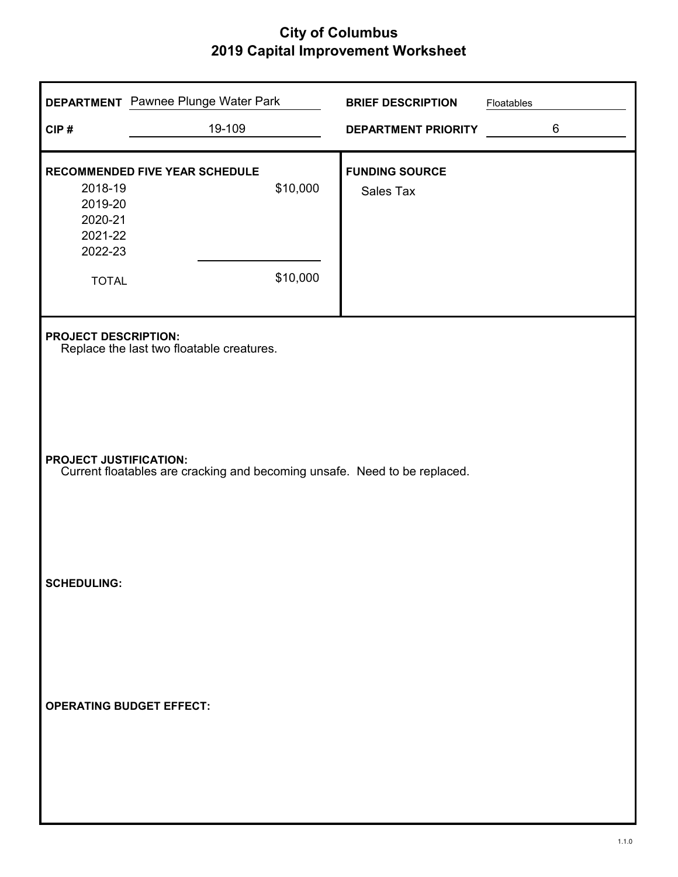| CIP#                                                                                                       | <b>DEPARTMENT</b> Pawnee Plunge Water Park<br>19-109                     |                      | <b>BRIEF DESCRIPTION</b><br><b>DEPARTMENT PRIORITY</b> | Floatables | 6 |
|------------------------------------------------------------------------------------------------------------|--------------------------------------------------------------------------|----------------------|--------------------------------------------------------|------------|---|
| 2018-19<br>2019-20<br>2020-21<br>2021-22<br>2022-23<br><b>TOTAL</b>                                        | RECOMMENDED FIVE YEAR SCHEDULE                                           | \$10,000<br>\$10,000 | <b>FUNDING SOURCE</b><br>Sales Tax                     |            |   |
|                                                                                                            | <b>PROJECT DESCRIPTION:</b><br>Replace the last two floatable creatures. |                      |                                                        |            |   |
| <b>PROJECT JUSTIFICATION:</b><br>Current floatables are cracking and becoming unsafe. Need to be replaced. |                                                                          |                      |                                                        |            |   |
| <b>SCHEDULING:</b>                                                                                         |                                                                          |                      |                                                        |            |   |
| <b>OPERATING BUDGET EFFECT:</b>                                                                            |                                                                          |                      |                                                        |            |   |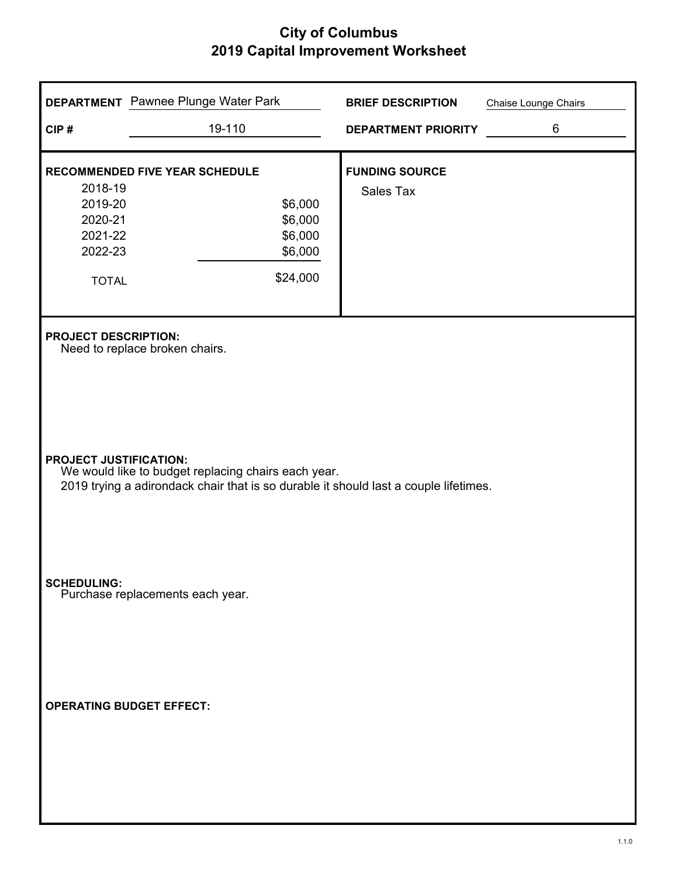|                                                                     | <b>DEPARTMENT</b> Pawnee Plunge Water Park                                                                                                                                   | <b>BRIEF DESCRIPTION</b>           | Chaise Lounge Chairs |  |  |  |
|---------------------------------------------------------------------|------------------------------------------------------------------------------------------------------------------------------------------------------------------------------|------------------------------------|----------------------|--|--|--|
| CIP#                                                                | 19-110                                                                                                                                                                       | <b>DEPARTMENT PRIORITY</b>         | 6                    |  |  |  |
| 2018-19<br>2019-20<br>2020-21<br>2021-22<br>2022-23<br><b>TOTAL</b> | <b>RECOMMENDED FIVE YEAR SCHEDULE</b><br>\$6,000<br>\$6,000<br>\$6,000<br>\$6,000<br>\$24,000                                                                                | <b>FUNDING SOURCE</b><br>Sales Tax |                      |  |  |  |
|                                                                     | <b>PROJECT DESCRIPTION:</b><br>Need to replace broken chairs.                                                                                                                |                                    |                      |  |  |  |
|                                                                     | <b>PROJECT JUSTIFICATION:</b><br>We would like to budget replacing chairs each year.<br>2019 trying a adirondack chair that is so durable it should last a couple lifetimes. |                                    |                      |  |  |  |
| SCHEDULING:<br>Purchase replacements each year.                     |                                                                                                                                                                              |                                    |                      |  |  |  |
| <b>OPERATING BUDGET EFFECT:</b>                                     |                                                                                                                                                                              |                                    |                      |  |  |  |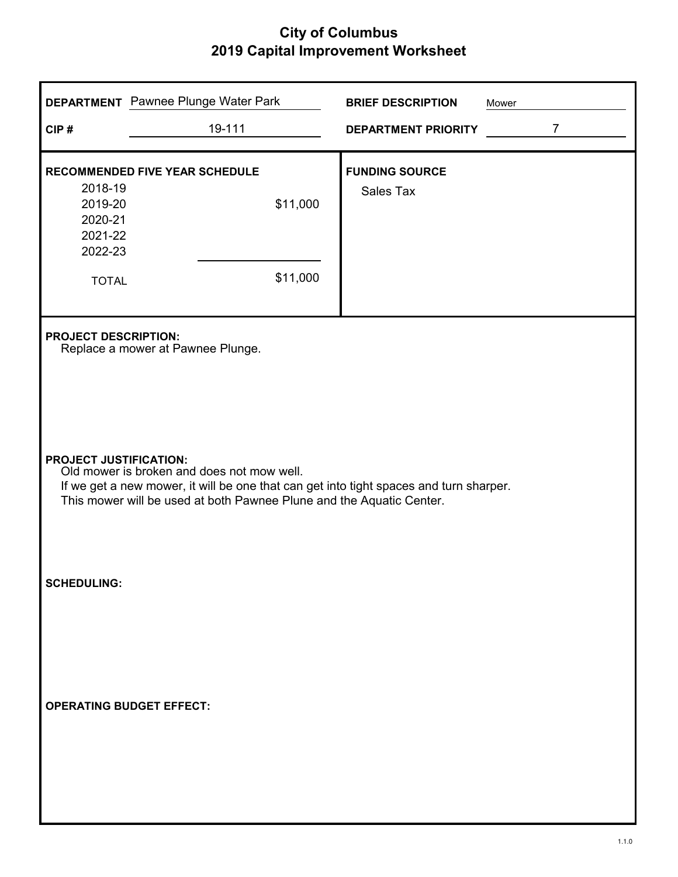|                                                     | <b>DEPARTMENT</b> Pawnee Plunge Water Park                                                                                                                                                                                                    | <b>BRIEF DESCRIPTION</b>   | Mower          |  |  |  |
|-----------------------------------------------------|-----------------------------------------------------------------------------------------------------------------------------------------------------------------------------------------------------------------------------------------------|----------------------------|----------------|--|--|--|
| CIP#                                                | 19-111                                                                                                                                                                                                                                        | <b>DEPARTMENT PRIORITY</b> | $\overline{7}$ |  |  |  |
|                                                     | <b>RECOMMENDED FIVE YEAR SCHEDULE</b>                                                                                                                                                                                                         | <b>FUNDING SOURCE</b>      |                |  |  |  |
| 2018-19<br>2019-20<br>2020-21<br>2021-22<br>2022-23 | \$11,000                                                                                                                                                                                                                                      | Sales Tax                  |                |  |  |  |
| <b>TOTAL</b>                                        | \$11,000                                                                                                                                                                                                                                      |                            |                |  |  |  |
| <b>PROJECT DESCRIPTION:</b>                         | Replace a mower at Pawnee Plunge.                                                                                                                                                                                                             |                            |                |  |  |  |
|                                                     | <b>PROJECT JUSTIFICATION:</b><br>Old mower is broken and does not mow well.<br>If we get a new mower, it will be one that can get into tight spaces and turn sharper.<br>This mower will be used at both Pawnee Plune and the Aquatic Center. |                            |                |  |  |  |
| <b>SCHEDULING:</b>                                  |                                                                                                                                                                                                                                               |                            |                |  |  |  |
|                                                     | <b>OPERATING BUDGET EFFECT:</b>                                                                                                                                                                                                               |                            |                |  |  |  |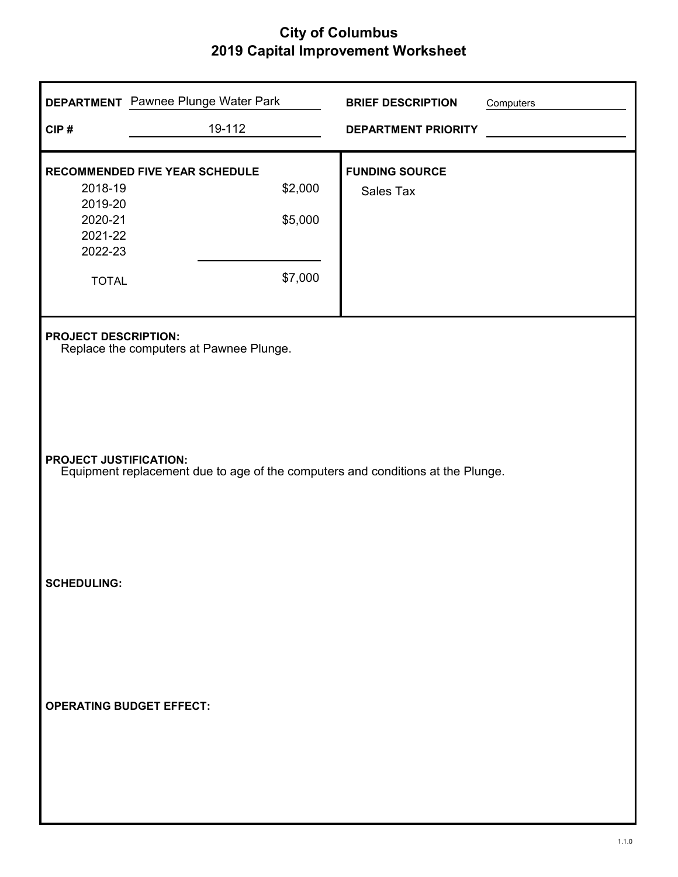| CIP#                                                                   | <b>DEPARTMENT</b> Pawnee Plunge Water Park<br>19-112                            |                               | <b>BRIEF DESCRIPTION</b><br><b>DEPARTMENT PRIORITY</b> | Computers |  |
|------------------------------------------------------------------------|---------------------------------------------------------------------------------|-------------------------------|--------------------------------------------------------|-----------|--|
| 2018-19<br>2019-20<br>2020-21<br>2021-22<br>2022-23<br><b>TOTAL</b>    | RECOMMENDED FIVE YEAR SCHEDULE                                                  | \$2,000<br>\$5,000<br>\$7,000 | <b>FUNDING SOURCE</b><br>Sales Tax                     |           |  |
| <b>PROJECT DESCRIPTION:</b><br>Replace the computers at Pawnee Plunge. |                                                                                 |                               |                                                        |           |  |
| <b>PROJECT JUSTIFICATION:</b>                                          | Equipment replacement due to age of the computers and conditions at the Plunge. |                               |                                                        |           |  |
| <b>SCHEDULING:</b>                                                     |                                                                                 |                               |                                                        |           |  |
|                                                                        | <b>OPERATING BUDGET EFFECT:</b>                                                 |                               |                                                        |           |  |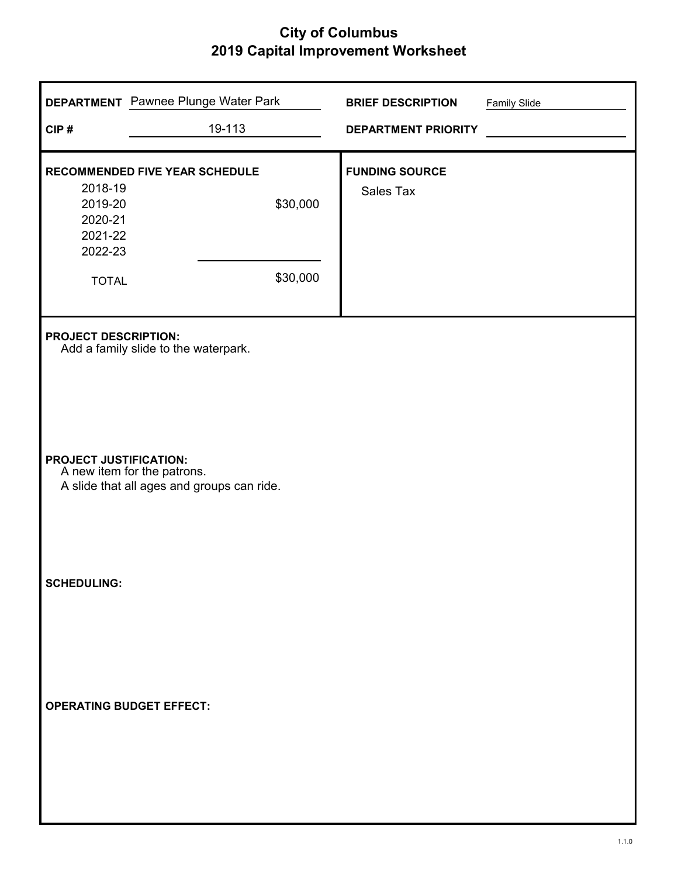| CIP#                                                | <b>DEPARTMENT</b> Pawnee Plunge Water Park<br>19-113                      | <b>BRIEF DESCRIPTION</b><br><b>DEPARTMENT PRIORITY</b> | <b>Family Slide</b> |
|-----------------------------------------------------|---------------------------------------------------------------------------|--------------------------------------------------------|---------------------|
| 2018-19<br>2019-20<br>2020-21<br>2021-22<br>2022-23 | <b>RECOMMENDED FIVE YEAR SCHEDULE</b><br>\$30,000                         | <b>FUNDING SOURCE</b><br>Sales Tax                     |                     |
| <b>TOTAL</b><br><b>PROJECT DESCRIPTION:</b>         | \$30,000                                                                  |                                                        |                     |
| <b>PROJECT JUSTIFICATION:</b>                       | Add a family slide to the waterpark.                                      |                                                        |                     |
| <b>SCHEDULING:</b>                                  | A new item for the patrons.<br>A slide that all ages and groups can ride. |                                                        |                     |
|                                                     |                                                                           |                                                        |                     |
|                                                     | <b>OPERATING BUDGET EFFECT:</b>                                           |                                                        |                     |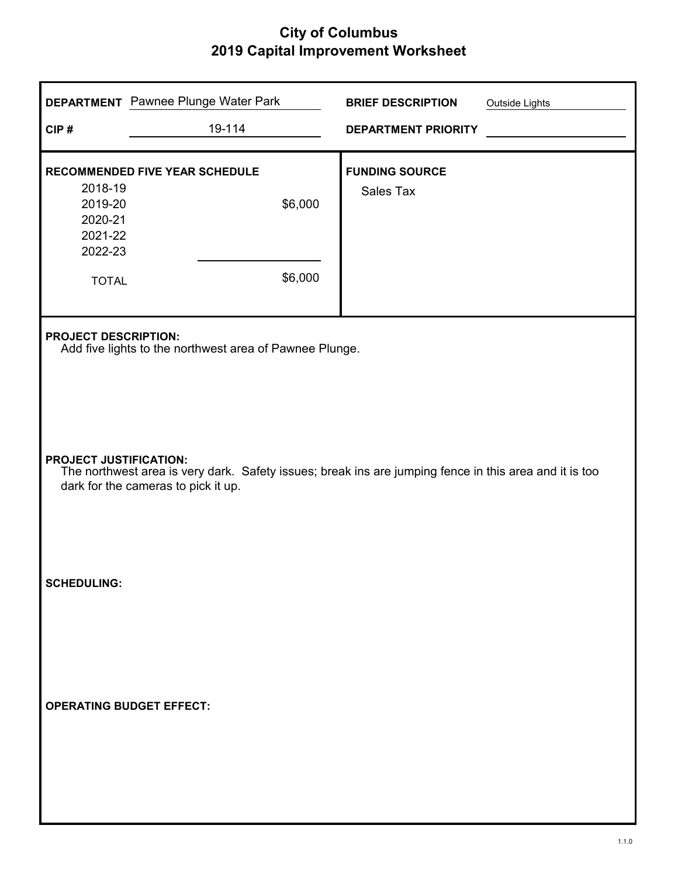| CIP#                                                                                                                                                                           | <b>DEPARTMENT</b> Pawnee Plunge Water Park<br>19-114                                   | <b>BRIEF DESCRIPTION</b><br><b>DEPARTMENT PRIORITY</b> | Outside Lights |  |  |  |
|--------------------------------------------------------------------------------------------------------------------------------------------------------------------------------|----------------------------------------------------------------------------------------|--------------------------------------------------------|----------------|--|--|--|
| 2018-19<br>2019-20<br>2020-21<br>2021-22<br>2022-23<br><b>TOTAL</b>                                                                                                            | RECOMMENDED FIVE YEAR SCHEDULE<br>\$6,000<br>\$6,000                                   | <b>FUNDING SOURCE</b><br>Sales Tax                     |                |  |  |  |
|                                                                                                                                                                                | <b>PROJECT DESCRIPTION:</b><br>Add five lights to the northwest area of Pawnee Plunge. |                                                        |                |  |  |  |
| <b>PROJECT JUSTIFICATION:</b><br>The northwest area is very dark. Safety issues; break ins are jumping fence in this area and it is too<br>dark for the cameras to pick it up. |                                                                                        |                                                        |                |  |  |  |
| <b>SCHEDULING:</b>                                                                                                                                                             |                                                                                        |                                                        |                |  |  |  |
| <b>OPERATING BUDGET EFFECT:</b>                                                                                                                                                |                                                                                        |                                                        |                |  |  |  |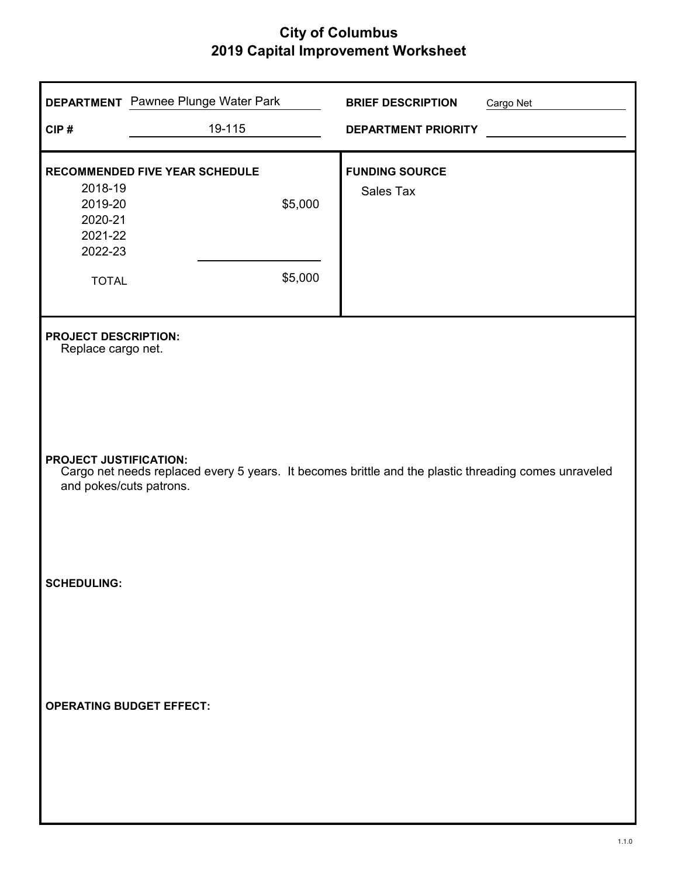| CIP#                                                                                                          | <b>DEPARTMENT</b> Pawnee Plunge Water Park<br>19-115                                                 | <b>BRIEF DESCRIPTION</b><br><b>DEPARTMENT PRIORITY</b> | Cargo Net |
|---------------------------------------------------------------------------------------------------------------|------------------------------------------------------------------------------------------------------|--------------------------------------------------------|-----------|
| 2018-19<br>2019-20<br>2020-21<br>2021-22<br>2022-23<br><b>TOTAL</b>                                           | <b>RECOMMENDED FIVE YEAR SCHEDULE</b><br>\$5,000<br>\$5,000                                          | <b>FUNDING SOURCE</b><br>Sales Tax                     |           |
| <b>PROJECT DESCRIPTION:</b><br>Replace cargo net.<br><b>PROJECT JUSTIFICATION:</b><br>and pokes/cuts patrons. | Cargo net needs replaced every 5 years. It becomes brittle and the plastic threading comes unraveled |                                                        |           |
| <b>SCHEDULING:</b>                                                                                            | <b>OPERATING BUDGET EFFECT:</b>                                                                      |                                                        |           |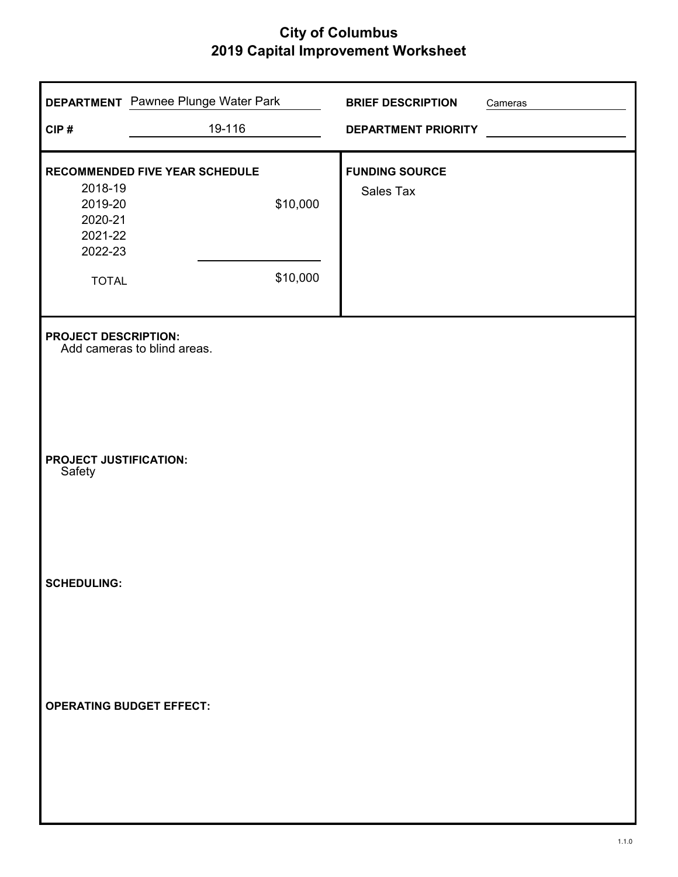| CIP#                                                | <b>DEPARTMENT</b> Pawnee Plunge Water Park<br>19-116 |          | <b>BRIEF DESCRIPTION</b><br><b>DEPARTMENT PRIORITY</b> | Cameras |
|-----------------------------------------------------|------------------------------------------------------|----------|--------------------------------------------------------|---------|
| 2018-19<br>2019-20<br>2020-21<br>2021-22<br>2022-23 | RECOMMENDED FIVE YEAR SCHEDULE                       | \$10,000 | <b>FUNDING SOURCE</b><br>Sales Tax                     |         |
| <b>TOTAL</b><br><b>PROJECT DESCRIPTION:</b>         |                                                      | \$10,000 |                                                        |         |
| <b>PROJECT JUSTIFICATION:</b><br>Safety             | Add cameras to blind areas.                          |          |                                                        |         |
| <b>SCHEDULING:</b>                                  |                                                      |          |                                                        |         |
| <b>OPERATING BUDGET EFFECT:</b>                     |                                                      |          |                                                        |         |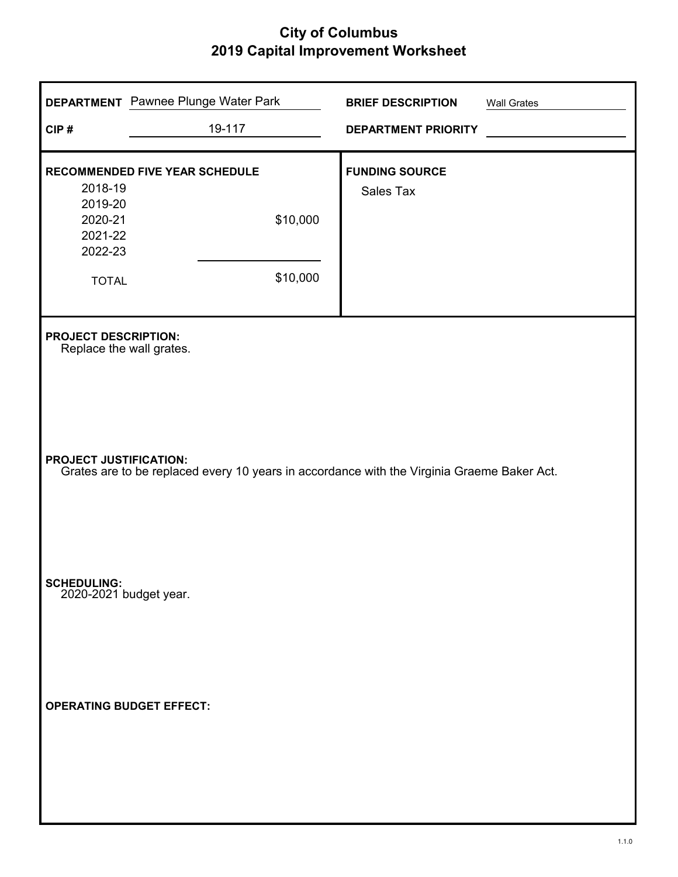| CIP#                                                                                     | <b>DEPARTMENT</b> Pawnee Plunge Water Park<br>19-117                                       | <b>BRIEF DESCRIPTION</b><br><b>DEPARTMENT PRIORITY</b> | <b>Wall Grates</b> |
|------------------------------------------------------------------------------------------|--------------------------------------------------------------------------------------------|--------------------------------------------------------|--------------------|
| 2018-19<br>2019-20<br>2020-21<br>2021-22<br>2022-23<br><b>TOTAL</b>                      | RECOMMENDED FIVE YEAR SCHEDULE<br>\$10,000<br>\$10,000                                     | <b>FUNDING SOURCE</b><br>Sales Tax                     |                    |
| <b>PROJECT DESCRIPTION:</b><br>Replace the wall grates.<br><b>PROJECT JUSTIFICATION:</b> | Grates are to be replaced every 10 years in accordance with the Virginia Graeme Baker Act. |                                                        |                    |
| <b>SCHEDULING:</b><br>2020-2021 budget year.<br><b>OPERATING BUDGET EFFECT:</b>          |                                                                                            |                                                        |                    |
|                                                                                          |                                                                                            |                                                        |                    |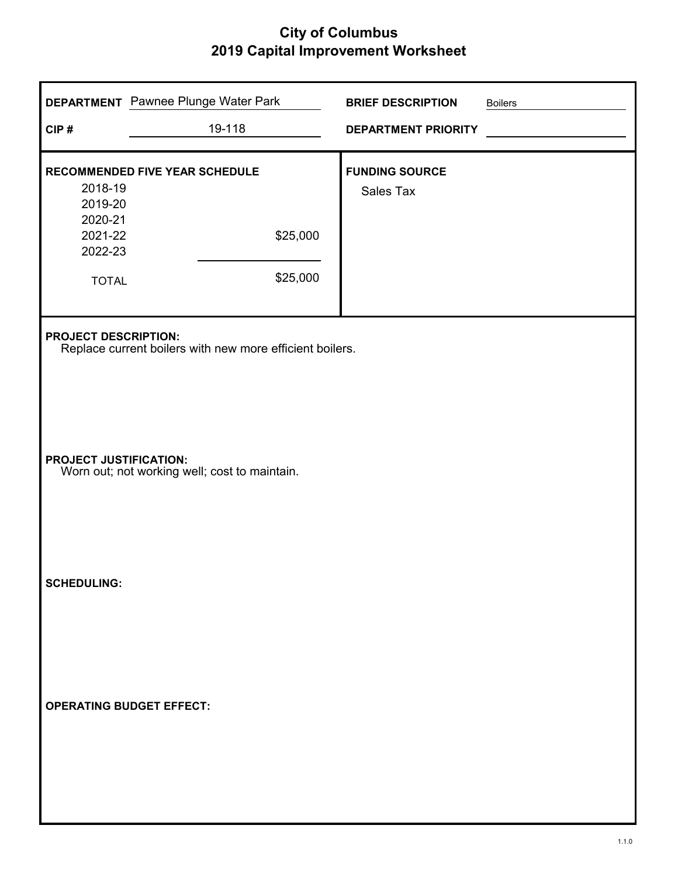| CIP#                                                                           | <b>DEPARTMENT</b> Pawnee Plunge Water Park<br>19-118                                    | <b>BRIEF DESCRIPTION</b><br><b>DEPARTMENT PRIORITY</b> | <b>Boilers</b> |  |  |
|--------------------------------------------------------------------------------|-----------------------------------------------------------------------------------------|--------------------------------------------------------|----------------|--|--|
| 2018-19<br>2019-20<br>2020-21<br>2021-22<br>2022-23<br><b>TOTAL</b>            | RECOMMENDED FIVE YEAR SCHEDULE<br>\$25,000<br>\$25,000                                  | <b>FUNDING SOURCE</b><br>Sales Tax                     |                |  |  |
|                                                                                | <b>PROJECT DESCRIPTION:</b><br>Replace current boilers with new more efficient boilers. |                                                        |                |  |  |
| <b>PROJECT JUSTIFICATION:</b><br>Worn out; not working well; cost to maintain. |                                                                                         |                                                        |                |  |  |
| <b>SCHEDULING:</b>                                                             |                                                                                         |                                                        |                |  |  |
| <b>OPERATING BUDGET EFFECT:</b>                                                |                                                                                         |                                                        |                |  |  |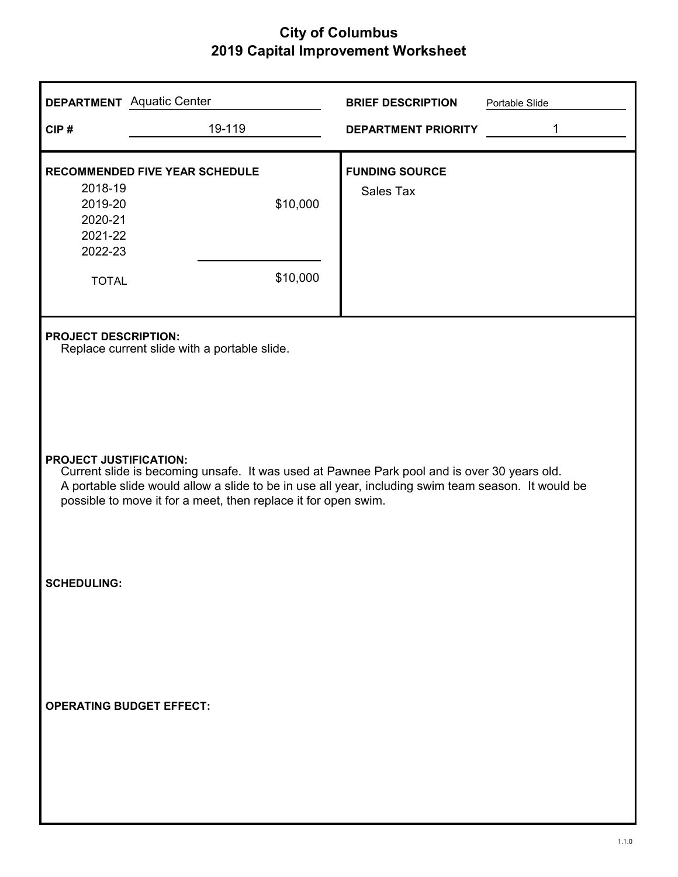| <b>DEPARTMENT</b> Aquatic Center                                                                             |                                                                                                                                                                                                                                                                                                       | <b>BRIEF DESCRIPTION</b>           | Portable Slide |  |  |  |
|--------------------------------------------------------------------------------------------------------------|-------------------------------------------------------------------------------------------------------------------------------------------------------------------------------------------------------------------------------------------------------------------------------------------------------|------------------------------------|----------------|--|--|--|
| CIP#                                                                                                         | 19-119                                                                                                                                                                                                                                                                                                | <b>DEPARTMENT PRIORITY</b>         | 1              |  |  |  |
| <b>RECOMMENDED FIVE YEAR SCHEDULE</b><br>2018-19<br>2019-20<br>2020-21<br>2021-22<br>2022-23<br><b>TOTAL</b> | \$10,000<br>\$10,000                                                                                                                                                                                                                                                                                  | <b>FUNDING SOURCE</b><br>Sales Tax |                |  |  |  |
| <b>PROJECT DESCRIPTION:</b><br>Replace current slide with a portable slide.                                  |                                                                                                                                                                                                                                                                                                       |                                    |                |  |  |  |
|                                                                                                              | <b>PROJECT JUSTIFICATION:</b><br>Current slide is becoming unsafe. It was used at Pawnee Park pool and is over 30 years old.<br>A portable slide would allow a slide to be in use all year, including swim team season. It would be<br>possible to move it for a meet, then replace it for open swim. |                                    |                |  |  |  |
| <b>SCHEDULING:</b>                                                                                           |                                                                                                                                                                                                                                                                                                       |                                    |                |  |  |  |
| <b>OPERATING BUDGET EFFECT:</b>                                                                              |                                                                                                                                                                                                                                                                                                       |                                    |                |  |  |  |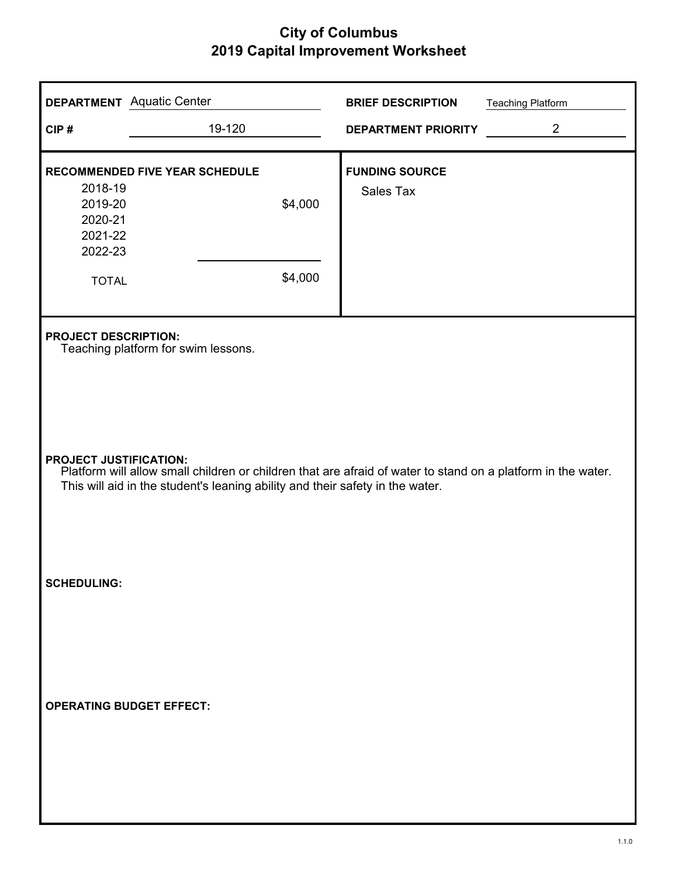| <b>DEPARTMENT</b> Aquatic Center                    |                                                                                                                                                                                                                                | <b>BRIEF DESCRIPTION</b>   | <b>Teaching Platform</b> |  |  |
|-----------------------------------------------------|--------------------------------------------------------------------------------------------------------------------------------------------------------------------------------------------------------------------------------|----------------------------|--------------------------|--|--|
| CIP#                                                | 19-120                                                                                                                                                                                                                         | <b>DEPARTMENT PRIORITY</b> | $\overline{2}$           |  |  |
| <b>RECOMMENDED FIVE YEAR SCHEDULE</b>               |                                                                                                                                                                                                                                | <b>FUNDING SOURCE</b>      |                          |  |  |
| 2018-19<br>2019-20<br>2020-21<br>2021-22<br>2022-23 | \$4,000                                                                                                                                                                                                                        | Sales Tax                  |                          |  |  |
| <b>TOTAL</b>                                        | \$4,000                                                                                                                                                                                                                        |                            |                          |  |  |
| <b>PROJECT DESCRIPTION:</b>                         | Teaching platform for swim lessons.                                                                                                                                                                                            |                            |                          |  |  |
|                                                     | <b>PROJECT JUSTIFICATION:</b><br>Platform will allow small children or children that are afraid of water to stand on a platform in the water.<br>This will aid in the student's leaning ability and their safety in the water. |                            |                          |  |  |
| <b>SCHEDULING:</b>                                  |                                                                                                                                                                                                                                |                            |                          |  |  |
| <b>OPERATING BUDGET EFFECT:</b>                     |                                                                                                                                                                                                                                |                            |                          |  |  |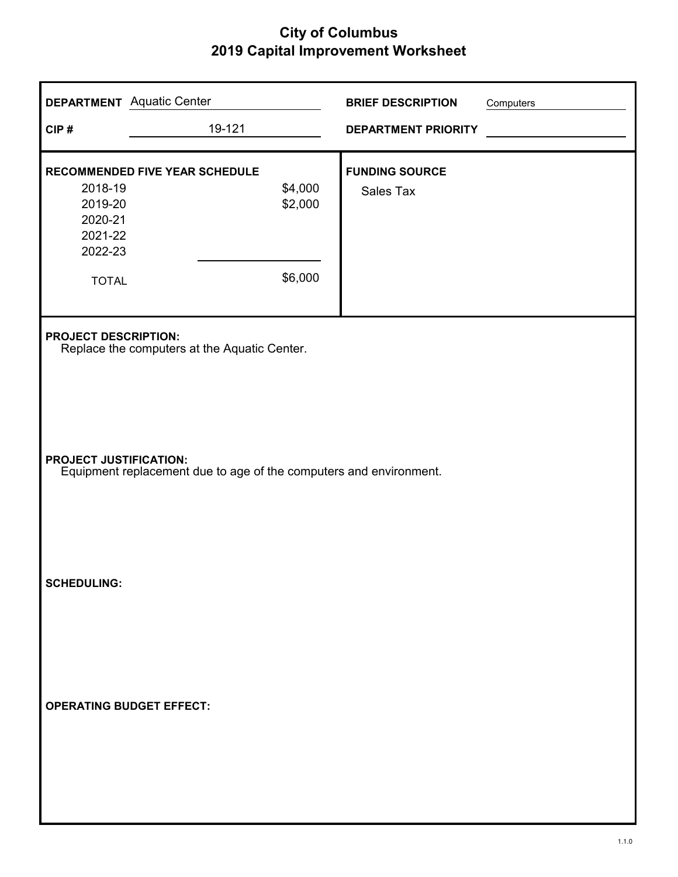| CIP#                                                                | <b>DEPARTMENT</b> Aquatic Center<br>19-121                                                          |                               | <b>BRIEF DESCRIPTION</b><br><b>DEPARTMENT PRIORITY</b> | Computers |  |  |
|---------------------------------------------------------------------|-----------------------------------------------------------------------------------------------------|-------------------------------|--------------------------------------------------------|-----------|--|--|
| 2018-19<br>2019-20<br>2020-21<br>2021-22<br>2022-23<br><b>TOTAL</b> | <b>RECOMMENDED FIVE YEAR SCHEDULE</b>                                                               | \$4,000<br>\$2,000<br>\$6,000 | <b>FUNDING SOURCE</b><br>Sales Tax                     |           |  |  |
|                                                                     | <b>PROJECT DESCRIPTION:</b><br>Replace the computers at the Aquatic Center.                         |                               |                                                        |           |  |  |
|                                                                     | <b>PROJECT JUSTIFICATION:</b><br>Equipment replacement due to age of the computers and environment. |                               |                                                        |           |  |  |
| <b>SCHEDULING:</b>                                                  |                                                                                                     |                               |                                                        |           |  |  |
| <b>OPERATING BUDGET EFFECT:</b>                                     |                                                                                                     |                               |                                                        |           |  |  |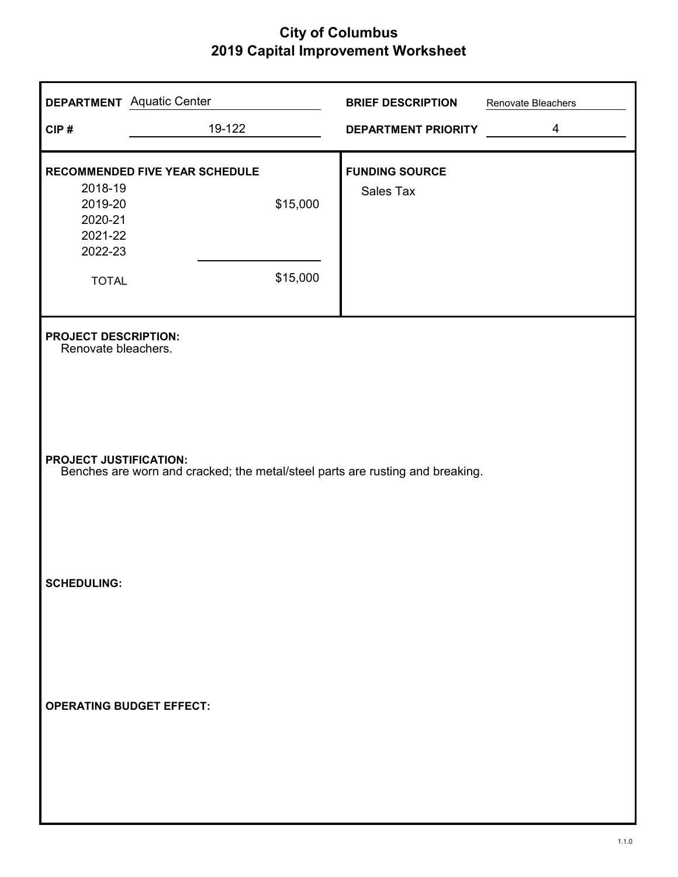| <b>DEPARTMENT</b> Aquatic Center                                    |                                                                                                                | <b>BRIEF DESCRIPTION</b>           | Renovate Bleachers |  |  |
|---------------------------------------------------------------------|----------------------------------------------------------------------------------------------------------------|------------------------------------|--------------------|--|--|
| CIP#                                                                | 19-122                                                                                                         | DEPARTMENT PRIORITY                | $\overline{4}$     |  |  |
| 2018-19<br>2019-20<br>2020-21<br>2021-22<br>2022-23<br><b>TOTAL</b> | RECOMMENDED FIVE YEAR SCHEDULE<br>\$15,000<br>\$15,000                                                         | <b>FUNDING SOURCE</b><br>Sales Tax |                    |  |  |
| <b>PROJECT DESCRIPTION:</b><br>Renovate bleachers.                  |                                                                                                                |                                    |                    |  |  |
|                                                                     | <b>PROJECT JUSTIFICATION:</b><br>Benches are worn and cracked; the metal/steel parts are rusting and breaking. |                                    |                    |  |  |
| <b>SCHEDULING:</b>                                                  |                                                                                                                |                                    |                    |  |  |
| <b>OPERATING BUDGET EFFECT:</b>                                     |                                                                                                                |                                    |                    |  |  |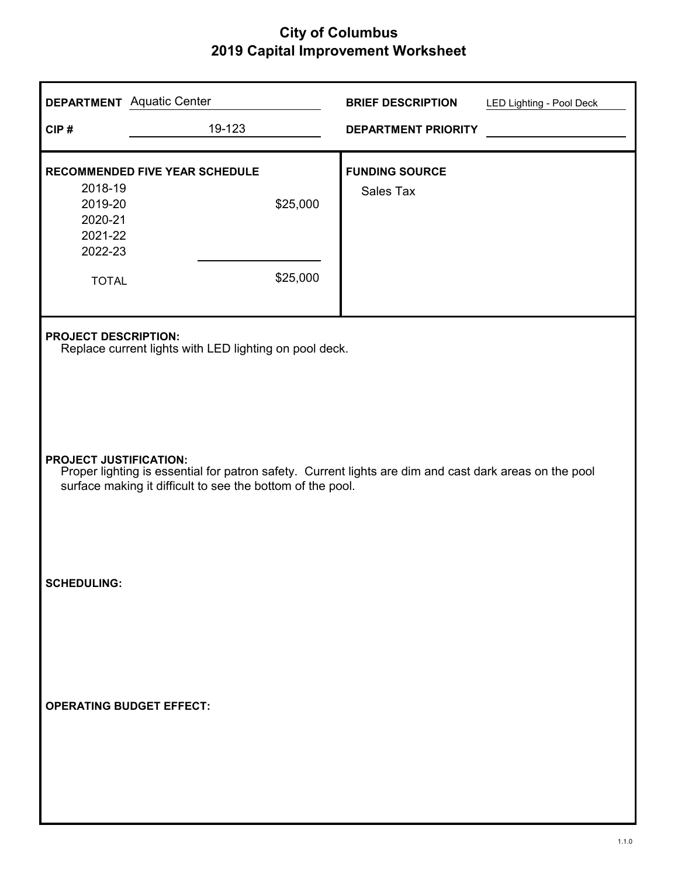|                                 | <b>DEPARTMENT</b> Aquatic Center                                                                                                                                     | <b>BRIEF DESCRIPTION</b>                  | LED Lighting - Pool Deck |
|---------------------------------|----------------------------------------------------------------------------------------------------------------------------------------------------------------------|-------------------------------------------|--------------------------|
| CIP#                            | 19-123                                                                                                                                                               | <b>DEPARTMENT PRIORITY</b>                |                          |
| 2018-19<br>2019-20<br>2020-21   | RECOMMENDED FIVE YEAR SCHEDULE<br>\$25,000                                                                                                                           | <b>FUNDING SOURCE</b><br><b>Sales Tax</b> |                          |
| 2021-22<br>2022-23              |                                                                                                                                                                      |                                           |                          |
| <b>TOTAL</b>                    | \$25,000                                                                                                                                                             |                                           |                          |
| <b>PROJECT DESCRIPTION:</b>     | Replace current lights with LED lighting on pool deck.                                                                                                               |                                           |                          |
| <b>PROJECT JUSTIFICATION:</b>   | Proper lighting is essential for patron safety. Current lights are dim and cast dark areas on the pool<br>surface making it difficult to see the bottom of the pool. |                                           |                          |
| <b>SCHEDULING:</b>              |                                                                                                                                                                      |                                           |                          |
| <b>OPERATING BUDGET EFFECT:</b> |                                                                                                                                                                      |                                           |                          |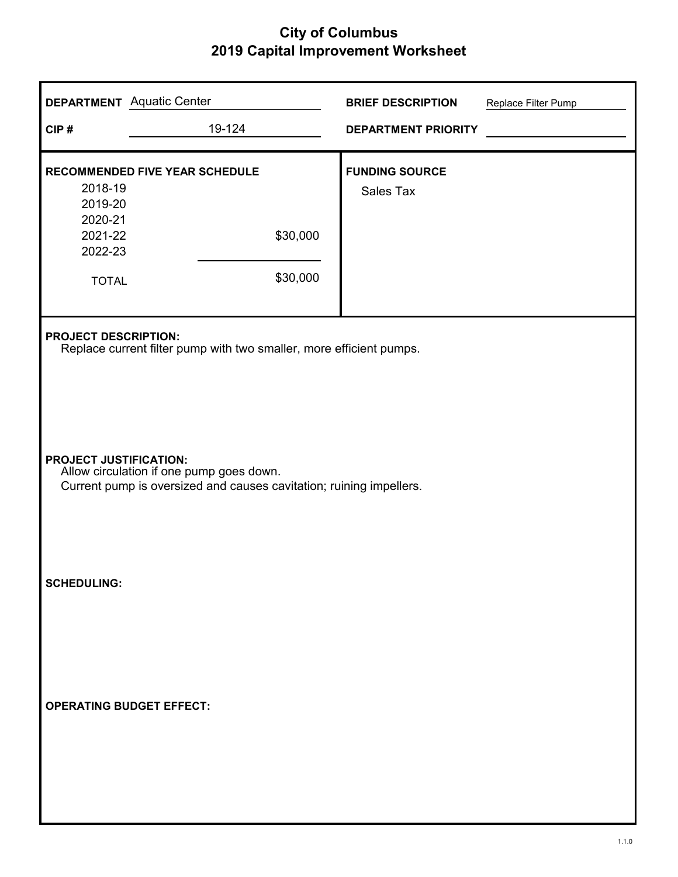| <b>DEPARTMENT</b> Aquatic Center                                                                                                                 |                                                                     | <b>BRIEF DESCRIPTION</b>           | Replace Filter Pump |
|--------------------------------------------------------------------------------------------------------------------------------------------------|---------------------------------------------------------------------|------------------------------------|---------------------|
| CIP#                                                                                                                                             | 19-124                                                              | <b>DEPARTMENT PRIORITY</b>         |                     |
| 2018-19<br>2019-20<br>2020-21<br>2021-22<br>2022-23<br><b>TOTAL</b>                                                                              | <b>RECOMMENDED FIVE YEAR SCHEDULE</b><br>\$30,000<br>\$30,000       | <b>FUNDING SOURCE</b><br>Sales Tax |                     |
| <b>PROJECT DESCRIPTION:</b>                                                                                                                      | Replace current filter pump with two smaller, more efficient pumps. |                                    |                     |
| <b>PROJECT JUSTIFICATION:</b><br>Allow circulation if one pump goes down.<br>Current pump is oversized and causes cavitation; ruining impellers. |                                                                     |                                    |                     |
| <b>SCHEDULING:</b>                                                                                                                               |                                                                     |                                    |                     |
| <b>OPERATING BUDGET EFFECT:</b>                                                                                                                  |                                                                     |                                    |                     |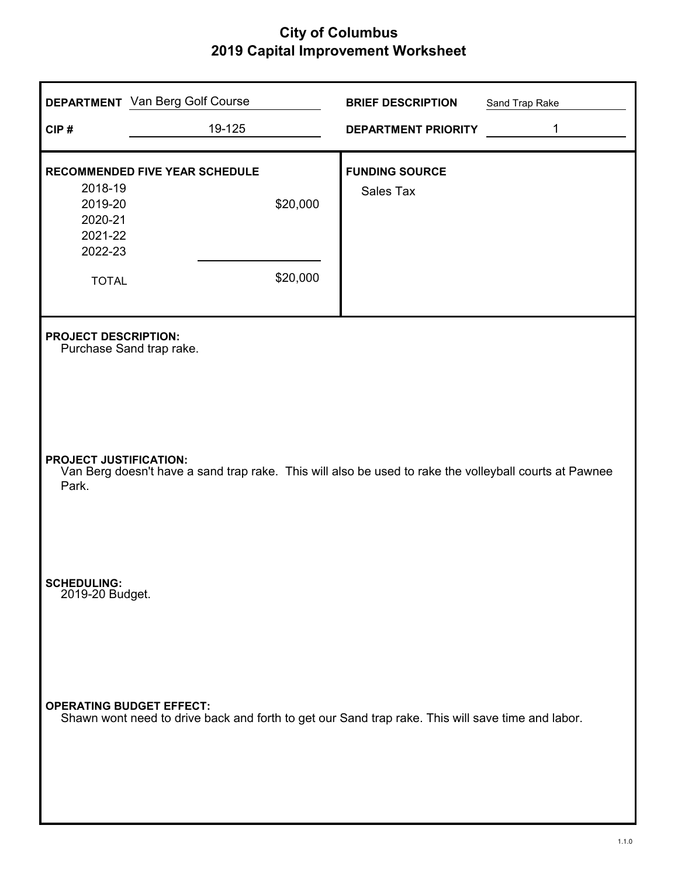| CIP#                                                                | <b>DEPARTMENT</b> Van Berg Golf Course<br>19-125                                                                                     | <b>BRIEF DESCRIPTION</b><br><b>DEPARTMENT PRIORITY</b> | Sand Trap Rake<br>1 |
|---------------------------------------------------------------------|--------------------------------------------------------------------------------------------------------------------------------------|--------------------------------------------------------|---------------------|
| 2018-19<br>2019-20<br>2020-21<br>2021-22<br>2022-23<br><b>TOTAL</b> | RECOMMENDED FIVE YEAR SCHEDULE<br>\$20,000<br>\$20,000                                                                               | <b>FUNDING SOURCE</b><br>Sales Tax                     |                     |
| <b>PROJECT DESCRIPTION:</b><br><b>PROJECT JUSTIFICATION:</b>        | Purchase Sand trap rake.<br>Van Berg doesn't have a sand trap rake. This will also be used to rake the volleyball courts at Pawnee   |                                                        |                     |
| Park.<br><b>SCHEDULING:</b><br>2019-20 Budget.                      |                                                                                                                                      |                                                        |                     |
|                                                                     | <b>OPERATING BUDGET EFFECT:</b><br>Shawn wont need to drive back and forth to get our Sand trap rake. This will save time and labor. |                                                        |                     |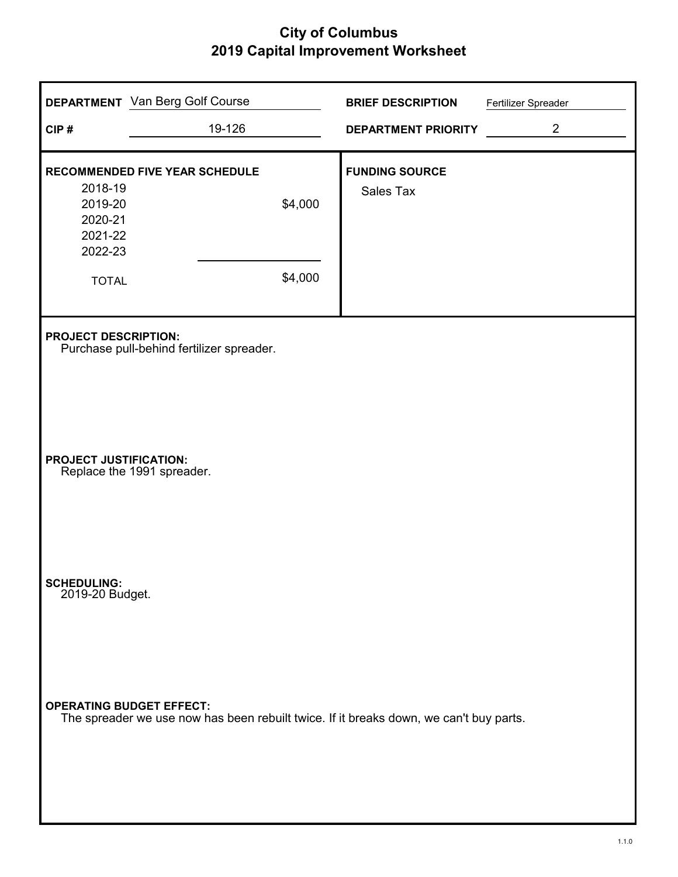| CIP#                                                                | <b>DEPARTMENT</b> Van Berg Golf Course<br>19-126                                                                          |                    | <b>BRIEF DESCRIPTION</b><br><b>DEPARTMENT PRIORITY</b> | Fertilizer Spreader<br>$\overline{2}$ |
|---------------------------------------------------------------------|---------------------------------------------------------------------------------------------------------------------------|--------------------|--------------------------------------------------------|---------------------------------------|
| 2018-19<br>2019-20<br>2020-21<br>2021-22<br>2022-23<br><b>TOTAL</b> | <b>RECOMMENDED FIVE YEAR SCHEDULE</b>                                                                                     | \$4,000<br>\$4,000 | <b>FUNDING SOURCE</b><br>Sales Tax                     |                                       |
| <b>PROJECT DESCRIPTION:</b>                                         | Purchase pull-behind fertilizer spreader.                                                                                 |                    |                                                        |                                       |
| <b>PROJECT JUSTIFICATION:</b>                                       | Replace the 1991 spreader.                                                                                                |                    |                                                        |                                       |
| <b>SCHEDULING:</b><br>2019-20 Budget.                               |                                                                                                                           |                    |                                                        |                                       |
|                                                                     | <b>OPERATING BUDGET EFFECT:</b><br>The spreader we use now has been rebuilt twice. If it breaks down, we can't buy parts. |                    |                                                        |                                       |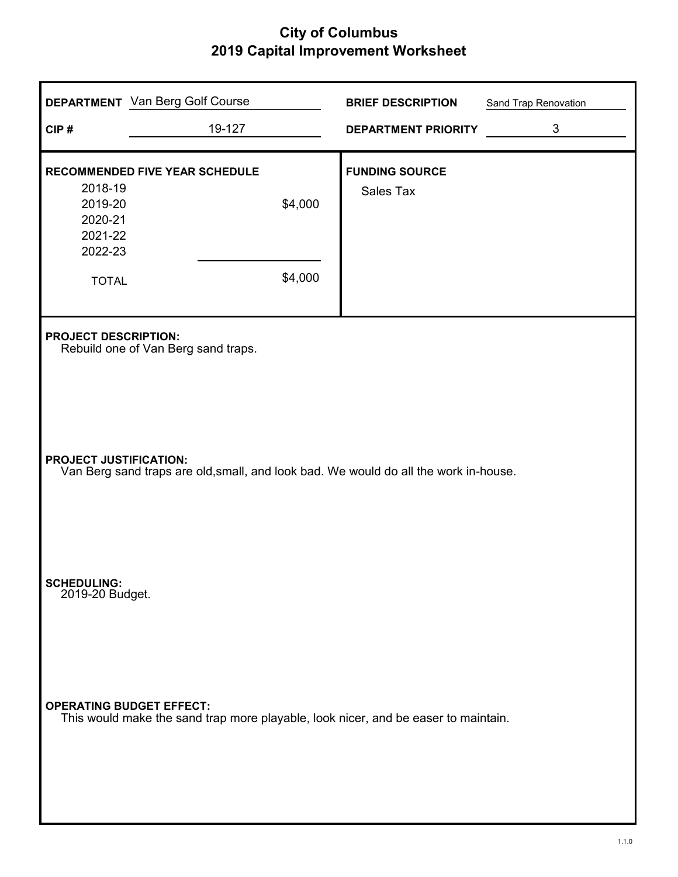| CIP#                                                                | <b>DEPARTMENT</b> Van Berg Golf Course<br>19-127                                     | <b>BRIEF DESCRIPTION</b><br><b>DEPARTMENT PRIORITY</b> | Sand Trap Renovation<br>$\mathfrak{S}$ |
|---------------------------------------------------------------------|--------------------------------------------------------------------------------------|--------------------------------------------------------|----------------------------------------|
| 2018-19<br>2019-20<br>2020-21<br>2021-22<br>2022-23<br><b>TOTAL</b> | <b>RECOMMENDED FIVE YEAR SCHEDULE</b><br>\$4,000<br>\$4,000                          | <b>FUNDING SOURCE</b><br><b>Sales Tax</b>              |                                        |
| <b>PROJECT DESCRIPTION:</b>                                         | Rebuild one of Van Berg sand traps.                                                  |                                                        |                                        |
| <b>PROJECT JUSTIFICATION:</b>                                       | Van Berg sand traps are old, small, and look bad. We would do all the work in-house. |                                                        |                                        |
| <b>SCHEDULING:</b><br>2019-20 Budget.                               |                                                                                      |                                                        |                                        |
| <b>OPERATING BUDGET EFFECT:</b>                                     | This would make the sand trap more playable, look nicer, and be easer to maintain.   |                                                        |                                        |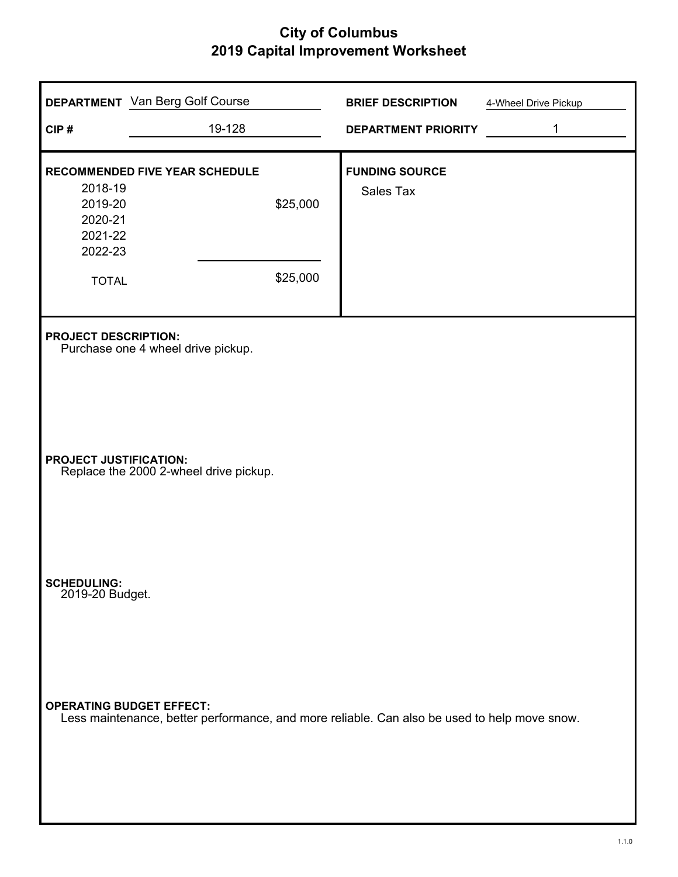| CIP#                                                                | <b>DEPARTMENT</b> Van Berg Golf Course<br>19-128                                                                                | <b>BRIEF DESCRIPTION</b><br><b>DEPARTMENT PRIORITY</b> | 4-Wheel Drive Pickup<br>1 |
|---------------------------------------------------------------------|---------------------------------------------------------------------------------------------------------------------------------|--------------------------------------------------------|---------------------------|
| 2018-19<br>2019-20<br>2020-21<br>2021-22<br>2022-23<br><b>TOTAL</b> | RECOMMENDED FIVE YEAR SCHEDULE<br>\$25,000<br>\$25,000                                                                          | <b>FUNDING SOURCE</b><br><b>Sales Tax</b>              |                           |
| <b>PROJECT DESCRIPTION:</b>                                         | Purchase one 4 wheel drive pickup.                                                                                              |                                                        |                           |
| <b>PROJECT JUSTIFICATION:</b>                                       | Replace the 2000 2-wheel drive pickup.                                                                                          |                                                        |                           |
| <b>SCHEDULING:</b><br>2019-20 Budget.                               |                                                                                                                                 |                                                        |                           |
|                                                                     | <b>OPERATING BUDGET EFFECT:</b><br>Less maintenance, better performance, and more reliable. Can also be used to help move snow. |                                                        |                           |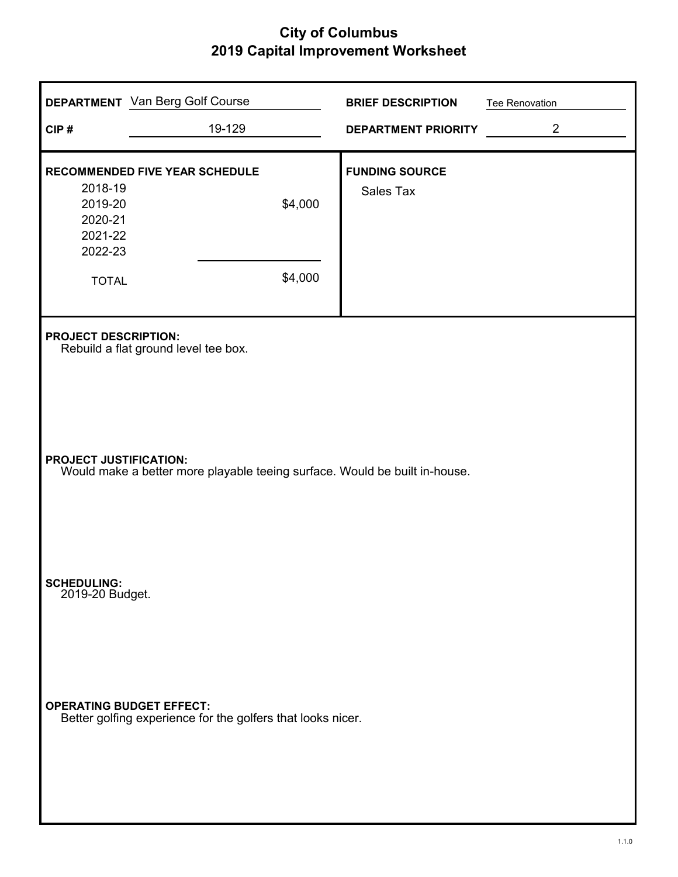| CIP#                                                | <b>DEPARTMENT</b> Van Berg Golf Course<br>19-129                                                            | <b>BRIEF DESCRIPTION</b><br>DEPARTMENT PRIORITY | <b>Tee Renovation</b><br>$\overline{2}$ |  |  |
|-----------------------------------------------------|-------------------------------------------------------------------------------------------------------------|-------------------------------------------------|-----------------------------------------|--|--|
| 2018-19<br>2019-20<br>2020-21<br>2021-22<br>2022-23 | <b>RECOMMENDED FIVE YEAR SCHEDULE</b><br>\$4,000<br>\$4,000                                                 | <b>FUNDING SOURCE</b><br>Sales Tax              |                                         |  |  |
| <b>TOTAL</b><br><b>PROJECT DESCRIPTION:</b>         | Rebuild a flat ground level tee box.                                                                        |                                                 |                                         |  |  |
|                                                     | <b>PROJECT JUSTIFICATION:</b><br>Would make a better more playable teeing surface. Would be built in-house. |                                                 |                                         |  |  |
| <b>SCHEDULING:</b><br>2019-20 Budget.               |                                                                                                             |                                                 |                                         |  |  |
| <b>OPERATING BUDGET EFFECT:</b>                     | Better golfing experience for the golfers that looks nicer.                                                 |                                                 |                                         |  |  |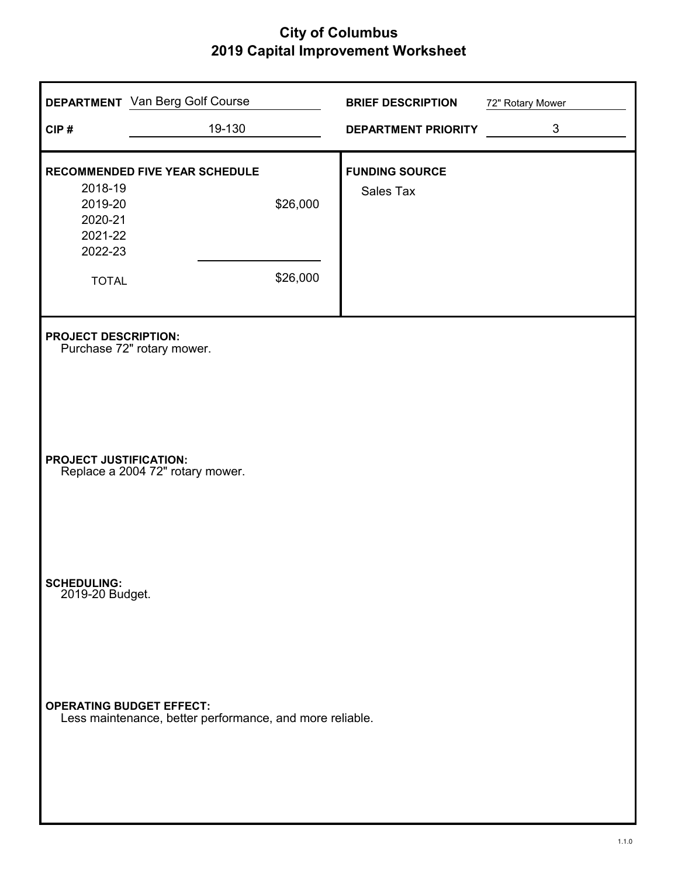| CIP#                                                                | <b>DEPARTMENT</b> Van Berg Golf Course<br>19-130              | <b>BRIEF DESCRIPTION</b><br><b>DEPARTMENT PRIORITY</b> | 72" Rotary Mower<br>3 |
|---------------------------------------------------------------------|---------------------------------------------------------------|--------------------------------------------------------|-----------------------|
| 2018-19<br>2019-20<br>2020-21<br>2021-22<br>2022-23<br><b>TOTAL</b> | <b>RECOMMENDED FIVE YEAR SCHEDULE</b><br>\$26,000<br>\$26,000 | <b>FUNDING SOURCE</b><br>Sales Tax                     |                       |
| <b>PROJECT DESCRIPTION:</b>                                         | Purchase 72" rotary mower.                                    |                                                        |                       |
| <b>PROJECT JUSTIFICATION:</b>                                       | Replace a 2004 72" rotary mower.                              |                                                        |                       |
| <b>SCHEDULING:</b><br>2019-20 Budget.                               |                                                               |                                                        |                       |
| <b>OPERATING BUDGET EFFECT:</b>                                     | Less maintenance, better performance, and more reliable.      |                                                        |                       |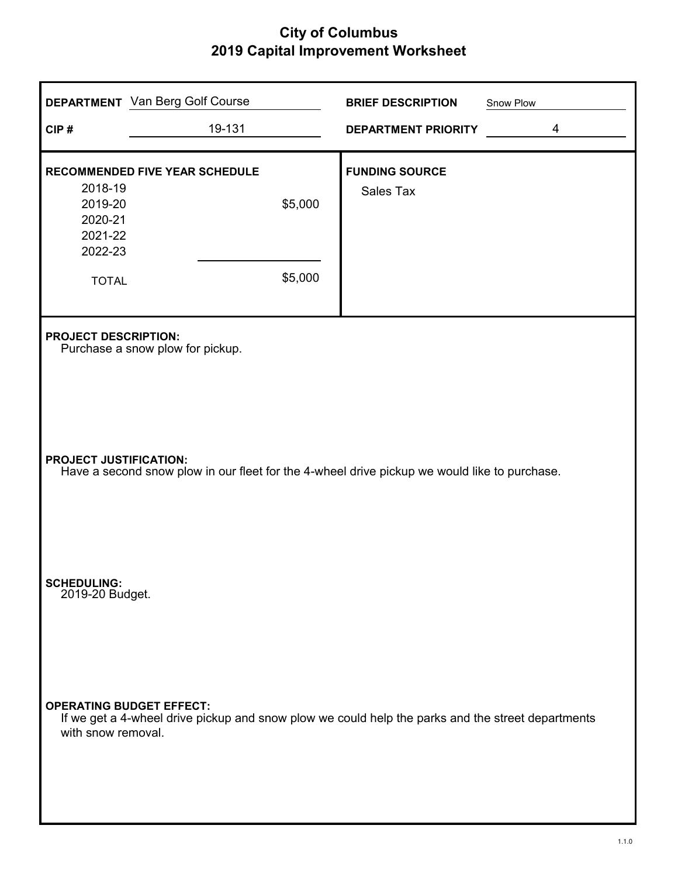| CIP#                                                                | <b>DEPARTMENT</b> Van Berg Golf Course<br>19-131                                                                                     |                    | <b>BRIEF DESCRIPTION</b><br><b>DEPARTMENT PRIORITY</b> | Snow Plow<br>4 |
|---------------------------------------------------------------------|--------------------------------------------------------------------------------------------------------------------------------------|--------------------|--------------------------------------------------------|----------------|
| 2018-19<br>2019-20<br>2020-21<br>2021-22<br>2022-23<br><b>TOTAL</b> | RECOMMENDED FIVE YEAR SCHEDULE                                                                                                       | \$5,000<br>\$5,000 | <b>FUNDING SOURCE</b><br>Sales Tax                     |                |
| <b>PROJECT DESCRIPTION:</b>                                         | Purchase a snow plow for pickup.                                                                                                     |                    |                                                        |                |
| <b>PROJECT JUSTIFICATION:</b>                                       | Have a second snow plow in our fleet for the 4-wheel drive pickup we would like to purchase.                                         |                    |                                                        |                |
| <b>SCHEDULING:</b><br>2019-20 Budget.                               |                                                                                                                                      |                    |                                                        |                |
| with snow removal.                                                  | <b>OPERATING BUDGET EFFECT:</b><br>If we get a 4-wheel drive pickup and snow plow we could help the parks and the street departments |                    |                                                        |                |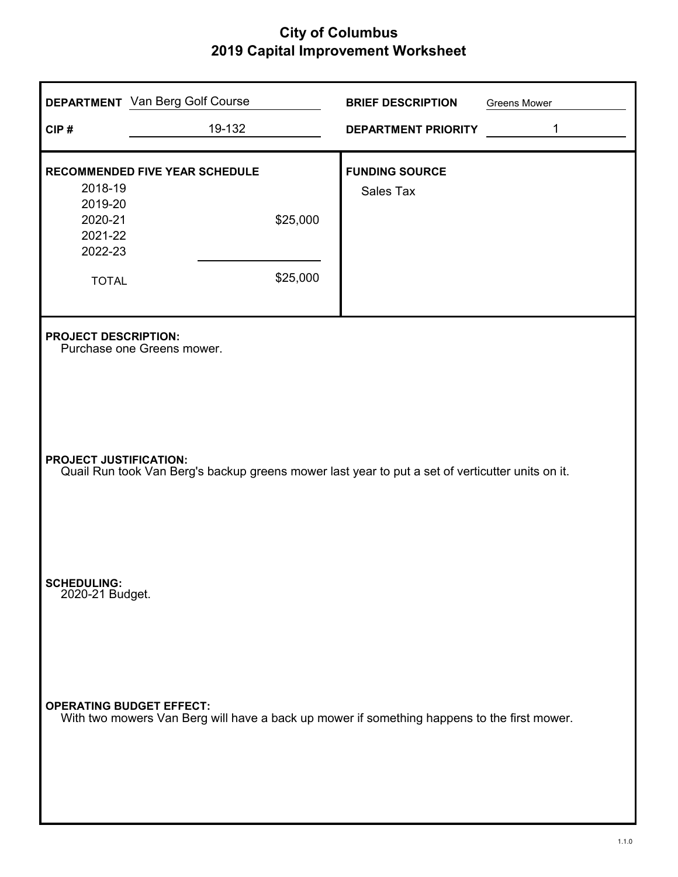| CIP#                                                                     | <b>DEPARTMENT</b> Van Berg Golf Course<br>19-132                                                                               | <b>BRIEF DESCRIPTION</b><br><b>DEPARTMENT PRIORITY</b> | <b>Greens Mower</b><br>$\mathbf{1}$ |
|--------------------------------------------------------------------------|--------------------------------------------------------------------------------------------------------------------------------|--------------------------------------------------------|-------------------------------------|
| 2018-19<br>2019-20<br>2020-21<br>2021-22<br>2022-23<br><b>TOTAL</b>      | RECOMMENDED FIVE YEAR SCHEDULE<br>\$25,000<br>\$25,000                                                                         | <b>FUNDING SOURCE</b><br>Sales Tax                     |                                     |
| <b>PROJECT DESCRIPTION:</b><br><b>PROJECT JUSTIFICATION:</b>             | Purchase one Greens mower.<br>Quail Run took Van Berg's backup greens mower last year to put a set of verticutter units on it. |                                                        |                                     |
| <b>SCHEDULING:</b><br>2020-21 Budget.<br><b>OPERATING BUDGET EFFECT:</b> | With two mowers Van Berg will have a back up mower if something happens to the first mower.                                    |                                                        |                                     |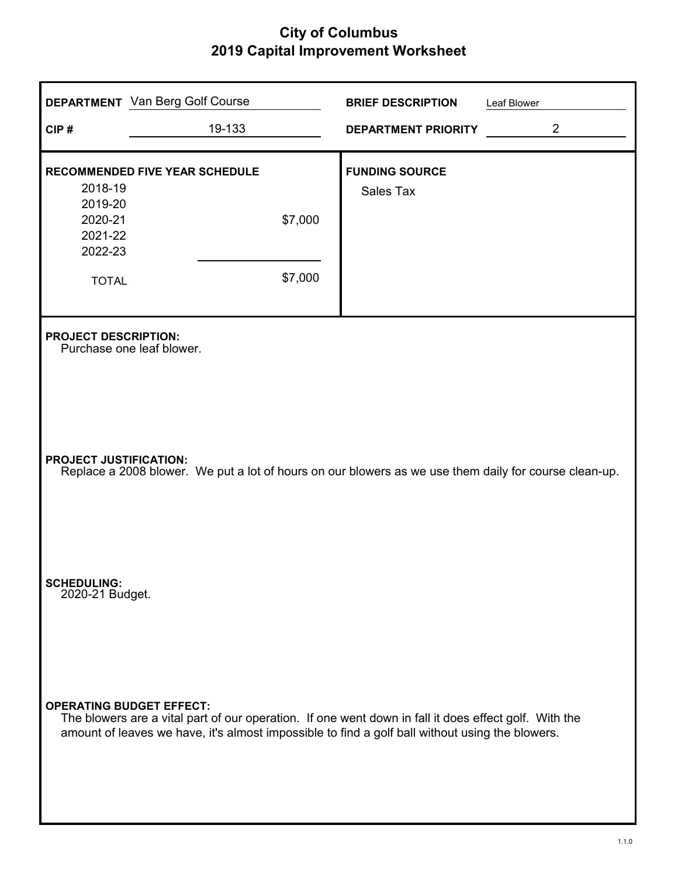|                                       | <b>DEPARTMENT</b> Van Berg Golf Course                                                                                                                                                                   | <b>BRIEF DESCRIPTION</b>   | Leaf Blower    |
|---------------------------------------|----------------------------------------------------------------------------------------------------------------------------------------------------------------------------------------------------------|----------------------------|----------------|
| CIP#                                  | 19-133                                                                                                                                                                                                   | <b>DEPARTMENT PRIORITY</b> | $\overline{2}$ |
|                                       | RECOMMENDED FIVE YEAR SCHEDULE                                                                                                                                                                           | <b>FUNDING SOURCE</b>      |                |
| 2018-19<br>2019-20<br>2020-21         |                                                                                                                                                                                                          | Sales Tax                  |                |
| 2021-22<br>2022-23                    | \$7,000                                                                                                                                                                                                  |                            |                |
| <b>TOTAL</b>                          | \$7,000                                                                                                                                                                                                  |                            |                |
| <b>PROJECT DESCRIPTION:</b>           | Purchase one leaf blower.                                                                                                                                                                                |                            |                |
| <b>PROJECT JUSTIFICATION:</b>         | Replace a 2008 blower. We put a lot of hours on our blowers as we use them daily for course clean-up.                                                                                                    |                            |                |
| <b>SCHEDULING:</b><br>2020-21 Budget. |                                                                                                                                                                                                          |                            |                |
| <b>OPERATING BUDGET EFFECT:</b>       | The blowers are a vital part of our operation. If one went down in fall it does effect golf. With the<br>amount of leaves we have, it's almost impossible to find a golf ball without using the blowers. |                            |                |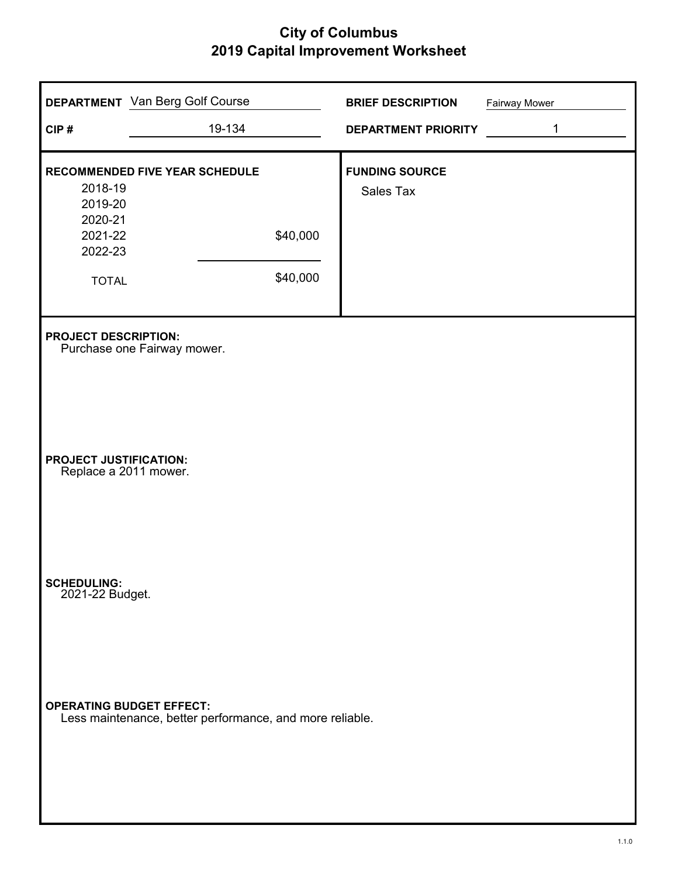| CIP#                                                                | <b>DEPARTMENT</b> Van Berg Golf Course<br>19-134              | <b>BRIEF DESCRIPTION</b><br><b>DEPARTMENT PRIORITY</b> | <b>Fairway Mower</b><br>$\mathbf{1}$ |
|---------------------------------------------------------------------|---------------------------------------------------------------|--------------------------------------------------------|--------------------------------------|
| 2018-19<br>2019-20<br>2020-21<br>2021-22<br>2022-23<br><b>TOTAL</b> | <b>RECOMMENDED FIVE YEAR SCHEDULE</b><br>\$40,000<br>\$40,000 | <b>FUNDING SOURCE</b><br>Sales Tax                     |                                      |
| <b>PROJECT DESCRIPTION:</b>                                         | Purchase one Fairway mower.                                   |                                                        |                                      |
| <b>PROJECT JUSTIFICATION:</b><br>Replace a 2011 mower.              |                                                               |                                                        |                                      |
| <b>SCHEDULING:</b><br>2021-22 Budget.                               |                                                               |                                                        |                                      |
| <b>OPERATING BUDGET EFFECT:</b>                                     | Less maintenance, better performance, and more reliable.      |                                                        |                                      |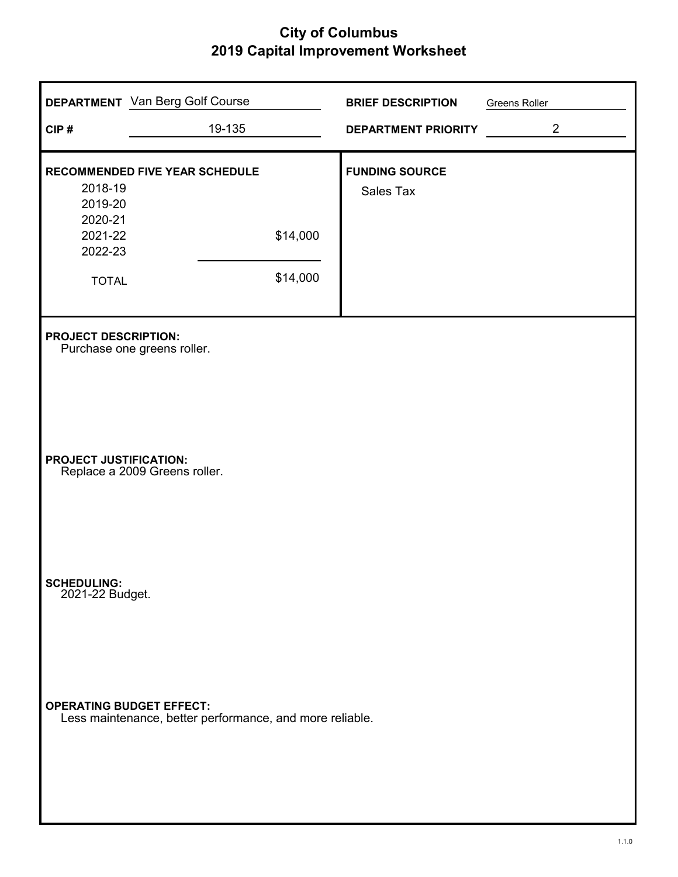| CIP#                                                                | <b>DEPARTMENT</b> Van Berg Golf Course<br>19-135         |                      | <b>BRIEF DESCRIPTION</b><br><b>DEPARTMENT PRIORITY</b> | Greens Roller | $\overline{2}$ |
|---------------------------------------------------------------------|----------------------------------------------------------|----------------------|--------------------------------------------------------|---------------|----------------|
| 2018-19<br>2019-20<br>2020-21<br>2021-22<br>2022-23<br><b>TOTAL</b> | RECOMMENDED FIVE YEAR SCHEDULE                           | \$14,000<br>\$14,000 | <b>FUNDING SOURCE</b><br>Sales Tax                     |               |                |
| <b>PROJECT DESCRIPTION:</b>                                         | Purchase one greens roller.                              |                      |                                                        |               |                |
| <b>PROJECT JUSTIFICATION:</b>                                       | Replace a 2009 Greens roller.                            |                      |                                                        |               |                |
| <b>SCHEDULING:</b><br>2021-22 Budget.                               |                                                          |                      |                                                        |               |                |
| <b>OPERATING BUDGET EFFECT:</b>                                     | Less maintenance, better performance, and more reliable. |                      |                                                        |               |                |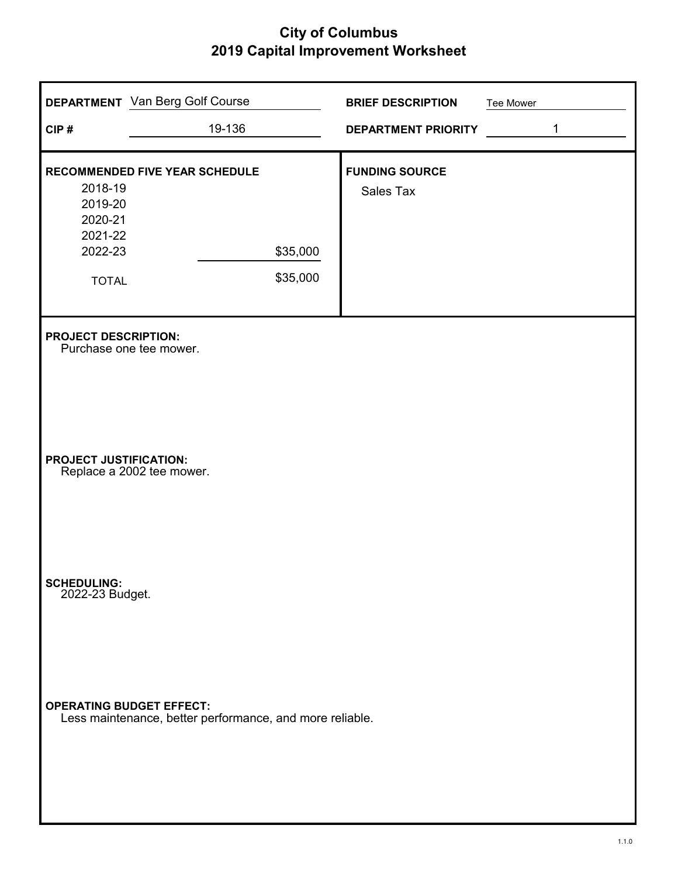| CIP#                                                                | <b>DEPARTMENT</b> Van Berg Golf Course<br>19-136         |                      | <b>BRIEF DESCRIPTION</b><br><b>DEPARTMENT PRIORITY</b> | Tee Mower | 1 |
|---------------------------------------------------------------------|----------------------------------------------------------|----------------------|--------------------------------------------------------|-----------|---|
| 2018-19<br>2019-20<br>2020-21<br>2021-22<br>2022-23<br><b>TOTAL</b> | <b>RECOMMENDED FIVE YEAR SCHEDULE</b>                    | \$35,000<br>\$35,000 | <b>FUNDING SOURCE</b><br>Sales Tax                     |           |   |
| <b>PROJECT DESCRIPTION:</b>                                         | Purchase one tee mower.                                  |                      |                                                        |           |   |
| <b>PROJECT JUSTIFICATION:</b>                                       | Replace a 2002 tee mower.                                |                      |                                                        |           |   |
| <b>SCHEDULING:</b><br>2022-23 Budget.                               |                                                          |                      |                                                        |           |   |
| <b>OPERATING BUDGET EFFECT:</b>                                     | Less maintenance, better performance, and more reliable. |                      |                                                        |           |   |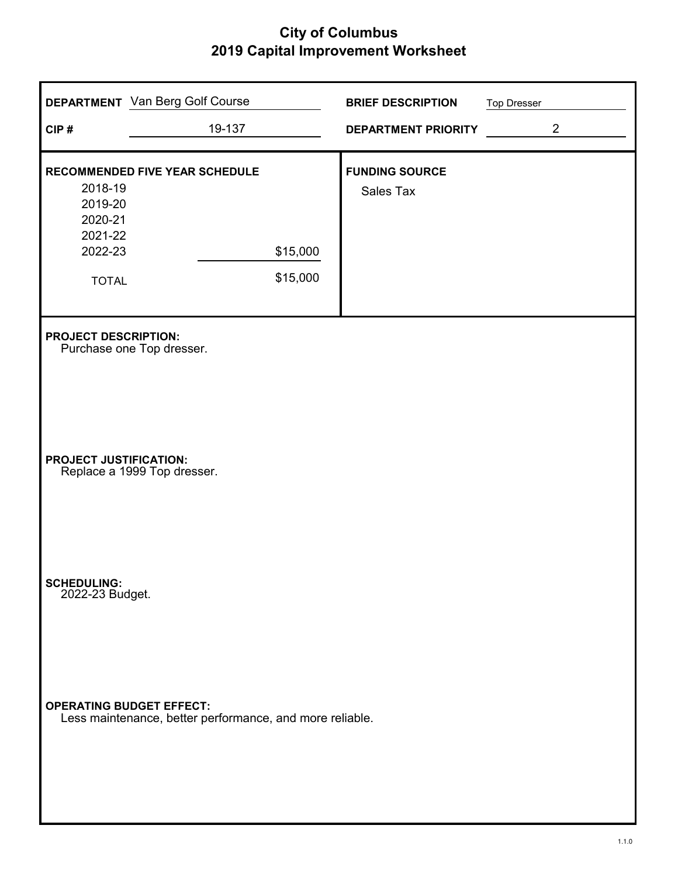| CIP#                                  | <b>DEPARTMENT</b> Van Berg Golf Course<br>19-137         |          | <b>BRIEF DESCRIPTION</b><br><b>DEPARTMENT PRIORITY</b> | <b>Top Dresser</b><br>$\overline{2}$ |
|---------------------------------------|----------------------------------------------------------|----------|--------------------------------------------------------|--------------------------------------|
|                                       |                                                          |          |                                                        |                                      |
| 2018-19                               | RECOMMENDED FIVE YEAR SCHEDULE                           |          | <b>FUNDING SOURCE</b>                                  |                                      |
| 2019-20<br>2020-21                    |                                                          |          | Sales Tax                                              |                                      |
| 2021-22<br>2022-23                    |                                                          | \$15,000 |                                                        |                                      |
| <b>TOTAL</b>                          |                                                          | \$15,000 |                                                        |                                      |
| <b>PROJECT DESCRIPTION:</b>           | Purchase one Top dresser.                                |          |                                                        |                                      |
| <b>PROJECT JUSTIFICATION:</b>         | Replace a 1999 Top dresser.                              |          |                                                        |                                      |
| <b>SCHEDULING:</b><br>2022-23 Budget. |                                                          |          |                                                        |                                      |
| <b>OPERATING BUDGET EFFECT:</b>       | Less maintenance, better performance, and more reliable. |          |                                                        |                                      |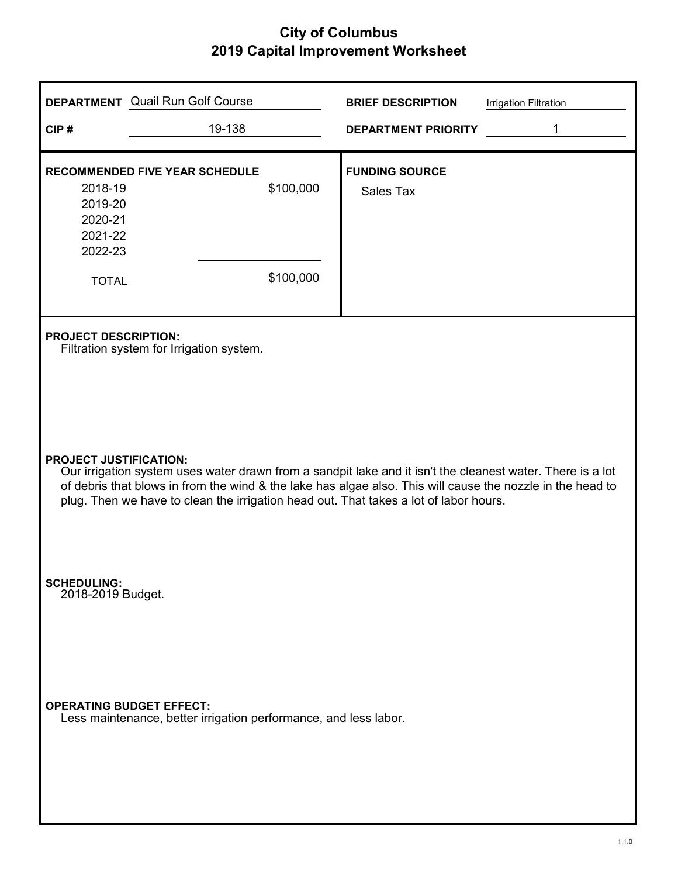|                                                                     | <b>DEPARTMENT</b> Quail Run Golf Course                                                                                                                                                                                                                                                                                                            | <b>BRIEF DESCRIPTION</b>                  | <b>Irrigation Filtration</b> |  |  |
|---------------------------------------------------------------------|----------------------------------------------------------------------------------------------------------------------------------------------------------------------------------------------------------------------------------------------------------------------------------------------------------------------------------------------------|-------------------------------------------|------------------------------|--|--|
| CIP#                                                                | 19-138                                                                                                                                                                                                                                                                                                                                             | <b>DEPARTMENT PRIORITY</b>                | 1                            |  |  |
| 2018-19<br>2019-20<br>2020-21<br>2021-22<br>2022-23<br><b>TOTAL</b> | <b>RECOMMENDED FIVE YEAR SCHEDULE</b><br>\$100,000<br>\$100,000                                                                                                                                                                                                                                                                                    | <b>FUNDING SOURCE</b><br><b>Sales Tax</b> |                              |  |  |
| <b>PROJECT DESCRIPTION:</b>                                         | Filtration system for Irrigation system.                                                                                                                                                                                                                                                                                                           |                                           |                              |  |  |
|                                                                     | <b>PROJECT JUSTIFICATION:</b><br>Our irrigation system uses water drawn from a sandpit lake and it isn't the cleanest water. There is a lot<br>of debris that blows in from the wind & the lake has algae also. This will cause the nozzle in the head to<br>plug. Then we have to clean the irrigation head out. That takes a lot of labor hours. |                                           |                              |  |  |
| <b>SCHEDULING:</b><br>2018-2019 Budget.                             |                                                                                                                                                                                                                                                                                                                                                    |                                           |                              |  |  |
| <b>OPERATING BUDGET EFFECT:</b>                                     | Less maintenance, better irrigation performance, and less labor.                                                                                                                                                                                                                                                                                   |                                           |                              |  |  |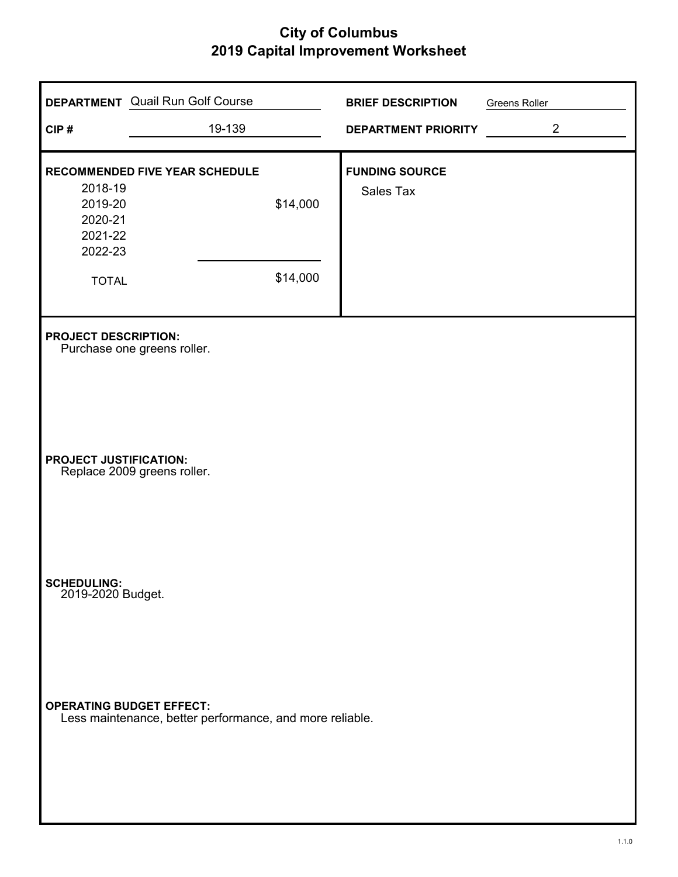| <b>DEPARTMENT</b> Quail Run Golf Course                      |                                                          | <b>BRIEF DESCRIPTION</b>   | <b>Greens Roller</b> |
|--------------------------------------------------------------|----------------------------------------------------------|----------------------------|----------------------|
| CIP#                                                         | 19-139                                                   | <b>DEPARTMENT PRIORITY</b> | $\overline{2}$       |
| <b>RECOMMENDED FIVE YEAR SCHEDULE</b>                        |                                                          | <b>FUNDING SOURCE</b>      |                      |
| 2018-19<br>2019-20<br>2020-21<br>2021-22<br>2022-23          | \$14,000                                                 | Sales Tax                  |                      |
| <b>TOTAL</b>                                                 | \$14,000                                                 |                            |                      |
| <b>PROJECT DESCRIPTION:</b><br>Purchase one greens roller.   |                                                          |                            |                      |
| <b>PROJECT JUSTIFICATION:</b><br>Replace 2009 greens roller. |                                                          |                            |                      |
| SCHEDULING:<br>2019-2020 Budget.                             |                                                          |                            |                      |
| <b>OPERATING BUDGET EFFECT:</b>                              | Less maintenance, better performance, and more reliable. |                            |                      |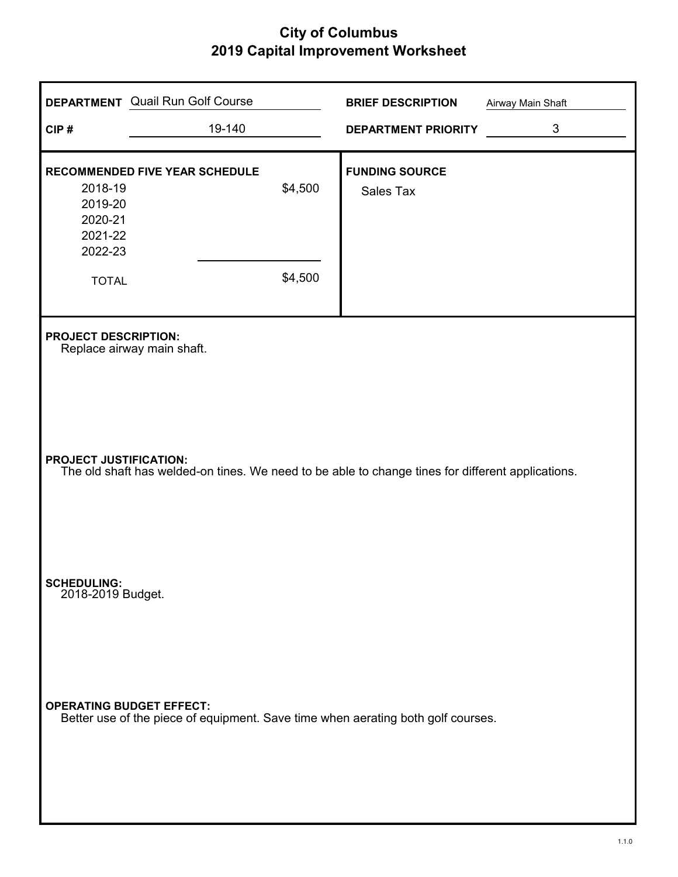| CIP#                                                | <b>DEPARTMENT</b> Quail Run Golf Course<br>19-140                                                 |         | <b>BRIEF DESCRIPTION</b><br><b>DEPARTMENT PRIORITY</b> | <b>Airway Main Shaft</b><br>$\mathfrak{B}$ |
|-----------------------------------------------------|---------------------------------------------------------------------------------------------------|---------|--------------------------------------------------------|--------------------------------------------|
|                                                     |                                                                                                   |         |                                                        |                                            |
| 2018-19<br>2019-20<br>2020-21<br>2021-22<br>2022-23 | RECOMMENDED FIVE YEAR SCHEDULE                                                                    | \$4,500 | <b>FUNDING SOURCE</b><br>Sales Tax                     |                                            |
| <b>TOTAL</b>                                        |                                                                                                   | \$4,500 |                                                        |                                            |
| <b>PROJECT DESCRIPTION:</b>                         | Replace airway main shaft.                                                                        |         |                                                        |                                            |
| <b>PROJECT JUSTIFICATION:</b>                       | The old shaft has welded-on tines. We need to be able to change tines for different applications. |         |                                                        |                                            |
| <b>SCHEDULING:</b><br>2018-2019 Budget.             |                                                                                                   |         |                                                        |                                            |
| <b>OPERATING BUDGET EFFECT:</b>                     | Better use of the piece of equipment. Save time when aerating both golf courses.                  |         |                                                        |                                            |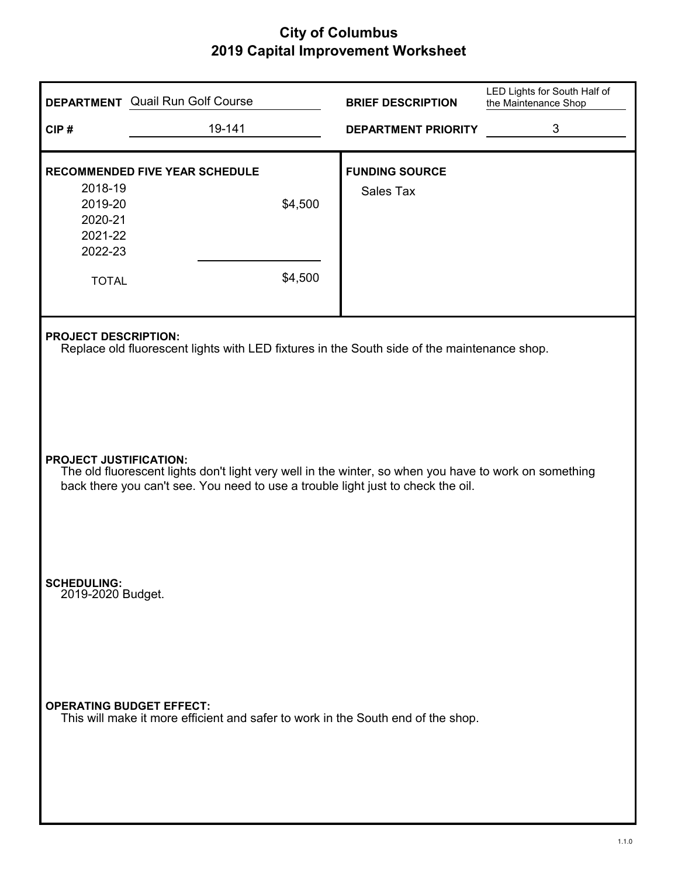| CIP#                                                                | <b>DEPARTMENT</b> Quail Run Golf Course<br>19-141                                                                                                                                                                                                                                        | <b>BRIEF DESCRIPTION</b><br><b>DEPARTMENT PRIORITY</b> | LED Lights for South Half of<br>the Maintenance Shop<br>3 |
|---------------------------------------------------------------------|------------------------------------------------------------------------------------------------------------------------------------------------------------------------------------------------------------------------------------------------------------------------------------------|--------------------------------------------------------|-----------------------------------------------------------|
| 2018-19<br>2019-20<br>2020-21<br>2021-22<br>2022-23<br><b>TOTAL</b> | <b>RECOMMENDED FIVE YEAR SCHEDULE</b><br>\$4,500<br>\$4,500                                                                                                                                                                                                                              | <b>FUNDING SOURCE</b><br>Sales Tax                     |                                                           |
| <b>PROJECT DESCRIPTION:</b><br><b>PROJECT JUSTIFICATION:</b>        | Replace old fluorescent lights with LED fixtures in the South side of the maintenance shop.<br>The old fluorescent lights don't light very well in the winter, so when you have to work on something<br>back there you can't see. You need to use a trouble light just to check the oil. |                                                        |                                                           |
| <b>SCHEDULING:</b><br>2019-2020 Budget.                             |                                                                                                                                                                                                                                                                                          |                                                        |                                                           |
|                                                                     | <b>OPERATING BUDGET EFFECT:</b><br>This will make it more efficient and safer to work in the South end of the shop.                                                                                                                                                                      |                                                        |                                                           |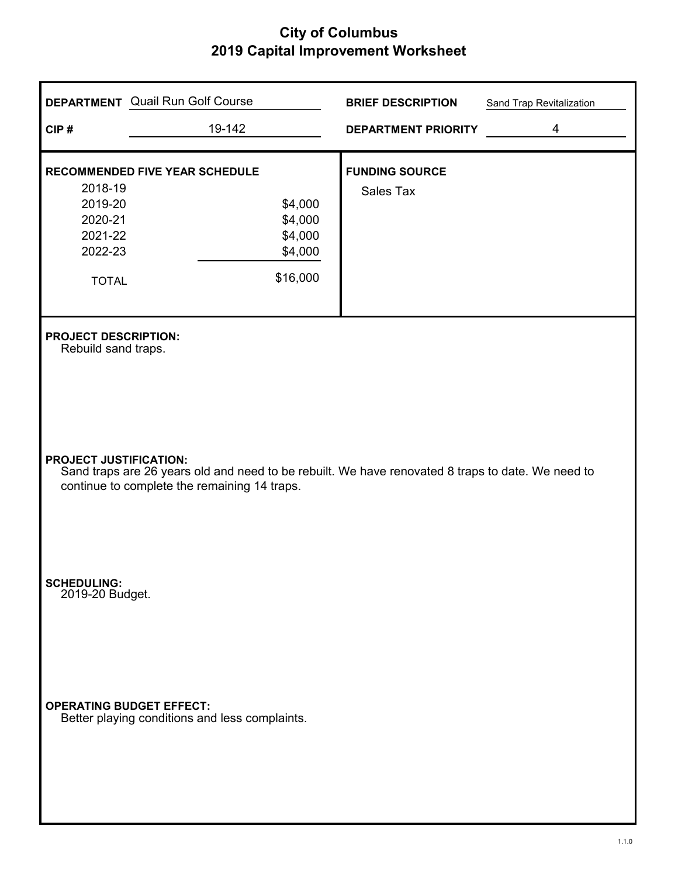| CIP#                                                                | <b>DEPARTMENT</b> Quail Run Golf Course<br>19-142                                                                                                 | <b>BRIEF DESCRIPTION</b><br><b>DEPARTMENT PRIORITY</b> | Sand Trap Revitalization<br>$\overline{4}$ |
|---------------------------------------------------------------------|---------------------------------------------------------------------------------------------------------------------------------------------------|--------------------------------------------------------|--------------------------------------------|
| 2018-19<br>2019-20<br>2020-21<br>2021-22<br>2022-23<br><b>TOTAL</b> | <b>RECOMMENDED FIVE YEAR SCHEDULE</b><br>\$4,000<br>\$4,000<br>\$4,000<br>\$4,000<br>\$16,000                                                     | <b>FUNDING SOURCE</b><br>Sales Tax                     |                                            |
| <b>PROJECT DESCRIPTION:</b><br>Rebuild sand traps.                  |                                                                                                                                                   |                                                        |                                            |
| <b>PROJECT JUSTIFICATION:</b>                                       | Sand traps are 26 years old and need to be rebuilt. We have renovated 8 traps to date. We need to<br>continue to complete the remaining 14 traps. |                                                        |                                            |
| <b>SCHEDULING:</b><br>2019-20 Budget.                               |                                                                                                                                                   |                                                        |                                            |
|                                                                     | <b>OPERATING BUDGET EFFECT:</b><br>Better playing conditions and less complaints.                                                                 |                                                        |                                            |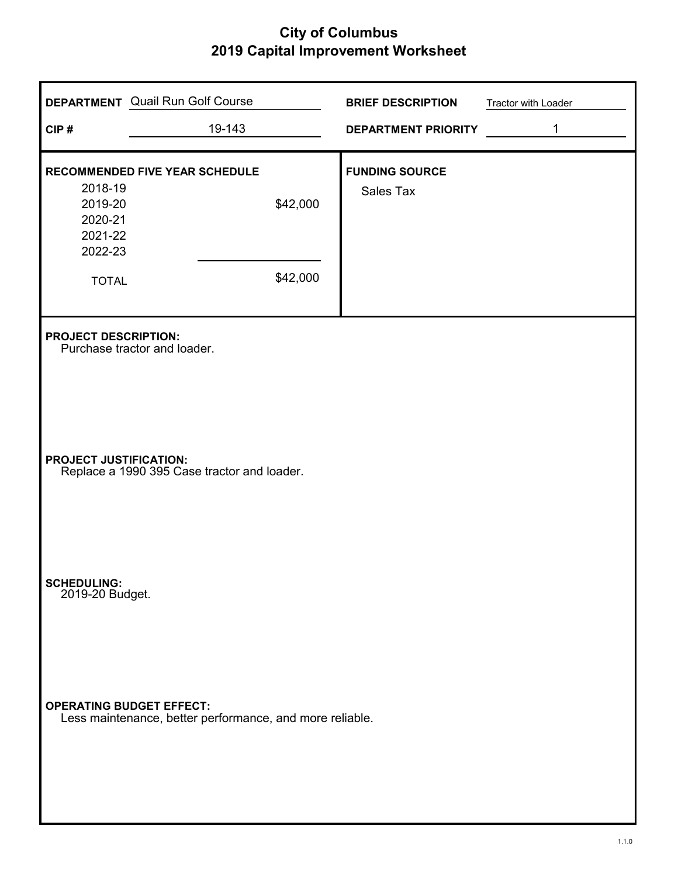| CIP#                                                                | <b>DEPARTMENT</b> Quail Run Golf Course<br>19-143                            | <b>BRIEF DESCRIPTION</b><br><b>DEPARTMENT PRIORITY</b> | Tractor with Loader<br>1 |  |  |
|---------------------------------------------------------------------|------------------------------------------------------------------------------|--------------------------------------------------------|--------------------------|--|--|
| 2018-19<br>2019-20<br>2020-21<br>2021-22<br>2022-23<br><b>TOTAL</b> | RECOMMENDED FIVE YEAR SCHEDULE<br>\$42,000<br>\$42,000                       | <b>FUNDING SOURCE</b><br>Sales Tax                     |                          |  |  |
| <b>PROJECT DESCRIPTION:</b>                                         | Purchase tractor and loader.                                                 |                                                        |                          |  |  |
|                                                                     | <b>PROJECT JUSTIFICATION:</b><br>Replace a 1990 395 Case tractor and loader. |                                                        |                          |  |  |
| <b>SCHEDULING:</b><br>2019-20 Budget.                               |                                                                              |                                                        |                          |  |  |
| <b>OPERATING BUDGET EFFECT:</b>                                     | Less maintenance, better performance, and more reliable.                     |                                                        |                          |  |  |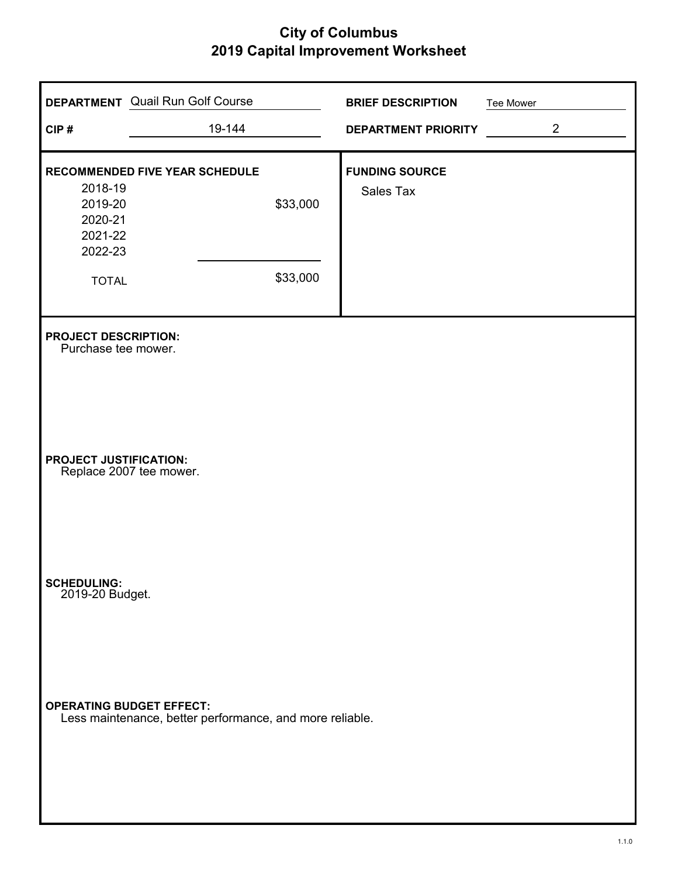| CIP#                                                | <b>DEPARTMENT</b> Quail Run Golf Course<br>19-144        |          | <b>BRIEF DESCRIPTION</b><br><b>DEPARTMENT PRIORITY</b> | Tee Mower | $\overline{2}$ |
|-----------------------------------------------------|----------------------------------------------------------|----------|--------------------------------------------------------|-----------|----------------|
| 2018-19<br>2019-20<br>2020-21<br>2021-22<br>2022-23 | <b>RECOMMENDED FIVE YEAR SCHEDULE</b>                    | \$33,000 | <b>FUNDING SOURCE</b><br>Sales Tax                     |           |                |
| <b>TOTAL</b>                                        |                                                          | \$33,000 |                                                        |           |                |
| <b>PROJECT DESCRIPTION:</b><br>Purchase tee mower.  |                                                          |          |                                                        |           |                |
| <b>PROJECT JUSTIFICATION:</b>                       | Replace 2007 tee mower.                                  |          |                                                        |           |                |
| <b>SCHEDULING:</b><br>2019-20 Budget.               |                                                          |          |                                                        |           |                |
| <b>OPERATING BUDGET EFFECT:</b>                     | Less maintenance, better performance, and more reliable. |          |                                                        |           |                |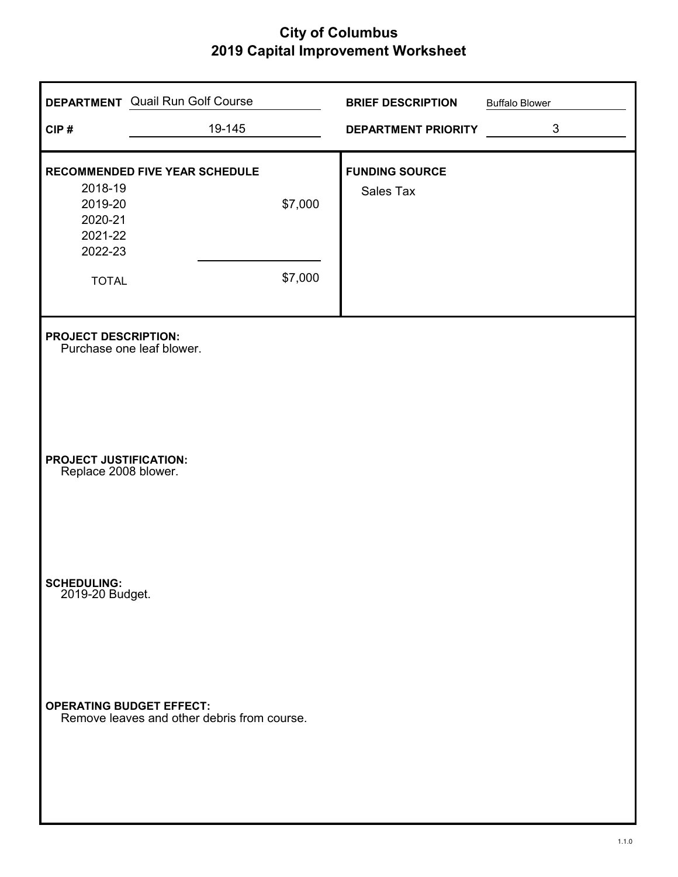|                                                       | <b>DEPARTMENT</b> Quail Run Golf Course                                        |         | <b>BRIEF DESCRIPTION</b>   | <b>Buffalo Blower</b> |
|-------------------------------------------------------|--------------------------------------------------------------------------------|---------|----------------------------|-----------------------|
| CIP#                                                  | 19-145                                                                         |         | <b>DEPARTMENT PRIORITY</b> | $\mathbf{3}$          |
|                                                       | RECOMMENDED FIVE YEAR SCHEDULE                                                 |         | <b>FUNDING SOURCE</b>      |                       |
| 2018-19<br>2019-20<br>2020-21<br>2021-22<br>2022-23   |                                                                                | \$7,000 | Sales Tax                  |                       |
| <b>TOTAL</b>                                          |                                                                                | \$7,000 |                            |                       |
| <b>PROJECT DESCRIPTION:</b>                           | Purchase one leaf blower.                                                      |         |                            |                       |
| <b>PROJECT JUSTIFICATION:</b><br>Replace 2008 blower. |                                                                                |         |                            |                       |
| <b>SCHEDULING:</b><br>2019-20 Budget.                 |                                                                                |         |                            |                       |
|                                                       | <b>OPERATING BUDGET EFFECT:</b><br>Remove leaves and other debris from course. |         |                            |                       |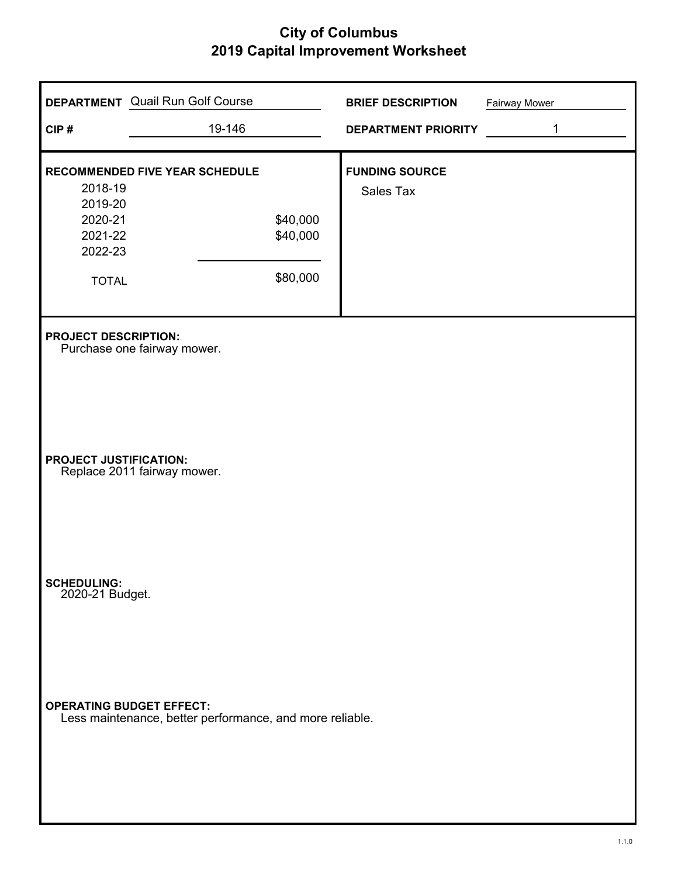|                                                                     | <b>DEPARTMENT</b> Quail Run Golf Course                                   | <b>BRIEF DESCRIPTION</b>           | Fairway Mower |
|---------------------------------------------------------------------|---------------------------------------------------------------------------|------------------------------------|---------------|
| CIP#                                                                | 19-146                                                                    | <b>DEPARTMENT PRIORITY</b>         | 1             |
| 2018-19<br>2019-20<br>2020-21<br>2021-22<br>2022-23<br><b>TOTAL</b> | <b>RECOMMENDED FIVE YEAR SCHEDULE</b><br>\$40,000<br>\$40,000<br>\$80,000 | <b>FUNDING SOURCE</b><br>Sales Tax |               |
| <b>PROJECT DESCRIPTION:</b>                                         | Purchase one fairway mower.                                               |                                    |               |
| <b>PROJECT JUSTIFICATION:</b>                                       | Replace 2011 fairway mower.                                               |                                    |               |
| <b>SCHEDULING:</b><br>2020-21 Budget.                               |                                                                           |                                    |               |
| <b>OPERATING BUDGET EFFECT:</b>                                     | Less maintenance, better performance, and more reliable.                  |                                    |               |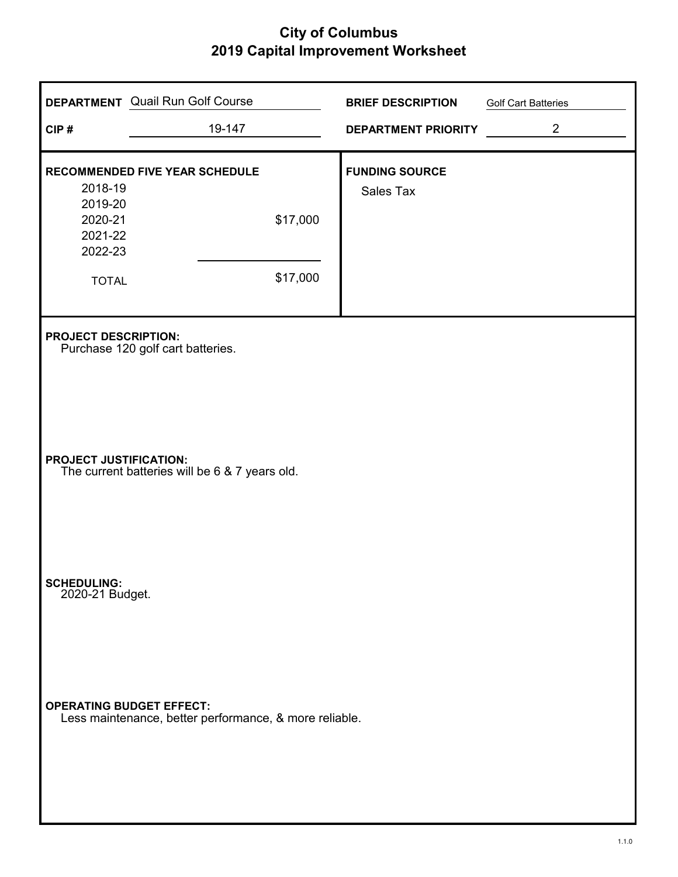| CIP#                                  | <b>DEPARTMENT</b> Quail Run Golf Course<br>19-147                               |          | <b>BRIEF DESCRIPTION</b><br><b>DEPARTMENT PRIORITY</b> | <b>Golf Cart Batteries</b><br>$\overline{2}$ |  |  |
|---------------------------------------|---------------------------------------------------------------------------------|----------|--------------------------------------------------------|----------------------------------------------|--|--|
| 2018-19<br>2019-20<br>2020-21         | RECOMMENDED FIVE YEAR SCHEDULE                                                  | \$17,000 | <b>FUNDING SOURCE</b><br>Sales Tax                     |                                              |  |  |
| 2021-22<br>2022-23<br><b>TOTAL</b>    |                                                                                 | \$17,000 |                                                        |                                              |  |  |
| <b>PROJECT DESCRIPTION:</b>           | Purchase 120 golf cart batteries.                                               |          |                                                        |                                              |  |  |
|                                       | <b>PROJECT JUSTIFICATION:</b><br>The current batteries will be 6 & 7 years old. |          |                                                        |                                              |  |  |
| <b>SCHEDULING:</b><br>2020-21 Budget. |                                                                                 |          |                                                        |                                              |  |  |
| <b>OPERATING BUDGET EFFECT:</b>       | Less maintenance, better performance, & more reliable.                          |          |                                                        |                                              |  |  |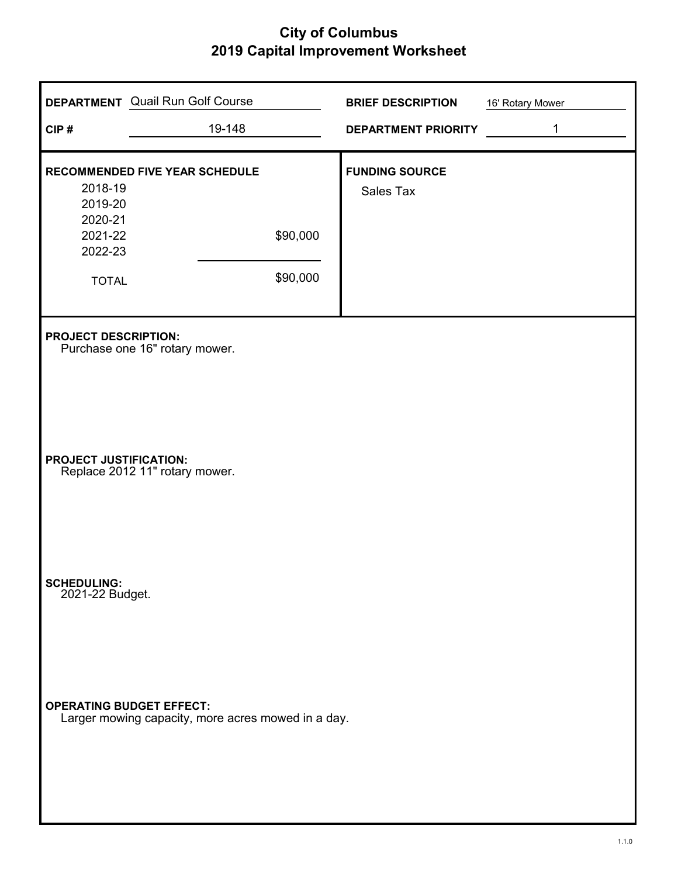| CIP#                                                                | <b>DEPARTMENT</b> Quail Run Golf Course<br>19-148  |                      | <b>BRIEF DESCRIPTION</b><br><b>DEPARTMENT PRIORITY</b> | 16' Rotary Mower<br>1 |
|---------------------------------------------------------------------|----------------------------------------------------|----------------------|--------------------------------------------------------|-----------------------|
| 2018-19<br>2019-20<br>2020-21<br>2021-22<br>2022-23<br><b>TOTAL</b> | RECOMMENDED FIVE YEAR SCHEDULE                     | \$90,000<br>\$90,000 | <b>FUNDING SOURCE</b><br>Sales Tax                     |                       |
| <b>PROJECT DESCRIPTION:</b>                                         | Purchase one 16" rotary mower.                     |                      |                                                        |                       |
| <b>PROJECT JUSTIFICATION:</b>                                       | Replace 2012 11" rotary mower.                     |                      |                                                        |                       |
| <b>SCHEDULING:</b><br>2021-22 Budget.                               |                                                    |                      |                                                        |                       |
| <b>OPERATING BUDGET EFFECT:</b>                                     | Larger mowing capacity, more acres mowed in a day. |                      |                                                        |                       |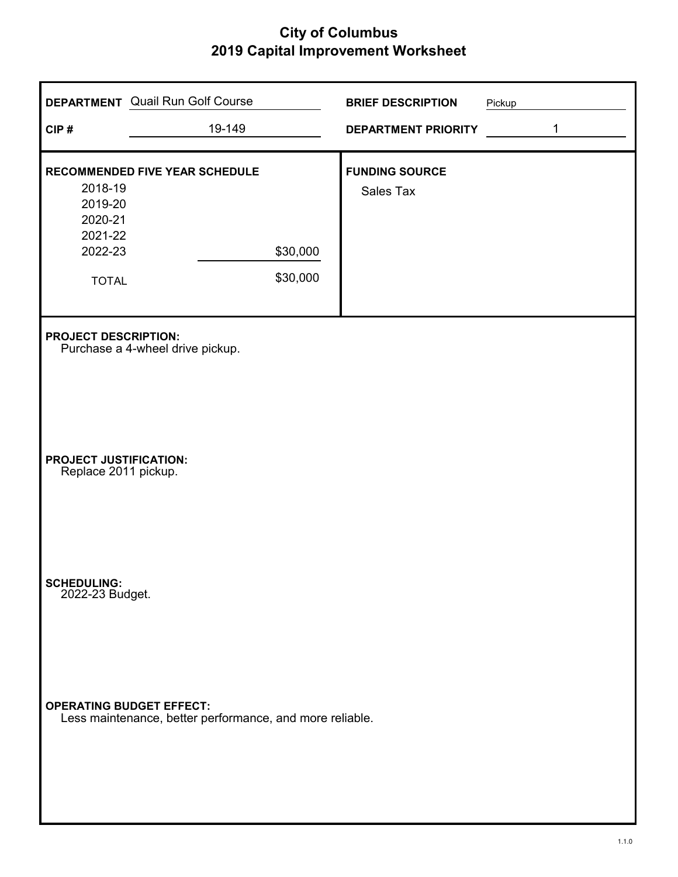| CIP#                                                                | <b>DEPARTMENT</b> Quail Run Golf Course<br>19-149                                           |                      | <b>BRIEF DESCRIPTION</b><br><b>DEPARTMENT PRIORITY</b> | Pickup | 1 |
|---------------------------------------------------------------------|---------------------------------------------------------------------------------------------|----------------------|--------------------------------------------------------|--------|---|
| 2018-19<br>2019-20<br>2020-21<br>2021-22<br>2022-23<br><b>TOTAL</b> | RECOMMENDED FIVE YEAR SCHEDULE                                                              | \$30,000<br>\$30,000 | <b>FUNDING SOURCE</b><br>Sales Tax                     |        |   |
| <b>PROJECT DESCRIPTION:</b>                                         | Purchase a 4-wheel drive pickup.                                                            |                      |                                                        |        |   |
| <b>PROJECT JUSTIFICATION:</b><br>Replace 2011 pickup.               |                                                                                             |                      |                                                        |        |   |
| <b>SCHEDULING:</b><br>2022-23 Budget.                               |                                                                                             |                      |                                                        |        |   |
|                                                                     | <b>OPERATING BUDGET EFFECT:</b><br>Less maintenance, better performance, and more reliable. |                      |                                                        |        |   |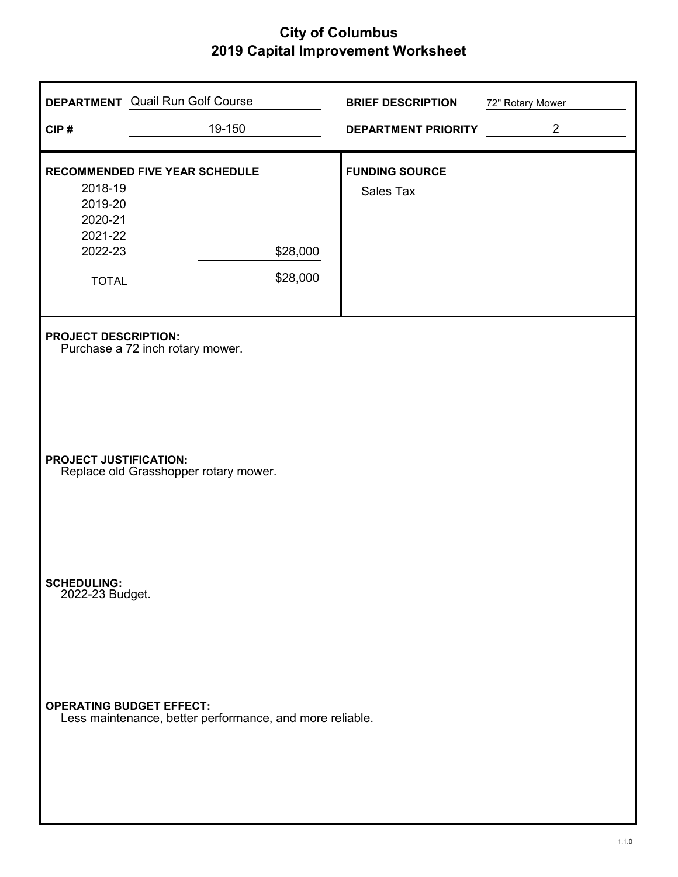|                                       | <b>DEPARTMENT</b> Quail Run Golf Course                  |          | <b>BRIEF DESCRIPTION</b>   | 72" Rotary Mower |
|---------------------------------------|----------------------------------------------------------|----------|----------------------------|------------------|
| CIP#                                  | 19-150                                                   |          | <b>DEPARTMENT PRIORITY</b> | $\overline{2}$   |
|                                       | RECOMMENDED FIVE YEAR SCHEDULE                           |          | <b>FUNDING SOURCE</b>      |                  |
| 2018-19<br>2019-20                    |                                                          |          | <b>Sales Tax</b>           |                  |
| 2020-21                               |                                                          |          |                            |                  |
| 2021-22                               |                                                          |          |                            |                  |
| 2022-23                               |                                                          | \$28,000 |                            |                  |
| <b>TOTAL</b>                          |                                                          | \$28,000 |                            |                  |
|                                       |                                                          |          |                            |                  |
| <b>PROJECT DESCRIPTION:</b>           | Purchase a 72 inch rotary mower.                         |          |                            |                  |
|                                       |                                                          |          |                            |                  |
|                                       |                                                          |          |                            |                  |
|                                       |                                                          |          |                            |                  |
|                                       |                                                          |          |                            |                  |
| <b>PROJECT JUSTIFICATION:</b>         | Replace old Grasshopper rotary mower.                    |          |                            |                  |
|                                       |                                                          |          |                            |                  |
|                                       |                                                          |          |                            |                  |
|                                       |                                                          |          |                            |                  |
|                                       |                                                          |          |                            |                  |
| <b>SCHEDULING:</b><br>2022-23 Budget. |                                                          |          |                            |                  |
|                                       |                                                          |          |                            |                  |
|                                       |                                                          |          |                            |                  |
|                                       |                                                          |          |                            |                  |
|                                       |                                                          |          |                            |                  |
| <b>OPERATING BUDGET EFFECT:</b>       | Less maintenance, better performance, and more reliable. |          |                            |                  |
|                                       |                                                          |          |                            |                  |
|                                       |                                                          |          |                            |                  |
|                                       |                                                          |          |                            |                  |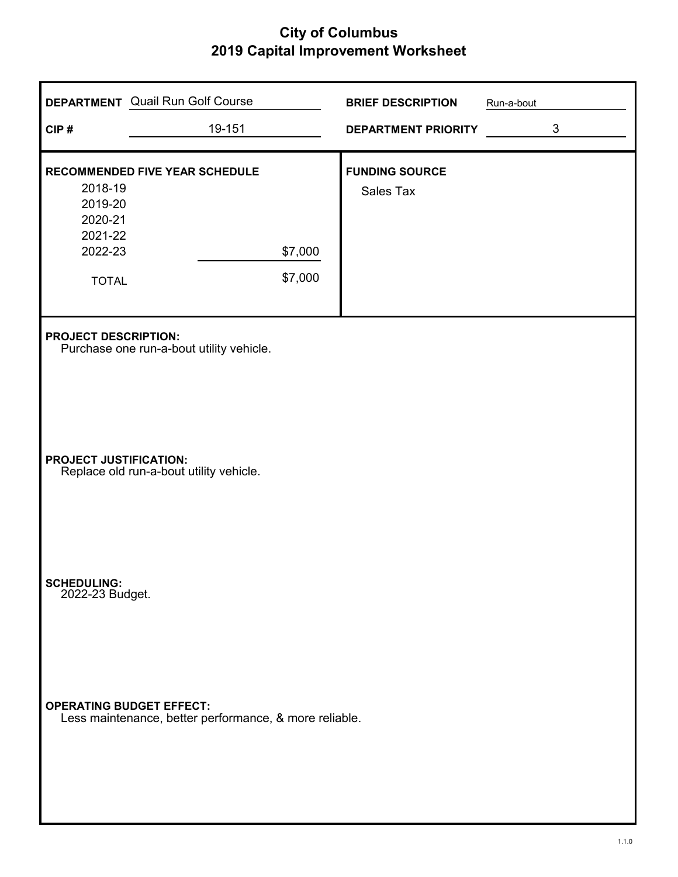| CIP#                                                                | <b>DEPARTMENT</b> Quail Run Golf Course<br>19-151      |                    | <b>BRIEF DESCRIPTION</b><br><b>DEPARTMENT PRIORITY</b> | Run-a-bout | $\mathfrak{B}$ |
|---------------------------------------------------------------------|--------------------------------------------------------|--------------------|--------------------------------------------------------|------------|----------------|
| 2018-19<br>2019-20<br>2020-21<br>2021-22<br>2022-23<br><b>TOTAL</b> | RECOMMENDED FIVE YEAR SCHEDULE                         | \$7,000<br>\$7,000 | <b>FUNDING SOURCE</b><br>Sales Tax                     |            |                |
| <b>PROJECT DESCRIPTION:</b>                                         | Purchase one run-a-bout utility vehicle.               |                    |                                                        |            |                |
| <b>PROJECT JUSTIFICATION:</b>                                       | Replace old run-a-bout utility vehicle.                |                    |                                                        |            |                |
| <b>SCHEDULING:</b><br>2022-23 Budget.                               |                                                        |                    |                                                        |            |                |
| <b>OPERATING BUDGET EFFECT:</b>                                     | Less maintenance, better performance, & more reliable. |                    |                                                        |            |                |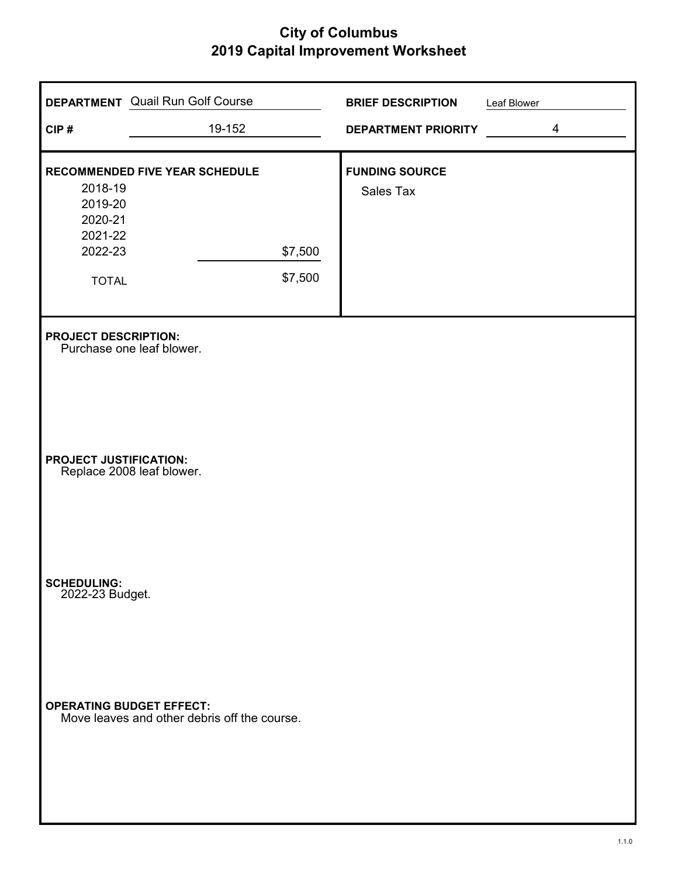| CIP#                                  | <b>DEPARTMENT</b> Quail Run Golf Course<br>19-152 |         | <b>BRIEF DESCRIPTION</b><br><b>DEPARTMENT PRIORITY</b> | Leaf Blower | $\overline{4}$ |
|---------------------------------------|---------------------------------------------------|---------|--------------------------------------------------------|-------------|----------------|
|                                       |                                                   |         |                                                        |             |                |
| 2018-19                               | RECOMMENDED FIVE YEAR SCHEDULE                    |         | <b>FUNDING SOURCE</b>                                  |             |                |
| 2019-20<br>2020-21                    |                                                   |         | Sales Tax                                              |             |                |
| 2021-22                               |                                                   |         |                                                        |             |                |
| 2022-23                               |                                                   | \$7,500 |                                                        |             |                |
| <b>TOTAL</b>                          |                                                   | \$7,500 |                                                        |             |                |
| <b>PROJECT DESCRIPTION:</b>           | Purchase one leaf blower.                         |         |                                                        |             |                |
| <b>PROJECT JUSTIFICATION:</b>         | Replace 2008 leaf blower.                         |         |                                                        |             |                |
| <b>SCHEDULING:</b><br>2022-23 Budget. |                                                   |         |                                                        |             |                |
| <b>OPERATING BUDGET EFFECT:</b>       | Move leaves and other debris off the course.      |         |                                                        |             |                |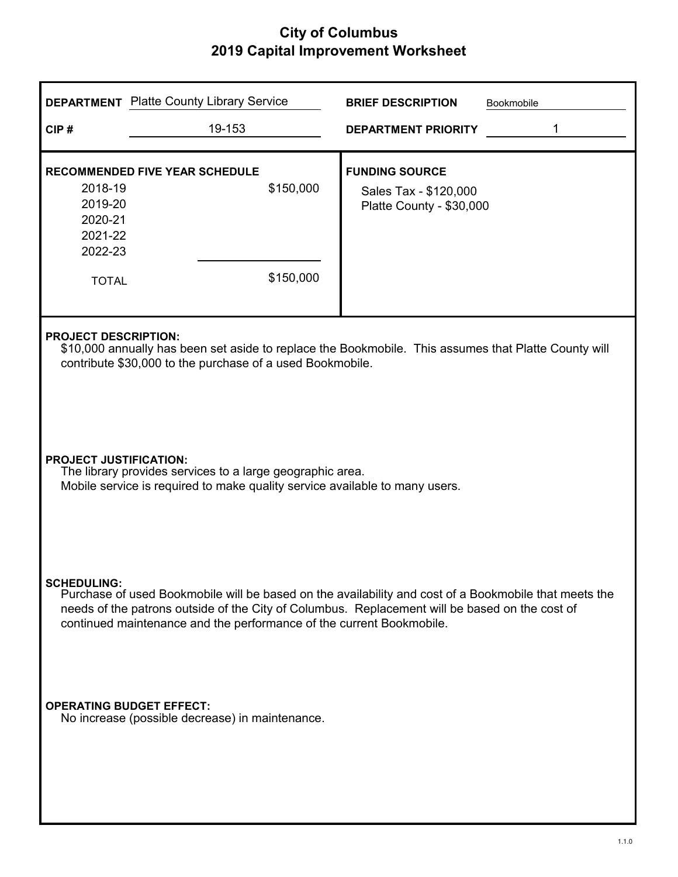|                                                                                                                                                                           | <b>DEPARTMENT</b> Platte County Library Service                      | <b>BRIEF DESCRIPTION</b><br>Bookmobile                                                                                                                                                                  |  |  |
|---------------------------------------------------------------------------------------------------------------------------------------------------------------------------|----------------------------------------------------------------------|---------------------------------------------------------------------------------------------------------------------------------------------------------------------------------------------------------|--|--|
| CIP#                                                                                                                                                                      | 19-153                                                               | <b>DEPARTMENT PRIORITY</b>                                                                                                                                                                              |  |  |
| 2018-19<br>2019-20<br>2020-21<br>2021-22<br>2022-23<br><b>TOTAL</b>                                                                                                       | <b>RECOMMENDED FIVE YEAR SCHEDULE</b><br>\$150,000<br>\$150,000      | <b>FUNDING SOURCE</b><br>Sales Tax - \$120,000<br>Platte County - \$30,000                                                                                                                              |  |  |
| <b>PROJECT DESCRIPTION:</b>                                                                                                                                               | contribute \$30,000 to the purchase of a used Bookmobile.            | \$10,000 annually has been set aside to replace the Bookmobile. This assumes that Platte County will                                                                                                    |  |  |
| <b>PROJECT JUSTIFICATION:</b><br>The library provides services to a large geographic area.<br>Mobile service is required to make quality service available to many users. |                                                                      |                                                                                                                                                                                                         |  |  |
| <b>SCHEDULING:</b>                                                                                                                                                        | continued maintenance and the performance of the current Bookmobile. | Purchase of used Bookmobile will be based on the availability and cost of a Bookmobile that meets the<br>needs of the patrons outside of the City of Columbus. Replacement will be based on the cost of |  |  |
| <b>OPERATING BUDGET EFFECT:</b>                                                                                                                                           | No increase (possible decrease) in maintenance.                      |                                                                                                                                                                                                         |  |  |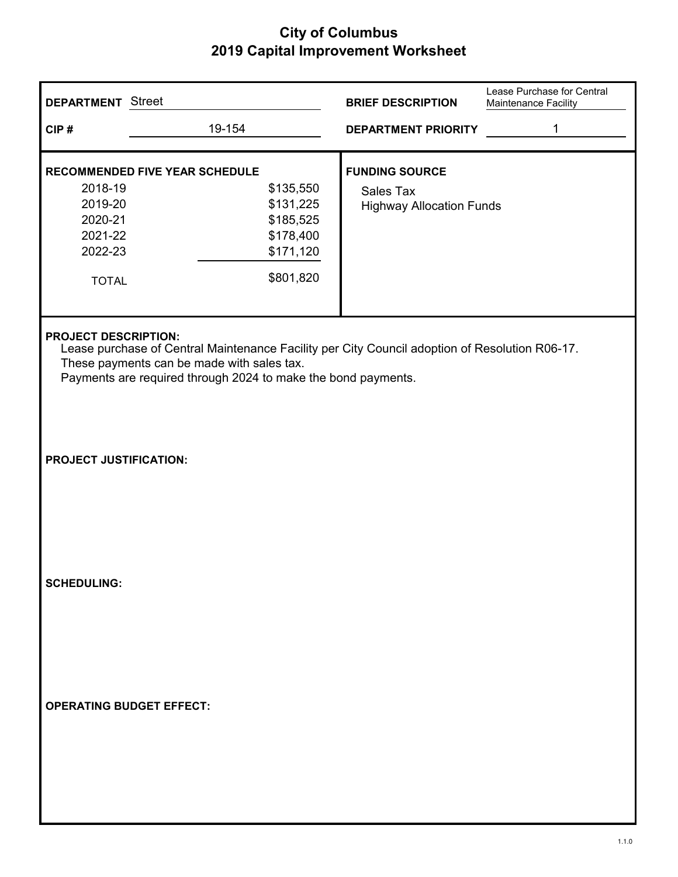| <b>DEPARTMENT</b> Street                                            |                                                                                                                                                                                                               | <b>BRIEF DESCRIPTION</b>                                              | Lease Purchase for Central<br>Maintenance Facility |
|---------------------------------------------------------------------|---------------------------------------------------------------------------------------------------------------------------------------------------------------------------------------------------------------|-----------------------------------------------------------------------|----------------------------------------------------|
| CIP#                                                                | 19-154                                                                                                                                                                                                        | <b>DEPARTMENT PRIORITY</b>                                            | 1                                                  |
| 2018-19<br>2019-20<br>2020-21<br>2021-22<br>2022-23<br><b>TOTAL</b> | <b>RECOMMENDED FIVE YEAR SCHEDULE</b><br>\$135,550<br>\$131,225<br>\$185,525<br>\$178,400<br>\$171,120<br>\$801,820                                                                                           | <b>FUNDING SOURCE</b><br>Sales Tax<br><b>Highway Allocation Funds</b> |                                                    |
| <b>PROJECT DESCRIPTION:</b>                                         | Lease purchase of Central Maintenance Facility per City Council adoption of Resolution R06-17.<br>These payments can be made with sales tax.<br>Payments are required through 2024 to make the bond payments. |                                                                       |                                                    |
| <b>PROJECT JUSTIFICATION:</b>                                       |                                                                                                                                                                                                               |                                                                       |                                                    |
| <b>SCHEDULING:</b>                                                  |                                                                                                                                                                                                               |                                                                       |                                                    |
| <b>OPERATING BUDGET EFFECT:</b>                                     |                                                                                                                                                                                                               |                                                                       |                                                    |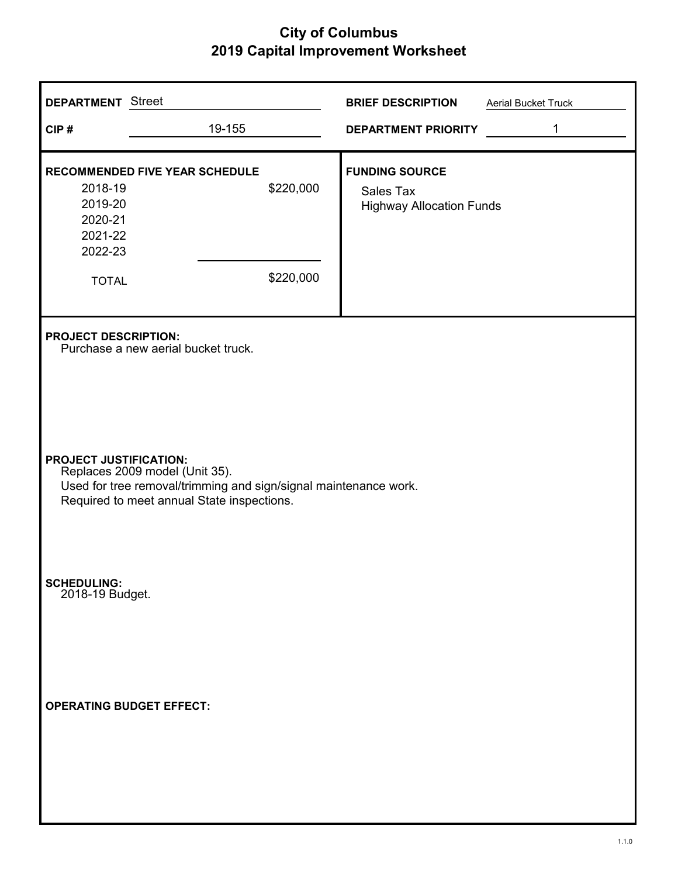| <b>DEPARTMENT</b> Street                                            |                                                                                                                                                                                   | <b>BRIEF DESCRIPTION</b>                                              | Aerial Bucket Truck |  |  |
|---------------------------------------------------------------------|-----------------------------------------------------------------------------------------------------------------------------------------------------------------------------------|-----------------------------------------------------------------------|---------------------|--|--|
| CIP#                                                                | 19-155                                                                                                                                                                            | DEPARTMENT PRIORITY                                                   | 1                   |  |  |
| 2018-19<br>2019-20<br>2020-21<br>2021-22<br>2022-23<br><b>TOTAL</b> | <b>RECOMMENDED FIVE YEAR SCHEDULE</b><br>\$220,000<br>\$220,000                                                                                                                   | <b>FUNDING SOURCE</b><br>Sales Tax<br><b>Highway Allocation Funds</b> |                     |  |  |
| <b>PROJECT DESCRIPTION:</b>                                         | Purchase a new aerial bucket truck.                                                                                                                                               |                                                                       |                     |  |  |
|                                                                     | <b>PROJECT JUSTIFICATION:</b><br>Replaces 2009 model (Unit 35).<br>Used for tree removal/trimming and sign/signal maintenance work.<br>Required to meet annual State inspections. |                                                                       |                     |  |  |
| <b>SCHEDULING:</b><br>2018-19 Budget.                               |                                                                                                                                                                                   |                                                                       |                     |  |  |
| <b>OPERATING BUDGET EFFECT:</b>                                     |                                                                                                                                                                                   |                                                                       |                     |  |  |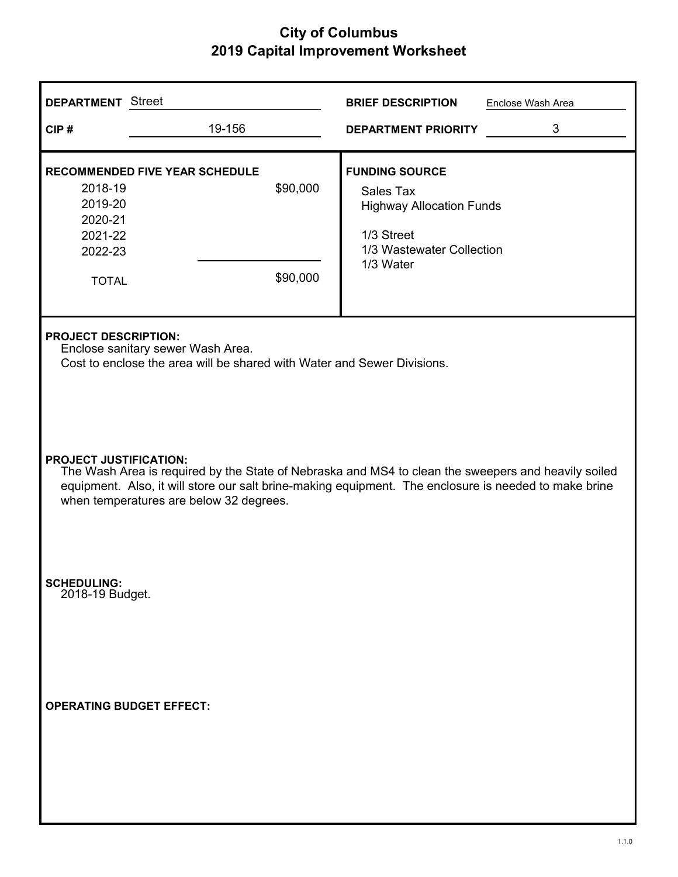| <b>DEPARTMENT</b> Street                                                                                     |                                                                                                                                                                                                                                                                                          | <b>BRIEF DESCRIPTION</b><br>Enclose Wash Area                                                                                 |  |  |  |
|--------------------------------------------------------------------------------------------------------------|------------------------------------------------------------------------------------------------------------------------------------------------------------------------------------------------------------------------------------------------------------------------------------------|-------------------------------------------------------------------------------------------------------------------------------|--|--|--|
| CIP#                                                                                                         | 19-156                                                                                                                                                                                                                                                                                   | 3<br><b>DEPARTMENT PRIORITY</b>                                                                                               |  |  |  |
| <b>RECOMMENDED FIVE YEAR SCHEDULE</b><br>2018-19<br>2019-20<br>2020-21<br>2021-22<br>2022-23<br><b>TOTAL</b> | \$90,000<br>\$90,000                                                                                                                                                                                                                                                                     | <b>FUNDING SOURCE</b><br>Sales Tax<br><b>Highway Allocation Funds</b><br>1/3 Street<br>1/3 Wastewater Collection<br>1/3 Water |  |  |  |
| <b>PROJECT DESCRIPTION:</b>                                                                                  | Enclose sanitary sewer Wash Area.<br>Cost to enclose the area will be shared with Water and Sewer Divisions.                                                                                                                                                                             |                                                                                                                               |  |  |  |
|                                                                                                              | <b>PROJECT JUSTIFICATION:</b><br>The Wash Area is required by the State of Nebraska and MS4 to clean the sweepers and heavily soiled<br>equipment. Also, it will store our salt brine-making equipment. The enclosure is needed to make brine<br>when temperatures are below 32 degrees. |                                                                                                                               |  |  |  |
| <b>SCHEDULING:</b><br>2018-19 Budget.                                                                        |                                                                                                                                                                                                                                                                                          |                                                                                                                               |  |  |  |
| <b>OPERATING BUDGET EFFECT:</b>                                                                              |                                                                                                                                                                                                                                                                                          |                                                                                                                               |  |  |  |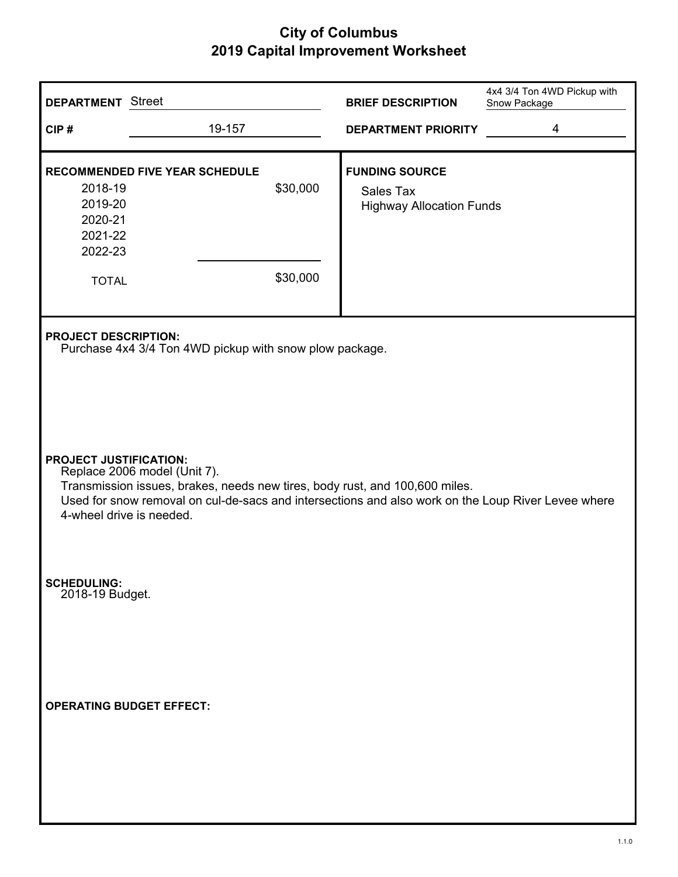| <b>DEPARTMENT</b> Street                                                                                                                                                                                                                                                                                                                     |                                       |                      | <b>BRIEF DESCRIPTION</b>                                              | 4x4 3/4 Ton 4WD Pickup with<br>Snow Package |  |
|----------------------------------------------------------------------------------------------------------------------------------------------------------------------------------------------------------------------------------------------------------------------------------------------------------------------------------------------|---------------------------------------|----------------------|-----------------------------------------------------------------------|---------------------------------------------|--|
| CIP#                                                                                                                                                                                                                                                                                                                                         | 19-157                                |                      | <b>DEPARTMENT PRIORITY</b>                                            | 4                                           |  |
| 2018-19<br>2019-20<br>2020-21<br>2021-22<br>2022-23<br><b>TOTAL</b>                                                                                                                                                                                                                                                                          | <b>RECOMMENDED FIVE YEAR SCHEDULE</b> | \$30,000<br>\$30,000 | <b>FUNDING SOURCE</b><br>Sales Tax<br><b>Highway Allocation Funds</b> |                                             |  |
| <b>PROJECT DESCRIPTION:</b><br>Purchase 4x4 3/4 Ton 4WD pickup with snow plow package.<br><b>PROJECT JUSTIFICATION:</b><br>Replace 2006 model (Unit 7).<br>Transmission issues, brakes, needs new tires, body rust, and 100,600 miles.<br>Used for snow removal on cul-de-sacs and intersections and also work on the Loup River Levee where |                                       |                      |                                                                       |                                             |  |
| <b>SCHEDULING:</b><br>2018-19 Budget.                                                                                                                                                                                                                                                                                                        |                                       |                      |                                                                       |                                             |  |
| <b>OPERATING BUDGET EFFECT:</b>                                                                                                                                                                                                                                                                                                              |                                       |                      |                                                                       |                                             |  |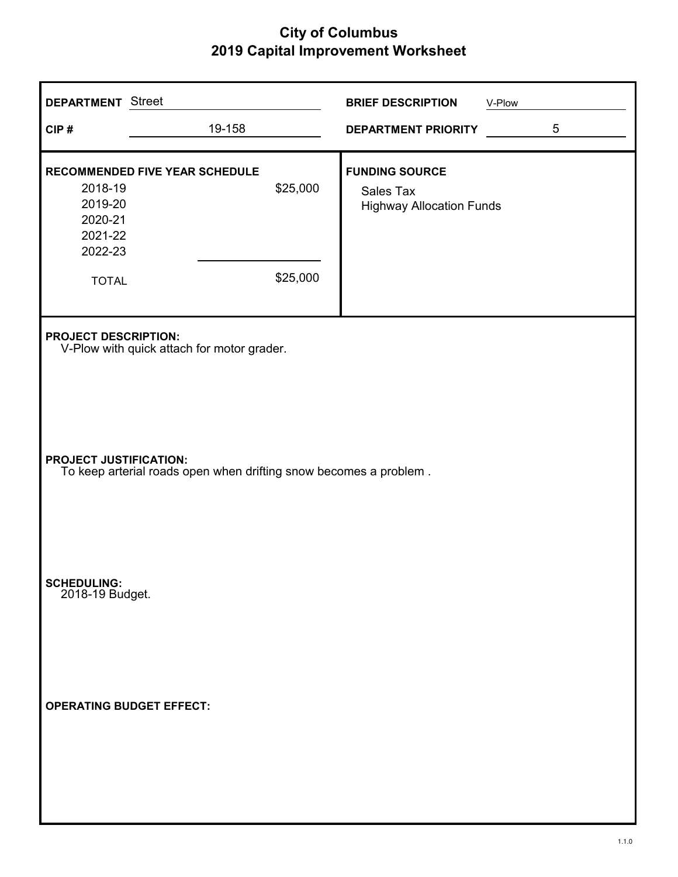| <b>DEPARTMENT</b> Street<br>CIP#                                    | 19-158                                                                                      |                      | <b>BRIEF DESCRIPTION</b><br><b>DEPARTMENT PRIORITY</b>                | V-Plow<br>5 |  |  |
|---------------------------------------------------------------------|---------------------------------------------------------------------------------------------|----------------------|-----------------------------------------------------------------------|-------------|--|--|
|                                                                     |                                                                                             |                      |                                                                       |             |  |  |
| 2018-19<br>2019-20<br>2020-21<br>2021-22<br>2022-23<br><b>TOTAL</b> | <b>RECOMMENDED FIVE YEAR SCHEDULE</b>                                                       | \$25,000<br>\$25,000 | <b>FUNDING SOURCE</b><br>Sales Tax<br><b>Highway Allocation Funds</b> |             |  |  |
| <b>PROJECT DESCRIPTION:</b>                                         |                                                                                             |                      |                                                                       |             |  |  |
|                                                                     | V-Plow with quick attach for motor grader.                                                  |                      |                                                                       |             |  |  |
|                                                                     | PROJECT JUSTIFICATION:<br>To keep arterial roads open when drifting snow becomes a problem. |                      |                                                                       |             |  |  |
| <b>SCHEDULING:</b><br>2018-19 Budget.                               |                                                                                             |                      |                                                                       |             |  |  |
| <b>OPERATING BUDGET EFFECT:</b>                                     |                                                                                             |                      |                                                                       |             |  |  |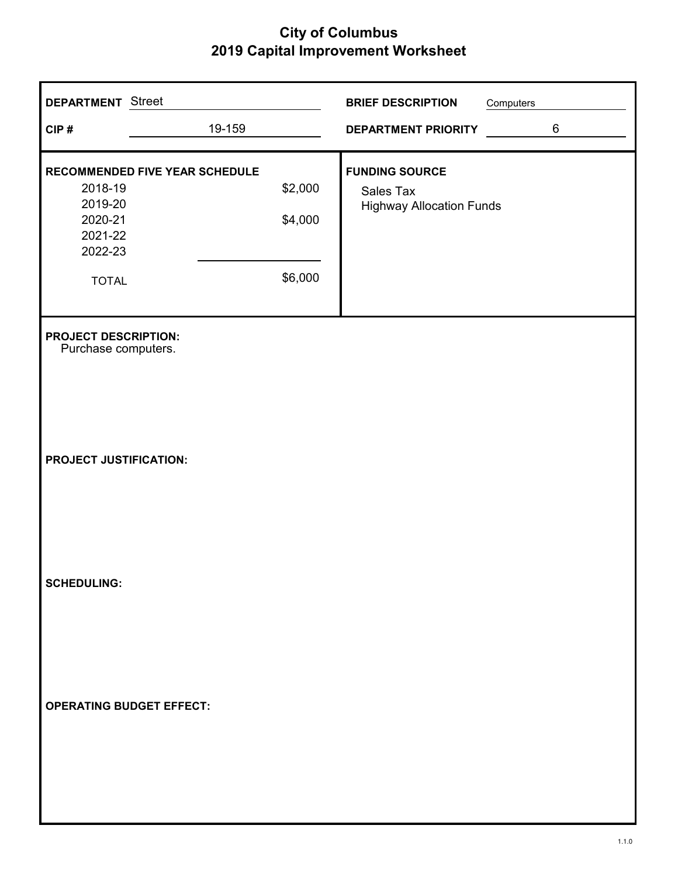| <b>DEPARTMENT</b> Street                                            |                                |                               | <b>BRIEF DESCRIPTION</b>                                              | Computers |         |
|---------------------------------------------------------------------|--------------------------------|-------------------------------|-----------------------------------------------------------------------|-----------|---------|
| CIP#                                                                | 19-159                         |                               | DEPARTMENT PRIORITY                                                   |           | $\,6\,$ |
| 2018-19<br>2019-20<br>2020-21<br>2021-22<br>2022-23<br><b>TOTAL</b> | RECOMMENDED FIVE YEAR SCHEDULE | \$2,000<br>\$4,000<br>\$6,000 | <b>FUNDING SOURCE</b><br>Sales Tax<br><b>Highway Allocation Funds</b> |           |         |
| <b>PROJECT DESCRIPTION:</b><br>Purchase computers.                  |                                |                               |                                                                       |           |         |
| <b>PROJECT JUSTIFICATION:</b>                                       |                                |                               |                                                                       |           |         |
| <b>SCHEDULING:</b>                                                  |                                |                               |                                                                       |           |         |
| <b>OPERATING BUDGET EFFECT:</b>                                     |                                |                               |                                                                       |           |         |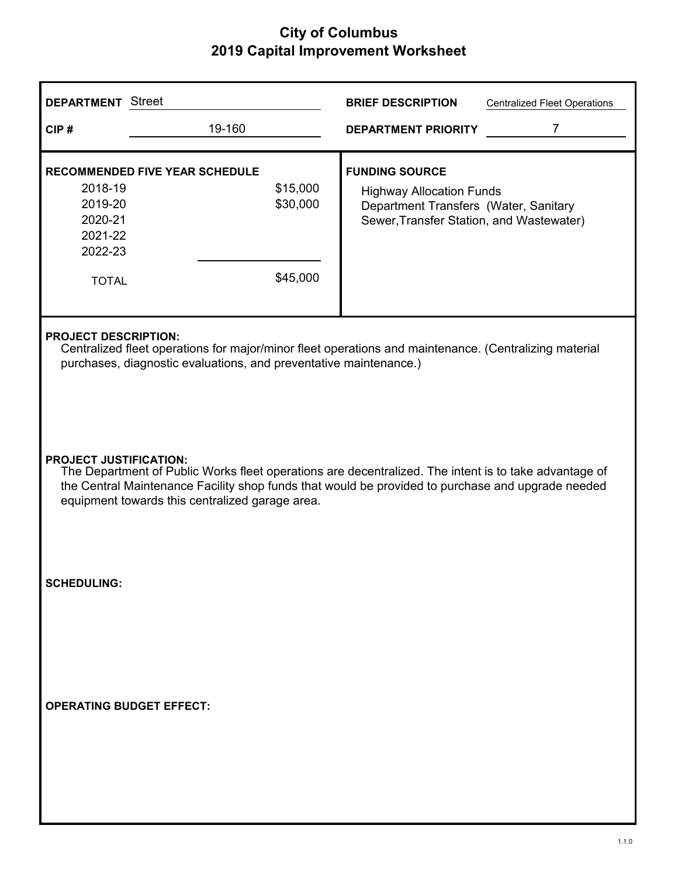| <b>DEPARTMENT</b> Street                                                                                                                                                                                                                                                                       |                                                                    | <b>BRIEF DESCRIPTION</b><br><b>Centralized Fleet Operations</b>                                                                               |  |  |
|------------------------------------------------------------------------------------------------------------------------------------------------------------------------------------------------------------------------------------------------------------------------------------------------|--------------------------------------------------------------------|-----------------------------------------------------------------------------------------------------------------------------------------------|--|--|
| CIP#                                                                                                                                                                                                                                                                                           | 19-160                                                             | 7<br><b>DEPARTMENT PRIORITY</b>                                                                                                               |  |  |
| 2018-19<br>2019-20<br>2020-21<br>2021-22<br>2022-23<br><b>TOTAL</b>                                                                                                                                                                                                                            | RECOMMENDED FIVE YEAR SCHEDULE<br>\$15,000<br>\$30,000<br>\$45,000 | <b>FUNDING SOURCE</b><br><b>Highway Allocation Funds</b><br>Department Transfers (Water, Sanitary<br>Sewer, Transfer Station, and Wastewater) |  |  |
| <b>PROJECT DESCRIPTION:</b><br>Centralized fleet operations for major/minor fleet operations and maintenance. (Centralizing material<br>purchases, diagnostic evaluations, and preventative maintenance.)                                                                                      |                                                                    |                                                                                                                                               |  |  |
| <b>PROJECT JUSTIFICATION:</b><br>The Department of Public Works fleet operations are decentralized. The intent is to take advantage of<br>the Central Maintenance Facility shop funds that would be provided to purchase and upgrade needed<br>equipment towards this centralized garage area. |                                                                    |                                                                                                                                               |  |  |
| <b>SCHEDULING:</b>                                                                                                                                                                                                                                                                             |                                                                    |                                                                                                                                               |  |  |
| <b>OPERATING BUDGET EFFECT:</b>                                                                                                                                                                                                                                                                |                                                                    |                                                                                                                                               |  |  |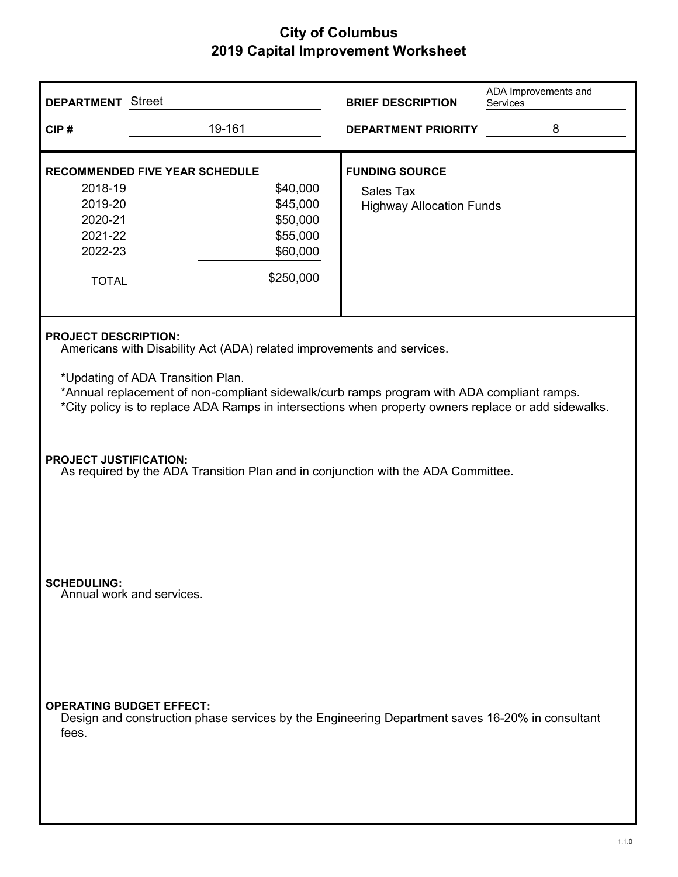| <b>DEPARTMENT</b> Street                                                                                                                                                                                                                |                                                                                                 | <b>BRIEF DESCRIPTION</b>                                                     | ADA Improvements and<br>Services |  |
|-----------------------------------------------------------------------------------------------------------------------------------------------------------------------------------------------------------------------------------------|-------------------------------------------------------------------------------------------------|------------------------------------------------------------------------------|----------------------------------|--|
| CIP#                                                                                                                                                                                                                                    | 19-161                                                                                          | <b>DEPARTMENT PRIORITY</b>                                                   | 8                                |  |
| 2018-19<br>2019-20<br>2020-21                                                                                                                                                                                                           | <b>RECOMMENDED FIVE YEAR SCHEDULE</b><br>\$40,000<br>\$45,000<br>\$50,000                       | <b>FUNDING SOURCE</b><br><b>Sales Tax</b><br><b>Highway Allocation Funds</b> |                                  |  |
| 2021-22<br>2022-23<br><b>TOTAL</b>                                                                                                                                                                                                      | \$55,000<br>\$60,000<br>\$250,000                                                               |                                                                              |                                  |  |
| <b>PROJECT DESCRIPTION:</b>                                                                                                                                                                                                             | Americans with Disability Act (ADA) related improvements and services.                          |                                                                              |                                  |  |
| *Updating of ADA Transition Plan.<br>*Annual replacement of non-compliant sidewalk/curb ramps program with ADA compliant ramps.<br>*City policy is to replace ADA Ramps in intersections when property owners replace or add sidewalks. |                                                                                                 |                                                                              |                                  |  |
| <b>PROJECT JUSTIFICATION:</b><br>As required by the ADA Transition Plan and in conjunction with the ADA Committee.                                                                                                                      |                                                                                                 |                                                                              |                                  |  |
| <b>SCHEDULING:</b><br>Annual work and services.                                                                                                                                                                                         |                                                                                                 |                                                                              |                                  |  |
| <b>OPERATING BUDGET EFFECT:</b><br>fees.                                                                                                                                                                                                | Design and construction phase services by the Engineering Department saves 16-20% in consultant |                                                                              |                                  |  |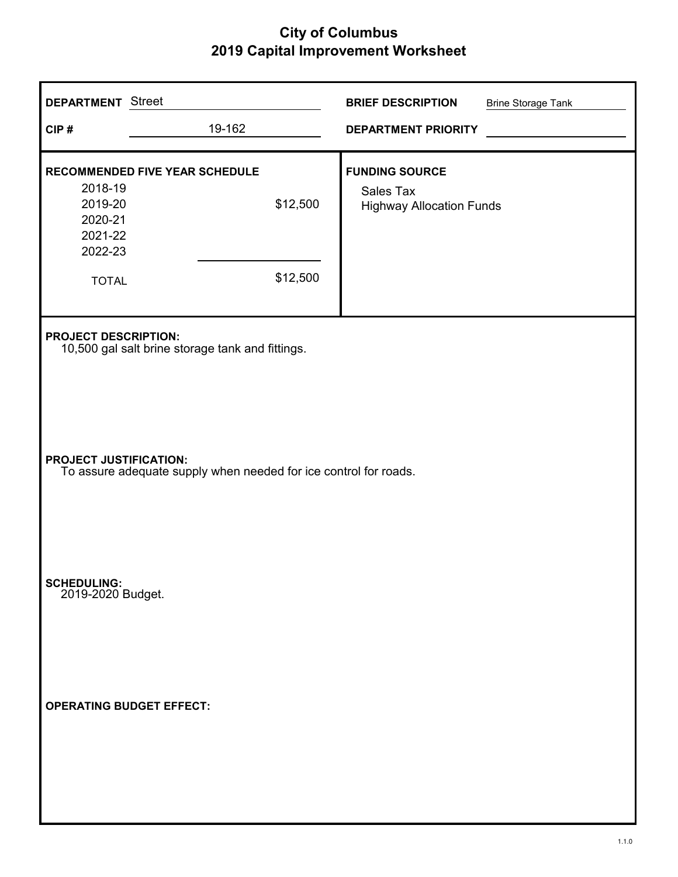| <b>DEPARTMENT</b> Street<br>CIP#                                                                  | 19-162                                                        | <b>BRIEF DESCRIPTION</b><br><b>DEPARTMENT PRIORITY</b>                | <b>Brine Storage Tank</b> |  |
|---------------------------------------------------------------------------------------------------|---------------------------------------------------------------|-----------------------------------------------------------------------|---------------------------|--|
| 2018-19<br>2019-20<br>2020-21<br>2021-22<br>2022-23<br><b>TOTAL</b>                               | <b>RECOMMENDED FIVE YEAR SCHEDULE</b><br>\$12,500<br>\$12,500 | <b>FUNDING SOURCE</b><br>Sales Tax<br><b>Highway Allocation Funds</b> |                           |  |
| <b>PROJECT DESCRIPTION:</b><br>10,500 gal salt brine storage tank and fittings.                   |                                                               |                                                                       |                           |  |
| <b>PROJECT JUSTIFICATION:</b><br>To assure adequate supply when needed for ice control for roads. |                                                               |                                                                       |                           |  |
| <b>SCHEDULING:</b><br>2019-2020 Budget.                                                           |                                                               |                                                                       |                           |  |
|                                                                                                   | <b>OPERATING BUDGET EFFECT:</b>                               |                                                                       |                           |  |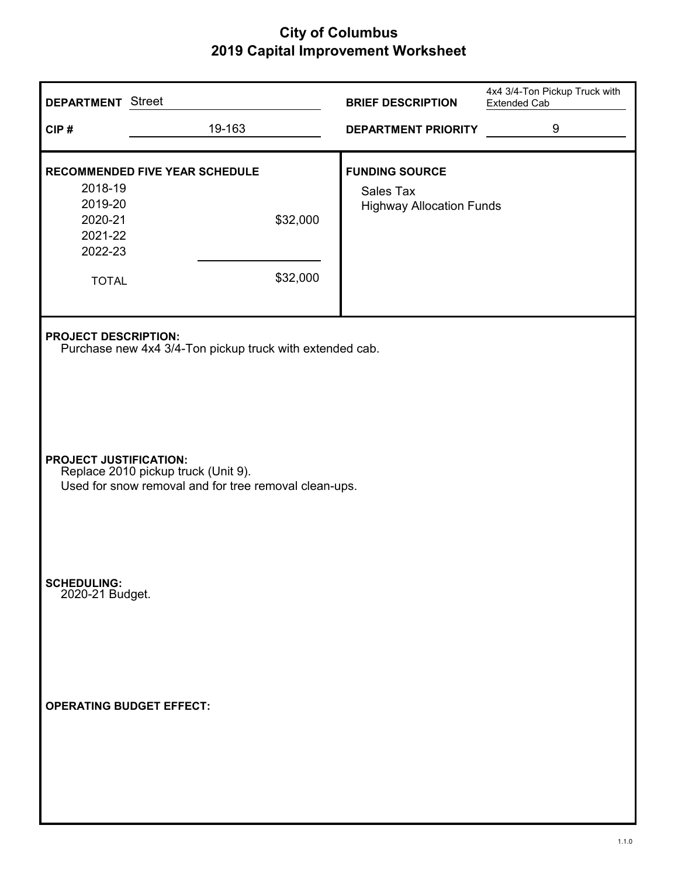| <b>DEPARTMENT</b> Street                                            |                                                                                              | <b>BRIEF DESCRIPTION</b>                                              | 4x4 3/4-Ton Pickup Truck with<br><b>Extended Cab</b> |
|---------------------------------------------------------------------|----------------------------------------------------------------------------------------------|-----------------------------------------------------------------------|------------------------------------------------------|
| CIP#                                                                | 19-163                                                                                       | <b>DEPARTMENT PRIORITY</b>                                            | 9                                                    |
| 2018-19<br>2019-20<br>2020-21<br>2021-22<br>2022-23<br><b>TOTAL</b> | <b>RECOMMENDED FIVE YEAR SCHEDULE</b><br>\$32,000<br>\$32,000                                | <b>FUNDING SOURCE</b><br>Sales Tax<br><b>Highway Allocation Funds</b> |                                                      |
| <b>PROJECT DESCRIPTION:</b>                                         | Purchase new 4x4 3/4-Ton pickup truck with extended cab.                                     |                                                                       |                                                      |
| <b>PROJECT JUSTIFICATION:</b>                                       | Replace 2010 pickup truck (Unit 9).<br>Used for snow removal and for tree removal clean-ups. |                                                                       |                                                      |
| <b>SCHEDULING:</b><br>2020-21 Budget.                               |                                                                                              |                                                                       |                                                      |
|                                                                     | <b>OPERATING BUDGET EFFECT:</b>                                                              |                                                                       |                                                      |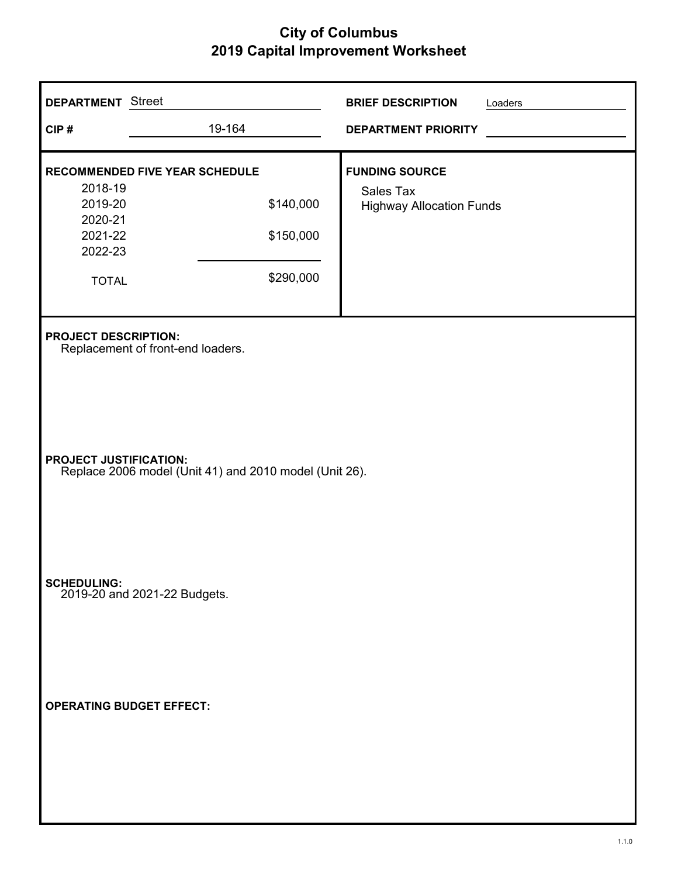| <b>DEPARTMENT</b> Street<br>CIP#                                    | 19-164                                                                       | <b>BRIEF DESCRIPTION</b><br>Loaders<br><b>DEPARTMENT PRIORITY</b>     |  |  |
|---------------------------------------------------------------------|------------------------------------------------------------------------------|-----------------------------------------------------------------------|--|--|
| 2018-19<br>2019-20<br>2020-21<br>2021-22<br>2022-23<br><b>TOTAL</b> | <b>RECOMMENDED FIVE YEAR SCHEDULE</b><br>\$140,000<br>\$150,000<br>\$290,000 | <b>FUNDING SOURCE</b><br>Sales Tax<br><b>Highway Allocation Funds</b> |  |  |
| <b>PROJECT DESCRIPTION:</b><br>Replacement of front-end loaders.    |                                                                              |                                                                       |  |  |
| <b>PROJECT JUSTIFICATION:</b>                                       | Replace 2006 model (Unit 41) and 2010 model (Unit 26).                       |                                                                       |  |  |
|                                                                     | SCHEDULING:<br>2019-20 and 2021-22 Budgets.                                  |                                                                       |  |  |
|                                                                     | <b>OPERATING BUDGET EFFECT:</b>                                              |                                                                       |  |  |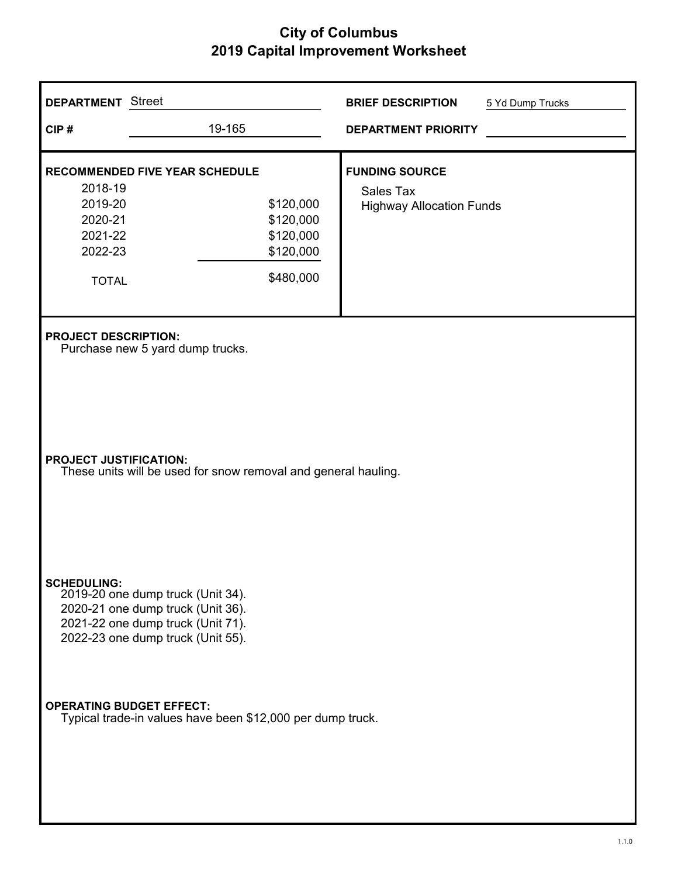| <b>DEPARTMENT</b> Street                                                                        |                                                                                                                                                  |  | <b>BRIEF DESCRIPTION</b>                                                     | 5 Yd Dump Trucks |  |
|-------------------------------------------------------------------------------------------------|--------------------------------------------------------------------------------------------------------------------------------------------------|--|------------------------------------------------------------------------------|------------------|--|
| CIP#                                                                                            | 19-165                                                                                                                                           |  | <b>DEPARTMENT PRIORITY</b>                                                   |                  |  |
| 2018-19<br>2019-20<br>2020-21<br>2021-22<br>2022-23<br><b>TOTAL</b>                             | <b>RECOMMENDED FIVE YEAR SCHEDULE</b><br>\$120,000<br>\$120,000<br>\$120,000<br>\$120,000<br>\$480,000                                           |  | <b>FUNDING SOURCE</b><br><b>Sales Tax</b><br><b>Highway Allocation Funds</b> |                  |  |
|                                                                                                 | <b>PROJECT DESCRIPTION:</b><br>Purchase new 5 yard dump trucks.                                                                                  |  |                                                                              |                  |  |
| <b>PROJECT JUSTIFICATION:</b><br>These units will be used for snow removal and general hauling. |                                                                                                                                                  |  |                                                                              |                  |  |
| <b>SCHEDULING:</b>                                                                              | 2019-20 one dump truck (Unit 34).<br>2020-21 one dump truck (Unit 36).<br>2021-22 one dump truck (Unit 71).<br>2022-23 one dump truck (Unit 55). |  |                                                                              |                  |  |
| <b>OPERATING BUDGET EFFECT:</b>                                                                 | Typical trade-in values have been \$12,000 per dump truck.                                                                                       |  |                                                                              |                  |  |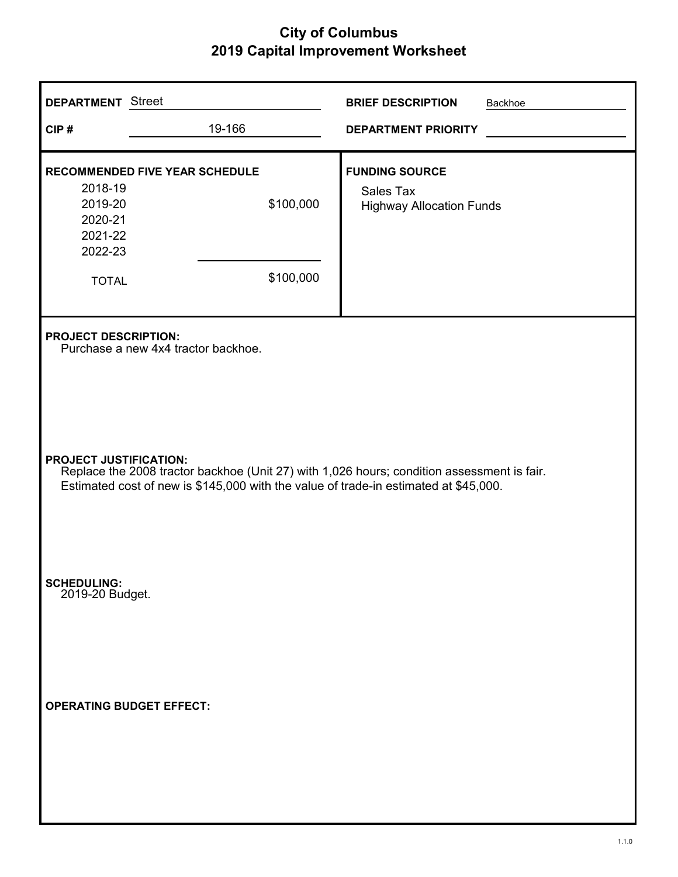| <b>DEPARTMENT</b> Street                                                                                                                                                                                            |                                                                    | <b>BRIEF DESCRIPTION</b><br>Backhoe                                   |  |  |  |
|---------------------------------------------------------------------------------------------------------------------------------------------------------------------------------------------------------------------|--------------------------------------------------------------------|-----------------------------------------------------------------------|--|--|--|
| CIP#                                                                                                                                                                                                                | 19-166                                                             | <b>DEPARTMENT PRIORITY</b>                                            |  |  |  |
| 2018-19<br>2019-20<br>2020-21<br>2021-22<br>2022-23<br><b>TOTAL</b>                                                                                                                                                 | <b>RECOMMENDED FIVE YEAR SCHEDULE</b><br>\$100,000<br>\$100,000    | <b>FUNDING SOURCE</b><br>Sales Tax<br><b>Highway Allocation Funds</b> |  |  |  |
|                                                                                                                                                                                                                     | <b>PROJECT DESCRIPTION:</b><br>Purchase a new 4x4 tractor backhoe. |                                                                       |  |  |  |
| <b>PROJECT JUSTIFICATION:</b><br>Replace the 2008 tractor backhoe (Unit 27) with 1,026 hours; condition assessment is fair.<br>Estimated cost of new is \$145,000 with the value of trade-in estimated at \$45,000. |                                                                    |                                                                       |  |  |  |
| <b>SCHEDULING:</b><br>2019-20 Budget.                                                                                                                                                                               |                                                                    |                                                                       |  |  |  |
|                                                                                                                                                                                                                     | <b>OPERATING BUDGET EFFECT:</b>                                    |                                                                       |  |  |  |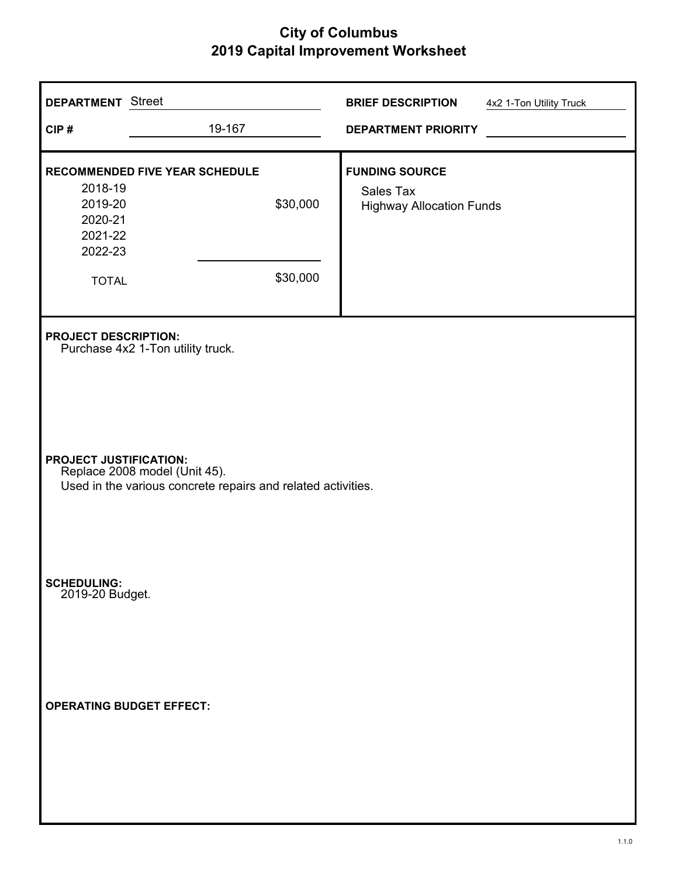| <b>DEPARTMENT</b> Street                                            |                                                                                                                                | <b>BRIEF DESCRIPTION</b>                                              | 4x2 1-Ton Utility Truck |  |  |
|---------------------------------------------------------------------|--------------------------------------------------------------------------------------------------------------------------------|-----------------------------------------------------------------------|-------------------------|--|--|
| CIP#                                                                | 19-167                                                                                                                         | <b>DEPARTMENT PRIORITY</b>                                            |                         |  |  |
| 2018-19<br>2019-20<br>2020-21<br>2021-22<br>2022-23<br><b>TOTAL</b> | <b>RECOMMENDED FIVE YEAR SCHEDULE</b><br>\$30,000<br>\$30,000                                                                  | <b>FUNDING SOURCE</b><br>Sales Tax<br><b>Highway Allocation Funds</b> |                         |  |  |
| <b>PROJECT DESCRIPTION:</b>                                         | Purchase 4x2 1-Ton utility truck.                                                                                              |                                                                       |                         |  |  |
|                                                                     | <b>PROJECT JUSTIFICATION:</b><br>Replace 2008 model (Unit 45).<br>Used in the various concrete repairs and related activities. |                                                                       |                         |  |  |
| <b>SCHEDULING:</b><br>2019-20 Budget.                               |                                                                                                                                |                                                                       |                         |  |  |
|                                                                     | <b>OPERATING BUDGET EFFECT:</b>                                                                                                |                                                                       |                         |  |  |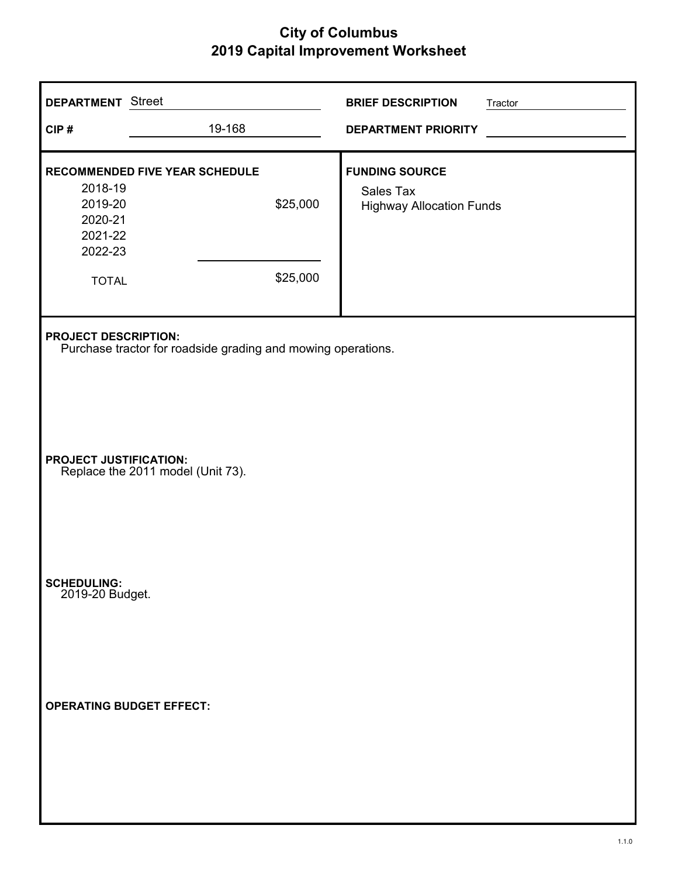| <b>DEPARTMENT</b> Street<br>CIP#                                    | 19-168                                                        | <b>BRIEF DESCRIPTION</b><br><b>DEPARTMENT PRIORITY</b>                | Tractor |
|---------------------------------------------------------------------|---------------------------------------------------------------|-----------------------------------------------------------------------|---------|
| 2018-19<br>2019-20<br>2020-21<br>2021-22<br>2022-23<br><b>TOTAL</b> | <b>RECOMMENDED FIVE YEAR SCHEDULE</b><br>\$25,000<br>\$25,000 | <b>FUNDING SOURCE</b><br>Sales Tax<br><b>Highway Allocation Funds</b> |         |
| <b>PROJECT DESCRIPTION:</b>                                         | Purchase tractor for roadside grading and mowing operations.  |                                                                       |         |
| PROJECT JUSTIFICATION:                                              | Replace the 2011 model (Unit 73).                             |                                                                       |         |
| <b>SCHEDULING:</b><br>2019-20 Budget.                               |                                                               |                                                                       |         |
| <b>OPERATING BUDGET EFFECT:</b>                                     |                                                               |                                                                       |         |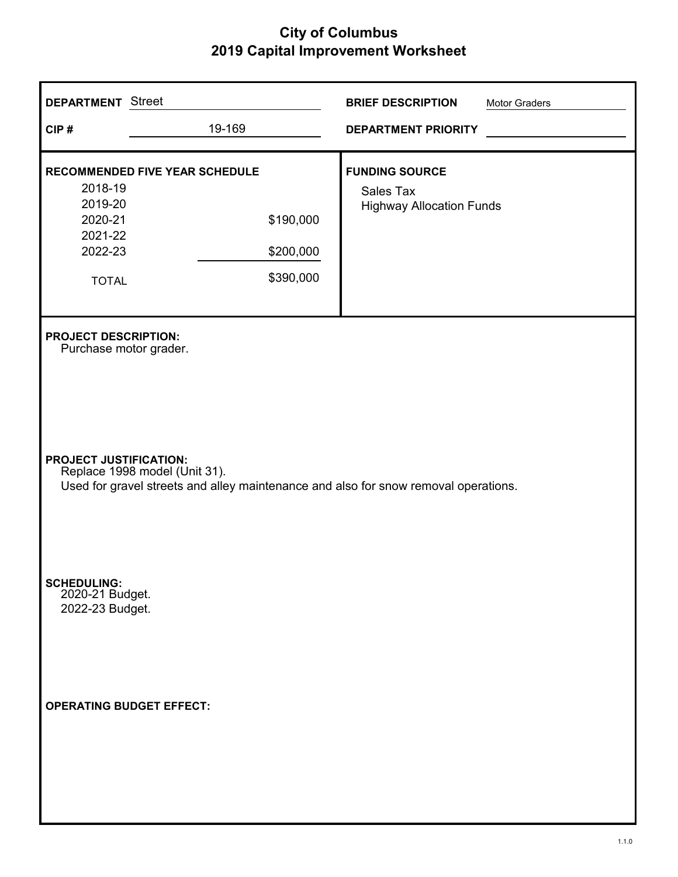| <b>DEPARTMENT</b> Street                                                                                                                              |                                                                       | <b>BRIEF DESCRIPTION</b>                                              | Motor Graders |  |
|-------------------------------------------------------------------------------------------------------------------------------------------------------|-----------------------------------------------------------------------|-----------------------------------------------------------------------|---------------|--|
| CIP#                                                                                                                                                  | 19-169                                                                | <b>DEPARTMENT PRIORITY</b>                                            |               |  |
| 2018-19<br>2019-20<br>2020-21<br>2021-22<br>2022-23<br><b>TOTAL</b>                                                                                   | RECOMMENDED FIVE YEAR SCHEDULE<br>\$190,000<br>\$200,000<br>\$390,000 | <b>FUNDING SOURCE</b><br>Sales Tax<br><b>Highway Allocation Funds</b> |               |  |
| <b>PROJECT DESCRIPTION:</b><br>Purchase motor grader.                                                                                                 |                                                                       |                                                                       |               |  |
| <b>PROJECT JUSTIFICATION:</b><br>Replace 1998 model (Unit 31).<br>Used for gravel streets and alley maintenance and also for snow removal operations. |                                                                       |                                                                       |               |  |
| <b>SCHEDULING:</b><br>2020-21 Budget.<br>2022-23 Budget.                                                                                              |                                                                       |                                                                       |               |  |
| <b>OPERATING BUDGET EFFECT:</b>                                                                                                                       |                                                                       |                                                                       |               |  |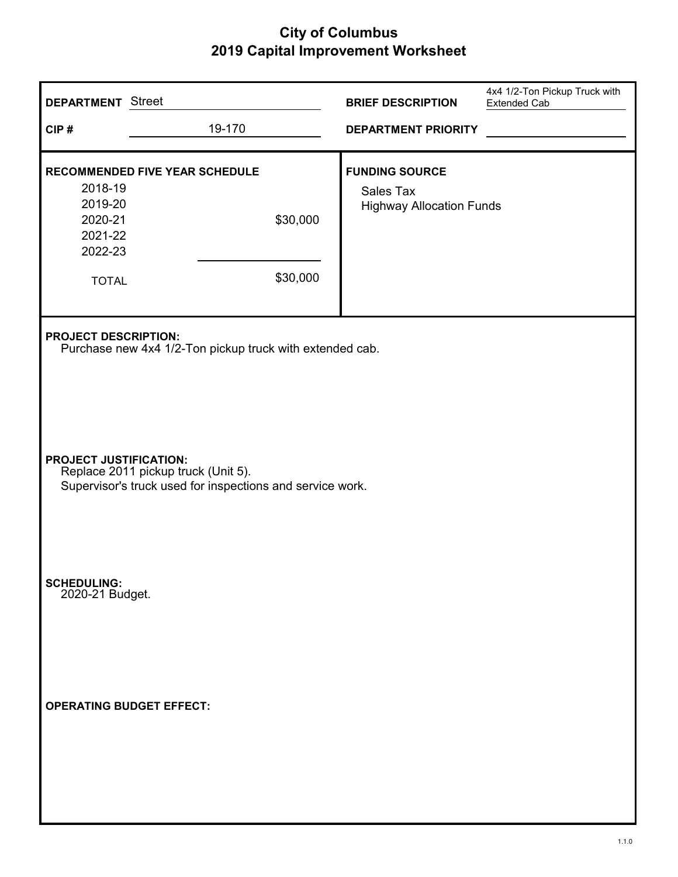| <b>DEPARTMENT</b> Street                                            |                                                                                                  | <b>BRIEF DESCRIPTION</b>                                              | 4x4 1/2-Ton Pickup Truck with<br><b>Extended Cab</b> |
|---------------------------------------------------------------------|--------------------------------------------------------------------------------------------------|-----------------------------------------------------------------------|------------------------------------------------------|
| CIP#                                                                | 19-170                                                                                           | <b>DEPARTMENT PRIORITY</b>                                            |                                                      |
| 2018-19<br>2019-20<br>2020-21<br>2021-22<br>2022-23<br><b>TOTAL</b> | <b>RECOMMENDED FIVE YEAR SCHEDULE</b><br>\$30,000<br>\$30,000                                    | <b>FUNDING SOURCE</b><br>Sales Tax<br><b>Highway Allocation Funds</b> |                                                      |
| <b>PROJECT DESCRIPTION:</b>                                         | Purchase new 4x4 1/2-Ton pickup truck with extended cab.                                         |                                                                       |                                                      |
| <b>PROJECT JUSTIFICATION:</b>                                       | Replace 2011 pickup truck (Unit 5).<br>Supervisor's truck used for inspections and service work. |                                                                       |                                                      |
| SCHEDULING:<br>2020-21 Budget.                                      |                                                                                                  |                                                                       |                                                      |
| <b>OPERATING BUDGET EFFECT:</b>                                     |                                                                                                  |                                                                       |                                                      |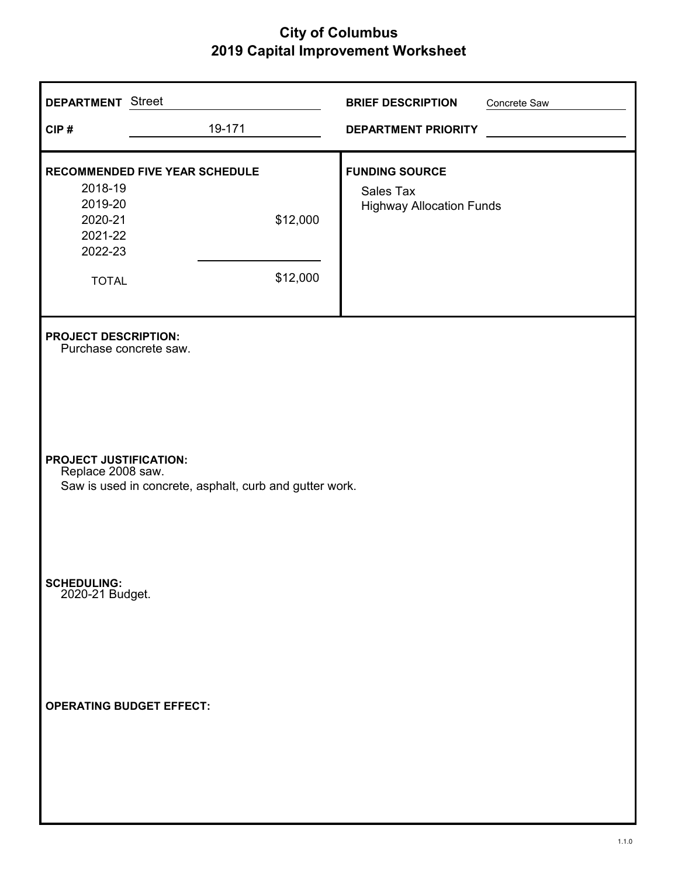| <b>DEPARTMENT</b> Street                                            |                                                         | <b>BRIEF DESCRIPTION</b>                                              | Concrete Saw |
|---------------------------------------------------------------------|---------------------------------------------------------|-----------------------------------------------------------------------|--------------|
| CIP#                                                                | 19-171                                                  | <b>DEPARTMENT PRIORITY</b>                                            |              |
| 2018-19<br>2019-20<br>2020-21<br>2021-22<br>2022-23<br><b>TOTAL</b> | RECOMMENDED FIVE YEAR SCHEDULE<br>\$12,000<br>\$12,000  | <b>FUNDING SOURCE</b><br>Sales Tax<br><b>Highway Allocation Funds</b> |              |
| <b>PROJECT DESCRIPTION:</b><br>Purchase concrete saw.               |                                                         |                                                                       |              |
| <b>PROJECT JUSTIFICATION:</b><br>Replace 2008 saw.                  | Saw is used in concrete, asphalt, curb and gutter work. |                                                                       |              |
| <b>SCHEDULING:</b><br>2020-21 Budget.                               |                                                         |                                                                       |              |
| <b>OPERATING BUDGET EFFECT:</b>                                     |                                                         |                                                                       |              |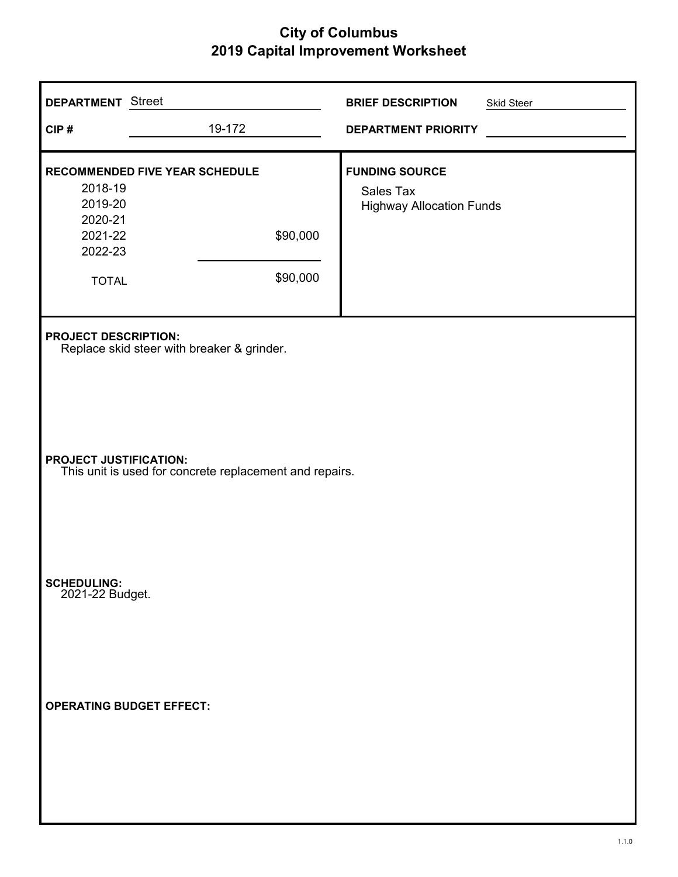| <b>DEPARTMENT</b> Street<br>CIP#                                                  | 19-172                                                                    | <b>BRIEF DESCRIPTION</b><br><b>DEPARTMENT PRIORITY</b>                | Skid Steer |
|-----------------------------------------------------------------------------------|---------------------------------------------------------------------------|-----------------------------------------------------------------------|------------|
| 2018-19<br>2019-20<br>2020-21<br>2021-22<br>2022-23<br><b>TOTAL</b>               | RECOMMENDED FIVE YEAR SCHEDULE<br>\$90,000<br>\$90,000                    | <b>FUNDING SOURCE</b><br>Sales Tax<br><b>Highway Allocation Funds</b> |            |
|                                                                                   | <b>PROJECT DESCRIPTION:</b><br>Replace skid steer with breaker & grinder. |                                                                       |            |
| PROJECT JUSTIFICATION:<br>This unit is used for concrete replacement and repairs. |                                                                           |                                                                       |            |
| <b>SCHEDULING:</b><br>2021-22 Budget.                                             |                                                                           |                                                                       |            |
| <b>OPERATING BUDGET EFFECT:</b>                                                   |                                                                           |                                                                       |            |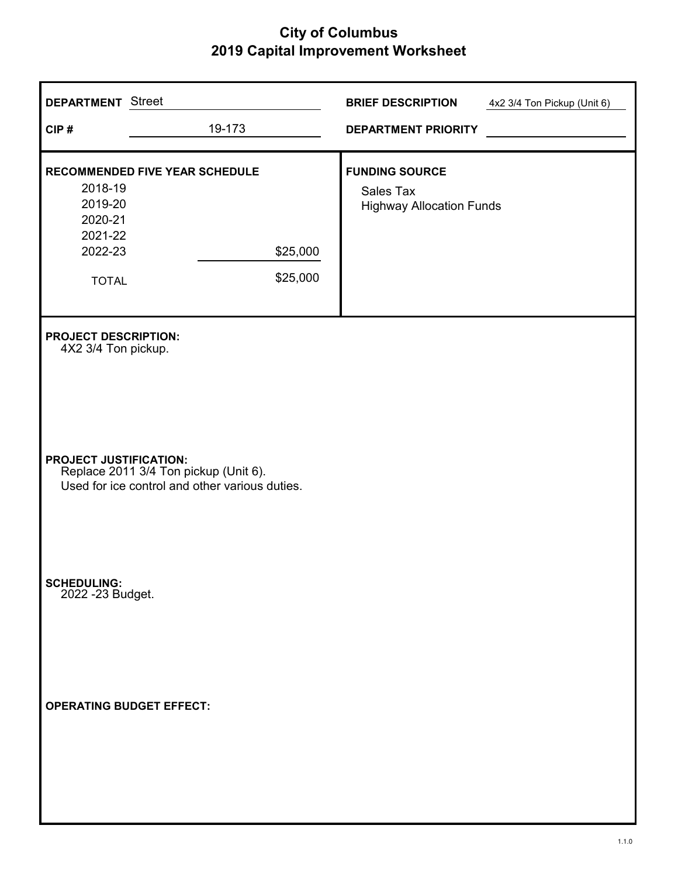| <b>DEPARTMENT</b> Street                                            |                                                                                         | <b>BRIEF DESCRIPTION</b>                                              | 4x2 3/4 Ton Pickup (Unit 6) |
|---------------------------------------------------------------------|-----------------------------------------------------------------------------------------|-----------------------------------------------------------------------|-----------------------------|
| CIP#                                                                | 19-173                                                                                  | <b>DEPARTMENT PRIORITY</b>                                            |                             |
| 2018-19<br>2019-20<br>2020-21<br>2021-22<br>2022-23<br><b>TOTAL</b> | <b>RECOMMENDED FIVE YEAR SCHEDULE</b><br>\$25,000<br>\$25,000                           | <b>FUNDING SOURCE</b><br>Sales Tax<br><b>Highway Allocation Funds</b> |                             |
| <b>PROJECT DESCRIPTION:</b><br>4X2 3/4 Ton pickup.                  |                                                                                         |                                                                       |                             |
| <b>PROJECT JUSTIFICATION:</b>                                       | Replace 2011 3/4 Ton pickup (Unit 6).<br>Used for ice control and other various duties. |                                                                       |                             |
| SCHEDULING:<br>2022 -23 Budget.                                     |                                                                                         |                                                                       |                             |
| <b>OPERATING BUDGET EFFECT:</b>                                     |                                                                                         |                                                                       |                             |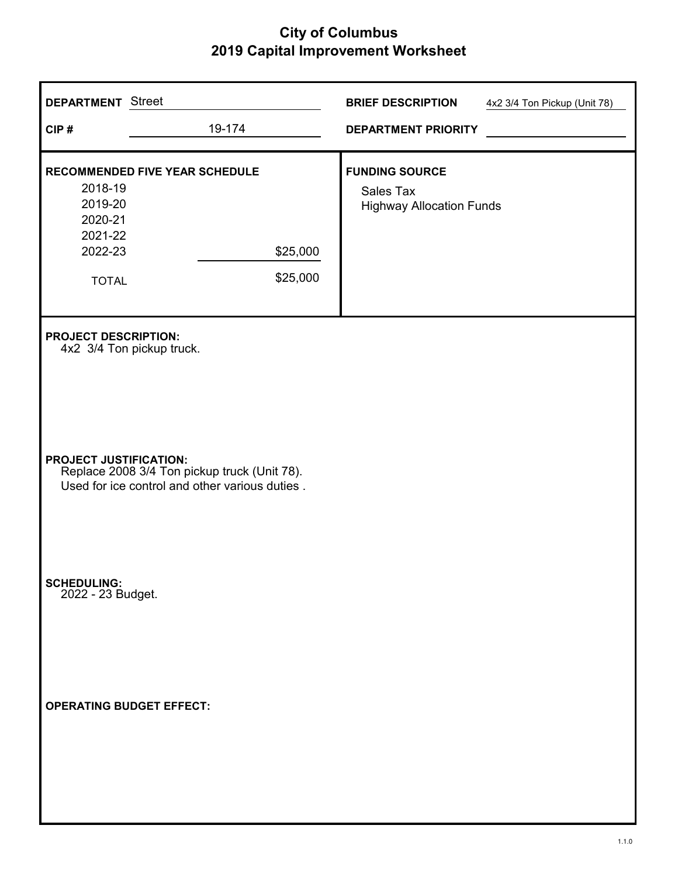| <b>DEPARTMENT</b> Street<br>CIP#                                    | 19-174                                                                                                                      | <b>BRIEF DESCRIPTION</b><br><b>DEPARTMENT PRIORITY</b>                | 4x2 3/4 Ton Pickup (Unit 78) |
|---------------------------------------------------------------------|-----------------------------------------------------------------------------------------------------------------------------|-----------------------------------------------------------------------|------------------------------|
| 2018-19<br>2019-20<br>2020-21<br>2021-22<br>2022-23<br><b>TOTAL</b> | RECOMMENDED FIVE YEAR SCHEDULE<br>\$25,000<br>\$25,000                                                                      | <b>FUNDING SOURCE</b><br>Sales Tax<br><b>Highway Allocation Funds</b> |                              |
| <b>PROJECT DESCRIPTION:</b><br><b>PROJECT JUSTIFICATION:</b>        | 4x2 3/4 Ton pickup truck.<br>Replace 2008 3/4 Ton pickup truck (Unit 78).<br>Used for ice control and other various duties. |                                                                       |                              |
| <b>SCHEDULING:</b><br>2022 - 23 Budget.                             |                                                                                                                             |                                                                       |                              |
| <b>OPERATING BUDGET EFFECT:</b>                                     |                                                                                                                             |                                                                       |                              |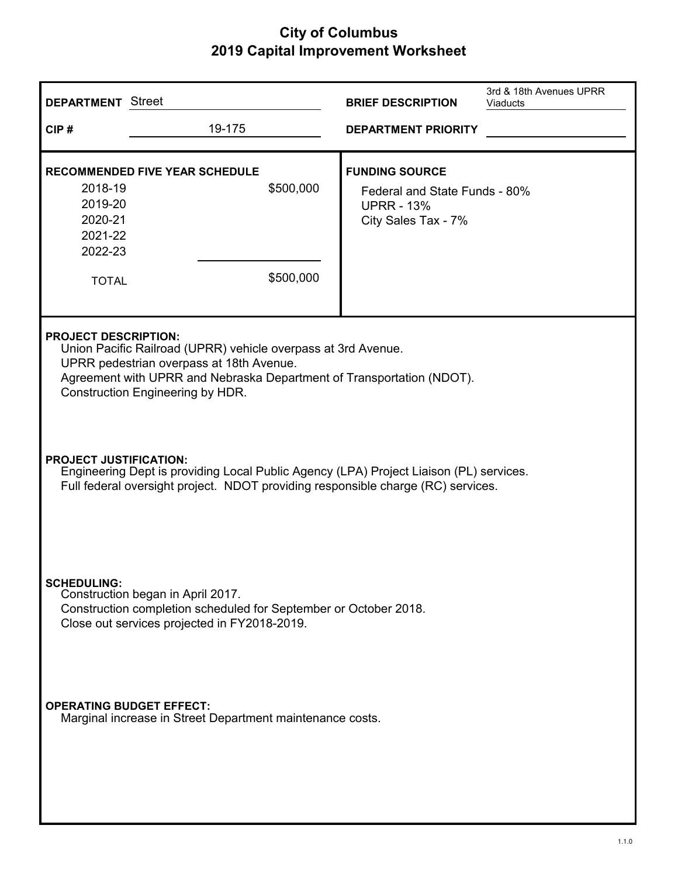| <b>DEPARTMENT</b> Street                                                                                                                                                                                                                              |                                                                                              | <b>BRIEF DESCRIPTION</b>                                                                           | 3rd & 18th Avenues UPRR<br><b>Viaducts</b> |
|-------------------------------------------------------------------------------------------------------------------------------------------------------------------------------------------------------------------------------------------------------|----------------------------------------------------------------------------------------------|----------------------------------------------------------------------------------------------------|--------------------------------------------|
| CIP#                                                                                                                                                                                                                                                  | 19-175                                                                                       | <b>DEPARTMENT PRIORITY</b>                                                                         |                                            |
| 2018-19<br>2019-20<br>2020-21<br>2021-22<br>2022-23<br><b>TOTAL</b>                                                                                                                                                                                   | <b>RECOMMENDED FIVE YEAR SCHEDULE</b><br>\$500,000<br>\$500,000                              | <b>FUNDING SOURCE</b><br>Federal and State Funds - 80%<br><b>UPRR - 13%</b><br>City Sales Tax - 7% |                                            |
| <b>PROJECT DESCRIPTION:</b><br>Union Pacific Railroad (UPRR) vehicle overpass at 3rd Avenue.<br>UPRR pedestrian overpass at 18th Avenue.<br>Agreement with UPRR and Nebraska Department of Transportation (NDOT).<br>Construction Engineering by HDR. |                                                                                              |                                                                                                    |                                            |
| <b>PROJECT JUSTIFICATION:</b><br>Engineering Dept is providing Local Public Agency (LPA) Project Liaison (PL) services.<br>Full federal oversight project. NDOT providing responsible charge (RC) services.                                           |                                                                                              |                                                                                                    |                                            |
| <b>SCHEDULING:</b><br>Construction began in April 2017.<br>Construction completion scheduled for September or October 2018.<br>Close out services projected in FY2018-2019.                                                                           |                                                                                              |                                                                                                    |                                            |
|                                                                                                                                                                                                                                                       | <b>OPERATING BUDGET EFFECT:</b><br>Marginal increase in Street Department maintenance costs. |                                                                                                    |                                            |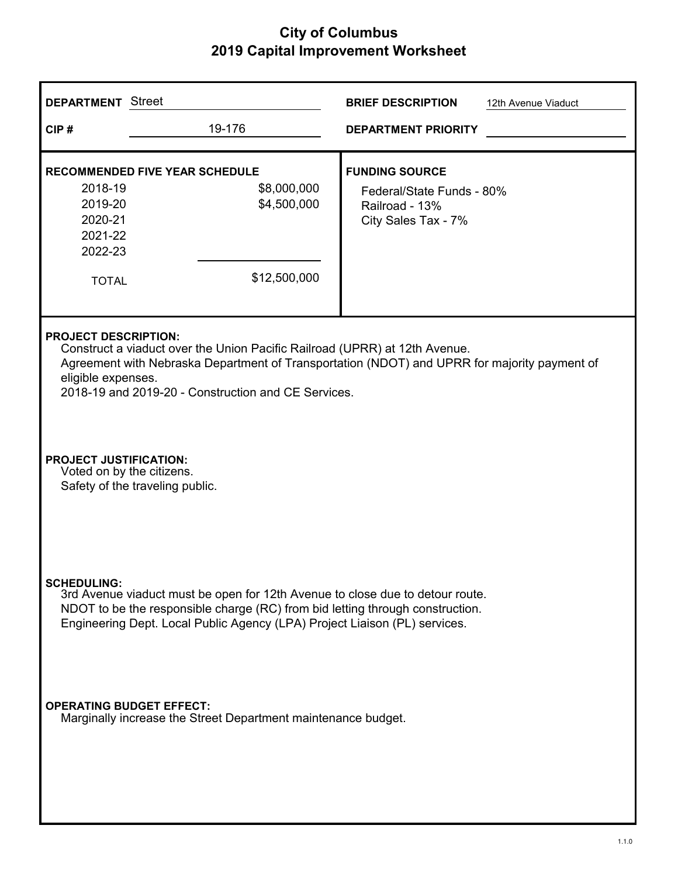| <b>DEPARTMENT</b> Street                                                                                                                                                                                                                                                               |                                                                                     | <b>BRIEF DESCRIPTION</b>                                                                    | 12th Avenue Viaduct |
|----------------------------------------------------------------------------------------------------------------------------------------------------------------------------------------------------------------------------------------------------------------------------------------|-------------------------------------------------------------------------------------|---------------------------------------------------------------------------------------------|---------------------|
| CIP#                                                                                                                                                                                                                                                                                   | 19-176                                                                              | <b>DEPARTMENT PRIORITY</b>                                                                  |                     |
| 2018-19<br>2019-20<br>2020-21<br>2021-22<br>2022-23<br><b>TOTAL</b>                                                                                                                                                                                                                    | <b>RECOMMENDED FIVE YEAR SCHEDULE</b><br>\$8,000,000<br>\$4,500,000<br>\$12,500,000 | <b>FUNDING SOURCE</b><br>Federal/State Funds - 80%<br>Railroad - 13%<br>City Sales Tax - 7% |                     |
| <b>PROJECT DESCRIPTION:</b><br>Construct a viaduct over the Union Pacific Railroad (UPRR) at 12th Avenue.<br>Agreement with Nebraska Department of Transportation (NDOT) and UPRR for majority payment of<br>eligible expenses.<br>2018-19 and 2019-20 - Construction and CE Services. |                                                                                     |                                                                                             |                     |
| <b>PROJECT JUSTIFICATION:</b><br>Voted on by the citizens.<br>Safety of the traveling public.                                                                                                                                                                                          |                                                                                     |                                                                                             |                     |
| <b>SCHEDULING:</b><br>3rd Avenue viaduct must be open for 12th Avenue to close due to detour route.<br>NDOT to be the responsible charge (RC) from bid letting through construction.<br>Engineering Dept. Local Public Agency (LPA) Project Liaison (PL) services.                     |                                                                                     |                                                                                             |                     |
| <b>OPERATING BUDGET EFFECT:</b><br>Marginally increase the Street Department maintenance budget.                                                                                                                                                                                       |                                                                                     |                                                                                             |                     |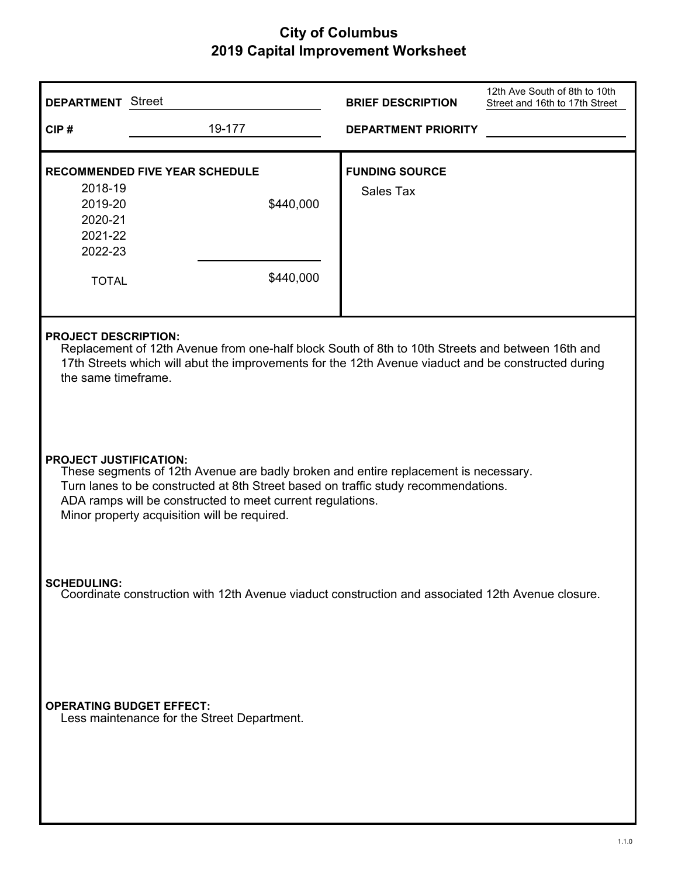| <b>DEPARTMENT</b> Street                                                                                                                                                                                                                                                                                                 |                                                                 | <b>BRIEF DESCRIPTION</b>           | 12th Ave South of 8th to 10th<br>Street and 16th to 17th Street |
|--------------------------------------------------------------------------------------------------------------------------------------------------------------------------------------------------------------------------------------------------------------------------------------------------------------------------|-----------------------------------------------------------------|------------------------------------|-----------------------------------------------------------------|
| CIP#                                                                                                                                                                                                                                                                                                                     | 19-177                                                          | <b>DEPARTMENT PRIORITY</b>         |                                                                 |
| 2018-19<br>2019-20<br>2020-21<br>2021-22<br>2022-23<br><b>TOTAL</b>                                                                                                                                                                                                                                                      | <b>RECOMMENDED FIVE YEAR SCHEDULE</b><br>\$440,000<br>\$440,000 | <b>FUNDING SOURCE</b><br>Sales Tax |                                                                 |
| <b>PROJECT DESCRIPTION:</b><br>Replacement of 12th Avenue from one-half block South of 8th to 10th Streets and between 16th and<br>17th Streets which will abut the improvements for the 12th Avenue viaduct and be constructed during<br>the same timeframe.                                                            |                                                                 |                                    |                                                                 |
| <b>PROJECT JUSTIFICATION:</b><br>These segments of 12th Avenue are badly broken and entire replacement is necessary.<br>Turn lanes to be constructed at 8th Street based on traffic study recommendations.<br>ADA ramps will be constructed to meet current regulations.<br>Minor property acquisition will be required. |                                                                 |                                    |                                                                 |
| <b>SCHEDULING:</b><br>Coordinate construction with 12th Avenue viaduct construction and associated 12th Avenue closure.                                                                                                                                                                                                  |                                                                 |                                    |                                                                 |
| <b>OPERATING BUDGET EFFECT:</b>                                                                                                                                                                                                                                                                                          | Less maintenance for the Street Department.                     |                                    |                                                                 |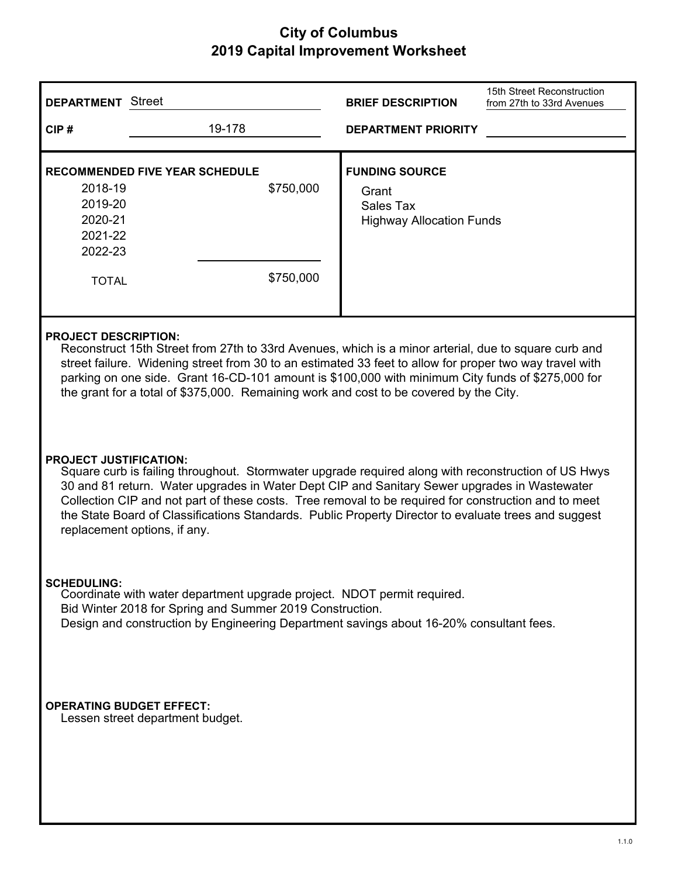| <b>DEPARTMENT</b> Street                                                                                                                                                                                                                                                                                                                                                                                                                                                             |                                                                 | <b>BRIEF DESCRIPTION</b>                                                       | 15th Street Reconstruction<br>from 27th to 33rd Avenues |
|--------------------------------------------------------------------------------------------------------------------------------------------------------------------------------------------------------------------------------------------------------------------------------------------------------------------------------------------------------------------------------------------------------------------------------------------------------------------------------------|-----------------------------------------------------------------|--------------------------------------------------------------------------------|---------------------------------------------------------|
| CIP#                                                                                                                                                                                                                                                                                                                                                                                                                                                                                 | 19-178                                                          | <b>DEPARTMENT PRIORITY</b>                                                     |                                                         |
| 2018-19<br>2019-20<br>2020-21<br>2021-22<br>2022-23<br><b>TOTAL</b>                                                                                                                                                                                                                                                                                                                                                                                                                  | <b>RECOMMENDED FIVE YEAR SCHEDULE</b><br>\$750,000<br>\$750,000 | <b>FUNDING SOURCE</b><br>Grant<br>Sales Tax<br><b>Highway Allocation Funds</b> |                                                         |
| <b>PROJECT DESCRIPTION:</b><br>Reconstruct 15th Street from 27th to 33rd Avenues, which is a minor arterial, due to square curb and<br>street failure. Widening street from 30 to an estimated 33 feet to allow for proper two way travel with<br>parking on one side. Grant 16-CD-101 amount is \$100,000 with minimum City funds of \$275,000 for<br>the grant for a total of \$375,000. Remaining work and cost to be covered by the City.                                        |                                                                 |                                                                                |                                                         |
| <b>PROJECT JUSTIFICATION:</b><br>Square curb is failing throughout. Stormwater upgrade required along with reconstruction of US Hwys<br>30 and 81 return. Water upgrades in Water Dept CIP and Sanitary Sewer upgrades in Wastewater<br>Collection CIP and not part of these costs. Tree removal to be required for construction and to meet<br>the State Board of Classifications Standards. Public Property Director to evaluate trees and suggest<br>replacement options, if any. |                                                                 |                                                                                |                                                         |
| <b>SCHEDULING:</b><br>Coordinate with water department upgrade project. NDOT permit required.<br>Bid Winter 2018 for Spring and Summer 2019 Construction.<br>Design and construction by Engineering Department savings about 16-20% consultant fees.                                                                                                                                                                                                                                 |                                                                 |                                                                                |                                                         |
| <b>OPERATING BUDGET EFFECT:</b>                                                                                                                                                                                                                                                                                                                                                                                                                                                      | Lessen street department budget.                                |                                                                                |                                                         |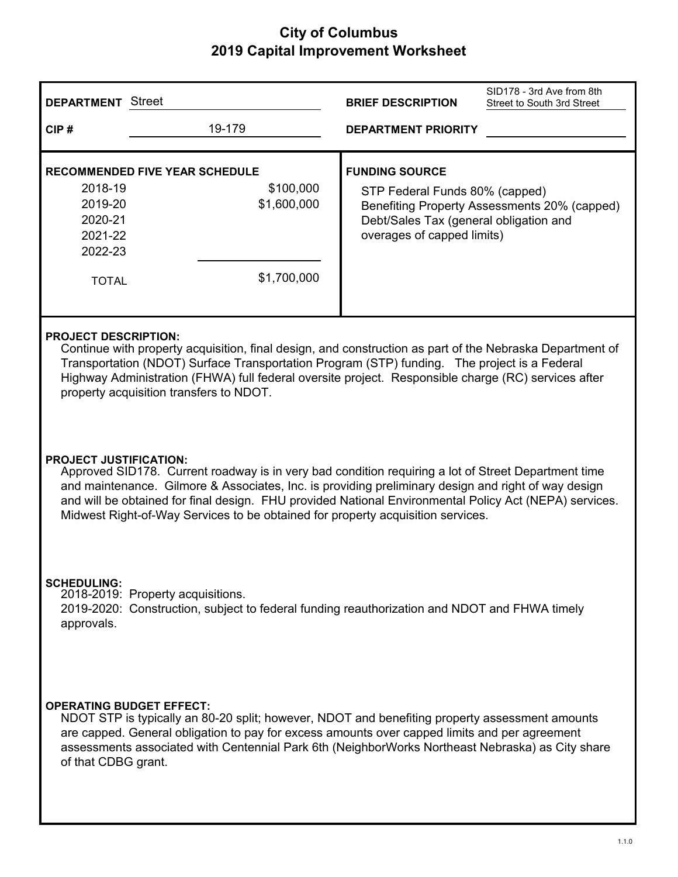| <b>DEPARTMENT</b> Street                                                                                                                                                                                                                                                                                                                                                                                                                 |                                                                                                                                                                                                                                                                                                     | <b>BRIEF DESCRIPTION</b>                                                                                                        | SID178 - 3rd Ave from 8th<br>Street to South 3rd Street |
|------------------------------------------------------------------------------------------------------------------------------------------------------------------------------------------------------------------------------------------------------------------------------------------------------------------------------------------------------------------------------------------------------------------------------------------|-----------------------------------------------------------------------------------------------------------------------------------------------------------------------------------------------------------------------------------------------------------------------------------------------------|---------------------------------------------------------------------------------------------------------------------------------|---------------------------------------------------------|
| CIP#                                                                                                                                                                                                                                                                                                                                                                                                                                     | 19-179                                                                                                                                                                                                                                                                                              | <b>DEPARTMENT PRIORITY</b>                                                                                                      |                                                         |
| 2018-19<br>2019-20<br>2020-21<br>2021-22<br>2022-23<br><b>TOTAL</b>                                                                                                                                                                                                                                                                                                                                                                      | <b>RECOMMENDED FIVE YEAR SCHEDULE</b><br>\$100,000<br>\$1,600,000<br>\$1,700,000                                                                                                                                                                                                                    | <b>FUNDING SOURCE</b><br>STP Federal Funds 80% (capped)<br>Debt/Sales Tax (general obligation and<br>overages of capped limits) | Benefiting Property Assessments 20% (capped)            |
| <b>PROJECT DESCRIPTION:</b><br>Continue with property acquisition, final design, and construction as part of the Nebraska Department of<br>Transportation (NDOT) Surface Transportation Program (STP) funding. The project is a Federal<br>Highway Administration (FHWA) full federal oversite project. Responsible charge (RC) services after<br>property acquisition transfers to NDOT.                                                |                                                                                                                                                                                                                                                                                                     |                                                                                                                                 |                                                         |
| <b>PROJECT JUSTIFICATION:</b><br>Approved SID178. Current roadway is in very bad condition requiring a lot of Street Department time<br>and maintenance. Gilmore & Associates, Inc. is providing preliminary design and right of way design<br>and will be obtained for final design. FHU provided National Environmental Policy Act (NEPA) services.<br>Midwest Right-of-Way Services to be obtained for property acquisition services. |                                                                                                                                                                                                                                                                                                     |                                                                                                                                 |                                                         |
| <b>SCHEDULING:</b><br>2018-2019: Property acquisitions.<br>2019-2020: Construction, subject to federal funding reauthorization and NDOT and FHWA timely<br>approvals.                                                                                                                                                                                                                                                                    |                                                                                                                                                                                                                                                                                                     |                                                                                                                                 |                                                         |
| <b>OPERATING BUDGET EFFECT:</b><br>of that CDBG grant.                                                                                                                                                                                                                                                                                                                                                                                   | NDOT STP is typically an 80-20 split; however, NDOT and benefiting property assessment amounts<br>are capped. General obligation to pay for excess amounts over capped limits and per agreement<br>assessments associated with Centennial Park 6th (NeighborWorks Northeast Nebraska) as City share |                                                                                                                                 |                                                         |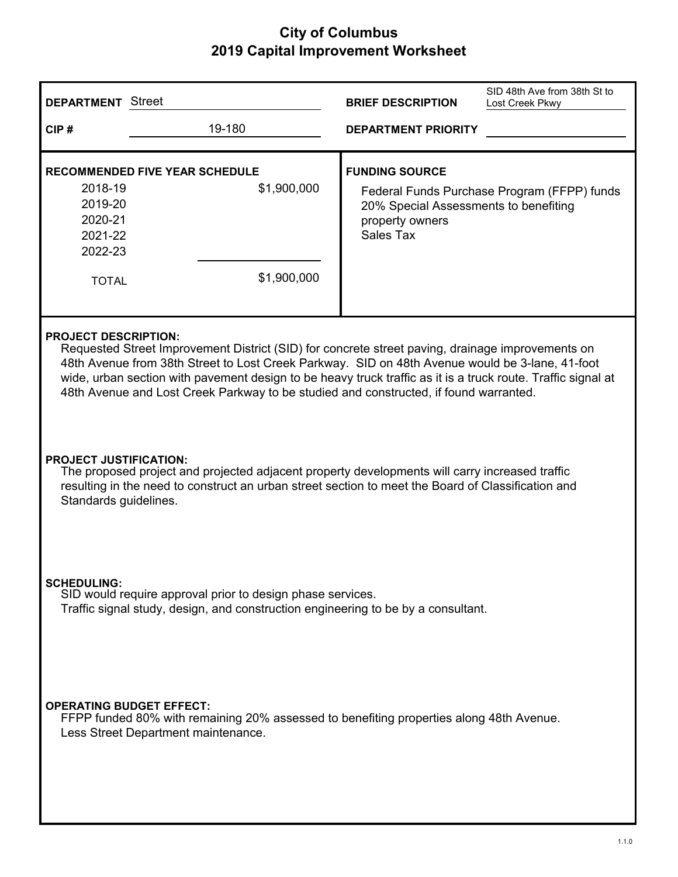| <b>DEPARTMENT</b> Street                                                                                                                                                                                                                                                                                                                                                                                                                    | SID 48th Ave from 38th St to<br><b>BRIEF DESCRIPTION</b><br>Lost Creek Pkwy                                                                          |  |
|---------------------------------------------------------------------------------------------------------------------------------------------------------------------------------------------------------------------------------------------------------------------------------------------------------------------------------------------------------------------------------------------------------------------------------------------|------------------------------------------------------------------------------------------------------------------------------------------------------|--|
| 19-180<br>CIP#                                                                                                                                                                                                                                                                                                                                                                                                                              | <b>DEPARTMENT PRIORITY</b>                                                                                                                           |  |
| <b>RECOMMENDED FIVE YEAR SCHEDULE</b><br>2018-19<br>\$1,900,000<br>2019-20<br>2020-21<br>2021-22<br>2022-23<br>\$1,900,000<br><b>TOTAL</b>                                                                                                                                                                                                                                                                                                  | <b>FUNDING SOURCE</b><br>Federal Funds Purchase Program (FFPP) funds<br>20% Special Assessments to benefiting<br>property owners<br><b>Sales Tax</b> |  |
| <b>PROJECT DESCRIPTION:</b><br>Requested Street Improvement District (SID) for concrete street paving, drainage improvements on<br>48th Avenue from 38th Street to Lost Creek Parkway. SID on 48th Avenue would be 3-lane, 41-foot<br>wide, urban section with pavement design to be heavy truck traffic as it is a truck route. Traffic signal at<br>48th Avenue and Lost Creek Parkway to be studied and constructed, if found warranted. |                                                                                                                                                      |  |
| <b>PROJECT JUSTIFICATION:</b><br>The proposed project and projected adjacent property developments will carry increased traffic<br>resulting in the need to construct an urban street section to meet the Board of Classification and<br>Standards guidelines.                                                                                                                                                                              |                                                                                                                                                      |  |
| <b>SCHEDULING:</b><br>SID would require approval prior to design phase services.<br>Traffic signal study, design, and construction engineering to be by a consultant.                                                                                                                                                                                                                                                                       |                                                                                                                                                      |  |
| <b>OPERATING BUDGET EFFECT:</b><br>FFPP funded 80% with remaining 20% assessed to benefiting properties along 48th Avenue.<br>Less Street Department maintenance.                                                                                                                                                                                                                                                                           |                                                                                                                                                      |  |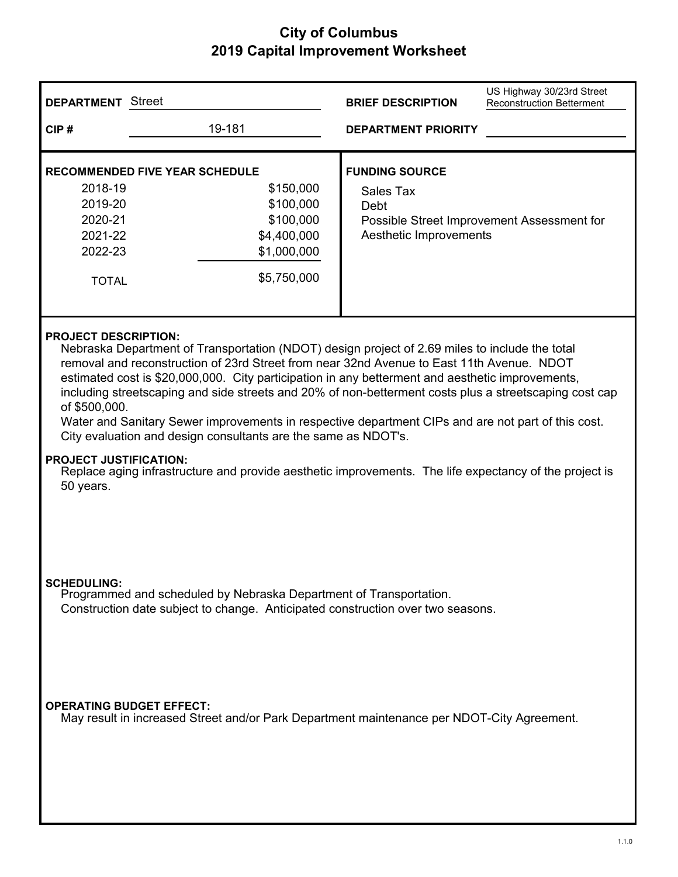| <b>DEPARTMENT</b> Street                                                                                                                                                    |                                                                                                                                                                                                                                                                                                                                                                                                                                                                                                                                                                                                                                                                                                                                                             | <b>BRIEF DESCRIPTION</b>                                             | US Highway 30/23rd Street<br><b>Reconstruction Betterment</b> |
|-----------------------------------------------------------------------------------------------------------------------------------------------------------------------------|-------------------------------------------------------------------------------------------------------------------------------------------------------------------------------------------------------------------------------------------------------------------------------------------------------------------------------------------------------------------------------------------------------------------------------------------------------------------------------------------------------------------------------------------------------------------------------------------------------------------------------------------------------------------------------------------------------------------------------------------------------------|----------------------------------------------------------------------|---------------------------------------------------------------|
| CIP#                                                                                                                                                                        | 19-181                                                                                                                                                                                                                                                                                                                                                                                                                                                                                                                                                                                                                                                                                                                                                      | <b>DEPARTMENT PRIORITY</b>                                           |                                                               |
| 2018-19<br>2019-20<br>2020-21<br>2021-22<br>2022-23<br><b>TOTAL</b>                                                                                                         | <b>RECOMMENDED FIVE YEAR SCHEDULE</b><br>\$150,000<br>\$100,000<br>\$100,000<br>\$4,400,000<br>\$1,000,000<br>\$5,750,000                                                                                                                                                                                                                                                                                                                                                                                                                                                                                                                                                                                                                                   | <b>FUNDING SOURCE</b><br>Sales Tax<br>Debt<br>Aesthetic Improvements | Possible Street Improvement Assessment for                    |
| of \$500,000.<br>50 years.                                                                                                                                                  | <b>PROJECT DESCRIPTION:</b><br>Nebraska Department of Transportation (NDOT) design project of 2.69 miles to include the total<br>removal and reconstruction of 23rd Street from near 32nd Avenue to East 11th Avenue. NDOT<br>estimated cost is \$20,000,000. City participation in any betterment and aesthetic improvements,<br>including streetscaping and side streets and 20% of non-betterment costs plus a streetscaping cost cap<br>Water and Sanitary Sewer improvements in respective department CIPs and are not part of this cost.<br>City evaluation and design consultants are the same as NDOT's.<br><b>PROJECT JUSTIFICATION:</b><br>Replace aging infrastructure and provide aesthetic improvements. The life expectancy of the project is |                                                                      |                                                               |
| <b>SCHEDULING:</b><br>Programmed and scheduled by Nebraska Department of Transportation.<br>Construction date subject to change. Anticipated construction over two seasons. |                                                                                                                                                                                                                                                                                                                                                                                                                                                                                                                                                                                                                                                                                                                                                             |                                                                      |                                                               |
| <b>OPERATING BUDGET EFFECT:</b>                                                                                                                                             | May result in increased Street and/or Park Department maintenance per NDOT-City Agreement.                                                                                                                                                                                                                                                                                                                                                                                                                                                                                                                                                                                                                                                                  |                                                                      |                                                               |

 $\overline{\phantom{a}}$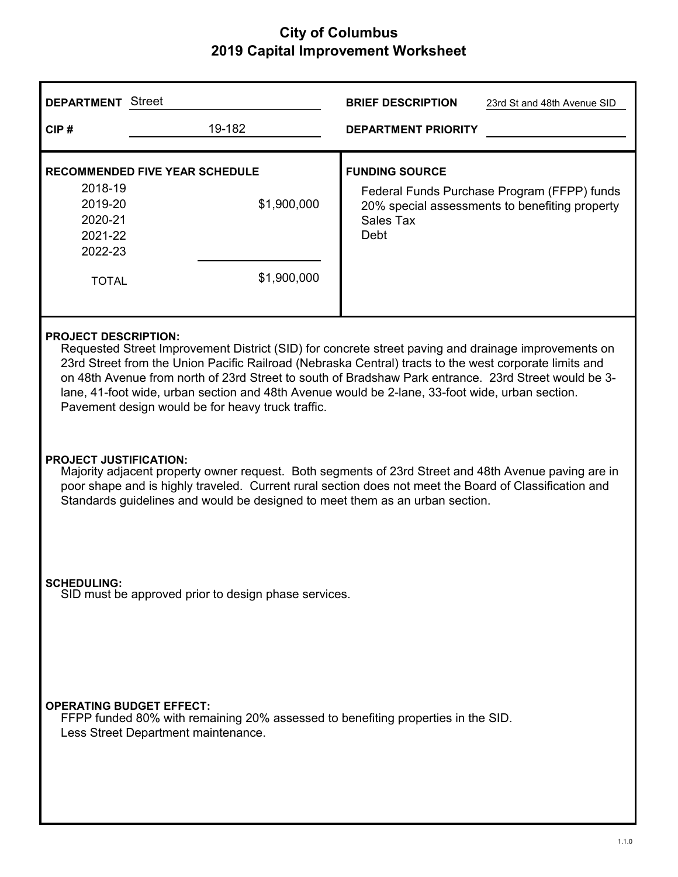| <b>DEPARTMENT</b> Street                                                                                                                                                                                                                                                                                                                                                                                                                                                                                     |                                                                     | <b>BRIEF DESCRIPTION</b><br>23rd St and 48th Avenue SID                                                                                            |
|--------------------------------------------------------------------------------------------------------------------------------------------------------------------------------------------------------------------------------------------------------------------------------------------------------------------------------------------------------------------------------------------------------------------------------------------------------------------------------------------------------------|---------------------------------------------------------------------|----------------------------------------------------------------------------------------------------------------------------------------------------|
| CIP#                                                                                                                                                                                                                                                                                                                                                                                                                                                                                                         | 19-182                                                              | <b>DEPARTMENT PRIORITY</b>                                                                                                                         |
| 2018-19<br>2019-20<br>2020-21<br>2021-22<br>2022-23<br><b>TOTAL</b>                                                                                                                                                                                                                                                                                                                                                                                                                                          | <b>RECOMMENDED FIVE YEAR SCHEDULE</b><br>\$1,900,000<br>\$1,900,000 | <b>FUNDING SOURCE</b><br>Federal Funds Purchase Program (FFPP) funds<br>20% special assessments to benefiting property<br>Sales Tax<br><b>Debt</b> |
| <b>PROJECT DESCRIPTION:</b><br>Requested Street Improvement District (SID) for concrete street paving and drainage improvements on<br>23rd Street from the Union Pacific Railroad (Nebraska Central) tracts to the west corporate limits and<br>on 48th Avenue from north of 23rd Street to south of Bradshaw Park entrance. 23rd Street would be 3-<br>lane, 41-foot wide, urban section and 48th Avenue would be 2-lane, 33-foot wide, urban section.<br>Pavement design would be for heavy truck traffic. |                                                                     |                                                                                                                                                    |
| <b>PROJECT JUSTIFICATION:</b><br>Majority adjacent property owner request. Both segments of 23rd Street and 48th Avenue paving are in<br>poor shape and is highly traveled. Current rural section does not meet the Board of Classification and<br>Standards guidelines and would be designed to meet them as an urban section.                                                                                                                                                                              |                                                                     |                                                                                                                                                    |
| <b>SCHEDULING:</b><br>SID must be approved prior to design phase services.                                                                                                                                                                                                                                                                                                                                                                                                                                   |                                                                     |                                                                                                                                                    |
| <b>OPERATING BUDGET EFFECT:</b><br>FFPP funded 80% with remaining 20% assessed to benefiting properties in the SID.<br>Less Street Department maintenance.                                                                                                                                                                                                                                                                                                                                                   |                                                                     |                                                                                                                                                    |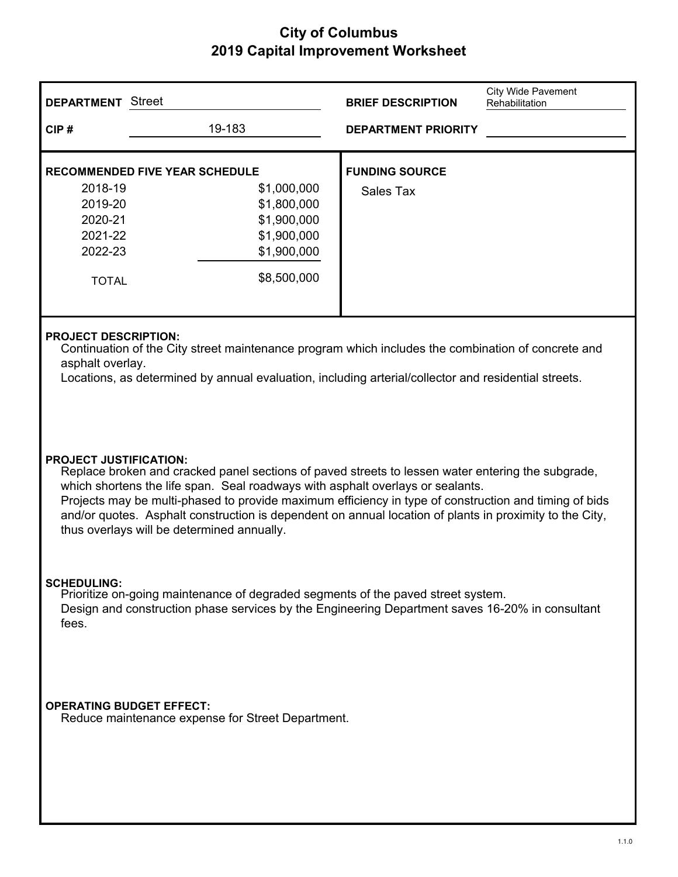| <b>DEPARTMENT</b> Street                                                                                                                                                                                                                                                                                                                                                                                                                                                               |                                                                                                                                 | <b>BRIEF DESCRIPTION</b>           | <b>City Wide Pavement</b><br>Rehabilitation |
|----------------------------------------------------------------------------------------------------------------------------------------------------------------------------------------------------------------------------------------------------------------------------------------------------------------------------------------------------------------------------------------------------------------------------------------------------------------------------------------|---------------------------------------------------------------------------------------------------------------------------------|------------------------------------|---------------------------------------------|
| CIP#                                                                                                                                                                                                                                                                                                                                                                                                                                                                                   | 19-183                                                                                                                          | <b>DEPARTMENT PRIORITY</b>         |                                             |
| 2018-19<br>2019-20<br>2020-21<br>2021-22<br>2022-23<br><b>TOTAL</b>                                                                                                                                                                                                                                                                                                                                                                                                                    | <b>RECOMMENDED FIVE YEAR SCHEDULE</b><br>\$1,000,000<br>\$1,800,000<br>\$1,900,000<br>\$1,900,000<br>\$1,900,000<br>\$8,500,000 | <b>FUNDING SOURCE</b><br>Sales Tax |                                             |
| <b>PROJECT DESCRIPTION:</b><br>Continuation of the City street maintenance program which includes the combination of concrete and<br>asphalt overlay.<br>Locations, as determined by annual evaluation, including arterial/collector and residential streets.                                                                                                                                                                                                                          |                                                                                                                                 |                                    |                                             |
| <b>PROJECT JUSTIFICATION:</b><br>Replace broken and cracked panel sections of paved streets to lessen water entering the subgrade,<br>which shortens the life span. Seal roadways with asphalt overlays or sealants.<br>Projects may be multi-phased to provide maximum efficiency in type of construction and timing of bids<br>and/or quotes. Asphalt construction is dependent on annual location of plants in proximity to the City,<br>thus overlays will be determined annually. |                                                                                                                                 |                                    |                                             |
| <b>SCHEDULING:</b><br>Prioritize on-going maintenance of degraded segments of the paved street system.<br>Design and construction phase services by the Engineering Department saves 16-20% in consultant<br>fees.                                                                                                                                                                                                                                                                     |                                                                                                                                 |                                    |                                             |
| <b>OPERATING BUDGET EFFECT:</b><br>Reduce maintenance expense for Street Department.                                                                                                                                                                                                                                                                                                                                                                                                   |                                                                                                                                 |                                    |                                             |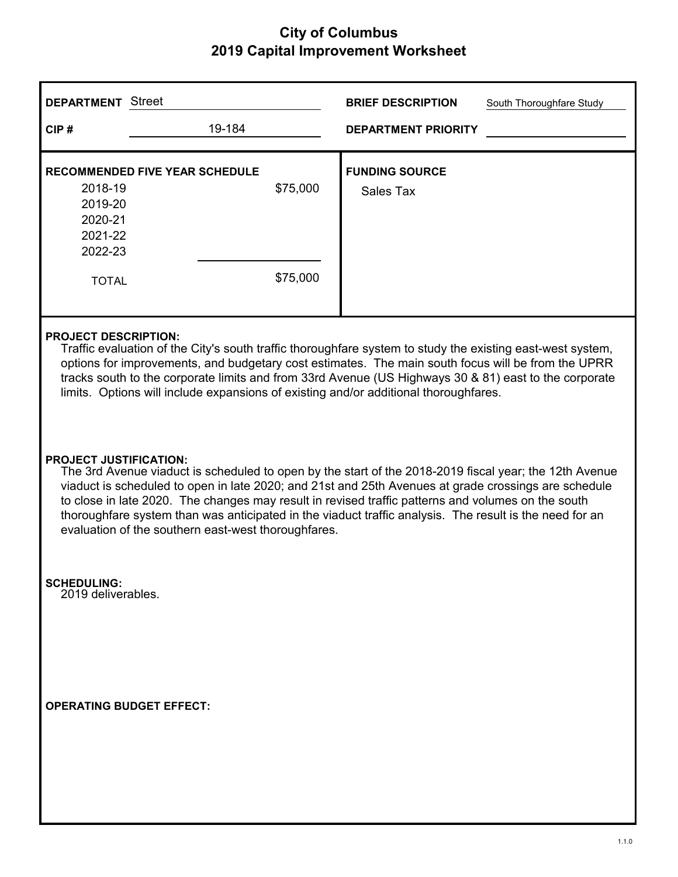| <b>DEPARTMENT</b> Street                                                                                                                                                                                                                                                                                                                                                                                                                                                                                                |                                       |                      | <b>BRIEF DESCRIPTION</b>           | South Thoroughfare Study |
|-------------------------------------------------------------------------------------------------------------------------------------------------------------------------------------------------------------------------------------------------------------------------------------------------------------------------------------------------------------------------------------------------------------------------------------------------------------------------------------------------------------------------|---------------------------------------|----------------------|------------------------------------|--------------------------|
| CIP#                                                                                                                                                                                                                                                                                                                                                                                                                                                                                                                    | 19-184                                |                      | <b>DEPARTMENT PRIORITY</b>         |                          |
| 2018-19<br>2019-20<br>2020-21<br>2021-22<br>2022-23<br><b>TOTAL</b>                                                                                                                                                                                                                                                                                                                                                                                                                                                     | <b>RECOMMENDED FIVE YEAR SCHEDULE</b> | \$75,000<br>\$75,000 | <b>FUNDING SOURCE</b><br>Sales Tax |                          |
| <b>PROJECT DESCRIPTION:</b><br>Traffic evaluation of the City's south traffic thoroughfare system to study the existing east-west system,<br>options for improvements, and budgetary cost estimates. The main south focus will be from the UPRR<br>tracks south to the corporate limits and from 33rd Avenue (US Highways 30 & 81) east to the corporate<br>limits. Options will include expansions of existing and/or additional thoroughfares.                                                                        |                                       |                      |                                    |                          |
| <b>PROJECT JUSTIFICATION:</b><br>The 3rd Avenue viaduct is scheduled to open by the start of the 2018-2019 fiscal year; the 12th Avenue<br>viaduct is scheduled to open in late 2020; and 21st and 25th Avenues at grade crossings are schedule<br>to close in late 2020. The changes may result in revised traffic patterns and volumes on the south<br>thoroughfare system than was anticipated in the viaduct traffic analysis. The result is the need for an<br>evaluation of the southern east-west thoroughfares. |                                       |                      |                                    |                          |
| <b>SCHEDULING:</b><br>2019 deliverables.                                                                                                                                                                                                                                                                                                                                                                                                                                                                                |                                       |                      |                                    |                          |
| <b>OPERATING BUDGET EFFECT:</b>                                                                                                                                                                                                                                                                                                                                                                                                                                                                                         |                                       |                      |                                    |                          |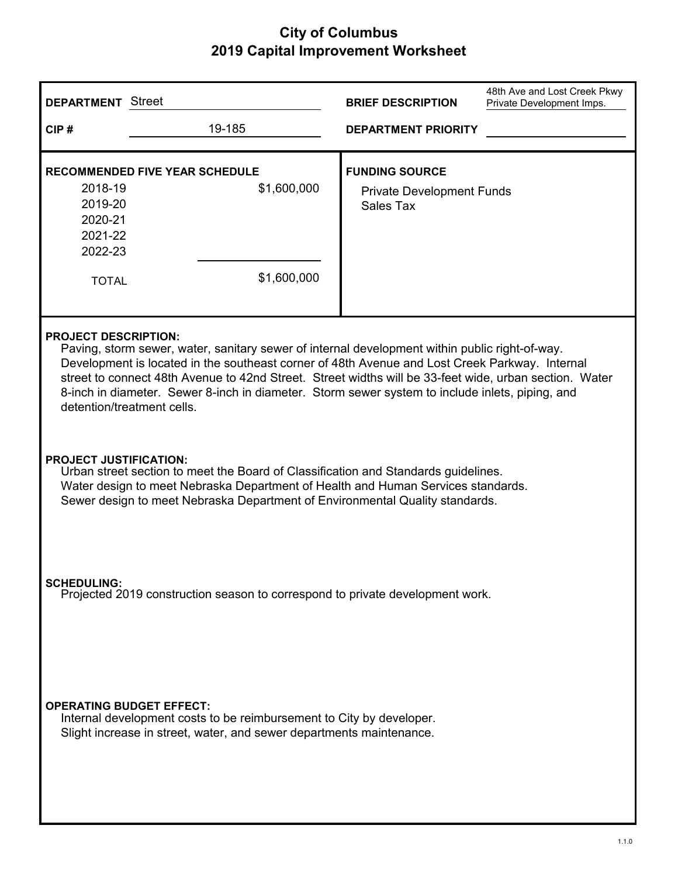| <b>DEPARTMENT</b> Street                                                                                                                                                                                                                                                                                                                                                                                                                                                   |                                                                     | <b>BRIEF DESCRIPTION</b>                                               | 48th Ave and Lost Creek Pkwy<br>Private Development Imps. |
|----------------------------------------------------------------------------------------------------------------------------------------------------------------------------------------------------------------------------------------------------------------------------------------------------------------------------------------------------------------------------------------------------------------------------------------------------------------------------|---------------------------------------------------------------------|------------------------------------------------------------------------|-----------------------------------------------------------|
| CIP#                                                                                                                                                                                                                                                                                                                                                                                                                                                                       | 19-185                                                              | <b>DEPARTMENT PRIORITY</b>                                             |                                                           |
| 2018-19<br>2019-20<br>2020-21<br>2021-22<br>2022-23<br><b>TOTAL</b>                                                                                                                                                                                                                                                                                                                                                                                                        | <b>RECOMMENDED FIVE YEAR SCHEDULE</b><br>\$1,600,000<br>\$1,600,000 | <b>FUNDING SOURCE</b><br><b>Private Development Funds</b><br>Sales Tax |                                                           |
| <b>PROJECT DESCRIPTION:</b><br>Paving, storm sewer, water, sanitary sewer of internal development within public right-of-way.<br>Development is located in the southeast corner of 48th Avenue and Lost Creek Parkway. Internal<br>street to connect 48th Avenue to 42nd Street. Street widths will be 33-feet wide, urban section. Water<br>8-inch in diameter. Sewer 8-inch in diameter. Storm sewer system to include inlets, piping, and<br>detention/treatment cells. |                                                                     |                                                                        |                                                           |
| <b>PROJECT JUSTIFICATION:</b><br>Urban street section to meet the Board of Classification and Standards guidelines.<br>Water design to meet Nebraska Department of Health and Human Services standards.<br>Sewer design to meet Nebraska Department of Environmental Quality standards.                                                                                                                                                                                    |                                                                     |                                                                        |                                                           |
| <b>SCHEDULING:</b><br>Projected 2019 construction season to correspond to private development work.                                                                                                                                                                                                                                                                                                                                                                        |                                                                     |                                                                        |                                                           |
| <b>OPERATING BUDGET EFFECT:</b><br>Internal development costs to be reimbursement to City by developer.<br>Slight increase in street, water, and sewer departments maintenance.                                                                                                                                                                                                                                                                                            |                                                                     |                                                                        |                                                           |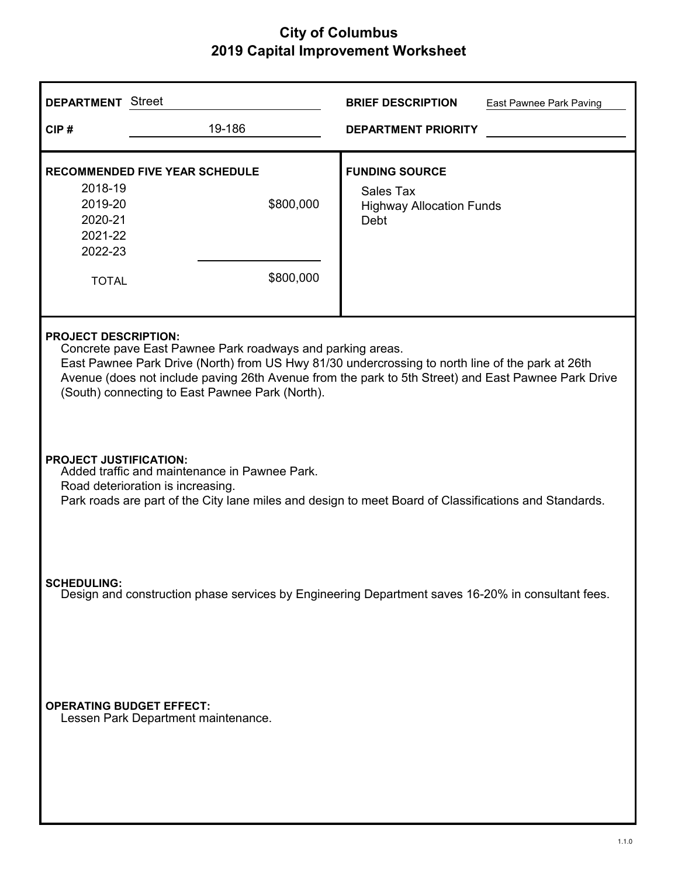| <b>DEPARTMENT</b> Street                                                                                                                                                                                                                                                                                                                                | <b>BRIEF DESCRIPTION</b><br>East Pawnee Park Paving                           |  |
|---------------------------------------------------------------------------------------------------------------------------------------------------------------------------------------------------------------------------------------------------------------------------------------------------------------------------------------------------------|-------------------------------------------------------------------------------|--|
| 19-186<br>CIP#                                                                                                                                                                                                                                                                                                                                          | <b>DEPARTMENT PRIORITY</b>                                                    |  |
| <b>RECOMMENDED FIVE YEAR SCHEDULE</b><br>2018-19<br>\$800,000<br>2019-20<br>2020-21<br>2021-22<br>2022-23<br>\$800,000<br><b>TOTAL</b>                                                                                                                                                                                                                  | <b>FUNDING SOURCE</b><br>Sales Tax<br><b>Highway Allocation Funds</b><br>Debt |  |
| <b>PROJECT DESCRIPTION:</b><br>Concrete pave East Pawnee Park roadways and parking areas.<br>East Pawnee Park Drive (North) from US Hwy 81/30 undercrossing to north line of the park at 26th<br>Avenue (does not include paving 26th Avenue from the park to 5th Street) and East Pawnee Park Drive<br>(South) connecting to East Pawnee Park (North). |                                                                               |  |
| <b>PROJECT JUSTIFICATION:</b><br>Added traffic and maintenance in Pawnee Park.<br>Road deterioration is increasing.<br>Park roads are part of the City lane miles and design to meet Board of Classifications and Standards.                                                                                                                            |                                                                               |  |
| <b>SCHEDULING:</b><br>Design and construction phase services by Engineering Department saves 16-20% in consultant fees.                                                                                                                                                                                                                                 |                                                                               |  |
| <b>OPERATING BUDGET EFFECT:</b><br>Lessen Park Department maintenance.                                                                                                                                                                                                                                                                                  |                                                                               |  |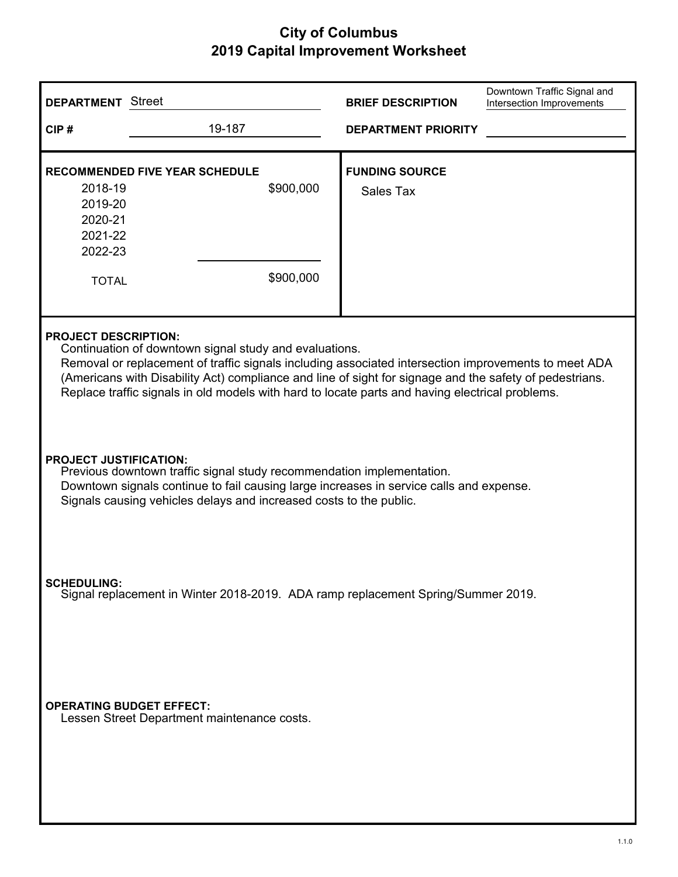| <b>DEPARTMENT</b> Street                                                                                                                                                                                                                                                                                                                                                                                    |                                                                 | <b>BRIEF DESCRIPTION</b>                  | Downtown Traffic Signal and<br>Intersection Improvements |
|-------------------------------------------------------------------------------------------------------------------------------------------------------------------------------------------------------------------------------------------------------------------------------------------------------------------------------------------------------------------------------------------------------------|-----------------------------------------------------------------|-------------------------------------------|----------------------------------------------------------|
| CIP#                                                                                                                                                                                                                                                                                                                                                                                                        | 19-187                                                          | <b>DEPARTMENT PRIORITY</b>                |                                                          |
| 2018-19<br>2019-20<br>2020-21<br>2021-22<br>2022-23<br><b>TOTAL</b>                                                                                                                                                                                                                                                                                                                                         | <b>RECOMMENDED FIVE YEAR SCHEDULE</b><br>\$900,000<br>\$900,000 | <b>FUNDING SOURCE</b><br><b>Sales Tax</b> |                                                          |
| <b>PROJECT DESCRIPTION:</b><br>Continuation of downtown signal study and evaluations.<br>Removal or replacement of traffic signals including associated intersection improvements to meet ADA<br>(Americans with Disability Act) compliance and line of sight for signage and the safety of pedestrians.<br>Replace traffic signals in old models with hard to locate parts and having electrical problems. |                                                                 |                                           |                                                          |
| <b>PROJECT JUSTIFICATION:</b><br>Previous downtown traffic signal study recommendation implementation.<br>Downtown signals continue to fail causing large increases in service calls and expense.<br>Signals causing vehicles delays and increased costs to the public.                                                                                                                                     |                                                                 |                                           |                                                          |
| <b>SCHEDULING:</b><br>Signal replacement in Winter 2018-2019. ADA ramp replacement Spring/Summer 2019.                                                                                                                                                                                                                                                                                                      |                                                                 |                                           |                                                          |
| <b>OPERATING BUDGET EFFECT:</b>                                                                                                                                                                                                                                                                                                                                                                             | Lessen Street Department maintenance costs.                     |                                           |                                                          |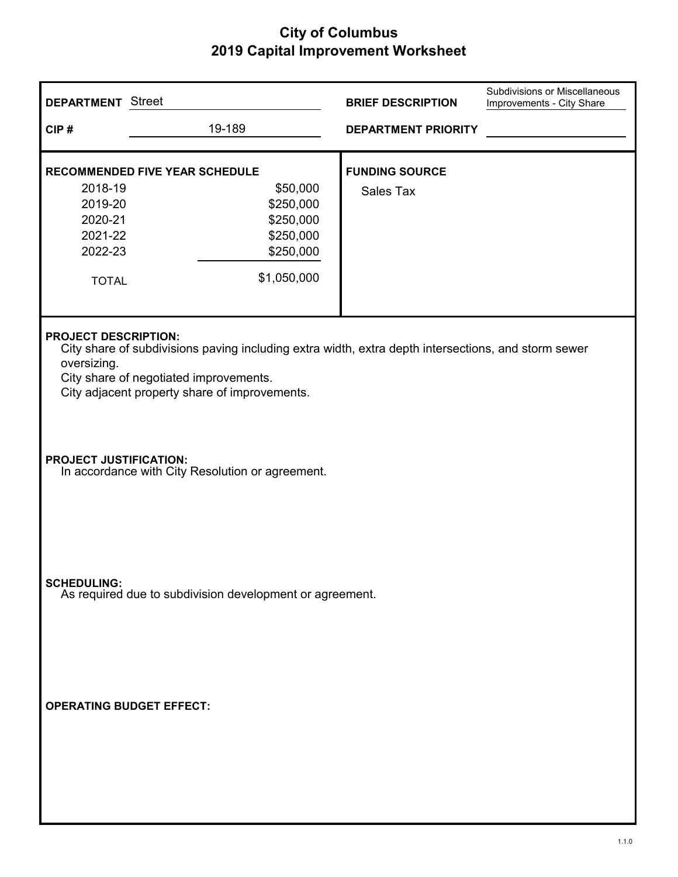| <b>DEPARTMENT</b> Street<br>CIP#                                                                                                                                                                                                             | 19-189                                                                                                               | <b>BRIEF DESCRIPTION</b><br><b>DEPARTMENT PRIORITY</b> | Subdivisions or Miscellaneous<br>Improvements - City Share |
|----------------------------------------------------------------------------------------------------------------------------------------------------------------------------------------------------------------------------------------------|----------------------------------------------------------------------------------------------------------------------|--------------------------------------------------------|------------------------------------------------------------|
| 2018-19<br>2019-20<br>2020-21<br>2021-22<br>2022-23<br><b>TOTAL</b>                                                                                                                                                                          | <b>RECOMMENDED FIVE YEAR SCHEDULE</b><br>\$50,000<br>\$250,000<br>\$250,000<br>\$250,000<br>\$250,000<br>\$1,050,000 | <b>FUNDING SOURCE</b><br><b>Sales Tax</b>              |                                                            |
| <b>PROJECT DESCRIPTION:</b><br>City share of subdivisions paving including extra width, extra depth intersections, and storm sewer<br>oversizing.<br>City share of negotiated improvements.<br>City adjacent property share of improvements. |                                                                                                                      |                                                        |                                                            |
| <b>PROJECT JUSTIFICATION:</b><br>In accordance with City Resolution or agreement.                                                                                                                                                            |                                                                                                                      |                                                        |                                                            |
| <b>SCHEDULING:</b><br>As required due to subdivision development or agreement.                                                                                                                                                               |                                                                                                                      |                                                        |                                                            |
| <b>OPERATING BUDGET EFFECT:</b>                                                                                                                                                                                                              |                                                                                                                      |                                                        |                                                            |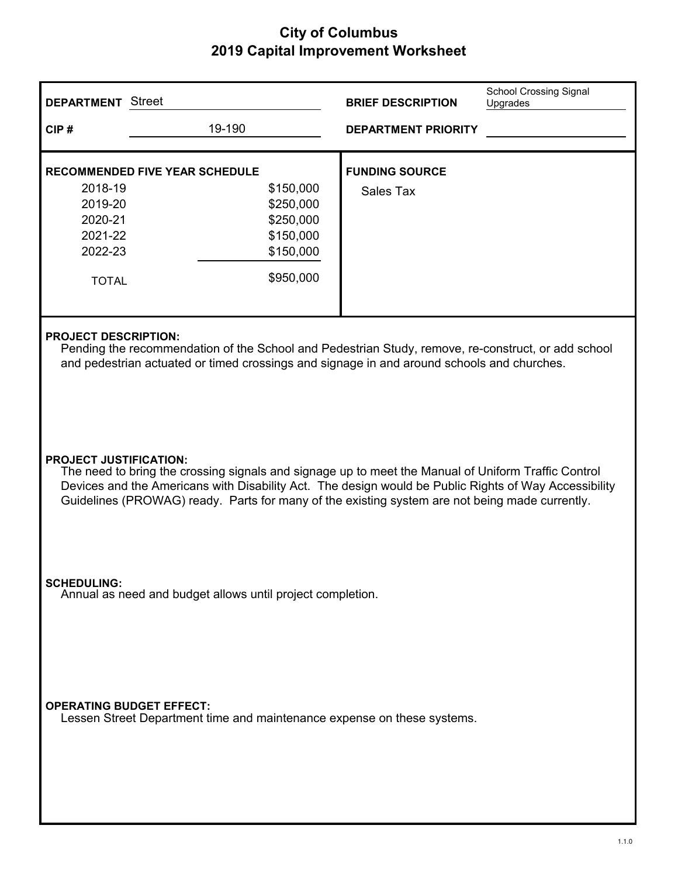| <b>DEPARTMENT</b> Street                                                                                                                                                                                                                                                                                                                        |                                                                         | <b>BRIEF DESCRIPTION</b>   | <b>School Crossing Signal</b><br>Upgrades |
|-------------------------------------------------------------------------------------------------------------------------------------------------------------------------------------------------------------------------------------------------------------------------------------------------------------------------------------------------|-------------------------------------------------------------------------|----------------------------|-------------------------------------------|
| CIP#                                                                                                                                                                                                                                                                                                                                            | 19-190                                                                  | <b>DEPARTMENT PRIORITY</b> |                                           |
|                                                                                                                                                                                                                                                                                                                                                 |                                                                         |                            |                                           |
|                                                                                                                                                                                                                                                                                                                                                 | <b>RECOMMENDED FIVE YEAR SCHEDULE</b>                                   | <b>FUNDING SOURCE</b>      |                                           |
| 2018-19<br>2019-20                                                                                                                                                                                                                                                                                                                              | \$150,000<br>\$250,000                                                  | Sales Tax                  |                                           |
| 2020-21                                                                                                                                                                                                                                                                                                                                         | \$250,000                                                               |                            |                                           |
| 2021-22                                                                                                                                                                                                                                                                                                                                         | \$150,000                                                               |                            |                                           |
| 2022-23                                                                                                                                                                                                                                                                                                                                         | \$150,000                                                               |                            |                                           |
| <b>TOTAL</b>                                                                                                                                                                                                                                                                                                                                    | \$950,000                                                               |                            |                                           |
|                                                                                                                                                                                                                                                                                                                                                 |                                                                         |                            |                                           |
| <b>PROJECT DESCRIPTION:</b><br>Pending the recommendation of the School and Pedestrian Study, remove, re-construct, or add school<br>and pedestrian actuated or timed crossings and signage in and around schools and churches.                                                                                                                 |                                                                         |                            |                                           |
| <b>PROJECT JUSTIFICATION:</b><br>The need to bring the crossing signals and signage up to meet the Manual of Uniform Traffic Control<br>Devices and the Americans with Disability Act. The design would be Public Rights of Way Accessibility<br>Guidelines (PROWAG) ready. Parts for many of the existing system are not being made currently. |                                                                         |                            |                                           |
| <b>SCHEDULING:</b><br>Annual as need and budget allows until project completion.                                                                                                                                                                                                                                                                |                                                                         |                            |                                           |
| <b>OPERATING BUDGET EFFECT:</b>                                                                                                                                                                                                                                                                                                                 | Lessen Street Department time and maintenance expense on these systems. |                            |                                           |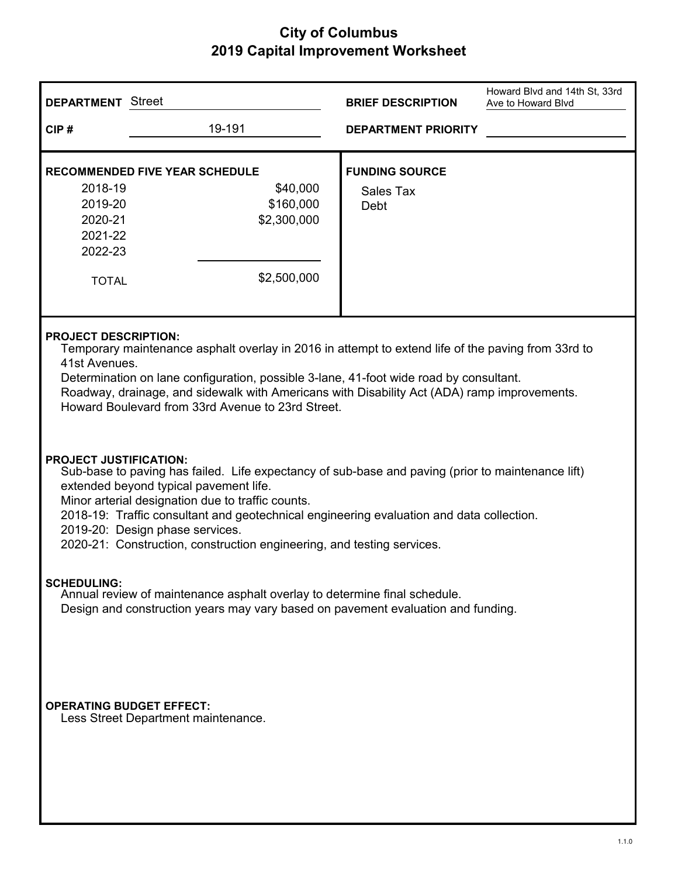| <b>DEPARTMENT</b> Street                                                                                                                                                                                                                                                                                                                                                                                                                   |                                                                                              | <b>BRIEF DESCRIPTION</b>                   | Howard Blvd and 14th St, 33rd<br>Ave to Howard Blvd |  |
|--------------------------------------------------------------------------------------------------------------------------------------------------------------------------------------------------------------------------------------------------------------------------------------------------------------------------------------------------------------------------------------------------------------------------------------------|----------------------------------------------------------------------------------------------|--------------------------------------------|-----------------------------------------------------|--|
| CIP#                                                                                                                                                                                                                                                                                                                                                                                                                                       | 19-191                                                                                       | <b>DEPARTMENT PRIORITY</b>                 |                                                     |  |
| 2018-19<br>2019-20<br>2020-21<br>2021-22<br>2022-23<br><b>TOTAL</b>                                                                                                                                                                                                                                                                                                                                                                        | <b>RECOMMENDED FIVE YEAR SCHEDULE</b><br>\$40,000<br>\$160,000<br>\$2,300,000<br>\$2,500,000 | <b>FUNDING SOURCE</b><br>Sales Tax<br>Debt |                                                     |  |
| <b>PROJECT DESCRIPTION:</b><br>Temporary maintenance asphalt overlay in 2016 in attempt to extend life of the paving from 33rd to<br>41st Avenues.<br>Determination on lane configuration, possible 3-lane, 41-foot wide road by consultant.<br>Roadway, drainage, and sidewalk with Americans with Disability Act (ADA) ramp improvements.<br>Howard Boulevard from 33rd Avenue to 23rd Street.                                           |                                                                                              |                                            |                                                     |  |
| <b>PROJECT JUSTIFICATION:</b><br>Sub-base to paving has failed. Life expectancy of sub-base and paving (prior to maintenance lift)<br>extended beyond typical pavement life.<br>Minor arterial designation due to traffic counts.<br>2018-19: Traffic consultant and geotechnical engineering evaluation and data collection.<br>2019-20: Design phase services.<br>2020-21: Construction, construction engineering, and testing services. |                                                                                              |                                            |                                                     |  |
| <b>SCHEDULING:</b><br>Annual review of maintenance asphalt overlay to determine final schedule.<br>Design and construction years may vary based on pavement evaluation and funding.                                                                                                                                                                                                                                                        |                                                                                              |                                            |                                                     |  |
| <b>OPERATING BUDGET EFFECT:</b><br>Less Street Department maintenance.                                                                                                                                                                                                                                                                                                                                                                     |                                                                                              |                                            |                                                     |  |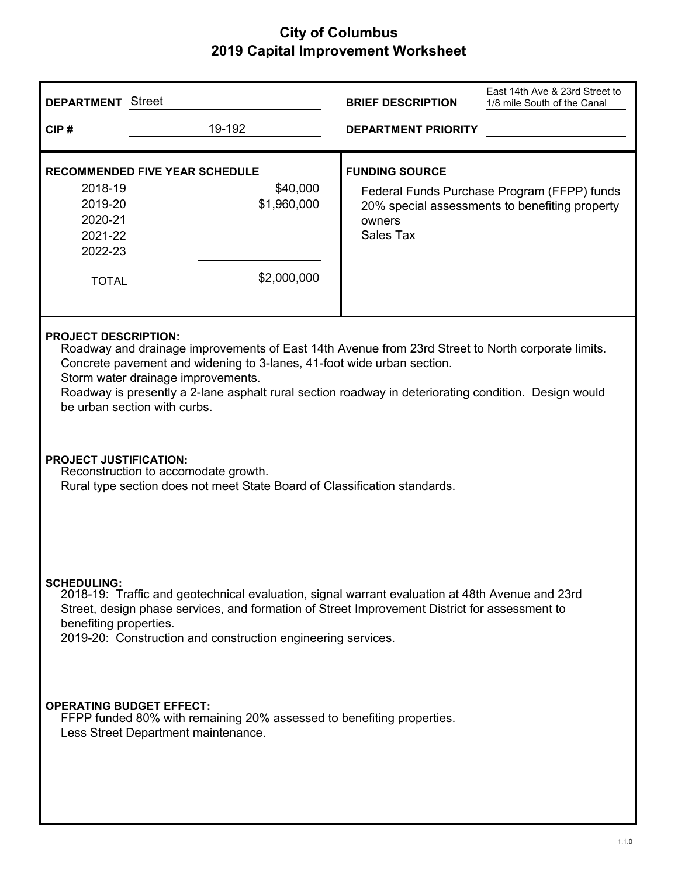| 19-192<br>CIP#<br><b>DEPARTMENT PRIORITY</b><br><b>FUNDING SOURCE</b><br><b>RECOMMENDED FIVE YEAR SCHEDULE</b><br>2018-19<br>\$40,000<br>Federal Funds Purchase Program (FFPP) funds<br>2019-20<br>\$1,960,000<br>20% special assessments to benefiting property<br>2020-21<br>owners<br><b>Sales Tax</b><br>2021-22<br>2022-23<br>\$2,000,000<br><b>TOTAL</b><br><b>PROJECT DESCRIPTION:</b><br>Roadway and drainage improvements of East 14th Avenue from 23rd Street to North corporate limits.<br>Concrete pavement and widening to 3-lanes, 41-foot wide urban section.<br>Storm water drainage improvements.<br>Roadway is presently a 2-lane asphalt rural section roadway in deteriorating condition. Design would<br>be urban section with curbs.<br><b>PROJECT JUSTIFICATION:</b><br>Reconstruction to accomodate growth.<br>Rural type section does not meet State Board of Classification standards.<br><b>SCHEDULING:</b><br>2018-19: Traffic and geotechnical evaluation, signal warrant evaluation at 48th Avenue and 23rd<br>Street, design phase services, and formation of Street Improvement District for assessment to<br>benefiting properties.<br>2019-20: Construction and construction engineering services. | <b>DEPARTMENT</b> Street |  | <b>BRIEF DESCRIPTION</b> | East 14th Ave & 23rd Street to<br>1/8 mile South of the Canal |
|--------------------------------------------------------------------------------------------------------------------------------------------------------------------------------------------------------------------------------------------------------------------------------------------------------------------------------------------------------------------------------------------------------------------------------------------------------------------------------------------------------------------------------------------------------------------------------------------------------------------------------------------------------------------------------------------------------------------------------------------------------------------------------------------------------------------------------------------------------------------------------------------------------------------------------------------------------------------------------------------------------------------------------------------------------------------------------------------------------------------------------------------------------------------------------------------------------------------------------------|--------------------------|--|--------------------------|---------------------------------------------------------------|
|                                                                                                                                                                                                                                                                                                                                                                                                                                                                                                                                                                                                                                                                                                                                                                                                                                                                                                                                                                                                                                                                                                                                                                                                                                      |                          |  |                          |                                                               |
|                                                                                                                                                                                                                                                                                                                                                                                                                                                                                                                                                                                                                                                                                                                                                                                                                                                                                                                                                                                                                                                                                                                                                                                                                                      |                          |  |                          |                                                               |
|                                                                                                                                                                                                                                                                                                                                                                                                                                                                                                                                                                                                                                                                                                                                                                                                                                                                                                                                                                                                                                                                                                                                                                                                                                      |                          |  |                          |                                                               |
| <b>OPERATING BUDGET EFFECT:</b><br>FFPP funded 80% with remaining 20% assessed to benefiting properties.<br>Less Street Department maintenance.                                                                                                                                                                                                                                                                                                                                                                                                                                                                                                                                                                                                                                                                                                                                                                                                                                                                                                                                                                                                                                                                                      |                          |  |                          |                                                               |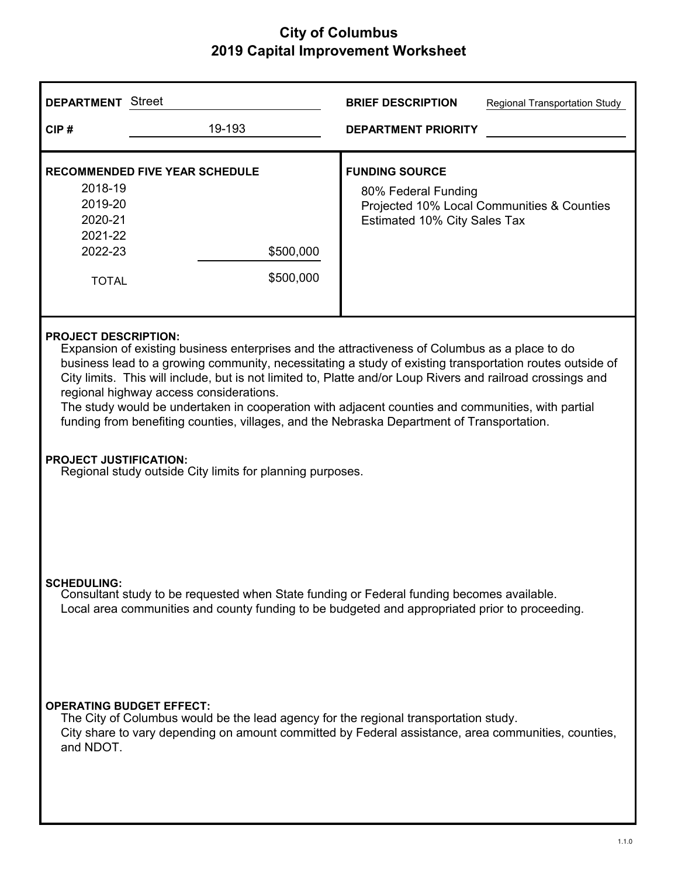| <b>DEPARTMENT</b> Street                                                                                                                                                                                                                                                                                                                                                                                                                                                                                                                                                                               |                                                                                                                                                                                             | <b>BRIEF DESCRIPTION</b><br><b>Regional Transportation Study</b>             |                                            |
|--------------------------------------------------------------------------------------------------------------------------------------------------------------------------------------------------------------------------------------------------------------------------------------------------------------------------------------------------------------------------------------------------------------------------------------------------------------------------------------------------------------------------------------------------------------------------------------------------------|---------------------------------------------------------------------------------------------------------------------------------------------------------------------------------------------|------------------------------------------------------------------------------|--------------------------------------------|
| CIP#                                                                                                                                                                                                                                                                                                                                                                                                                                                                                                                                                                                                   | 19-193                                                                                                                                                                                      | <b>DEPARTMENT PRIORITY</b>                                                   |                                            |
| 2018-19<br>2019-20<br>2020-21<br>2021-22<br>2022-23<br><b>TOTAL</b>                                                                                                                                                                                                                                                                                                                                                                                                                                                                                                                                    | <b>RECOMMENDED FIVE YEAR SCHEDULE</b><br>\$500,000<br>\$500,000                                                                                                                             | <b>FUNDING SOURCE</b><br>80% Federal Funding<br>Estimated 10% City Sales Tax | Projected 10% Local Communities & Counties |
| <b>PROJECT DESCRIPTION:</b><br>Expansion of existing business enterprises and the attractiveness of Columbus as a place to do<br>business lead to a growing community, necessitating a study of existing transportation routes outside of<br>City limits. This will include, but is not limited to, Platte and/or Loup Rivers and railroad crossings and<br>regional highway access considerations.<br>The study would be undertaken in cooperation with adjacent counties and communities, with partial<br>funding from benefiting counties, villages, and the Nebraska Department of Transportation. |                                                                                                                                                                                             |                                                                              |                                            |
| <b>PROJECT JUSTIFICATION:</b><br>Regional study outside City limits for planning purposes.<br><b>SCHEDULING:</b><br>Consultant study to be requested when State funding or Federal funding becomes available.<br>Local area communities and county funding to be budgeted and appropriated prior to proceeding.<br><b>OPERATING BUDGET EFFECT:</b>                                                                                                                                                                                                                                                     |                                                                                                                                                                                             |                                                                              |                                            |
| and NDOT.                                                                                                                                                                                                                                                                                                                                                                                                                                                                                                                                                                                              | The City of Columbus would be the lead agency for the regional transportation study.<br>City share to vary depending on amount committed by Federal assistance, area communities, counties, |                                                                              |                                            |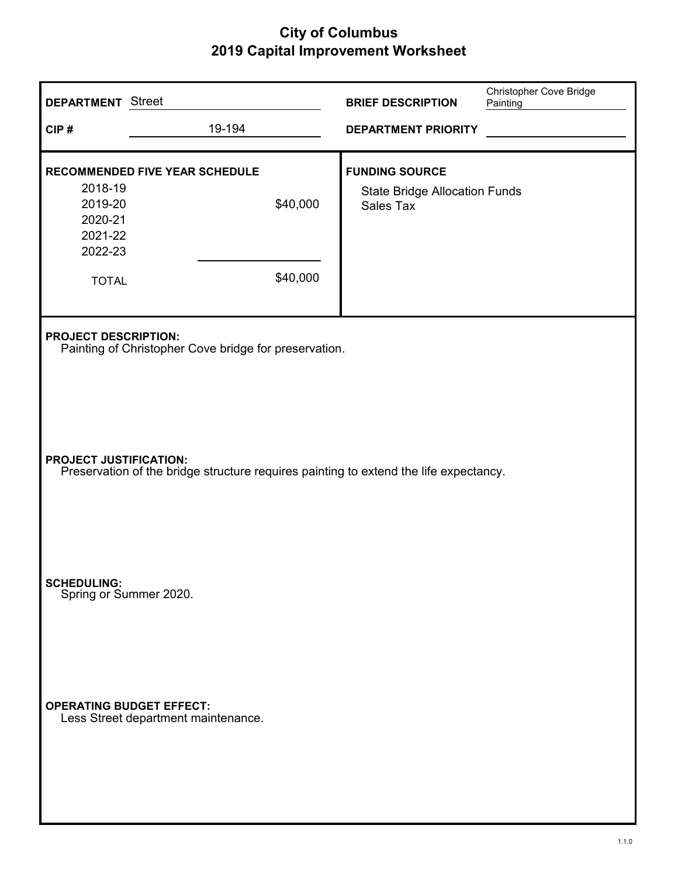| <b>DEPARTMENT</b> Street                                                             |                                                                                       | <b>BRIEF DESCRIPTION</b>                                                   | Christopher Cove Bridge<br>Painting |
|--------------------------------------------------------------------------------------|---------------------------------------------------------------------------------------|----------------------------------------------------------------------------|-------------------------------------|
| CIP#                                                                                 | 19-194                                                                                | <b>DEPARTMENT PRIORITY</b>                                                 |                                     |
| 2018-19<br>2019-20<br>2020-21<br>2021-22<br>2022-23<br><b>TOTAL</b>                  | <b>RECOMMENDED FIVE YEAR SCHEDULE</b><br>\$40,000<br>\$40,000                         | <b>FUNDING SOURCE</b><br><b>State Bridge Allocation Funds</b><br>Sales Tax |                                     |
| <b>PROJECT DESCRIPTION:</b><br>Painting of Christopher Cove bridge for preservation. |                                                                                       |                                                                            |                                     |
| <b>PROJECT JUSTIFICATION:</b>                                                        | Preservation of the bridge structure requires painting to extend the life expectancy. |                                                                            |                                     |
| <b>SCHEDULING:</b><br>Spring or Summer 2020.                                         |                                                                                       |                                                                            |                                     |
| <b>OPERATING BUDGET EFFECT:</b>                                                      | Less Street department maintenance.                                                   |                                                                            |                                     |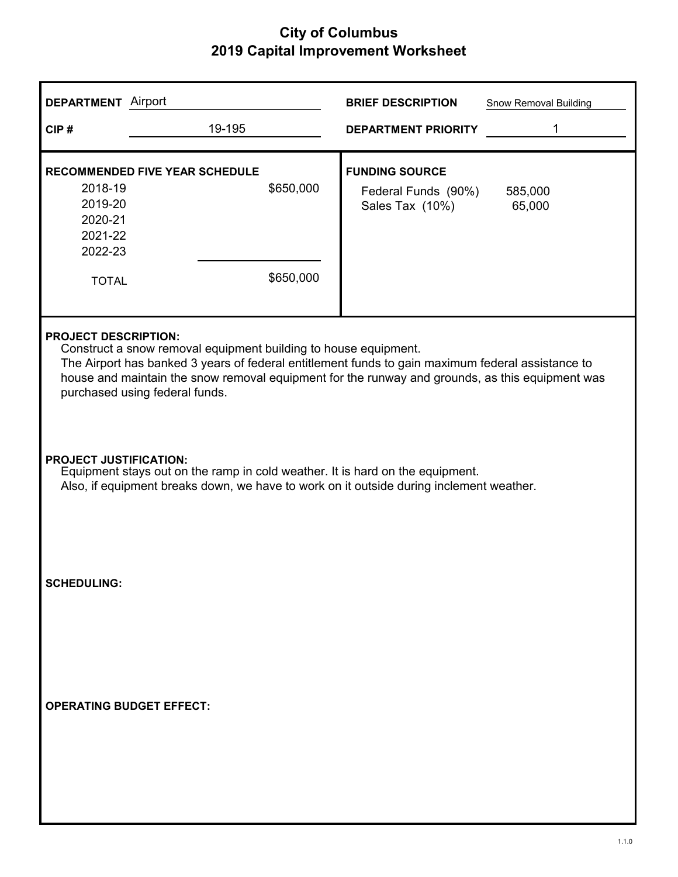| <b>DEPARTMENT</b> Airport                                                                                                                                                                                                                                                                                                                |                                                                 | <b>BRIEF DESCRIPTION</b><br>Snow Removal Building                                    |  |
|------------------------------------------------------------------------------------------------------------------------------------------------------------------------------------------------------------------------------------------------------------------------------------------------------------------------------------------|-----------------------------------------------------------------|--------------------------------------------------------------------------------------|--|
| CIP#                                                                                                                                                                                                                                                                                                                                     | 19-195                                                          | 1<br><b>DEPARTMENT PRIORITY</b>                                                      |  |
| 2018-19<br>2019-20<br>2020-21<br>2021-22<br>2022-23<br><b>TOTAL</b>                                                                                                                                                                                                                                                                      | <b>RECOMMENDED FIVE YEAR SCHEDULE</b><br>\$650,000<br>\$650,000 | <b>FUNDING SOURCE</b><br>Federal Funds (90%)<br>585,000<br>Sales Tax (10%)<br>65,000 |  |
| <b>PROJECT DESCRIPTION:</b><br>Construct a snow removal equipment building to house equipment.<br>The Airport has banked 3 years of federal entitlement funds to gain maximum federal assistance to<br>house and maintain the snow removal equipment for the runway and grounds, as this equipment was<br>purchased using federal funds. |                                                                 |                                                                                      |  |
| <b>PROJECT JUSTIFICATION:</b><br>Equipment stays out on the ramp in cold weather. It is hard on the equipment.<br>Also, if equipment breaks down, we have to work on it outside during inclement weather.                                                                                                                                |                                                                 |                                                                                      |  |
| <b>SCHEDULING:</b>                                                                                                                                                                                                                                                                                                                       |                                                                 |                                                                                      |  |
|                                                                                                                                                                                                                                                                                                                                          | <b>OPERATING BUDGET EFFECT:</b>                                 |                                                                                      |  |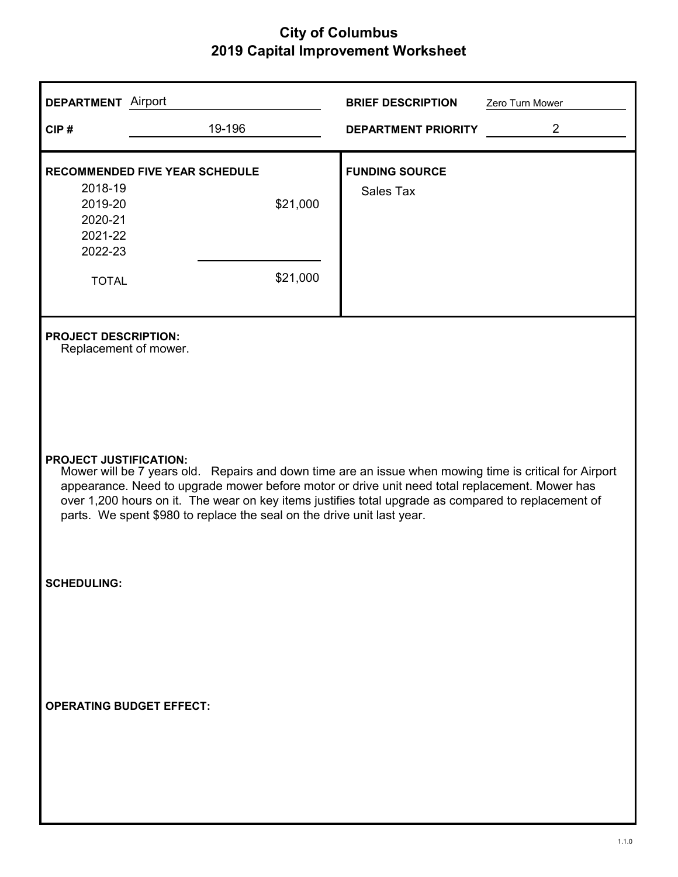| <b>DEPARTMENT</b> Airport                                                                                                                                                                                                                                                                                                                                                                                                  |                                       | <b>BRIEF DESCRIPTION</b>   | Zero Turn Mower |  |
|----------------------------------------------------------------------------------------------------------------------------------------------------------------------------------------------------------------------------------------------------------------------------------------------------------------------------------------------------------------------------------------------------------------------------|---------------------------------------|----------------------------|-----------------|--|
| CIP#                                                                                                                                                                                                                                                                                                                                                                                                                       | 19-196                                | <b>DEPARTMENT PRIORITY</b> | $\overline{2}$  |  |
|                                                                                                                                                                                                                                                                                                                                                                                                                            | <b>RECOMMENDED FIVE YEAR SCHEDULE</b> | <b>FUNDING SOURCE</b>      |                 |  |
| 2018-19<br>2019-20<br>2020-21<br>2021-22<br>2022-23                                                                                                                                                                                                                                                                                                                                                                        | \$21,000                              | Sales Tax                  |                 |  |
| <b>TOTAL</b>                                                                                                                                                                                                                                                                                                                                                                                                               | \$21,000                              |                            |                 |  |
| <b>PROJECT DESCRIPTION:</b><br>Replacement of mower.                                                                                                                                                                                                                                                                                                                                                                       |                                       |                            |                 |  |
| <b>PROJECT JUSTIFICATION:</b><br>Mower will be 7 years old. Repairs and down time are an issue when mowing time is critical for Airport<br>appearance. Need to upgrade mower before motor or drive unit need total replacement. Mower has<br>over 1,200 hours on it. The wear on key items justifies total upgrade as compared to replacement of<br>parts. We spent \$980 to replace the seal on the drive unit last year. |                                       |                            |                 |  |
| <b>SCHEDULING:</b>                                                                                                                                                                                                                                                                                                                                                                                                         |                                       |                            |                 |  |
| <b>OPERATING BUDGET EFFECT:</b>                                                                                                                                                                                                                                                                                                                                                                                            |                                       |                            |                 |  |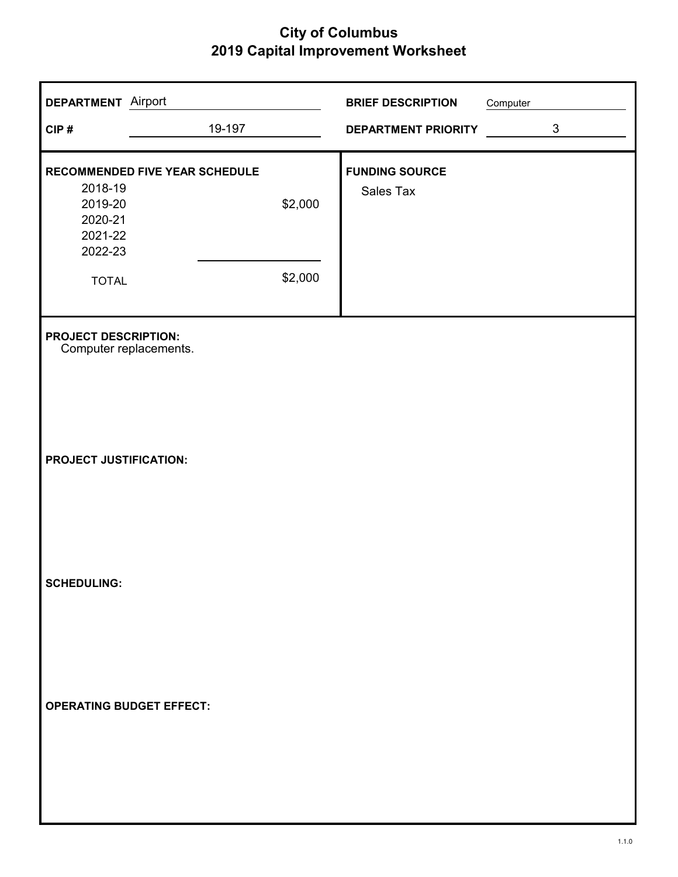| <b>DEPARTMENT</b> Airport                             |                                       |         | <b>BRIEF DESCRIPTION</b>   | Computer |                |
|-------------------------------------------------------|---------------------------------------|---------|----------------------------|----------|----------------|
| CIP#                                                  | 19-197                                |         | <b>DEPARTMENT PRIORITY</b> |          | $\mathfrak{S}$ |
|                                                       | <b>RECOMMENDED FIVE YEAR SCHEDULE</b> |         | <b>FUNDING SOURCE</b>      |          |                |
| 2018-19<br>2019-20<br>2020-21<br>2021-22<br>2022-23   |                                       | \$2,000 | <b>Sales Tax</b>           |          |                |
| <b>TOTAL</b>                                          |                                       | \$2,000 |                            |          |                |
| <b>PROJECT DESCRIPTION:</b><br>Computer replacements. |                                       |         |                            |          |                |
| <b>PROJECT JUSTIFICATION:</b>                         |                                       |         |                            |          |                |
| <b>SCHEDULING:</b>                                    |                                       |         |                            |          |                |
| <b>OPERATING BUDGET EFFECT:</b>                       |                                       |         |                            |          |                |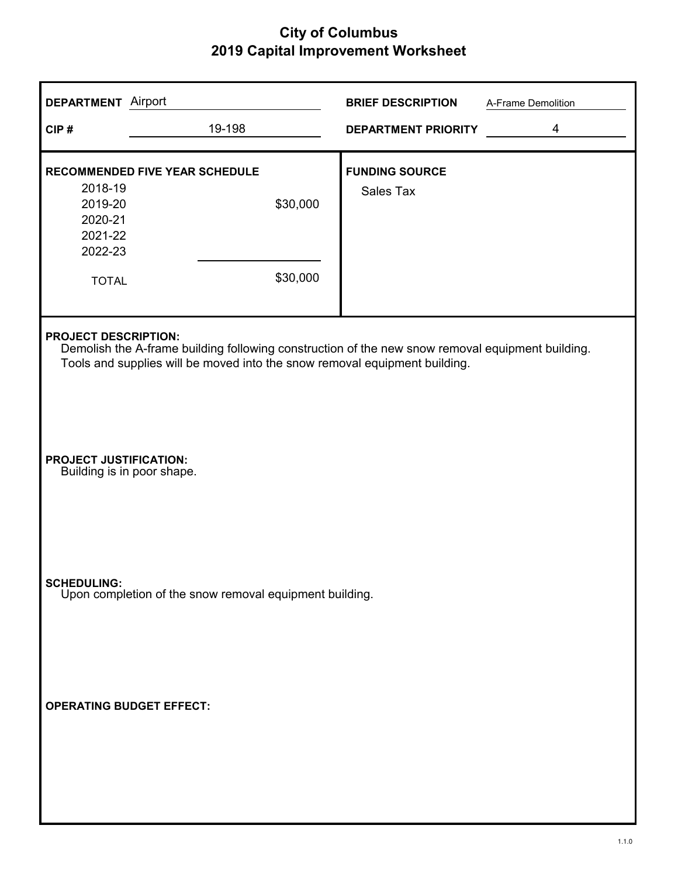| <b>DEPARTMENT</b> Airport                                           |                                                                                                                                                                                | <b>BRIEF DESCRIPTION</b>                  | A-Frame Demolition      |
|---------------------------------------------------------------------|--------------------------------------------------------------------------------------------------------------------------------------------------------------------------------|-------------------------------------------|-------------------------|
| CIP#                                                                | 19-198                                                                                                                                                                         | <b>DEPARTMENT PRIORITY</b>                | $\overline{\mathbf{4}}$ |
| 2018-19<br>2019-20<br>2020-21<br>2021-22<br>2022-23<br><b>TOTAL</b> | <b>RECOMMENDED FIVE YEAR SCHEDULE</b><br>\$30,000<br>\$30,000                                                                                                                  | <b>FUNDING SOURCE</b><br><b>Sales Tax</b> |                         |
| <b>PROJECT DESCRIPTION:</b>                                         | Demolish the A-frame building following construction of the new snow removal equipment building.<br>Tools and supplies will be moved into the snow removal equipment building. |                                           |                         |
| <b>PROJECT JUSTIFICATION:</b>                                       | Building is in poor shape.                                                                                                                                                     |                                           |                         |
|                                                                     | <b>SCHEDULING:</b><br>Upon completion of the snow removal equipment building.                                                                                                  |                                           |                         |
|                                                                     | <b>OPERATING BUDGET EFFECT:</b>                                                                                                                                                |                                           |                         |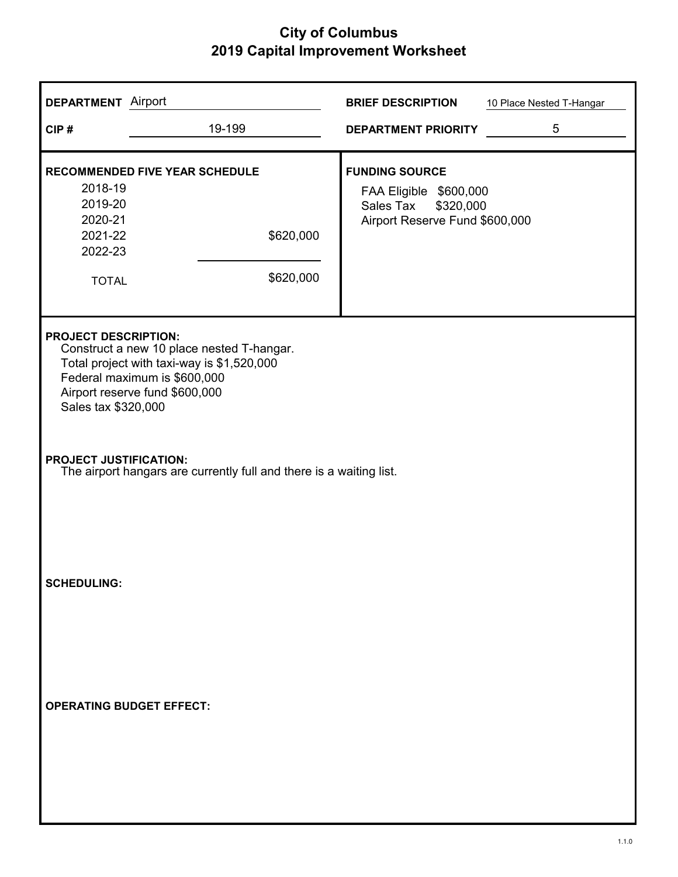| <b>DEPARTMENT</b> Airport                                           |                                                                                                                                                           | <b>BRIEF DESCRIPTION</b>                                                                                    | 10 Place Nested T-Hangar |
|---------------------------------------------------------------------|-----------------------------------------------------------------------------------------------------------------------------------------------------------|-------------------------------------------------------------------------------------------------------------|--------------------------|
| CIP#                                                                | 19-199                                                                                                                                                    | <b>DEPARTMENT PRIORITY</b>                                                                                  | 5                        |
| 2018-19<br>2019-20<br>2020-21<br>2021-22<br>2022-23<br><b>TOTAL</b> | RECOMMENDED FIVE YEAR SCHEDULE<br>\$620,000<br>\$620,000                                                                                                  | <b>FUNDING SOURCE</b><br>FAA Eligible \$600,000<br>\$320,000<br>Sales Tax<br>Airport Reserve Fund \$600,000 |                          |
| <b>PROJECT DESCRIPTION:</b><br>Sales tax \$320,000                  | Construct a new 10 place nested T-hangar.<br>Total project with taxi-way is \$1,520,000<br>Federal maximum is \$600,000<br>Airport reserve fund \$600,000 |                                                                                                             |                          |
| <b>PROJECT JUSTIFICATION:</b>                                       | The airport hangars are currently full and there is a waiting list.                                                                                       |                                                                                                             |                          |
| <b>SCHEDULING:</b>                                                  |                                                                                                                                                           |                                                                                                             |                          |
| <b>OPERATING BUDGET EFFECT:</b>                                     |                                                                                                                                                           |                                                                                                             |                          |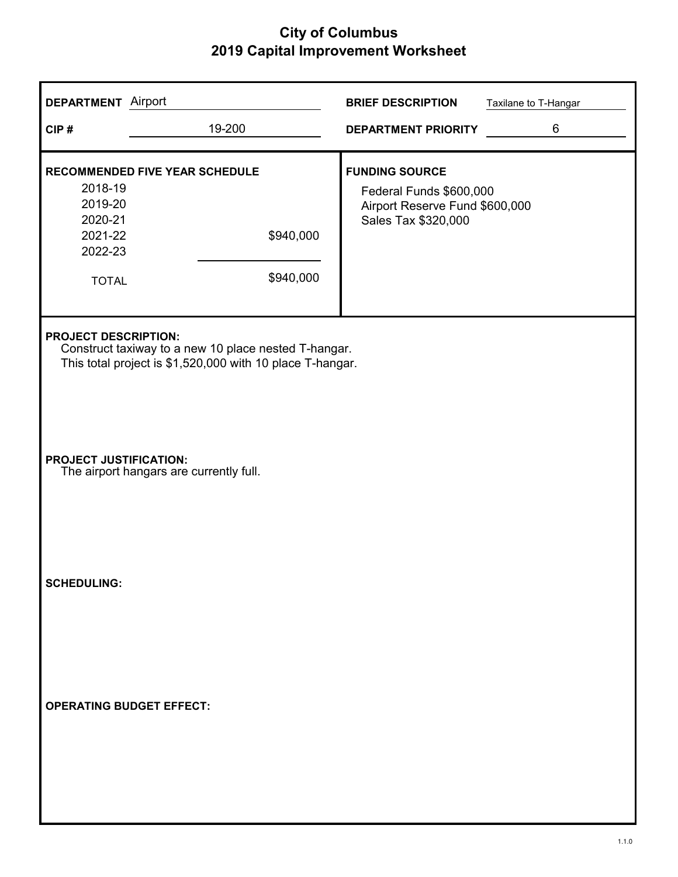| <b>DEPARTMENT</b> Airport                                           |                                                                                                                   | <b>BRIEF DESCRIPTION</b>                                                                                  | Taxilane to T-Hangar |
|---------------------------------------------------------------------|-------------------------------------------------------------------------------------------------------------------|-----------------------------------------------------------------------------------------------------------|----------------------|
| CIP#                                                                | 19-200                                                                                                            | <b>DEPARTMENT PRIORITY</b>                                                                                | 6                    |
| 2018-19<br>2019-20<br>2020-21<br>2021-22<br>2022-23<br><b>TOTAL</b> | RECOMMENDED FIVE YEAR SCHEDULE<br>\$940,000<br>\$940,000                                                          | <b>FUNDING SOURCE</b><br>Federal Funds \$600,000<br>Airport Reserve Fund \$600,000<br>Sales Tax \$320,000 |                      |
| <b>PROJECT DESCRIPTION:</b>                                         | Construct taxiway to a new 10 place nested T-hangar.<br>This total project is \$1,520,000 with 10 place T-hangar. |                                                                                                           |                      |
| <b>PROJECT JUSTIFICATION:</b>                                       | The airport hangars are currently full.                                                                           |                                                                                                           |                      |
| <b>SCHEDULING:</b>                                                  |                                                                                                                   |                                                                                                           |                      |
|                                                                     | <b>OPERATING BUDGET EFFECT:</b>                                                                                   |                                                                                                           |                      |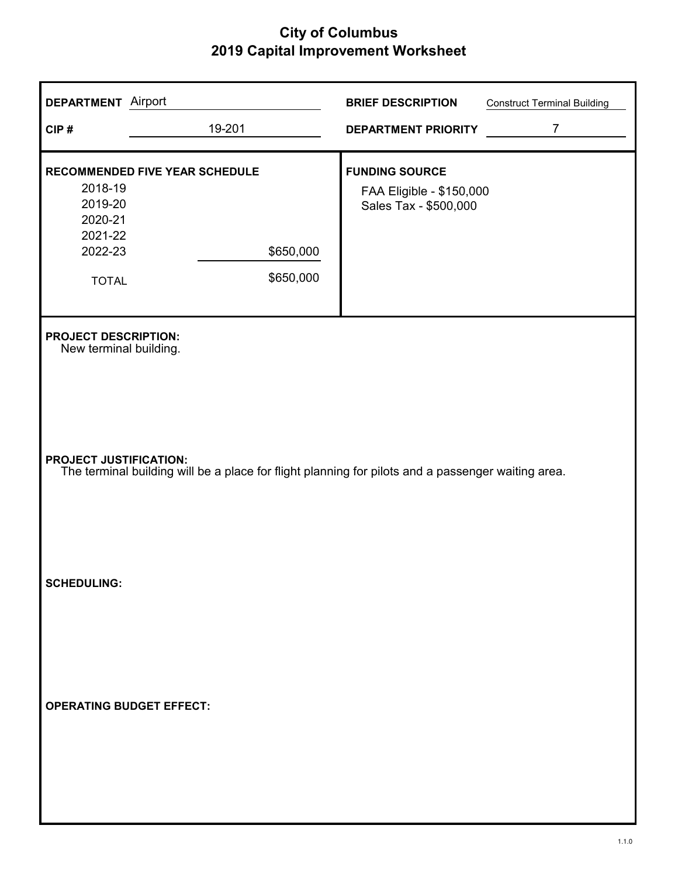| <b>DEPARTMENT</b> Airport                                           |                                                                                                                                     | <b>BRIEF DESCRIPTION</b>                                                   | <b>Construct Terminal Building</b> |  |  |
|---------------------------------------------------------------------|-------------------------------------------------------------------------------------------------------------------------------------|----------------------------------------------------------------------------|------------------------------------|--|--|
| CIP#                                                                | 19-201                                                                                                                              | <b>DEPARTMENT PRIORITY</b>                                                 | $\overline{7}$                     |  |  |
| 2018-19<br>2019-20<br>2020-21<br>2021-22<br>2022-23<br><b>TOTAL</b> | RECOMMENDED FIVE YEAR SCHEDULE<br>\$650,000<br>\$650,000                                                                            | <b>FUNDING SOURCE</b><br>FAA Eligible - \$150,000<br>Sales Tax - \$500,000 |                                    |  |  |
| <b>PROJECT DESCRIPTION:</b><br>New terminal building.               |                                                                                                                                     |                                                                            |                                    |  |  |
|                                                                     | <b>PROJECT JUSTIFICATION:</b><br>The terminal building will be a place for flight planning for pilots and a passenger waiting area. |                                                                            |                                    |  |  |
| <b>SCHEDULING:</b>                                                  |                                                                                                                                     |                                                                            |                                    |  |  |
| <b>OPERATING BUDGET EFFECT:</b>                                     |                                                                                                                                     |                                                                            |                                    |  |  |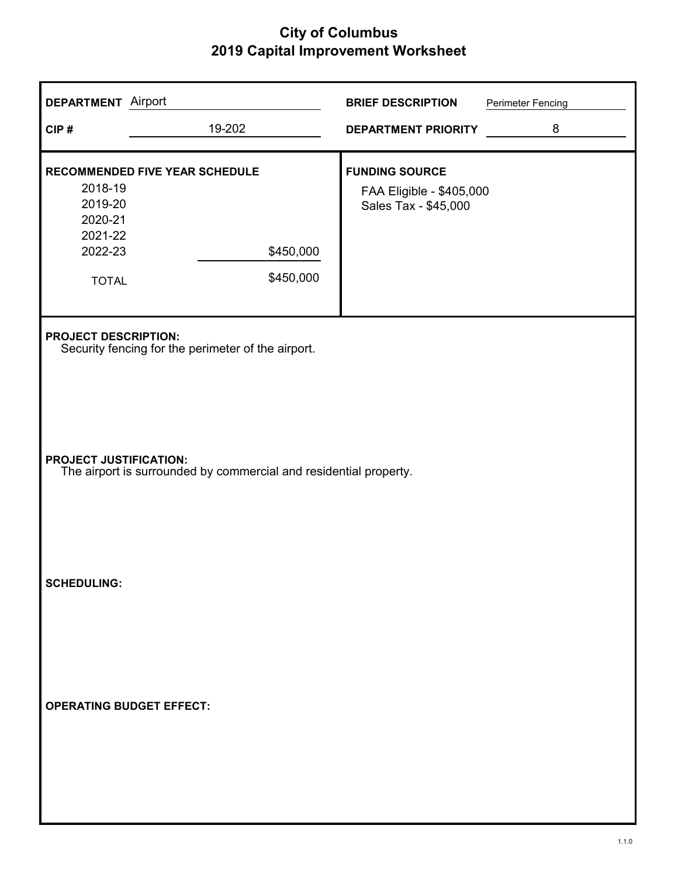| <b>DEPARTMENT</b> Airport                                                         |                                                                   | <b>BRIEF DESCRIPTION</b>                                                  | <b>Perimeter Fencing</b> |  |
|-----------------------------------------------------------------------------------|-------------------------------------------------------------------|---------------------------------------------------------------------------|--------------------------|--|
| CIP#                                                                              | 19-202                                                            | <b>DEPARTMENT PRIORITY</b>                                                | 8                        |  |
| 2018-19<br>2019-20<br>2020-21<br>2021-22<br>2022-23<br><b>TOTAL</b>               | RECOMMENDED FIVE YEAR SCHEDULE<br>\$450,000<br>\$450,000          | <b>FUNDING SOURCE</b><br>FAA Eligible - \$405,000<br>Sales Tax - \$45,000 |                          |  |
| <b>PROJECT DESCRIPTION:</b><br>Security fencing for the perimeter of the airport. |                                                                   |                                                                           |                          |  |
| <b>PROJECT JUSTIFICATION:</b>                                                     | The airport is surrounded by commercial and residential property. |                                                                           |                          |  |
| <b>SCHEDULING:</b>                                                                |                                                                   |                                                                           |                          |  |
| <b>OPERATING BUDGET EFFECT:</b>                                                   |                                                                   |                                                                           |                          |  |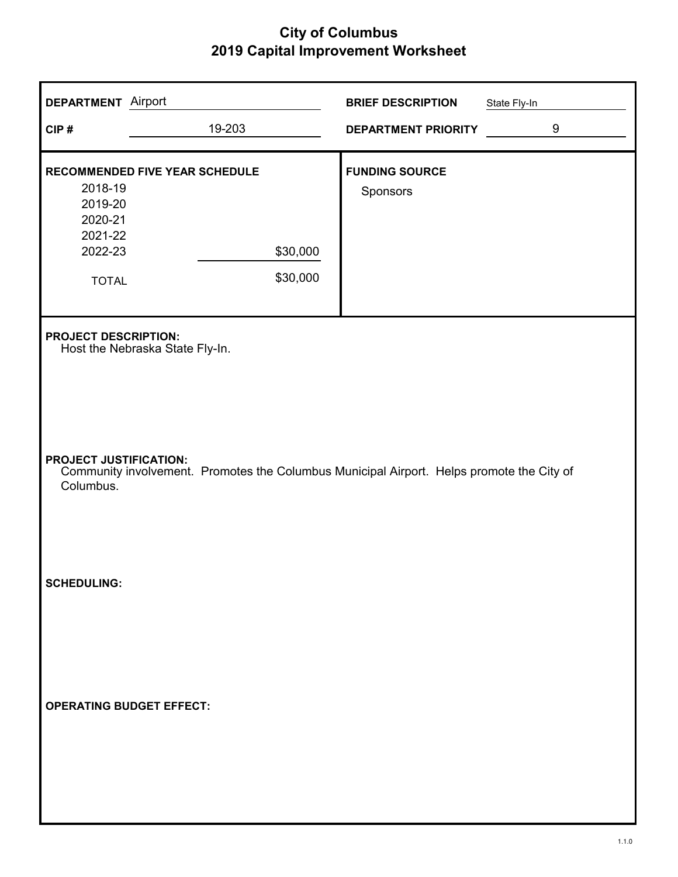| <b>DEPARTMENT</b> Airport                                           |                                                                                           | <b>BRIEF DESCRIPTION</b>          | State Fly-In |  |
|---------------------------------------------------------------------|-------------------------------------------------------------------------------------------|-----------------------------------|--------------|--|
| CIP#                                                                | 19-203                                                                                    | DEPARTMENT PRIORITY               | 9            |  |
| 2018-19<br>2019-20<br>2020-21<br>2021-22<br>2022-23<br><b>TOTAL</b> | RECOMMENDED FIVE YEAR SCHEDULE<br>\$30,000<br>\$30,000                                    | <b>FUNDING SOURCE</b><br>Sponsors |              |  |
| <b>PROJECT DESCRIPTION:</b><br>Host the Nebraska State Fly-In.      |                                                                                           |                                   |              |  |
| <b>PROJECT JUSTIFICATION:</b><br>Columbus.                          | Community involvement. Promotes the Columbus Municipal Airport. Helps promote the City of |                                   |              |  |
| <b>SCHEDULING:</b>                                                  |                                                                                           |                                   |              |  |
| <b>OPERATING BUDGET EFFECT:</b>                                     |                                                                                           |                                   |              |  |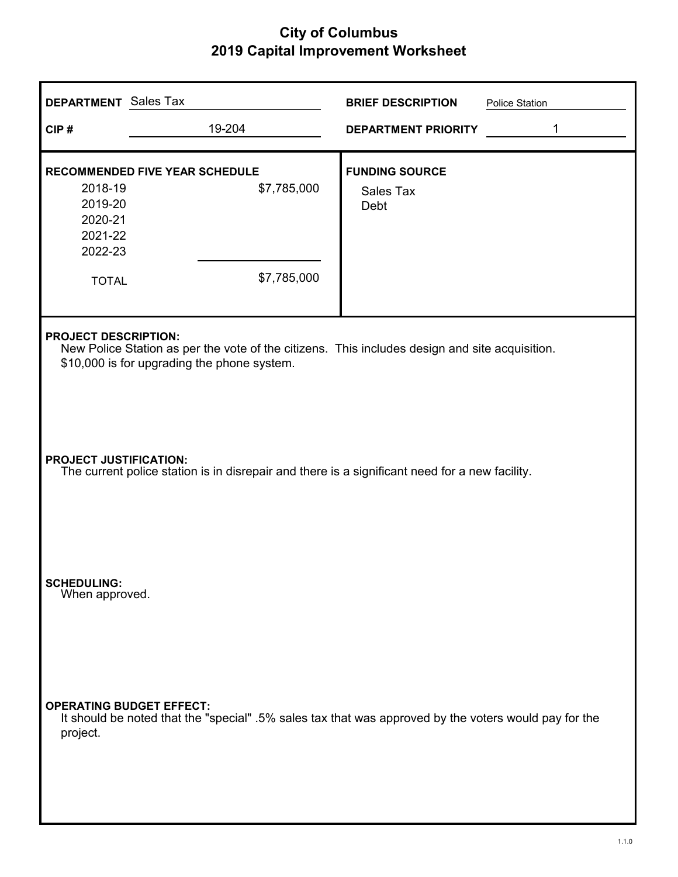| <b>DEPARTMENT</b> Sales Tax                                                                                                     |                                                                                                                                               | <b>BRIEF DESCRIPTION</b>                          | Police Station |  |
|---------------------------------------------------------------------------------------------------------------------------------|-----------------------------------------------------------------------------------------------------------------------------------------------|---------------------------------------------------|----------------|--|
| CIP#                                                                                                                            | 19-204                                                                                                                                        | <b>DEPARTMENT PRIORITY</b>                        | 1              |  |
| 2018-19<br>2019-20<br>2020-21<br>2021-22<br>2022-23<br><b>TOTAL</b>                                                             | <b>RECOMMENDED FIVE YEAR SCHEDULE</b><br>\$7,785,000<br>\$7,785,000                                                                           | <b>FUNDING SOURCE</b><br><b>Sales Tax</b><br>Debt |                |  |
| <b>PROJECT DESCRIPTION:</b>                                                                                                     | New Police Station as per the vote of the citizens. This includes design and site acquisition.<br>\$10,000 is for upgrading the phone system. |                                                   |                |  |
| <b>PROJECT JUSTIFICATION:</b><br>The current police station is in disrepair and there is a significant need for a new facility. |                                                                                                                                               |                                                   |                |  |
| <b>SCHEDULING:</b><br>When approved.                                                                                            |                                                                                                                                               |                                                   |                |  |
| <b>OPERATING BUDGET EFFECT:</b><br>project.                                                                                     | It should be noted that the "special" .5% sales tax that was approved by the voters would pay for the                                         |                                                   |                |  |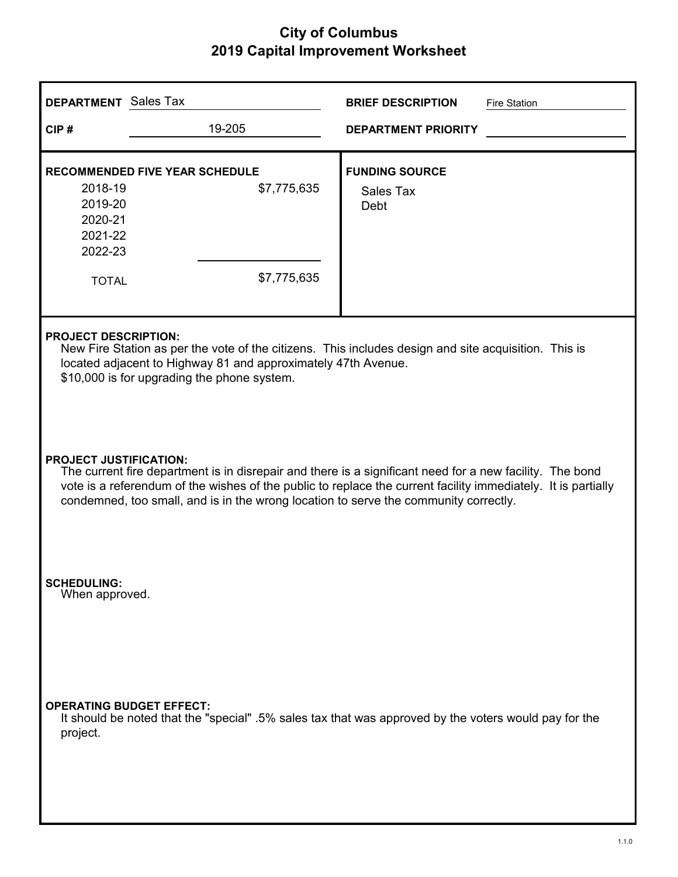| <b>DEPARTMENT</b> Sales Tax                                                                                                                                                                                                                                                                                                                        |                                                                     | <b>BRIEF DESCRIPTION</b><br><b>Fire Station</b>                                                       |  |  |
|----------------------------------------------------------------------------------------------------------------------------------------------------------------------------------------------------------------------------------------------------------------------------------------------------------------------------------------------------|---------------------------------------------------------------------|-------------------------------------------------------------------------------------------------------|--|--|
| CIP#                                                                                                                                                                                                                                                                                                                                               | 19-205                                                              | <b>DEPARTMENT PRIORITY</b>                                                                            |  |  |
| 2018-19<br>2019-20<br>2020-21<br>2021-22<br>2022-23<br><b>TOTAL</b>                                                                                                                                                                                                                                                                                | <b>RECOMMENDED FIVE YEAR SCHEDULE</b><br>\$7,775,635<br>\$7,775,635 | <b>FUNDING SOURCE</b><br><b>Sales Tax</b><br>Debt                                                     |  |  |
| <b>PROJECT DESCRIPTION:</b><br>New Fire Station as per the vote of the citizens. This includes design and site acquisition. This is<br>located adjacent to Highway 81 and approximately 47th Avenue.<br>\$10,000 is for upgrading the phone system.                                                                                                |                                                                     |                                                                                                       |  |  |
| <b>PROJECT JUSTIFICATION:</b><br>The current fire department is in disrepair and there is a significant need for a new facility. The bond<br>vote is a referendum of the wishes of the public to replace the current facility immediately. It is partially<br>condemned, too small, and is in the wrong location to serve the community correctly. |                                                                     |                                                                                                       |  |  |
| <b>SCHEDULING:</b><br>When approved.                                                                                                                                                                                                                                                                                                               |                                                                     |                                                                                                       |  |  |
| <b>OPERATING BUDGET EFFECT:</b><br>project.                                                                                                                                                                                                                                                                                                        |                                                                     | It should be noted that the "special" .5% sales tax that was approved by the voters would pay for the |  |  |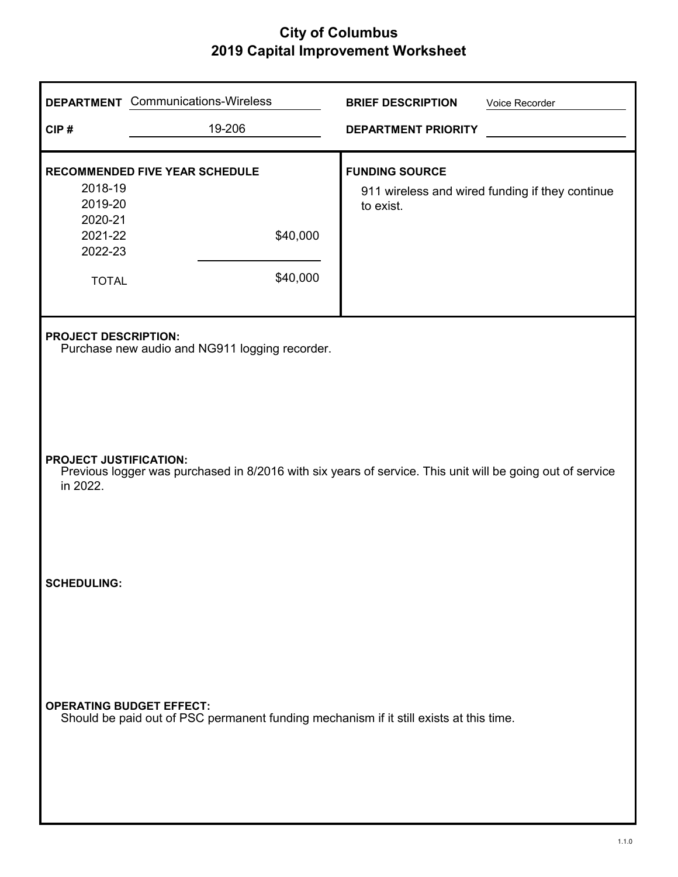| CIP#                                                                                                                                                   | <b>DEPARTMENT</b> Communications-Wireless<br>19-206                                                                       | <b>BRIEF DESCRIPTION</b><br><b>DEPARTMENT PRIORITY</b> | Voice Recorder                                  |  |
|--------------------------------------------------------------------------------------------------------------------------------------------------------|---------------------------------------------------------------------------------------------------------------------------|--------------------------------------------------------|-------------------------------------------------|--|
| 2018-19<br>2019-20<br>2020-21<br>2021-22<br>2022-23<br><b>TOTAL</b>                                                                                    | RECOMMENDED FIVE YEAR SCHEDULE<br>\$40,000<br>\$40,000                                                                    | <b>FUNDING SOURCE</b><br>to exist.                     | 911 wireless and wired funding if they continue |  |
| <b>PROJECT DESCRIPTION:</b><br>Purchase new audio and NG911 logging recorder.                                                                          |                                                                                                                           |                                                        |                                                 |  |
| <b>PROJECT JUSTIFICATION:</b><br>Previous logger was purchased in 8/2016 with six years of service. This unit will be going out of service<br>in 2022. |                                                                                                                           |                                                        |                                                 |  |
| <b>SCHEDULING:</b>                                                                                                                                     |                                                                                                                           |                                                        |                                                 |  |
|                                                                                                                                                        | <b>OPERATING BUDGET EFFECT:</b><br>Should be paid out of PSC permanent funding mechanism if it still exists at this time. |                                                        |                                                 |  |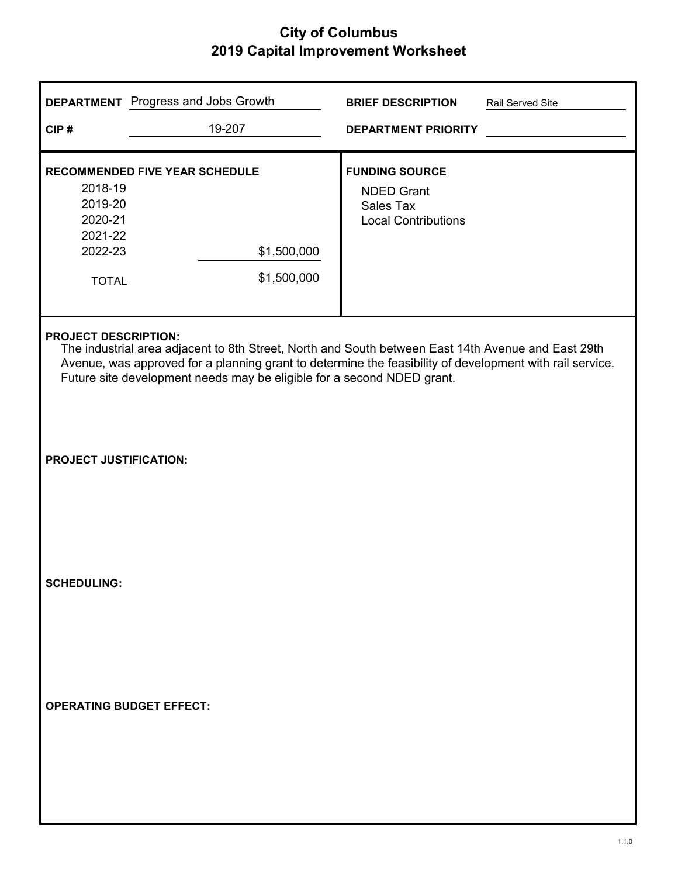|                                                                     | <b>DEPARTMENT</b> Progress and Jobs Growth                                                                                                                                                                                                                                               | <b>BRIEF DESCRIPTION</b>                                                                     | Rail Served Site |
|---------------------------------------------------------------------|------------------------------------------------------------------------------------------------------------------------------------------------------------------------------------------------------------------------------------------------------------------------------------------|----------------------------------------------------------------------------------------------|------------------|
| CIP#                                                                | 19-207                                                                                                                                                                                                                                                                                   | <b>DEPARTMENT PRIORITY</b>                                                                   |                  |
| 2018-19<br>2019-20<br>2020-21<br>2021-22<br>2022-23<br><b>TOTAL</b> | <b>RECOMMENDED FIVE YEAR SCHEDULE</b><br>\$1,500,000<br>\$1,500,000                                                                                                                                                                                                                      | <b>FUNDING SOURCE</b><br><b>NDED Grant</b><br><b>Sales Tax</b><br><b>Local Contributions</b> |                  |
| <b>PROJECT DESCRIPTION:</b>                                         | The industrial area adjacent to 8th Street, North and South between East 14th Avenue and East 29th<br>Avenue, was approved for a planning grant to determine the feasibility of development with rail service.<br>Future site development needs may be eligible for a second NDED grant. |                                                                                              |                  |
| <b>PROJECT JUSTIFICATION:</b>                                       |                                                                                                                                                                                                                                                                                          |                                                                                              |                  |
| <b>SCHEDULING:</b>                                                  |                                                                                                                                                                                                                                                                                          |                                                                                              |                  |
| <b>OPERATING BUDGET EFFECT:</b>                                     |                                                                                                                                                                                                                                                                                          |                                                                                              |                  |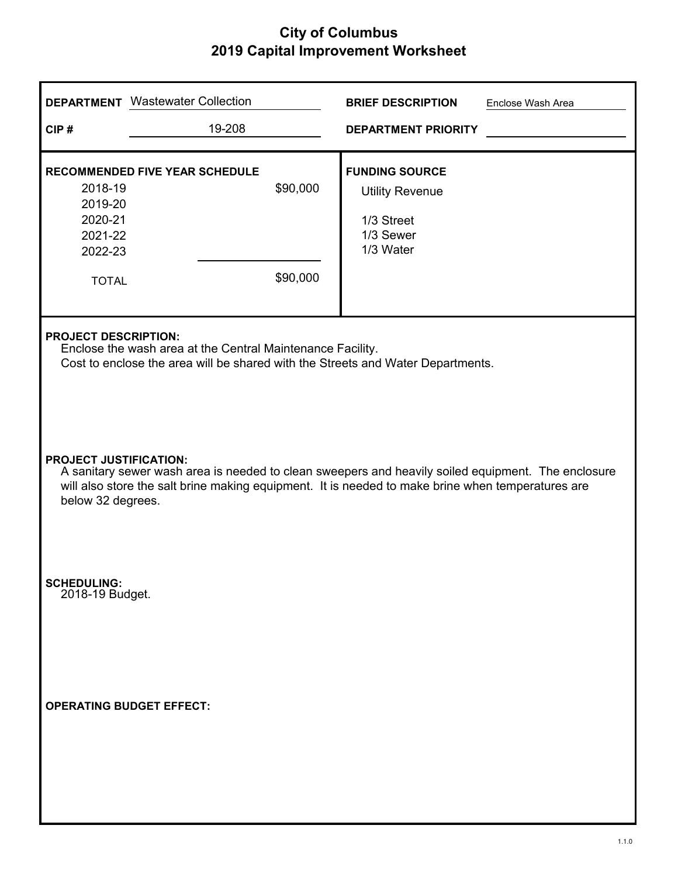|                                                                     | <b>DEPARTMENT</b> Wastewater Collection                                                                                                                                                                 |                      | <b>BRIEF DESCRIPTION</b>                                                                | Enclose Wash Area |
|---------------------------------------------------------------------|---------------------------------------------------------------------------------------------------------------------------------------------------------------------------------------------------------|----------------------|-----------------------------------------------------------------------------------------|-------------------|
| CIP#                                                                | 19-208                                                                                                                                                                                                  |                      | <b>DEPARTMENT PRIORITY</b>                                                              |                   |
| 2018-19<br>2019-20<br>2020-21<br>2021-22<br>2022-23<br><b>TOTAL</b> | <b>RECOMMENDED FIVE YEAR SCHEDULE</b>                                                                                                                                                                   | \$90,000<br>\$90,000 | <b>FUNDING SOURCE</b><br><b>Utility Revenue</b><br>1/3 Street<br>1/3 Sewer<br>1/3 Water |                   |
| <b>PROJECT DESCRIPTION:</b>                                         | Enclose the wash area at the Central Maintenance Facility.<br>Cost to enclose the area will be shared with the Streets and Water Departments.                                                           |                      |                                                                                         |                   |
| <b>PROJECT JUSTIFICATION:</b><br>below 32 degrees.                  | A sanitary sewer wash area is needed to clean sweepers and heavily soiled equipment. The enclosure<br>will also store the salt brine making equipment. It is needed to make brine when temperatures are |                      |                                                                                         |                   |
| <b>SCHEDULING:</b><br>2018-19 Budget.                               |                                                                                                                                                                                                         |                      |                                                                                         |                   |
|                                                                     | <b>OPERATING BUDGET EFFECT:</b>                                                                                                                                                                         |                      |                                                                                         |                   |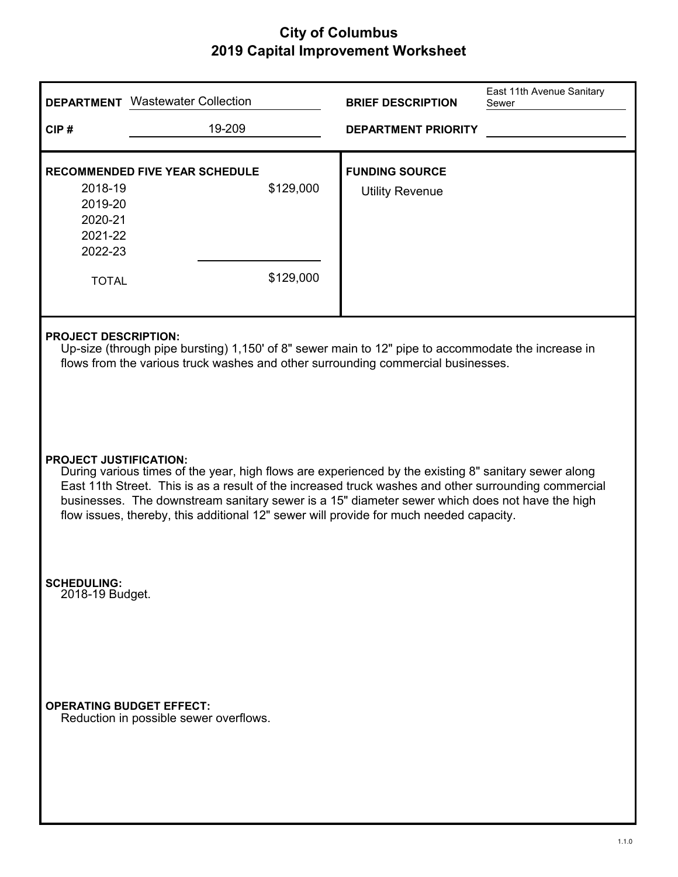|                                                                                                                                                                                                                                                                                                                                                                                                                                           | <b>DEPARTMENT</b> Wastewater Collection                                   |                        | <b>BRIEF DESCRIPTION</b>                        | East 11th Avenue Sanitary<br>Sewer |
|-------------------------------------------------------------------------------------------------------------------------------------------------------------------------------------------------------------------------------------------------------------------------------------------------------------------------------------------------------------------------------------------------------------------------------------------|---------------------------------------------------------------------------|------------------------|-------------------------------------------------|------------------------------------|
| CIP#                                                                                                                                                                                                                                                                                                                                                                                                                                      | 19-209                                                                    |                        | <b>DEPARTMENT PRIORITY</b>                      |                                    |
| 2018-19<br>2019-20<br>2020-21<br>2021-22<br>2022-23<br><b>TOTAL</b>                                                                                                                                                                                                                                                                                                                                                                       | <b>RECOMMENDED FIVE YEAR SCHEDULE</b>                                     | \$129,000<br>\$129,000 | <b>FUNDING SOURCE</b><br><b>Utility Revenue</b> |                                    |
| <b>PROJECT DESCRIPTION:</b><br>Up-size (through pipe bursting) 1,150' of 8" sewer main to 12" pipe to accommodate the increase in<br>flows from the various truck washes and other surrounding commercial businesses.                                                                                                                                                                                                                     |                                                                           |                        |                                                 |                                    |
| <b>PROJECT JUSTIFICATION:</b><br>During various times of the year, high flows are experienced by the existing 8" sanitary sewer along<br>East 11th Street. This is as a result of the increased truck washes and other surrounding commercial<br>businesses. The downstream sanitary sewer is a 15" diameter sewer which does not have the high<br>flow issues, thereby, this additional 12" sewer will provide for much needed capacity. |                                                                           |                        |                                                 |                                    |
| <b>SCHEDULING:</b><br>2018-19 Budget.                                                                                                                                                                                                                                                                                                                                                                                                     |                                                                           |                        |                                                 |                                    |
|                                                                                                                                                                                                                                                                                                                                                                                                                                           | <b>OPERATING BUDGET EFFECT:</b><br>Reduction in possible sewer overflows. |                        |                                                 |                                    |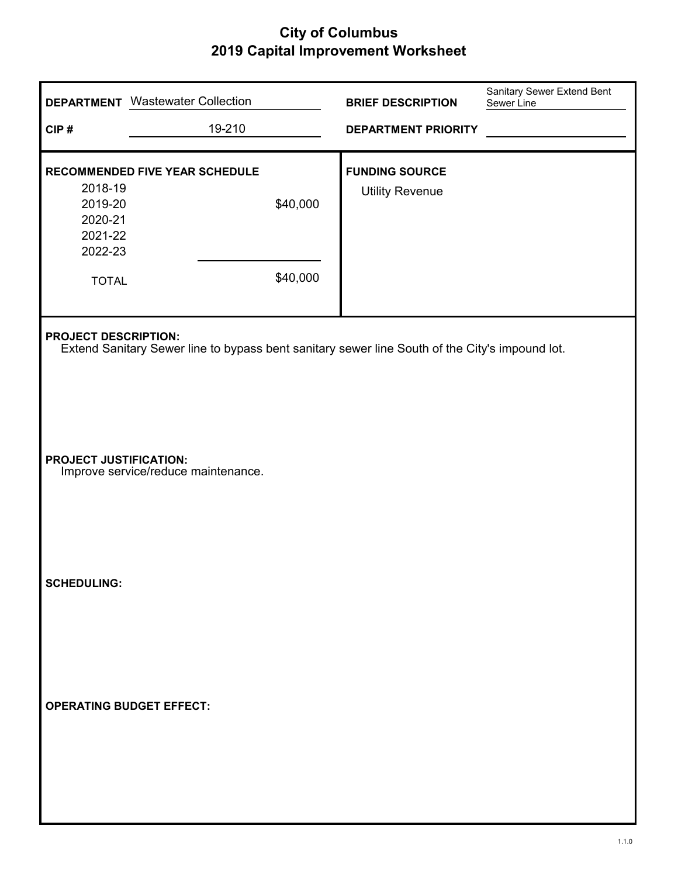| CIP#                                                                | <b>DEPARTMENT</b> Wastewater Collection<br>19-210                                              |                      | <b>BRIEF DESCRIPTION</b><br><b>DEPARTMENT PRIORITY</b> | Sanitary Sewer Extend Bent<br>Sewer Line |
|---------------------------------------------------------------------|------------------------------------------------------------------------------------------------|----------------------|--------------------------------------------------------|------------------------------------------|
| 2018-19<br>2019-20<br>2020-21<br>2021-22<br>2022-23<br><b>TOTAL</b> | <b>RECOMMENDED FIVE YEAR SCHEDULE</b>                                                          | \$40,000<br>\$40,000 | <b>FUNDING SOURCE</b><br><b>Utility Revenue</b>        |                                          |
| <b>PROJECT DESCRIPTION:</b>                                         | Extend Sanitary Sewer line to bypass bent sanitary sewer line South of the City's impound lot. |                      |                                                        |                                          |
| <b>PROJECT JUSTIFICATION:</b>                                       | Improve service/reduce maintenance.                                                            |                      |                                                        |                                          |
| <b>SCHEDULING:</b>                                                  |                                                                                                |                      |                                                        |                                          |
| <b>OPERATING BUDGET EFFECT:</b>                                     |                                                                                                |                      |                                                        |                                          |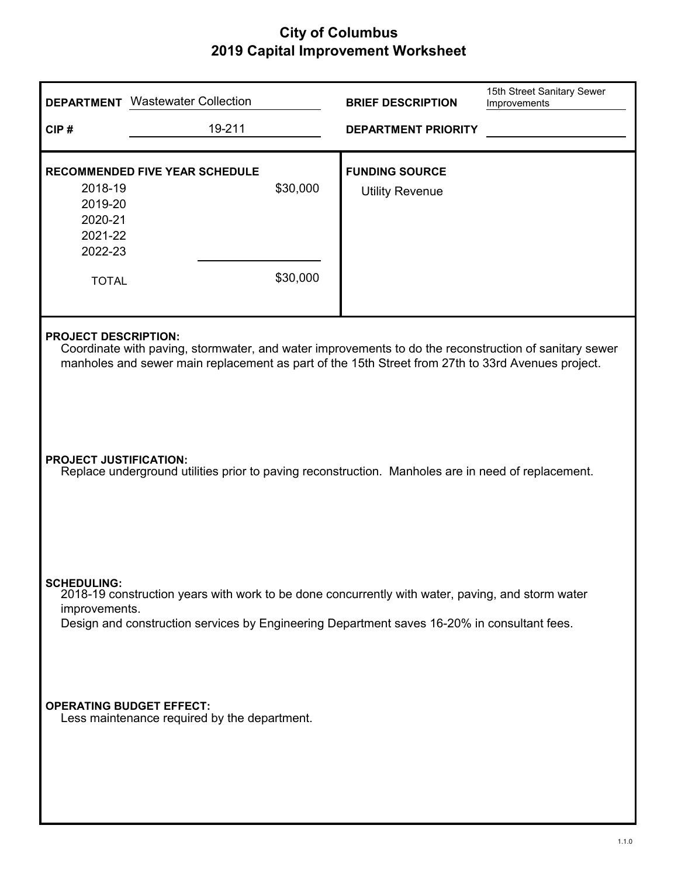|                                                                     | <b>DEPARTMENT</b> Wastewater Collection                                                                                                                                                                                                   |                      | <b>BRIEF DESCRIPTION</b>                        | 15th Street Sanitary Sewer<br>Improvements |
|---------------------------------------------------------------------|-------------------------------------------------------------------------------------------------------------------------------------------------------------------------------------------------------------------------------------------|----------------------|-------------------------------------------------|--------------------------------------------|
| CIP#                                                                | 19-211                                                                                                                                                                                                                                    |                      | <b>DEPARTMENT PRIORITY</b>                      |                                            |
| 2018-19<br>2019-20<br>2020-21<br>2021-22<br>2022-23<br><b>TOTAL</b> | <b>RECOMMENDED FIVE YEAR SCHEDULE</b>                                                                                                                                                                                                     | \$30,000<br>\$30,000 | <b>FUNDING SOURCE</b><br><b>Utility Revenue</b> |                                            |
|                                                                     | <b>PROJECT DESCRIPTION:</b><br>Coordinate with paving, stormwater, and water improvements to do the reconstruction of sanitary sewer<br>manholes and sewer main replacement as part of the 15th Street from 27th to 33rd Avenues project. |                      |                                                 |                                            |
| <b>PROJECT JUSTIFICATION:</b>                                       | Replace underground utilities prior to paving reconstruction. Manholes are in need of replacement.                                                                                                                                        |                      |                                                 |                                            |
| <b>SCHEDULING:</b><br>improvements.                                 | 2018-19 construction years with work to be done concurrently with water, paving, and storm water<br>Design and construction services by Engineering Department saves 16-20% in consultant fees.                                           |                      |                                                 |                                            |
| <b>OPERATING BUDGET EFFECT:</b>                                     | Less maintenance required by the department.                                                                                                                                                                                              |                      |                                                 |                                            |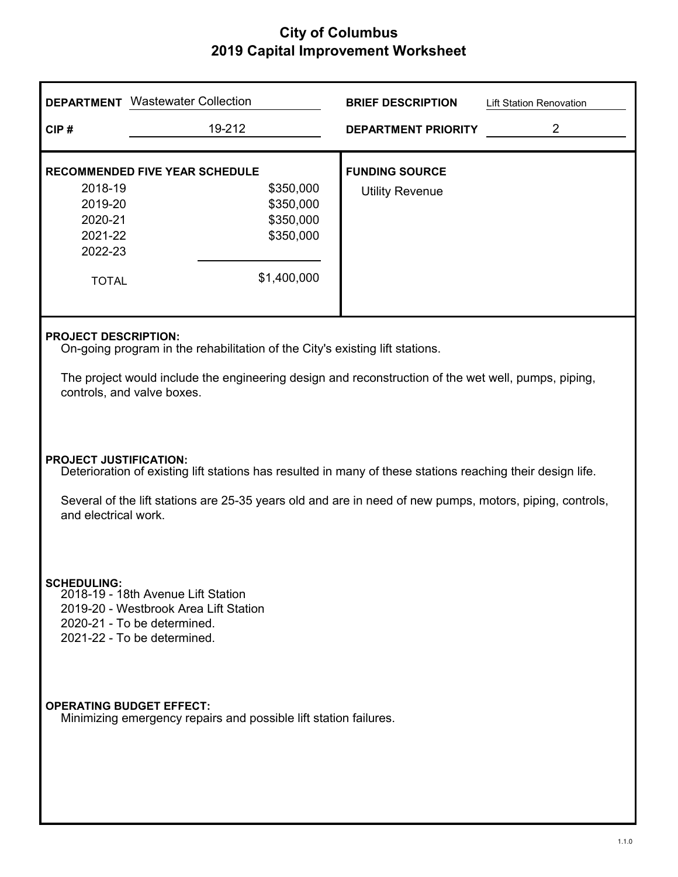|                                                       | <b>DEPARTMENT</b> Wastewater Collection                                                                                                                                                                                                          | <b>BRIEF DESCRIPTION</b>                        | <b>Lift Station Renovation</b> |  |
|-------------------------------------------------------|--------------------------------------------------------------------------------------------------------------------------------------------------------------------------------------------------------------------------------------------------|-------------------------------------------------|--------------------------------|--|
| CIP#                                                  | 19-212                                                                                                                                                                                                                                           | <b>DEPARTMENT PRIORITY</b>                      | $\overline{2}$                 |  |
| 2018-19<br>2019-20<br>2020-21<br>2021-22<br>2022-23   | <b>RECOMMENDED FIVE YEAR SCHEDULE</b><br>\$350,000<br>\$350,000<br>\$350,000<br>\$350,000                                                                                                                                                        | <b>FUNDING SOURCE</b><br><b>Utility Revenue</b> |                                |  |
| <b>TOTAL</b>                                          | \$1,400,000                                                                                                                                                                                                                                      |                                                 |                                |  |
|                                                       | <b>PROJECT DESCRIPTION:</b><br>On-going program in the rehabilitation of the City's existing lift stations.<br>The project would include the engineering design and reconstruction of the wet well, pumps, piping,<br>controls, and valve boxes. |                                                 |                                |  |
| <b>PROJECT JUSTIFICATION:</b><br>and electrical work. | Deterioration of existing lift stations has resulted in many of these stations reaching their design life.<br>Several of the lift stations are 25-35 years old and are in need of new pumps, motors, piping, controls,                           |                                                 |                                |  |
| <b>SCHEDULING</b>                                     | 2018-19 - 18th Avenue Lift Station<br>2019-20 - Westbrook Area Lift Station<br>2020-21 - To be determined.<br>2021-22 - To be determined.                                                                                                        |                                                 |                                |  |
|                                                       | <b>OPERATING BUDGET EFFECT:</b><br>Minimizing emergency repairs and possible lift station failures.                                                                                                                                              |                                                 |                                |  |
|                                                       |                                                                                                                                                                                                                                                  |                                                 |                                |  |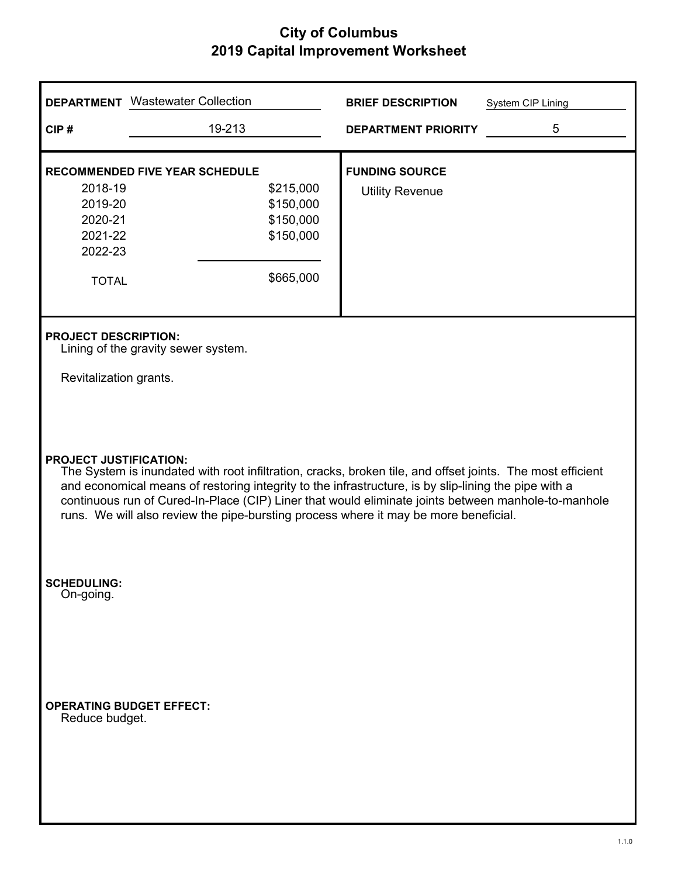|                                                                                                                                                                                                                                                                                                                                                                                                                                                    | <b>DEPARTMENT</b> Wastewater Collection                                                                | <b>BRIEF DESCRIPTION</b>                        | System CIP Lining |
|----------------------------------------------------------------------------------------------------------------------------------------------------------------------------------------------------------------------------------------------------------------------------------------------------------------------------------------------------------------------------------------------------------------------------------------------------|--------------------------------------------------------------------------------------------------------|-------------------------------------------------|-------------------|
| CIP#                                                                                                                                                                                                                                                                                                                                                                                                                                               | 19-213                                                                                                 | <b>DEPARTMENT PRIORITY</b>                      | 5                 |
| 2018-19<br>2019-20<br>2020-21<br>2021-22<br>2022-23<br><b>TOTAL</b>                                                                                                                                                                                                                                                                                                                                                                                | <b>RECOMMENDED FIVE YEAR SCHEDULE</b><br>\$215,000<br>\$150,000<br>\$150,000<br>\$150,000<br>\$665,000 | <b>FUNDING SOURCE</b><br><b>Utility Revenue</b> |                   |
| <b>PROJECT DESCRIPTION:</b><br>Revitalization grants.                                                                                                                                                                                                                                                                                                                                                                                              | Lining of the gravity sewer system.                                                                    |                                                 |                   |
| <b>PROJECT JUSTIFICATION:</b><br>The System is inundated with root infiltration, cracks, broken tile, and offset joints. The most efficient<br>and economical means of restoring integrity to the infrastructure, is by slip-lining the pipe with a<br>continuous run of Cured-In-Place (CIP) Liner that would eliminate joints between manhole-to-manhole<br>runs. We will also review the pipe-bursting process where it may be more beneficial. |                                                                                                        |                                                 |                   |
| <b>SCHEDULING:</b><br>On-going.                                                                                                                                                                                                                                                                                                                                                                                                                    |                                                                                                        |                                                 |                   |
| Reduce budget.                                                                                                                                                                                                                                                                                                                                                                                                                                     | <b>OPERATING BUDGET EFFECT:</b>                                                                        |                                                 |                   |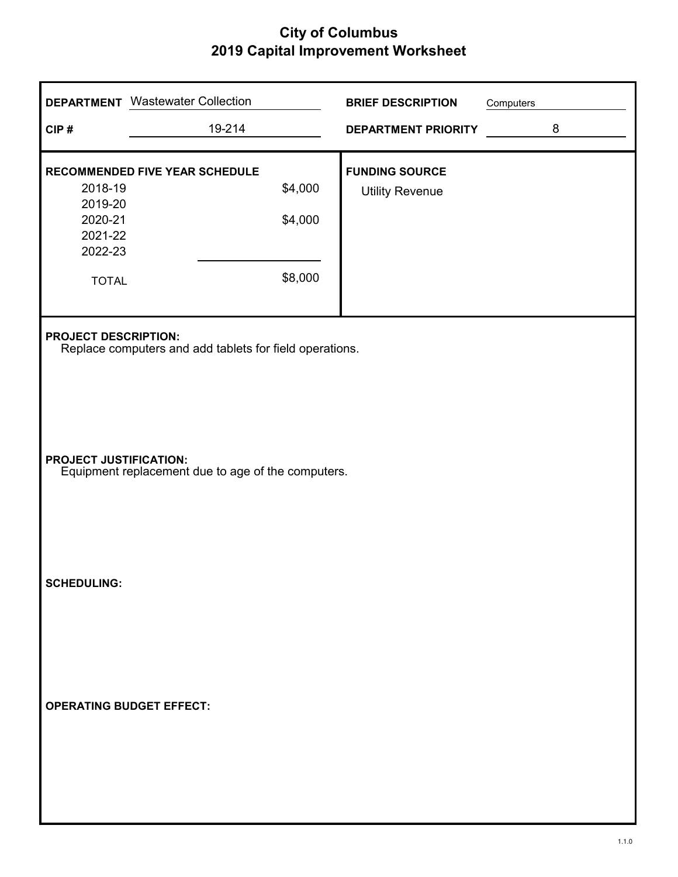|                                                                     | <b>DEPARTMENT</b> Wastewater Collection                 |                               | <b>BRIEF DESCRIPTION</b>                        | Computers |   |
|---------------------------------------------------------------------|---------------------------------------------------------|-------------------------------|-------------------------------------------------|-----------|---|
| CIP#                                                                | 19-214                                                  |                               | <b>DEPARTMENT PRIORITY</b>                      |           | 8 |
| 2018-19<br>2019-20<br>2020-21<br>2021-22<br>2022-23<br><b>TOTAL</b> | RECOMMENDED FIVE YEAR SCHEDULE                          | \$4,000<br>\$4,000<br>\$8,000 | <b>FUNDING SOURCE</b><br><b>Utility Revenue</b> |           |   |
| <b>PROJECT DESCRIPTION:</b>                                         | Replace computers and add tablets for field operations. |                               |                                                 |           |   |
| <b>PROJECT JUSTIFICATION:</b>                                       | Equipment replacement due to age of the computers.      |                               |                                                 |           |   |
| <b>SCHEDULING:</b>                                                  |                                                         |                               |                                                 |           |   |
|                                                                     | <b>OPERATING BUDGET EFFECT:</b>                         |                               |                                                 |           |   |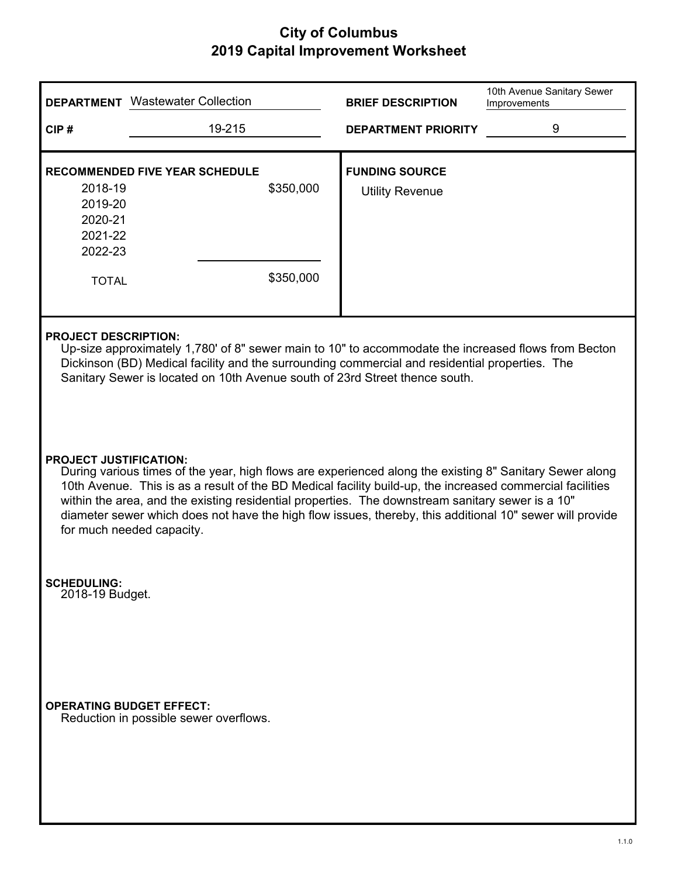|                                                                                                                                                                                                                                                                                                                     | <b>DEPARTMENT</b> Wastewater Collection                                                                                                                                                                                                                                                                                                                                                                                                                                                            | <b>BRIEF DESCRIPTION</b>                        | 10th Avenue Sanitary Sewer<br>Improvements |
|---------------------------------------------------------------------------------------------------------------------------------------------------------------------------------------------------------------------------------------------------------------------------------------------------------------------|----------------------------------------------------------------------------------------------------------------------------------------------------------------------------------------------------------------------------------------------------------------------------------------------------------------------------------------------------------------------------------------------------------------------------------------------------------------------------------------------------|-------------------------------------------------|--------------------------------------------|
| CIP#                                                                                                                                                                                                                                                                                                                | 19-215                                                                                                                                                                                                                                                                                                                                                                                                                                                                                             | <b>DEPARTMENT PRIORITY</b>                      | 9                                          |
| 2018-19<br>2019-20<br>2020-21<br>2021-22<br>2022-23<br><b>TOTAL</b>                                                                                                                                                                                                                                                 | <b>RECOMMENDED FIVE YEAR SCHEDULE</b><br>\$350,000<br>\$350,000                                                                                                                                                                                                                                                                                                                                                                                                                                    | <b>FUNDING SOURCE</b><br><b>Utility Revenue</b> |                                            |
| <b>PROJECT DESCRIPTION:</b><br>Up-size approximately 1,780' of 8" sewer main to 10" to accommodate the increased flows from Becton<br>Dickinson (BD) Medical facility and the surrounding commercial and residential properties. The<br>Sanitary Sewer is located on 10th Avenue south of 23rd Street thence south. |                                                                                                                                                                                                                                                                                                                                                                                                                                                                                                    |                                                 |                                            |
|                                                                                                                                                                                                                                                                                                                     | <b>PROJECT JUSTIFICATION:</b><br>During various times of the year, high flows are experienced along the existing 8" Sanitary Sewer along<br>10th Avenue. This is as a result of the BD Medical facility build-up, the increased commercial facilities<br>within the area, and the existing residential properties. The downstream sanitary sewer is a 10"<br>diameter sewer which does not have the high flow issues, thereby, this additional 10" sewer will provide<br>for much needed capacity. |                                                 |                                            |
| <b>SCHEDULING:</b><br>2018-19 Budget.                                                                                                                                                                                                                                                                               |                                                                                                                                                                                                                                                                                                                                                                                                                                                                                                    |                                                 |                                            |
|                                                                                                                                                                                                                                                                                                                     | <b>OPERATING BUDGET EFFECT:</b><br>Reduction in possible sewer overflows.                                                                                                                                                                                                                                                                                                                                                                                                                          |                                                 |                                            |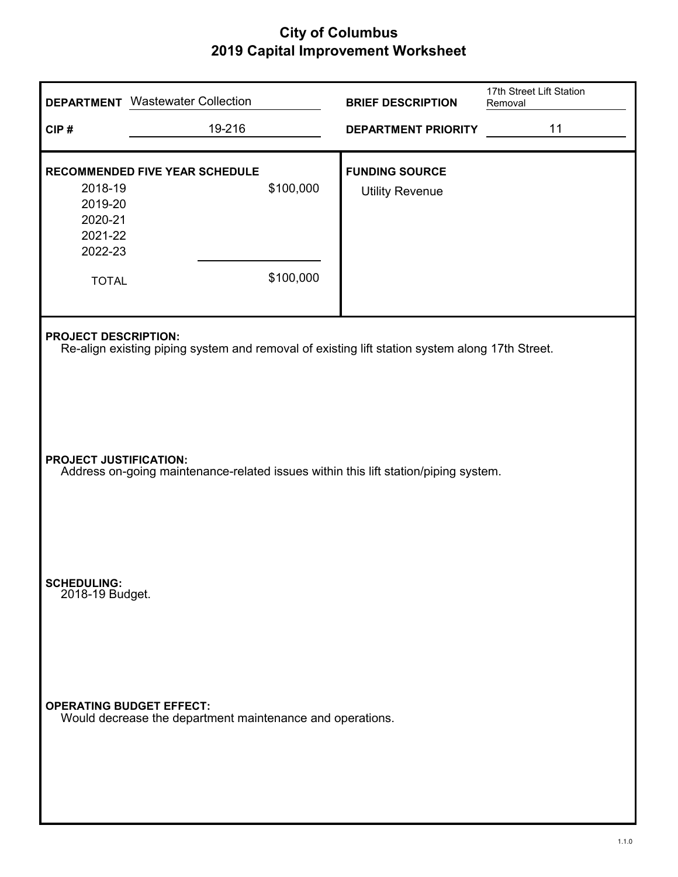|                                                                     | <b>DEPARTMENT</b> Wastewater Collection                                                        |                        | <b>BRIEF DESCRIPTION</b>                        | 17th Street Lift Station<br>Removal |
|---------------------------------------------------------------------|------------------------------------------------------------------------------------------------|------------------------|-------------------------------------------------|-------------------------------------|
| CIP#                                                                | 19-216                                                                                         |                        | <b>DEPARTMENT PRIORITY</b>                      | 11                                  |
| 2018-19<br>2019-20<br>2020-21<br>2021-22<br>2022-23<br><b>TOTAL</b> | RECOMMENDED FIVE YEAR SCHEDULE                                                                 | \$100,000<br>\$100,000 | <b>FUNDING SOURCE</b><br><b>Utility Revenue</b> |                                     |
| <b>PROJECT DESCRIPTION:</b>                                         | Re-align existing piping system and removal of existing lift station system along 17th Street. |                        |                                                 |                                     |
| PROJECT JUSTIFICATION:                                              | Address on-going maintenance-related issues within this lift station/piping system.            |                        |                                                 |                                     |
| <b>SCHEDULING:</b><br>2018-19 Budget.                               |                                                                                                |                        |                                                 |                                     |
|                                                                     | <b>OPERATING BUDGET EFFECT:</b><br>Would decrease the department maintenance and operations.   |                        |                                                 |                                     |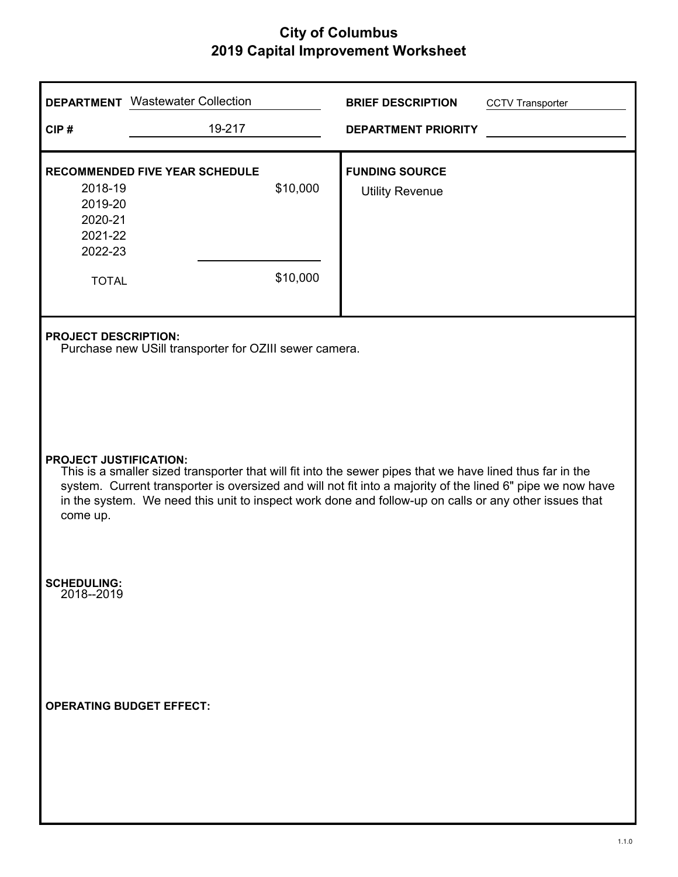|                                                                                                                                                                                                                                                                                                                                                                               | <b>DEPARTMENT</b> Wastewater Collection                                               |                      | <b>BRIEF DESCRIPTION</b>                        | <b>CCTV Transporter</b> |
|-------------------------------------------------------------------------------------------------------------------------------------------------------------------------------------------------------------------------------------------------------------------------------------------------------------------------------------------------------------------------------|---------------------------------------------------------------------------------------|----------------------|-------------------------------------------------|-------------------------|
| CIP#                                                                                                                                                                                                                                                                                                                                                                          | 19-217                                                                                |                      | <b>DEPARTMENT PRIORITY</b>                      |                         |
| 2018-19<br>2019-20<br>2020-21<br>2021-22<br>2022-23                                                                                                                                                                                                                                                                                                                           | <b>RECOMMENDED FIVE YEAR SCHEDULE</b>                                                 | \$10,000<br>\$10,000 | <b>FUNDING SOURCE</b><br><b>Utility Revenue</b> |                         |
| <b>TOTAL</b>                                                                                                                                                                                                                                                                                                                                                                  |                                                                                       |                      |                                                 |                         |
|                                                                                                                                                                                                                                                                                                                                                                               | <b>PROJECT DESCRIPTION:</b><br>Purchase new USill transporter for OZIII sewer camera. |                      |                                                 |                         |
| <b>PROJECT JUSTIFICATION:</b><br>This is a smaller sized transporter that will fit into the sewer pipes that we have lined thus far in the<br>system. Current transporter is oversized and will not fit into a majority of the lined 6" pipe we now have<br>in the system. We need this unit to inspect work done and follow-up on calls or any other issues that<br>come up. |                                                                                       |                      |                                                 |                         |
| <b>SCHEDULING:</b><br>2018--2019                                                                                                                                                                                                                                                                                                                                              |                                                                                       |                      |                                                 |                         |
|                                                                                                                                                                                                                                                                                                                                                                               | <b>OPERATING BUDGET EFFECT:</b>                                                       |                      |                                                 |                         |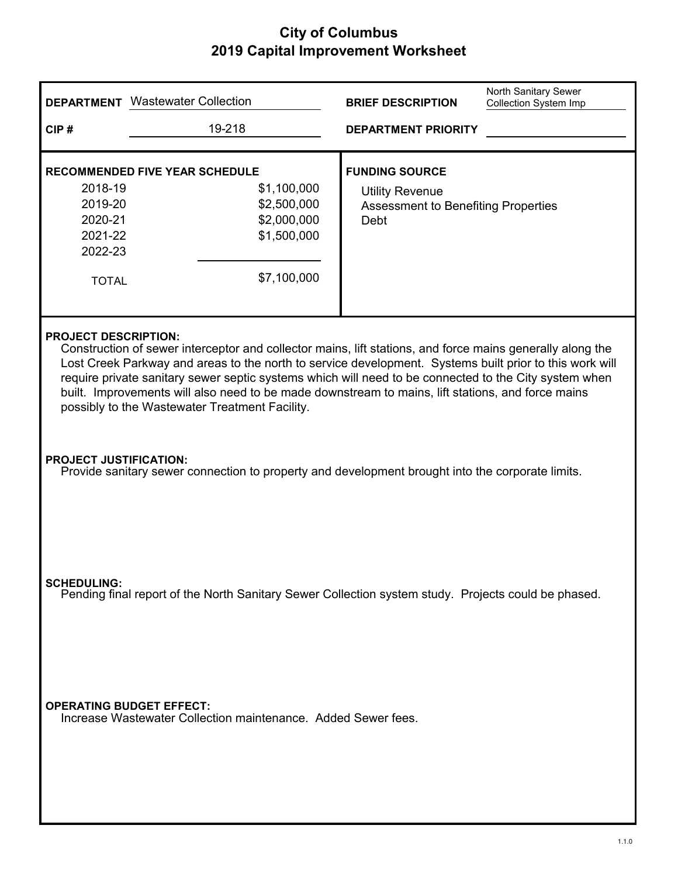|                                                                                                                                                                                                                                                                                                                                                                                                                                                                                                                     | <b>DEPARTMENT</b> Wastewater Collection                                                                          | <b>BRIEF DESCRIPTION</b>                                                                              | North Sanitary Sewer<br><b>Collection System Imp</b> |  |
|---------------------------------------------------------------------------------------------------------------------------------------------------------------------------------------------------------------------------------------------------------------------------------------------------------------------------------------------------------------------------------------------------------------------------------------------------------------------------------------------------------------------|------------------------------------------------------------------------------------------------------------------|-------------------------------------------------------------------------------------------------------|------------------------------------------------------|--|
| CIP#                                                                                                                                                                                                                                                                                                                                                                                                                                                                                                                | 19-218                                                                                                           | <b>DEPARTMENT PRIORITY</b>                                                                            |                                                      |  |
| 2018-19<br>2019-20<br>2020-21<br>2021-22<br>2022-23<br><b>TOTAL</b>                                                                                                                                                                                                                                                                                                                                                                                                                                                 | <b>RECOMMENDED FIVE YEAR SCHEDULE</b><br>\$1,100,000<br>\$2,500,000<br>\$2,000,000<br>\$1,500,000<br>\$7,100,000 | <b>FUNDING SOURCE</b><br><b>Utility Revenue</b><br><b>Assessment to Benefiting Properties</b><br>Debt |                                                      |  |
| <b>PROJECT DESCRIPTION:</b><br>Construction of sewer interceptor and collector mains, lift stations, and force mains generally along the<br>Lost Creek Parkway and areas to the north to service development. Systems built prior to this work will<br>require private sanitary sewer septic systems which will need to be connected to the City system when<br>built. Improvements will also need to be made downstream to mains, lift stations, and force mains<br>possibly to the Wastewater Treatment Facility. |                                                                                                                  |                                                                                                       |                                                      |  |
| <b>PROJECT JUSTIFICATION:</b>                                                                                                                                                                                                                                                                                                                                                                                                                                                                                       | Provide sanitary sewer connection to property and development brought into the corporate limits.                 |                                                                                                       |                                                      |  |
| <b>SCHEDULING:</b>                                                                                                                                                                                                                                                                                                                                                                                                                                                                                                  | Pending final report of the North Sanitary Sewer Collection system study. Projects could be phased.              |                                                                                                       |                                                      |  |
|                                                                                                                                                                                                                                                                                                                                                                                                                                                                                                                     | <b>OPERATING BUDGET EFFECT:</b><br>Increase Wastewater Collection maintenance. Added Sewer fees.                 |                                                                                                       |                                                      |  |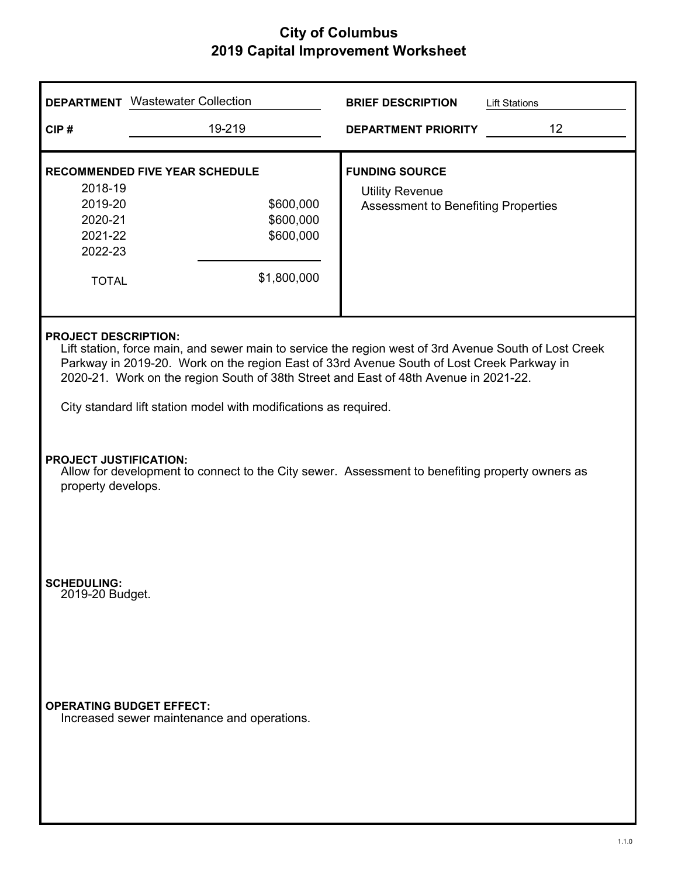| <b>DEPARTMENT</b> Wastewater Collection                                                                                                                                                                                                                                                                                                                                                       |                                                                                             | <b>BRIEF DESCRIPTION</b><br><b>Lift Stations</b>                                                |  |  |
|-----------------------------------------------------------------------------------------------------------------------------------------------------------------------------------------------------------------------------------------------------------------------------------------------------------------------------------------------------------------------------------------------|---------------------------------------------------------------------------------------------|-------------------------------------------------------------------------------------------------|--|--|
| CIP#                                                                                                                                                                                                                                                                                                                                                                                          | 19-219                                                                                      | 12<br><b>DEPARTMENT PRIORITY</b>                                                                |  |  |
| 2018-19<br>2019-20<br>2020-21<br>2021-22<br>2022-23<br><b>TOTAL</b>                                                                                                                                                                                                                                                                                                                           | <b>RECOMMENDED FIVE YEAR SCHEDULE</b><br>\$600,000<br>\$600,000<br>\$600,000<br>\$1,800,000 | <b>FUNDING SOURCE</b><br><b>Utility Revenue</b><br><b>Assessment to Benefiting Properties</b>   |  |  |
| <b>PROJECT DESCRIPTION:</b><br>Lift station, force main, and sewer main to service the region west of 3rd Avenue South of Lost Creek<br>Parkway in 2019-20. Work on the region East of 33rd Avenue South of Lost Creek Parkway in<br>2020-21. Work on the region South of 38th Street and East of 48th Avenue in 2021-22.<br>City standard lift station model with modifications as required. |                                                                                             |                                                                                                 |  |  |
| <b>PROJECT JUSTIFICATION:</b><br>property develops.                                                                                                                                                                                                                                                                                                                                           |                                                                                             | Allow for development to connect to the City sewer. Assessment to benefiting property owners as |  |  |
| <b>SCHEDULING:</b><br>2019-20 Budget.                                                                                                                                                                                                                                                                                                                                                         |                                                                                             |                                                                                                 |  |  |
|                                                                                                                                                                                                                                                                                                                                                                                               | <b>OPERATING BUDGET EFFECT:</b><br>Increased sewer maintenance and operations.              |                                                                                                 |  |  |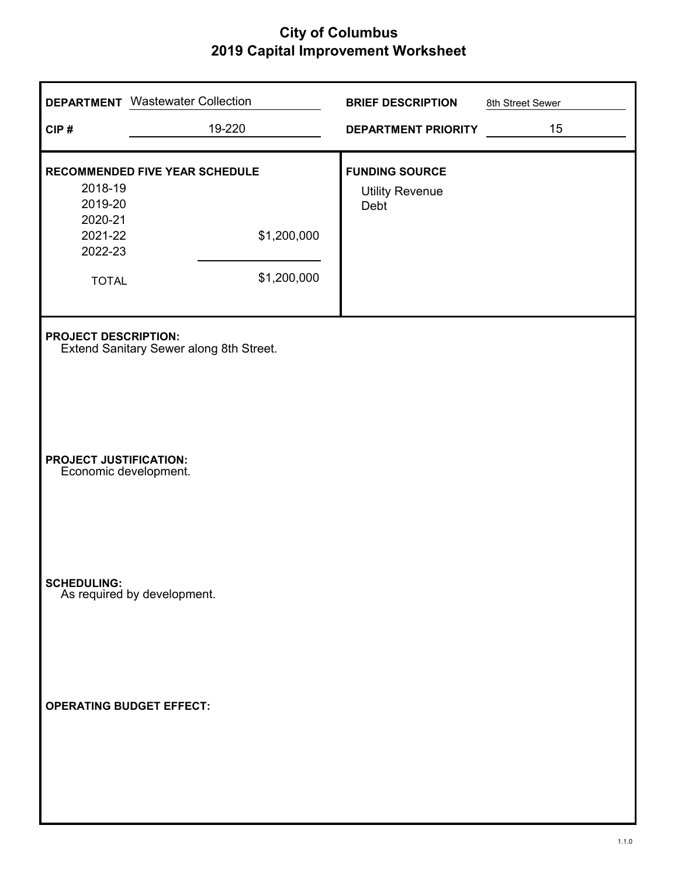| CIP#                                                                | <b>DEPARTMENT</b> Wastewater Collection<br>19-220            | <b>BRIEF DESCRIPTION</b><br>DEPARTMENT PRIORITY         | 8th Street Sewer<br>15 |
|---------------------------------------------------------------------|--------------------------------------------------------------|---------------------------------------------------------|------------------------|
| 2018-19<br>2019-20<br>2020-21<br>2021-22<br>2022-23<br><b>TOTAL</b> | RECOMMENDED FIVE YEAR SCHEDULE<br>\$1,200,000<br>\$1,200,000 | <b>FUNDING SOURCE</b><br><b>Utility Revenue</b><br>Debt |                        |
| <b>PROJECT DESCRIPTION:</b>                                         | Extend Sanitary Sewer along 8th Street.                      |                                                         |                        |
| <b>PROJECT JUSTIFICATION:</b>                                       | Economic development.                                        |                                                         |                        |
|                                                                     | <b>SCHEDULING:</b><br>As required by development.            |                                                         |                        |
|                                                                     | <b>OPERATING BUDGET EFFECT:</b>                              |                                                         |                        |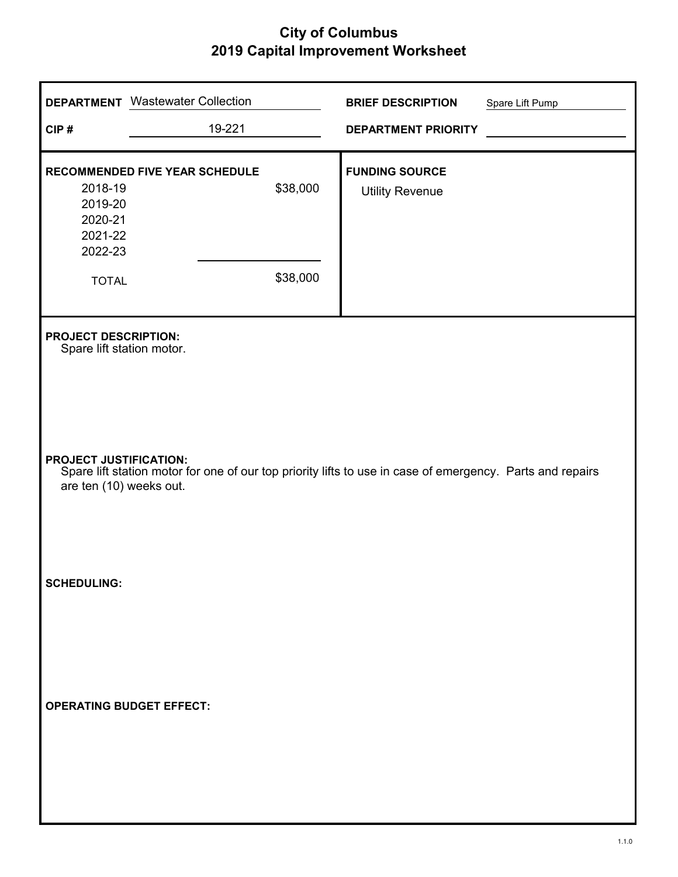|                                                                     | <b>DEPARTMENT</b> Wastewater Collection |                      | <b>BRIEF DESCRIPTION</b>                                                                                  | Spare Lift Pump |
|---------------------------------------------------------------------|-----------------------------------------|----------------------|-----------------------------------------------------------------------------------------------------------|-----------------|
| CIP#                                                                | 19-221                                  |                      | <b>DEPARTMENT PRIORITY</b>                                                                                |                 |
| 2018-19<br>2019-20<br>2020-21<br>2021-22<br>2022-23<br><b>TOTAL</b> | RECOMMENDED FIVE YEAR SCHEDULE          | \$38,000<br>\$38,000 | <b>FUNDING SOURCE</b><br><b>Utility Revenue</b>                                                           |                 |
| <b>PROJECT DESCRIPTION:</b><br>Spare lift station motor.            |                                         |                      |                                                                                                           |                 |
| <b>PROJECT JUSTIFICATION:</b><br>are ten (10) weeks out.            |                                         |                      | Spare lift station motor for one of our top priority lifts to use in case of emergency. Parts and repairs |                 |
| <b>SCHEDULING:</b>                                                  |                                         |                      |                                                                                                           |                 |
| <b>OPERATING BUDGET EFFECT:</b>                                     |                                         |                      |                                                                                                           |                 |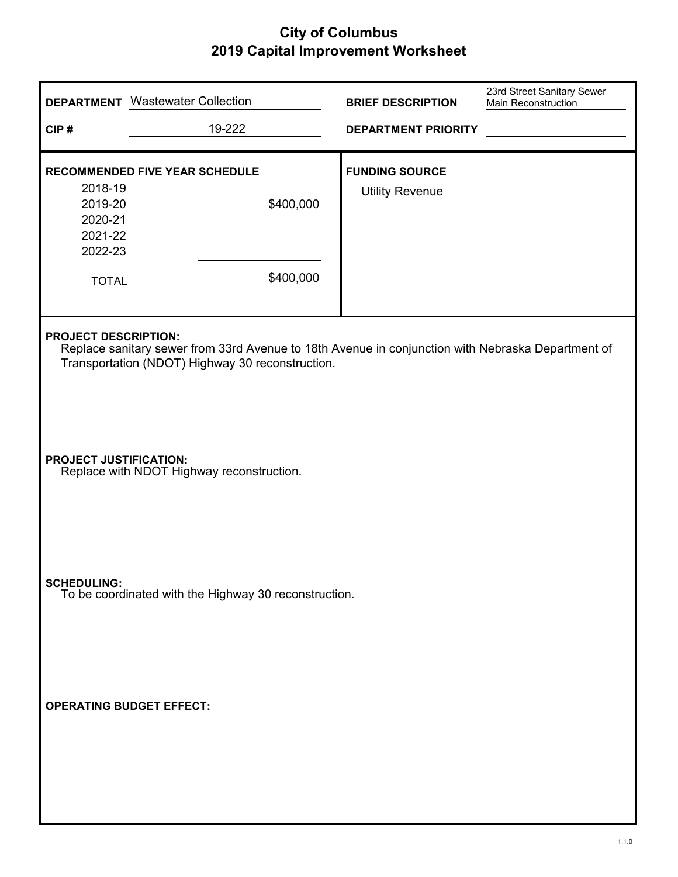|                                                                     | <b>DEPARTMENT</b> Wastewater Collection                                                                                                               | <b>BRIEF DESCRIPTION</b>                        | 23rd Street Sanitary Sewer<br><b>Main Reconstruction</b> |
|---------------------------------------------------------------------|-------------------------------------------------------------------------------------------------------------------------------------------------------|-------------------------------------------------|----------------------------------------------------------|
| CIP#                                                                | 19-222                                                                                                                                                | <b>DEPARTMENT PRIORITY</b>                      |                                                          |
| 2018-19<br>2019-20<br>2020-21<br>2021-22<br>2022-23<br><b>TOTAL</b> | <b>RECOMMENDED FIVE YEAR SCHEDULE</b><br>\$400,000<br>\$400,000                                                                                       | <b>FUNDING SOURCE</b><br><b>Utility Revenue</b> |                                                          |
| <b>PROJECT DESCRIPTION:</b>                                         | Replace sanitary sewer from 33rd Avenue to 18th Avenue in conjunction with Nebraska Department of<br>Transportation (NDOT) Highway 30 reconstruction. |                                                 |                                                          |
| <b>PROJECT JUSTIFICATION:</b>                                       | Replace with NDOT Highway reconstruction.                                                                                                             |                                                 |                                                          |
| <b>SCHEDULING:</b>                                                  | To be coordinated with the Highway 30 reconstruction.                                                                                                 |                                                 |                                                          |
|                                                                     | <b>OPERATING BUDGET EFFECT:</b>                                                                                                                       |                                                 |                                                          |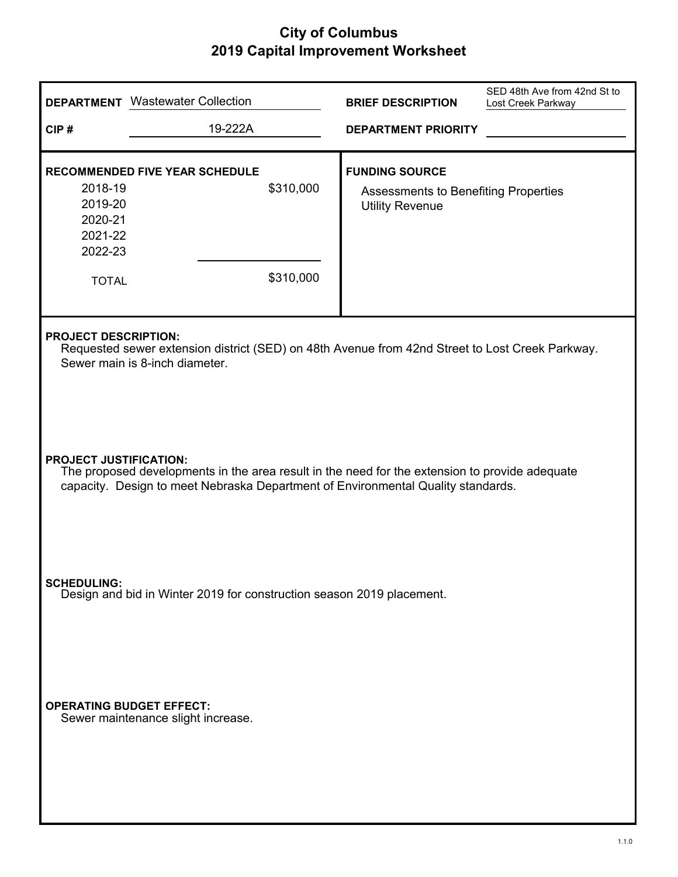|                                                                     | <b>DEPARTMENT</b> Wastewater Collection                                                                                                                                                                             | <b>BRIEF DESCRIPTION</b>                                                                       | SED 48th Ave from 42nd St to<br>Lost Creek Parkway |  |  |
|---------------------------------------------------------------------|---------------------------------------------------------------------------------------------------------------------------------------------------------------------------------------------------------------------|------------------------------------------------------------------------------------------------|----------------------------------------------------|--|--|
| CIP#                                                                | 19-222A                                                                                                                                                                                                             | <b>DEPARTMENT PRIORITY</b>                                                                     |                                                    |  |  |
| 2018-19<br>2019-20<br>2020-21<br>2021-22<br>2022-23<br><b>TOTAL</b> | <b>RECOMMENDED FIVE YEAR SCHEDULE</b><br>\$310,000<br>\$310,000                                                                                                                                                     | <b>FUNDING SOURCE</b><br><b>Assessments to Benefiting Properties</b><br><b>Utility Revenue</b> |                                                    |  |  |
|                                                                     | <b>PROJECT DESCRIPTION:</b><br>Requested sewer extension district (SED) on 48th Avenue from 42nd Street to Lost Creek Parkway.<br>Sewer main is 8-inch diameter.                                                    |                                                                                                |                                                    |  |  |
|                                                                     | <b>PROJECT JUSTIFICATION:</b><br>The proposed developments in the area result in the need for the extension to provide adequate<br>capacity. Design to meet Nebraska Department of Environmental Quality standards. |                                                                                                |                                                    |  |  |
| <b>SCHEDULING:</b>                                                  | Design and bid in Winter 2019 for construction season 2019 placement.                                                                                                                                               |                                                                                                |                                                    |  |  |
|                                                                     | <b>OPERATING BUDGET EFFECT:</b><br>Sewer maintenance slight increase.                                                                                                                                               |                                                                                                |                                                    |  |  |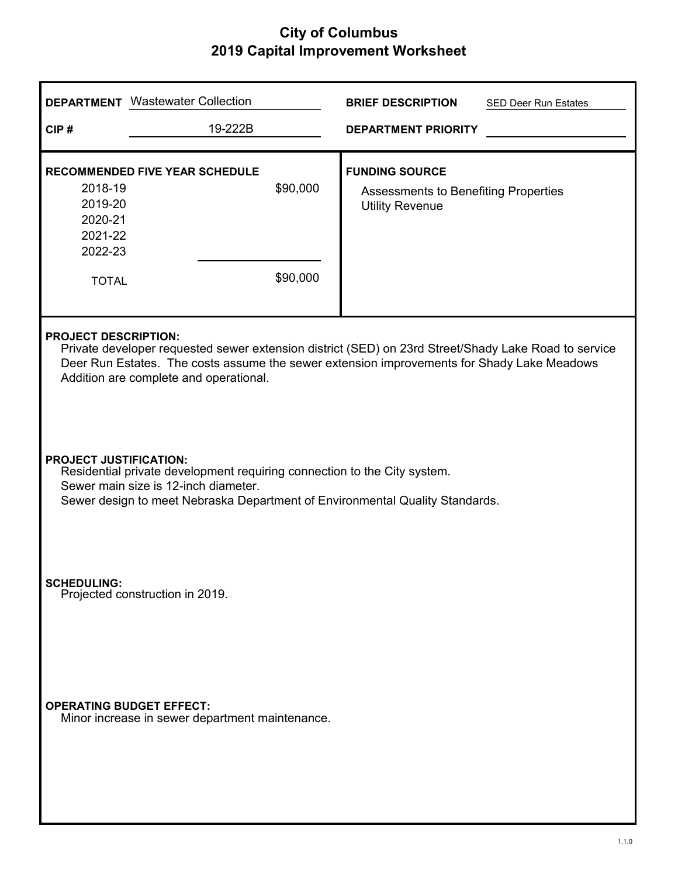|                                                                     | <b>DEPARTMENT</b> Wastewater Collection                                                                                                                                                                                                                                     |                      | <b>BRIEF DESCRIPTION</b>                                                                       | <b>SED Deer Run Estates</b> |  |
|---------------------------------------------------------------------|-----------------------------------------------------------------------------------------------------------------------------------------------------------------------------------------------------------------------------------------------------------------------------|----------------------|------------------------------------------------------------------------------------------------|-----------------------------|--|
| CIP#                                                                | 19-222B                                                                                                                                                                                                                                                                     |                      | <b>DEPARTMENT PRIORITY</b>                                                                     |                             |  |
| 2018-19<br>2019-20<br>2020-21<br>2021-22<br>2022-23<br><b>TOTAL</b> | <b>RECOMMENDED FIVE YEAR SCHEDULE</b>                                                                                                                                                                                                                                       | \$90,000<br>\$90,000 | <b>FUNDING SOURCE</b><br><b>Assessments to Benefiting Properties</b><br><b>Utility Revenue</b> |                             |  |
|                                                                     | <b>PROJECT DESCRIPTION:</b><br>Private developer requested sewer extension district (SED) on 23rd Street/Shady Lake Road to service<br>Deer Run Estates. The costs assume the sewer extension improvements for Shady Lake Meadows<br>Addition are complete and operational. |                      |                                                                                                |                             |  |
|                                                                     | <b>PROJECT JUSTIFICATION:</b><br>Residential private development requiring connection to the City system.<br>Sewer main size is 12-inch diameter.<br>Sewer design to meet Nebraska Department of Environmental Quality Standards.                                           |                      |                                                                                                |                             |  |
| <b>SCHEDULING:</b>                                                  | Projected construction in 2019.                                                                                                                                                                                                                                             |                      |                                                                                                |                             |  |
| <b>OPERATING BUDGET EFFECT:</b>                                     | Minor increase in sewer department maintenance.                                                                                                                                                                                                                             |                      |                                                                                                |                             |  |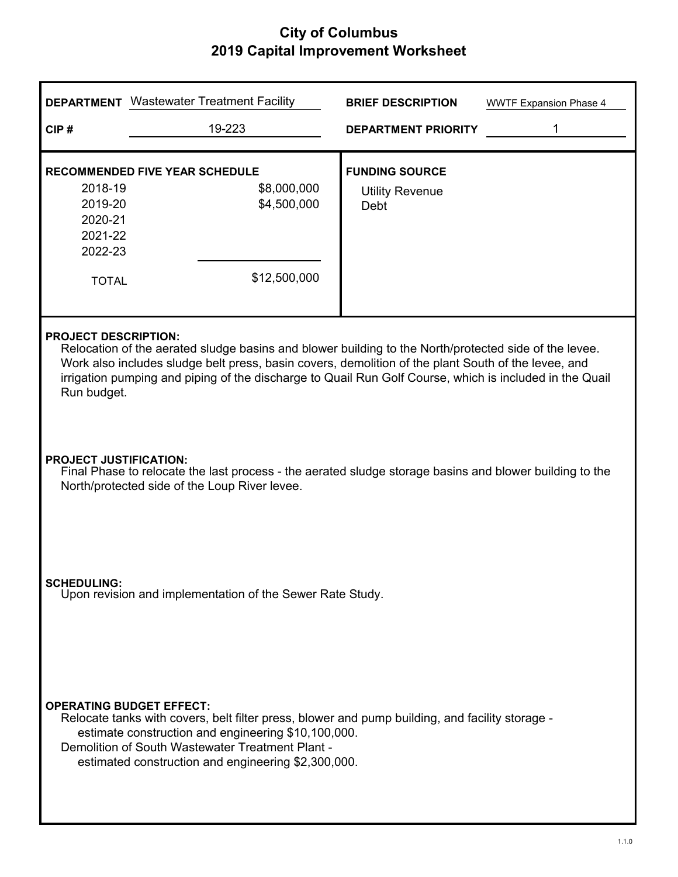$\overline{a}$ 

|                                                                                                                                                                                           | <b>DEPARTMENT</b> Wastewater Treatment Facility                                                                                                                                                                                                                                                                                                                       | <b>BRIEF DESCRIPTION</b>                                | <b>WWTF Expansion Phase 4</b> |  |  |
|-------------------------------------------------------------------------------------------------------------------------------------------------------------------------------------------|-----------------------------------------------------------------------------------------------------------------------------------------------------------------------------------------------------------------------------------------------------------------------------------------------------------------------------------------------------------------------|---------------------------------------------------------|-------------------------------|--|--|
| CIP#                                                                                                                                                                                      | 19-223                                                                                                                                                                                                                                                                                                                                                                | <b>DEPARTMENT PRIORITY</b>                              | 1                             |  |  |
| 2018-19<br>2019-20<br>2020-21<br>2021-22<br>2022-23<br><b>TOTAL</b>                                                                                                                       | <b>RECOMMENDED FIVE YEAR SCHEDULE</b><br>\$8,000,000<br>\$4,500,000<br>\$12,500,000                                                                                                                                                                                                                                                                                   | <b>FUNDING SOURCE</b><br><b>Utility Revenue</b><br>Debt |                               |  |  |
|                                                                                                                                                                                           | <b>PROJECT DESCRIPTION:</b><br>Relocation of the aerated sludge basins and blower building to the North/protected side of the levee.<br>Work also includes sludge belt press, basin covers, demolition of the plant South of the levee, and<br>irrigation pumping and piping of the discharge to Quail Run Golf Course, which is included in the Quail<br>Run budget. |                                                         |                               |  |  |
| <b>PROJECT JUSTIFICATION:</b><br>Final Phase to relocate the last process - the aerated sludge storage basins and blower building to the<br>North/protected side of the Loup River levee. |                                                                                                                                                                                                                                                                                                                                                                       |                                                         |                               |  |  |
| <b>SCHEDULING:</b><br>Upon revision and implementation of the Sewer Rate Study.                                                                                                           |                                                                                                                                                                                                                                                                                                                                                                       |                                                         |                               |  |  |
|                                                                                                                                                                                           | <b>OPERATING BUDGET EFFECT:</b><br>Relocate tanks with covers, belt filter press, blower and pump building, and facility storage -<br>estimate construction and engineering \$10,100,000.<br>Demolition of South Wastewater Treatment Plant -<br>estimated construction and engineering \$2,300,000.                                                                  |                                                         |                               |  |  |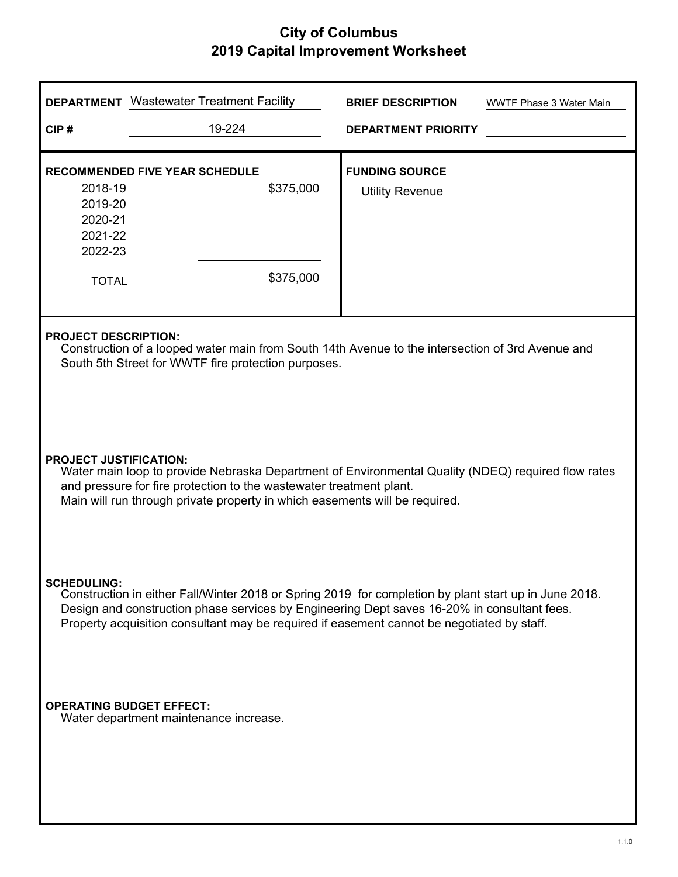|                                                                                                                                                                                                                                                                                                                          | <b>DEPARTMENT</b> Wastewater Treatment Facility                                                                                                                                                                                                                                           | <b>BRIEF DESCRIPTION</b>                        | <b>WWTF Phase 3 Water Main</b> |  |  |  |
|--------------------------------------------------------------------------------------------------------------------------------------------------------------------------------------------------------------------------------------------------------------------------------------------------------------------------|-------------------------------------------------------------------------------------------------------------------------------------------------------------------------------------------------------------------------------------------------------------------------------------------|-------------------------------------------------|--------------------------------|--|--|--|
| CIP#                                                                                                                                                                                                                                                                                                                     | 19-224                                                                                                                                                                                                                                                                                    | <b>DEPARTMENT PRIORITY</b>                      |                                |  |  |  |
| 2018-19<br>2019-20<br>2020-21<br>2021-22<br>2022-23<br><b>TOTAL</b>                                                                                                                                                                                                                                                      | <b>RECOMMENDED FIVE YEAR SCHEDULE</b><br>\$375,000<br>\$375,000                                                                                                                                                                                                                           | <b>FUNDING SOURCE</b><br><b>Utility Revenue</b> |                                |  |  |  |
|                                                                                                                                                                                                                                                                                                                          | <b>PROJECT DESCRIPTION:</b><br>Construction of a looped water main from South 14th Avenue to the intersection of 3rd Avenue and<br>South 5th Street for WWTF fire protection purposes.                                                                                                    |                                                 |                                |  |  |  |
|                                                                                                                                                                                                                                                                                                                          | <b>PROJECT JUSTIFICATION:</b><br>Water main loop to provide Nebraska Department of Environmental Quality (NDEQ) required flow rates<br>and pressure for fire protection to the wastewater treatment plant.<br>Main will run through private property in which easements will be required. |                                                 |                                |  |  |  |
| <b>SCHEDULING:</b><br>Construction in either Fall/Winter 2018 or Spring 2019 for completion by plant start up in June 2018.<br>Design and construction phase services by Engineering Dept saves 16-20% in consultant fees.<br>Property acquisition consultant may be required if easement cannot be negotiated by staff. |                                                                                                                                                                                                                                                                                           |                                                 |                                |  |  |  |
| <b>OPERATING BUDGET EFFECT:</b><br>Water department maintenance increase.                                                                                                                                                                                                                                                |                                                                                                                                                                                                                                                                                           |                                                 |                                |  |  |  |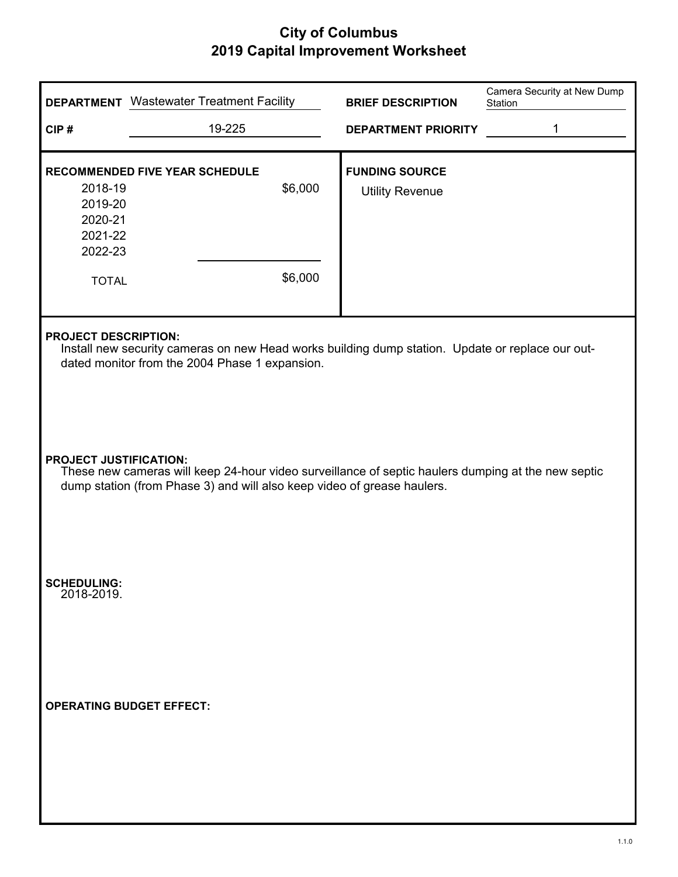|                                                                     | <b>DEPARTMENT</b> Wastewater Treatment Facility                                                                                                                                   |  | <b>BRIEF DESCRIPTION</b>                        | Camera Security at New Dump<br>Station |  |  |
|---------------------------------------------------------------------|-----------------------------------------------------------------------------------------------------------------------------------------------------------------------------------|--|-------------------------------------------------|----------------------------------------|--|--|
| CIP#                                                                | 19-225                                                                                                                                                                            |  | <b>DEPARTMENT PRIORITY</b>                      | 1                                      |  |  |
| 2018-19<br>2019-20<br>2020-21<br>2021-22<br>2022-23<br><b>TOTAL</b> | RECOMMENDED FIVE YEAR SCHEDULE<br>\$6,000<br>\$6,000                                                                                                                              |  | <b>FUNDING SOURCE</b><br><b>Utility Revenue</b> |                                        |  |  |
|                                                                     | <b>PROJECT DESCRIPTION:</b><br>Install new security cameras on new Head works building dump station. Update or replace our out-<br>dated monitor from the 2004 Phase 1 expansion. |  |                                                 |                                        |  |  |
| <b>PROJECT JUSTIFICATION:</b>                                       | These new cameras will keep 24-hour video surveillance of septic haulers dumping at the new septic<br>dump station (from Phase 3) and will also keep video of grease haulers.     |  |                                                 |                                        |  |  |
| <b>SCHEDULING:</b><br>2018-2019.                                    |                                                                                                                                                                                   |  |                                                 |                                        |  |  |
|                                                                     | <b>OPERATING BUDGET EFFECT:</b>                                                                                                                                                   |  |                                                 |                                        |  |  |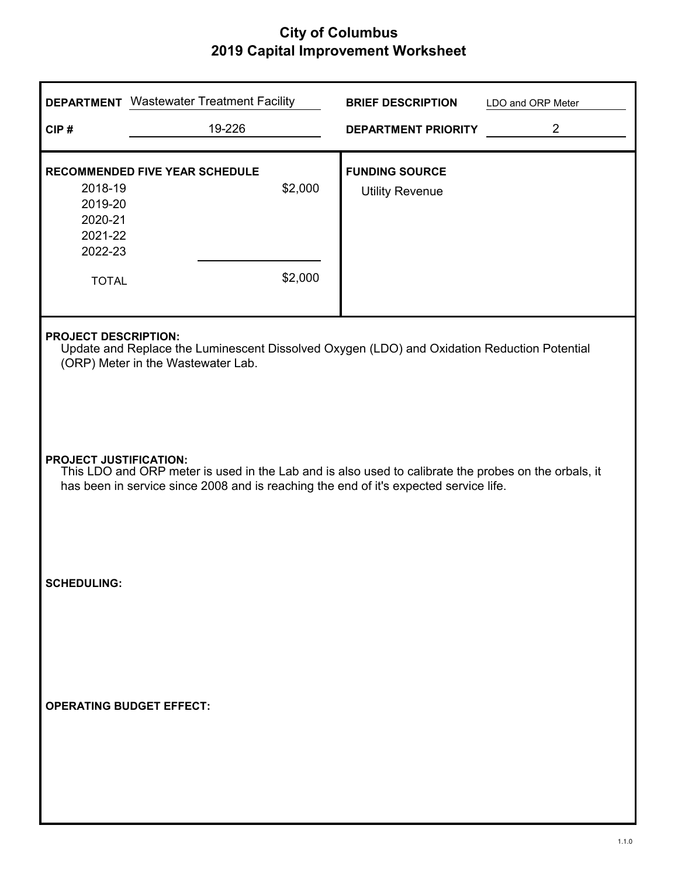|                                                                     | <b>DEPARTMENT</b> Wastewater Treatment Facility                                                                                                                                                                                |                    | <b>BRIEF DESCRIPTION</b>                        | LDO and ORP Meter |  |
|---------------------------------------------------------------------|--------------------------------------------------------------------------------------------------------------------------------------------------------------------------------------------------------------------------------|--------------------|-------------------------------------------------|-------------------|--|
| CIP#                                                                | 19-226                                                                                                                                                                                                                         |                    | <b>DEPARTMENT PRIORITY</b>                      | $\overline{2}$    |  |
| 2018-19<br>2019-20<br>2020-21<br>2021-22<br>2022-23<br><b>TOTAL</b> | RECOMMENDED FIVE YEAR SCHEDULE                                                                                                                                                                                                 | \$2,000<br>\$2,000 | <b>FUNDING SOURCE</b><br><b>Utility Revenue</b> |                   |  |
|                                                                     | <b>PROJECT DESCRIPTION:</b><br>Update and Replace the Luminescent Dissolved Oxygen (LDO) and Oxidation Reduction Potential<br>(ORP) Meter in the Wastewater Lab.                                                               |                    |                                                 |                   |  |
|                                                                     | <b>PROJECT JUSTIFICATION:</b><br>This LDO and ORP meter is used in the Lab and is also used to calibrate the probes on the orbals, it<br>has been in service since 2008 and is reaching the end of it's expected service life. |                    |                                                 |                   |  |
| <b>SCHEDULING:</b>                                                  |                                                                                                                                                                                                                                |                    |                                                 |                   |  |
|                                                                     | <b>OPERATING BUDGET EFFECT:</b>                                                                                                                                                                                                |                    |                                                 |                   |  |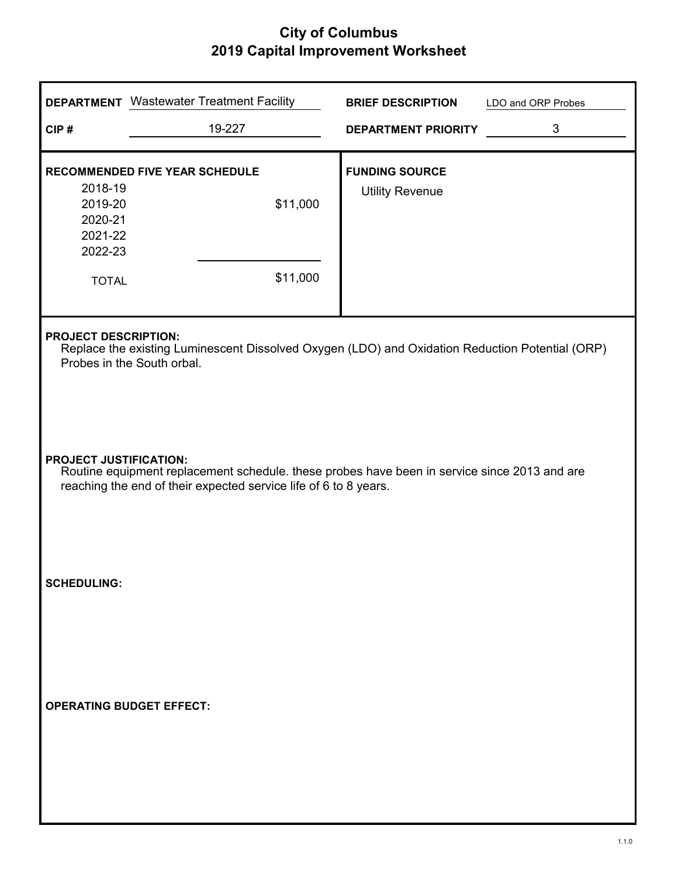| CIP#                                                                | <b>DEPARTMENT</b> Wastewater Treatment Facility<br>19-227                                                                                                                                         | <b>BRIEF DESCRIPTION</b><br><b>DEPARTMENT PRIORITY</b> | LDO and ORP Probes<br>3 |  |  |
|---------------------------------------------------------------------|---------------------------------------------------------------------------------------------------------------------------------------------------------------------------------------------------|--------------------------------------------------------|-------------------------|--|--|
| 2018-19<br>2019-20<br>2020-21<br>2021-22<br>2022-23<br><b>TOTAL</b> | <b>RECOMMENDED FIVE YEAR SCHEDULE</b><br>\$11,000<br>\$11,000                                                                                                                                     | <b>FUNDING SOURCE</b><br><b>Utility Revenue</b>        |                         |  |  |
| <b>PROJECT DESCRIPTION:</b>                                         | Replace the existing Luminescent Dissolved Oxygen (LDO) and Oxidation Reduction Potential (ORP)<br>Probes in the South orbal.                                                                     |                                                        |                         |  |  |
|                                                                     | <b>PROJECT JUSTIFICATION:</b><br>Routine equipment replacement schedule. these probes have been in service since 2013 and are<br>reaching the end of their expected service life of 6 to 8 years. |                                                        |                         |  |  |
| <b>SCHEDULING:</b>                                                  |                                                                                                                                                                                                   |                                                        |                         |  |  |
|                                                                     | <b>OPERATING BUDGET EFFECT:</b>                                                                                                                                                                   |                                                        |                         |  |  |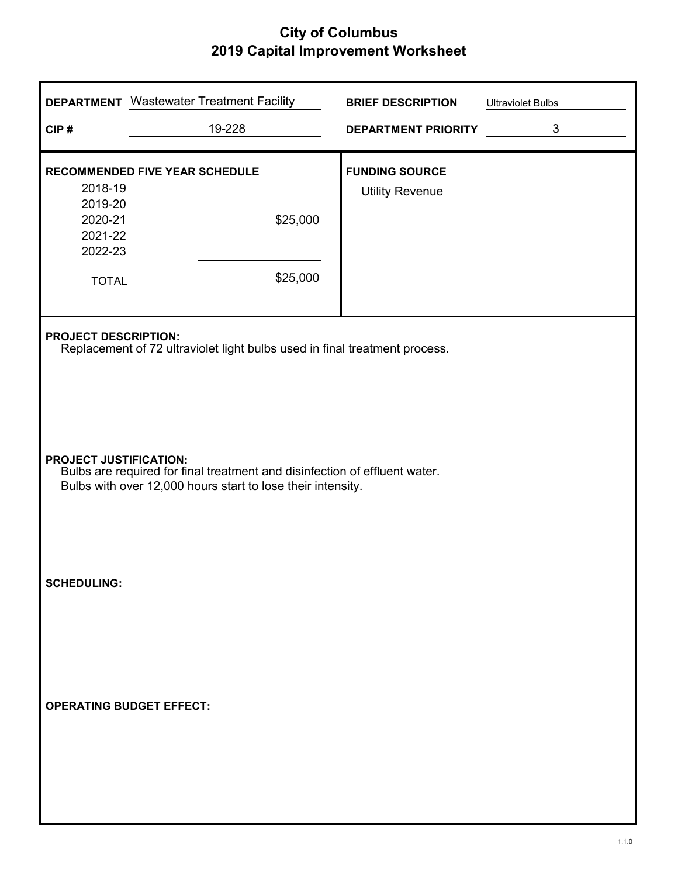| CIP#                                                                | <b>DEPARTMENT</b> Wastewater Treatment Facility<br>19-228                                                                                                                  | <b>BRIEF DESCRIPTION</b><br><b>DEPARTMENT PRIORITY</b> | <b>Ultraviolet Bulbs</b><br>3 |  |  |
|---------------------------------------------------------------------|----------------------------------------------------------------------------------------------------------------------------------------------------------------------------|--------------------------------------------------------|-------------------------------|--|--|
| 2018-19<br>2019-20<br>2020-21<br>2021-22<br>2022-23<br><b>TOTAL</b> | <b>RECOMMENDED FIVE YEAR SCHEDULE</b><br>\$25,000<br>\$25,000                                                                                                              | <b>FUNDING SOURCE</b><br><b>Utility Revenue</b>        |                               |  |  |
|                                                                     | <b>PROJECT DESCRIPTION:</b><br>Replacement of 72 ultraviolet light bulbs used in final treatment process.                                                                  |                                                        |                               |  |  |
|                                                                     | <b>PROJECT JUSTIFICATION:</b><br>Bulbs are required for final treatment and disinfection of effluent water.<br>Bulbs with over 12,000 hours start to lose their intensity. |                                                        |                               |  |  |
| <b>SCHEDULING:</b>                                                  |                                                                                                                                                                            |                                                        |                               |  |  |
|                                                                     | <b>OPERATING BUDGET EFFECT:</b>                                                                                                                                            |                                                        |                               |  |  |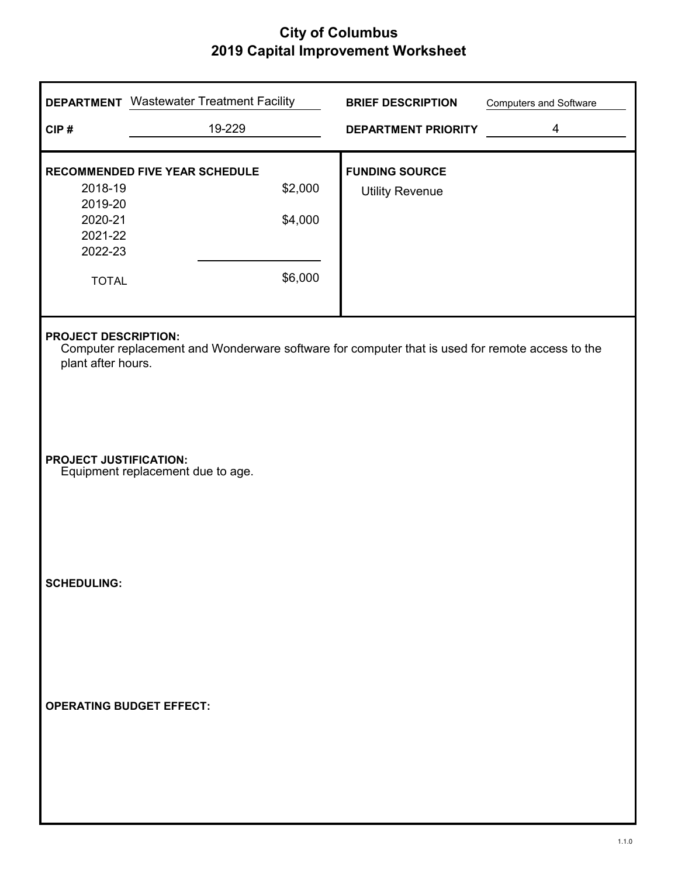| CIP#                                                                | <b>DEPARTMENT</b> Wastewater Treatment Facility<br>19-229                                       |                               | <b>BRIEF DESCRIPTION</b><br><b>DEPARTMENT PRIORITY</b> | <b>Computers and Software</b><br>4 |
|---------------------------------------------------------------------|-------------------------------------------------------------------------------------------------|-------------------------------|--------------------------------------------------------|------------------------------------|
| 2018-19<br>2019-20<br>2020-21<br>2021-22<br>2022-23<br><b>TOTAL</b> | RECOMMENDED FIVE YEAR SCHEDULE                                                                  | \$2,000<br>\$4,000<br>\$6,000 | <b>FUNDING SOURCE</b><br><b>Utility Revenue</b>        |                                    |
| <b>PROJECT DESCRIPTION:</b><br>plant after hours.                   | Computer replacement and Wonderware software for computer that is used for remote access to the |                               |                                                        |                                    |
| <b>PROJECT JUSTIFICATION:</b>                                       | Equipment replacement due to age.                                                               |                               |                                                        |                                    |
| <b>SCHEDULING:</b>                                                  |                                                                                                 |                               |                                                        |                                    |
|                                                                     | <b>OPERATING BUDGET EFFECT:</b>                                                                 |                               |                                                        |                                    |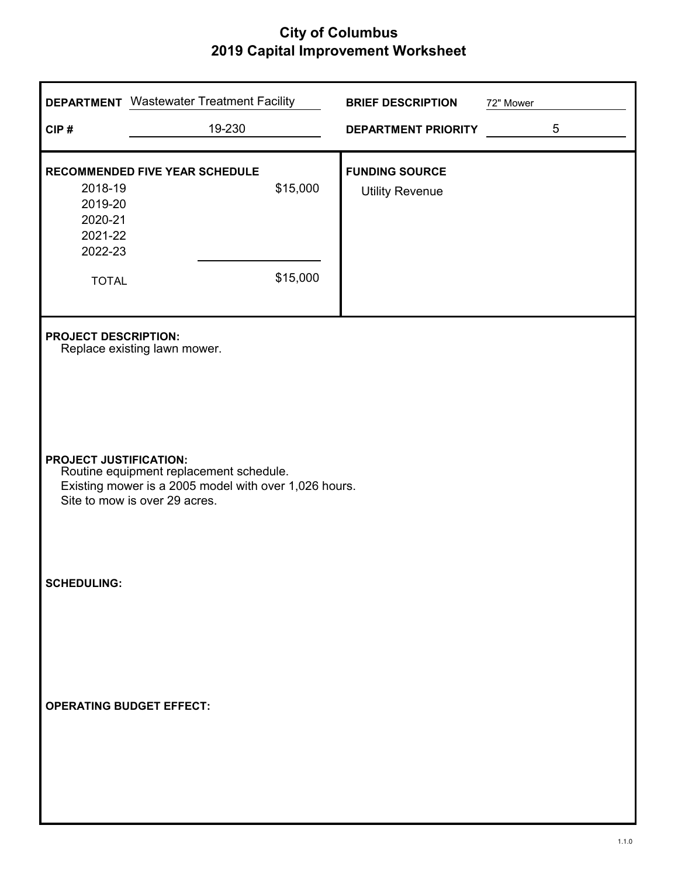| CIP#                                                                                                                                                               | <b>DEPARTMENT</b> Wastewater Treatment Facility<br>19-230 |          | <b>BRIEF DESCRIPTION</b><br><b>DEPARTMENT PRIORITY</b> | 72" Mower | 5 |
|--------------------------------------------------------------------------------------------------------------------------------------------------------------------|-----------------------------------------------------------|----------|--------------------------------------------------------|-----------|---|
| 2018-19<br>2019-20<br>2020-21<br>2021-22<br>2022-23                                                                                                                | RECOMMENDED FIVE YEAR SCHEDULE                            | \$15,000 | <b>FUNDING SOURCE</b><br><b>Utility Revenue</b>        |           |   |
| <b>TOTAL</b>                                                                                                                                                       |                                                           | \$15,000 |                                                        |           |   |
| <b>PROJECT DESCRIPTION:</b>                                                                                                                                        | Replace existing lawn mower.                              |          |                                                        |           |   |
| <b>PROJECT JUSTIFICATION:</b><br>Routine equipment replacement schedule.<br>Existing mower is a 2005 model with over 1,026 hours.<br>Site to mow is over 29 acres. |                                                           |          |                                                        |           |   |
| <b>SCHEDULING:</b>                                                                                                                                                 |                                                           |          |                                                        |           |   |
|                                                                                                                                                                    | <b>OPERATING BUDGET EFFECT:</b>                           |          |                                                        |           |   |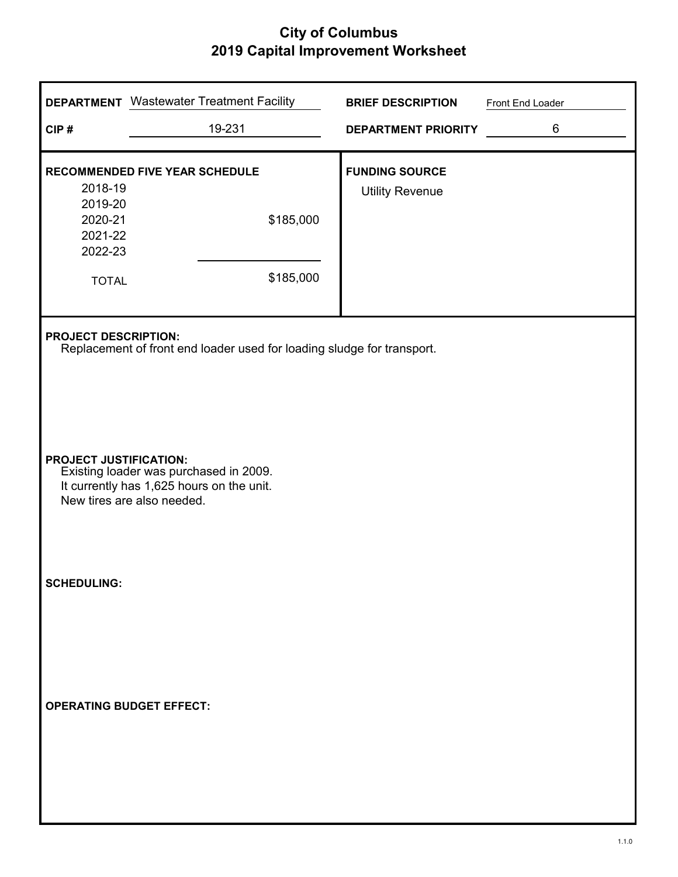| CIP#                                                                | <b>DEPARTMENT</b> Wastewater Treatment Facility<br>19-231                                                         | <b>BRIEF DESCRIPTION</b><br><b>DEPARTMENT PRIORITY</b> | Front End Loader<br>6 |  |  |  |
|---------------------------------------------------------------------|-------------------------------------------------------------------------------------------------------------------|--------------------------------------------------------|-----------------------|--|--|--|
| 2018-19<br>2019-20<br>2020-21<br>2021-22<br>2022-23<br><b>TOTAL</b> | <b>RECOMMENDED FIVE YEAR SCHEDULE</b><br>\$185,000<br>\$185,000                                                   | <b>FUNDING SOURCE</b><br><b>Utility Revenue</b>        |                       |  |  |  |
|                                                                     | <b>PROJECT DESCRIPTION:</b><br>Replacement of front end loader used for loading sludge for transport.             |                                                        |                       |  |  |  |
| <b>PROJECT JUSTIFICATION:</b>                                       | Existing loader was purchased in 2009.<br>It currently has 1,625 hours on the unit.<br>New tires are also needed. |                                                        |                       |  |  |  |
| <b>SCHEDULING:</b>                                                  |                                                                                                                   |                                                        |                       |  |  |  |
|                                                                     | <b>OPERATING BUDGET EFFECT:</b>                                                                                   |                                                        |                       |  |  |  |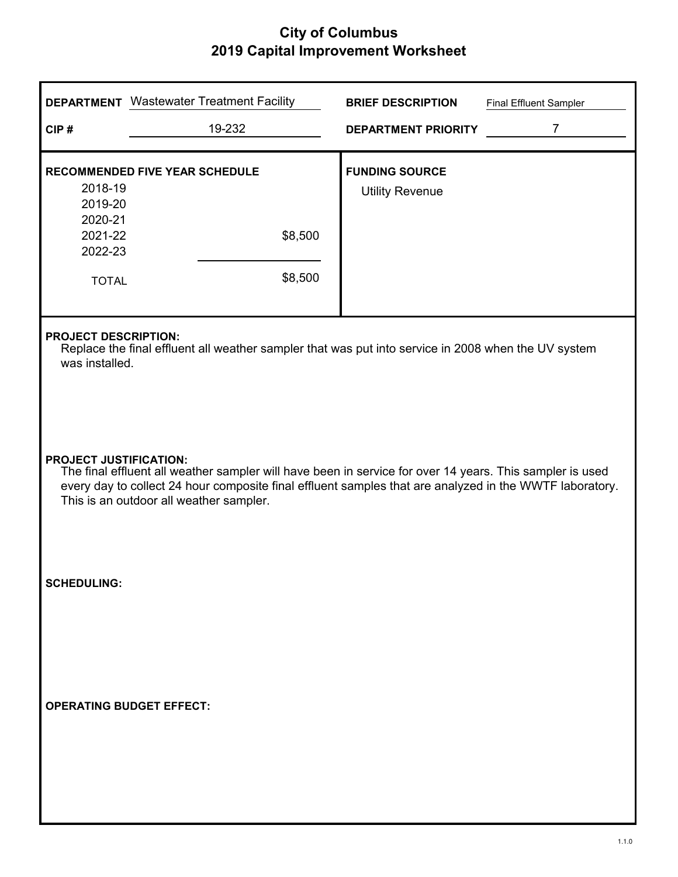| CIP#                                                                                                                                                                                                                                                                                            | <b>DEPARTMENT</b> Wastewater Treatment Facility<br>19-232   | <b>BRIEF DESCRIPTION</b><br><b>DEPARTMENT PRIORITY</b> | <b>Final Effluent Sampler</b><br>$\overline{7}$ |  |  |
|-------------------------------------------------------------------------------------------------------------------------------------------------------------------------------------------------------------------------------------------------------------------------------------------------|-------------------------------------------------------------|--------------------------------------------------------|-------------------------------------------------|--|--|
| 2018-19<br>2019-20<br>2020-21<br>2021-22<br>2022-23<br><b>TOTAL</b>                                                                                                                                                                                                                             | <b>RECOMMENDED FIVE YEAR SCHEDULE</b><br>\$8,500<br>\$8,500 | <b>FUNDING SOURCE</b><br><b>Utility Revenue</b>        |                                                 |  |  |
| <b>PROJECT DESCRIPTION:</b><br>Replace the final effluent all weather sampler that was put into service in 2008 when the UV system<br>was installed.                                                                                                                                            |                                                             |                                                        |                                                 |  |  |
| <b>PROJECT JUSTIFICATION:</b><br>The final effluent all weather sampler will have been in service for over 14 years. This sampler is used<br>every day to collect 24 hour composite final effluent samples that are analyzed in the WWTF laboratory.<br>This is an outdoor all weather sampler. |                                                             |                                                        |                                                 |  |  |
| <b>SCHEDULING:</b>                                                                                                                                                                                                                                                                              |                                                             |                                                        |                                                 |  |  |
|                                                                                                                                                                                                                                                                                                 | <b>OPERATING BUDGET EFFECT:</b>                             |                                                        |                                                 |  |  |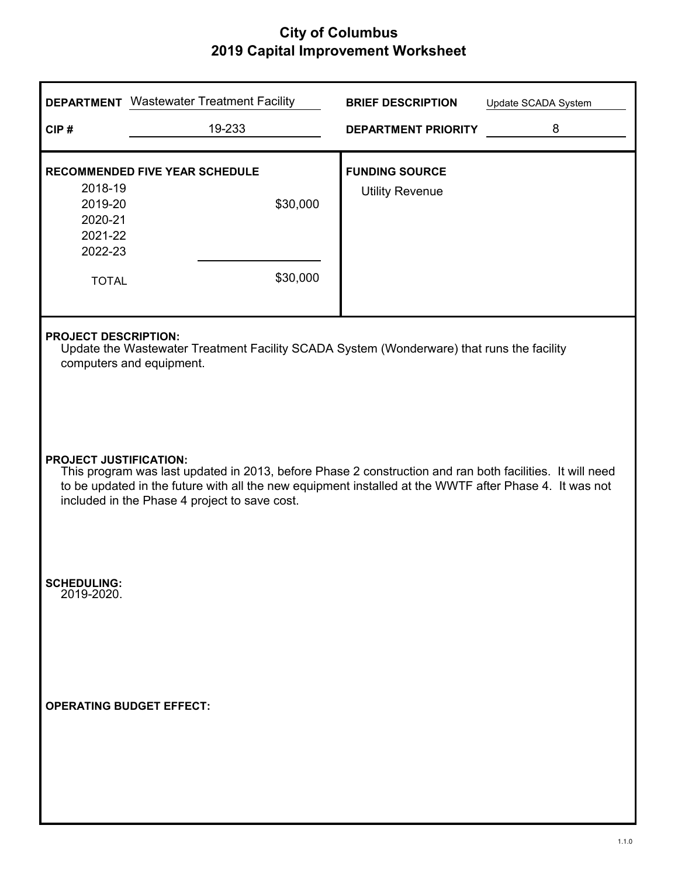| CIP#                                                                                                                                                                                                                                                                                                 | <b>DEPARTMENT</b> Wastewater Treatment Facility<br>19-233 | <b>BRIEF DESCRIPTION</b><br><b>DEPARTMENT PRIORITY</b> | Update SCADA System<br>8 |  |  |
|------------------------------------------------------------------------------------------------------------------------------------------------------------------------------------------------------------------------------------------------------------------------------------------------------|-----------------------------------------------------------|--------------------------------------------------------|--------------------------|--|--|
| 2018-19<br>2019-20<br>2020-21<br>2021-22<br>2022-23<br><b>TOTAL</b>                                                                                                                                                                                                                                  | RECOMMENDED FIVE YEAR SCHEDULE<br>\$30,000<br>\$30,000    | <b>FUNDING SOURCE</b><br><b>Utility Revenue</b>        |                          |  |  |
| <b>PROJECT DESCRIPTION:</b><br>Update the Wastewater Treatment Facility SCADA System (Wonderware) that runs the facility<br>computers and equipment.                                                                                                                                                 |                                                           |                                                        |                          |  |  |
| <b>PROJECT JUSTIFICATION:</b><br>This program was last updated in 2013, before Phase 2 construction and ran both facilities. It will need<br>to be updated in the future with all the new equipment installed at the WWTF after Phase 4. It was not<br>included in the Phase 4 project to save cost. |                                                           |                                                        |                          |  |  |
| <b>SCHEDULING:</b><br>2019-2020.                                                                                                                                                                                                                                                                     |                                                           |                                                        |                          |  |  |
|                                                                                                                                                                                                                                                                                                      | <b>OPERATING BUDGET EFFECT:</b>                           |                                                        |                          |  |  |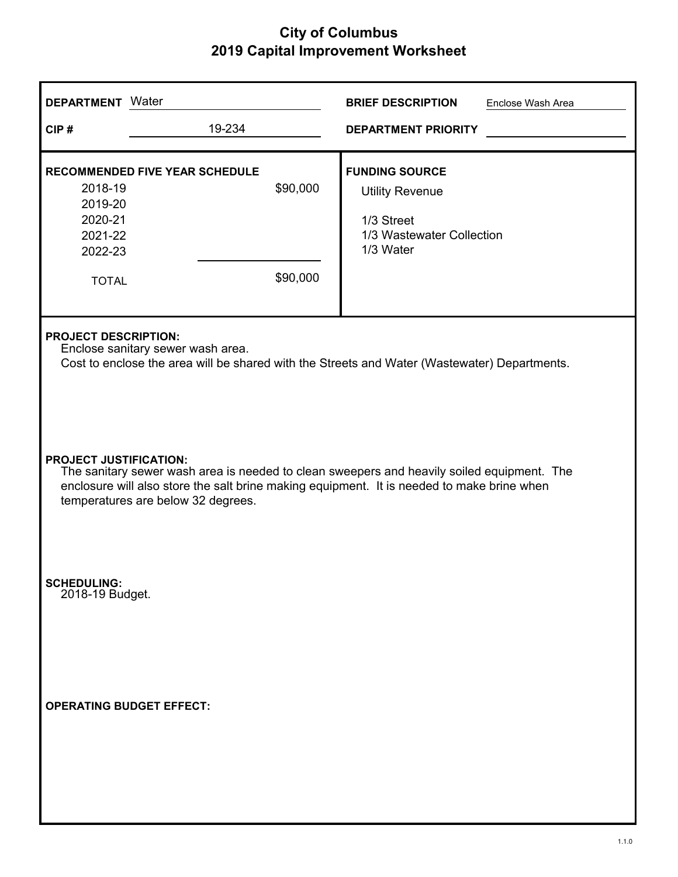| <b>DEPARTMENT</b> Water                                                                                                                                                                                                                                         |                                       |                      | <b>BRIEF DESCRIPTION</b>                                                                                | Enclose Wash Area |  |
|-----------------------------------------------------------------------------------------------------------------------------------------------------------------------------------------------------------------------------------------------------------------|---------------------------------------|----------------------|---------------------------------------------------------------------------------------------------------|-------------------|--|
| CIP#                                                                                                                                                                                                                                                            | 19-234                                |                      | <b>DEPARTMENT PRIORITY</b>                                                                              |                   |  |
| 2018-19<br>2019-20<br>2020-21<br>2021-22<br>2022-23<br><b>TOTAL</b>                                                                                                                                                                                             | <b>RECOMMENDED FIVE YEAR SCHEDULE</b> | \$90,000<br>\$90,000 | <b>FUNDING SOURCE</b><br><b>Utility Revenue</b><br>1/3 Street<br>1/3 Wastewater Collection<br>1/3 Water |                   |  |
| <b>PROJECT DESCRIPTION:</b><br>Enclose sanitary sewer wash area.<br>Cost to enclose the area will be shared with the Streets and Water (Wastewater) Departments.                                                                                                |                                       |                      |                                                                                                         |                   |  |
| <b>PROJECT JUSTIFICATION:</b><br>The sanitary sewer wash area is needed to clean sweepers and heavily soiled equipment. The<br>enclosure will also store the salt brine making equipment. It is needed to make brine when<br>temperatures are below 32 degrees. |                                       |                      |                                                                                                         |                   |  |
| <b>SCHEDULING:</b><br>2018-19 Budget.                                                                                                                                                                                                                           |                                       |                      |                                                                                                         |                   |  |
| <b>OPERATING BUDGET EFFECT:</b>                                                                                                                                                                                                                                 |                                       |                      |                                                                                                         |                   |  |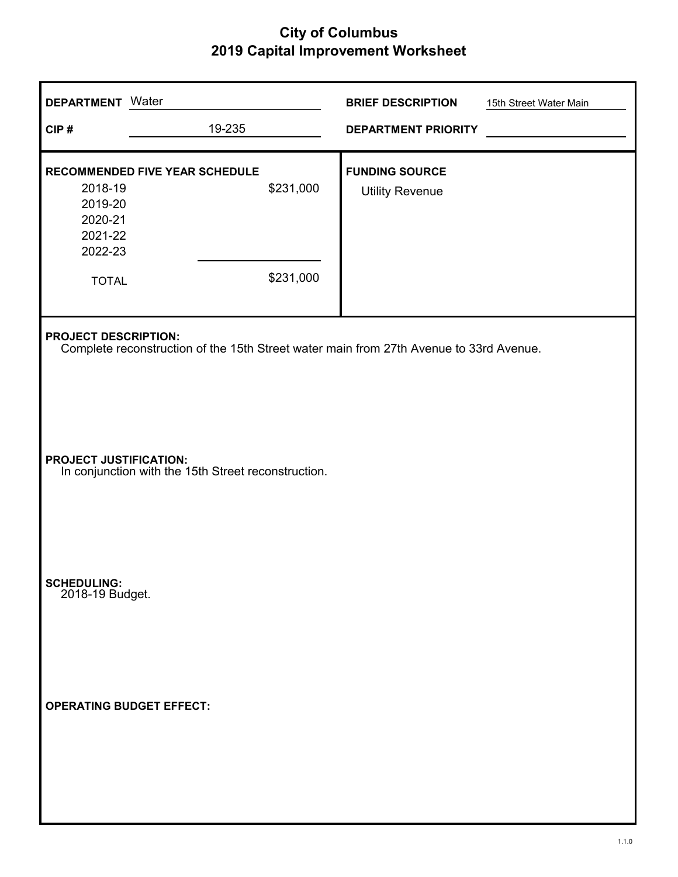| <b>DEPARTMENT</b> Water                                             |                                                                                        | <b>BRIEF DESCRIPTION</b>                        | 15th Street Water Main |
|---------------------------------------------------------------------|----------------------------------------------------------------------------------------|-------------------------------------------------|------------------------|
| CIP#                                                                | 19-235                                                                                 | <b>DEPARTMENT PRIORITY</b>                      |                        |
| 2018-19<br>2019-20<br>2020-21<br>2021-22<br>2022-23<br><b>TOTAL</b> | RECOMMENDED FIVE YEAR SCHEDULE<br>\$231,000<br>\$231,000                               | <b>FUNDING SOURCE</b><br><b>Utility Revenue</b> |                        |
| <b>PROJECT DESCRIPTION:</b>                                         | Complete reconstruction of the 15th Street water main from 27th Avenue to 33rd Avenue. |                                                 |                        |
| <b>PROJECT JUSTIFICATION:</b>                                       | In conjunction with the 15th Street reconstruction.                                    |                                                 |                        |
| SCHEDULING:<br>2018-19 Budget.                                      |                                                                                        |                                                 |                        |
| <b>OPERATING BUDGET EFFECT:</b>                                     |                                                                                        |                                                 |                        |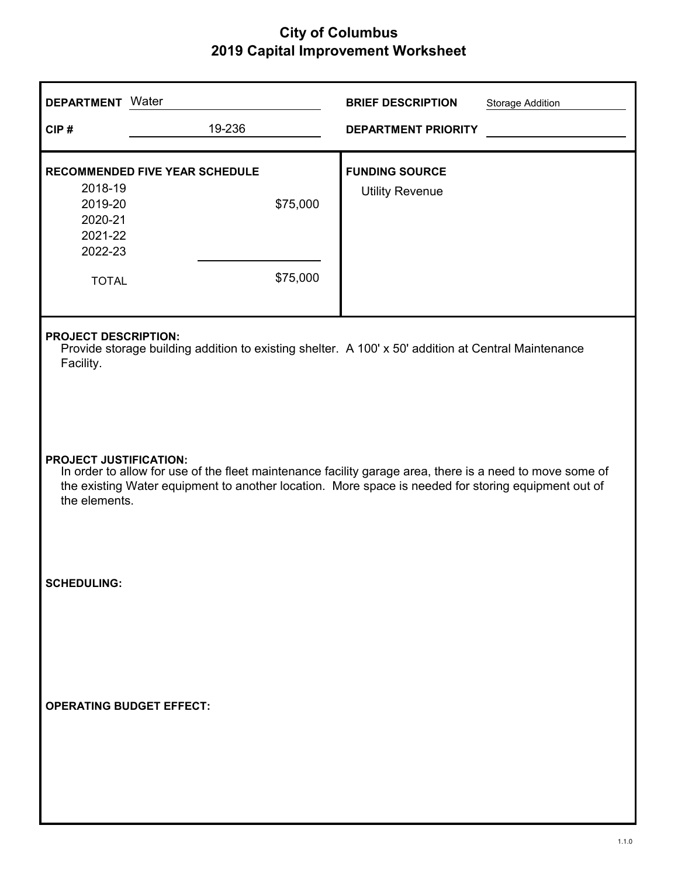| <b>DEPARTMENT</b> Water                                                                                                                                                                                                                                           |                                                               | <b>BRIEF DESCRIPTION</b>                        | <b>Storage Addition</b> |  |  |
|-------------------------------------------------------------------------------------------------------------------------------------------------------------------------------------------------------------------------------------------------------------------|---------------------------------------------------------------|-------------------------------------------------|-------------------------|--|--|
| CIP#                                                                                                                                                                                                                                                              | 19-236                                                        | <b>DEPARTMENT PRIORITY</b>                      |                         |  |  |
| 2018-19<br>2019-20<br>2020-21<br>2021-22<br>2022-23<br><b>TOTAL</b>                                                                                                                                                                                               | <b>RECOMMENDED FIVE YEAR SCHEDULE</b><br>\$75,000<br>\$75,000 | <b>FUNDING SOURCE</b><br><b>Utility Revenue</b> |                         |  |  |
| <b>PROJECT DESCRIPTION:</b><br>Provide storage building addition to existing shelter. A 100' x 50' addition at Central Maintenance<br>Facility.                                                                                                                   |                                                               |                                                 |                         |  |  |
| <b>PROJECT JUSTIFICATION:</b><br>In order to allow for use of the fleet maintenance facility garage area, there is a need to move some of<br>the existing Water equipment to another location. More space is needed for storing equipment out of<br>the elements. |                                                               |                                                 |                         |  |  |
| <b>SCHEDULING:</b>                                                                                                                                                                                                                                                |                                                               |                                                 |                         |  |  |
| <b>OPERATING BUDGET EFFECT:</b>                                                                                                                                                                                                                                   |                                                               |                                                 |                         |  |  |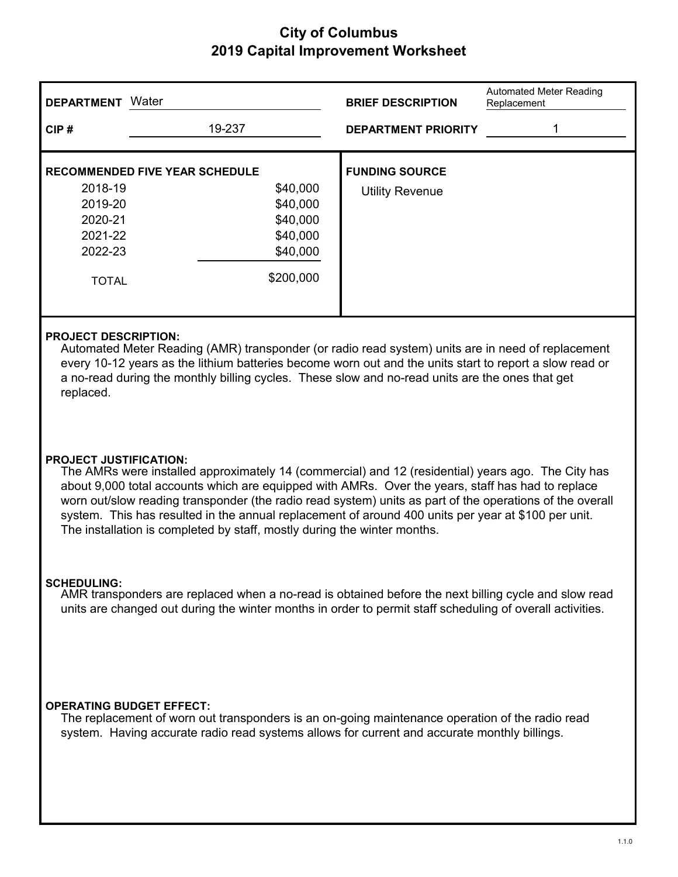| <b>DEPARTMENT</b> | Water                                 | <b>BRIEF DESCRIPTION</b>   | Automated Meter Reading<br>Replacement |
|-------------------|---------------------------------------|----------------------------|----------------------------------------|
| CIP#              | 19-237                                | <b>DEPARTMENT PRIORITY</b> |                                        |
|                   | <b>RECOMMENDED FIVE YEAR SCHEDULE</b> | <b>FUNDING SOURCE</b>      |                                        |
| 2018-19           | \$40,000                              | <b>Utility Revenue</b>     |                                        |
| 2019-20           | \$40,000                              |                            |                                        |
| 2020-21           | \$40,000                              |                            |                                        |
| 2021-22           | \$40,000                              |                            |                                        |
| 2022-23           | \$40,000                              |                            |                                        |
| <b>TOTAL</b>      | \$200,000                             |                            |                                        |

### **PROJECT DESCRIPTION:**

Automated Meter Reading (AMR) transponder (or radio read system) units are in need of replacement every 10-12 years as the lithium batteries become worn out and the units start to report a slow read or a no-read during the monthly billing cycles. These slow and no-read units are the ones that get replaced.

### **PROJECT JUSTIFICATION:**

The AMRs were installed approximately 14 (commercial) and 12 (residential) years ago. The City has about 9,000 total accounts which are equipped with AMRs. Over the years, staff has had to replace worn out/slow reading transponder (the radio read system) units as part of the operations of the overall system. This has resulted in the annual replacement of around 400 units per year at \$100 per unit. The installation is completed by staff, mostly during the winter months.

#### **SCHEDULING:**

AMR transponders are replaced when a no-read is obtained before the next billing cycle and slow read units are changed out during the winter months in order to permit staff scheduling of overall activities.

#### **OPERATING BUDGET EFFECT:**

The replacement of worn out transponders is an on-going maintenance operation of the radio read system. Having accurate radio read systems allows for current and accurate monthly billings.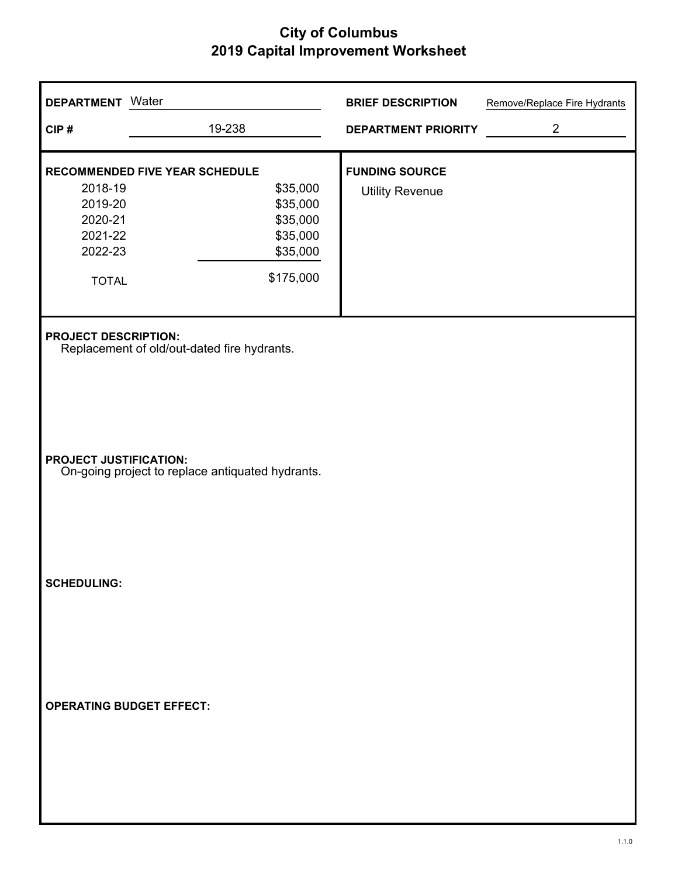| <b>DEPARTMENT</b> Water         |                                                  | <b>BRIEF DESCRIPTION</b>   | Remove/Replace Fire Hydrants |
|---------------------------------|--------------------------------------------------|----------------------------|------------------------------|
| CIP#                            | 19-238                                           | <b>DEPARTMENT PRIORITY</b> | $\overline{2}$               |
| RECOMMENDED FIVE YEAR SCHEDULE  |                                                  | <b>FUNDING SOURCE</b>      |                              |
| 2018-19<br>2019-20              | \$35,000<br>\$35,000                             | <b>Utility Revenue</b>     |                              |
| 2020-21                         | \$35,000                                         |                            |                              |
| 2021-22                         | \$35,000                                         |                            |                              |
| 2022-23                         | \$35,000                                         |                            |                              |
|                                 |                                                  |                            |                              |
| <b>TOTAL</b>                    | \$175,000                                        |                            |                              |
|                                 | Replacement of old/out-dated fire hydrants.      |                            |                              |
| <b>PROJECT JUSTIFICATION:</b>   | On-going project to replace antiquated hydrants. |                            |                              |
| <b>SCHEDULING:</b>              |                                                  |                            |                              |
| <b>OPERATING BUDGET EFFECT:</b> |                                                  |                            |                              |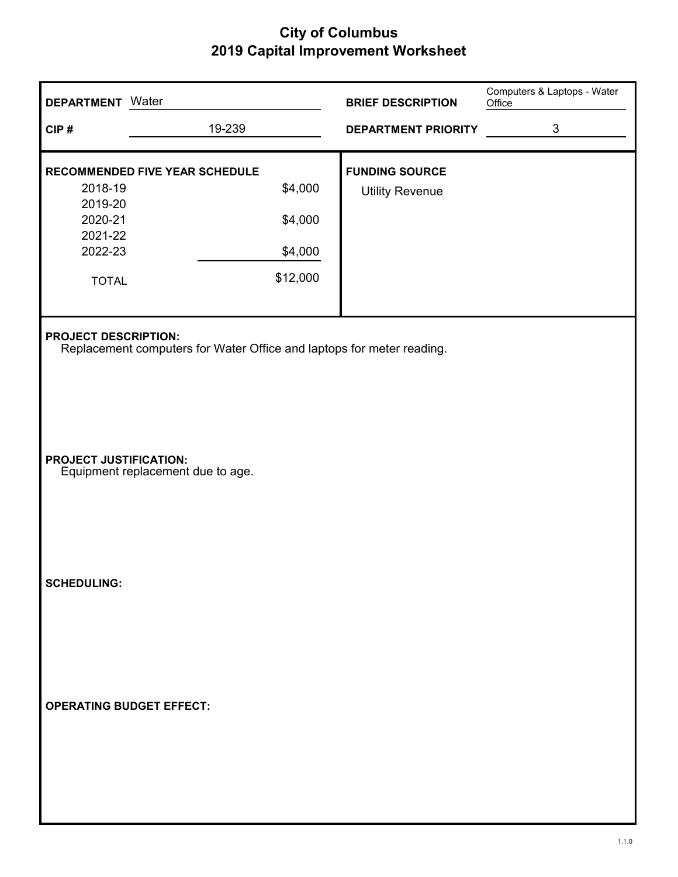| <b>DEPARTMENT</b> Water         |                                                                       | <b>BRIEF DESCRIPTION</b>   | Computers & Laptops - Water<br>Office |
|---------------------------------|-----------------------------------------------------------------------|----------------------------|---------------------------------------|
| CIP#                            | 19-239                                                                | <b>DEPARTMENT PRIORITY</b> | 3                                     |
|                                 | <b>RECOMMENDED FIVE YEAR SCHEDULE</b>                                 | <b>FUNDING SOURCE</b>      |                                       |
| 2018-19<br>2019-20              | \$4,000                                                               | <b>Utility Revenue</b>     |                                       |
| 2020-21                         | \$4,000                                                               |                            |                                       |
| 2021-22<br>2022-23              | \$4,000                                                               |                            |                                       |
| <b>TOTAL</b>                    | \$12,000                                                              |                            |                                       |
|                                 |                                                                       |                            |                                       |
| <b>PROJECT DESCRIPTION:</b>     | Replacement computers for Water Office and laptops for meter reading. |                            |                                       |
| <b>PROJECT JUSTIFICATION:</b>   | Equipment replacement due to age.                                     |                            |                                       |
| <b>SCHEDULING:</b>              |                                                                       |                            |                                       |
| <b>OPERATING BUDGET EFFECT:</b> |                                                                       |                            |                                       |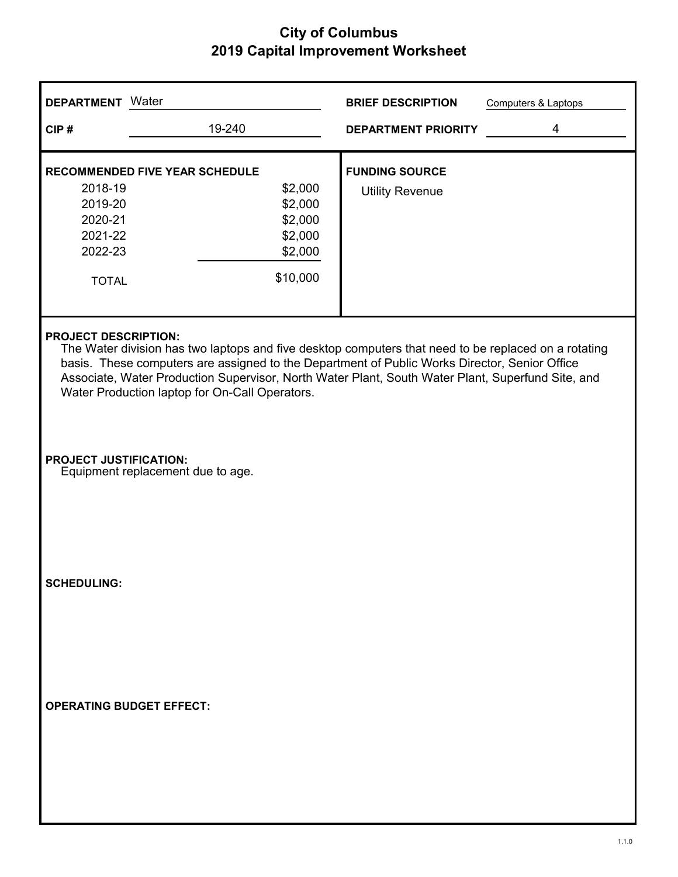| <b>DEPARTMENT</b> Water                                                                                                                                                                                                                                                                                                                                                                     |                                                                                                   | <b>BRIEF DESCRIPTION</b><br>Computers & Laptops |  |  |  |
|---------------------------------------------------------------------------------------------------------------------------------------------------------------------------------------------------------------------------------------------------------------------------------------------------------------------------------------------------------------------------------------------|---------------------------------------------------------------------------------------------------|-------------------------------------------------|--|--|--|
| CIP#                                                                                                                                                                                                                                                                                                                                                                                        | 19-240                                                                                            | 4<br><b>DEPARTMENT PRIORITY</b>                 |  |  |  |
| 2018-19<br>2019-20<br>2020-21<br>2021-22<br>2022-23<br><b>TOTAL</b>                                                                                                                                                                                                                                                                                                                         | RECOMMENDED FIVE YEAR SCHEDULE<br>\$2,000<br>\$2,000<br>\$2,000<br>\$2,000<br>\$2,000<br>\$10,000 | <b>FUNDING SOURCE</b><br><b>Utility Revenue</b> |  |  |  |
| <b>PROJECT DESCRIPTION:</b><br>The Water division has two laptops and five desktop computers that need to be replaced on a rotating<br>basis. These computers are assigned to the Department of Public Works Director, Senior Office<br>Associate, Water Production Supervisor, North Water Plant, South Water Plant, Superfund Site, and<br>Water Production laptop for On-Call Operators. |                                                                                                   |                                                 |  |  |  |
| <b>PROJECT JUSTIFICATION:</b>                                                                                                                                                                                                                                                                                                                                                               | Equipment replacement due to age.                                                                 |                                                 |  |  |  |
| <b>SCHEDULING:</b>                                                                                                                                                                                                                                                                                                                                                                          |                                                                                                   |                                                 |  |  |  |
|                                                                                                                                                                                                                                                                                                                                                                                             | <b>OPERATING BUDGET EFFECT:</b>                                                                   |                                                 |  |  |  |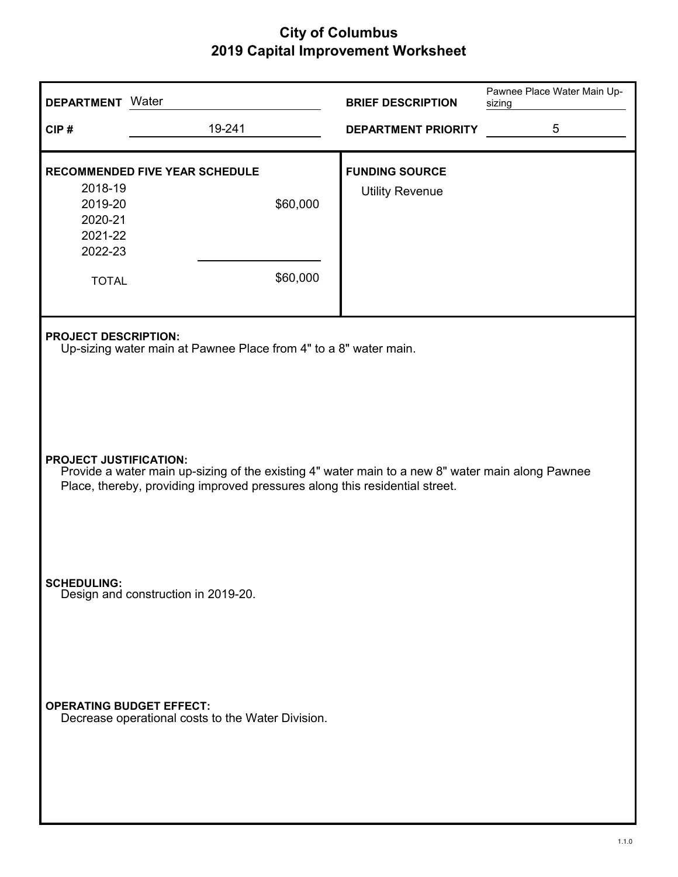| <b>DEPARTMENT</b> Water                                                                                                                                                                                                              |                                                                                                                    | <b>BRIEF DESCRIPTION</b>                        | Pawnee Place Water Main Up-<br>sizing |  |  |
|--------------------------------------------------------------------------------------------------------------------------------------------------------------------------------------------------------------------------------------|--------------------------------------------------------------------------------------------------------------------|-------------------------------------------------|---------------------------------------|--|--|
| CIP#                                                                                                                                                                                                                                 | 19-241                                                                                                             | <b>DEPARTMENT PRIORITY</b>                      | 5                                     |  |  |
| 2018-19<br>2019-20<br>2020-21<br>2021-22<br>2022-23<br><b>TOTAL</b>                                                                                                                                                                  | <b>RECOMMENDED FIVE YEAR SCHEDULE</b><br>\$60,000<br>\$60,000                                                      | <b>FUNDING SOURCE</b><br><b>Utility Revenue</b> |                                       |  |  |
| <b>PROJECT DESCRIPTION:</b><br>Up-sizing water main at Pawnee Place from 4" to a 8" water main.<br><b>PROJECT JUSTIFICATION:</b><br>Provide a water main up-sizing of the existing 4" water main to a new 8" water main along Pawnee |                                                                                                                    |                                                 |                                       |  |  |
| <b>SCHEDULING:</b>                                                                                                                                                                                                                   | Place, thereby, providing improved pressures along this residential street.<br>Design and construction in 2019-20. |                                                 |                                       |  |  |
| <b>OPERATING BUDGET EFFECT:</b>                                                                                                                                                                                                      | Decrease operational costs to the Water Division.                                                                  |                                                 |                                       |  |  |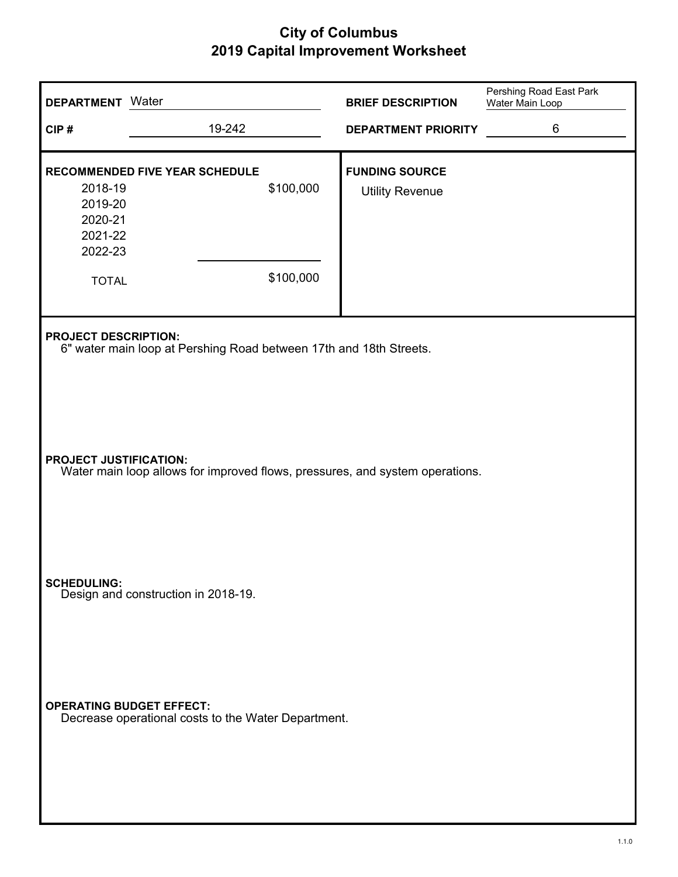| <b>DEPARTMENT</b> Water                                             |                                                                                        |                        | <b>BRIEF DESCRIPTION</b>                        | Pershing Road East Park<br>Water Main Loop |
|---------------------------------------------------------------------|----------------------------------------------------------------------------------------|------------------------|-------------------------------------------------|--------------------------------------------|
| CIP#                                                                | 19-242                                                                                 |                        | <b>DEPARTMENT PRIORITY</b>                      | 6                                          |
| 2018-19<br>2019-20<br>2020-21<br>2021-22<br>2022-23<br><b>TOTAL</b> | <b>RECOMMENDED FIVE YEAR SCHEDULE</b>                                                  | \$100,000<br>\$100,000 | <b>FUNDING SOURCE</b><br><b>Utility Revenue</b> |                                            |
| <b>PROJECT DESCRIPTION:</b>                                         | 6" water main loop at Pershing Road between 17th and 18th Streets.                     |                        |                                                 |                                            |
| <b>PROJECT JUSTIFICATION:</b>                                       | Water main loop allows for improved flows, pressures, and system operations.           |                        |                                                 |                                            |
| <b>SCHEDULING:</b>                                                  | Design and construction in 2018-19.                                                    |                        |                                                 |                                            |
|                                                                     | <b>OPERATING BUDGET EFFECT:</b><br>Decrease operational costs to the Water Department. |                        |                                                 |                                            |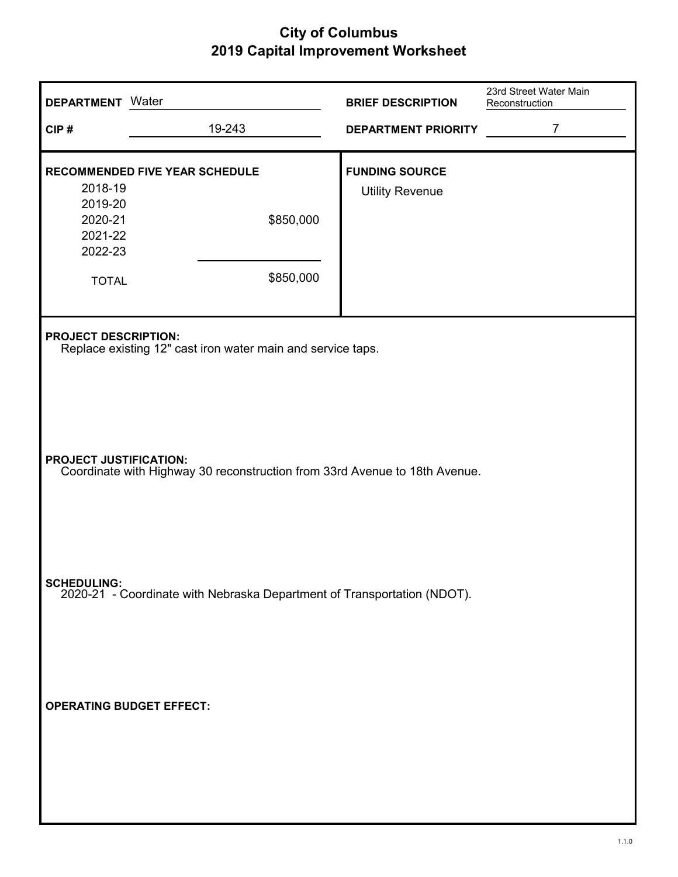| <b>DEPARTMENT</b> Water                                                                |                                                                                                             | <b>BRIEF DESCRIPTION</b>                        | 23rd Street Water Main<br>Reconstruction |  |  |  |
|----------------------------------------------------------------------------------------|-------------------------------------------------------------------------------------------------------------|-------------------------------------------------|------------------------------------------|--|--|--|
| CIP#                                                                                   | 19-243                                                                                                      | <b>DEPARTMENT PRIORITY</b>                      | $\overline{7}$                           |  |  |  |
| 2018-19                                                                                | RECOMMENDED FIVE YEAR SCHEDULE                                                                              | <b>FUNDING SOURCE</b><br><b>Utility Revenue</b> |                                          |  |  |  |
| 2019-20<br>2020-21<br>2021-22<br>2022-23                                               | \$850,000                                                                                                   |                                                 |                                          |  |  |  |
| <b>TOTAL</b>                                                                           | \$850,000                                                                                                   |                                                 |                                          |  |  |  |
| <b>PROJECT DESCRIPTION:</b>                                                            | Replace existing 12" cast iron water main and service taps.                                                 |                                                 |                                          |  |  |  |
|                                                                                        | <b>PROJECT JUSTIFICATION:</b><br>Coordinate with Highway 30 reconstruction from 33rd Avenue to 18th Avenue. |                                                 |                                          |  |  |  |
| SCHEDULING:<br>2020-21 - Coordinate with Nebraska Department of Transportation (NDOT). |                                                                                                             |                                                 |                                          |  |  |  |
| <b>OPERATING BUDGET EFFECT:</b>                                                        |                                                                                                             |                                                 |                                          |  |  |  |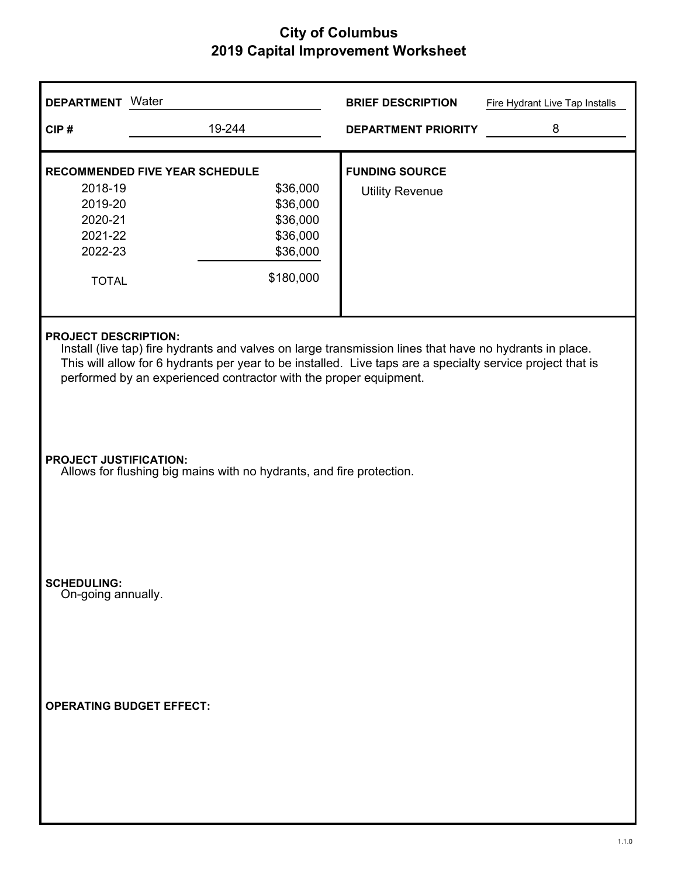| <b>DEPARTMENT</b> Water                                                                                                                                                                                                                                                                                                   |                                                                                                       | <b>BRIEF DESCRIPTION</b>   | Fire Hydrant Live Tap Installs |  |  |
|---------------------------------------------------------------------------------------------------------------------------------------------------------------------------------------------------------------------------------------------------------------------------------------------------------------------------|-------------------------------------------------------------------------------------------------------|----------------------------|--------------------------------|--|--|
| CIP#                                                                                                                                                                                                                                                                                                                      | 19-244                                                                                                | <b>DEPARTMENT PRIORITY</b> | 8                              |  |  |
| <b>RECOMMENDED FIVE YEAR SCHEDULE</b>                                                                                                                                                                                                                                                                                     |                                                                                                       | <b>FUNDING SOURCE</b>      |                                |  |  |
| 2018-19<br>2019-20<br>2020-21<br>2021-22<br>2022-23<br><b>TOTAL</b>                                                                                                                                                                                                                                                       | \$36,000<br>\$36,000<br>\$36,000<br>\$36,000<br>\$36,000<br>\$180,000                                 | <b>Utility Revenue</b>     |                                |  |  |
| <b>PROJECT DESCRIPTION:</b><br>Install (live tap) fire hydrants and valves on large transmission lines that have no hydrants in place.<br>This will allow for 6 hydrants per year to be installed. Live taps are a specialty service project that is<br>performed by an experienced contractor with the proper equipment. |                                                                                                       |                            |                                |  |  |
|                                                                                                                                                                                                                                                                                                                           | <b>PROJECT JUSTIFICATION:</b><br>Allows for flushing big mains with no hydrants, and fire protection. |                            |                                |  |  |
| <b>SCHEDULING:</b><br>On-going annually.                                                                                                                                                                                                                                                                                  |                                                                                                       |                            |                                |  |  |
| <b>OPERATING BUDGET EFFECT:</b>                                                                                                                                                                                                                                                                                           |                                                                                                       |                            |                                |  |  |
|                                                                                                                                                                                                                                                                                                                           |                                                                                                       |                            |                                |  |  |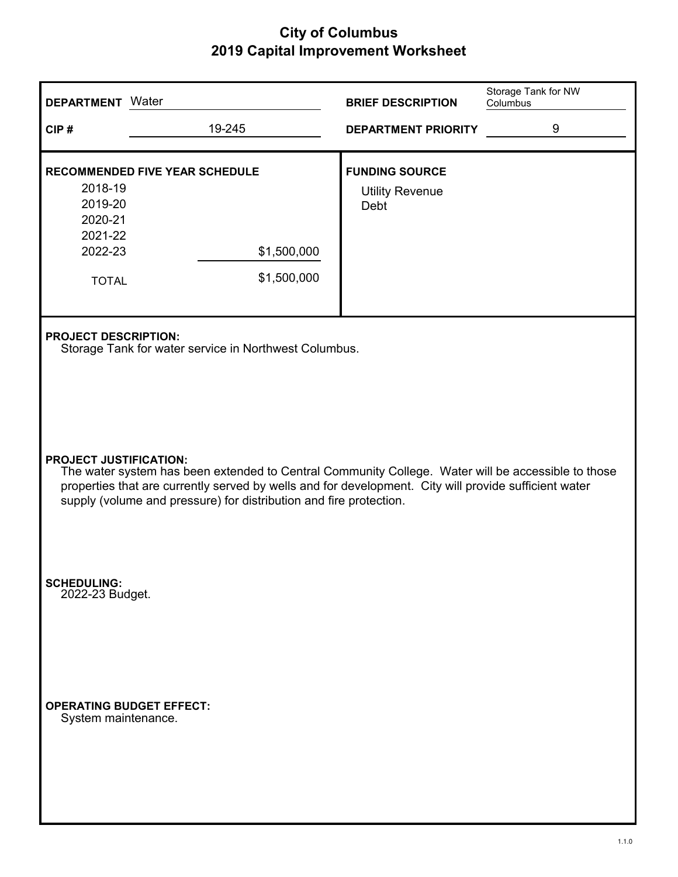| <b>DEPARTMENT</b> Water                                                                         |                                                                                                                                                                                                                                                                                                                                                                                                            | <b>BRIEF DESCRIPTION</b>                                | Storage Tank for NW<br>Columbus |  |  |  |
|-------------------------------------------------------------------------------------------------|------------------------------------------------------------------------------------------------------------------------------------------------------------------------------------------------------------------------------------------------------------------------------------------------------------------------------------------------------------------------------------------------------------|---------------------------------------------------------|---------------------------------|--|--|--|
| CIP#                                                                                            | 19-245                                                                                                                                                                                                                                                                                                                                                                                                     | <b>DEPARTMENT PRIORITY</b>                              | 9                               |  |  |  |
| 2018-19<br>2019-20<br>2020-21<br>2021-22<br>2022-23<br><b>TOTAL</b>                             | <b>RECOMMENDED FIVE YEAR SCHEDULE</b><br>\$1,500,000<br>\$1,500,000                                                                                                                                                                                                                                                                                                                                        | <b>FUNDING SOURCE</b><br><b>Utility Revenue</b><br>Debt |                                 |  |  |  |
|                                                                                                 | <b>PROJECT DESCRIPTION:</b><br>Storage Tank for water service in Northwest Columbus.<br><b>PROJECT JUSTIFICATION:</b><br>The water system has been extended to Central Community College. Water will be accessible to those<br>properties that are currently served by wells and for development. City will provide sufficient water<br>supply (volume and pressure) for distribution and fire protection. |                                                         |                                 |  |  |  |
| <b>SCHEDULING:</b><br>2022-23 Budget.<br><b>OPERATING BUDGET EFFECT:</b><br>System maintenance. |                                                                                                                                                                                                                                                                                                                                                                                                            |                                                         |                                 |  |  |  |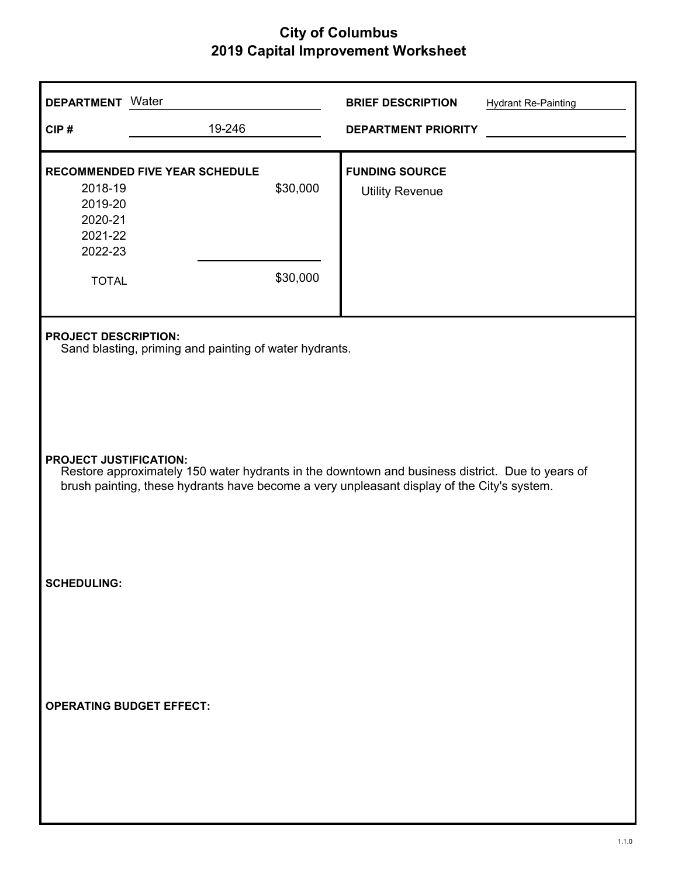| <b>DEPARTMENT</b> Water                             |                                                                                                                                                                                               |                      | <b>BRIEF DESCRIPTION</b>                        | <b>Hydrant Re-Painting</b> |
|-----------------------------------------------------|-----------------------------------------------------------------------------------------------------------------------------------------------------------------------------------------------|----------------------|-------------------------------------------------|----------------------------|
| CIP#                                                | 19-246                                                                                                                                                                                        |                      | <b>DEPARTMENT PRIORITY</b>                      |                            |
| 2018-19<br>2019-20<br>2020-21<br>2021-22<br>2022-23 | RECOMMENDED FIVE YEAR SCHEDULE                                                                                                                                                                | \$30,000<br>\$30,000 | <b>FUNDING SOURCE</b><br><b>Utility Revenue</b> |                            |
| <b>TOTAL</b>                                        |                                                                                                                                                                                               |                      |                                                 |                            |
| <b>PROJECT DESCRIPTION:</b>                         | Sand blasting, priming and painting of water hydrants.                                                                                                                                        |                      |                                                 |                            |
| <b>PROJECT JUSTIFICATION:</b>                       | Restore approximately 150 water hydrants in the downtown and business district. Due to years of<br>brush painting, these hydrants have become a very unpleasant display of the City's system. |                      |                                                 |                            |
| <b>SCHEDULING:</b>                                  |                                                                                                                                                                                               |                      |                                                 |                            |
|                                                     | <b>OPERATING BUDGET EFFECT:</b>                                                                                                                                                               |                      |                                                 |                            |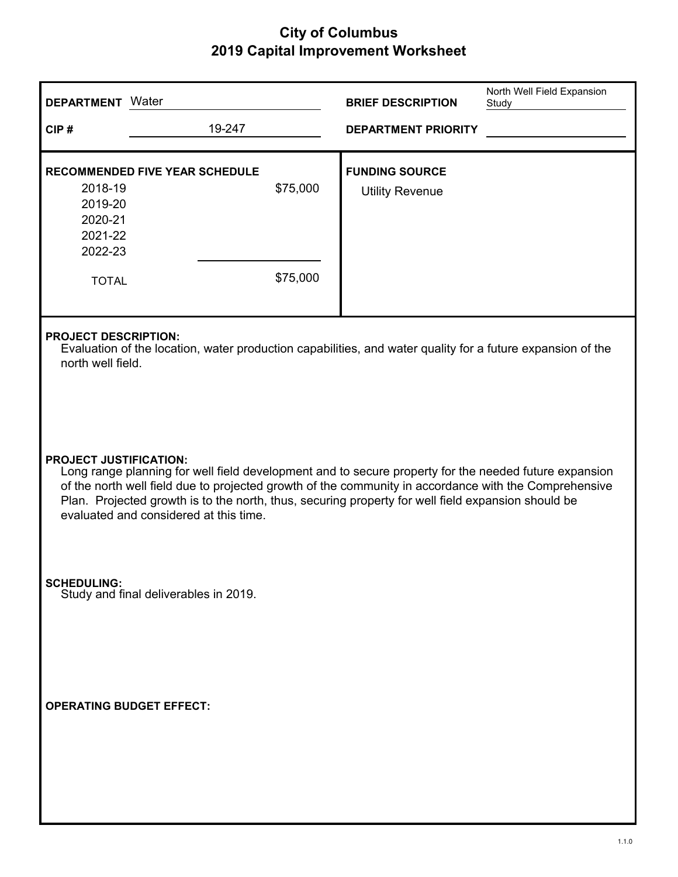| <b>DEPARTMENT</b> Water                                             |                                        |                      | <b>BRIEF DESCRIPTION</b>                                                                                                                                                                                                                                                                                             | North Well Field Expansion<br>Study |
|---------------------------------------------------------------------|----------------------------------------|----------------------|----------------------------------------------------------------------------------------------------------------------------------------------------------------------------------------------------------------------------------------------------------------------------------------------------------------------|-------------------------------------|
| CIP#                                                                | 19-247                                 |                      | <b>DEPARTMENT PRIORITY</b>                                                                                                                                                                                                                                                                                           |                                     |
| 2018-19<br>2019-20<br>2020-21<br>2021-22<br>2022-23<br><b>TOTAL</b> | <b>RECOMMENDED FIVE YEAR SCHEDULE</b>  | \$75,000<br>\$75,000 | <b>FUNDING SOURCE</b><br><b>Utility Revenue</b>                                                                                                                                                                                                                                                                      |                                     |
| <b>PROJECT DESCRIPTION:</b><br>north well field.                    |                                        |                      | Evaluation of the location, water production capabilities, and water quality for a future expansion of the                                                                                                                                                                                                           |                                     |
| <b>PROJECT JUSTIFICATION:</b>                                       | evaluated and considered at this time. |                      | Long range planning for well field development and to secure property for the needed future expansion<br>of the north well field due to projected growth of the community in accordance with the Comprehensive<br>Plan. Projected growth is to the north, thus, securing property for well field expansion should be |                                     |
| <b>SCHEDULING:</b>                                                  | Study and final deliverables in 2019.  |                      |                                                                                                                                                                                                                                                                                                                      |                                     |
| <b>OPERATING BUDGET EFFECT:</b>                                     |                                        |                      |                                                                                                                                                                                                                                                                                                                      |                                     |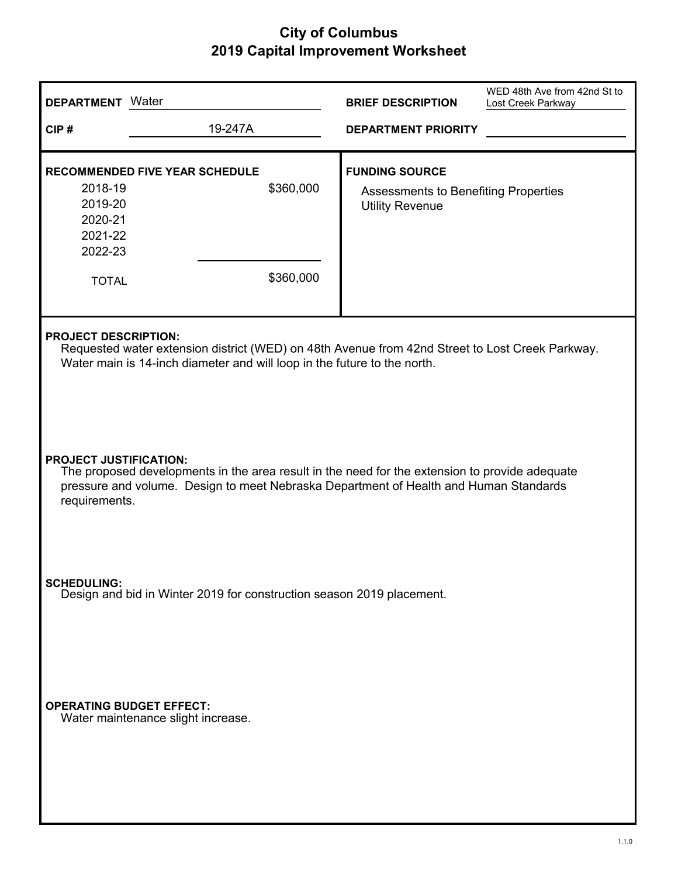| <b>DEPARTMENT</b> Water                                                                     |                                                                                                                                                                                                            | <b>BRIEF DESCRIPTION</b>                                                                | WED 48th Ave from 42nd St to<br>Lost Creek Parkway |  |  |  |
|---------------------------------------------------------------------------------------------|------------------------------------------------------------------------------------------------------------------------------------------------------------------------------------------------------------|-----------------------------------------------------------------------------------------|----------------------------------------------------|--|--|--|
| CIP#                                                                                        | 19-247A                                                                                                                                                                                                    | <b>DEPARTMENT PRIORITY</b>                                                              |                                                    |  |  |  |
| 2018-19<br>2019-20<br>2020-21<br>2021-22<br>2022-23<br><b>TOTAL</b>                         | <b>RECOMMENDED FIVE YEAR SCHEDULE</b><br>\$360,000<br>\$360,000                                                                                                                                            | <b>FUNDING SOURCE</b><br>Assessments to Benefiting Properties<br><b>Utility Revenue</b> |                                                    |  |  |  |
|                                                                                             | <b>PROJECT DESCRIPTION:</b><br>Requested water extension district (WED) on 48th Avenue from 42nd Street to Lost Creek Parkway.<br>Water main is 14-inch diameter and will loop in the future to the north. |                                                                                         |                                                    |  |  |  |
| <b>PROJECT JUSTIFICATION:</b><br>requirements.                                              | The proposed developments in the area result in the need for the extension to provide adequate<br>pressure and volume. Design to meet Nebraska Department of Health and Human Standards                    |                                                                                         |                                                    |  |  |  |
| <b>SCHEDULING:</b><br>Design and bid in Winter 2019 for construction season 2019 placement. |                                                                                                                                                                                                            |                                                                                         |                                                    |  |  |  |
| <b>OPERATING BUDGET EFFECT:</b>                                                             | Water maintenance slight increase.                                                                                                                                                                         |                                                                                         |                                                    |  |  |  |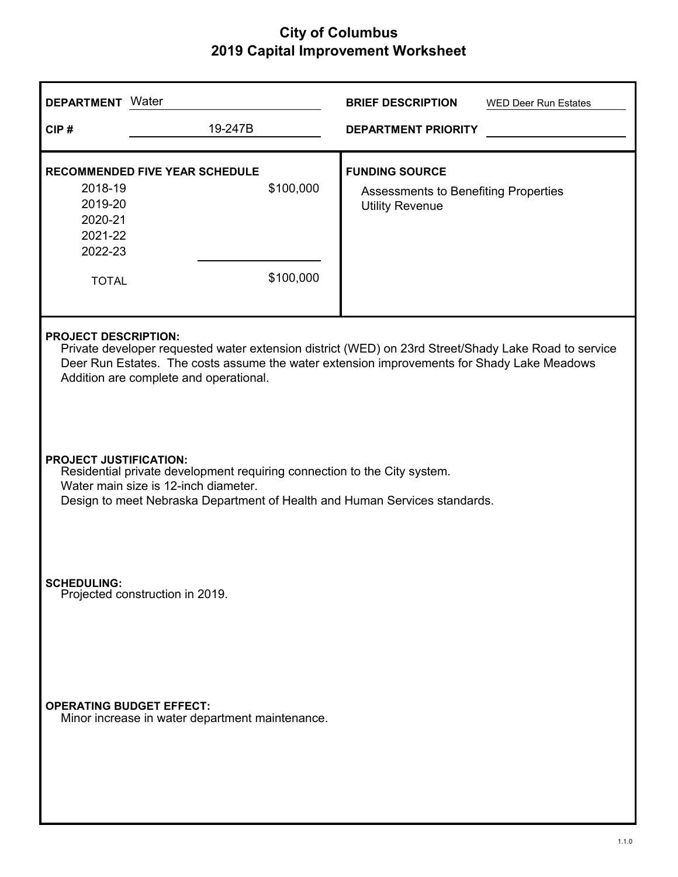| Water<br><b>DEPARTMENT</b>                                          |                                                                                                                                                                                                                                                                             | <b>BRIEF DESCRIPTION</b><br><b>WED Deer Run Estates</b>                                        |  |  |  |  |
|---------------------------------------------------------------------|-----------------------------------------------------------------------------------------------------------------------------------------------------------------------------------------------------------------------------------------------------------------------------|------------------------------------------------------------------------------------------------|--|--|--|--|
| CIP#                                                                | 19-247B                                                                                                                                                                                                                                                                     | <b>DEPARTMENT PRIORITY</b>                                                                     |  |  |  |  |
| 2018-19<br>2019-20<br>2020-21<br>2021-22<br>2022-23<br><b>TOTAL</b> | <b>RECOMMENDED FIVE YEAR SCHEDULE</b><br>\$100,000<br>\$100,000                                                                                                                                                                                                             | <b>FUNDING SOURCE</b><br><b>Assessments to Benefiting Properties</b><br><b>Utility Revenue</b> |  |  |  |  |
|                                                                     | <b>PROJECT DESCRIPTION:</b><br>Private developer requested water extension district (WED) on 23rd Street/Shady Lake Road to service<br>Deer Run Estates. The costs assume the water extension improvements for Shady Lake Meadows<br>Addition are complete and operational. |                                                                                                |  |  |  |  |
|                                                                     | <b>PROJECT JUSTIFICATION:</b><br>Residential private development requiring connection to the City system.<br>Water main size is 12-inch diameter.<br>Design to meet Nebraska Department of Health and Human Services standards.                                             |                                                                                                |  |  |  |  |
| <b>SCHEDULING:</b><br>Projected construction in 2019.               |                                                                                                                                                                                                                                                                             |                                                                                                |  |  |  |  |
| <b>OPERATING BUDGET EFFECT:</b>                                     | Minor increase in water department maintenance.                                                                                                                                                                                                                             |                                                                                                |  |  |  |  |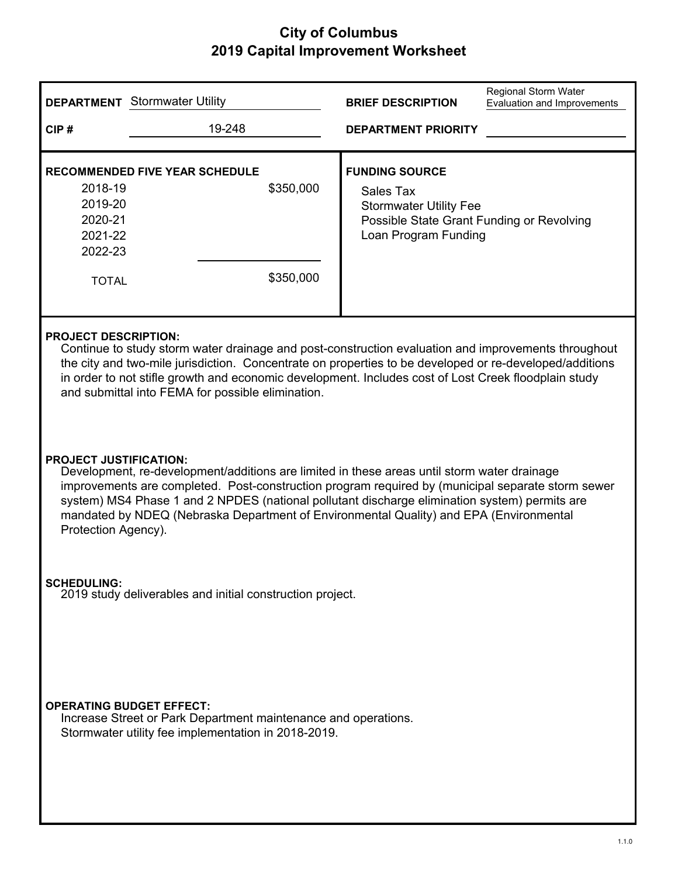|                                                                                                                                                                                                                                                                                                                                                                                                            | <b>DEPARTMENT</b> Stormwater Utility                                                                                                                                                                                                                                                                                                                                                                                                                | <b>BRIEF DESCRIPTION</b>                                                                                                                 | <b>Regional Storm Water</b><br>Evaluation and Improvements |  |  |
|------------------------------------------------------------------------------------------------------------------------------------------------------------------------------------------------------------------------------------------------------------------------------------------------------------------------------------------------------------------------------------------------------------|-----------------------------------------------------------------------------------------------------------------------------------------------------------------------------------------------------------------------------------------------------------------------------------------------------------------------------------------------------------------------------------------------------------------------------------------------------|------------------------------------------------------------------------------------------------------------------------------------------|------------------------------------------------------------|--|--|
| CIP#                                                                                                                                                                                                                                                                                                                                                                                                       | 19-248                                                                                                                                                                                                                                                                                                                                                                                                                                              | <b>DEPARTMENT PRIORITY</b>                                                                                                               |                                                            |  |  |
| 2018-19<br>2019-20<br>2020-21<br>2021-22<br>2022-23<br><b>TOTAL</b>                                                                                                                                                                                                                                                                                                                                        | <b>RECOMMENDED FIVE YEAR SCHEDULE</b><br>\$350,000<br>\$350,000                                                                                                                                                                                                                                                                                                                                                                                     | <b>FUNDING SOURCE</b><br>Sales Tax<br><b>Stormwater Utility Fee</b><br>Possible State Grant Funding or Revolving<br>Loan Program Funding |                                                            |  |  |
| <b>PROJECT DESCRIPTION:</b><br>Continue to study storm water drainage and post-construction evaluation and improvements throughout<br>the city and two-mile jurisdiction. Concentrate on properties to be developed or re-developed/additions<br>in order to not stifle growth and economic development. Includes cost of Lost Creek floodplain study<br>and submittal into FEMA for possible elimination. |                                                                                                                                                                                                                                                                                                                                                                                                                                                     |                                                                                                                                          |                                                            |  |  |
|                                                                                                                                                                                                                                                                                                                                                                                                            | <b>PROJECT JUSTIFICATION:</b><br>Development, re-development/additions are limited in these areas until storm water drainage<br>improvements are completed. Post-construction program required by (municipal separate storm sewer<br>system) MS4 Phase 1 and 2 NPDES (national pollutant discharge elimination system) permits are<br>mandated by NDEQ (Nebraska Department of Environmental Quality) and EPA (Environmental<br>Protection Agency). |                                                                                                                                          |                                                            |  |  |
| <b>SCHEDULING:</b>                                                                                                                                                                                                                                                                                                                                                                                         | 2019 study deliverables and initial construction project.                                                                                                                                                                                                                                                                                                                                                                                           |                                                                                                                                          |                                                            |  |  |
|                                                                                                                                                                                                                                                                                                                                                                                                            | <b>OPERATING BUDGET EFFECT:</b><br>Increase Street or Park Department maintenance and operations.<br>Stormwater utility fee implementation in 2018-2019.                                                                                                                                                                                                                                                                                            |                                                                                                                                          |                                                            |  |  |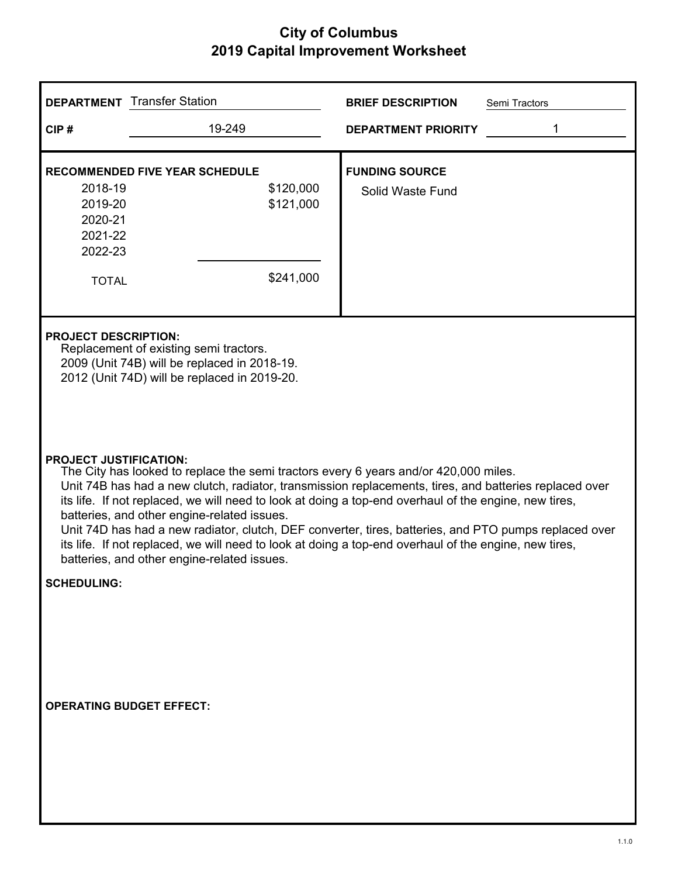|                                                                     | <b>DEPARTMENT</b> Transfer Station                                                                                                                                                                                                                                                                                                                                                                                                                                                                                                                                                                                                                       | <b>BRIEF DESCRIPTION</b><br>Semi Tractors |  |  |  |
|---------------------------------------------------------------------|----------------------------------------------------------------------------------------------------------------------------------------------------------------------------------------------------------------------------------------------------------------------------------------------------------------------------------------------------------------------------------------------------------------------------------------------------------------------------------------------------------------------------------------------------------------------------------------------------------------------------------------------------------|-------------------------------------------|--|--|--|
| CIP#                                                                | 19-249                                                                                                                                                                                                                                                                                                                                                                                                                                                                                                                                                                                                                                                   | 1<br><b>DEPARTMENT PRIORITY</b>           |  |  |  |
| 2018-19<br>2019-20<br>2020-21<br>2021-22<br>2022-23<br><b>TOTAL</b> | <b>RECOMMENDED FIVE YEAR SCHEDULE</b><br>\$120,000<br>\$121,000<br>\$241,000                                                                                                                                                                                                                                                                                                                                                                                                                                                                                                                                                                             | <b>FUNDING SOURCE</b><br>Solid Waste Fund |  |  |  |
| <b>PROJECT DESCRIPTION:</b>                                         | Replacement of existing semi tractors.<br>2009 (Unit 74B) will be replaced in 2018-19.<br>2012 (Unit 74D) will be replaced in 2019-20.                                                                                                                                                                                                                                                                                                                                                                                                                                                                                                                   |                                           |  |  |  |
|                                                                     | <b>PROJECT JUSTIFICATION:</b><br>The City has looked to replace the semi tractors every 6 years and/or 420,000 miles.<br>Unit 74B has had a new clutch, radiator, transmission replacements, tires, and batteries replaced over<br>its life. If not replaced, we will need to look at doing a top-end overhaul of the engine, new tires,<br>batteries, and other engine-related issues.<br>Unit 74D has had a new radiator, clutch, DEF converter, tires, batteries, and PTO pumps replaced over<br>its life. If not replaced, we will need to look at doing a top-end overhaul of the engine, new tires,<br>batteries, and other engine-related issues. |                                           |  |  |  |
| <b>SCHEDULING:</b>                                                  |                                                                                                                                                                                                                                                                                                                                                                                                                                                                                                                                                                                                                                                          |                                           |  |  |  |
|                                                                     | <b>OPERATING BUDGET EFFECT:</b>                                                                                                                                                                                                                                                                                                                                                                                                                                                                                                                                                                                                                          |                                           |  |  |  |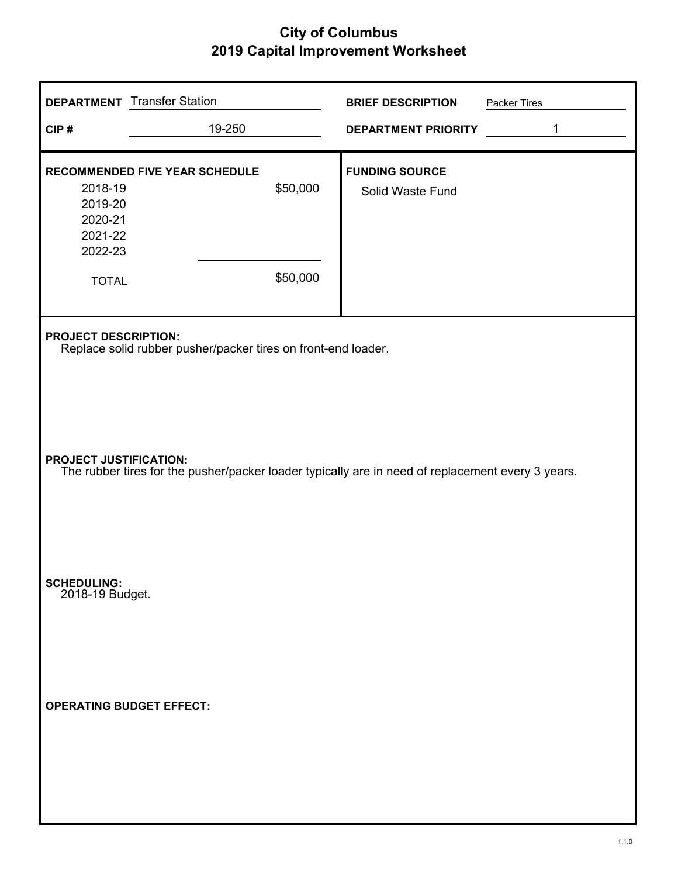|                                                                     | <b>DEPARTMENT</b> Transfer Station                                                                                                 |                      | <b>BRIEF DESCRIPTION</b>                  | Packer Tires |  |  |
|---------------------------------------------------------------------|------------------------------------------------------------------------------------------------------------------------------------|----------------------|-------------------------------------------|--------------|--|--|
| CIP#                                                                | 19-250                                                                                                                             |                      | <b>DEPARTMENT PRIORITY</b>                | 1            |  |  |
| 2018-19<br>2019-20<br>2020-21<br>2021-22<br>2022-23<br><b>TOTAL</b> | <b>RECOMMENDED FIVE YEAR SCHEDULE</b>                                                                                              | \$50,000<br>\$50,000 | <b>FUNDING SOURCE</b><br>Solid Waste Fund |              |  |  |
|                                                                     | <b>PROJECT DESCRIPTION:</b><br>Replace solid rubber pusher/packer tires on front-end loader.                                       |                      |                                           |              |  |  |
|                                                                     | <b>PROJECT JUSTIFICATION:</b><br>The rubber tires for the pusher/packer loader typically are in need of replacement every 3 years. |                      |                                           |              |  |  |
| <b>SCHEDULING:</b><br>2018-19 Budget.                               |                                                                                                                                    |                      |                                           |              |  |  |
| <b>OPERATING BUDGET EFFECT:</b>                                     |                                                                                                                                    |                      |                                           |              |  |  |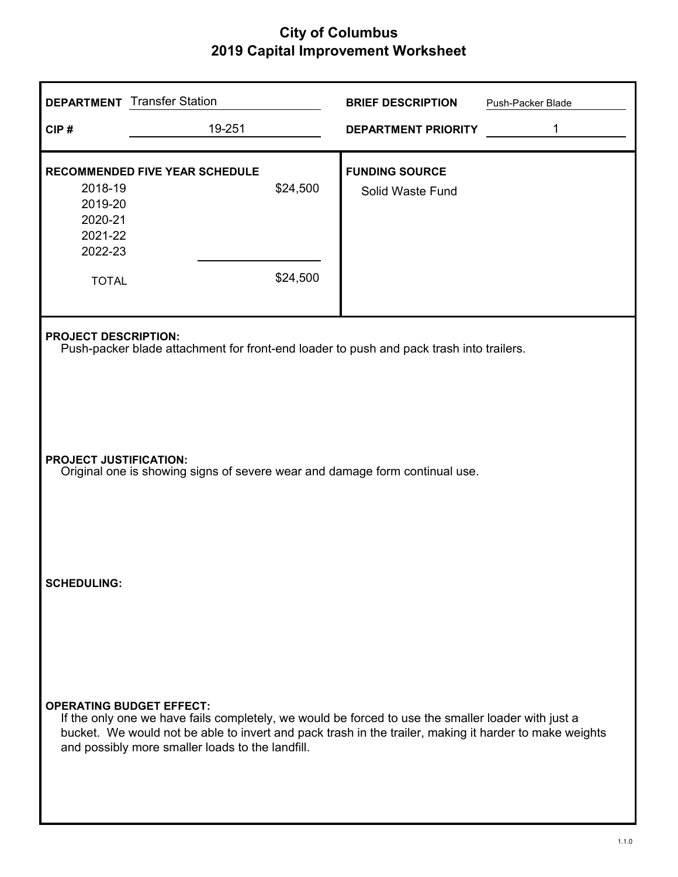| <b>DEPARTMENT</b> Transfer Station |                                                                                                                                                                                                                                                                  | <b>BRIEF DESCRIPTION</b>   | Push-Packer Blade |  |  |  |
|------------------------------------|------------------------------------------------------------------------------------------------------------------------------------------------------------------------------------------------------------------------------------------------------------------|----------------------------|-------------------|--|--|--|
| CIP#                               | 19-251                                                                                                                                                                                                                                                           | <b>DEPARTMENT PRIORITY</b> | 1                 |  |  |  |
|                                    | <b>RECOMMENDED FIVE YEAR SCHEDULE</b>                                                                                                                                                                                                                            | <b>FUNDING SOURCE</b>      |                   |  |  |  |
| 2018-19                            | \$24,500                                                                                                                                                                                                                                                         | Solid Waste Fund           |                   |  |  |  |
| 2019-20                            |                                                                                                                                                                                                                                                                  |                            |                   |  |  |  |
| 2020-21                            |                                                                                                                                                                                                                                                                  |                            |                   |  |  |  |
| 2021-22                            |                                                                                                                                                                                                                                                                  |                            |                   |  |  |  |
| 2022-23                            |                                                                                                                                                                                                                                                                  |                            |                   |  |  |  |
| <b>TOTAL</b>                       | \$24,500                                                                                                                                                                                                                                                         |                            |                   |  |  |  |
|                                    | <b>PROJECT DESCRIPTION:</b><br>Push-packer blade attachment for front-end loader to push and pack trash into trailers.                                                                                                                                           |                            |                   |  |  |  |
|                                    | <b>PROJECT JUSTIFICATION:</b><br>Original one is showing signs of severe wear and damage form continual use.                                                                                                                                                     |                            |                   |  |  |  |
| <b>SCHEDULING:</b>                 |                                                                                                                                                                                                                                                                  |                            |                   |  |  |  |
| <b>OPERATING BUDGET EFFECT:</b>    | If the only one we have fails completely, we would be forced to use the smaller loader with just a<br>bucket. We would not be able to invert and pack trash in the trailer, making it harder to make weights<br>and possibly more smaller loads to the landfill. |                            |                   |  |  |  |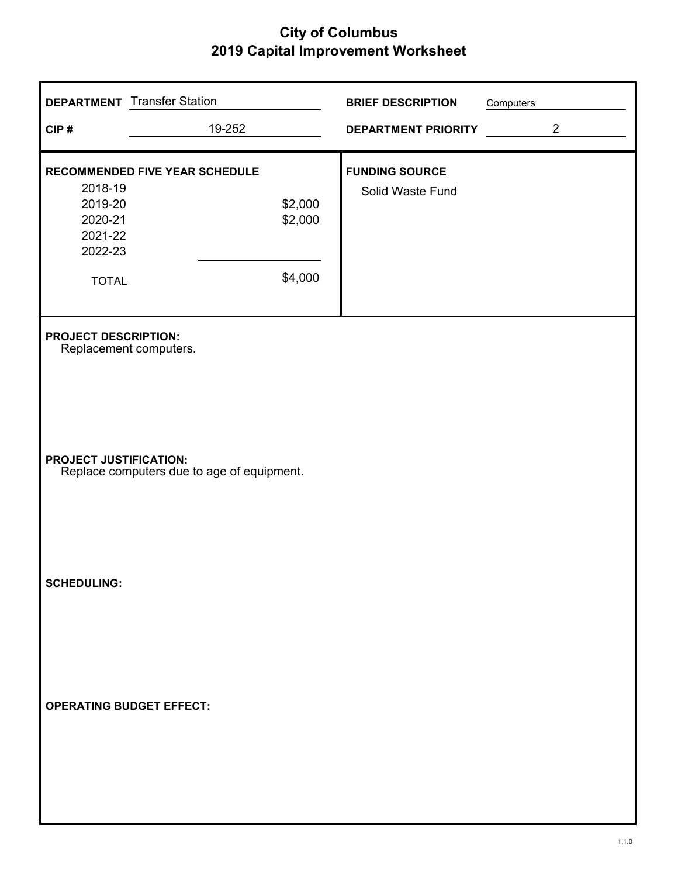|                                                                             | <b>DEPARTMENT</b> Transfer Station | <b>BRIEF DESCRIPTION</b> | Computers      |  |
|-----------------------------------------------------------------------------|------------------------------------|--------------------------|----------------|--|
| CIP#                                                                        | 19-252                             | DEPARTMENT PRIORITY      | $\overline{2}$ |  |
|                                                                             | RECOMMENDED FIVE YEAR SCHEDULE     | <b>FUNDING SOURCE</b>    |                |  |
| 2018-19<br>2019-20<br>2020-21<br>2021-22<br>2022-23                         | \$2,000<br>\$2,000                 | Solid Waste Fund         |                |  |
| <b>TOTAL</b>                                                                | \$4,000                            |                          |                |  |
| <b>PROJECT DESCRIPTION:</b><br>Replacement computers.                       |                                    |                          |                |  |
| <b>PROJECT JUSTIFICATION:</b><br>Replace computers due to age of equipment. |                                    |                          |                |  |
| <b>SCHEDULING:</b>                                                          |                                    |                          |                |  |
| <b>OPERATING BUDGET EFFECT:</b>                                             |                                    |                          |                |  |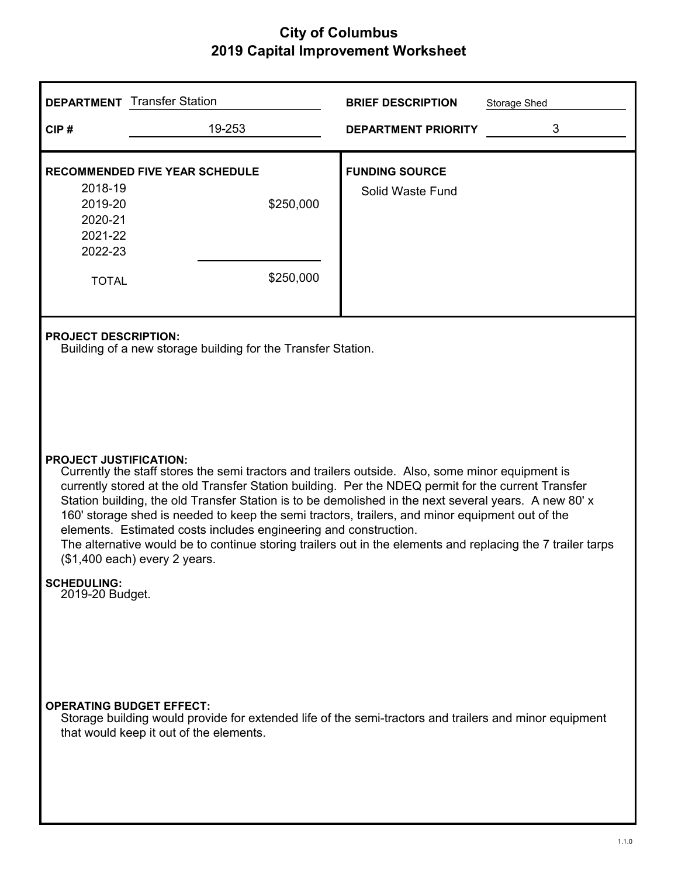|                                                                                                                                                                                                                                                                                                                                                                                                                                                                                                                                                                                                                                                                                                                                        | <b>DEPARTMENT</b> Transfer Station                                                                          | <b>BRIEF DESCRIPTION</b><br>Storage Shed                                                               |  |  |
|----------------------------------------------------------------------------------------------------------------------------------------------------------------------------------------------------------------------------------------------------------------------------------------------------------------------------------------------------------------------------------------------------------------------------------------------------------------------------------------------------------------------------------------------------------------------------------------------------------------------------------------------------------------------------------------------------------------------------------------|-------------------------------------------------------------------------------------------------------------|--------------------------------------------------------------------------------------------------------|--|--|
| CIP#                                                                                                                                                                                                                                                                                                                                                                                                                                                                                                                                                                                                                                                                                                                                   | 19-253                                                                                                      | 3<br><b>DEPARTMENT PRIORITY</b>                                                                        |  |  |
| 2018-19<br>2019-20<br>2020-21<br>2021-22<br>2022-23<br><b>TOTAL</b>                                                                                                                                                                                                                                                                                                                                                                                                                                                                                                                                                                                                                                                                    | <b>RECOMMENDED FIVE YEAR SCHEDULE</b><br>\$250,000<br>\$250,000                                             | <b>FUNDING SOURCE</b><br>Solid Waste Fund                                                              |  |  |
| <b>PROJECT DESCRIPTION:</b><br>Building of a new storage building for the Transfer Station.<br><b>PROJECT JUSTIFICATION:</b><br>Currently the staff stores the semi tractors and trailers outside. Also, some minor equipment is<br>currently stored at the old Transfer Station building. Per the NDEQ permit for the current Transfer<br>Station building, the old Transfer Station is to be demolished in the next several years. A new 80' x<br>160' storage shed is needed to keep the semi tractors, trailers, and minor equipment out of the<br>elements. Estimated costs includes engineering and construction.<br>The alternative would be to continue storing trailers out in the elements and replacing the 7 trailer tarps |                                                                                                             |                                                                                                        |  |  |
| <b>SCHEDULING:</b><br>2019-20 Budget.                                                                                                                                                                                                                                                                                                                                                                                                                                                                                                                                                                                                                                                                                                  | (\$1,400 each) every 2 years.<br><b>OPERATING BUDGET EFFECT:</b><br>that would keep it out of the elements. | Storage building would provide for extended life of the semi-tractors and trailers and minor equipment |  |  |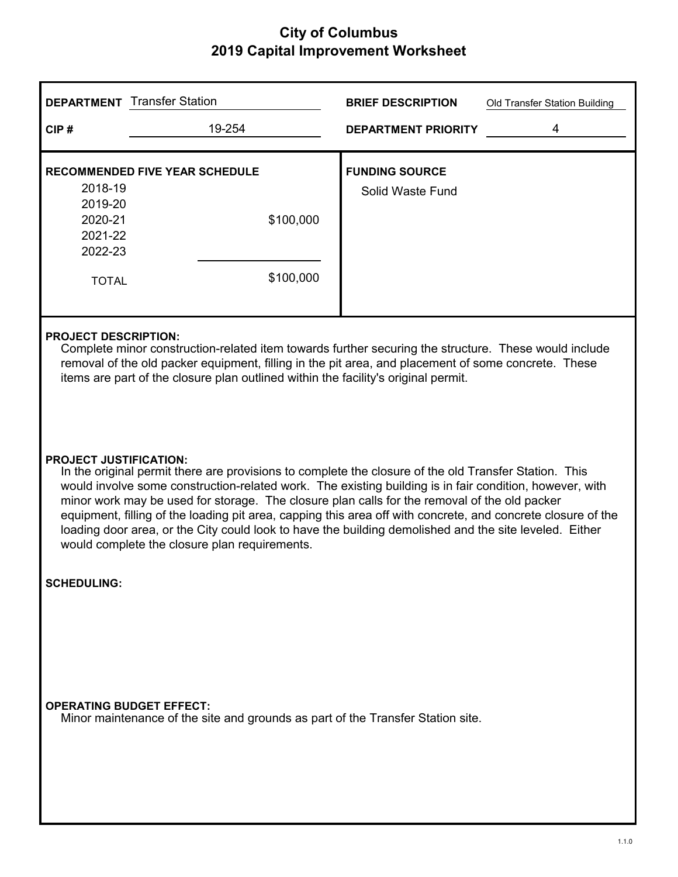| <b>DEPARTMENT</b> Transfer Station                                                                                                                                                                                                                                                                                                                                                                                                                                                                                                                                                                                           |                                                                                                                    | <b>BRIEF DESCRIPTION</b>   | Old Transfer Station Building |  |
|------------------------------------------------------------------------------------------------------------------------------------------------------------------------------------------------------------------------------------------------------------------------------------------------------------------------------------------------------------------------------------------------------------------------------------------------------------------------------------------------------------------------------------------------------------------------------------------------------------------------------|--------------------------------------------------------------------------------------------------------------------|----------------------------|-------------------------------|--|
| CIP#                                                                                                                                                                                                                                                                                                                                                                                                                                                                                                                                                                                                                         | 19-254                                                                                                             | <b>DEPARTMENT PRIORITY</b> | 4                             |  |
| <b>RECOMMENDED FIVE YEAR SCHEDULE</b>                                                                                                                                                                                                                                                                                                                                                                                                                                                                                                                                                                                        |                                                                                                                    | <b>FUNDING SOURCE</b>      |                               |  |
| 2018-19                                                                                                                                                                                                                                                                                                                                                                                                                                                                                                                                                                                                                      |                                                                                                                    | Solid Waste Fund           |                               |  |
| 2019-20                                                                                                                                                                                                                                                                                                                                                                                                                                                                                                                                                                                                                      |                                                                                                                    |                            |                               |  |
| 2020-21                                                                                                                                                                                                                                                                                                                                                                                                                                                                                                                                                                                                                      | \$100,000                                                                                                          |                            |                               |  |
| 2021-22                                                                                                                                                                                                                                                                                                                                                                                                                                                                                                                                                                                                                      |                                                                                                                    |                            |                               |  |
| 2022-23                                                                                                                                                                                                                                                                                                                                                                                                                                                                                                                                                                                                                      |                                                                                                                    |                            |                               |  |
| <b>TOTAL</b>                                                                                                                                                                                                                                                                                                                                                                                                                                                                                                                                                                                                                 | \$100,000                                                                                                          |                            |                               |  |
| <b>PROJECT DESCRIPTION:</b><br>Complete minor construction-related item towards further securing the structure. These would include<br>removal of the old packer equipment, filling in the pit area, and placement of some concrete. These<br>items are part of the closure plan outlined within the facility's original permit.                                                                                                                                                                                                                                                                                             |                                                                                                                    |                            |                               |  |
| <b>PROJECT JUSTIFICATION:</b><br>In the original permit there are provisions to complete the closure of the old Transfer Station. This<br>would involve some construction-related work. The existing building is in fair condition, however, with<br>minor work may be used for storage. The closure plan calls for the removal of the old packer<br>equipment, filling of the loading pit area, capping this area off with concrete, and concrete closure of the<br>loading door area, or the City could look to have the building demolished and the site leveled. Either<br>would complete the closure plan requirements. |                                                                                                                    |                            |                               |  |
| <b>SCHEDULING:</b>                                                                                                                                                                                                                                                                                                                                                                                                                                                                                                                                                                                                           |                                                                                                                    |                            |                               |  |
|                                                                                                                                                                                                                                                                                                                                                                                                                                                                                                                                                                                                                              | <b>OPERATING BUDGET EFFECT:</b><br>Minor maintenance of the site and grounds as part of the Transfer Station site. |                            |                               |  |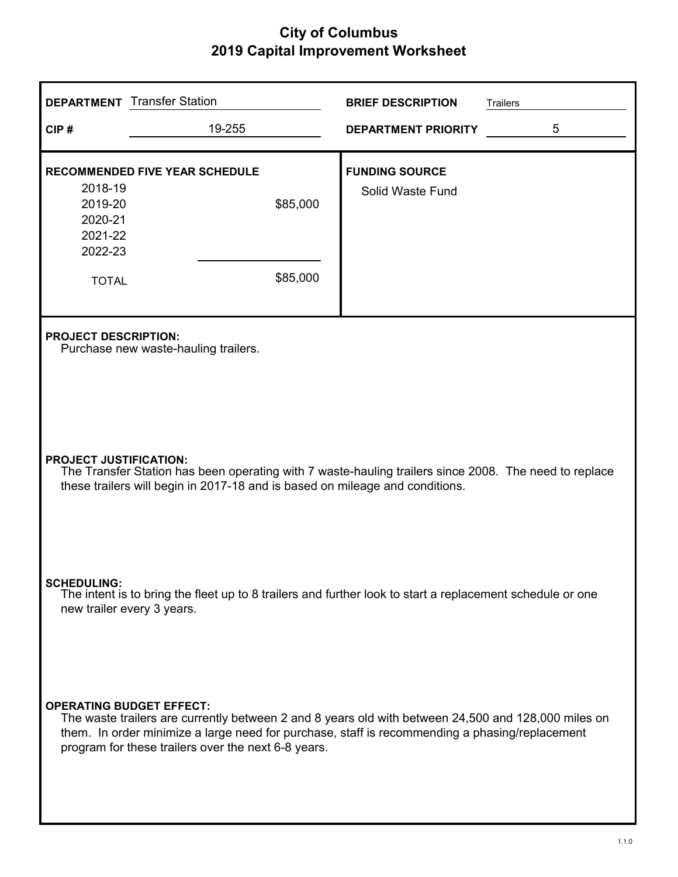|                                                                                                                                                                                                                                                                                                 | <b>DEPARTMENT</b> Transfer Station                            | <b>BRIEF DESCRIPTION</b>                  | <b>Trailers</b> |  |  |
|-------------------------------------------------------------------------------------------------------------------------------------------------------------------------------------------------------------------------------------------------------------------------------------------------|---------------------------------------------------------------|-------------------------------------------|-----------------|--|--|
| CIP#                                                                                                                                                                                                                                                                                            | 19-255                                                        | <b>DEPARTMENT PRIORITY</b>                | 5               |  |  |
| 2018-19<br>2019-20<br>2020-21<br>2021-22<br>2022-23<br><b>TOTAL</b>                                                                                                                                                                                                                             | <b>RECOMMENDED FIVE YEAR SCHEDULE</b><br>\$85,000<br>\$85,000 | <b>FUNDING SOURCE</b><br>Solid Waste Fund |                 |  |  |
| <b>PROJECT DESCRIPTION:</b><br>Purchase new waste-hauling trailers.                                                                                                                                                                                                                             |                                                               |                                           |                 |  |  |
| <b>PROJECT JUSTIFICATION:</b><br>The Transfer Station has been operating with 7 waste-hauling trailers since 2008. The need to replace<br>these trailers will begin in 2017-18 and is based on mileage and conditions.                                                                          |                                                               |                                           |                 |  |  |
| <b>SCHEDULING:</b><br>The intent is to bring the fleet up to 8 trailers and further look to start a replacement schedule or one<br>new trailer every 3 years.                                                                                                                                   |                                                               |                                           |                 |  |  |
| <b>OPERATING BUDGET EFFECT:</b><br>The waste trailers are currently between 2 and 8 years old with between 24,500 and 128,000 miles on<br>them. In order minimize a large need for purchase, staff is recommending a phasing/replacement<br>program for these trailers over the next 6-8 years. |                                                               |                                           |                 |  |  |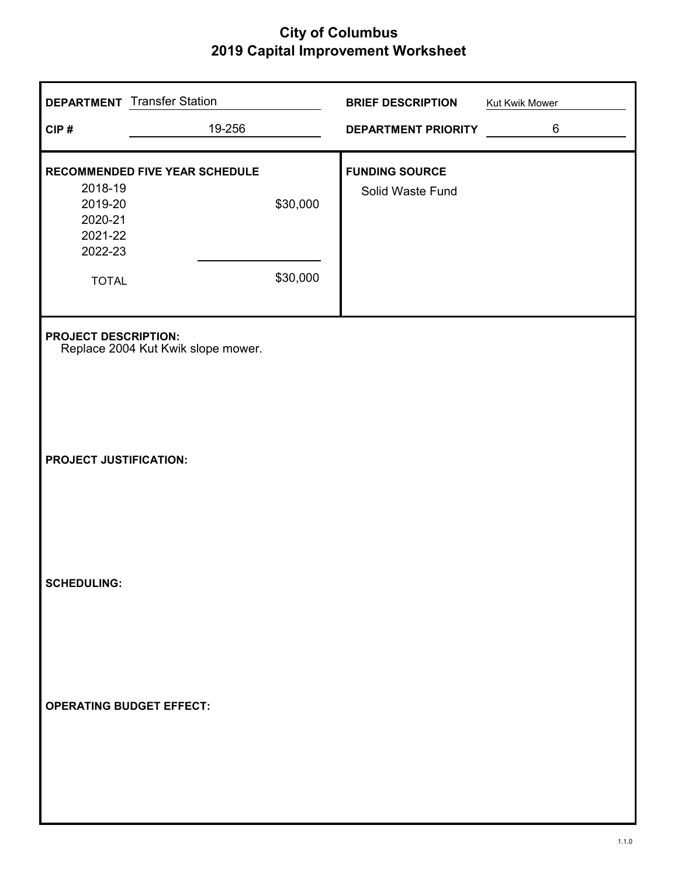|                                                                     | <b>DEPARTMENT</b> Transfer Station |                      | <b>BRIEF DESCRIPTION</b>                  | Kut Kwik Mower |
|---------------------------------------------------------------------|------------------------------------|----------------------|-------------------------------------------|----------------|
| CIP#                                                                | 19-256                             |                      | <b>DEPARTMENT PRIORITY</b>                | $\,6$          |
| 2018-19<br>2019-20<br>2020-21<br>2021-22<br>2022-23<br><b>TOTAL</b> | RECOMMENDED FIVE YEAR SCHEDULE     | \$30,000<br>\$30,000 | <b>FUNDING SOURCE</b><br>Solid Waste Fund |                |
| <b>PROJECT DESCRIPTION:</b>                                         | Replace 2004 Kut Kwik slope mower. |                      |                                           |                |
| PROJECT JUSTIFICATION:                                              |                                    |                      |                                           |                |
| <b>SCHEDULING:</b>                                                  |                                    |                      |                                           |                |
| <b>OPERATING BUDGET EFFECT:</b>                                     |                                    |                      |                                           |                |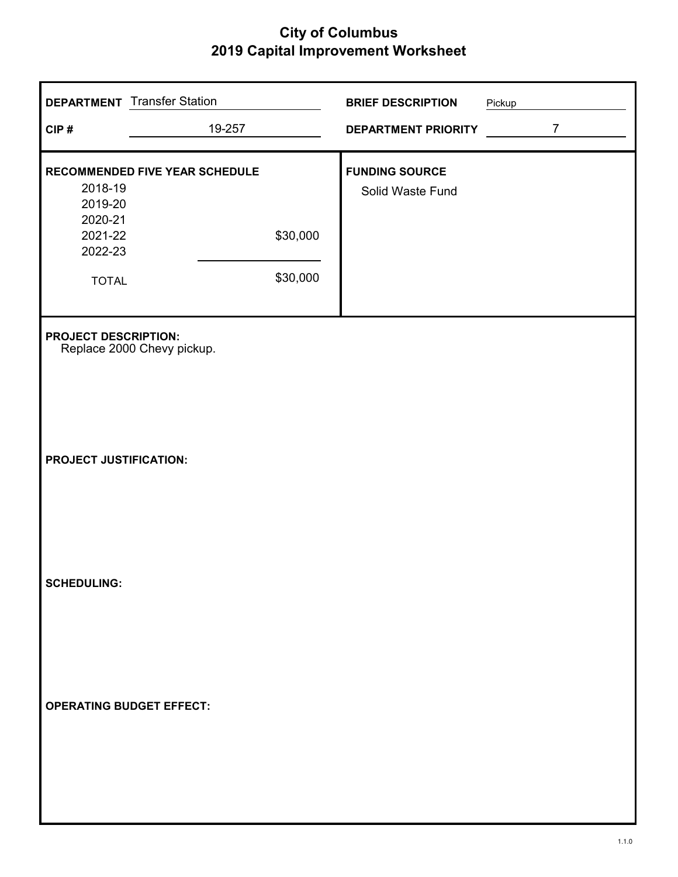| CIP#                                                                | <b>DEPARTMENT</b> Transfer Station<br>19-257 |                      | <b>BRIEF DESCRIPTION</b><br>DEPARTMENT PRIORITY | Pickup | $\overline{7}$ |
|---------------------------------------------------------------------|----------------------------------------------|----------------------|-------------------------------------------------|--------|----------------|
| 2018-19<br>2019-20<br>2020-21<br>2021-22<br>2022-23<br><b>TOTAL</b> | RECOMMENDED FIVE YEAR SCHEDULE               | \$30,000<br>\$30,000 | <b>FUNDING SOURCE</b><br>Solid Waste Fund       |        |                |
| <b>PROJECT DESCRIPTION:</b><br>PROJECT JUSTIFICATION:               | Replace 2000 Chevy pickup.                   |                      |                                                 |        |                |
| <b>SCHEDULING:</b>                                                  |                                              |                      |                                                 |        |                |
| <b>OPERATING BUDGET EFFECT:</b>                                     |                                              |                      |                                                 |        |                |